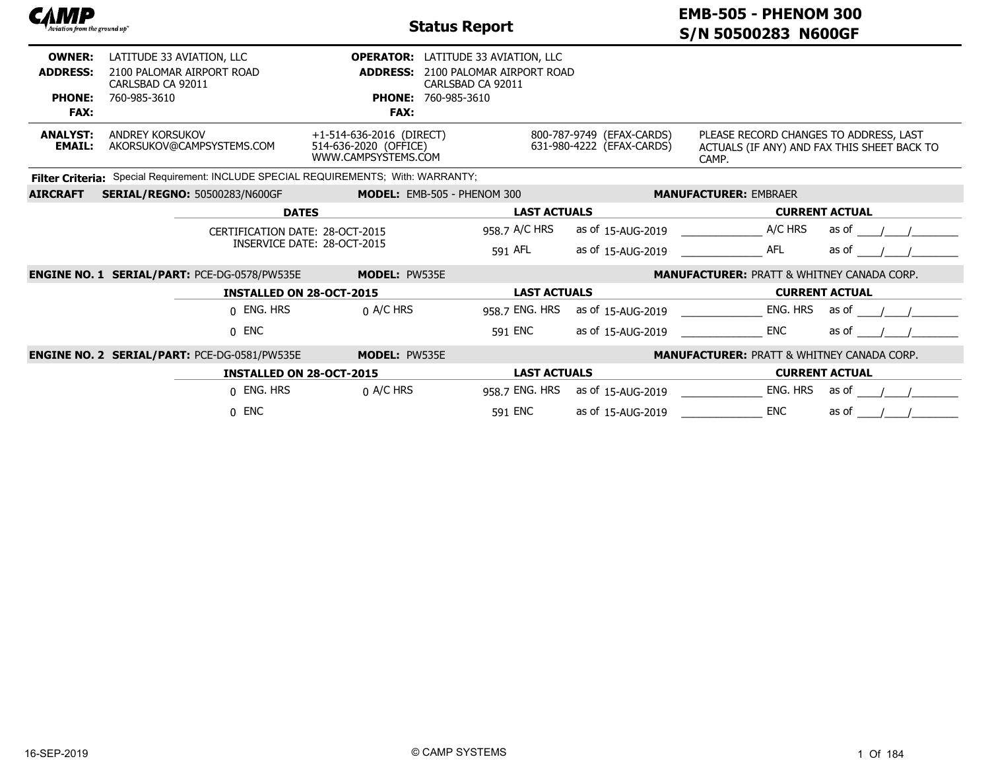| САМР<br>Aviation from the ground up"                             |                                                                                             |                                                                          | <b>Status Report</b>                                                                                                       |                                                        | <b>EMB-505 - PHENOM 300</b><br>S/N 50500283 N600GF                                             |                       |  |  |
|------------------------------------------------------------------|---------------------------------------------------------------------------------------------|--------------------------------------------------------------------------|----------------------------------------------------------------------------------------------------------------------------|--------------------------------------------------------|------------------------------------------------------------------------------------------------|-----------------------|--|--|
| <b>OWNER:</b><br><b>ADDRESS:</b><br><b>PHONE:</b><br><b>FAX:</b> | LATITUDE 33 AVIATION, LLC<br>2100 PALOMAR AIRPORT ROAD<br>CARLSBAD CA 92011<br>760-985-3610 | <b>ADDRESS:</b><br><b>FAX:</b>                                           | <b>OPERATOR:</b> LATITUDE 33 AVIATION, LLC<br>2100 PALOMAR AIRPORT ROAD<br>CARLSBAD CA 92011<br><b>PHONE: 760-985-3610</b> |                                                        |                                                                                                |                       |  |  |
| <b>ANALYST:</b><br><b>EMAIL:</b>                                 | <b>ANDREY KORSUKOV</b><br>AKORSUKOV@CAMPSYSTEMS.COM                                         | +1-514-636-2016 (DIRECT)<br>514-636-2020 (OFFICE)<br>WWW.CAMPSYSTEMS.COM |                                                                                                                            | 800-787-9749 (EFAX-CARDS)<br>631-980-4222 (EFAX-CARDS) | PLEASE RECORD CHANGES TO ADDRESS, LAST<br>ACTUALS (IF ANY) AND FAX THIS SHEET BACK TO<br>CAMP. |                       |  |  |
|                                                                  | Filter Criteria: Special Requirement: INCLUDE SPECIAL REQUIREMENTS; With: WARRANTY;         |                                                                          |                                                                                                                            |                                                        |                                                                                                |                       |  |  |
| <b>AIRCRAFT</b>                                                  | <b>SERIAL/REGNO: 50500283/N600GF</b>                                                        |                                                                          | MODEL: EMB-505 - PHENOM 300                                                                                                |                                                        | <b>MANUFACTURER: EMBRAER</b>                                                                   |                       |  |  |
|                                                                  |                                                                                             | <b>DATES</b>                                                             | <b>LAST ACTUALS</b>                                                                                                        |                                                        |                                                                                                | <b>CURRENT ACTUAL</b> |  |  |
|                                                                  |                                                                                             | CERTIFICATION DATE: 28-OCT-2015<br>INSERVICE DATE: 28-OCT-2015           | 958.7 A/C HRS<br>591 AFL                                                                                                   | as of 15-AUG-2019<br>as of 15-AUG-2019                 | A/C HRS<br><b>AFL</b>                                                                          | as of<br>as of        |  |  |
|                                                                  | <b>ENGINE NO. 1 SERIAL/PART: PCE-DG-0578/PW535E</b>                                         | <b>MODEL: PW535E</b>                                                     |                                                                                                                            |                                                        | <b>MANUFACTURER: PRATT &amp; WHITNEY CANADA CORP.</b>                                          |                       |  |  |
|                                                                  |                                                                                             | <b>INSTALLED ON 28-OCT-2015</b>                                          | <b>LAST ACTUALS</b>                                                                                                        |                                                        |                                                                                                | <b>CURRENT ACTUAL</b> |  |  |
|                                                                  | 0 ENG. HRS                                                                                  | $0$ A/C HRS                                                              | 958.7 ENG. HRS                                                                                                             | as of 15-AUG-2019                                      | ENG. HRS                                                                                       | as of                 |  |  |
|                                                                  | $0$ ENC                                                                                     |                                                                          | 591 ENC                                                                                                                    | as of 15-AUG-2019                                      | <b>ENC</b>                                                                                     | as of                 |  |  |
|                                                                  | <b>ENGINE NO. 2 SERIAL/PART: PCE-DG-0581/PW535E</b>                                         | <b>MODEL: PW535E</b>                                                     |                                                                                                                            |                                                        | <b>MANUFACTURER: PRATT &amp; WHITNEY CANADA CORP.</b>                                          |                       |  |  |
|                                                                  |                                                                                             | <b>INSTALLED ON 28-OCT-2015</b>                                          | <b>LAST ACTUALS</b>                                                                                                        |                                                        |                                                                                                | <b>CURRENT ACTUAL</b> |  |  |
|                                                                  | 0 ENG. HRS                                                                                  | $0$ A/C HRS                                                              | 958.7 ENG. HRS                                                                                                             | as of 15-AUG-2019                                      | ENG. HRS                                                                                       | as of                 |  |  |
|                                                                  | $0$ ENC                                                                                     |                                                                          | 591 ENC                                                                                                                    | as of 15-AUG-2019                                      | <b>ENC</b>                                                                                     | as of                 |  |  |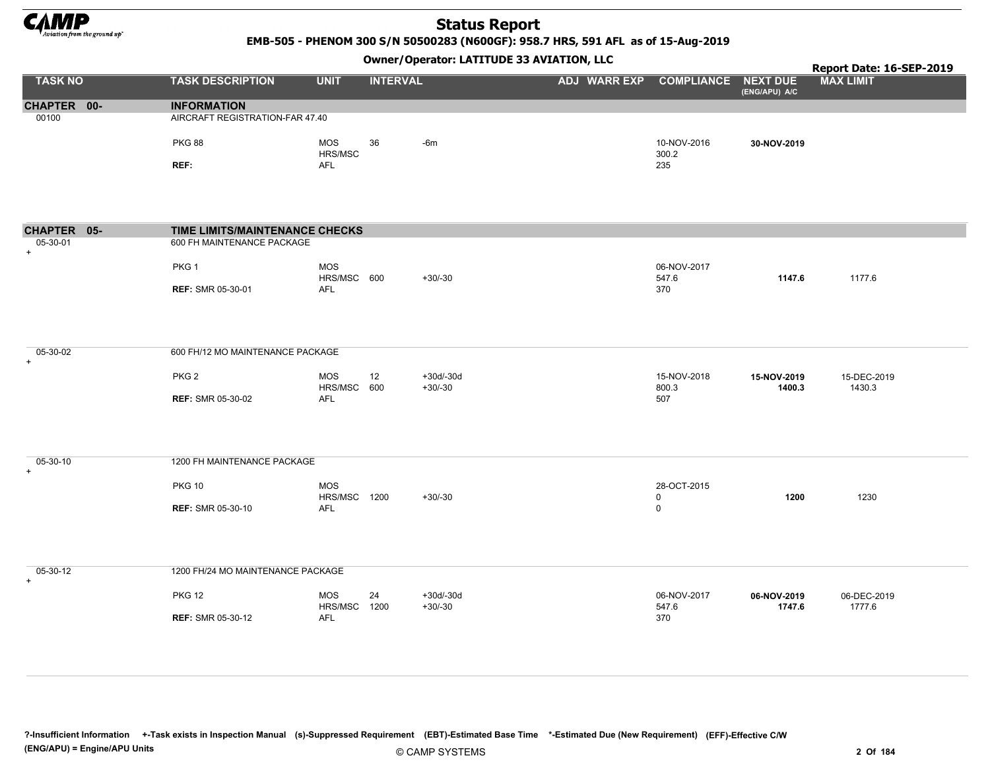

EMB-505 - PHENOM 300 S/N 50500283 (N600GF): 958.7 HRS, 591 AFL as of 15-Aug-2019

Owner/Operator: LATITUDE 33 AVIATION, LLC

|                       |                                   |                            |                 | Owner / Operator. EATTTODE 33 AVIATION, LLC |              |                            |                       | Report Date: 16-SEP-2019 |
|-----------------------|-----------------------------------|----------------------------|-----------------|---------------------------------------------|--------------|----------------------------|-----------------------|--------------------------|
| <b>TASK NO</b>        | <b>TASK DESCRIPTION</b>           | <b>UNIT</b>                | <b>INTERVAL</b> |                                             | ADJ WARR EXP | <b>COMPLIANCE NEXT DUE</b> | (ENG/APU) A/C         | <b>MAX LIMIT</b>         |
| CHAPTER 00-           | <b>INFORMATION</b>                |                            |                 |                                             |              |                            |                       |                          |
| 00100                 | AIRCRAFT REGISTRATION-FAR 47.40   |                            |                 |                                             |              |                            |                       |                          |
|                       | <b>PKG 88</b>                     | MOS<br>HRS/MSC             | 36              | $-6m$                                       |              | 10-NOV-2016<br>300.2       | 30-NOV-2019           |                          |
|                       | REF:                              | <b>AFL</b>                 |                 |                                             |              | 235                        |                       |                          |
| CHAPTER 05-           | TIME LIMITS/MAINTENANCE CHECKS    |                            |                 |                                             |              |                            |                       |                          |
| 05-30-01<br>$\ddot{}$ | 600 FH MAINTENANCE PACKAGE        |                            |                 |                                             |              |                            |                       |                          |
|                       | PKG 1                             | MOS<br>HRS/MSC 600         |                 | $+30/-30$                                   |              | 06-NOV-2017<br>547.6       | 1147.6                | 1177.6                   |
|                       | <b>REF: SMR 05-30-01</b>          | <b>AFL</b>                 |                 |                                             |              | 370                        |                       |                          |
| 05-30-02<br>$+$       | 600 FH/12 MO MAINTENANCE PACKAGE  |                            |                 |                                             |              |                            |                       |                          |
|                       | PKG <sub>2</sub>                  | MOS<br>HRS/MSC 600         | 12              | $+30d/-30d$<br>$+30/-30$                    |              | 15-NOV-2018<br>800.3       | 15-NOV-2019<br>1400.3 | 15-DEC-2019<br>1430.3    |
|                       | <b>REF: SMR 05-30-02</b>          | AFL                        |                 |                                             |              | 507                        |                       |                          |
| 05-30-10<br>$\ddot{}$ | 1200 FH MAINTENANCE PACKAGE       |                            |                 |                                             |              |                            |                       |                          |
|                       | <b>PKG 10</b>                     | MOS<br><b>HRS/MSC 1200</b> |                 | $+30/-30$                                   |              | 28-OCT-2015<br>0           | 1200                  | 1230                     |
|                       | <b>REF: SMR 05-30-10</b>          | <b>AFL</b>                 |                 |                                             |              | $\mathbf 0$                |                       |                          |
| 05-30-12<br>$\ddot{}$ | 1200 FH/24 MO MAINTENANCE PACKAGE |                            |                 |                                             |              |                            |                       |                          |
|                       | <b>PKG 12</b>                     | <b>MOS</b><br>HRS/MSC 1200 | 24              | $+30d/-30d$<br>$+30/-30$                    |              | 06-NOV-2017<br>547.6       | 06-NOV-2019<br>1747.6 | 06-DEC-2019<br>1777.6    |
|                       | <b>REF: SMR 05-30-12</b>          | AFL                        |                 |                                             |              | 370                        |                       |                          |

?-Insufficient Information +-Task exists in Inspection Manual (s)-Suppressed Requirement (EBT)-Estimated Base Time \*-Estimated Due (New Requirement) (EFF)-Effective C/W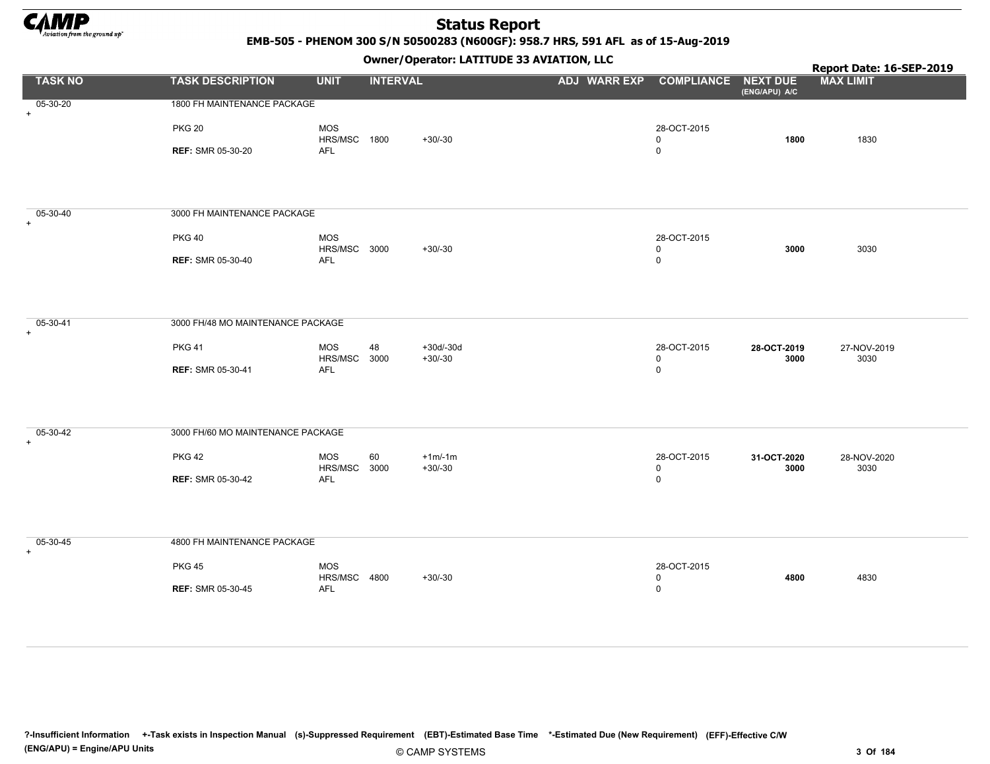

EMB-505 - PHENOM 300 S/N 50500283 (N600GF): 958.7 HRS, 591 AFL as of 15-Aug-2019

|                       |                                           |                                     | Owner / Operator. LATTTODE 33 AVIATION, LLC |                     | Report Date: 16-SEP-2019                |                                  |                     |
|-----------------------|-------------------------------------------|-------------------------------------|---------------------------------------------|---------------------|-----------------------------------------|----------------------------------|---------------------|
| <b>TASK NO</b>        | <b>TASK DESCRIPTION</b>                   | <b>UNIT</b>                         | <b>INTERVAL</b>                             | <b>ADJ WARR EXP</b> | <b>COMPLIANCE</b>                       | <b>NEXT DUE</b><br>(ENG/APU) A/C | <b>MAX LIMIT</b>    |
| 05-30-20<br>$+$       | 1800 FH MAINTENANCE PACKAGE               |                                     |                                             |                     |                                         |                                  |                     |
|                       | <b>PKG 20</b>                             | <b>MOS</b><br>HRS/MSC 1800          | $+30/-30$                                   |                     | 28-OCT-2015<br>0                        | 1800                             | 1830                |
|                       | <b>REF: SMR 05-30-20</b>                  | AFL                                 |                                             |                     | $\mathbf 0$                             |                                  |                     |
| 05-30-40<br>$+$       | 3000 FH MAINTENANCE PACKAGE               |                                     |                                             |                     |                                         |                                  |                     |
|                       | <b>PKG 40</b>                             | <b>MOS</b><br>HRS/MSC 3000          | $+30/-30$                                   |                     | 28-OCT-2015<br>0                        | 3000                             | 3030                |
|                       | <b>REF: SMR 05-30-40</b>                  | AFL                                 |                                             |                     | $\mathbf 0$                             |                                  |                     |
| 05-30-41<br>$\ddot{}$ | 3000 FH/48 MO MAINTENANCE PACKAGE         |                                     |                                             |                     |                                         |                                  |                     |
|                       | <b>PKG 41</b><br><b>REF: SMR 05-30-41</b> | MOS<br>48<br>HRS/MSC<br>3000<br>AFL | $+30d/-30d$<br>$+30/-30$                    |                     | 28-OCT-2015<br>0<br>$\mathsf{O}\xspace$ | 28-OCT-2019<br>3000              | 27-NOV-2019<br>3030 |
|                       |                                           |                                     |                                             |                     |                                         |                                  |                     |
| 05-30-42<br>$+$       | 3000 FH/60 MO MAINTENANCE PACKAGE         |                                     |                                             |                     |                                         |                                  |                     |
|                       | <b>PKG 42</b>                             | <b>MOS</b><br>60<br>HRS/MSC 3000    | $+1m/1m$<br>$+30/-30$                       |                     | 28-OCT-2015<br>0                        | 31-OCT-2020<br>3000              | 28-NOV-2020<br>3030 |
|                       | <b>REF: SMR 05-30-42</b>                  | AFL                                 |                                             |                     | $\mathsf 0$                             |                                  |                     |
| 05-30-45<br>$+$       | 4800 FH MAINTENANCE PACKAGE               |                                     |                                             |                     |                                         |                                  |                     |
|                       | <b>PKG 45</b>                             | <b>MOS</b><br>HRS/MSC 4800          | $+30/-30$                                   |                     | 28-OCT-2015<br>$\mathsf 0$              | 4800                             | 4830                |
|                       | <b>REF: SMR 05-30-45</b>                  | AFL                                 |                                             |                     | $\mathbf 0$                             |                                  |                     |
|                       |                                           |                                     |                                             |                     |                                         |                                  |                     |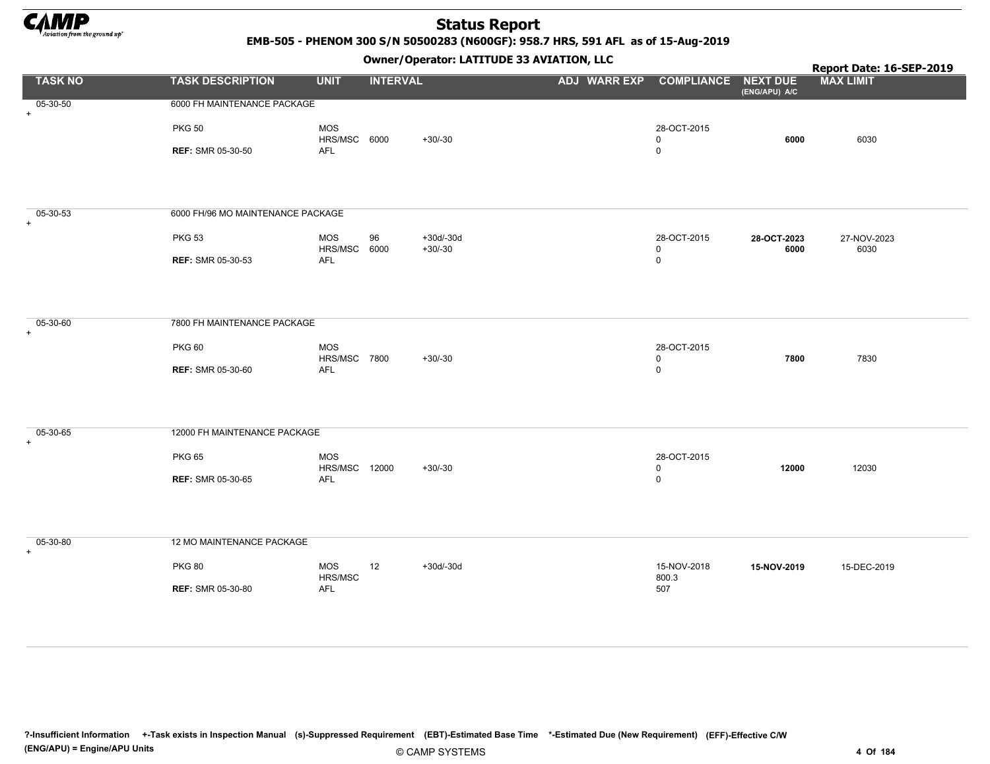

EMB-505 - PHENOM 300 S/N 50500283 (N600GF): 958.7 HRS, 591 AFL as of 15-Aug-2019

|                       |                                   |                      | .               |                          | . .                              |                            |                     | Report Date: 16-SEP-2019 |
|-----------------------|-----------------------------------|----------------------|-----------------|--------------------------|----------------------------------|----------------------------|---------------------|--------------------------|
| <b>TASK NO</b>        | <b>TASK DESCRIPTION</b>           | <b>UNIT</b>          | <b>INTERVAL</b> |                          | ADJ WARR EXP COMPLIANCE NEXT DUE |                            | (ENG/APU) A/C       | <b>MAX LIMIT</b>         |
| 05-30-50<br>$+$       | 6000 FH MAINTENANCE PACKAGE       |                      |                 |                          |                                  |                            |                     |                          |
|                       | <b>PKG 50</b>                     | MOS<br>HRS/MSC 6000  |                 | $+30/-30$                |                                  | 28-OCT-2015<br>$\mathbf 0$ | 6000                | 6030                     |
|                       | <b>REF: SMR 05-30-50</b>          | <b>AFL</b>           |                 |                          |                                  | $\mathbf 0$                |                     |                          |
|                       |                                   |                      |                 |                          |                                  |                            |                     |                          |
|                       |                                   |                      |                 |                          |                                  |                            |                     |                          |
| 05-30-53<br>$\ddot{}$ | 6000 FH/96 MO MAINTENANCE PACKAGE |                      |                 |                          |                                  |                            |                     |                          |
|                       | <b>PKG 53</b>                     | MOS<br>HRS/MSC 6000  | 96              | $+30d/-30d$<br>$+30/-30$ |                                  | 28-OCT-2015<br>$\mathbf 0$ | 28-OCT-2023<br>6000 | 27-NOV-2023<br>6030      |
|                       | <b>REF: SMR 05-30-53</b>          | AFL                  |                 |                          |                                  | $\mathsf 0$                |                     |                          |
|                       |                                   |                      |                 |                          |                                  |                            |                     |                          |
|                       |                                   |                      |                 |                          |                                  |                            |                     |                          |
| 05-30-60<br>$+$       | 7800 FH MAINTENANCE PACKAGE       |                      |                 |                          |                                  |                            |                     |                          |
|                       | <b>PKG 60</b>                     | MOS<br>HRS/MSC 7800  |                 | $+30/-30$                |                                  | 28-OCT-2015<br>$\mathbf 0$ | 7800                | 7830                     |
|                       | <b>REF: SMR 05-30-60</b>          | AFL                  |                 |                          |                                  | $\mathsf 0$                |                     |                          |
|                       |                                   |                      |                 |                          |                                  |                            |                     |                          |
|                       |                                   |                      |                 |                          |                                  |                            |                     |                          |
| 05-30-65<br>$+$       | 12000 FH MAINTENANCE PACKAGE      |                      |                 |                          |                                  |                            |                     |                          |
|                       | <b>PKG 65</b>                     | MOS<br>HRS/MSC 12000 |                 | $+30/-30$                |                                  | 28-OCT-2015<br>$\mathbf 0$ | 12000               | 12030                    |
|                       | <b>REF: SMR 05-30-65</b>          | AFL                  |                 |                          |                                  | $\mathsf 0$                |                     |                          |
|                       |                                   |                      |                 |                          |                                  |                            |                     |                          |
|                       |                                   |                      |                 |                          |                                  |                            |                     |                          |
| 05-30-80<br>$+$       | 12 MO MAINTENANCE PACKAGE         |                      |                 |                          |                                  |                            |                     |                          |
|                       | <b>PKG 80</b>                     | MOS<br>HRS/MSC       | 12              | $+30d/-30d$              |                                  | 15-NOV-2018<br>800.3       | 15-NOV-2019         | 15-DEC-2019              |
|                       | <b>REF: SMR 05-30-80</b>          | AFL                  |                 |                          |                                  | 507                        |                     |                          |
|                       |                                   |                      |                 |                          |                                  |                            |                     |                          |
|                       |                                   |                      |                 |                          |                                  |                            |                     |                          |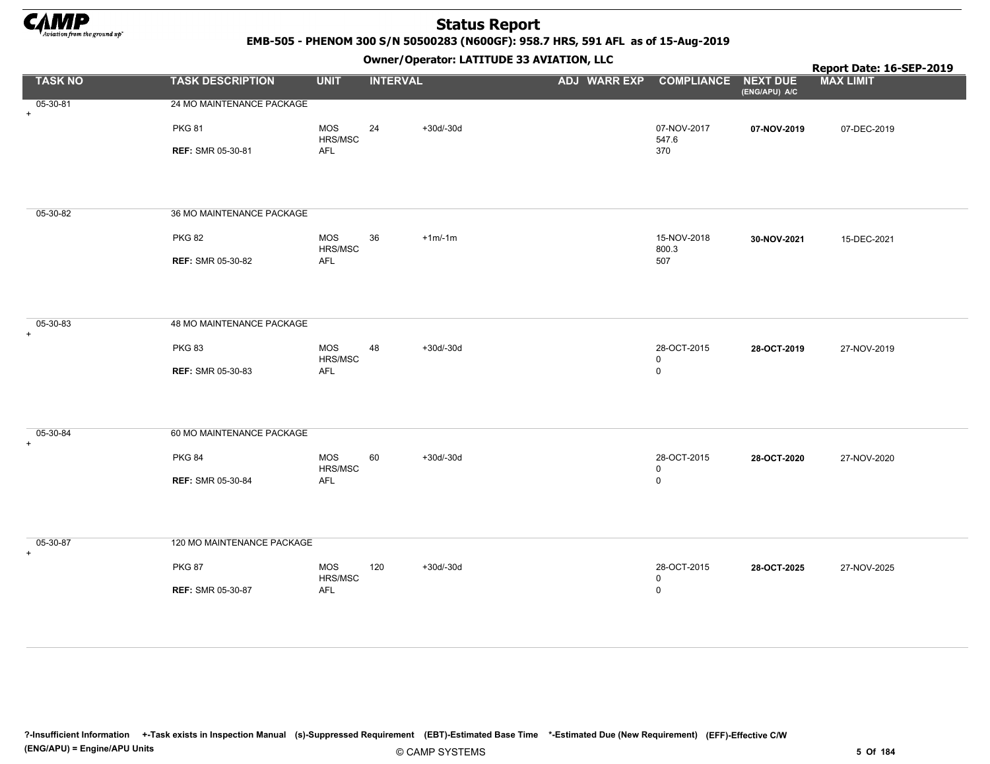

EMB-505 - PHENOM 300 S/N 50500283 (N600GF): 958.7 HRS, 591 AFL as of 15-Aug-2019

Owner/Operator: LATITUDE 33 AVIATION, LLC

|                 |                            |                       | - <i>-</i> - -  |             | . .                              |                            |               | Report Date: 16-SEP-2019 |
|-----------------|----------------------------|-----------------------|-----------------|-------------|----------------------------------|----------------------------|---------------|--------------------------|
| <b>TASK NO</b>  | <b>TASK DESCRIPTION</b>    | <b>UNIT</b>           | <b>INTERVAL</b> |             | ADJ WARR EXP COMPLIANCE NEXT DUE |                            | (ENG/APU) A/C | <b>MAX LIMIT</b>         |
| 05-30-81<br>$+$ | 24 MO MAINTENANCE PACKAGE  |                       |                 |             |                                  |                            |               |                          |
|                 | <b>PKG 81</b>              | <b>MOS</b><br>HRS/MSC | 24              | $+30d/-30d$ |                                  | 07-NOV-2017<br>547.6       | 07-NOV-2019   | 07-DEC-2019              |
|                 | <b>REF: SMR 05-30-81</b>   | AFL                   |                 |             |                                  | 370                        |               |                          |
|                 |                            |                       |                 |             |                                  |                            |               |                          |
|                 |                            |                       |                 |             |                                  |                            |               |                          |
| 05-30-82        | 36 MO MAINTENANCE PACKAGE  |                       |                 |             |                                  |                            |               |                          |
|                 | <b>PKG 82</b>              | <b>MOS</b>            | 36              | $+1m/1m$    |                                  | 15-NOV-2018                | 30-NOV-2021   | 15-DEC-2021              |
|                 | <b>REF: SMR 05-30-82</b>   | HRS/MSC<br>AFL        |                 |             |                                  | 800.3<br>507               |               |                          |
|                 |                            |                       |                 |             |                                  |                            |               |                          |
|                 |                            |                       |                 |             |                                  |                            |               |                          |
| 05-30-83<br>$+$ | 48 MO MAINTENANCE PACKAGE  |                       |                 |             |                                  |                            |               |                          |
|                 | <b>PKG 83</b>              | MOS                   | 48              | $+30d/-30d$ |                                  | 28-OCT-2015                | 28-OCT-2019   | 27-NOV-2019              |
|                 | <b>REF: SMR 05-30-83</b>   | HRS/MSC<br>AFL        |                 |             |                                  | $\mathbf 0$<br>$\mathsf 0$ |               |                          |
|                 |                            |                       |                 |             |                                  |                            |               |                          |
|                 |                            |                       |                 |             |                                  |                            |               |                          |
| 05-30-84<br>$+$ | 60 MO MAINTENANCE PACKAGE  |                       |                 |             |                                  |                            |               |                          |
|                 | <b>PKG 84</b>              | MOS                   | 60              | $+30d/-30d$ |                                  | 28-OCT-2015                | 28-OCT-2020   | 27-NOV-2020              |
|                 | <b>REF: SMR 05-30-84</b>   | HRS/MSC<br>AFL        |                 |             |                                  | $\mathsf 0$<br>$\mathsf 0$ |               |                          |
|                 |                            |                       |                 |             |                                  |                            |               |                          |
|                 |                            |                       |                 |             |                                  |                            |               |                          |
| 05-30-87<br>$+$ | 120 MO MAINTENANCE PACKAGE |                       |                 |             |                                  |                            |               |                          |
|                 | <b>PKG 87</b>              | MOS<br>HRS/MSC        | 120             | $+30d/-30d$ |                                  | 28-OCT-2015<br>$\mathsf 0$ | 28-OCT-2025   | 27-NOV-2025              |
|                 | <b>REF: SMR 05-30-87</b>   | AFL                   |                 |             |                                  | $\mathsf 0$                |               |                          |
|                 |                            |                       |                 |             |                                  |                            |               |                          |
|                 |                            |                       |                 |             |                                  |                            |               |                          |

?-Insufficient Information +-Task exists in Inspection Manual (s)-Suppressed Requirement (EBT)-Estimated Base Time \*-Estimated Due (New Requirement) (EFF)-Effective C/W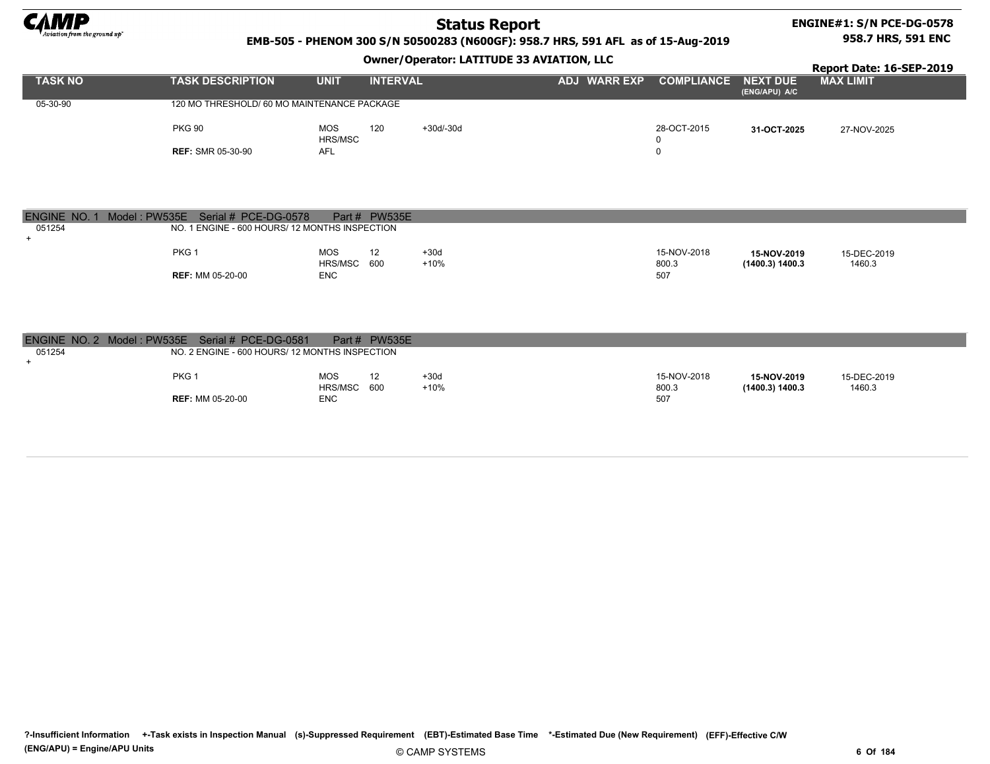

### ENGINE#1: S/N PCE-DG-0578 958.7 HRS, 591 ENC

### EMB-505 - PHENOM 300 S/N 50500283 (N600GF): 958.7 HRS, 591 AFL as of 15-Aug-2019

### Owner/Operator: LATITUDE 33 AVIATION, LLC

|                |                                             |             |                 | .         |              |                            |               | Report Date: 16-SEP-2019 |
|----------------|---------------------------------------------|-------------|-----------------|-----------|--------------|----------------------------|---------------|--------------------------|
| <b>TASK NO</b> | <b>TASK DESCRIPTION</b>                     | <b>UNIT</b> | <b>INTERVAL</b> |           | ADJ WARR EXP | <b>COMPLIANCE NEXT DUE</b> |               | <b>MAX LIMIT</b>         |
|                |                                             |             |                 |           |              |                            | (ENG/APU) A/C |                          |
| 05-30-90       | 120 MO THRESHOLD/ 60 MO MAINTENANCE PACKAGE |             |                 |           |              |                            |               |                          |
|                |                                             |             |                 |           |              |                            |               |                          |
|                | <b>PKG 90</b>                               | <b>MOS</b>  | 120             | +30d/-30d |              | 28-OCT-2015                | 31-OCT-2025   | 27-NOV-2025              |
|                |                                             | HRS/MSC     |                 |           |              |                            |               |                          |
|                | <b>REF: SMR 05-30-90</b>                    | AFL         |                 |           |              |                            |               |                          |

| ENGINE NO. 1 | Model: PW535E Serial # PCE-DG-0578 |                                                | Part # PW535E |        |             |                 |             |  |
|--------------|------------------------------------|------------------------------------------------|---------------|--------|-------------|-----------------|-------------|--|
| 051254       |                                    | NO. 1 ENGINE - 600 HOURS/ 12 MONTHS INSPECTION |               |        |             |                 |             |  |
|              |                                    |                                                |               |        |             |                 |             |  |
|              | PKG <sub>1</sub>                   | MOS                                            | 12            | $+30d$ | 15-NOV-2018 | 15-NOV-2019     | 15-DEC-2019 |  |
|              |                                    | HRS/MSC 600                                    |               | $+10%$ | 800.3       | (1400.3) 1400.3 | 1460.3      |  |
|              | <b>REF: MM 05-20-00</b>            | <b>ENC</b>                                     |               |        | 507         |                 |             |  |

|        | ENGINE NO. 2 Model: PW535E Serial # PCE-DG-0581 |                                                | Part # PW535E     |        |             |                 |             |
|--------|-------------------------------------------------|------------------------------------------------|-------------------|--------|-------------|-----------------|-------------|
| 051254 |                                                 | NO. 2 ENGINE - 600 HOURS/ 12 MONTHS INSPECTION |                   |        |             |                 |             |
|        |                                                 |                                                |                   |        |             |                 |             |
|        | PKG <sub>1</sub>                                | <b>MOS</b>                                     | $12 \overline{ }$ | $+30d$ | 15-NOV-2018 | 15-NOV-2019     | 15-DEC-2019 |
|        |                                                 | HRS/MSC 600                                    |                   | $+10%$ | 800.3       | (1400.3) 1400.3 | 1460.3      |
|        | <b>REF: MM 05-20-00</b>                         | <b>ENC</b>                                     |                   |        | 507         |                 |             |

?-Insufficient Information +-Task exists in Inspection Manual (s)-Suppressed Requirement (EBT)-Estimated Base Time \*-Estimated Due (New Requirement) (EFF)-Effective C/W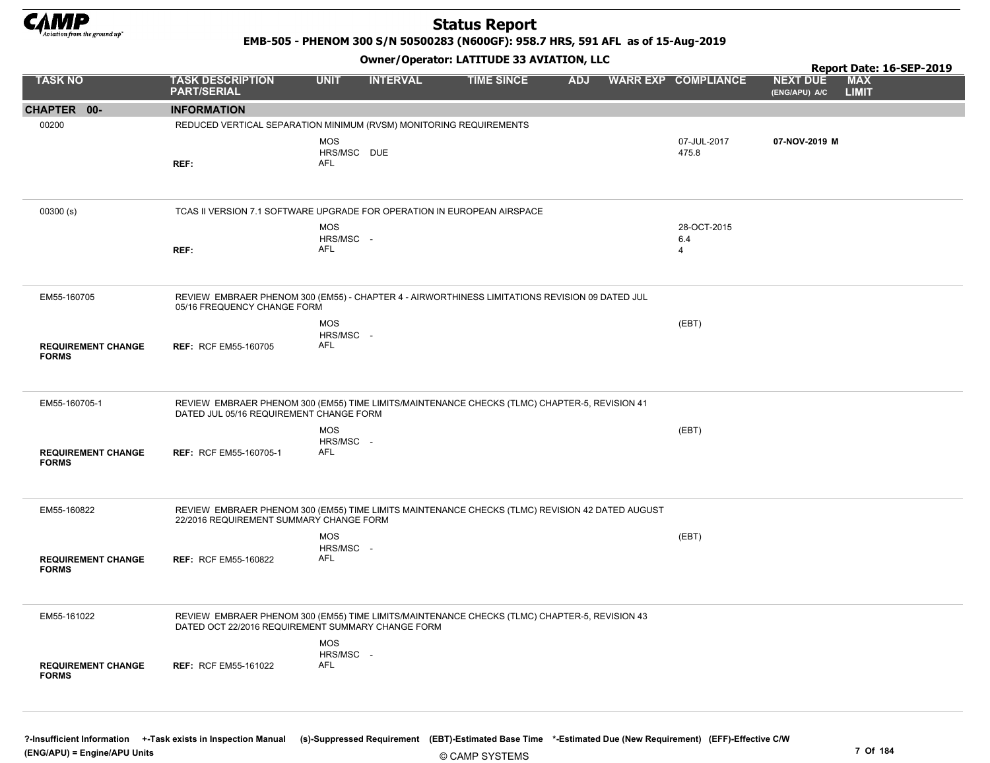

EMB-505 - PHENOM 300 S/N 50500283 (N600GF): 958.7 HRS, 591 AFL as of 15-Aug-2019

Owner/Operator: LATITUDE 33 AVIATION, LLC

|                                           |                                                                                                                                                    |                                         | .               |                   |            |                                      |                                  | Report Date: 16-SEP-2019   |  |
|-------------------------------------------|----------------------------------------------------------------------------------------------------------------------------------------------------|-----------------------------------------|-----------------|-------------------|------------|--------------------------------------|----------------------------------|----------------------------|--|
| <b>TASK NO</b>                            | <b>TASK DESCRIPTION</b><br><b>PART/SERIAL</b>                                                                                                      | <b>UNIT</b>                             | <b>INTERVAL</b> | <b>TIME SINCE</b> | <b>ADJ</b> | <b>WARR EXP COMPLIANCE</b>           | <b>NEXT DUE</b><br>(ENG/APU) A/C | <b>MAX</b><br><b>LIMIT</b> |  |
| CHAPTER 00-                               | <b>INFORMATION</b>                                                                                                                                 |                                         |                 |                   |            |                                      |                                  |                            |  |
| 00200                                     | REDUCED VERTICAL SEPARATION MINIMUM (RVSM) MONITORING REQUIREMENTS                                                                                 |                                         |                 |                   |            |                                      |                                  |                            |  |
|                                           | REF:                                                                                                                                               | <b>MOS</b><br>HRS/MSC DUE<br><b>AFL</b> |                 |                   |            | 07-JUL-2017<br>475.8                 | 07-NOV-2019 M                    |                            |  |
| 00300(s)                                  | TCAS II VERSION 7.1 SOFTWARE UPGRADE FOR OPERATION IN EUROPEAN AIRSPACE                                                                            |                                         |                 |                   |            |                                      |                                  |                            |  |
|                                           | REF:                                                                                                                                               | <b>MOS</b><br>HRS/MSC -<br><b>AFL</b>   |                 |                   |            | 28-OCT-2015<br>6.4<br>$\overline{4}$ |                                  |                            |  |
| EM55-160705                               | REVIEW EMBRAER PHENOM 300 (EM55) - CHAPTER 4 - AIRWORTHINESS LIMITATIONS REVISION 09 DATED JUL<br>05/16 FREQUENCY CHANGE FORM                      |                                         |                 |                   |            |                                      |                                  |                            |  |
| <b>REQUIREMENT CHANGE</b><br><b>FORMS</b> | <b>REF: RCF EM55-160705</b>                                                                                                                        | <b>MOS</b><br>HRS/MSC -<br><b>AFL</b>   |                 |                   |            | (EBT)                                |                                  |                            |  |
| EM55-160705-1                             | REVIEW EMBRAER PHENOM 300 (EM55) TIME LIMITS/MAINTENANCE CHECKS (TLMC) CHAPTER-5, REVISION 41<br>DATED JUL 05/16 REQUIREMENT CHANGE FORM           | <b>MOS</b><br>HRS/MSC -                 |                 |                   |            | (EBT)                                |                                  |                            |  |
| <b>REQUIREMENT CHANGE</b><br><b>FORMS</b> | REF: RCF EM55-160705-1                                                                                                                             | <b>AFL</b>                              |                 |                   |            |                                      |                                  |                            |  |
| EM55-160822                               | REVIEW EMBRAER PHENOM 300 (EM55) TIME LIMITS MAINTENANCE CHECKS (TLMC) REVISION 42 DATED AUGUST<br>22/2016 REQUIREMENT SUMMARY CHANGE FORM         |                                         |                 |                   |            |                                      |                                  |                            |  |
| <b>REQUIREMENT CHANGE</b><br><b>FORMS</b> | <b>REF: RCF EM55-160822</b>                                                                                                                        | <b>MOS</b><br>HRS/MSC -<br>AFL          |                 |                   |            | (EBT)                                |                                  |                            |  |
| EM55-161022                               | REVIEW EMBRAER PHENOM 300 (EM55) TIME LIMITS/MAINTENANCE CHECKS (TLMC) CHAPTER-5, REVISION 43<br>DATED OCT 22/2016 REQUIREMENT SUMMARY CHANGE FORM |                                         |                 |                   |            |                                      |                                  |                            |  |
| <b>REQUIREMENT CHANGE</b><br><b>FORMS</b> | <b>REF: RCF EM55-161022</b>                                                                                                                        | <b>MOS</b><br>HRS/MSC -<br><b>AFL</b>   |                 |                   |            |                                      |                                  |                            |  |

?-Insufficient Information +-Task exists in Inspection Manual (s)-Suppressed Requirement (EBT)-Estimated Base Time \*-Estimated Due (New Requirement) (EFF)-Effective C/W (ENG/APU) = Engine/APU Units 7 Of 184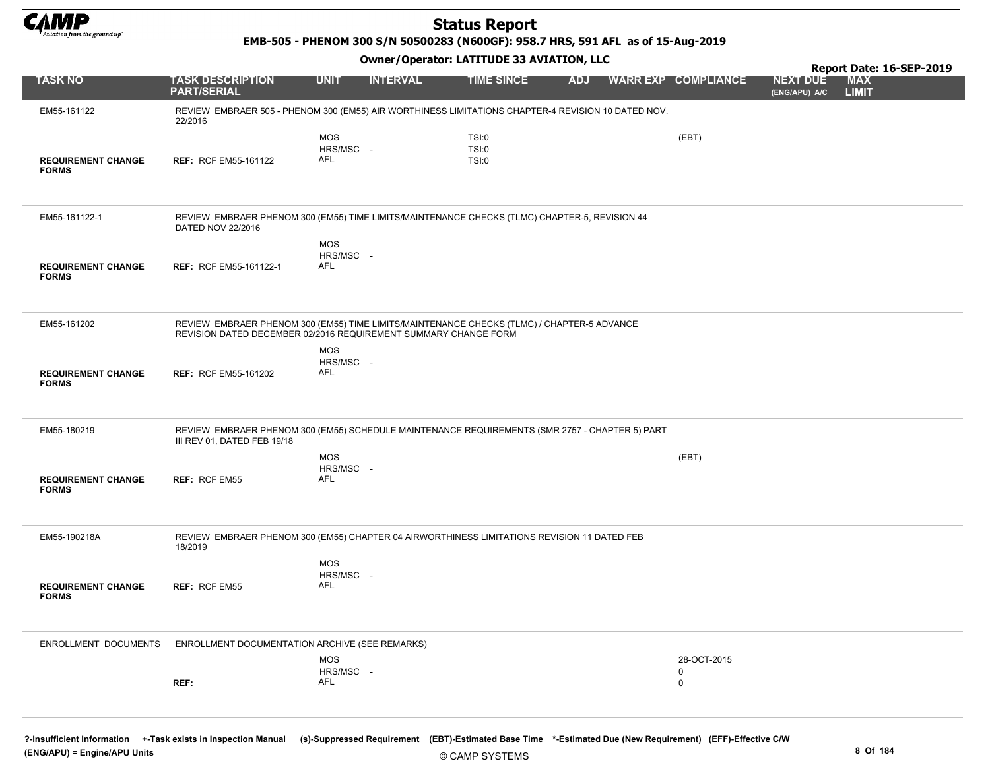

EMB-505 - PHENOM 300 S/N 50500283 (N600GF): 958.7 HRS, 591 AFL as of 15-Aug-2019

Owner/Operator: LATITUDE 33 AVIATION, LLC

|                                           |                                                                                                                                                               |                                       |                 | 000007 Operator: EAT110DE 33 AVERTION, EEC |            |                                 |                                  | Report Date: 16-SEP-2019   |  |
|-------------------------------------------|---------------------------------------------------------------------------------------------------------------------------------------------------------------|---------------------------------------|-----------------|--------------------------------------------|------------|---------------------------------|----------------------------------|----------------------------|--|
| <b>TASK NO</b>                            | <b>TASK DESCRIPTION</b><br><b>PART/SERIAL</b>                                                                                                                 | <b>UNIT</b>                           | <b>INTERVAL</b> | <b>TIME SINCE</b>                          | <b>ADJ</b> | <b>WARR EXP COMPLIANCE</b>      | <b>NEXT DUE</b><br>(ENG/APU) A/C | <b>MAX</b><br><b>LIMIT</b> |  |
| EM55-161122                               | REVIEW EMBRAER 505 - PHENOM 300 (EM55) AIR WORTHINESS LIMITATIONS CHAPTER-4 REVISION 10 DATED NOV.<br>22/2016                                                 |                                       |                 |                                            |            |                                 |                                  |                            |  |
| <b>REQUIREMENT CHANGE</b><br><b>FORMS</b> | <b>REF: RCF EM55-161122</b>                                                                                                                                   | <b>MOS</b><br>HRS/MSC -<br>AFL        |                 | TSI:0<br>TSI:0<br>TSI:0                    |            | (EBT)                           |                                  |                            |  |
| EM55-161122-1                             | REVIEW EMBRAER PHENOM 300 (EM55) TIME LIMITS/MAINTENANCE CHECKS (TLMC) CHAPTER-5, REVISION 44<br>DATED NOV 22/2016                                            |                                       |                 |                                            |            |                                 |                                  |                            |  |
| <b>REQUIREMENT CHANGE</b><br><b>FORMS</b> | <b>REF: RCF EM55-161122-1</b>                                                                                                                                 | <b>MOS</b><br>HRS/MSC -<br><b>AFL</b> |                 |                                            |            |                                 |                                  |                            |  |
| EM55-161202                               | REVIEW EMBRAER PHENOM 300 (EM55) TIME LIMITS/MAINTENANCE CHECKS (TLMC) / CHAPTER-5 ADVANCE<br>REVISION DATED DECEMBER 02/2016 REQUIREMENT SUMMARY CHANGE FORM |                                       |                 |                                            |            |                                 |                                  |                            |  |
| <b>REQUIREMENT CHANGE</b><br><b>FORMS</b> | <b>REF: RCF EM55-161202</b>                                                                                                                                   | <b>MOS</b><br>HRS/MSC -<br><b>AFL</b> |                 |                                            |            |                                 |                                  |                            |  |
| EM55-180219                               | REVIEW EMBRAER PHENOM 300 (EM55) SCHEDULE MAINTENANCE REQUIREMENTS (SMR 2757 - CHAPTER 5) PART<br>III REV 01, DATED FEB 19/18                                 |                                       |                 |                                            |            |                                 |                                  |                            |  |
| <b>REQUIREMENT CHANGE</b><br><b>FORMS</b> | <b>REF: RCF EM55</b>                                                                                                                                          | <b>MOS</b><br>HRS/MSC -<br>AFL        |                 |                                            |            | (EBT)                           |                                  |                            |  |
| EM55-190218A                              | REVIEW EMBRAER PHENOM 300 (EM55) CHAPTER 04 AIRWORTHINESS LIMITATIONS REVISION 11 DATED FEB<br>18/2019                                                        |                                       |                 |                                            |            |                                 |                                  |                            |  |
| <b>REQUIREMENT CHANGE</b><br><b>FORMS</b> | <b>REF: RCF EM55</b>                                                                                                                                          | <b>MOS</b><br>HRS/MSC -<br><b>AFL</b> |                 |                                            |            |                                 |                                  |                            |  |
| <b>ENROLLMENT DOCUMENTS</b>               | ENROLLMENT DOCUMENTATION ARCHIVE (SEE REMARKS)                                                                                                                |                                       |                 |                                            |            |                                 |                                  |                            |  |
|                                           | REF:                                                                                                                                                          | <b>MOS</b><br>HRS/MSC -<br>AFL        |                 |                                            |            | 28-OCT-2015<br>0<br>$\mathsf 0$ |                                  |                            |  |
|                                           |                                                                                                                                                               |                                       |                 |                                            |            |                                 |                                  |                            |  |

?-Insufficient Information +-Task exists in Inspection Manual (s)-Suppressed Requirement (EBT)-Estimated Base Time \*-Estimated Due (New Requirement) (EFF)-Effective C/W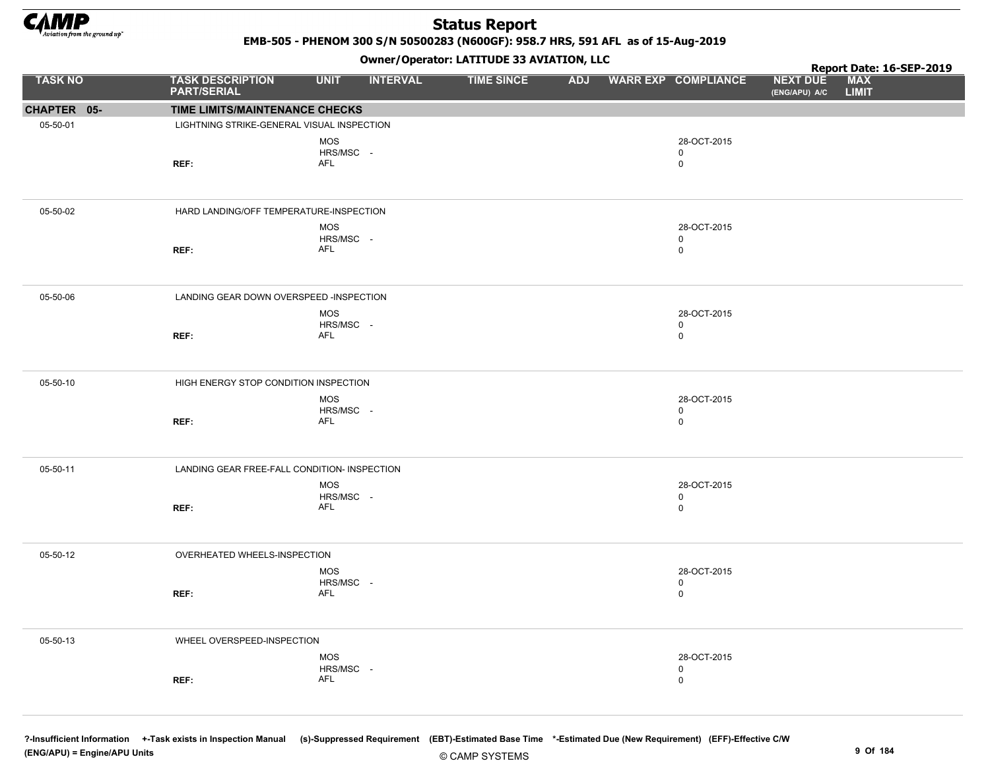

EMB-505 - PHENOM 300 S/N 50500283 (N600GF): 958.7 HRS, 591 AFL as of 15-Aug-2019

### Owner/Operator: LATITUDE 33 AVIATION, LLC

|                |                                               |                  | .               |                   |  |                                |                                  | Report Date: 16-SEP-2019   |  |
|----------------|-----------------------------------------------|------------------|-----------------|-------------------|--|--------------------------------|----------------------------------|----------------------------|--|
| <b>TASK NO</b> | <b>TASK DESCRIPTION</b><br><b>PART/SERIAL</b> | <b>UNIT</b>      | <b>INTERVAL</b> | <b>TIME SINCE</b> |  | <b>ADJ WARR EXP COMPLIANCE</b> | <b>NEXT DUE</b><br>(ENG/APU) A/C | <b>MAX</b><br><b>LIMIT</b> |  |
| CHAPTER 05-    | TIME LIMITS/MAINTENANCE CHECKS                |                  |                 |                   |  |                                |                                  |                            |  |
| 05-50-01       | LIGHTNING STRIKE-GENERAL VISUAL INSPECTION    |                  |                 |                   |  |                                |                                  |                            |  |
|                |                                               | <b>MOS</b>       |                 |                   |  | 28-OCT-2015                    |                                  |                            |  |
|                |                                               | HRS/MSC -        |                 |                   |  | $\mathbf 0$                    |                                  |                            |  |
|                | REF:                                          | AFL              |                 |                   |  | $\mathsf 0$                    |                                  |                            |  |
|                |                                               |                  |                 |                   |  |                                |                                  |                            |  |
| 05-50-02       | HARD LANDING/OFF TEMPERATURE-INSPECTION       |                  |                 |                   |  |                                |                                  |                            |  |
|                |                                               | <b>MOS</b>       |                 |                   |  | 28-OCT-2015                    |                                  |                            |  |
|                |                                               | HRS/MSC -        |                 |                   |  | $\mathbf 0$                    |                                  |                            |  |
|                | REF:                                          | AFL              |                 |                   |  | $\mathbf 0$                    |                                  |                            |  |
|                |                                               |                  |                 |                   |  |                                |                                  |                            |  |
| 05-50-06       | LANDING GEAR DOWN OVERSPEED -INSPECTION       |                  |                 |                   |  |                                |                                  |                            |  |
|                |                                               | MOS              |                 |                   |  | 28-OCT-2015                    |                                  |                            |  |
|                | REF:                                          | HRS/MSC -<br>AFL |                 |                   |  | $\mathbf 0$<br>$\mathsf 0$     |                                  |                            |  |
|                |                                               |                  |                 |                   |  |                                |                                  |                            |  |
|                |                                               |                  |                 |                   |  |                                |                                  |                            |  |
| 05-50-10       | HIGH ENERGY STOP CONDITION INSPECTION         |                  |                 |                   |  |                                |                                  |                            |  |
|                |                                               | <b>MOS</b>       |                 |                   |  | 28-OCT-2015                    |                                  |                            |  |
|                |                                               | HRS/MSC -        |                 |                   |  | $\mathbf 0$                    |                                  |                            |  |
|                | REF:                                          | AFL              |                 |                   |  | $\mathbf 0$                    |                                  |                            |  |
|                |                                               |                  |                 |                   |  |                                |                                  |                            |  |
| 05-50-11       | LANDING GEAR FREE-FALL CONDITION- INSPECTION  |                  |                 |                   |  |                                |                                  |                            |  |
|                |                                               | MOS              |                 |                   |  | 28-OCT-2015                    |                                  |                            |  |
|                |                                               | HRS/MSC -        |                 |                   |  | $\mathbf 0$                    |                                  |                            |  |
|                | REF:                                          | AFL              |                 |                   |  | $\mathbf 0$                    |                                  |                            |  |
|                |                                               |                  |                 |                   |  |                                |                                  |                            |  |
| 05-50-12       | OVERHEATED WHEELS-INSPECTION                  |                  |                 |                   |  |                                |                                  |                            |  |
|                |                                               | MOS              |                 |                   |  | 28-OCT-2015                    |                                  |                            |  |
|                |                                               | HRS/MSC -        |                 |                   |  | $\mathsf 0$                    |                                  |                            |  |
|                | REF:                                          | AFL              |                 |                   |  | $\mathbf 0$                    |                                  |                            |  |
|                |                                               |                  |                 |                   |  |                                |                                  |                            |  |
| 05-50-13       | WHEEL OVERSPEED-INSPECTION                    |                  |                 |                   |  |                                |                                  |                            |  |
|                |                                               | MOS              |                 |                   |  | 28-OCT-2015                    |                                  |                            |  |
|                |                                               | HRS/MSC -        |                 |                   |  | $\mathbf 0$                    |                                  |                            |  |
|                | REF:                                          | AFL              |                 |                   |  | 0                              |                                  |                            |  |
|                |                                               |                  |                 |                   |  |                                |                                  |                            |  |
|                |                                               |                  |                 |                   |  |                                |                                  |                            |  |

?-Insufficient Information +-Task exists in Inspection Manual (s)-Suppressed Requirement (EBT)-Estimated Base Time \*-Estimated Due (New Requirement) (EFF)-Effective C/W (ENG/APU) = Engine/APU Units 9 Of 184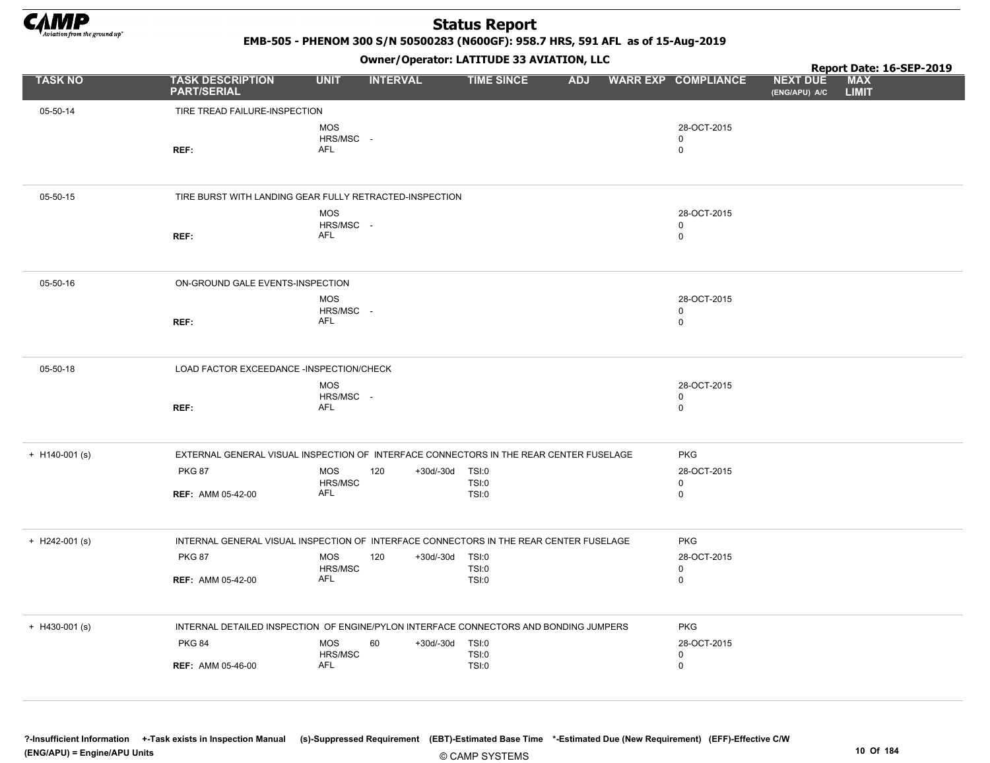

EMB-505 - PHENOM 300 S/N 50500283 (N600GF): 958.7 HRS, 591 AFL as of 15-Aug-2019

Owner/Operator: LATITUDE 33 AVIATION, LLC

|                  |                                                                                        |                                       | Owner / Operator. LATTTODE 33 AVIATION, LLC |                              |            |                                           |                                  | Report Date: 16-SEP-2019   |  |
|------------------|----------------------------------------------------------------------------------------|---------------------------------------|---------------------------------------------|------------------------------|------------|-------------------------------------------|----------------------------------|----------------------------|--|
| <b>TASK NO</b>   | <b>TASK DESCRIPTION</b><br><b>PART/SERIAL</b>                                          | <b>UNIT</b>                           | <b>INTERVAL</b>                             | <b>TIME SINCE</b>            | <b>ADJ</b> | <b>WARR EXP COMPLIANCE</b>                | <b>NEXT DUE</b><br>(ENG/APU) A/C | <b>MAX</b><br><b>LIMIT</b> |  |
| 05-50-14         | TIRE TREAD FAILURE-INSPECTION                                                          |                                       |                                             |                              |            |                                           |                                  |                            |  |
|                  | REF:                                                                                   | <b>MOS</b><br>HRS/MSC -<br>AFL        |                                             |                              |            | 28-OCT-2015<br>$\mathbf 0$<br>$\mathbf 0$ |                                  |                            |  |
| 05-50-15         | TIRE BURST WITH LANDING GEAR FULLY RETRACTED-INSPECTION                                |                                       |                                             |                              |            |                                           |                                  |                            |  |
|                  | REF:                                                                                   | <b>MOS</b><br>HRS/MSC -<br>AFL        |                                             |                              |            | 28-OCT-2015<br>0<br>$\mathbf 0$           |                                  |                            |  |
| 05-50-16         | ON-GROUND GALE EVENTS-INSPECTION                                                       |                                       |                                             |                              |            |                                           |                                  |                            |  |
|                  | REF:                                                                                   | <b>MOS</b><br>HRS/MSC -<br>AFL        |                                             |                              |            | 28-OCT-2015<br>$\mathbf 0$<br>$\mathbf 0$ |                                  |                            |  |
| 05-50-18         | LOAD FACTOR EXCEEDANCE -INSPECTION/CHECK                                               |                                       |                                             |                              |            |                                           |                                  |                            |  |
|                  | REF:                                                                                   | <b>MOS</b><br>HRS/MSC -<br><b>AFL</b> |                                             |                              |            | 28-OCT-2015<br>$\mathbf 0$<br>$\mathbf 0$ |                                  |                            |  |
| $+$ H140-001 (s) | EXTERNAL GENERAL VISUAL INSPECTION OF INTERFACE CONNECTORS IN THE REAR CENTER FUSELAGE |                                       |                                             |                              |            | <b>PKG</b>                                |                                  |                            |  |
|                  | <b>PKG 87</b><br><b>REF: AMM 05-42-00</b>                                              | <b>MOS</b><br>HRS/MSC<br><b>AFL</b>   | 120<br>+30d/-30d TSI:0                      | <b>TSI:0</b><br><b>TSI:0</b> |            | 28-OCT-2015<br>0<br>$\mathbf 0$           |                                  |                            |  |
| $+$ H242-001 (s) | INTERNAL GENERAL VISUAL INSPECTION OF INTERFACE CONNECTORS IN THE REAR CENTER FUSELAGE |                                       |                                             |                              |            | <b>PKG</b>                                |                                  |                            |  |
|                  | <b>PKG 87</b><br><b>REF: AMM 05-42-00</b>                                              | <b>MOS</b><br>HRS/MSC<br>AFL          | 120<br>+30d/-30d TSI:0                      | <b>TSI:0</b><br><b>TSI:0</b> |            | 28-OCT-2015<br>$\mathbf 0$<br>$\mathbf 0$ |                                  |                            |  |
| $+$ H430-001 (s) | INTERNAL DETAILED INSPECTION OF ENGINE/PYLON INTERFACE CONNECTORS AND BONDING JUMPERS  |                                       |                                             |                              |            | <b>PKG</b>                                |                                  |                            |  |
|                  | <b>PKG 84</b><br><b>REF: AMM 05-46-00</b>                                              | <b>MOS</b><br>HRS/MSC<br><b>AFL</b>   | 60<br>+30d/-30d TSI:0                       | TSI:0<br><b>TSI:0</b>        |            | 28-OCT-2015<br>$\mathbf 0$<br>$\mathsf 0$ |                                  |                            |  |

?-Insufficient Information +-Task exists in Inspection Manual (s)-Suppressed Requirement (EBT)-Estimated Base Time \*-Estimated Due (New Requirement) (EFF)-Effective C/W (ENG/APU) = Engine/APU Units 10 Of 184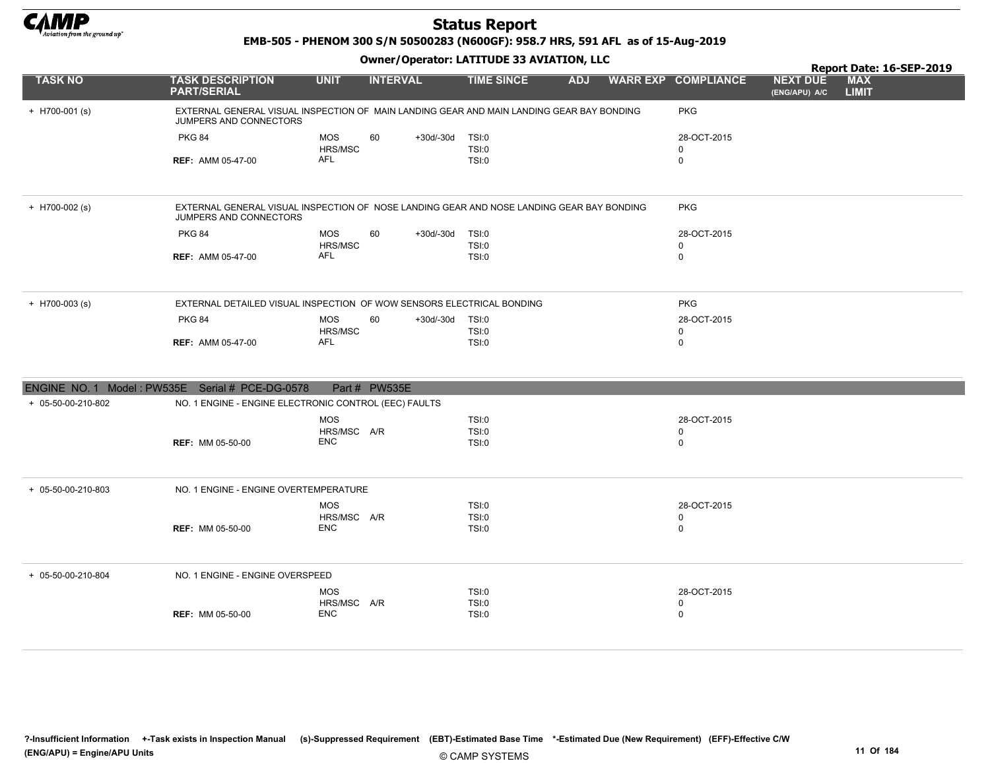

EMB-505 - PHENOM 300 S/N 50500283 (N600GF): 958.7 HRS, 591 AFL as of 15-Aug-2019

|                                                 | Owner / Operator. LATTTODE 33 AVIATION, LLC                                                                         |                           |                 |                 |                       |            |  |                            | Report Date: 16-SEP-2019         |                            |
|-------------------------------------------------|---------------------------------------------------------------------------------------------------------------------|---------------------------|-----------------|-----------------|-----------------------|------------|--|----------------------------|----------------------------------|----------------------------|
| <b>TASK NO</b>                                  | <b>TASK DESCRIPTION</b><br><b>PART/SERIAL</b>                                                                       | <b>UNIT</b>               | <b>INTERVAL</b> |                 | <b>TIME SINCE</b>     | <b>ADJ</b> |  | <b>WARR EXP COMPLIANCE</b> | <b>NEXT DUE</b><br>(ENG/APU) A/C | <b>MAX</b><br><b>LIMIT</b> |
| $+$ H700-001 (s)                                | EXTERNAL GENERAL VISUAL INSPECTION OF MAIN LANDING GEAR AND MAIN LANDING GEAR BAY BONDING<br>JUMPERS AND CONNECTORS |                           |                 |                 |                       |            |  | <b>PKG</b>                 |                                  |                            |
|                                                 | <b>PKG 84</b>                                                                                                       | <b>MOS</b><br>HRS/MSC     | 60              | +30d/-30d TSI:0 | <b>TSI:0</b>          |            |  | 28-OCT-2015<br>$\mathbf 0$ |                                  |                            |
|                                                 | <b>REF: AMM 05-47-00</b>                                                                                            | <b>AFL</b>                |                 |                 | TSI:0                 |            |  | $\mathbf 0$                |                                  |                            |
| $+$ H700-002 (s)                                | EXTERNAL GENERAL VISUAL INSPECTION OF NOSE LANDING GEAR AND NOSE LANDING GEAR BAY BONDING<br>JUMPERS AND CONNECTORS |                           |                 |                 |                       |            |  | PKG                        |                                  |                            |
|                                                 | <b>PKG 84</b>                                                                                                       | <b>MOS</b>                | 60              | +30d/-30d TSI:0 |                       |            |  | 28-OCT-2015                |                                  |                            |
|                                                 |                                                                                                                     | HRS/MSC                   |                 |                 | TSI:0                 |            |  | $\mathbf 0$                |                                  |                            |
|                                                 | <b>REF: AMM 05-47-00</b>                                                                                            | <b>AFL</b>                |                 |                 | TSI:0                 |            |  | $\mathbf 0$                |                                  |                            |
| $+$ H700-003 (s)                                | EXTERNAL DETAILED VISUAL INSPECTION OF WOW SENSORS ELECTRICAL BONDING                                               |                           |                 |                 |                       |            |  | <b>PKG</b>                 |                                  |                            |
|                                                 | <b>PKG 84</b>                                                                                                       | <b>MOS</b><br>HRS/MSC     | 60              | +30d/-30d       | TSI:0<br><b>TSI:0</b> |            |  | 28-OCT-2015<br>0           |                                  |                            |
|                                                 | <b>REF: AMM 05-47-00</b>                                                                                            | AFL                       |                 |                 | TSI:0                 |            |  | 0                          |                                  |                            |
|                                                 |                                                                                                                     |                           |                 |                 |                       |            |  |                            |                                  |                            |
| ENGINE NO. 1 Model: PW535E Serial # PCE-DG-0578 |                                                                                                                     |                           | Part # PW535E   |                 |                       |            |  |                            |                                  |                            |
| + 05-50-00-210-802                              | NO. 1 ENGINE - ENGINE ELECTRONIC CONTROL (EEC) FAULTS                                                               |                           |                 |                 |                       |            |  |                            |                                  |                            |
|                                                 |                                                                                                                     | <b>MOS</b>                |                 |                 | TSI:0                 |            |  | 28-OCT-2015                |                                  |                            |
|                                                 |                                                                                                                     | HRS/MSC A/R<br><b>ENC</b> |                 |                 | <b>TSI:0</b>          |            |  | 0                          |                                  |                            |
|                                                 | <b>REF: MM 05-50-00</b>                                                                                             |                           |                 |                 | TSI:0                 |            |  | $\mathbf 0$                |                                  |                            |
| + 05-50-00-210-803                              | NO. 1 ENGINE - ENGINE OVERTEMPERATURE                                                                               |                           |                 |                 |                       |            |  |                            |                                  |                            |
|                                                 |                                                                                                                     | <b>MOS</b>                |                 |                 | TSI:0                 |            |  | 28-OCT-2015                |                                  |                            |
|                                                 | <b>REF: MM 05-50-00</b>                                                                                             | HRS/MSC A/R<br><b>ENC</b> |                 |                 | <b>TSI:0</b><br>TSI:0 |            |  | $\mathbf 0$<br>0           |                                  |                            |
|                                                 |                                                                                                                     |                           |                 |                 |                       |            |  |                            |                                  |                            |
| + 05-50-00-210-804                              | NO. 1 ENGINE - ENGINE OVERSPEED                                                                                     |                           |                 |                 |                       |            |  |                            |                                  |                            |
|                                                 |                                                                                                                     | <b>MOS</b>                |                 |                 | TSI:0                 |            |  | 28-OCT-2015                |                                  |                            |
|                                                 | <b>REF: MM 05-50-00</b>                                                                                             | HRS/MSC A/R<br><b>ENC</b> |                 |                 | <b>TSI:0</b><br>TSI:0 |            |  | 0<br>0                     |                                  |                            |
|                                                 |                                                                                                                     |                           |                 |                 |                       |            |  |                            |                                  |                            |
|                                                 |                                                                                                                     |                           |                 |                 |                       |            |  |                            |                                  |                            |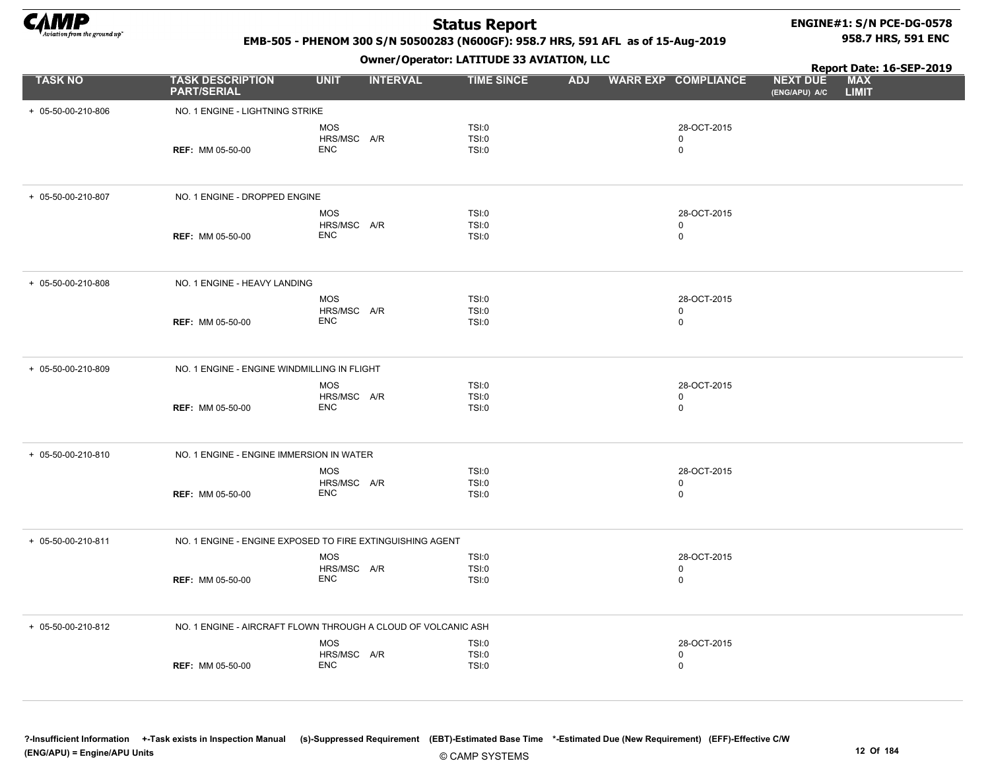

 $+ 05 - 50 - 00 - 210 - 806$ 

 $+ 05 - 50 - 00 - 210 - 807$ 

 $+ 05 - 50 - 00 - 210 - 808$ 

+ 05-50-00-210-809

 $+ 05 - 50 - 00 - 210 - 810$ 

## Status Report

### ENGINE#1: S/N PCE-DG-0578 958.7 HRS, 591 ENC

### EMB-505 - PHENOM 300 S/N 50500283 (N600GF): 958.7 HRS, 591 AFL as of 15-Aug-2019

|                  |                                               | Report Date: 16-SEP-2019 |                                      |            |                            |                                                                |
|------------------|-----------------------------------------------|--------------------------|--------------------------------------|------------|----------------------------|----------------------------------------------------------------|
| <b>TASK NO</b>   | <b>TASK DESCRIPTION</b><br><b>PART/SERIAL</b> | <b>UNIT</b>              | <b>INTERVAL</b><br><b>TIME SINCE</b> | <b>ADJ</b> | <b>WARR EXP COMPLIANCE</b> | <b>NEXT DUE</b><br><b>MAX</b><br><b>LIMIT</b><br>(ENG/APU) A/C |
| 05-50-00-210-806 | NO. 1 ENGINE - LIGHTNING STRIKE               |                          |                                      |            |                            |                                                                |
|                  |                                               | <b>MOS</b>               | TSI:0                                |            | 28-OCT-2015                |                                                                |
|                  |                                               | HRS/MSC A/R              | TSI:0                                |            | $\Omega$                   |                                                                |
|                  | <b>REF: MM 05-50-00</b>                       | <b>ENC</b>               | TSI:0                                |            | $\mathbf 0$                |                                                                |
| 05-50-00-210-807 | NO. 1 ENGINE - DROPPED ENGINE                 |                          |                                      |            |                            |                                                                |
|                  |                                               | <b>MOS</b>               | TSI:0                                |            | 28-OCT-2015                |                                                                |
|                  |                                               | HRS/MSC A/R              | TSI:0                                |            | 0                          |                                                                |
|                  | <b>REF: MM 05-50-00</b>                       | <b>ENC</b>               | TSI:0                                |            | 0                          |                                                                |
| 05-50-00-210-808 | NO. 1 ENGINE - HEAVY LANDING                  |                          |                                      |            |                            |                                                                |
|                  |                                               | <b>MOS</b>               | TSI:0                                |            | 28-OCT-2015                |                                                                |
|                  |                                               | HRS/MSC A/R              | TSI:0                                |            | 0                          |                                                                |
|                  | <b>REF: MM 05-50-00</b>                       | <b>ENC</b>               | TSI:0                                |            | $\mathbf 0$                |                                                                |
| 05-50-00-210-809 | NO. 1 ENGINE - ENGINE WINDMILLING IN FLIGHT   |                          |                                      |            |                            |                                                                |
|                  |                                               | <b>MOS</b>               | TSI:0                                |            | 28-OCT-2015                |                                                                |
|                  |                                               | HRS/MSC A/R              | TSI:0                                |            | 0                          |                                                                |
|                  | <b>REF: MM 05-50-00</b>                       | <b>ENC</b>               | TSI:0                                |            | $\mathbf 0$                |                                                                |
| 05-50-00-210-810 | NO. 1 ENGINE - ENGINE IMMERSION IN WATER      |                          |                                      |            |                            |                                                                |
|                  |                                               | <b>MOS</b>               | TSI:0                                |            | 28-OCT-2015                |                                                                |
|                  |                                               | HRS/MSC A/R              | TSI:0                                |            | 0                          |                                                                |
|                  | <b>REF: MM 05-50-00</b>                       | ENC                      | TSI:0                                |            | $\mathbf 0$                |                                                                |
|                  |                                               |                          |                                      |            |                            |                                                                |

| + 05-50-00-210-811 |                         | NO. 1 ENGINE - ENGINE EXPOSED TO FIRE EXTINGUISHING AGENT     |                         |                  |  |
|--------------------|-------------------------|---------------------------------------------------------------|-------------------------|------------------|--|
|                    | <b>REF: MM 05-50-00</b> | <b>MOS</b><br>HRS/MSC A/R<br>ENC                              | TSI:0<br>TSI:0<br>TSI:0 | 28-OCT-2015<br>υ |  |
| + 05-50-00-210-812 |                         | NO. 1 ENGINE - AIRCRAFT FLOWN THROUGH A CLOUD OF VOLCANIC ASH |                         |                  |  |
|                    |                         |                                                               |                         |                  |  |
|                    |                         | MOS                                                           | TSI:0                   | 28-OCT-2015      |  |
|                    |                         | HRS/MSC A/R                                                   | TSI:0                   |                  |  |
|                    | <b>REF: MM 05-50-00</b> | ENC                                                           | TSI:0                   |                  |  |

?-Insufficient Information +-Task exists in Inspection Manual (s)-Suppressed Requirement (EBT)-Estimated Base Time \*-Estimated Due (New Requirement) (EFF)-Effective C/W (ENG/APU) = Engine/APU Units 12 Of 184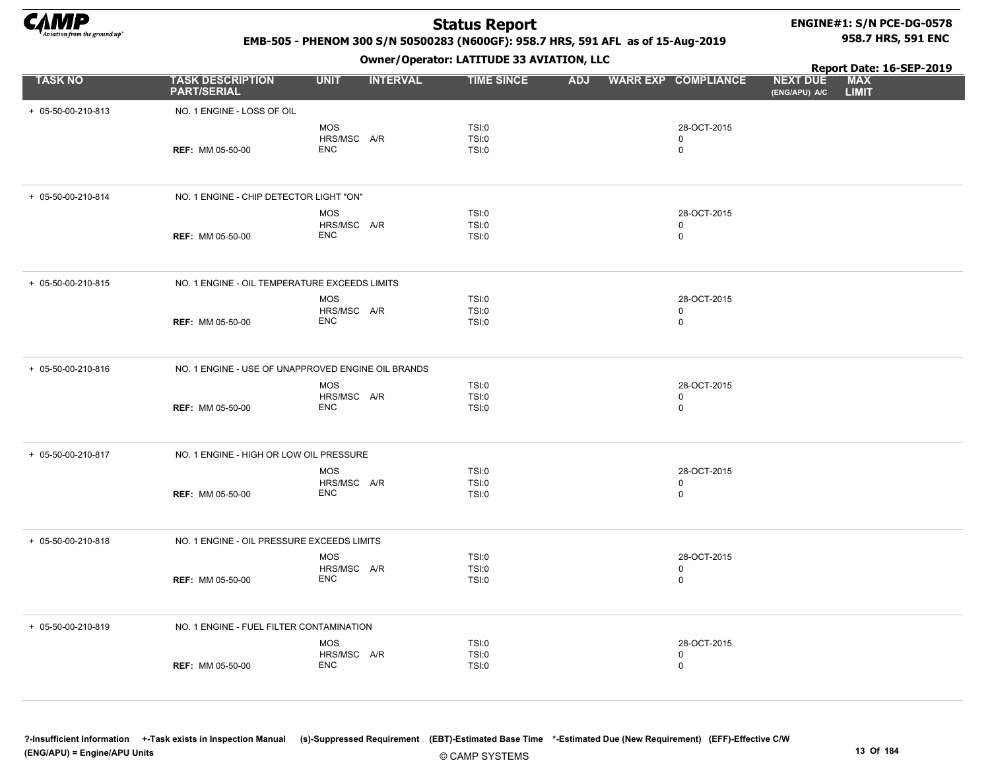

### ENGINE#1: S/N PCE-DG-0578 958.7 HRS, 591 ENC

Report Date: 16-SEP-2019

### EMB-505 - PHENOM 300 S/N 50500283 (N600GF): 958.7 HRS, 591 AFL as of 15-Aug-2019

Owner/Operator: LATITUDE 33 AVIATION, LLC

| <b>TASK NO</b>     | <b>TASK DESCRIPTION</b><br><b>PART/SERIAL</b>      | <b>UNIT</b>                             | <b>INTERVAL</b> | <b>TIME SINCE</b>              | <b>ADJ</b> | <b>WARR EXP COMPLIANCE</b>             | <b>NEXT DUE</b><br>(ENG/APU) A/C | <b>MAX</b><br><b>LIMIT</b> |  |
|--------------------|----------------------------------------------------|-----------------------------------------|-----------------|--------------------------------|------------|----------------------------------------|----------------------------------|----------------------------|--|
| + 05-50-00-210-813 | NO. 1 ENGINE - LOSS OF OIL                         | MOS<br>HRS/MSC A/R                      |                 | TSI:0<br>TSI:0                 |            | 28-OCT-2015<br>0                       |                                  |                            |  |
|                    | <b>REF: MM 05-50-00</b>                            | <b>ENC</b>                              |                 | TSI:0                          |            | 0                                      |                                  |                            |  |
| + 05-50-00-210-814 | NO. 1 ENGINE - CHIP DETECTOR LIGHT "ON"            | <b>MOS</b>                              |                 | TSI:0                          |            | 28-OCT-2015                            |                                  |                            |  |
|                    | <b>REF: MM 05-50-00</b>                            | HRS/MSC A/R<br><b>ENC</b>               |                 | TSI:0<br>TSI:0                 |            | $\mathbf 0$<br>0                       |                                  |                            |  |
| + 05-50-00-210-815 | NO. 1 ENGINE - OIL TEMPERATURE EXCEEDS LIMITS      |                                         |                 |                                |            |                                        |                                  |                            |  |
|                    | REF: MM 05-50-00                                   | <b>MOS</b><br>HRS/MSC A/R<br><b>ENC</b> |                 | TSI:0<br><b>TSI:0</b><br>TSI:0 |            | 28-OCT-2015<br>0<br>$\mathbf 0$        |                                  |                            |  |
| + 05-50-00-210-816 | NO. 1 ENGINE - USE OF UNAPPROVED ENGINE OIL BRANDS |                                         |                 |                                |            |                                        |                                  |                            |  |
|                    | <b>REF: MM 05-50-00</b>                            | <b>MOS</b><br>HRS/MSC A/R<br><b>ENC</b> |                 | TSI:0<br>TSI:0<br>TSI:0        |            | 28-OCT-2015<br>$\Omega$<br>$\mathbf 0$ |                                  |                            |  |
| + 05-50-00-210-817 | NO. 1 ENGINE - HIGH OR LOW OIL PRESSURE            |                                         |                 |                                |            |                                        |                                  |                            |  |
|                    | <b>REF: MM 05-50-00</b>                            | <b>MOS</b><br>HRS/MSC A/R<br><b>ENC</b> |                 | TSI:0<br>TSI:0<br>TSI:0        |            | 28-OCT-2015<br>0<br>$\mathbf 0$        |                                  |                            |  |
| + 05-50-00-210-818 | NO. 1 ENGINE - OIL PRESSURE EXCEEDS LIMITS         |                                         |                 |                                |            |                                        |                                  |                            |  |
|                    | <b>REF: MM 05-50-00</b>                            | <b>MOS</b><br>HRS/MSC A/R<br><b>ENC</b> |                 | TSI:0<br><b>TSI:0</b><br>TSI:0 |            | 28-OCT-2015<br>0<br>$\mathbf 0$        |                                  |                            |  |
| + 05-50-00-210-819 | NO. 1 ENGINE - FUEL FILTER CONTAMINATION           |                                         |                 |                                |            |                                        |                                  |                            |  |
|                    | <b>REF: MM 05-50-00</b>                            | <b>MOS</b><br>HRS/MSC A/R<br><b>ENC</b> |                 | TSI:0<br>TSI:0<br><b>TSI:0</b> |            | 28-OCT-2015<br>0<br>$\mathbf 0$        |                                  |                            |  |

© CAMP SYSTEMS ?-Insufficient Information +-Task exists in Inspection Manual (s)-Suppressed Requirement (EBT)-Estimated Base Time \*-Estimated Due (New Requirement) (EFF)-Effective C/W (ENG/APU) = Engine/APU Units 13 Of 184 and the control of the control of the control of the control of the control of the control of the control of the control of the control of the control of the control of the control o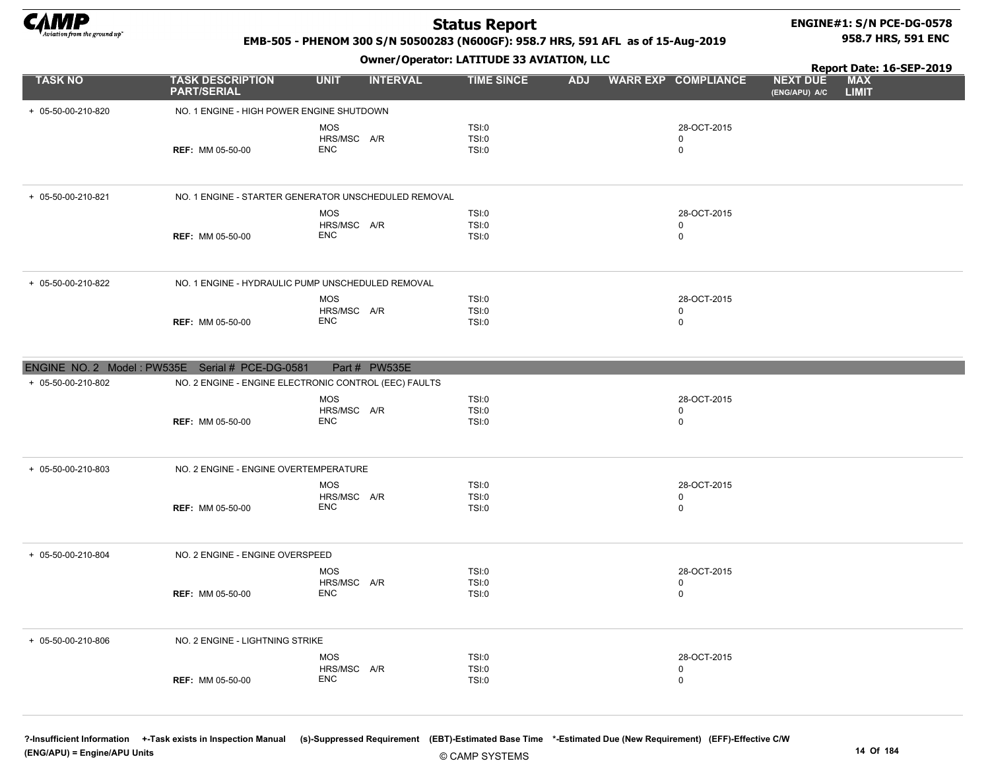

### ENGINE#1: S/N PCE-DG-0578 958.7 HRS, 591 ENC

### EMB-505 - PHENOM 300 S/N 50500283 (N600GF): 958.7 HRS, 591 AFL as of 15-Aug-2019

#### Owner/Operator: LATITUDE 33 AVIATION, LLC

|                    |                                                 |                                                                     | Owner/Operator: LATITUDE 33 AVIATION, LLC |            |                            |                                  | Report Date: 16-SEP-2019   |
|--------------------|-------------------------------------------------|---------------------------------------------------------------------|-------------------------------------------|------------|----------------------------|----------------------------------|----------------------------|
| <b>TASK NO</b>     | <b>TASK DESCRIPTION</b><br><b>PART/SERIAL</b>   | <b>UNIT</b><br><b>INTERVAL</b>                                      | <b>TIME SINCE</b>                         | <b>ADJ</b> | <b>WARR EXP COMPLIANCE</b> | <b>NEXT DUE</b><br>(ENG/APU) A/C | <b>MAX</b><br><b>LIMIT</b> |
| + 05-50-00-210-820 | NO. 1 ENGINE - HIGH POWER ENGINE SHUTDOWN       |                                                                     |                                           |            |                            |                                  |                            |
|                    |                                                 | <b>MOS</b>                                                          | TSI:0                                     |            | 28-OCT-2015                |                                  |                            |
|                    | <b>REF: MM 05-50-00</b>                         | HRS/MSC A/R<br><b>ENC</b>                                           | TSI:0<br><b>TSI:0</b>                     |            | 0<br>$\mathbf 0$           |                                  |                            |
|                    |                                                 |                                                                     |                                           |            |                            |                                  |                            |
| + 05-50-00-210-821 |                                                 | NO. 1 ENGINE - STARTER GENERATOR UNSCHEDULED REMOVAL                |                                           |            |                            |                                  |                            |
|                    |                                                 | <b>MOS</b>                                                          | TSI:0                                     |            | 28-OCT-2015                |                                  |                            |
|                    | <b>REF: MM 05-50-00</b>                         | HRS/MSC A/R<br><b>ENC</b>                                           | TSI:0<br>TSI:0                            |            | 0<br>$\mathbf 0$           |                                  |                            |
|                    |                                                 |                                                                     |                                           |            |                            |                                  |                            |
| + 05-50-00-210-822 |                                                 | NO. 1 ENGINE - HYDRAULIC PUMP UNSCHEDULED REMOVAL                   |                                           |            |                            |                                  |                            |
|                    |                                                 | <b>MOS</b>                                                          | TSI:0                                     |            | 28-OCT-2015                |                                  |                            |
|                    | <b>REF: MM 05-50-00</b>                         | HRS/MSC A/R<br><b>ENC</b>                                           | <b>TSI:0</b><br><b>TSI:0</b>              |            | 0<br>$\mathbf 0$           |                                  |                            |
|                    |                                                 |                                                                     |                                           |            |                            |                                  |                            |
| + 05-50-00-210-802 | ENGINE NO. 2 Model: PW535E Serial # PCE-DG-0581 | Part # PW535E                                                       |                                           |            |                            |                                  |                            |
|                    |                                                 | NO. 2 ENGINE - ENGINE ELECTRONIC CONTROL (EEC) FAULTS<br><b>MOS</b> | <b>TSI:0</b>                              |            | 28-OCT-2015                |                                  |                            |
|                    |                                                 | HRS/MSC A/R                                                         | <b>TSI:0</b>                              |            | $\mathbf 0$                |                                  |                            |
|                    | <b>REF: MM 05-50-00</b>                         | <b>ENC</b>                                                          | <b>TSI:0</b>                              |            | 0                          |                                  |                            |
| + 05-50-00-210-803 | NO. 2 ENGINE - ENGINE OVERTEMPERATURE           |                                                                     |                                           |            |                            |                                  |                            |
|                    |                                                 | <b>MOS</b>                                                          | <b>TSI:0</b>                              |            | 28-OCT-2015                |                                  |                            |
|                    | <b>REF: MM 05-50-00</b>                         | HRS/MSC A/R<br><b>ENC</b>                                           | TSI:0<br><b>TSI:0</b>                     |            | $\pmb{0}$<br>$\mathbf 0$   |                                  |                            |
|                    |                                                 |                                                                     |                                           |            |                            |                                  |                            |
| + 05-50-00-210-804 | NO. 2 ENGINE - ENGINE OVERSPEED                 |                                                                     |                                           |            |                            |                                  |                            |
|                    |                                                 | <b>MOS</b>                                                          | <b>TSI:0</b>                              |            | 28-OCT-2015                |                                  |                            |
|                    | <b>REF: MM 05-50-00</b>                         | HRS/MSC A/R<br><b>ENC</b>                                           | <b>TSI:0</b><br><b>TSI:0</b>              |            | 0<br>$\mathbf 0$           |                                  |                            |
|                    |                                                 |                                                                     |                                           |            |                            |                                  |                            |
| + 05-50-00-210-806 | NO. 2 ENGINE - LIGHTNING STRIKE                 |                                                                     |                                           |            |                            |                                  |                            |
|                    |                                                 | <b>MOS</b><br>HRS/MSC A/R                                           | <b>TSI:0</b><br>TSI:0                     |            | 28-OCT-2015<br>$\mathbf 0$ |                                  |                            |
|                    |                                                 |                                                                     |                                           |            |                            |                                  |                            |

ENC

REF: MM 05-50-00 0

© CAMP SYSTEMS

TSI:0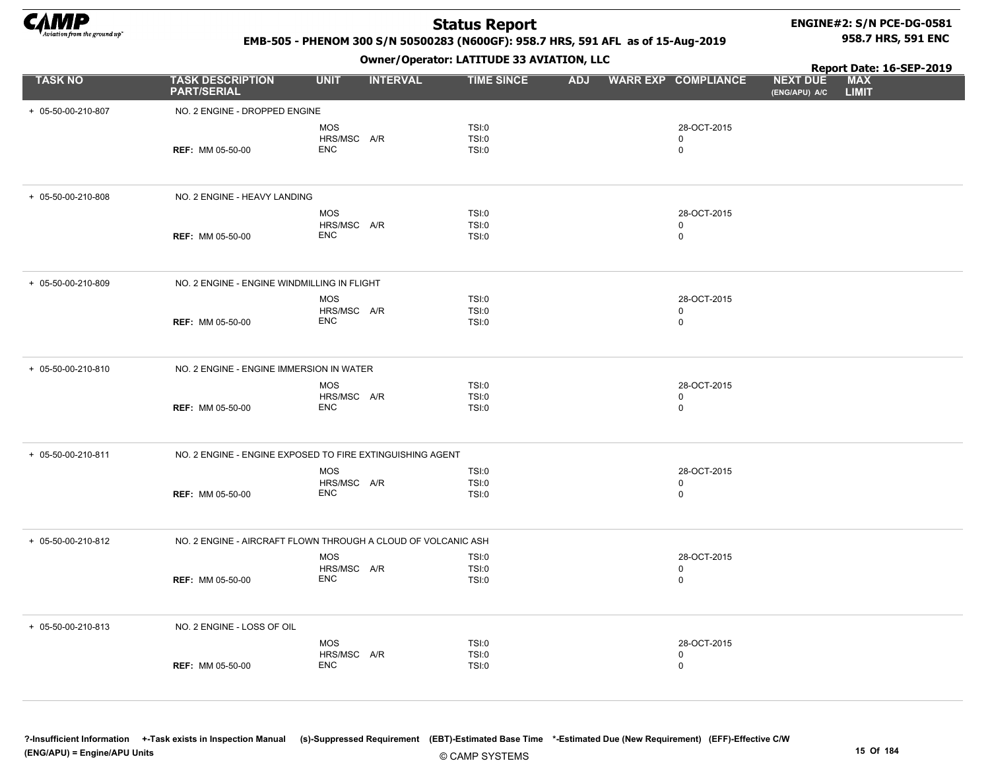

# ENGINE#2: S/N PCE-DG-0581

### EMB-505 - PHENOM 300 S/N 50500283 (N600GF): 958.7 HRS, 591 AFL as of 15-Aug-2019

Owner/Operator: LATITUDE 33 AVIATION, LLC

958.7 HRS, 591 ENC

|                    |                                                               |                           | - - -           |                   |  |                         |                                  | Report Date: 16-SEP-2019   |  |
|--------------------|---------------------------------------------------------------|---------------------------|-----------------|-------------------|--|-------------------------|----------------------------------|----------------------------|--|
| <b>TASK NO</b>     | <b>TASK DESCRIPTION</b><br><b>PART/SERIAL</b>                 | <b>UNIT</b>               | <b>INTERVAL</b> | <b>TIME SINCE</b> |  | ADJ WARR EXP COMPLIANCE | <b>NEXT DUE</b><br>(ENG/APU) A/C | <b>MAX</b><br><b>LIMIT</b> |  |
| + 05-50-00-210-807 | NO. 2 ENGINE - DROPPED ENGINE                                 |                           |                 |                   |  |                         |                                  |                            |  |
|                    |                                                               | <b>MOS</b>                |                 | <b>TSI:0</b>      |  | 28-OCT-2015             |                                  |                            |  |
|                    |                                                               | HRS/MSC A/R               |                 | TSI:0             |  | 0                       |                                  |                            |  |
|                    | <b>REF: MM 05-50-00</b>                                       | <b>ENC</b>                |                 | <b>TSI:0</b>      |  | 0                       |                                  |                            |  |
|                    |                                                               |                           |                 |                   |  |                         |                                  |                            |  |
| + 05-50-00-210-808 | NO. 2 ENGINE - HEAVY LANDING                                  |                           |                 |                   |  |                         |                                  |                            |  |
|                    |                                                               | <b>MOS</b>                |                 | <b>TSI:0</b>      |  | 28-OCT-2015             |                                  |                            |  |
|                    |                                                               | HRS/MSC A/R               |                 | <b>TSI:0</b>      |  | 0                       |                                  |                            |  |
|                    | <b>REF: MM 05-50-00</b>                                       | <b>ENC</b>                |                 | <b>TSI:0</b>      |  | $\mathbf 0$             |                                  |                            |  |
| + 05-50-00-210-809 | NO. 2 ENGINE - ENGINE WINDMILLING IN FLIGHT                   |                           |                 |                   |  |                         |                                  |                            |  |
|                    |                                                               | <b>MOS</b>                |                 | TSI:0             |  | 28-OCT-2015             |                                  |                            |  |
|                    |                                                               | HRS/MSC A/R               |                 | <b>TSI:0</b>      |  | $\Omega$                |                                  |                            |  |
|                    | <b>REF: MM 05-50-00</b>                                       | <b>ENC</b>                |                 | <b>TSI:0</b>      |  | $\mathbf 0$             |                                  |                            |  |
| + 05-50-00-210-810 | NO. 2 ENGINE - ENGINE IMMERSION IN WATER                      |                           |                 |                   |  |                         |                                  |                            |  |
|                    |                                                               | <b>MOS</b>                |                 | TSI:0             |  | 28-OCT-2015             |                                  |                            |  |
|                    |                                                               | HRS/MSC A/R<br><b>ENC</b> |                 | <b>TSI:0</b>      |  | 0<br>$\mathbf 0$        |                                  |                            |  |
|                    | <b>REF: MM 05-50-00</b>                                       |                           |                 | <b>TSI:0</b>      |  |                         |                                  |                            |  |
| + 05-50-00-210-811 | NO. 2 ENGINE - ENGINE EXPOSED TO FIRE EXTINGUISHING AGENT     |                           |                 |                   |  |                         |                                  |                            |  |
|                    |                                                               | <b>MOS</b>                |                 | <b>TSI:0</b>      |  | 28-OCT-2015             |                                  |                            |  |
|                    |                                                               | HRS/MSC A/R               |                 | TSI:0             |  | 0                       |                                  |                            |  |
|                    | <b>REF: MM 05-50-00</b>                                       | <b>ENC</b>                |                 | TSI:0             |  | $\mathbf 0$             |                                  |                            |  |
| + 05-50-00-210-812 | NO. 2 ENGINE - AIRCRAFT FLOWN THROUGH A CLOUD OF VOLCANIC ASH |                           |                 |                   |  |                         |                                  |                            |  |
|                    |                                                               | <b>MOS</b>                |                 | TSI:0             |  | 28-OCT-2015             |                                  |                            |  |
|                    |                                                               | HRS/MSC A/R<br><b>ENC</b> |                 | <b>TSI:0</b>      |  | 0                       |                                  |                            |  |
|                    | <b>REF: MM 05-50-00</b>                                       |                           |                 | TSI:0             |  | 0                       |                                  |                            |  |
| + 05-50-00-210-813 | NO. 2 ENGINE - LOSS OF OIL                                    |                           |                 |                   |  |                         |                                  |                            |  |
|                    |                                                               | MOS                       |                 | TSI:0             |  | 28-OCT-2015             |                                  |                            |  |
|                    |                                                               | HRS/MSC A/R               |                 | TSI:0             |  | 0                       |                                  |                            |  |
|                    | <b>REF: MM 05-50-00</b>                                       | <b>ENC</b>                |                 | TSI:0             |  | 0                       |                                  |                            |  |

© CAMP SYSTEMS ?-Insufficient Information +-Task exists in Inspection Manual (s)-Suppressed Requirement (EBT)-Estimated Base Time \*-Estimated Due (New Requirement) (EFF)-Effective C/W (ENG/APU) = Engine/APU Units 15 Of 184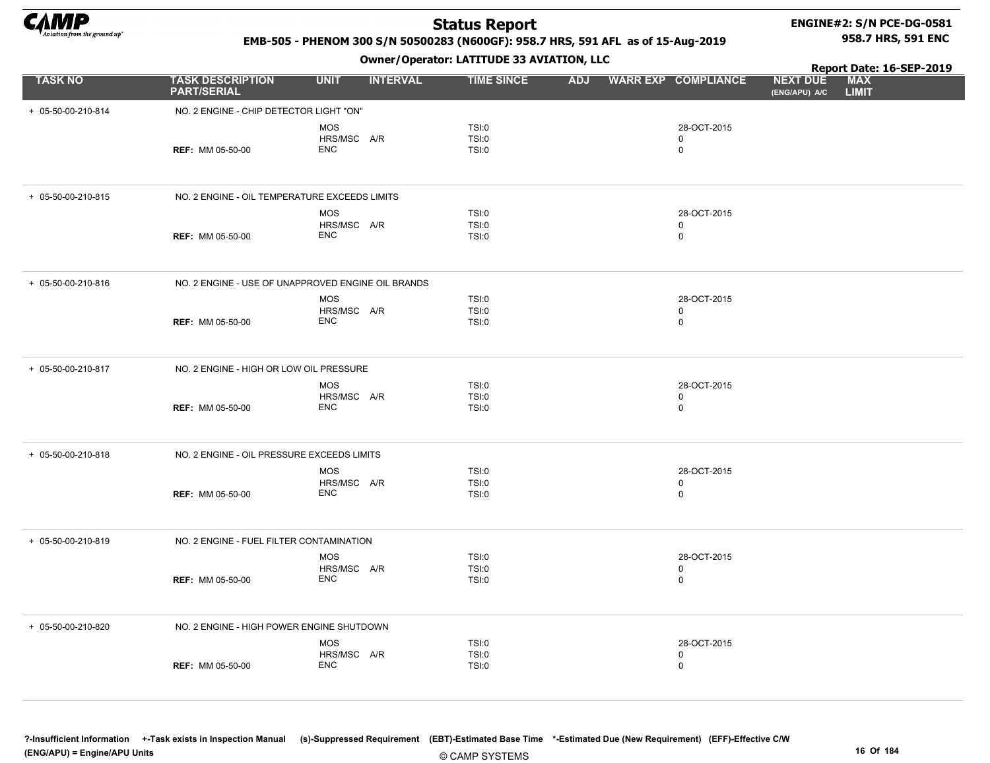

# ENGINE#2: S/N PCE-DG-0581

EMB-505 - PHENOM 300 S/N 50500283 (N600GF): 958.7 HRS, 591 AFL as of 15-Aug-2019

Owner/Operator: LATITUDE 33 AVIATION, LLC

958.7 HRS, 591 ENC

|                    |                                               | ------ <i>--</i> 1 - P                             |                         |            |                                           | Report Date: 16-SEP-2019         |                            |  |
|--------------------|-----------------------------------------------|----------------------------------------------------|-------------------------|------------|-------------------------------------------|----------------------------------|----------------------------|--|
| <b>TASK NO</b>     | <b>TASK DESCRIPTION</b><br><b>PART/SERIAL</b> | <b>UNIT</b><br><b>INTERVAL</b>                     | <b>TIME SINCE</b>       | <b>ADJ</b> | <b>WARR EXP COMPLIANCE</b>                | <b>NEXT DUE</b><br>(ENG/APU) A/C | <b>MAX</b><br><b>LIMIT</b> |  |
| + 05-50-00-210-814 | NO. 2 ENGINE - CHIP DETECTOR LIGHT "ON"       |                                                    |                         |            |                                           |                                  |                            |  |
|                    | <b>REF: MM 05-50-00</b>                       | <b>MOS</b><br>HRS/MSC A/R<br><b>ENC</b>            | TSI:0<br>TSI:0<br>TSI:0 |            | 28-OCT-2015<br>$\mathbf 0$<br>$\mathbf 0$ |                                  |                            |  |
| + 05-50-00-210-815 | NO. 2 ENGINE - OIL TEMPERATURE EXCEEDS LIMITS |                                                    |                         |            |                                           |                                  |                            |  |
|                    | <b>REF: MM 05-50-00</b>                       | MOS<br>HRS/MSC A/R<br><b>ENC</b>                   | TSI:0<br>TSI:0<br>TSI:0 |            | 28-OCT-2015<br>$\mathbf 0$<br>$\mathbf 0$ |                                  |                            |  |
| + 05-50-00-210-816 |                                               | NO. 2 ENGINE - USE OF UNAPPROVED ENGINE OIL BRANDS |                         |            |                                           |                                  |                            |  |
|                    | <b>REF: MM 05-50-00</b>                       | <b>MOS</b><br>HRS/MSC A/R<br><b>ENC</b>            | TSI:0<br>TSI:0<br>TSI:0 |            | 28-OCT-2015<br>$\mathbf 0$<br>$\mathbf 0$ |                                  |                            |  |
| + 05-50-00-210-817 | NO. 2 ENGINE - HIGH OR LOW OIL PRESSURE       |                                                    |                         |            |                                           |                                  |                            |  |
|                    | <b>REF: MM 05-50-00</b>                       | MOS<br>HRS/MSC A/R<br><b>ENC</b>                   | TSI:0<br>TSI:0<br>TSI:0 |            | 28-OCT-2015<br>$\mathbf 0$<br>$\mathbf 0$ |                                  |                            |  |
| + 05-50-00-210-818 | NO. 2 ENGINE - OIL PRESSURE EXCEEDS LIMITS    |                                                    |                         |            |                                           |                                  |                            |  |
|                    | <b>REF: MM 05-50-00</b>                       | MOS<br>HRS/MSC A/R<br><b>ENC</b>                   | TSI:0<br>TSI:0<br>TSI:0 |            | 28-OCT-2015<br>$\mathbf 0$<br>$\mathbf 0$ |                                  |                            |  |
| + 05-50-00-210-819 | NO. 2 ENGINE - FUEL FILTER CONTAMINATION      |                                                    |                         |            |                                           |                                  |                            |  |
|                    | <b>REF: MM 05-50-00</b>                       | <b>MOS</b><br>HRS/MSC A/R<br><b>ENC</b>            | TSI:0<br>TSI:0<br>TSI:0 |            | 28-OCT-2015<br>0<br>$\mathbf 0$           |                                  |                            |  |
| + 05-50-00-210-820 | NO. 2 ENGINE - HIGH POWER ENGINE SHUTDOWN     |                                                    |                         |            |                                           |                                  |                            |  |
|                    | <b>REF: MM 05-50-00</b>                       | <b>MOS</b><br>HRS/MSC A/R<br><b>ENC</b>            | TSI:0<br>TSI:0<br>TSI:0 |            | 28-OCT-2015<br>0<br>$\mathbf 0$           |                                  |                            |  |

© CAMP SYSTEMS ?-Insufficient Information +-Task exists in Inspection Manual (s)-Suppressed Requirement (EBT)-Estimated Base Time \*-Estimated Due (New Requirement) (EFF)-Effective C/W (ENG/APU) = Engine/APU Units 16 Of 184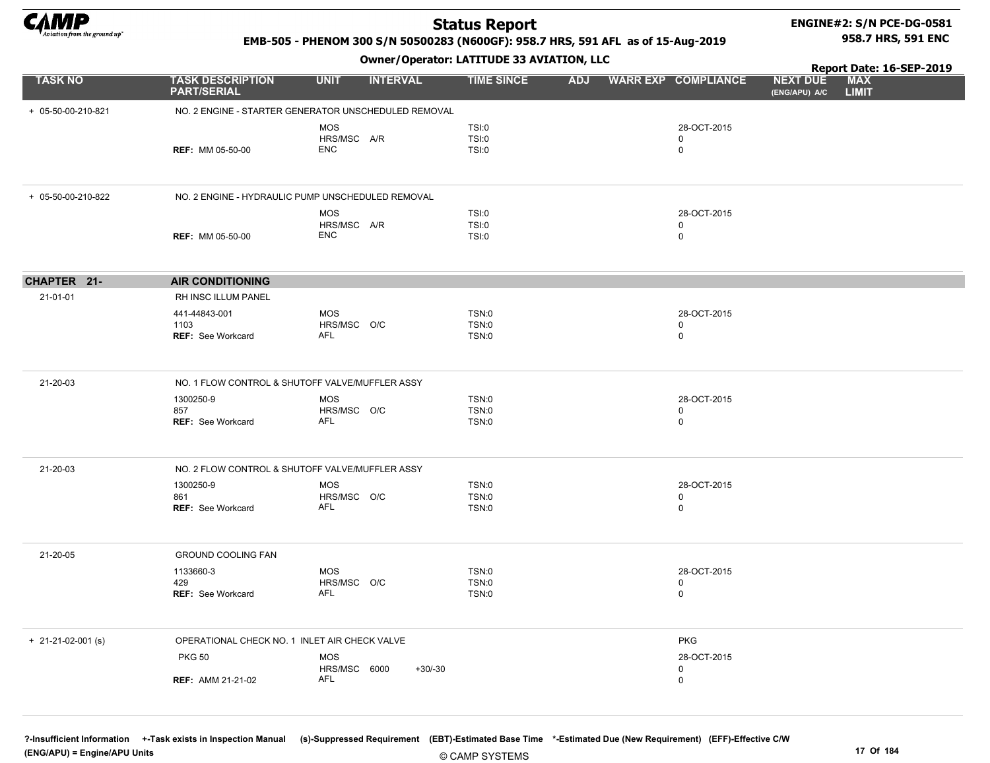

# ENGINE#2: S/N PCE-DG-0581

### EMB-505 - PHENOM 300 S/N 50500283 (N600GF): 958.7 HRS, 591 AFL as of 15-Aug-2019

Owner/Operator: LATITUDE 33 AVIATION, LLC

Report Date: 16-SEP-2019 958.7 HRS, 591 ENC

|                            |                                                      |                                |                   |            |                            | Report Date: 16-SEP-2019                                       |
|----------------------------|------------------------------------------------------|--------------------------------|-------------------|------------|----------------------------|----------------------------------------------------------------|
| <b>TASK NO</b>             | <b>TASK DESCRIPTION</b><br><b>PART/SERIAL</b>        | <b>INTERVAL</b><br><b>UNIT</b> | <b>TIME SINCE</b> | <b>ADJ</b> | <b>WARR EXP COMPLIANCE</b> | <b>MAX</b><br><b>NEXT DUE</b><br><b>LIMIT</b><br>(ENG/APU) A/C |
| + 05-50-00-210-821         | NO. 2 ENGINE - STARTER GENERATOR UNSCHEDULED REMOVAL |                                |                   |            |                            |                                                                |
|                            |                                                      | <b>MOS</b>                     | TSI:0             |            | 28-OCT-2015                |                                                                |
|                            |                                                      | HRS/MSC A/R                    | TSI:0             |            | $\mathbf 0$                |                                                                |
|                            | <b>REF: MM 05-50-00</b>                              | <b>ENC</b>                     | <b>TSI:0</b>      |            | $\mathsf 0$                |                                                                |
| + 05-50-00-210-822         | NO. 2 ENGINE - HYDRAULIC PUMP UNSCHEDULED REMOVAL    |                                |                   |            |                            |                                                                |
|                            |                                                      | <b>MOS</b>                     | TSI:0             |            | 28-OCT-2015                |                                                                |
|                            |                                                      | HRS/MSC A/R                    | TSI:0             |            | 0                          |                                                                |
|                            | <b>REF: MM 05-50-00</b>                              | <b>ENC</b>                     | TSI:0             |            | $\mathbf 0$                |                                                                |
| CHAPTER 21-                | <b>AIR CONDITIONING</b>                              |                                |                   |            |                            |                                                                |
| 21-01-01                   | RH INSC ILLUM PANEL                                  |                                |                   |            |                            |                                                                |
|                            | 441-44843-001                                        | <b>MOS</b>                     | TSN:0             |            | 28-OCT-2015                |                                                                |
|                            | 1103                                                 | HRS/MSC O/C                    | TSN:0             |            | 0                          |                                                                |
|                            | <b>REF: See Workcard</b>                             | <b>AFL</b>                     | TSN:0             |            | $\mathbf 0$                |                                                                |
| 21-20-03                   | NO. 1 FLOW CONTROL & SHUTOFF VALVE/MUFFLER ASSY      |                                |                   |            |                            |                                                                |
|                            | 1300250-9                                            | MOS                            | TSN:0             |            | 28-OCT-2015                |                                                                |
|                            | 857                                                  | HRS/MSC O/C                    | TSN:0             |            | $\mathbf 0$                |                                                                |
|                            | <b>REF: See Workcard</b>                             | AFL                            | TSN:0             |            | $\mathsf 0$                |                                                                |
| 21-20-03                   | NO. 2 FLOW CONTROL & SHUTOFF VALVE/MUFFLER ASSY      |                                |                   |            |                            |                                                                |
|                            | 1300250-9                                            | <b>MOS</b>                     | TSN:0             |            | 28-OCT-2015                |                                                                |
|                            | 861                                                  | HRS/MSC O/C                    | TSN:0             |            | $\mathbf 0$                |                                                                |
|                            | <b>REF: See Workcard</b>                             | <b>AFL</b>                     | TSN:0             |            | $\mathsf 0$                |                                                                |
| 21-20-05                   | <b>GROUND COOLING FAN</b>                            |                                |                   |            |                            |                                                                |
|                            | 1133660-3                                            | MOS                            | TSN:0             |            | 28-OCT-2015                |                                                                |
|                            | 429                                                  | HRS/MSC O/C                    | TSN:0             |            | $\mathbf 0$                |                                                                |
|                            | <b>REF: See Workcard</b>                             | <b>AFL</b>                     | TSN:0             |            | $\mathbf 0$                |                                                                |
| $+ 21 - 21 - 02 - 001$ (s) | OPERATIONAL CHECK NO. 1 INLET AIR CHECK VALVE        |                                |                   |            | <b>PKG</b>                 |                                                                |
|                            | <b>PKG 50</b>                                        | <b>MOS</b>                     |                   |            | 28-OCT-2015                |                                                                |
|                            |                                                      | HRS/MSC 6000                   | $+30/-30$         |            | $\mathbf 0$                |                                                                |
|                            | <b>REF: AMM 21-21-02</b>                             | AFL                            |                   |            | $\mathbf 0$                |                                                                |

?-Insufficient Information +-Task exists in Inspection Manual (s)-Suppressed Requirement (EBT)-Estimated Base Time \*-Estimated Due (New Requirement) (EFF)-Effective C/W (ENG/APU) = Engine/APU Units 17 Of 184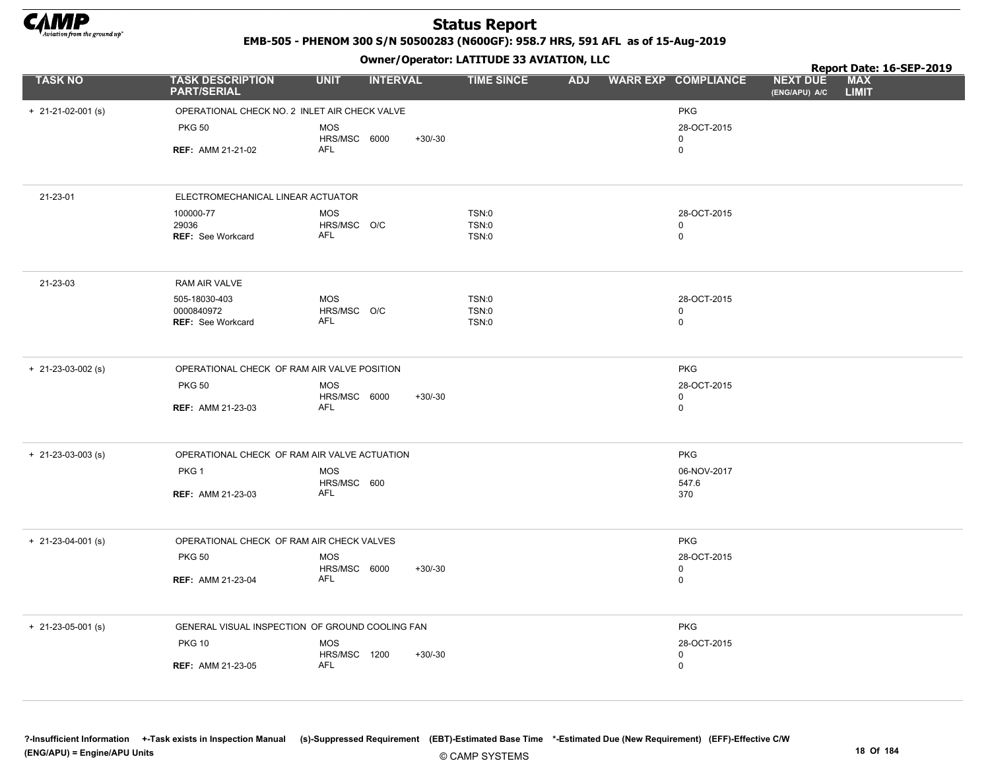

EMB-505 - PHENOM 300 S/N 50500283 (N600GF): 958.7 HRS, 591 AFL as of 15-Aug-2019

Owner/Operator: LATITUDE 33 AVIATION, LLC

|                            |                                                 |                            | - - -           |                              |                         |                            |                                  | Report Date: 16-SEP-2019 |
|----------------------------|-------------------------------------------------|----------------------------|-----------------|------------------------------|-------------------------|----------------------------|----------------------------------|--------------------------|
| <b>TASK NO</b>             | <b>TASK DESCRIPTION</b><br><b>PART/SERIAL</b>   | <b>UNIT</b>                | <b>INTERVAL</b> | <b>TIME SINCE</b>            | ADJ WARR EXP COMPLIANCE |                            | <b>NEXT DUE</b><br>(ENG/APU) A/C | MAX<br><b>LIMIT</b>      |
| $+ 21 - 21 - 02 - 001$ (s) | OPERATIONAL CHECK NO. 2 INLET AIR CHECK VALVE   |                            |                 |                              |                         | <b>PKG</b>                 |                                  |                          |
|                            | <b>PKG 50</b>                                   | <b>MOS</b>                 |                 |                              |                         | 28-OCT-2015                |                                  |                          |
|                            | <b>REF: AMM 21-21-02</b>                        | HRS/MSC 6000<br>AFL        | $+30/-30$       |                              |                         | $\mathbf 0$<br>0           |                                  |                          |
|                            |                                                 |                            |                 |                              |                         |                            |                                  |                          |
| 21-23-01                   | ELECTROMECHANICAL LINEAR ACTUATOR               |                            |                 |                              |                         |                            |                                  |                          |
|                            | 100000-77                                       | <b>MOS</b>                 |                 | TSN:0                        |                         | 28-OCT-2015                |                                  |                          |
|                            | 29036<br><b>REF:</b> See Workcard               | HRS/MSC O/C<br><b>AFL</b>  |                 | <b>TSN:0</b><br>TSN:0        |                         | $\mathbf 0$<br>$\mathbf 0$ |                                  |                          |
|                            |                                                 |                            |                 |                              |                         |                            |                                  |                          |
| 21-23-03                   | RAM AIR VALVE                                   |                            |                 |                              |                         |                            |                                  |                          |
|                            | 505-18030-403<br>0000840972                     | <b>MOS</b>                 |                 | <b>TSN:0</b>                 |                         | 28-OCT-2015                |                                  |                          |
|                            | REF: See Workcard                               | HRS/MSC O/C<br>AFL         |                 | <b>TSN:0</b><br><b>TSN:0</b> |                         | 0<br>$\mathbf 0$           |                                  |                          |
|                            |                                                 |                            |                 |                              |                         |                            |                                  |                          |
| $+ 21 - 23 - 03 - 002$ (s) | OPERATIONAL CHECK OF RAM AIR VALVE POSITION     |                            |                 |                              |                         | <b>PKG</b>                 |                                  |                          |
|                            | <b>PKG 50</b>                                   | <b>MOS</b><br>HRS/MSC 6000 | $+30/30$        |                              |                         | 28-OCT-2015<br>0           |                                  |                          |
|                            | <b>REF: AMM 21-23-03</b>                        | <b>AFL</b>                 |                 |                              |                         | $\mathbf 0$                |                                  |                          |
|                            |                                                 |                            |                 |                              |                         |                            |                                  |                          |
| $+$ 21-23-03-003 (s)       | OPERATIONAL CHECK OF RAM AIR VALVE ACTUATION    |                            |                 |                              |                         | <b>PKG</b>                 |                                  |                          |
|                            | PKG 1                                           | <b>MOS</b>                 |                 |                              |                         | 06-NOV-2017                |                                  |                          |
|                            | <b>REF: AMM 21-23-03</b>                        | HRS/MSC 600<br>AFL         |                 |                              |                         | 547.6<br>370               |                                  |                          |
|                            |                                                 |                            |                 |                              |                         |                            |                                  |                          |
| $+ 21 - 23 - 04 - 001$ (s) | OPERATIONAL CHECK OF RAM AIR CHECK VALVES       |                            |                 |                              |                         | <b>PKG</b>                 |                                  |                          |
|                            | <b>PKG 50</b>                                   | <b>MOS</b>                 |                 |                              |                         | 28-OCT-2015                |                                  |                          |
|                            | <b>REF: AMM 21-23-04</b>                        | HRS/MSC 6000<br><b>AFL</b> | $+30/-30$       |                              |                         | $\mathbf 0$<br>0           |                                  |                          |
|                            |                                                 |                            |                 |                              |                         |                            |                                  |                          |
| $+ 21 - 23 - 05 - 001$ (s) | GENERAL VISUAL INSPECTION OF GROUND COOLING FAN |                            |                 |                              |                         | <b>PKG</b>                 |                                  |                          |
|                            | <b>PKG 10</b>                                   | <b>MOS</b>                 |                 |                              |                         | 28-OCT-2015                |                                  |                          |
|                            | <b>REF: AMM 21-23-05</b>                        | HRS/MSC 1200<br><b>AFL</b> | $+30/-30$       |                              |                         | $\mathbf 0$<br>$\mathbf 0$ |                                  |                          |
|                            |                                                 |                            |                 |                              |                         |                            |                                  |                          |

?-Insufficient Information +-Task exists in Inspection Manual (s)-Suppressed Requirement (EBT)-Estimated Base Time \*-Estimated Due (New Requirement) (EFF)-Effective C/W (ENG/APU) = Engine/APU Units 18 Of 184 and the control of the control of the control of the control of the control of the control of the control of the control of the control of the control of the control of the control o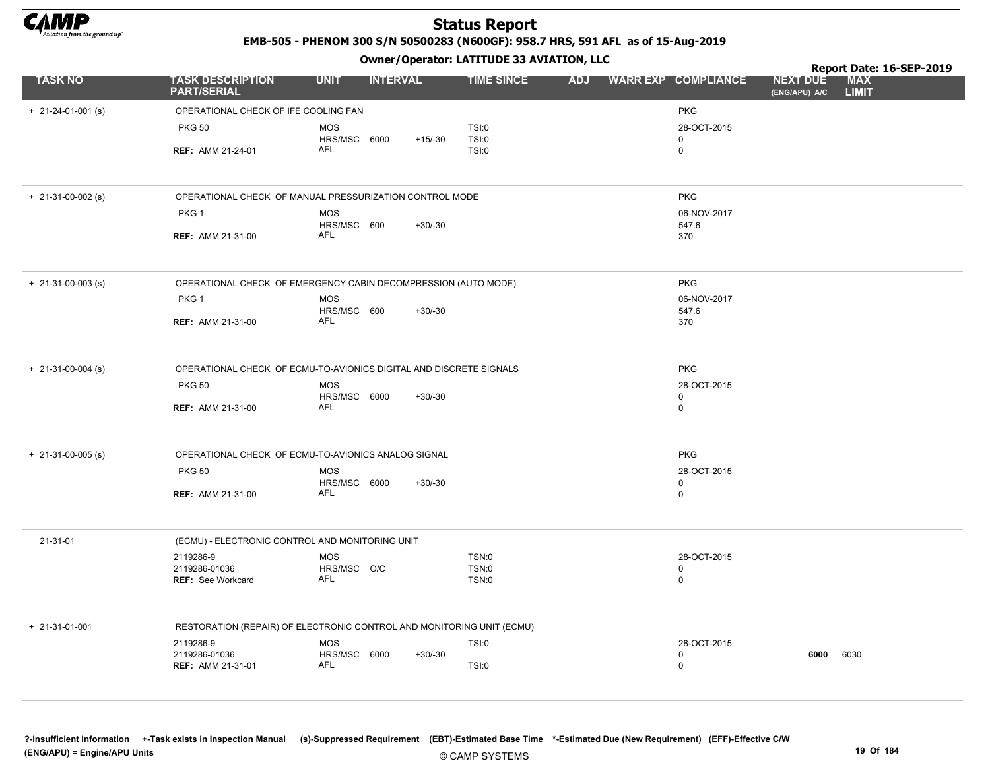

EMB-505 - PHENOM 300 S/N 50500283 (N600GF): 958.7 HRS, 591 AFL as of 15-Aug-2019

|                        |                                                                       |                            |                 |                              |                            |                      |                                  | Report Date: 16-SEP-2019   |
|------------------------|-----------------------------------------------------------------------|----------------------------|-----------------|------------------------------|----------------------------|----------------------|----------------------------------|----------------------------|
| <b>TASK NO</b>         | <b>TASK DESCRIPTION</b><br><b>PART/SERIAL</b>                         | <b>UNIT</b>                | <b>INTERVAL</b> | <b>TIME SINCE</b>            | ADJ WARR EXP COMPLIANCE    |                      | <b>NEXT DUE</b><br>(ENG/APU) A/C | <b>MAX</b><br><b>LIMIT</b> |
| $+ 21-24-01-001$ (s)   | OPERATIONAL CHECK OF IFE COOLING FAN                                  |                            |                 |                              |                            | <b>PKG</b>           |                                  |                            |
|                        | <b>PKG 50</b>                                                         | <b>MOS</b>                 |                 | TSI:0                        |                            | 28-OCT-2015          |                                  |                            |
|                        | <b>REF: AMM 21-24-01</b>                                              | HRS/MSC 6000<br><b>AFL</b> | $+15/-30$       | <b>TSI:0</b><br>TSI:0        | $\mathbf 0$<br>$\mathbf 0$ |                      |                                  |                            |
|                        |                                                                       |                            |                 |                              |                            |                      |                                  |                            |
| $+$ 21-31-00-002 (s)   | OPERATIONAL CHECK OF MANUAL PRESSURIZATION CONTROL MODE               |                            |                 |                              |                            | <b>PKG</b>           |                                  |                            |
|                        | PKG 1                                                                 | <b>MOS</b><br>HRS/MSC 600  | $+30/-30$       |                              |                            | 06-NOV-2017<br>547.6 |                                  |                            |
|                        | <b>REF: AMM 21-31-00</b>                                              | <b>AFL</b>                 |                 |                              |                            | 370                  |                                  |                            |
| $+$ 21-31-00-003 (s)   | OPERATIONAL CHECK OF EMERGENCY CABIN DECOMPRESSION (AUTO MODE)        |                            |                 |                              |                            | <b>PKG</b>           |                                  |                            |
|                        | PKG 1                                                                 | <b>MOS</b><br>HRS/MSC 600  | $+30/-30$       |                              |                            | 06-NOV-2017<br>547.6 |                                  |                            |
|                        | <b>REF: AMM 21-31-00</b>                                              | <b>AFL</b>                 |                 |                              |                            | 370                  |                                  |                            |
| $+$ 21-31-00-004 (s)   | OPERATIONAL CHECK OF ECMU-TO-AVIONICS DIGITAL AND DISCRETE SIGNALS    |                            |                 |                              |                            | <b>PKG</b>           |                                  |                            |
|                        | <b>PKG 50</b>                                                         | <b>MOS</b><br>HRS/MSC 6000 | $+30/-30$       |                              | 0                          | 28-OCT-2015          |                                  |                            |
|                        | <b>REF: AMM 21-31-00</b>                                              | AFL                        |                 |                              | $\mathbf 0$                |                      |                                  |                            |
| $+ 21-31-00-005$ (s)   | OPERATIONAL CHECK OF ECMU-TO-AVIONICS ANALOG SIGNAL                   |                            |                 |                              |                            | <b>PKG</b>           |                                  |                            |
|                        | <b>PKG 50</b>                                                         | <b>MOS</b>                 |                 |                              |                            | 28-OCT-2015          |                                  |                            |
|                        | <b>REF: AMM 21-31-00</b>                                              | HRS/MSC 6000<br><b>AFL</b> | $+30/-30$       |                              | 0                          | 0                    |                                  |                            |
| 21-31-01               | (ECMU) - ELECTRONIC CONTROL AND MONITORING UNIT                       |                            |                 |                              |                            |                      |                                  |                            |
|                        | 2119286-9<br>2119286-01036                                            | <b>MOS</b><br>HRS/MSC O/C  |                 | <b>TSN:0</b><br><b>TSN:0</b> | $\Omega$                   | 28-OCT-2015          |                                  |                            |
|                        | <b>REF: See Workcard</b>                                              | AFL                        |                 | <b>TSN:0</b>                 |                            | 0                    |                                  |                            |
| $+ 21 - 31 - 01 - 001$ | RESTORATION (REPAIR) OF ELECTRONIC CONTROL AND MONITORING UNIT (ECMU) |                            |                 |                              |                            |                      |                                  |                            |
|                        | 2119286-9                                                             | <b>MOS</b>                 |                 | <b>TSI:0</b>                 |                            | 28-OCT-2015          |                                  |                            |
|                        | 2119286-01036<br><b>REF: AMM 21-31-01</b>                             | HRS/MSC 6000<br>AFL        | $+30/-30$       | TSI:0                        | $\mathbf 0$                | 0                    | 6000                             | 6030                       |
|                        |                                                                       |                            |                 |                              |                            |                      |                                  |                            |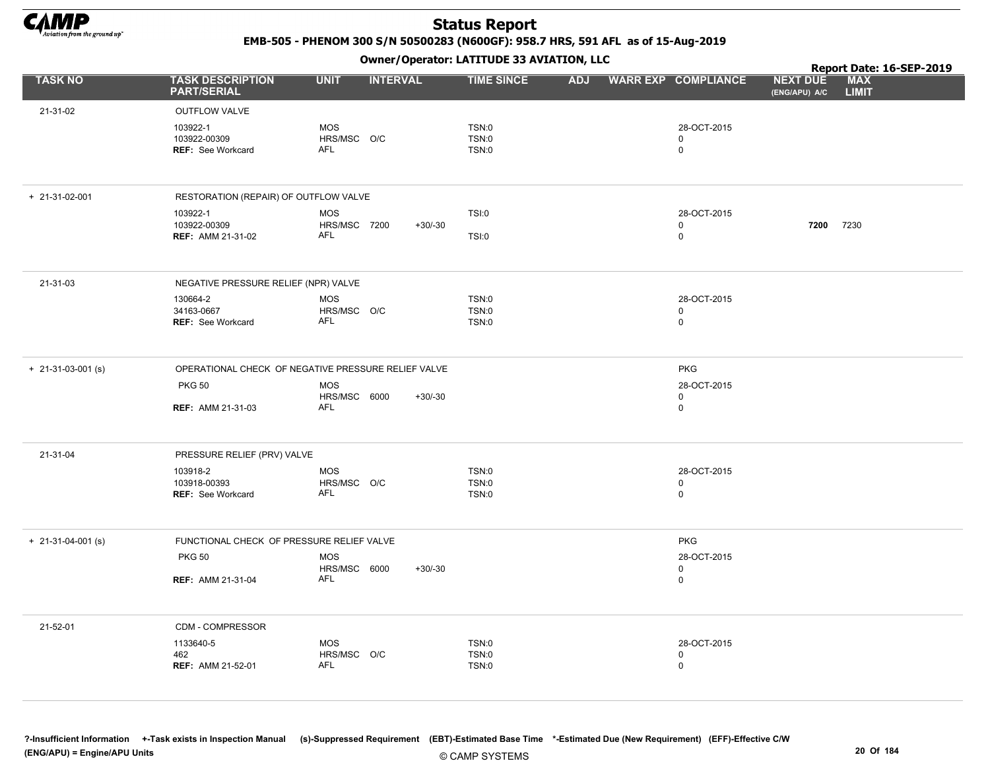

EMB-505 - PHENOM 300 S/N 50500283 (N600GF): 958.7 HRS, 591 AFL as of 15-Aug-2019

|                            |                                               | .                                                   |                              |                            | Report Date: 16-SEP-2019                                       |  |
|----------------------------|-----------------------------------------------|-----------------------------------------------------|------------------------------|----------------------------|----------------------------------------------------------------|--|
| <b>TASK NO</b>             | <b>TASK DESCRIPTION</b><br><b>PART/SERIAL</b> | <b>UNIT</b><br><b>INTERVAL</b>                      | <b>TIME SINCE</b>            | ADJ WARR EXP COMPLIANCE    | <b>MAX</b><br><b>NEXT DUE</b><br><b>LIMIT</b><br>(ENG/APU) A/C |  |
| 21-31-02                   | <b>OUTFLOW VALVE</b>                          |                                                     |                              |                            |                                                                |  |
|                            | 103922-1                                      | MOS                                                 | TSN:0                        | 28-OCT-2015                |                                                                |  |
|                            | 103922-00309                                  | HRS/MSC O/C                                         | TSN:0                        | 0                          |                                                                |  |
|                            | <b>REF: See Workcard</b>                      | <b>AFL</b>                                          | <b>TSN:0</b>                 | $\mathbf 0$                |                                                                |  |
|                            |                                               |                                                     |                              |                            |                                                                |  |
| $+ 21 - 31 - 02 - 001$     | RESTORATION (REPAIR) OF OUTFLOW VALVE         |                                                     |                              |                            |                                                                |  |
|                            | 103922-1                                      | <b>MOS</b>                                          | TSI:0                        | 28-OCT-2015                |                                                                |  |
|                            | 103922-00309<br><b>REF: AMM 21-31-02</b>      | HRS/MSC 7200<br>$+30/-30$<br><b>AFL</b>             |                              | $\mathbf 0$<br>$\mathbf 0$ | 7200 7230                                                      |  |
|                            |                                               |                                                     | TSI:0                        |                            |                                                                |  |
| 21-31-03                   | NEGATIVE PRESSURE RELIEF (NPR) VALVE          |                                                     |                              |                            |                                                                |  |
|                            | 130664-2                                      | <b>MOS</b>                                          | TSN:0                        | 28-OCT-2015                |                                                                |  |
|                            | 34163-0667<br><b>REF: See Workcard</b>        | HRS/MSC O/C<br><b>AFL</b>                           | <b>TSN:0</b><br><b>TSN:0</b> | $\mathbf 0$<br>$\mathbf 0$ |                                                                |  |
|                            |                                               |                                                     |                              |                            |                                                                |  |
| $+ 21 - 31 - 03 - 001$ (s) |                                               | OPERATIONAL CHECK OF NEGATIVE PRESSURE RELIEF VALVE |                              | <b>PKG</b>                 |                                                                |  |
|                            | <b>PKG 50</b>                                 | <b>MOS</b>                                          |                              | 28-OCT-2015                |                                                                |  |
|                            |                                               | HRS/MSC 6000<br>$+30/-30$<br><b>AFL</b>             |                              | 0                          |                                                                |  |
|                            | <b>REF: AMM 21-31-03</b>                      |                                                     |                              | $\mathbf 0$                |                                                                |  |
| 21-31-04                   | PRESSURE RELIEF (PRV) VALVE                   |                                                     |                              |                            |                                                                |  |
|                            | 103918-2                                      | MOS                                                 | TSN:0                        | 28-OCT-2015                |                                                                |  |
|                            | 103918-00393<br><b>REF: See Workcard</b>      | HRS/MSC O/C<br><b>AFL</b>                           | TSN:0<br><b>TSN:0</b>        | $\pmb{0}$<br>$\mathbf 0$   |                                                                |  |
|                            |                                               |                                                     |                              |                            |                                                                |  |
| $+ 21 - 31 - 04 - 001$ (s) | FUNCTIONAL CHECK OF PRESSURE RELIEF VALVE     |                                                     |                              | <b>PKG</b>                 |                                                                |  |
|                            | <b>PKG 50</b>                                 | <b>MOS</b>                                          |                              | 28-OCT-2015                |                                                                |  |
|                            | <b>REF: AMM 21-31-04</b>                      | HRS/MSC 6000<br>$+30/-30$<br>AFL                    |                              | 0<br>0                     |                                                                |  |
|                            |                                               |                                                     |                              |                            |                                                                |  |
| 21-52-01                   | CDM - COMPRESSOR                              |                                                     |                              |                            |                                                                |  |
|                            | 1133640-5                                     | MOS                                                 | TSN:0                        | 28-OCT-2015                |                                                                |  |
|                            | 462                                           | HRS/MSC O/C                                         | TSN:0                        | 0                          |                                                                |  |
|                            | <b>REF: AMM 21-52-01</b>                      | <b>AFL</b>                                          | <b>TSN:0</b>                 | 0                          |                                                                |  |
|                            |                                               |                                                     |                              |                            |                                                                |  |
|                            |                                               |                                                     |                              |                            |                                                                |  |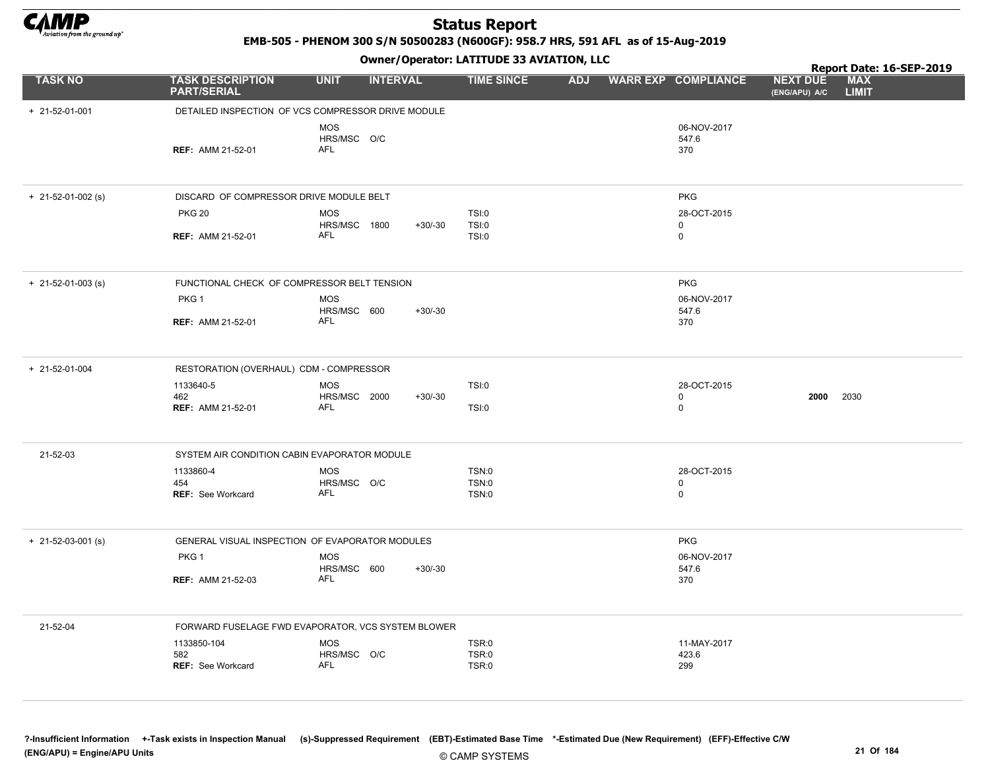

EMB-505 - PHENOM 300 S/N 50500283 (N600GF): 958.7 HRS, 591 AFL as of 15-Aug-2019

|                      |                                                    |                                  | - - - -         |                              |  |                             |                                  | Report Date: 16-SEP-2019   |
|----------------------|----------------------------------------------------|----------------------------------|-----------------|------------------------------|--|-----------------------------|----------------------------------|----------------------------|
| <b>TASK NO</b>       | <b>TASK DESCRIPTION</b><br><b>PART/SERIAL</b>      | <b>UNIT</b>                      | <b>INTERVAL</b> | <b>TIME SINCE</b>            |  | ADJ WARR EXP COMPLIANCE     | <b>NEXT DUE</b><br>(ENG/APU) A/C | <b>MAX</b><br><b>LIMIT</b> |
| + 21-52-01-001       | DETAILED INSPECTION OF VCS COMPRESSOR DRIVE MODULE |                                  |                 |                              |  |                             |                                  |                            |
|                      | <b>REF: AMM 21-52-01</b>                           | <b>MOS</b><br>HRS/MSC O/C<br>AFL |                 |                              |  | 06-NOV-2017<br>547.6<br>370 |                                  |                            |
| $+$ 21-52-01-002 (s) | DISCARD OF COMPRESSOR DRIVE MODULE BELT            |                                  |                 |                              |  | <b>PKG</b>                  |                                  |                            |
|                      | <b>PKG 20</b>                                      | <b>MOS</b><br>HRS/MSC 1800       | $+30/-30$       | TSI:0<br>TSI:0               |  | 28-OCT-2015<br>$\mathbf 0$  |                                  |                            |
|                      | <b>REF: AMM 21-52-01</b>                           | <b>AFL</b>                       |                 | TSI:0                        |  | $\mathbf 0$                 |                                  |                            |
| $+$ 21-52-01-003 (s) | FUNCTIONAL CHECK OF COMPRESSOR BELT TENSION        |                                  |                 |                              |  | PKG                         |                                  |                            |
|                      | PKG 1                                              | <b>MOS</b><br>HRS/MSC 600        | $+30/-30$       |                              |  | 06-NOV-2017<br>547.6        |                                  |                            |
|                      | <b>REF: AMM 21-52-01</b>                           | <b>AFL</b>                       |                 |                              |  | 370                         |                                  |                            |
| + 21-52-01-004       | RESTORATION (OVERHAUL) CDM - COMPRESSOR            |                                  |                 |                              |  |                             |                                  |                            |
|                      | 1133640-5<br>462                                   | <b>MOS</b><br>HRS/MSC 2000       | $+30/-30$       | TSI:0                        |  | 28-OCT-2015<br>$\mathbf 0$  | 2000                             | 2030                       |
|                      | <b>REF: AMM 21-52-01</b>                           | AFL                              |                 | TSI:0                        |  | $\mathbf 0$                 |                                  |                            |
| 21-52-03             | SYSTEM AIR CONDITION CABIN EVAPORATOR MODULE       |                                  |                 |                              |  |                             |                                  |                            |
|                      | 1133860-4<br>454                                   | <b>MOS</b><br>HRS/MSC O/C        |                 | <b>TSN:0</b><br><b>TSN:0</b> |  | 28-OCT-2015<br>0            |                                  |                            |
|                      | <b>REF: See Workcard</b>                           | <b>AFL</b>                       |                 | <b>TSN:0</b>                 |  | $\mathbf 0$                 |                                  |                            |
| $+$ 21-52-03-001 (s) | GENERAL VISUAL INSPECTION OF EVAPORATOR MODULES    |                                  |                 |                              |  | <b>PKG</b>                  |                                  |                            |
|                      | PKG <sub>1</sub>                                   | <b>MOS</b><br>HRS/MSC 600        | $+30/-30$       |                              |  | 06-NOV-2017<br>547.6        |                                  |                            |
|                      | <b>REF: AMM 21-52-03</b>                           | AFL                              |                 |                              |  | 370                         |                                  |                            |
| 21-52-04             | FORWARD FUSELAGE FWD EVAPORATOR, VCS SYSTEM BLOWER |                                  |                 |                              |  |                             |                                  |                            |
|                      | 1133850-104<br>582                                 | <b>MOS</b><br>HRS/MSC O/C        |                 | TSR:0<br>TSR:0               |  | 11-MAY-2017<br>423.6        |                                  |                            |
|                      | <b>REF: See Workcard</b>                           | <b>AFL</b>                       |                 | TSR:0                        |  | 299                         |                                  |                            |
|                      |                                                    |                                  |                 |                              |  |                             |                                  |                            |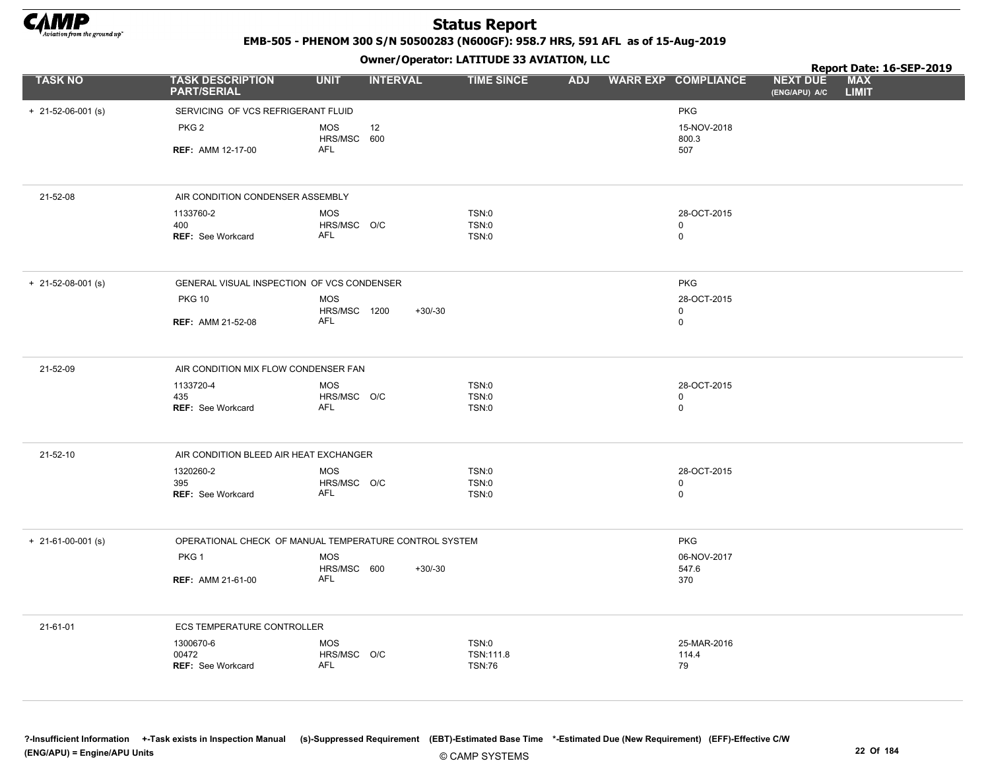

EMB-505 - PHENOM 300 S/N 50500283 (N600GF): 958.7 HRS, 591 AFL as of 15-Aug-2019

|                            |                                                        |                            |                 | Owner/Operator: LATITUDE 33 AVIATION, LLC |            |                            | Report Date: 16-SEP-2019         |                            |  |  |
|----------------------------|--------------------------------------------------------|----------------------------|-----------------|-------------------------------------------|------------|----------------------------|----------------------------------|----------------------------|--|--|
| <b>TASK NO</b>             | <b>TASK DESCRIPTION</b><br><b>PART/SERIAL</b>          | <b>UNIT</b>                | <b>INTERVAL</b> | <b>TIME SINCE</b>                         | <b>ADJ</b> | <b>WARR EXP COMPLIANCE</b> | <b>NEXT DUE</b><br>(ENG/APU) A/C | <b>MAX</b><br><b>LIMIT</b> |  |  |
| $+ 21 - 52 - 06 - 001$ (s) | SERVICING OF VCS REFRIGERANT FLUID                     |                            |                 |                                           |            | <b>PKG</b>                 |                                  |                            |  |  |
|                            | PKG <sub>2</sub>                                       | <b>MOS</b><br>HRS/MSC 600  | 12              |                                           |            | 15-NOV-2018<br>800.3       |                                  |                            |  |  |
|                            | <b>REF: AMM 12-17-00</b>                               | <b>AFL</b>                 |                 |                                           |            | 507                        |                                  |                            |  |  |
| 21-52-08                   | AIR CONDITION CONDENSER ASSEMBLY                       |                            |                 |                                           |            |                            |                                  |                            |  |  |
|                            | 1133760-2                                              | <b>MOS</b>                 |                 | TSN:0                                     |            | 28-OCT-2015                |                                  |                            |  |  |
|                            | 400<br>REF: See Workcard                               | HRS/MSC O/C<br><b>AFL</b>  |                 | TSN:0<br>TSN:0                            |            | $\mathbf 0$<br>$\mathbf 0$ |                                  |                            |  |  |
| $+ 21 - 52 - 08 - 001$ (s) | GENERAL VISUAL INSPECTION OF VCS CONDENSER             |                            |                 |                                           |            | <b>PKG</b>                 |                                  |                            |  |  |
|                            | <b>PKG 10</b>                                          | <b>MOS</b>                 |                 |                                           |            | 28-OCT-2015                |                                  |                            |  |  |
|                            | <b>REF: AMM 21-52-08</b>                               | HRS/MSC 1200<br><b>AFL</b> | $+30/-30$       |                                           |            | $\mathbf 0$<br>$\mathbf 0$ |                                  |                            |  |  |
| 21-52-09                   | AIR CONDITION MIX FLOW CONDENSER FAN                   |                            |                 |                                           |            |                            |                                  |                            |  |  |
|                            | 1133720-4                                              | <b>MOS</b>                 |                 | <b>TSN:0</b>                              |            | 28-OCT-2015                |                                  |                            |  |  |
|                            | 435<br><b>REF: See Workcard</b>                        | HRS/MSC O/C<br><b>AFL</b>  |                 | <b>TSN:0</b><br>TSN:0                     |            | 0<br>$\mathbf 0$           |                                  |                            |  |  |
| 21-52-10                   | AIR CONDITION BLEED AIR HEAT EXCHANGER                 |                            |                 |                                           |            |                            |                                  |                            |  |  |
|                            | 1320260-2                                              | <b>MOS</b>                 |                 | TSN:0<br><b>TSN:0</b>                     |            | 28-OCT-2015<br>0           |                                  |                            |  |  |
|                            | 395<br>REF: See Workcard                               | HRS/MSC O/C<br>AFL         |                 | <b>TSN:0</b>                              |            | $\mathbf 0$                |                                  |                            |  |  |
| $+$ 21-61-00-001 (s)       | OPERATIONAL CHECK OF MANUAL TEMPERATURE CONTROL SYSTEM |                            |                 |                                           |            | <b>PKG</b>                 |                                  |                            |  |  |
|                            | PKG 1                                                  | <b>MOS</b><br>HRS/MSC 600  | $+30/-30$       |                                           |            | 06-NOV-2017<br>547.6       |                                  |                            |  |  |
|                            | <b>REF: AMM 21-61-00</b>                               | <b>AFL</b>                 |                 |                                           |            | 370                        |                                  |                            |  |  |
| 21-61-01                   | <b>ECS TEMPERATURE CONTROLLER</b>                      |                            |                 |                                           |            |                            |                                  |                            |  |  |
|                            | 1300670-6                                              | <b>MOS</b>                 |                 | <b>TSN:0</b>                              |            | 25-MAR-2016                |                                  |                            |  |  |
|                            | 00472<br>REF: See Workcard                             | HRS/MSC O/C<br><b>AFL</b>  |                 | TSN:111.8<br><b>TSN:76</b>                |            | 114.4<br>79                |                                  |                            |  |  |
|                            |                                                        |                            |                 |                                           |            |                            |                                  |                            |  |  |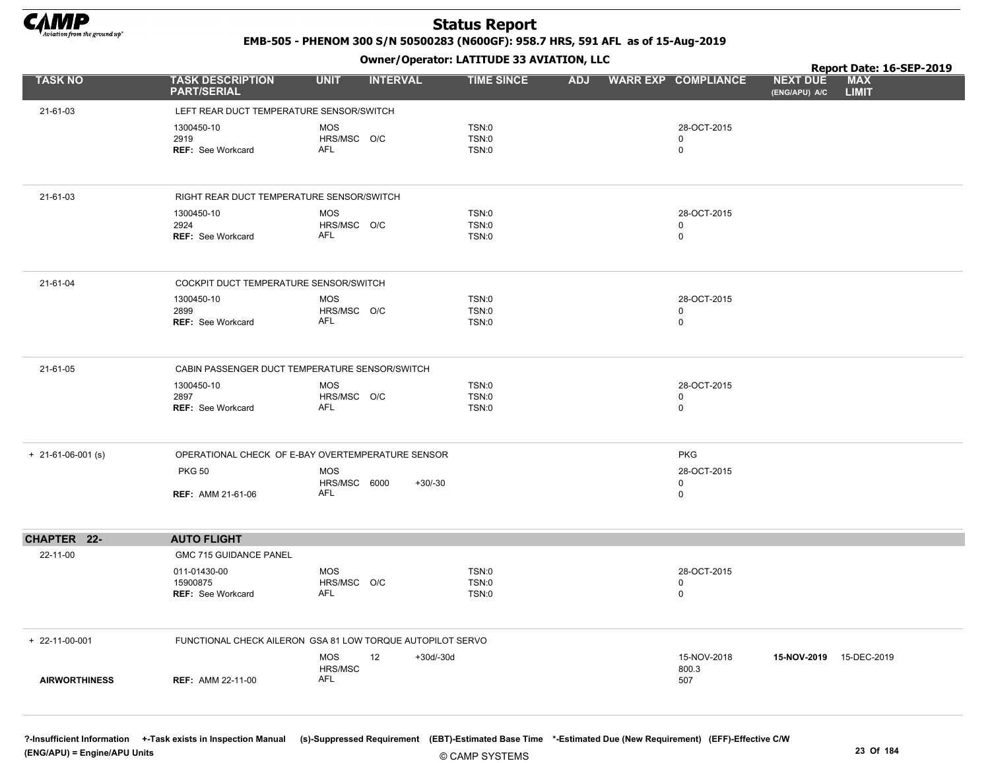

EMB-505 - PHENOM 300 S/N 50500283 (N600GF): 958.7 HRS, 591 AFL as of 15-Aug-2019

Owner/Operator: LATITUDE 33 AVIATION, LLC

|                      |                                               | .                                                          |                       |            |                            | Report Date: 16-SEP-2019                                       |  |
|----------------------|-----------------------------------------------|------------------------------------------------------------|-----------------------|------------|----------------------------|----------------------------------------------------------------|--|
| <b>TASK NO</b>       | <b>TASK DESCRIPTION</b><br><b>PART/SERIAL</b> | <b>UNIT</b><br><b>INTERVAL</b>                             | <b>TIME SINCE</b>     | <b>ADJ</b> | <b>WARR EXP COMPLIANCE</b> | <b>MAX</b><br><b>NEXT DUE</b><br><b>LIMIT</b><br>(ENG/APU) A/C |  |
| 21-61-03             | LEFT REAR DUCT TEMPERATURE SENSOR/SWITCH      |                                                            |                       |            |                            |                                                                |  |
|                      | 1300450-10                                    | <b>MOS</b>                                                 | TSN:0                 |            | 28-OCT-2015                |                                                                |  |
|                      | 2919                                          | HRS/MSC O/C                                                | TSN:0                 |            | $\mathbf 0$                |                                                                |  |
|                      | <b>REF: See Workcard</b>                      | AFL                                                        | TSN:0                 |            | $\mathbf 0$                |                                                                |  |
|                      |                                               |                                                            |                       |            |                            |                                                                |  |
| 21-61-03             | RIGHT REAR DUCT TEMPERATURE SENSOR/SWITCH     |                                                            |                       |            |                            |                                                                |  |
|                      | 1300450-10                                    | <b>MOS</b>                                                 | TSN:0                 |            | 28-OCT-2015                |                                                                |  |
|                      | 2924<br><b>REF: See Workcard</b>              | HRS/MSC O/C<br>AFL                                         | TSN:0<br>TSN:0        |            | $\mathbf 0$<br>$\pmb{0}$   |                                                                |  |
|                      |                                               |                                                            |                       |            |                            |                                                                |  |
| 21-61-04             | COCKPIT DUCT TEMPERATURE SENSOR/SWITCH        |                                                            |                       |            |                            |                                                                |  |
|                      | 1300450-10                                    | <b>MOS</b>                                                 | TSN:0                 |            | 28-OCT-2015                |                                                                |  |
|                      | 2899<br><b>REF: See Workcard</b>              | HRS/MSC O/C<br><b>AFL</b>                                  | TSN:0<br><b>TSN:0</b> |            | $\mathbf 0$<br>$\pmb{0}$   |                                                                |  |
|                      |                                               |                                                            |                       |            |                            |                                                                |  |
| 21-61-05             |                                               | CABIN PASSENGER DUCT TEMPERATURE SENSOR/SWITCH             |                       |            |                            |                                                                |  |
|                      | 1300450-10                                    | <b>MOS</b>                                                 | <b>TSN:0</b>          |            | 28-OCT-2015                |                                                                |  |
|                      | 2897<br><b>REF: See Workcard</b>              | HRS/MSC O/C<br><b>AFL</b>                                  | TSN:0<br>TSN:0        |            | $\mathbf 0$<br>$\mathbf 0$ |                                                                |  |
|                      |                                               |                                                            |                       |            |                            |                                                                |  |
| $+$ 21-61-06-001 (s) |                                               | OPERATIONAL CHECK OF E-BAY OVERTEMPERATURE SENSOR          |                       |            | <b>PKG</b>                 |                                                                |  |
|                      | <b>PKG 50</b>                                 | <b>MOS</b>                                                 |                       |            | 28-OCT-2015                |                                                                |  |
|                      | <b>REF: AMM 21-61-06</b>                      | HRS/MSC 6000<br>$+30/-30$<br><b>AFL</b>                    |                       |            | $\mathbf 0$<br>$\mathbf 0$ |                                                                |  |
|                      |                                               |                                                            |                       |            |                            |                                                                |  |
| CHAPTER 22-          | <b>AUTO FLIGHT</b>                            |                                                            |                       |            |                            |                                                                |  |
| 22-11-00             | GMC 715 GUIDANCE PANEL                        |                                                            |                       |            |                            |                                                                |  |
|                      | 011-01430-00                                  | MOS                                                        | TSN:0                 |            | 28-OCT-2015                |                                                                |  |
|                      | 15900875<br><b>REF: See Workcard</b>          | HRS/MSC O/C<br><b>AFL</b>                                  | TSN:0<br><b>TSN:0</b> |            | $\mathbf 0$<br>$\pmb{0}$   |                                                                |  |
|                      |                                               |                                                            |                       |            |                            |                                                                |  |
| + 22-11-00-001       |                                               | FUNCTIONAL CHECK AILERON GSA 81 LOW TORQUE AUTOPILOT SERVO |                       |            |                            |                                                                |  |
|                      |                                               | <b>MOS</b><br>12<br>$+30d/-30d$                            |                       |            | 15-NOV-2018                | 15-NOV-2019 15-DEC-2019                                        |  |
| <b>AIRWORTHINESS</b> | <b>REF: AMM 22-11-00</b>                      | HRS/MSC<br><b>AFL</b>                                      |                       |            | 800.3<br>507               |                                                                |  |
|                      |                                               |                                                            |                       |            |                            |                                                                |  |
|                      |                                               |                                                            |                       |            |                            |                                                                |  |
|                      |                                               |                                                            |                       |            |                            |                                                                |  |

?-Insufficient Information +-Task exists in Inspection Manual (s)-Suppressed Requirement (EBT)-Estimated Base Time \*-Estimated Due (New Requirement) (EFF)-Effective C/W (ENG/APU) = Engine/APU Units 23 Of 184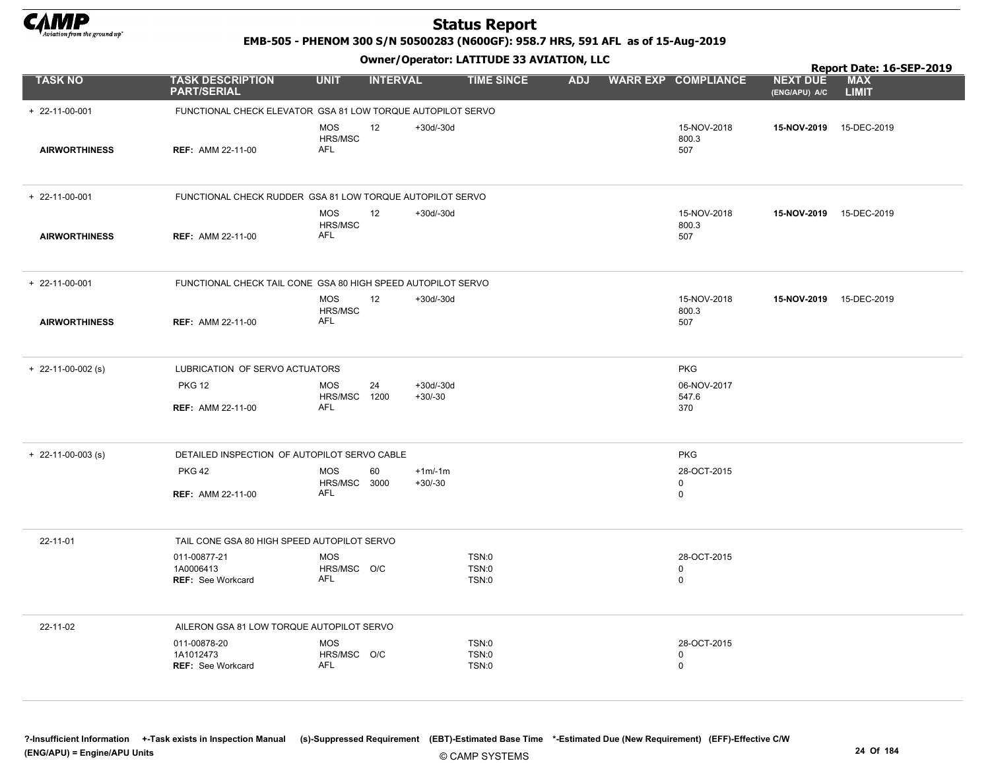

EMB-505 - PHENOM 300 S/N 50500283 (N600GF): 958.7 HRS, 591 AFL as of 15-Aug-2019

Owner/Operator: LATITUDE 33 AVIATION, LLC

|                        |                                                              |                                         |                 |                          | Owner / Operator: EATITODE 33 AVIATION, LLC |            |                                           | Report Date: 16-SEP-2019         |                            |  |  |
|------------------------|--------------------------------------------------------------|-----------------------------------------|-----------------|--------------------------|---------------------------------------------|------------|-------------------------------------------|----------------------------------|----------------------------|--|--|
| <b>TASK NO</b>         | <b>TASK DESCRIPTION</b><br><b>PART/SERIAL</b>                | <b>UNIT</b>                             | <b>INTERVAL</b> |                          | <b>TIME SINCE</b>                           | <b>ADJ</b> | <b>WARR EXP COMPLIANCE</b>                | <b>NEXT DUE</b><br>(ENG/APU) A/C | <b>MAX</b><br><b>LIMIT</b> |  |  |
| $+ 22 - 11 - 00 - 001$ | FUNCTIONAL CHECK ELEVATOR GSA 81 LOW TORQUE AUTOPILOT SERVO  |                                         |                 |                          |                                             |            |                                           |                                  |                            |  |  |
| <b>AIRWORTHINESS</b>   | <b>REF: AMM 22-11-00</b>                                     | MOS<br>HRS/MSC<br><b>AFL</b>            | 12              | +30d/-30d                |                                             |            | 15-NOV-2018<br>800.3<br>507               | 15-NOV-2019 15-DEC-2019          |                            |  |  |
| $+ 22 - 11 - 00 - 001$ | FUNCTIONAL CHECK RUDDER GSA 81 LOW TORQUE AUTOPILOT SERVO    |                                         |                 |                          |                                             |            |                                           |                                  |                            |  |  |
| <b>AIRWORTHINESS</b>   | <b>REF: AMM 22-11-00</b>                                     | <b>MOS</b><br>HRS/MSC<br><b>AFL</b>     | 12              | $+30d/-30d$              |                                             |            | 15-NOV-2018<br>800.3<br>507               | 15-NOV-2019 15-DEC-2019          |                            |  |  |
| $+ 22 - 11 - 00 - 001$ | FUNCTIONAL CHECK TAIL CONE GSA 80 HIGH SPEED AUTOPILOT SERVO |                                         |                 |                          |                                             |            |                                           |                                  |                            |  |  |
| <b>AIRWORTHINESS</b>   | <b>REF: AMM 22-11-00</b>                                     | <b>MOS</b><br>HRS/MSC<br><b>AFL</b>     | 12              | $+30d/-30d$              |                                             |            | 15-NOV-2018<br>800.3<br>507               | 15-NOV-2019                      | 15-DEC-2019                |  |  |
| $+$ 22-11-00-002 (s)   | LUBRICATION OF SERVO ACTUATORS                               |                                         |                 |                          |                                             |            | <b>PKG</b>                                |                                  |                            |  |  |
|                        | <b>PKG 12</b>                                                | <b>MOS</b><br>HRS/MSC 1200              | 24              | $+30d/-30d$<br>$+30/-30$ |                                             |            | 06-NOV-2017<br>547.6                      |                                  |                            |  |  |
|                        | <b>REF: AMM 22-11-00</b>                                     | <b>AFL</b>                              |                 |                          |                                             |            | 370                                       |                                  |                            |  |  |
| $+$ 22-11-00-003 (s)   | DETAILED INSPECTION OF AUTOPILOT SERVO CABLE                 |                                         |                 |                          |                                             |            | <b>PKG</b>                                |                                  |                            |  |  |
|                        | <b>PKG 42</b>                                                | <b>MOS</b><br>HRS/MSC 3000              | 60              | $+1m/1m$<br>$+30/-30$    |                                             |            | 28-OCT-2015<br>0                          |                                  |                            |  |  |
|                        | <b>REF: AMM 22-11-00</b>                                     | <b>AFL</b>                              |                 |                          |                                             |            | $\mathbf 0$                               |                                  |                            |  |  |
| 22-11-01               | TAIL CONE GSA 80 HIGH SPEED AUTOPILOT SERVO                  |                                         |                 |                          |                                             |            |                                           |                                  |                            |  |  |
|                        | 011-00877-21<br>1A0006413<br><b>REF:</b> See Workcard        | <b>MOS</b><br>HRS/MSC O/C<br><b>AFL</b> |                 |                          | TSN:0<br>TSN:0<br>TSN:0                     |            | 28-OCT-2015<br>$\mathbf 0$<br>$\mathbf 0$ |                                  |                            |  |  |
| 22-11-02               | AILERON GSA 81 LOW TORQUE AUTOPILOT SERVO                    |                                         |                 |                          |                                             |            |                                           |                                  |                            |  |  |
|                        | 011-00878-20<br>1A1012473                                    | <b>MOS</b><br>HRS/MSC O/C               |                 |                          | TSN:0<br>TSN:0                              |            | 28-OCT-2015<br>$\mathbf 0$                |                                  |                            |  |  |
|                        | <b>REF: See Workcard</b>                                     | <b>AFL</b>                              |                 |                          | <b>TSN:0</b>                                |            | $\mathbf 0$                               |                                  |                            |  |  |

?-Insufficient Information +-Task exists in Inspection Manual (s)-Suppressed Requirement (EBT)-Estimated Base Time \*-Estimated Due (New Requirement) (EFF)-Effective C/W (ENG/APU) = Engine/APU Units 24 Of 184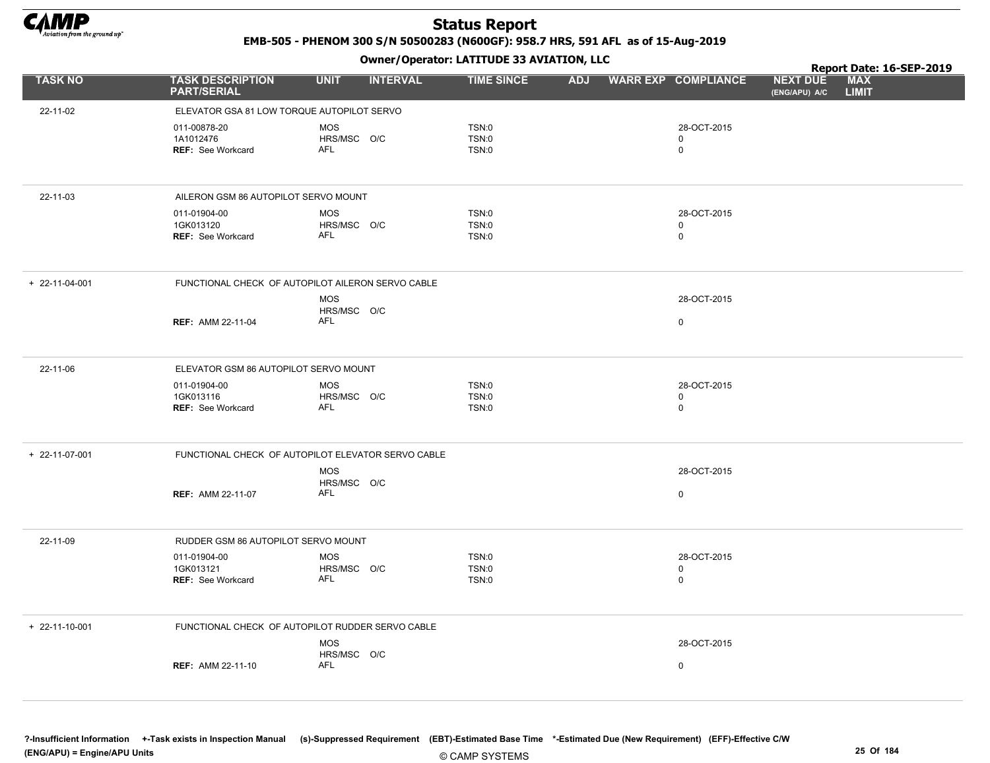

EMB-505 - PHENOM 300 S/N 50500283 (N600GF): 958.7 HRS, 591 AFL as of 15-Aug-2019

Owner/Operator: LATITUDE 33 AVIATION, LLC

|                        |                                                   | .                                                  |                   |                         |                            |                                  | Report Date: 16-SEP-2019   |  |
|------------------------|---------------------------------------------------|----------------------------------------------------|-------------------|-------------------------|----------------------------|----------------------------------|----------------------------|--|
| <b>TASK NO</b>         | <b>TASK DESCRIPTION</b><br><b>PART/SERIAL</b>     | <b>UNIT</b><br><b>INTERVAL</b>                     | <b>TIME SINCE</b> | ADJ WARR EXP COMPLIANCE |                            | <b>NEXT DUE</b><br>(ENG/APU) A/C | <b>MAX</b><br><b>LIMIT</b> |  |
| 22-11-02               | ELEVATOR GSA 81 LOW TORQUE AUTOPILOT SERVO        |                                                    |                   |                         |                            |                                  |                            |  |
|                        | 011-00878-20                                      | <b>MOS</b>                                         | TSN:0             |                         | 28-OCT-2015                |                                  |                            |  |
|                        | 1A1012476                                         | HRS/MSC O/C<br><b>AFL</b>                          | TSN:0             |                         | $\mathbf 0$                |                                  |                            |  |
|                        | REF: See Workcard                                 |                                                    | TSN:0             |                         | $\mathsf 0$                |                                  |                            |  |
| 22-11-03               | AILERON GSM 86 AUTOPILOT SERVO MOUNT              |                                                    |                   |                         |                            |                                  |                            |  |
|                        | 011-01904-00                                      | <b>MOS</b>                                         | TSN:0             |                         | 28-OCT-2015                |                                  |                            |  |
|                        | 1GK013120<br>REF: See Workcard                    | HRS/MSC O/C<br><b>AFL</b>                          | TSN:0<br>TSN:0    |                         | $\mathbf 0$<br>$\mathbf 0$ |                                  |                            |  |
|                        |                                                   |                                                    |                   |                         |                            |                                  |                            |  |
| $+ 22 - 11 - 04 - 001$ | FUNCTIONAL CHECK OF AUTOPILOT AILERON SERVO CABLE |                                                    |                   |                         |                            |                                  |                            |  |
|                        |                                                   | MOS<br>HRS/MSC O/C                                 |                   |                         | 28-OCT-2015                |                                  |                            |  |
|                        | <b>REF: AMM 22-11-04</b>                          | AFL                                                |                   |                         | $\pmb{0}$                  |                                  |                            |  |
|                        |                                                   |                                                    |                   |                         |                            |                                  |                            |  |
| 22-11-06               | ELEVATOR GSM 86 AUTOPILOT SERVO MOUNT             |                                                    |                   |                         |                            |                                  |                            |  |
|                        | 011-01904-00<br>1GK013116                         | MOS<br>HRS/MSC O/C                                 | TSN:0<br>TSN:0    |                         | 28-OCT-2015<br>$\mathbf 0$ |                                  |                            |  |
|                        | <b>REF: See Workcard</b>                          | AFL                                                | TSN:0             |                         | $\mathbf 0$                |                                  |                            |  |
|                        |                                                   |                                                    |                   |                         |                            |                                  |                            |  |
| + 22-11-07-001         |                                                   | FUNCTIONAL CHECK OF AUTOPILOT ELEVATOR SERVO CABLE |                   |                         |                            |                                  |                            |  |
|                        |                                                   | <b>MOS</b><br>HRS/MSC O/C                          |                   |                         | 28-OCT-2015                |                                  |                            |  |
|                        | <b>REF: AMM 22-11-07</b>                          | <b>AFL</b>                                         |                   |                         | $\mathsf 0$                |                                  |                            |  |
|                        |                                                   |                                                    |                   |                         |                            |                                  |                            |  |
| 22-11-09               | RUDDER GSM 86 AUTOPILOT SERVO MOUNT               |                                                    |                   |                         |                            |                                  |                            |  |
|                        | 011-01904-00                                      | <b>MOS</b>                                         | TSN:0             |                         | 28-OCT-2015                |                                  |                            |  |
|                        | 1GK013121<br>REF: See Workcard                    | HRS/MSC O/C<br><b>AFL</b>                          | TSN:0<br>TSN:0    |                         | $\mathbf 0$<br>$\mathsf 0$ |                                  |                            |  |
|                        |                                                   |                                                    |                   |                         |                            |                                  |                            |  |
| $+ 22 - 11 - 10 - 001$ | FUNCTIONAL CHECK OF AUTOPILOT RUDDER SERVO CABLE  |                                                    |                   |                         |                            |                                  |                            |  |
|                        |                                                   | MOS                                                |                   |                         | 28-OCT-2015                |                                  |                            |  |
|                        | <b>REF: AMM 22-11-10</b>                          | HRS/MSC O/C<br>AFL                                 |                   |                         | $\pmb{0}$                  |                                  |                            |  |
|                        |                                                   |                                                    |                   |                         |                            |                                  |                            |  |
|                        |                                                   |                                                    |                   |                         |                            |                                  |                            |  |

?-Insufficient Information +-Task exists in Inspection Manual (s)-Suppressed Requirement (EBT)-Estimated Base Time \*-Estimated Due (New Requirement) (EFF)-Effective C/W (ENG/APU) = Engine/APU Units 25 Of 184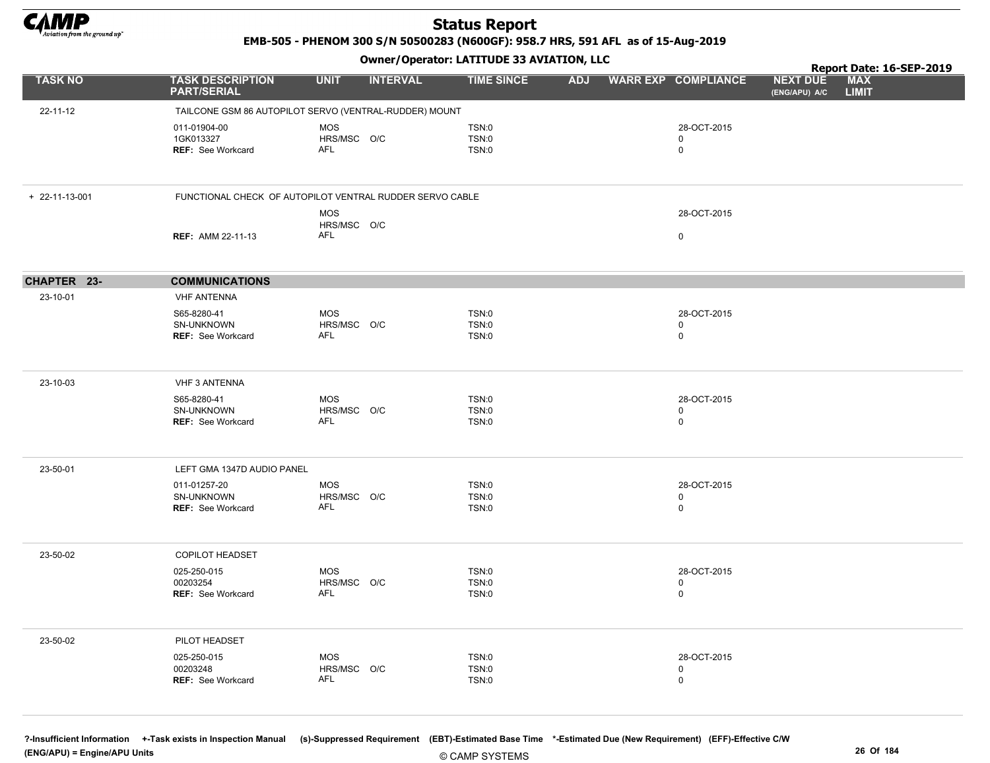

EMB-505 - PHENOM 300 S/N 50500283 (N600GF): 958.7 HRS, 591 AFL as of 15-Aug-2019

Owner/Operator: LATITUDE 33 AVIATION, LLC

|                                                     |                          | .               |                                                                                                       |                                                                                                                    |                                           |                                  |              |                                        |
|-----------------------------------------------------|--------------------------|-----------------|-------------------------------------------------------------------------------------------------------|--------------------------------------------------------------------------------------------------------------------|-------------------------------------------|----------------------------------|--------------|----------------------------------------|
| <b>PART/SERIAL</b>                                  |                          | <b>INTERVAL</b> | <b>TIME SINCE</b>                                                                                     |                                                                                                                    |                                           | <b>NEXT DUE</b><br>(ENG/APU) A/C | <b>LIMIT</b> |                                        |
|                                                     |                          |                 |                                                                                                       |                                                                                                                    |                                           |                                  |              |                                        |
| 011-01904-00<br>1GK013327<br>REF: See Workcard      | <b>MOS</b><br>AFL        |                 | TSN:0<br>TSN:0<br>TSN:0                                                                               |                                                                                                                    | 28-OCT-2015<br>$\mathbf 0$<br>$\mathbf 0$ |                                  |              |                                        |
|                                                     |                          |                 |                                                                                                       |                                                                                                                    |                                           |                                  |              |                                        |
| <b>REF: AMM 22-11-13</b>                            | <b>MOS</b><br>AFL        |                 |                                                                                                       |                                                                                                                    | 28-OCT-2015<br>$\mathsf 0$                |                                  |              |                                        |
| <b>COMMUNICATIONS</b>                               |                          |                 |                                                                                                       |                                                                                                                    |                                           |                                  |              |                                        |
| <b>VHF ANTENNA</b>                                  |                          |                 |                                                                                                       |                                                                                                                    |                                           |                                  |              |                                        |
| S65-8280-41<br>SN-UNKNOWN<br>REF: See Workcard      | <b>MOS</b><br><b>AFL</b> |                 | TSN:0<br>TSN:0<br>TSN:0                                                                               |                                                                                                                    | 28-OCT-2015<br>$\mathbf 0$<br>$\mathbf 0$ |                                  |              |                                        |
| <b>VHF 3 ANTENNA</b>                                |                          |                 |                                                                                                       |                                                                                                                    |                                           |                                  |              |                                        |
| S65-8280-41<br>SN-UNKNOWN<br>REF: See Workcard      | <b>MOS</b><br>AFL        |                 | TSN:0<br>TSN:0<br>TSN:0                                                                               |                                                                                                                    | 28-OCT-2015<br>$\mathbf 0$<br>$\mathbf 0$ |                                  |              |                                        |
| LEFT GMA 1347D AUDIO PANEL                          |                          |                 |                                                                                                       |                                                                                                                    |                                           |                                  |              |                                        |
| 011-01257-20<br>SN-UNKNOWN<br>REF: See Workcard     | <b>MOS</b><br><b>AFL</b> |                 | <b>TSN:0</b><br>TSN:0<br>TSN:0                                                                        |                                                                                                                    | 28-OCT-2015<br>$\mathbf 0$<br>$\pmb{0}$   |                                  |              |                                        |
| <b>COPILOT HEADSET</b>                              |                          |                 |                                                                                                       |                                                                                                                    |                                           |                                  |              |                                        |
| 025-250-015<br>00203254<br><b>REF: See Workcard</b> | MOS<br><b>AFL</b>        |                 | TSN:0<br>TSN:0<br>TSN:0                                                                               |                                                                                                                    | 28-OCT-2015<br>$\mathbf 0$<br>$\mathbf 0$ |                                  |              |                                        |
| PILOT HEADSET                                       |                          |                 |                                                                                                       |                                                                                                                    |                                           |                                  |              |                                        |
| 025-250-015<br>00203248<br>REF: See Workcard        | <b>MOS</b><br><b>AFL</b> |                 | TSN:0<br>TSN:0<br>TSN:0                                                                               |                                                                                                                    | 28-OCT-2015<br>$\mathsf 0$<br>$\pmb{0}$   |                                  |              |                                        |
|                                                     | <b>TASK DESCRIPTION</b>  | <b>UNIT</b>     | HRS/MSC O/C<br>HRS/MSC O/C<br>HRS/MSC O/C<br>HRS/MSC O/C<br>HRS/MSC O/C<br>HRS/MSC O/C<br>HRS/MSC O/C | TAILCONE GSM 86 AUTOPILOT SERVO (VENTRAL-RUDDER) MOUNT<br>FUNCTIONAL CHECK OF AUTOPILOT VENTRAL RUDDER SERVO CABLE |                                           | ADJ WARR EXP COMPLIANCE          |              | Report Date: 16-SEP-2019<br><b>MAX</b> |

© CAMP SYSTEMS ?-Insufficient Information +-Task exists in Inspection Manual (s)-Suppressed Requirement (EBT)-Estimated Base Time \*-Estimated Due (New Requirement) (EFF)-Effective C/W (ENG/APU) = Engine/APU Units 26 Of 184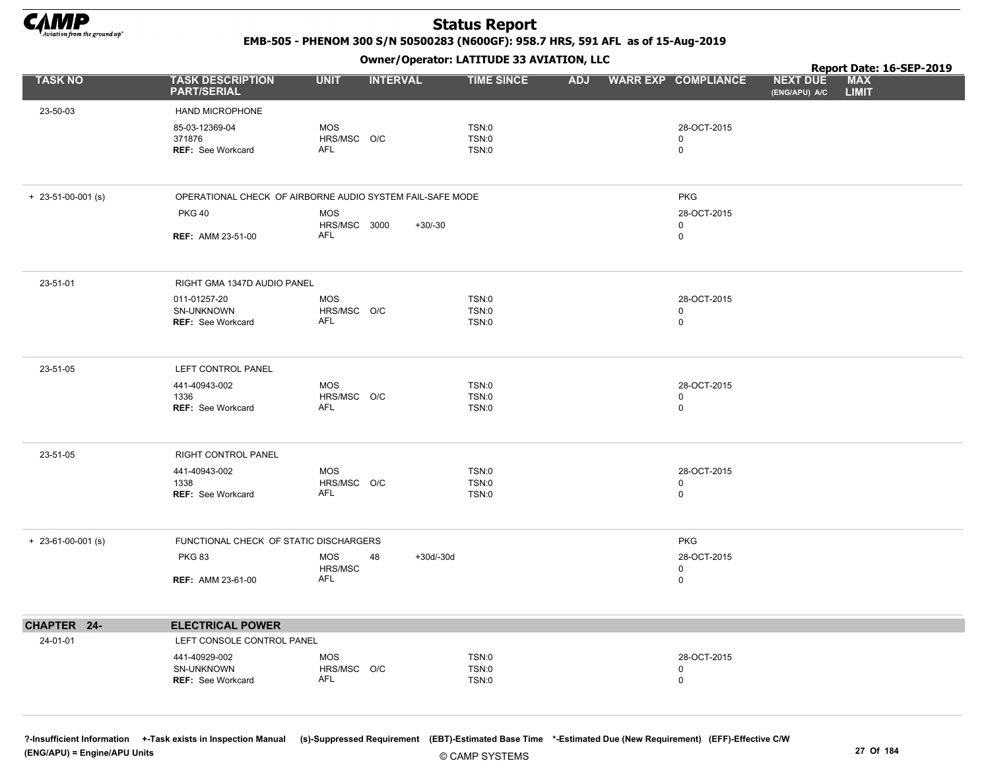

EMB-505 - PHENOM 300 S/N 50500283 (N600GF): 958.7 HRS, 591 AFL as of 15-Aug-2019

Owner/Operator: LATITUDE 33 AVIATION, LLC

|                            |                                                        |                                                           | Report Date: 16-SEP-2019 |            |                                 |                                  |                            |
|----------------------------|--------------------------------------------------------|-----------------------------------------------------------|--------------------------|------------|---------------------------------|----------------------------------|----------------------------|
| <b>TASK NO</b>             | <b>TASK DESCRIPTION</b><br><b>PART/SERIAL</b>          | <b>UNIT</b><br><b>INTERVAL</b>                            | <b>TIME SINCE</b>        | <b>ADJ</b> | <b>WARR EXP COMPLIANCE</b>      | <b>NEXT DUE</b><br>(ENG/APU) A/C | <b>MAX</b><br><b>LIMIT</b> |
| 23-50-03                   | HAND MICROPHONE                                        |                                                           |                          |            |                                 |                                  |                            |
|                            | 85-03-12369-04<br>371876<br><b>REF: See Workcard</b>   | <b>MOS</b><br>HRS/MSC O/C<br>AFL                          | TSN:0<br>TSN:0<br>TSN:0  |            | 28-OCT-2015<br>0<br>$\mathbf 0$ |                                  |                            |
|                            |                                                        |                                                           |                          |            |                                 |                                  |                            |
| $+ 23 - 51 - 00 - 001$ (s) |                                                        | OPERATIONAL CHECK OF AIRBORNE AUDIO SYSTEM FAIL-SAFE MODE |                          |            | <b>PKG</b>                      |                                  |                            |
|                            | <b>PKG 40</b>                                          | MOS                                                       |                          |            | 28-OCT-2015                     |                                  |                            |
|                            | <b>REF: AMM 23-51-00</b>                               | HRS/MSC 3000<br>$+30/-30$<br><b>AFL</b>                   |                          |            | 0<br>0                          |                                  |                            |
| 23-51-01                   | RIGHT GMA 1347D AUDIO PANEL                            |                                                           |                          |            |                                 |                                  |                            |
|                            | 011-01257-20<br>SN-UNKNOWN<br><b>REF: See Workcard</b> | MOS<br>HRS/MSC O/C<br><b>AFL</b>                          | TSN:0<br>TSN:0<br>TSN:0  |            | 28-OCT-2015<br>0<br>$\mathbf 0$ |                                  |                            |
| 23-51-05                   | LEFT CONTROL PANEL                                     |                                                           |                          |            |                                 |                                  |                            |
|                            | 441-40943-002<br>1336<br><b>REF: See Workcard</b>      | MOS<br>HRS/MSC O/C<br><b>AFL</b>                          | TSN:0<br>TSN:0<br>TSN:0  |            | 28-OCT-2015<br>0<br>$\mathbf 0$ |                                  |                            |
| 23-51-05                   | RIGHT CONTROL PANEL                                    |                                                           |                          |            |                                 |                                  |                            |
|                            | 441-40943-002<br>1338<br><b>REF: See Workcard</b>      | <b>MOS</b><br>HRS/MSC O/C<br>AFL                          | TSN:0<br>TSN:0<br>TSN:0  |            | 28-OCT-2015<br>0<br>$\mathbf 0$ |                                  |                            |
| $+ 23-61-00-001$ (s)       | FUNCTIONAL CHECK OF STATIC DISCHARGERS                 |                                                           |                          |            | <b>PKG</b>                      |                                  |                            |
|                            | <b>PKG 83</b><br><b>REF: AMM 23-61-00</b>              | MOS<br>48<br>HRS/MSC<br>AFL                               | $+30d/-30d$              |            | 28-OCT-2015<br>0<br>0           |                                  |                            |
|                            |                                                        |                                                           |                          |            |                                 |                                  |                            |
| CHAPTER 24-                | <b>ELECTRICAL POWER</b>                                |                                                           |                          |            |                                 |                                  |                            |
| 24-01-01                   | LEFT CONSOLE CONTROL PANEL                             |                                                           |                          |            |                                 |                                  |                            |
|                            | 441-40929-002                                          | MOS                                                       | TSN:0                    |            | 28-OCT-2015                     |                                  |                            |
|                            | SN-UNKNOWN<br>REF: See Workcard                        | HRS/MSC O/C<br>AFL                                        | TSN:0<br>TSN:0           |            | 0<br>$\mathsf 0$                |                                  |                            |
|                            |                                                        |                                                           |                          |            |                                 |                                  |                            |

?-Insufficient Information +-Task exists in Inspection Manual (s)-Suppressed Requirement (EBT)-Estimated Base Time \*-Estimated Due (New Requirement) (EFF)-Effective C/W (ENG/APU) = Engine/APU Units 27 Of 184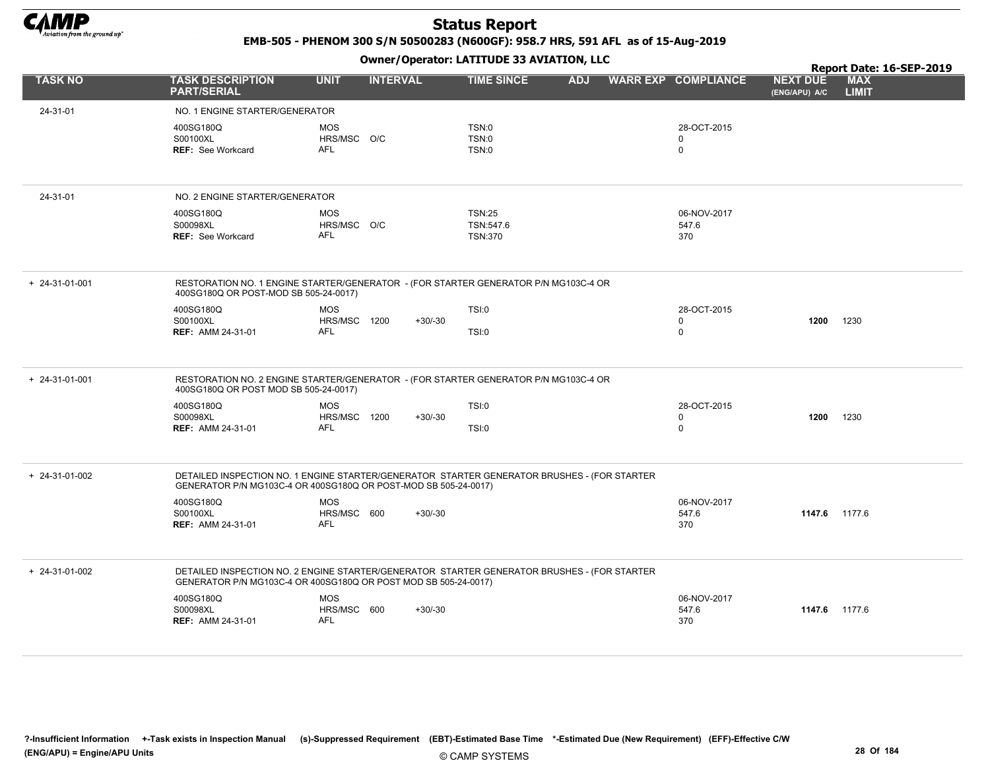

EMB-505 - PHENOM 300 S/N 50500283 (N600GF): 958.7 HRS, 591 AFL as of 15-Aug-2019

|                        |                                                                                                                                                                |                                          |                 |                                              |            |                                           |                                  | Report Date: 16-SEP-2019   |
|------------------------|----------------------------------------------------------------------------------------------------------------------------------------------------------------|------------------------------------------|-----------------|----------------------------------------------|------------|-------------------------------------------|----------------------------------|----------------------------|
| <b>TASK NO</b>         | <b>TASK DESCRIPTION</b><br><b>PART/SERIAL</b>                                                                                                                  | <b>UNIT</b>                              | <b>INTERVAL</b> | <b>TIME SINCE</b>                            | <b>ADJ</b> | <b>WARR EXP COMPLIANCE</b>                | <b>NEXT DUE</b><br>(ENG/APU) A/C | <b>MAX</b><br><b>LIMIT</b> |
| 24-31-01               | NO. 1 ENGINE STARTER/GENERATOR                                                                                                                                 |                                          |                 |                                              |            |                                           |                                  |                            |
|                        | 400SG180Q<br>S00100XL<br><b>REF: See Workcard</b>                                                                                                              | <b>MOS</b><br>HRS/MSC O/C<br><b>AFL</b>  |                 | <b>TSN:0</b><br>TSN:0<br><b>TSN:0</b>        |            | 28-OCT-2015<br>$\mathbf 0$<br>$\mathsf 0$ |                                  |                            |
| 24-31-01               | NO. 2 ENGINE STARTER/GENERATOR                                                                                                                                 |                                          |                 |                                              |            |                                           |                                  |                            |
|                        | 400SG180Q<br>S00098XL<br><b>REF: See Workcard</b>                                                                                                              | <b>MOS</b><br>HRS/MSC O/C<br><b>AFL</b>  |                 | <b>TSN:25</b><br>TSN:547.6<br><b>TSN:370</b> |            | 06-NOV-2017<br>547.6<br>370               |                                  |                            |
| $+ 24 - 31 - 01 - 001$ | RESTORATION NO. 1 ENGINE STARTER/GENERATOR - (FOR STARTER GENERATOR P/N MG103C-4 OR<br>400SG180Q OR POST-MOD SB 505-24-0017)                                   |                                          |                 |                                              |            |                                           |                                  |                            |
|                        | 400SG180Q<br>S00100XL<br><b>REF: AMM 24-31-01</b>                                                                                                              | <b>MOS</b><br>HRS/MSC 1200<br>AFL        | $+30/-30$       | <b>TSI:0</b><br><b>TSI:0</b>                 |            | 28-OCT-2015<br>$\mathbf 0$<br>$\mathbf 0$ | 1200                             | 1230                       |
| $+ 24 - 31 - 01 - 001$ | RESTORATION NO. 2 ENGINE STARTER/GENERATOR - (FOR STARTER GENERATOR P/N MG103C-4 OR<br>400SG180Q OR POST MOD SB 505-24-0017)                                   |                                          |                 |                                              |            |                                           |                                  |                            |
|                        | 400SG180Q<br>S00098XL<br><b>REF: AMM 24-31-01</b>                                                                                                              | <b>MOS</b><br>HRS/MSC 1200<br><b>AFL</b> | $+30/-30$       | <b>TSI:0</b><br><b>TSI:0</b>                 |            | 28-OCT-2015<br>$\mathbf 0$<br>$\mathbf 0$ | 1200                             | 1230                       |
| $+ 24-31-01-002$       | DETAILED INSPECTION NO. 1 ENGINE STARTER/GENERATOR STARTER GENERATOR BRUSHES - (FOR STARTER<br>GENERATOR P/N MG103C-4 OR 400SG180Q OR POST-MOD SB 505-24-0017) |                                          |                 |                                              |            |                                           |                                  |                            |
|                        | 400SG180Q<br>S00100XL<br><b>REF: AMM 24-31-01</b>                                                                                                              | <b>MOS</b><br>HRS/MSC 600<br><b>AFL</b>  | $+30/30$        |                                              |            | 06-NOV-2017<br>547.6<br>370               | 1147.6 1177.6                    |                            |
| $+ 24-31-01-002$       | DETAILED INSPECTION NO. 2 ENGINE STARTER/GENERATOR STARTER GENERATOR BRUSHES - (FOR STARTER<br>GENERATOR P/N MG103C-4 OR 400SG180Q OR POST MOD SB 505-24-0017) |                                          |                 |                                              |            |                                           |                                  |                            |
|                        | 400SG180Q<br>S00098XL<br><b>REF: AMM 24-31-01</b>                                                                                                              | <b>MOS</b><br>HRS/MSC 600<br><b>AFL</b>  | $+30/-30$       |                                              |            | 06-NOV-2017<br>547.6<br>370               | 1147.6 1177.6                    |                            |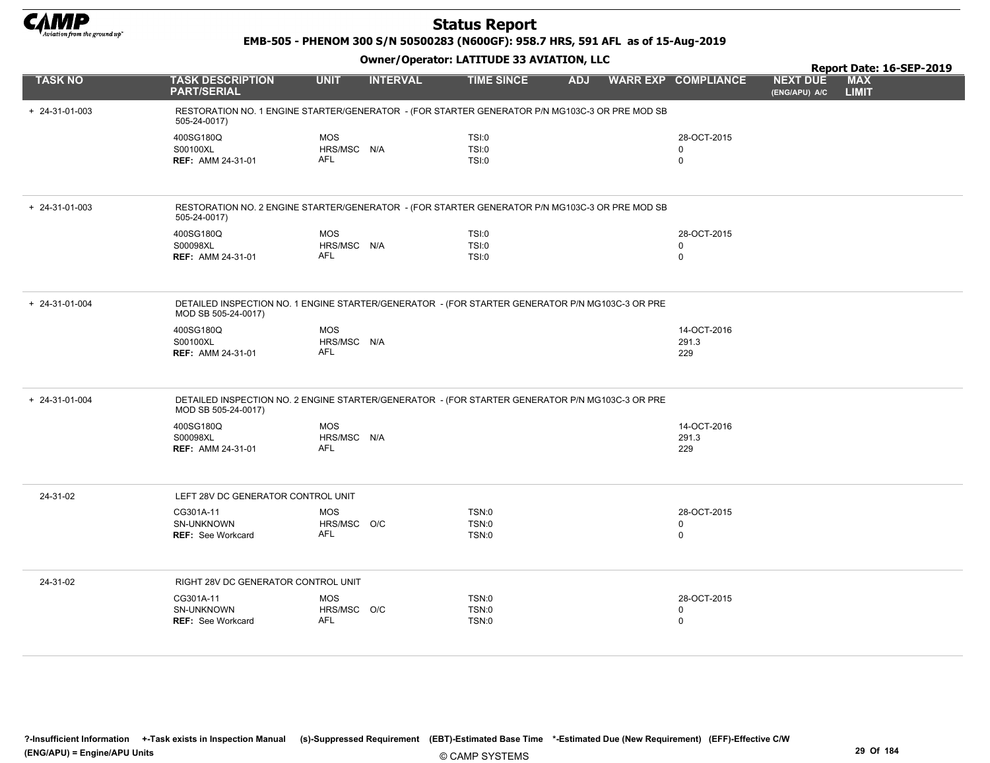

EMB-505 - PHENOM 300 S/N 50500283 (N600GF): 958.7 HRS, 591 AFL as of 15-Aug-2019

|                  |                                                                                                                        |                           | Report Date: 16-SEP-2019 |                   |            |  |                            |                                  |                            |
|------------------|------------------------------------------------------------------------------------------------------------------------|---------------------------|--------------------------|-------------------|------------|--|----------------------------|----------------------------------|----------------------------|
| <b>TASK NO</b>   | <b>TASK DESCRIPTION</b><br><b>PART/SERIAL</b>                                                                          | <b>UNIT</b>               | <b>INTERVAL</b>          | <b>TIME SINCE</b> | <b>ADJ</b> |  | <b>WARR EXP COMPLIANCE</b> | <b>NEXT DUE</b><br>(ENG/APU) A/C | <b>MAX</b><br><b>LIMIT</b> |
| $+ 24-31-01-003$ | RESTORATION NO. 1 ENGINE STARTER/GENERATOR - (FOR STARTER GENERATOR P/N MG103C-3 OR PRE MOD SB<br>505-24-0017)         |                           |                          |                   |            |  |                            |                                  |                            |
|                  | 400SG180Q                                                                                                              | <b>MOS</b>                |                          | TSI:0             |            |  | 28-OCT-2015                |                                  |                            |
|                  | S00100XL                                                                                                               | HRS/MSC N/A<br><b>AFL</b> |                          | TSI:0             |            |  | 0<br>$\mathbf 0$           |                                  |                            |
|                  | <b>REF: AMM 24-31-01</b>                                                                                               |                           |                          | <b>TSI:0</b>      |            |  |                            |                                  |                            |
| $+ 24-31-01-003$ | RESTORATION NO. 2 ENGINE STARTER/GENERATOR - (FOR STARTER GENERATOR P/N MG103C-3 OR PRE MOD SB<br>505-24-0017)         |                           |                          |                   |            |  |                            |                                  |                            |
|                  | 400SG180Q                                                                                                              | <b>MOS</b>                |                          | TSI:0             |            |  | 28-OCT-2015                |                                  |                            |
|                  | S00098XL                                                                                                               | HRS/MSC N/A               |                          | <b>TSI:0</b>      |            |  | $\mathbf 0$                |                                  |                            |
|                  | <b>REF: AMM 24-31-01</b>                                                                                               | <b>AFL</b>                |                          | TSI:0             |            |  | $\mathbf 0$                |                                  |                            |
| + 24-31-01-004   | DETAILED INSPECTION NO. 1 ENGINE STARTER/GENERATOR - (FOR STARTER GENERATOR P/N MG103C-3 OR PRE<br>MOD SB 505-24-0017) |                           |                          |                   |            |  |                            |                                  |                            |
|                  | 400SG180Q                                                                                                              | <b>MOS</b>                |                          |                   |            |  | 14-OCT-2016                |                                  |                            |
|                  | S00100XL                                                                                                               | HRS/MSC N/A               |                          |                   |            |  | 291.3                      |                                  |                            |
|                  | <b>REF: AMM 24-31-01</b>                                                                                               | <b>AFL</b>                |                          |                   |            |  | 229                        |                                  |                            |
|                  |                                                                                                                        |                           |                          |                   |            |  |                            |                                  |                            |
| $+ 24-31-01-004$ | DETAILED INSPECTION NO. 2 ENGINE STARTER/GENERATOR - (FOR STARTER GENERATOR P/N MG103C-3 OR PRE<br>MOD SB 505-24-0017) |                           |                          |                   |            |  |                            |                                  |                            |
|                  | 400SG180Q                                                                                                              | <b>MOS</b>                |                          |                   |            |  | 14-OCT-2016                |                                  |                            |
|                  | S00098XL                                                                                                               | HRS/MSC N/A               |                          |                   |            |  | 291.3                      |                                  |                            |
|                  | <b>REF: AMM 24-31-01</b>                                                                                               | <b>AFL</b>                |                          |                   |            |  | 229                        |                                  |                            |
| 24-31-02         | LEFT 28V DC GENERATOR CONTROL UNIT                                                                                     |                           |                          |                   |            |  |                            |                                  |                            |
|                  | CG301A-11                                                                                                              | <b>MOS</b>                |                          | TSN:0             |            |  | 28-OCT-2015                |                                  |                            |
|                  | SN-UNKNOWN                                                                                                             | HRS/MSC O/C               |                          | TSN:0             |            |  | $\mathbf 0$                |                                  |                            |
|                  | <b>REF: See Workcard</b>                                                                                               | <b>AFL</b>                |                          | TSN:0             |            |  | $\mathbf 0$                |                                  |                            |
| 24-31-02         | RIGHT 28V DC GENERATOR CONTROL UNIT                                                                                    |                           |                          |                   |            |  |                            |                                  |                            |
|                  | CG301A-11                                                                                                              | <b>MOS</b>                |                          | TSN:0             |            |  | 28-OCT-2015                |                                  |                            |
|                  | SN-UNKNOWN                                                                                                             | HRS/MSC O/C               |                          | TSN:0             |            |  | $\mathbf 0$                |                                  |                            |
|                  | <b>REF: See Workcard</b>                                                                                               | <b>AFL</b>                |                          | TSN:0             |            |  | $\mathbf 0$                |                                  |                            |
|                  |                                                                                                                        |                           |                          |                   |            |  |                            |                                  |                            |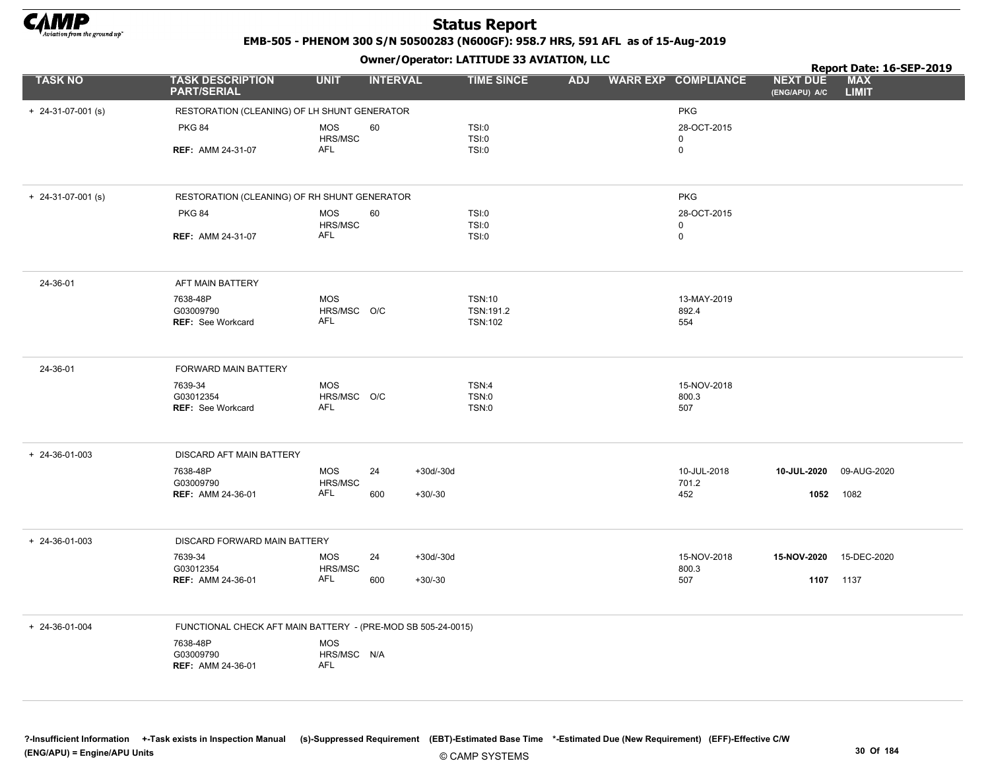

EMB-505 - PHENOM 300 S/N 50500283 (N600GF): 958.7 HRS, 591 AFL as of 15-Aug-2019

|                        |                                                              |                           | $\mathbf{r}$      |                             |            |                            |                                  | Report Date: 16-SEP-2019   |
|------------------------|--------------------------------------------------------------|---------------------------|-------------------|-----------------------------|------------|----------------------------|----------------------------------|----------------------------|
| <b>TASK NO</b>         | <b>TASK DESCRIPTION</b><br><b>PART/SERIAL</b>                | <b>UNIT</b>               | <b>INTERVAL</b>   | <b>TIME SINCE</b>           | <b>ADJ</b> | <b>WARR EXP COMPLIANCE</b> | <b>NEXT DUE</b><br>(ENG/APU) A/C | <b>MAX</b><br><b>LIMIT</b> |
| $+ 24-31-07-001$ (s)   | RESTORATION (CLEANING) OF LH SHUNT GENERATOR                 |                           |                   |                             |            | <b>PKG</b>                 |                                  |                            |
|                        | <b>PKG 84</b>                                                | MOS                       | 60                | TSI:0                       |            | 28-OCT-2015                |                                  |                            |
|                        |                                                              | HRS/MSC                   |                   | <b>TSI:0</b>                |            | $\mathbf 0$                |                                  |                            |
|                        | <b>REF: AMM 24-31-07</b>                                     | AFL                       |                   | <b>TSI:0</b>                |            | $\pmb{0}$                  |                                  |                            |
| $+ 24-31-07-001$ (s)   | RESTORATION (CLEANING) OF RH SHUNT GENERATOR                 |                           |                   |                             |            | <b>PKG</b>                 |                                  |                            |
|                        | <b>PKG 84</b>                                                | MOS<br>HRS/MSC            | 60                | TSI:0<br><b>TSI:0</b>       |            | 28-OCT-2015<br>$\mathbf 0$ |                                  |                            |
|                        | <b>REF: AMM 24-31-07</b>                                     | AFL                       |                   | <b>TSI:0</b>                |            | $\mathsf 0$                |                                  |                            |
| 24-36-01               | AFT MAIN BATTERY                                             |                           |                   |                             |            |                            |                                  |                            |
|                        | 7638-48P                                                     | <b>MOS</b>                |                   | <b>TSN:10</b>               |            | 13-MAY-2019                |                                  |                            |
|                        | G03009790<br><b>REF:</b> See Workcard                        | HRS/MSC O/C<br><b>AFL</b> |                   | TSN:191.2<br><b>TSN:102</b> |            | 892.4<br>554               |                                  |                            |
|                        |                                                              |                           |                   |                             |            |                            |                                  |                            |
| 24-36-01               | <b>FORWARD MAIN BATTERY</b>                                  |                           |                   |                             |            |                            |                                  |                            |
|                        | 7639-34                                                      | <b>MOS</b>                |                   | TSN:4                       |            | 15-NOV-2018                |                                  |                            |
|                        | G03012354<br><b>REF:</b> See Workcard                        | HRS/MSC O/C<br>AFL        |                   | TSN:0<br>TSN:0              |            | 800.3<br>507               |                                  |                            |
|                        |                                                              |                           |                   |                             |            |                            |                                  |                            |
| $+ 24 - 36 - 01 - 003$ | DISCARD AFT MAIN BATTERY                                     |                           |                   |                             |            |                            |                                  |                            |
|                        | 7638-48P<br>G03009790                                        | <b>MOS</b><br>HRS/MSC     | 24<br>$+30d/-30d$ |                             |            | 10-JUL-2018<br>701.2       | 10-JUL-2020                      | 09-AUG-2020                |
|                        | <b>REF: AMM 24-36-01</b>                                     | AFL                       | 600<br>$+30/-30$  |                             |            | 452                        | 1052                             | 1082                       |
|                        |                                                              |                           |                   |                             |            |                            |                                  |                            |
| $+ 24 - 36 - 01 - 003$ | DISCARD FORWARD MAIN BATTERY                                 |                           |                   |                             |            |                            |                                  |                            |
|                        | 7639-34<br>G03012354                                         | <b>MOS</b><br>HRS/MSC     | 24<br>$+30d/-30d$ |                             |            | 15-NOV-2018<br>800.3       | 15-NOV-2020                      | 15-DEC-2020                |
|                        | <b>REF: AMM 24-36-01</b>                                     | AFL                       | 600<br>$+30/-30$  |                             |            | 507                        |                                  | 1107 1137                  |
|                        |                                                              |                           |                   |                             |            |                            |                                  |                            |
| + 24-36-01-004         | FUNCTIONAL CHECK AFT MAIN BATTERY - (PRE-MOD SB 505-24-0015) |                           |                   |                             |            |                            |                                  |                            |
|                        | 7638-48P                                                     | <b>MOS</b>                |                   |                             |            |                            |                                  |                            |
|                        | G03009790<br><b>REF: AMM 24-36-01</b>                        | HRS/MSC N/A<br><b>AFL</b> |                   |                             |            |                            |                                  |                            |
|                        |                                                              |                           |                   |                             |            |                            |                                  |                            |
|                        |                                                              |                           |                   |                             |            |                            |                                  |                            |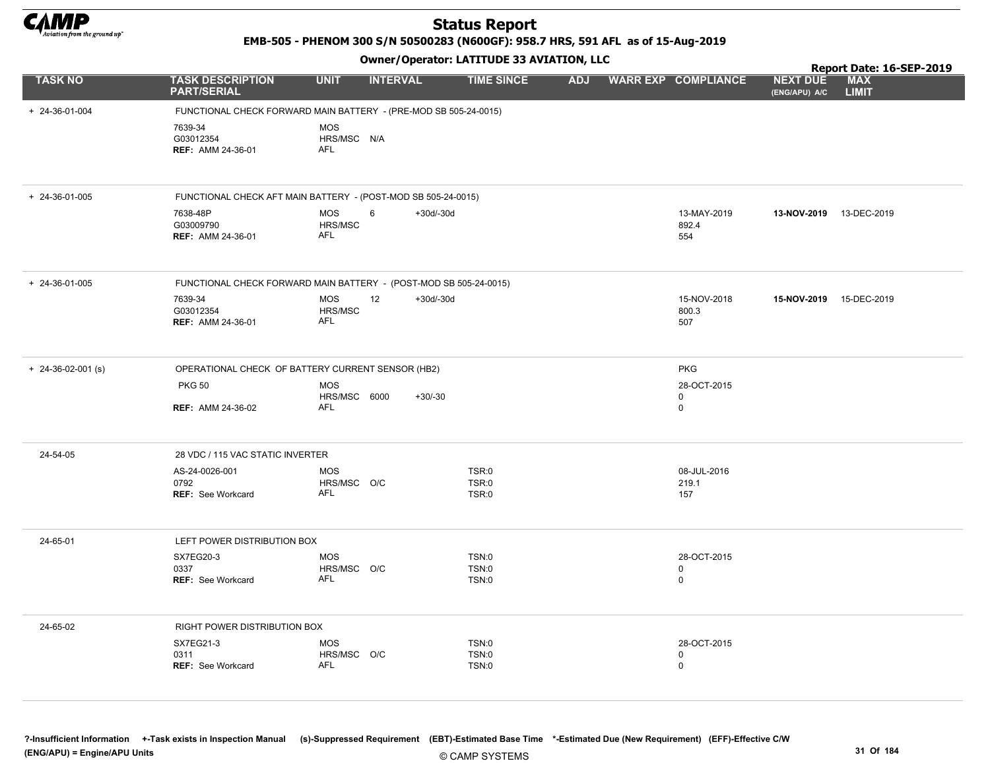

EMB-505 - PHENOM 300 S/N 50500283 (N600GF): 958.7 HRS, 591 AFL as of 15-Aug-2019

Owner/Operator: LATITUDE 33 AVIATION, LLC

|                            |                                                   | $\mathbf{r}$                                                      |                   | Report Date: 16-SEP-2019 |                             |                                  |                            |
|----------------------------|---------------------------------------------------|-------------------------------------------------------------------|-------------------|--------------------------|-----------------------------|----------------------------------|----------------------------|
| <b>TASK NO</b>             | <b>TASK DESCRIPTION</b><br><b>PART/SERIAL</b>     | <b>UNIT</b><br><b>INTERVAL</b>                                    | <b>TIME SINCE</b> | <b>ADJ</b>               | <b>WARR EXP COMPLIANCE</b>  | <b>NEXT DUE</b><br>(ENG/APU) A/C | <b>MAX</b><br><b>LIMIT</b> |
| $+ 24 - 36 - 01 - 004$     |                                                   | FUNCTIONAL CHECK FORWARD MAIN BATTERY - (PRE-MOD SB 505-24-0015)  |                   |                          |                             |                                  |                            |
|                            | 7639-34<br>G03012354<br><b>REF: AMM 24-36-01</b>  | <b>MOS</b><br>HRS/MSC N/A<br><b>AFL</b>                           |                   |                          |                             |                                  |                            |
| $+ 24 - 36 - 01 - 005$     |                                                   | FUNCTIONAL CHECK AFT MAIN BATTERY - (POST-MOD SB 505-24-0015)     |                   |                          |                             |                                  |                            |
|                            | 7638-48P<br>G03009790<br><b>REF: AMM 24-36-01</b> | <b>MOS</b><br>6<br>$+30d/-30d$<br>HRS/MSC<br><b>AFL</b>           |                   |                          | 13-MAY-2019<br>892.4<br>554 | 13-NOV-2019 13-DEC-2019          |                            |
| $+ 24 - 36 - 01 - 005$     |                                                   | FUNCTIONAL CHECK FORWARD MAIN BATTERY - (POST-MOD SB 505-24-0015) |                   |                          |                             |                                  |                            |
|                            | 7639-34<br>G03012354<br><b>REF: AMM 24-36-01</b>  | <b>MOS</b><br>12<br>$+30d/-30d$<br>HRS/MSC<br>AFL                 |                   |                          | 15-NOV-2018<br>800.3<br>507 | 15-NOV-2019 15-DEC-2019          |                            |
| $+ 24 - 36 - 02 - 001$ (s) |                                                   | OPERATIONAL CHECK OF BATTERY CURRENT SENSOR (HB2)                 |                   |                          | <b>PKG</b>                  |                                  |                            |
|                            | <b>PKG 50</b>                                     | <b>MOS</b><br>HRS/MSC 6000<br>$+30/-30$                           |                   |                          | 28-OCT-2015<br>$\mathbf 0$  |                                  |                            |
|                            | <b>REF: AMM 24-36-02</b>                          | <b>AFL</b>                                                        |                   |                          | 0                           |                                  |                            |
| 24-54-05                   | 28 VDC / 115 VAC STATIC INVERTER                  |                                                                   |                   |                          |                             |                                  |                            |
|                            | AS-24-0026-001                                    | <b>MOS</b>                                                        | TSR:0             |                          | 08-JUL-2016                 |                                  |                            |
|                            | 0792<br><b>REF:</b> See Workcard                  | HRS/MSC O/C<br><b>AFL</b>                                         | TSR:0<br>TSR:0    |                          | 219.1<br>157                |                                  |                            |
| 24-65-01                   | LEFT POWER DISTRIBUTION BOX                       |                                                                   |                   |                          |                             |                                  |                            |
|                            | SX7EG20-3                                         | <b>MOS</b>                                                        | TSN:0             |                          | 28-OCT-2015                 |                                  |                            |
|                            | 0337<br><b>REF: See Workcard</b>                  | HRS/MSC O/C<br><b>AFL</b>                                         | TSN:0<br>TSN:0    |                          | 0<br>$\mathbf 0$            |                                  |                            |
| 24-65-02                   | RIGHT POWER DISTRIBUTION BOX                      |                                                                   |                   |                          |                             |                                  |                            |
|                            | SX7EG21-3<br>0311                                 | <b>MOS</b><br>HRS/MSC O/C                                         | TSN:0<br>TSN:0    |                          | 28-OCT-2015<br>0            |                                  |                            |
|                            | <b>REF: See Workcard</b>                          | <b>AFL</b>                                                        | TSN:0             |                          | $\mathbf 0$                 |                                  |                            |

?-Insufficient Information +-Task exists in Inspection Manual (s)-Suppressed Requirement (EBT)-Estimated Base Time \*-Estimated Due (New Requirement) (EFF)-Effective C/W (ENG/APU) = Engine/APU Units 31 Of 184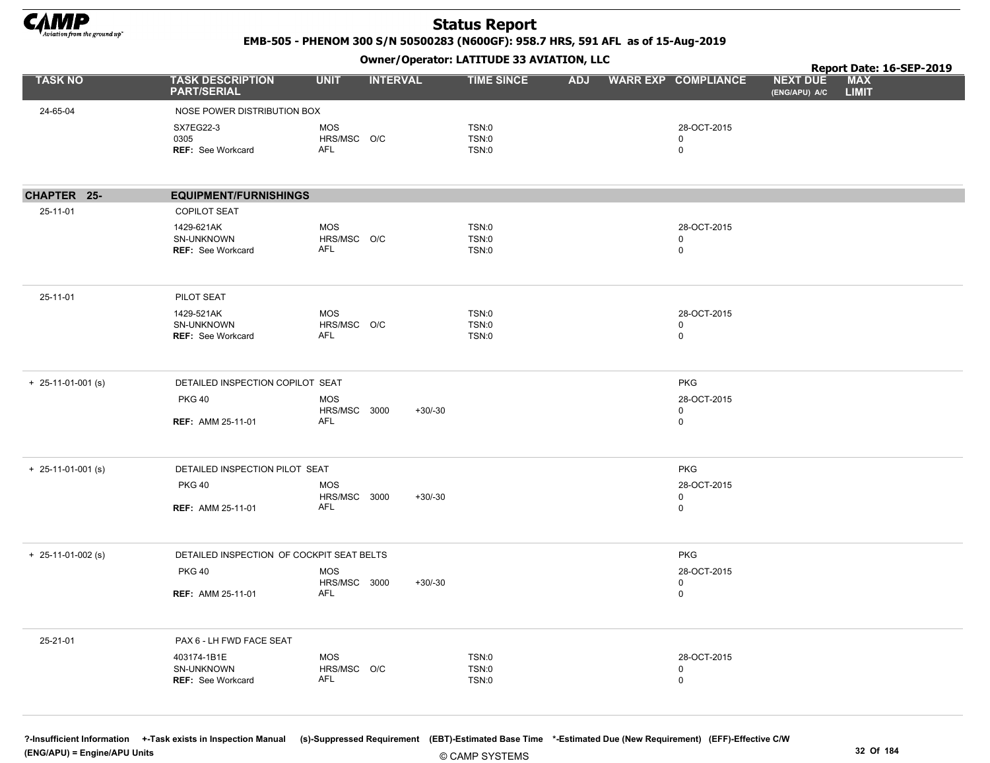

EMB-505 - PHENOM 300 S/N 50500283 (N600GF): 958.7 HRS, 591 AFL as of 15-Aug-2019

Owner/Operator: LATITUDE 33 AVIATION, LLC

|                      |                                               | - <i>-</i> - -                 |                   |            |                            | Report Date: 16-SEP-2019                                       |  |
|----------------------|-----------------------------------------------|--------------------------------|-------------------|------------|----------------------------|----------------------------------------------------------------|--|
| <b>TASK NO</b>       | <b>TASK DESCRIPTION</b><br><b>PART/SERIAL</b> | <b>UNIT</b><br><b>INTERVAL</b> | <b>TIME SINCE</b> | <b>ADJ</b> | <b>WARR EXP COMPLIANCE</b> | <b>MAX</b><br><b>NEXT DUE</b><br><b>LIMIT</b><br>(ENG/APU) A/C |  |
| 24-65-04             | NOSE POWER DISTRIBUTION BOX                   |                                |                   |            |                            |                                                                |  |
|                      | SX7EG22-3                                     | MOS                            | TSN:0             |            | 28-OCT-2015                |                                                                |  |
|                      | 0305                                          | HRS/MSC O/C                    | TSN:0             |            | 0                          |                                                                |  |
|                      | REF: See Workcard                             | <b>AFL</b>                     | TSN:0             |            | $\mathbf 0$                |                                                                |  |
|                      |                                               |                                |                   |            |                            |                                                                |  |
| CHAPTER 25-          | <b>EQUIPMENT/FURNISHINGS</b>                  |                                |                   |            |                            |                                                                |  |
| 25-11-01             | <b>COPILOT SEAT</b>                           |                                |                   |            |                            |                                                                |  |
|                      | 1429-621AK                                    | MOS                            | TSN:0             |            | 28-OCT-2015                |                                                                |  |
|                      | SN-UNKNOWN<br><b>REF: See Workcard</b>        | HRS/MSC O/C<br>AFL             | TSN:0<br>TSN:0    |            | $\mathbf 0$<br>$\mathsf 0$ |                                                                |  |
|                      |                                               |                                |                   |            |                            |                                                                |  |
| 25-11-01             | PILOT SEAT                                    |                                |                   |            |                            |                                                                |  |
|                      | 1429-521AK                                    | MOS                            | TSN:0             |            | 28-OCT-2015                |                                                                |  |
|                      | SN-UNKNOWN                                    | HRS/MSC O/C                    | TSN:0             |            | $\mathbf 0$                |                                                                |  |
|                      | <b>REF: See Workcard</b>                      | AFL                            | TSN:0             |            | $\mathsf 0$                |                                                                |  |
| $+ 25-11-01-001$ (s) | DETAILED INSPECTION COPILOT SEAT              |                                |                   |            | <b>PKG</b>                 |                                                                |  |
|                      | <b>PKG 40</b>                                 | <b>MOS</b>                     |                   |            | 28-OCT-2015                |                                                                |  |
|                      |                                               | HRS/MSC 3000                   | $+30/-30$         |            | $\mathbf 0$                |                                                                |  |
|                      | <b>REF: AMM 25-11-01</b>                      | AFL                            |                   |            | $\mathbf 0$                |                                                                |  |
| $+$ 25-11-01-001 (s) | DETAILED INSPECTION PILOT SEAT                |                                |                   |            | <b>PKG</b>                 |                                                                |  |
|                      | <b>PKG 40</b>                                 | <b>MOS</b>                     |                   |            | 28-OCT-2015                |                                                                |  |
|                      |                                               | HRS/MSC 3000                   | $+30/-30$         |            | $\mathbf 0$                |                                                                |  |
|                      | <b>REF: AMM 25-11-01</b>                      | AFL                            |                   |            | $\mathsf 0$                |                                                                |  |
| $+ 25-11-01-002$ (s) | DETAILED INSPECTION OF COCKPIT SEAT BELTS     |                                |                   |            | <b>PKG</b>                 |                                                                |  |
|                      | <b>PKG 40</b>                                 | <b>MOS</b>                     |                   |            | 28-OCT-2015                |                                                                |  |
|                      |                                               | HRS/MSC 3000                   | $+30/-30$         |            | $\mathbf 0$                |                                                                |  |
|                      | <b>REF: AMM 25-11-01</b>                      | AFL                            |                   |            | $\mathsf 0$                |                                                                |  |
| 25-21-01             | PAX 6 - LH FWD FACE SEAT                      |                                |                   |            |                            |                                                                |  |
|                      | 403174-1B1E                                   | MOS                            | TSN:0             |            | 28-OCT-2015                |                                                                |  |
|                      | SN-UNKNOWN                                    | HRS/MSC O/C                    | TSN:0             |            | $\mathbf 0$                |                                                                |  |
|                      | REF: See Workcard                             | AFL                            | TSN:0             |            | $\mathsf 0$                |                                                                |  |
|                      |                                               |                                |                   |            |                            |                                                                |  |

© CAMP SYSTEMS ?-Insufficient Information +-Task exists in Inspection Manual (s)-Suppressed Requirement (EBT)-Estimated Base Time \*-Estimated Due (New Requirement) (EFF)-Effective C/W (ENG/APU) = Engine/APU Units 32 Of 184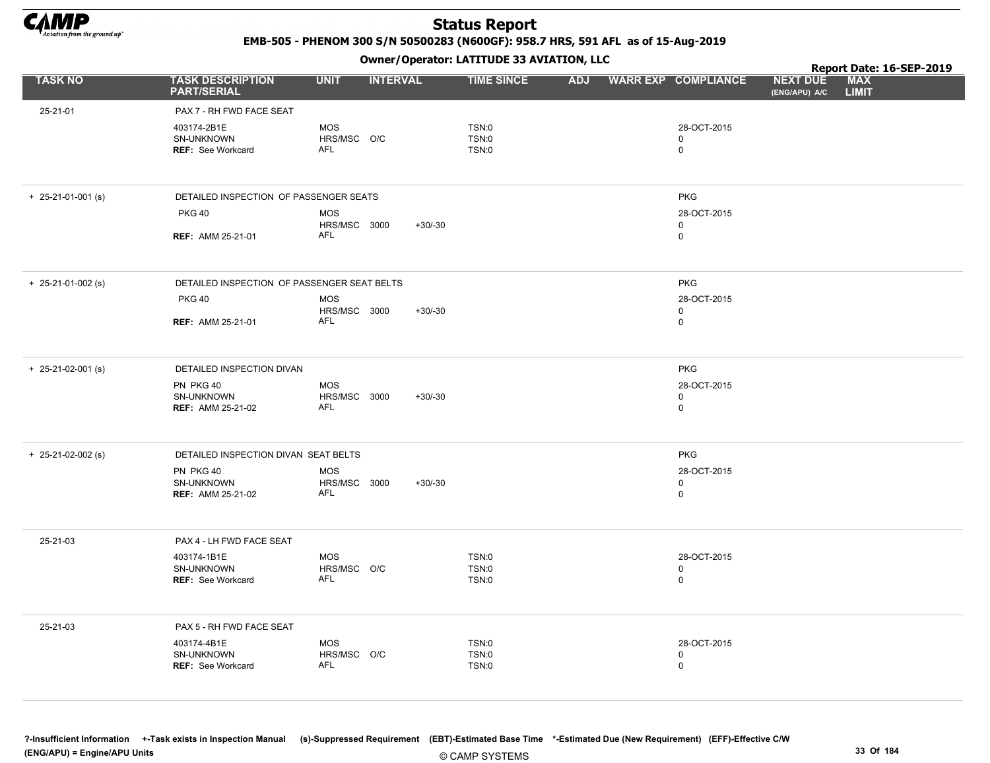

EMB-505 - PHENOM 300 S/N 50500283 (N600GF): 958.7 HRS, 591 AFL as of 15-Aug-2019

Owner/Operator: LATITUDE 33 AVIATION, LLC

|                                                       |                          |                 |                                                                                                                                                                                                                                                                      |  |                                 |                                                 | Report Date: 16-SEP-2019 |            |
|-------------------------------------------------------|--------------------------|-----------------|----------------------------------------------------------------------------------------------------------------------------------------------------------------------------------------------------------------------------------------------------------------------|--|---------------------------------|-------------------------------------------------|--------------------------|------------|
| <b>TASK DESCRIPTION</b><br><b>PART/SERIAL</b>         | <b>UNIT</b>              | <b>INTERVAL</b> | <b>TIME SINCE</b>                                                                                                                                                                                                                                                    |  |                                 | <b>NEXT DUE</b><br>(ENG/APU) A/C                | <b>LIMIT</b>             |            |
| PAX 7 - RH FWD FACE SEAT                              |                          |                 |                                                                                                                                                                                                                                                                      |  |                                 |                                                 |                          |            |
| 403174-2B1E<br>SN-UNKNOWN<br><b>REF: See Workcard</b> | <b>MOS</b><br>AFL        |                 | TSN:0<br>TSN:0<br>TSN:0                                                                                                                                                                                                                                              |  | 28-OCT-2015<br>0<br>$\mathbf 0$ |                                                 |                          |            |
|                                                       |                          |                 |                                                                                                                                                                                                                                                                      |  |                                 |                                                 |                          |            |
|                                                       |                          |                 |                                                                                                                                                                                                                                                                      |  | <b>PKG</b>                      |                                                 |                          |            |
| <b>PKG 40</b>                                         | <b>MOS</b>               |                 |                                                                                                                                                                                                                                                                      |  | 28-OCT-2015                     |                                                 |                          |            |
| <b>REF: AMM 25-21-01</b>                              | <b>AFL</b>               |                 |                                                                                                                                                                                                                                                                      |  | 0                               |                                                 |                          |            |
|                                                       |                          |                 |                                                                                                                                                                                                                                                                      |  |                                 |                                                 |                          |            |
| <b>PKG 40</b>                                         | <b>MOS</b>               |                 |                                                                                                                                                                                                                                                                      |  | 28-OCT-2015                     |                                                 |                          |            |
| <b>REF: AMM 25-21-01</b>                              | AFL                      |                 |                                                                                                                                                                                                                                                                      |  | 0                               |                                                 |                          |            |
| DETAILED INSPECTION DIVAN                             |                          |                 |                                                                                                                                                                                                                                                                      |  | <b>PKG</b>                      |                                                 |                          |            |
| PN PKG 40<br>SN-UNKNOWN<br><b>REF: AMM 25-21-02</b>   | MOS<br><b>AFL</b>        | $+30/-30$       |                                                                                                                                                                                                                                                                      |  | 28-OCT-2015<br>0<br>0           |                                                 |                          |            |
|                                                       |                          |                 |                                                                                                                                                                                                                                                                      |  | <b>PKG</b>                      |                                                 |                          |            |
| PN PKG 40<br>SN-UNKNOWN<br><b>REF: AMM 25-21-02</b>   | <b>MOS</b><br>AFL        | $+30/-30$       |                                                                                                                                                                                                                                                                      |  | 28-OCT-2015<br>0<br>0           |                                                 |                          |            |
| PAX 4 - LH FWD FACE SEAT                              |                          |                 |                                                                                                                                                                                                                                                                      |  |                                 |                                                 |                          |            |
| 403174-1B1E<br>SN-UNKNOWN<br>REF: See Workcard        | <b>MOS</b><br>AFL        |                 | TSN:0<br>TSN:0<br>TSN:0                                                                                                                                                                                                                                              |  | 28-OCT-2015<br>$\mathbf 0$<br>0 |                                                 |                          |            |
| PAX 5 - RH FWD FACE SEAT                              |                          |                 |                                                                                                                                                                                                                                                                      |  |                                 |                                                 |                          |            |
| 403174-4B1E<br>SN-UNKNOWN<br><b>REF: See Workcard</b> | <b>MOS</b><br><b>AFL</b> |                 | TSN:0<br>TSN:0<br>TSN:0                                                                                                                                                                                                                                              |  | 28-OCT-2015<br>0<br>$\mathbf 0$ |                                                 |                          |            |
|                                                       |                          |                 | HRS/MSC O/C<br>DETAILED INSPECTION OF PASSENGER SEATS<br>HRS/MSC 3000<br>$+30/-30$<br>DETAILED INSPECTION OF PASSENGER SEAT BELTS<br>HRS/MSC 3000<br>$+30/-30$<br>HRS/MSC 3000<br>DETAILED INSPECTION DIVAN SEAT BELTS<br>HRS/MSC 3000<br>HRS/MSC O/C<br>HRS/MSC O/C |  |                                 | ADJ WARR EXP COMPLIANCE<br>0<br><b>PKG</b><br>0 |                          | <b>MAX</b> |

?-Insufficient Information +-Task exists in Inspection Manual (s)-Suppressed Requirement (EBT)-Estimated Base Time \*-Estimated Due (New Requirement) (EFF)-Effective C/W (ENG/APU) = Engine/APU Units 33 Of 184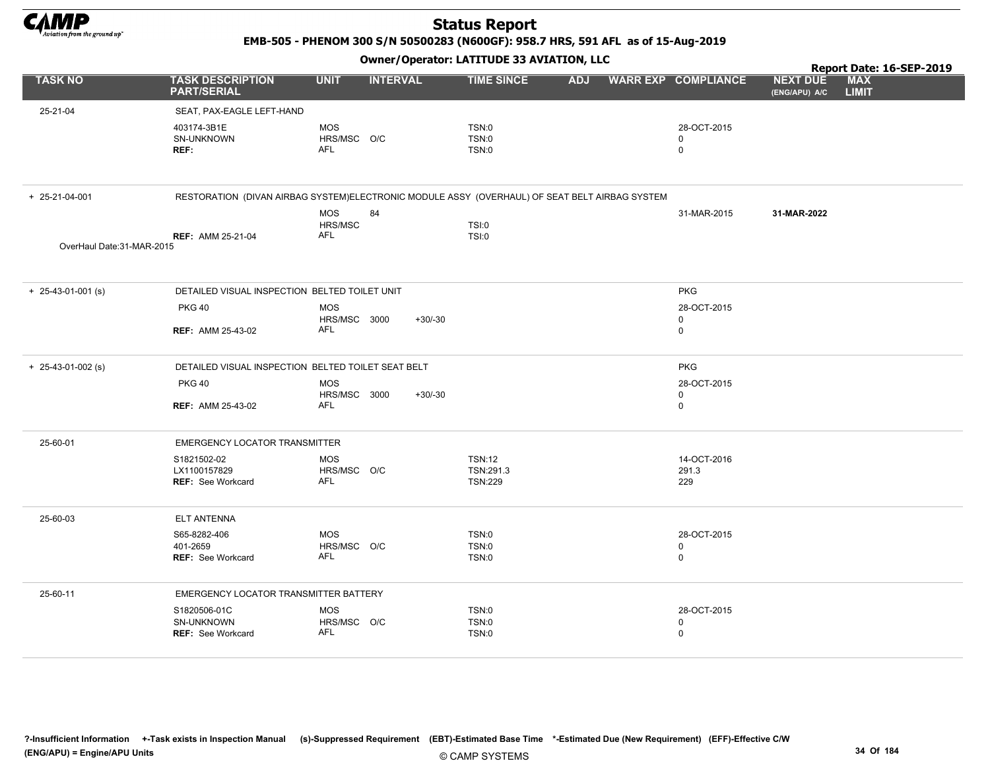

EMB-505 - PHENOM 300 S/N 50500283 (N600GF): 958.7 HRS, 591 AFL as of 15-Aug-2019

Owner/Operator: LATITUDE 33 AVIATION, LLC

|                            | Owner / Operator. EATITODE 33 AVIATION, LLC                                                   |                            |                 |                             |            |                            |                                  | Report Date: 16-SEP-2019   |  |  |
|----------------------------|-----------------------------------------------------------------------------------------------|----------------------------|-----------------|-----------------------------|------------|----------------------------|----------------------------------|----------------------------|--|--|
| <b>TASK NO</b>             | <b>TASK DESCRIPTION</b><br><b>PART/SERIAL</b>                                                 | <b>UNIT</b>                | <b>INTERVAL</b> | <b>TIME SINCE</b>           | <b>ADJ</b> | <b>WARR EXP COMPLIANCE</b> | <b>NEXT DUE</b><br>(ENG/APU) A/C | <b>MAX</b><br><b>LIMIT</b> |  |  |
| 25-21-04                   | SEAT, PAX-EAGLE LEFT-HAND                                                                     |                            |                 |                             |            |                            |                                  |                            |  |  |
|                            | 403174-3B1E                                                                                   | <b>MOS</b>                 |                 | TSN:0                       |            | 28-OCT-2015                |                                  |                            |  |  |
|                            | SN-UNKNOWN<br>REF:                                                                            | HRS/MSC O/C<br><b>AFL</b>  |                 | TSN:0<br>TSN:0              |            | $\mathbf 0$<br>$\mathbf 0$ |                                  |                            |  |  |
|                            |                                                                                               |                            |                 |                             |            |                            |                                  |                            |  |  |
| + 25-21-04-001             | RESTORATION (DIVAN AIRBAG SYSTEM)ELECTRONIC MODULE ASSY (OVERHAUL) OF SEAT BELT AIRBAG SYSTEM |                            |                 |                             |            |                            |                                  |                            |  |  |
|                            |                                                                                               | MOS<br>HRS/MSC             | 84              | TSI:0                       |            | 31-MAR-2015                | 31-MAR-2022                      |                            |  |  |
|                            | <b>REF: AMM 25-21-04</b>                                                                      | AFL                        |                 | TSI:0                       |            |                            |                                  |                            |  |  |
| OverHaul Date: 31-MAR-2015 |                                                                                               |                            |                 |                             |            |                            |                                  |                            |  |  |
| $+$ 25-43-01-001 (s)       | DETAILED VISUAL INSPECTION BELTED TOILET UNIT                                                 |                            |                 |                             |            | <b>PKG</b>                 |                                  |                            |  |  |
|                            | <b>PKG 40</b>                                                                                 | <b>MOS</b>                 |                 |                             |            | 28-OCT-2015                |                                  |                            |  |  |
|                            | <b>REF: AMM 25-43-02</b>                                                                      | HRS/MSC 3000<br><b>AFL</b> | $+30/-30$       |                             |            | 0<br>$\mathsf 0$           |                                  |                            |  |  |
| $+$ 25-43-01-002 (s)       | DETAILED VISUAL INSPECTION BELTED TOILET SEAT BELT                                            |                            |                 |                             |            |                            |                                  |                            |  |  |
|                            | <b>PKG 40</b>                                                                                 | <b>MOS</b>                 |                 |                             |            | 28-OCT-2015                |                                  |                            |  |  |
|                            | <b>REF: AMM 25-43-02</b>                                                                      | HRS/MSC 3000<br><b>AFL</b> | $+30/-30$       |                             |            | $\mathbf 0$<br>$\mathbf 0$ |                                  |                            |  |  |
| 25-60-01                   | EMERGENCY LOCATOR TRANSMITTER                                                                 |                            |                 |                             |            |                            |                                  |                            |  |  |
|                            | S1821502-02                                                                                   | MOS                        |                 | <b>TSN:12</b>               |            | 14-OCT-2016                |                                  |                            |  |  |
|                            | LX1100157829<br>REF: See Workcard                                                             | HRS/MSC O/C<br><b>AFL</b>  |                 | TSN:291.3<br><b>TSN:229</b> |            | 291.3<br>229               |                                  |                            |  |  |
| 25-60-03                   | <b>ELT ANTENNA</b>                                                                            |                            |                 |                             |            |                            |                                  |                            |  |  |
|                            | S65-8282-406                                                                                  | <b>MOS</b>                 |                 | TSN:0                       |            | 28-OCT-2015                |                                  |                            |  |  |
|                            | 401-2659<br><b>REF: See Workcard</b>                                                          | HRS/MSC O/C<br>AFL         |                 | TSN:0<br>TSN:0              |            | $\mathbf 0$<br>$\mathsf 0$ |                                  |                            |  |  |
| 25-60-11                   | EMERGENCY LOCATOR TRANSMITTER BATTERY                                                         |                            |                 |                             |            |                            |                                  |                            |  |  |
|                            | S1820506-01C                                                                                  | MOS                        |                 | TSN:0                       |            | 28-OCT-2015                |                                  |                            |  |  |
|                            | SN-UNKNOWN<br><b>REF: See Workcard</b>                                                        | HRS/MSC O/C<br>AFL         |                 | TSN:0<br>TSN:0              |            | $\mathbf 0$<br>$\mathsf 0$ |                                  |                            |  |  |
|                            |                                                                                               |                            |                 |                             |            |                            |                                  |                            |  |  |

?-Insufficient Information +-Task exists in Inspection Manual (s)-Suppressed Requirement (EBT)-Estimated Base Time \*-Estimated Due (New Requirement) (EFF)-Effective C/W (ENG/APU) = Engine/APU Units 34 Of 184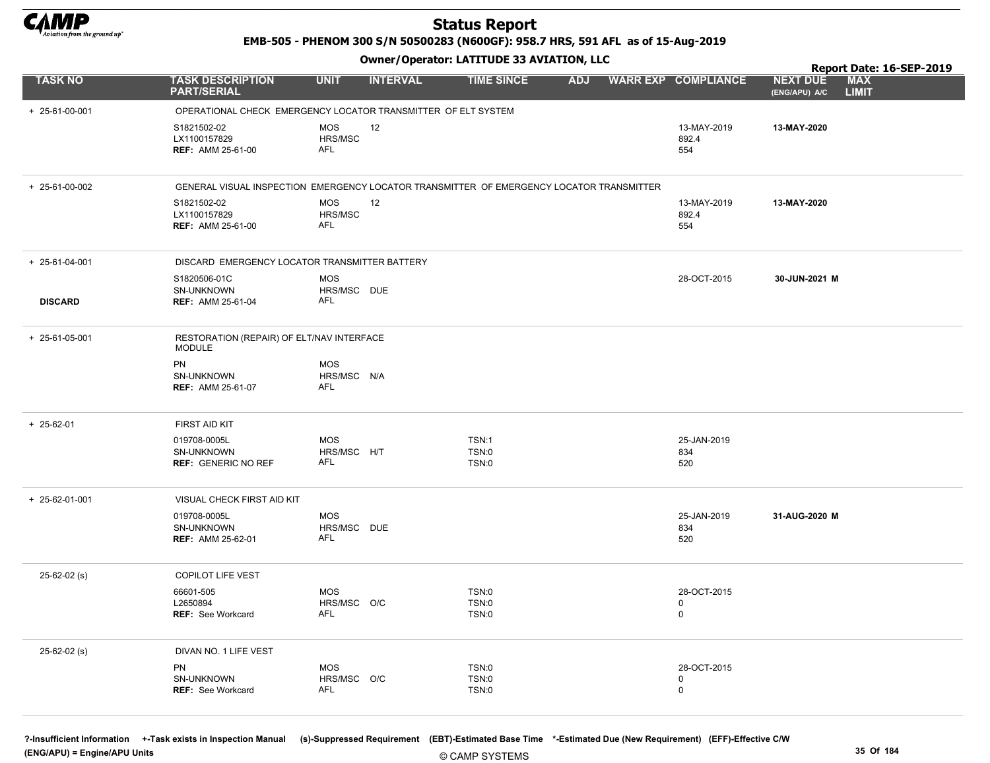

EMB-505 - PHENOM 300 S/N 50500283 (N600GF): 958.7 HRS, 591 AFL as of 15-Aug-2019

### Owner/Operator: LATITUDE 33 AVIATION, LLC

|                        |                                                                                          |                                         | .               |                                              |            |  |                                 | Report Date: 16-SEP-2019                                       |
|------------------------|------------------------------------------------------------------------------------------|-----------------------------------------|-----------------|----------------------------------------------|------------|--|---------------------------------|----------------------------------------------------------------|
| <b>TASK NO</b>         | <b>TASK DESCRIPTION</b><br><b>PART/SERIAL</b>                                            | <b>UNIT</b>                             | <b>INTERVAL</b> | <b>TIME SINCE</b>                            | <b>ADJ</b> |  | <b>WARR EXP COMPLIANCE</b>      | <b>MAX</b><br><b>NEXT DUE</b><br><b>LIMIT</b><br>(ENG/APU) A/C |
| $+ 25 - 61 - 00 - 001$ | OPERATIONAL CHECK EMERGENCY LOCATOR TRANSMITTER OF ELT SYSTEM                            |                                         |                 |                                              |            |  |                                 |                                                                |
|                        | S1821502-02<br>LX1100157829<br><b>REF: AMM 25-61-00</b>                                  | <b>MOS</b><br>HRS/MSC<br>AFL            | 12              |                                              |            |  | 13-MAY-2019<br>892.4<br>554     | 13-MAY-2020                                                    |
| + 25-61-00-002         | GENERAL VISUAL INSPECTION EMERGENCY LOCATOR TRANSMITTER OF EMERGENCY LOCATOR TRANSMITTER |                                         |                 |                                              |            |  |                                 |                                                                |
|                        | S1821502-02<br>LX1100157829<br><b>REF: AMM 25-61-00</b>                                  | <b>MOS</b><br>HRS/MSC<br>AFL            | 12              |                                              |            |  | 13-MAY-2019<br>892.4<br>554     | 13-MAY-2020                                                    |
| + 25-61-04-001         | DISCARD EMERGENCY LOCATOR TRANSMITTER BATTERY                                            |                                         |                 |                                              |            |  |                                 |                                                                |
| <b>DISCARD</b>         | S1820506-01C<br>SN-UNKNOWN<br><b>REF: AMM 25-61-04</b>                                   | <b>MOS</b><br>HRS/MSC DUE<br>AFL        |                 |                                              |            |  | 28-OCT-2015                     | 30-JUN-2021 M                                                  |
| + 25-61-05-001         | RESTORATION (REPAIR) OF ELT/NAV INTERFACE<br><b>MODULE</b>                               |                                         |                 |                                              |            |  |                                 |                                                                |
|                        | PN<br>SN-UNKNOWN<br><b>REF: AMM 25-61-07</b>                                             | <b>MOS</b><br>HRS/MSC N/A<br><b>AFL</b> |                 |                                              |            |  |                                 |                                                                |
| $+ 25 - 62 - 01$       | FIRST AID KIT                                                                            |                                         |                 |                                              |            |  |                                 |                                                                |
|                        | 019708-0005L<br>SN-UNKNOWN<br><b>REF: GENERIC NO REF</b>                                 | <b>MOS</b><br>HRS/MSC H/T<br>AFL        |                 | <b>TSN:1</b><br><b>TSN:0</b><br><b>TSN:0</b> |            |  | 25-JAN-2019<br>834<br>520       |                                                                |
| $+ 25 - 62 - 01 - 001$ | VISUAL CHECK FIRST AID KIT                                                               |                                         |                 |                                              |            |  |                                 |                                                                |
|                        | 019708-0005L<br>SN-UNKNOWN<br><b>REF: AMM 25-62-01</b>                                   | <b>MOS</b><br>HRS/MSC DUE<br>AFL        |                 |                                              |            |  | 25-JAN-2019<br>834<br>520       | 31-AUG-2020 M                                                  |
| $25 - 62 - 02$ (s)     | <b>COPILOT LIFE VEST</b>                                                                 |                                         |                 |                                              |            |  |                                 |                                                                |
|                        | 66601-505<br>L2650894<br>REF: See Workcard                                               | <b>MOS</b><br>HRS/MSC O/C<br>AFL        |                 | <b>TSN:0</b><br>TSN:0<br>TSN:0               |            |  | 28-OCT-2015<br>0<br>0           |                                                                |
| $25 - 62 - 02$ (s)     | DIVAN NO. 1 LIFE VEST                                                                    |                                         |                 |                                              |            |  |                                 |                                                                |
|                        | PN<br>SN-UNKNOWN<br>REF: See Workcard                                                    | <b>MOS</b><br>HRS/MSC O/C<br><b>AFL</b> |                 | <b>TSN:0</b><br><b>TSN:0</b><br>TSN:0        |            |  | 28-OCT-2015<br>$\mathbf 0$<br>0 |                                                                |

© CAMP SYSTEMS ?-Insufficient Information +-Task exists in Inspection Manual (s)-Suppressed Requirement (EBT)-Estimated Base Time \*-Estimated Due (New Requirement) (EFF)-Effective C/W (ENG/APU) = Engine/APU Units 35 Of 184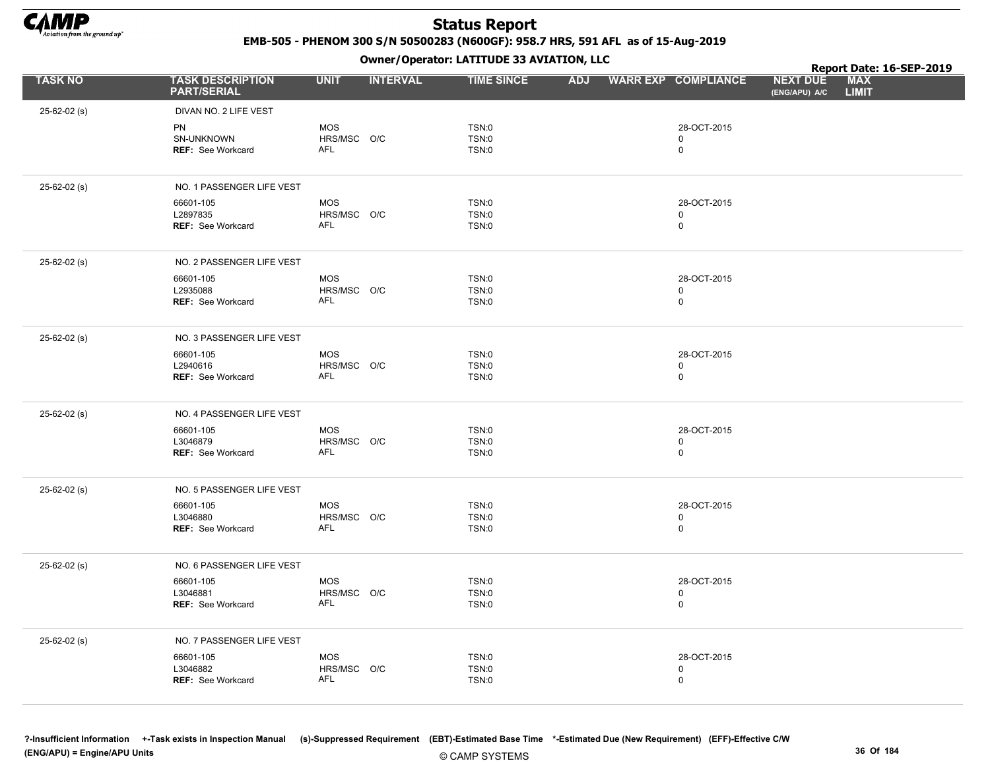

EMB-505 - PHENOM 300 S/N 50500283 (N600GF): 958.7 HRS, 591 AFL as of 15-Aug-2019

Owner/Operator: LATITUDE 33 AVIATION, LLC

|                    |                                                     | Owner / Operator. EATTTODE 33 AVIATION, LLC |                 |                                              |            |  |                                           | Report Date: 16-SEP-2019         |                            |  |
|--------------------|-----------------------------------------------------|---------------------------------------------|-----------------|----------------------------------------------|------------|--|-------------------------------------------|----------------------------------|----------------------------|--|
| <b>TASK NO</b>     | <b>TASK DESCRIPTION</b><br><b>PART/SERIAL</b>       | <b>UNIT</b>                                 | <b>INTERVAL</b> | <b>TIME SINCE</b>                            | <b>ADJ</b> |  | <b>WARR EXP COMPLIANCE</b>                | <b>NEXT DUE</b><br>(ENG/APU) A/C | <b>MAX</b><br><b>LIMIT</b> |  |
| $25 - 62 - 02$ (s) | DIVAN NO. 2 LIFE VEST                               |                                             |                 |                                              |            |  |                                           |                                  |                            |  |
|                    | <b>PN</b><br>SN-UNKNOWN<br><b>REF: See Workcard</b> | <b>MOS</b><br>HRS/MSC O/C<br><b>AFL</b>     |                 | <b>TSN:0</b><br><b>TSN:0</b><br><b>TSN:0</b> |            |  | 28-OCT-2015<br>0<br>$\mathsf 0$           |                                  |                            |  |
| $25 - 62 - 02$ (s) | NO. 1 PASSENGER LIFE VEST                           |                                             |                 |                                              |            |  |                                           |                                  |                            |  |
|                    | 66601-105<br>L2897835<br>REF: See Workcard          | <b>MOS</b><br>HRS/MSC O/C<br><b>AFL</b>     |                 | <b>TSN:0</b><br><b>TSN:0</b><br>TSN:0        |            |  | 28-OCT-2015<br>$\mathbf 0$<br>$\mathsf 0$ |                                  |                            |  |
| $25 - 62 - 02$ (s) | NO. 2 PASSENGER LIFE VEST                           |                                             |                 |                                              |            |  |                                           |                                  |                            |  |
|                    | 66601-105<br>L2935088<br>REF: See Workcard          | <b>MOS</b><br>HRS/MSC O/C<br><b>AFL</b>     |                 | <b>TSN:0</b><br>TSN:0<br><b>TSN:0</b>        |            |  | 28-OCT-2015<br>0<br>$\mathbf 0$           |                                  |                            |  |
| $25 - 62 - 02$ (s) | NO. 3 PASSENGER LIFE VEST                           |                                             |                 |                                              |            |  |                                           |                                  |                            |  |
|                    | 66601-105<br>L2940616<br>REF: See Workcard          | <b>MOS</b><br>HRS/MSC O/C<br>AFL            |                 | <b>TSN:0</b><br><b>TSN:0</b><br><b>TSN:0</b> |            |  | 28-OCT-2015<br>$\mathbf 0$<br>$\mathsf 0$ |                                  |                            |  |
| $25 - 62 - 02$ (s) | NO. 4 PASSENGER LIFE VEST                           |                                             |                 |                                              |            |  |                                           |                                  |                            |  |
|                    | 66601-105<br>L3046879<br><b>REF: See Workcard</b>   | <b>MOS</b><br>HRS/MSC O/C<br><b>AFL</b>     |                 | TSN:0<br><b>TSN:0</b><br><b>TSN:0</b>        |            |  | 28-OCT-2015<br>$\mathbf 0$<br>$\mathsf 0$ |                                  |                            |  |
| 25-62-02 (s)       | NO. 5 PASSENGER LIFE VEST                           |                                             |                 |                                              |            |  |                                           |                                  |                            |  |
|                    | 66601-105<br>L3046880<br>REF: See Workcard          | <b>MOS</b><br>HRS/MSC O/C<br><b>AFL</b>     |                 | <b>TSN:0</b><br><b>TSN:0</b><br><b>TSN:0</b> |            |  | 28-OCT-2015<br>$\mathbf 0$<br>$\mathsf 0$ |                                  |                            |  |
| $25 - 62 - 02$ (s) | NO. 6 PASSENGER LIFE VEST                           |                                             |                 |                                              |            |  |                                           |                                  |                            |  |
|                    | 66601-105<br>L3046881<br>REF: See Workcard          | <b>MOS</b><br>HRS/MSC O/C<br><b>AFL</b>     |                 | <b>TSN:0</b><br><b>TSN:0</b><br><b>TSN:0</b> |            |  | 28-OCT-2015<br>$\mathbf 0$<br>$\mathsf 0$ |                                  |                            |  |
| 25-62-02 (s)       | NO. 7 PASSENGER LIFE VEST                           |                                             |                 |                                              |            |  |                                           |                                  |                            |  |
|                    | 66601-105<br>L3046882<br><b>REF: See Workcard</b>   | <b>MOS</b><br>HRS/MSC O/C<br><b>AFL</b>     |                 | <b>TSN:0</b><br><b>TSN:0</b><br>TSN:0        |            |  | 28-OCT-2015<br>$\mathbf 0$<br>$\mathbf 0$ |                                  |                            |  |

© CAMP SYSTEMS ?-Insufficient Information +-Task exists in Inspection Manual (s)-Suppressed Requirement (EBT)-Estimated Base Time \*-Estimated Due (New Requirement) (EFF)-Effective C/W (ENG/APU) = Engine/APU Units 36 Of 184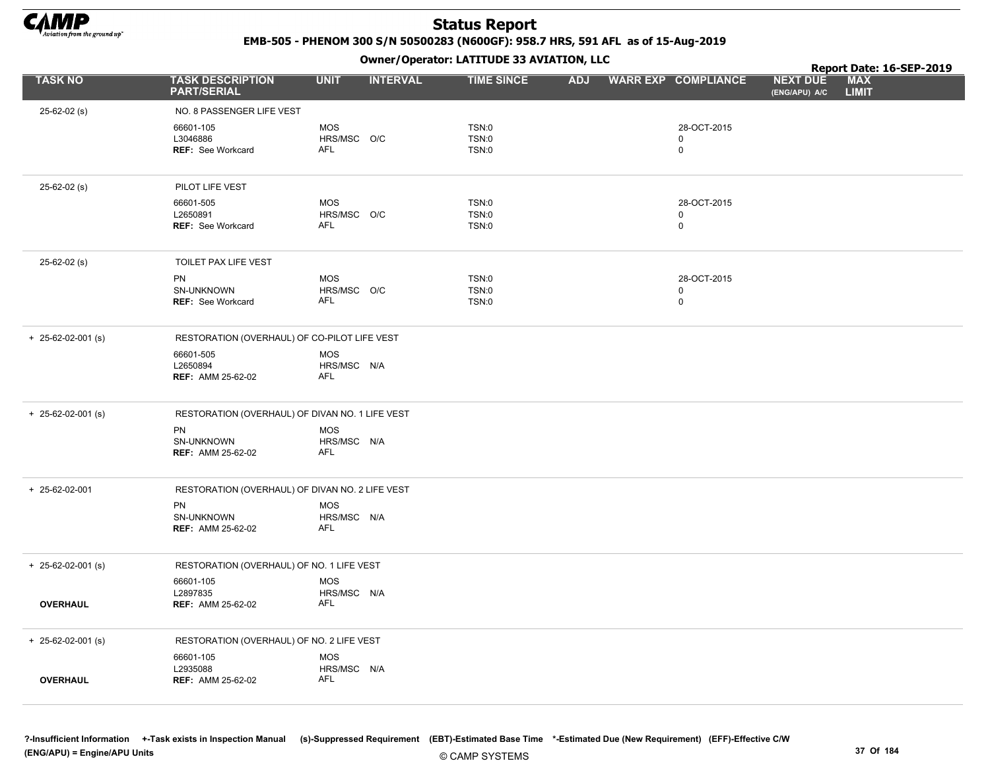

EMB-505 - PHENOM 300 S/N 50500283 (N600GF): 958.7 HRS, 591 AFL as of 15-Aug-2019

|                            |                                                 |                           | $\mathbf{r}$    |                       |            |                            |                                  | Report Date: 16-SEP-2019   |  |
|----------------------------|-------------------------------------------------|---------------------------|-----------------|-----------------------|------------|----------------------------|----------------------------------|----------------------------|--|
| <b>TASK NO</b>             | <b>TASK DESCRIPTION</b><br><b>PART/SERIAL</b>   | <b>UNIT</b>               | <b>INTERVAL</b> | <b>TIME SINCE</b>     | <b>ADJ</b> | <b>WARR EXP COMPLIANCE</b> | <b>NEXT DUE</b><br>(ENG/APU) A/C | <b>MAX</b><br><b>LIMIT</b> |  |
| 25-62-02 (s)               | NO. 8 PASSENGER LIFE VEST                       |                           |                 |                       |            |                            |                                  |                            |  |
|                            | 66601-105                                       | <b>MOS</b>                |                 | TSN:0                 |            | 28-OCT-2015                |                                  |                            |  |
|                            | L3046886                                        | HRS/MSC O/C<br>AFL        |                 | <b>TSN:0</b>          |            | 0                          |                                  |                            |  |
|                            | <b>REF: See Workcard</b>                        |                           |                 | TSN:0                 |            | $\mathbf 0$                |                                  |                            |  |
| $25 - 62 - 02$ (s)         | PILOT LIFE VEST                                 |                           |                 |                       |            |                            |                                  |                            |  |
|                            | 66601-505                                       | <b>MOS</b>                |                 | TSN:0                 |            | 28-OCT-2015                |                                  |                            |  |
|                            | L2650891<br>REF: See Workcard                   | HRS/MSC O/C<br><b>AFL</b> |                 | TSN:0<br>TSN:0        |            | 0<br>$\mathbf 0$           |                                  |                            |  |
|                            |                                                 |                           |                 |                       |            |                            |                                  |                            |  |
| $25-62-02$ (s)             | TOILET PAX LIFE VEST                            |                           |                 |                       |            |                            |                                  |                            |  |
|                            | PN                                              | MOS                       |                 | TSN:0                 |            | 28-OCT-2015                |                                  |                            |  |
|                            | SN-UNKNOWN<br><b>REF: See Workcard</b>          | HRS/MSC O/C<br><b>AFL</b> |                 | <b>TSN:0</b><br>TSN:0 |            | 0<br>$\mathbf 0$           |                                  |                            |  |
|                            |                                                 |                           |                 |                       |            |                            |                                  |                            |  |
| $+$ 25-62-02-001 (s)       | RESTORATION (OVERHAUL) OF CO-PILOT LIFE VEST    |                           |                 |                       |            |                            |                                  |                            |  |
|                            | 66601-505<br>L2650894                           | <b>MOS</b><br>HRS/MSC N/A |                 |                       |            |                            |                                  |                            |  |
|                            | <b>REF: AMM 25-62-02</b>                        | AFL                       |                 |                       |            |                            |                                  |                            |  |
| $+ 25 - 62 - 02 - 001$ (s) | RESTORATION (OVERHAUL) OF DIVAN NO. 1 LIFE VEST |                           |                 |                       |            |                            |                                  |                            |  |
|                            | PN                                              | <b>MOS</b>                |                 |                       |            |                            |                                  |                            |  |
|                            | SN-UNKNOWN<br><b>REF: AMM 25-62-02</b>          | HRS/MSC N/A<br><b>AFL</b> |                 |                       |            |                            |                                  |                            |  |
|                            |                                                 |                           |                 |                       |            |                            |                                  |                            |  |
| + 25-62-02-001             | RESTORATION (OVERHAUL) OF DIVAN NO. 2 LIFE VEST |                           |                 |                       |            |                            |                                  |                            |  |
|                            | <b>PN</b>                                       | <b>MOS</b>                |                 |                       |            |                            |                                  |                            |  |
|                            | SN-UNKNOWN<br><b>REF: AMM 25-62-02</b>          | HRS/MSC N/A<br><b>AFL</b> |                 |                       |            |                            |                                  |                            |  |
|                            |                                                 |                           |                 |                       |            |                            |                                  |                            |  |
| $+$ 25-62-02-001 (s)       | RESTORATION (OVERHAUL) OF NO. 1 LIFE VEST       |                           |                 |                       |            |                            |                                  |                            |  |
|                            | 66601-105<br>L2897835                           | <b>MOS</b><br>HRS/MSC N/A |                 |                       |            |                            |                                  |                            |  |
| <b>OVERHAUL</b>            | <b>REF: AMM 25-62-02</b>                        | AFL                       |                 |                       |            |                            |                                  |                            |  |
|                            |                                                 |                           |                 |                       |            |                            |                                  |                            |  |
| $+ 25 - 62 - 02 - 001$ (s) | RESTORATION (OVERHAUL) OF NO. 2 LIFE VEST       |                           |                 |                       |            |                            |                                  |                            |  |
|                            | 66601-105<br>L2935088                           | <b>MOS</b><br>HRS/MSC N/A |                 |                       |            |                            |                                  |                            |  |
| <b>OVERHAUL</b>            | <b>REF: AMM 25-62-02</b>                        | AFL                       |                 |                       |            |                            |                                  |                            |  |
|                            |                                                 |                           |                 |                       |            |                            |                                  |                            |  |
|                            |                                                 |                           |                 |                       |            |                            |                                  |                            |  |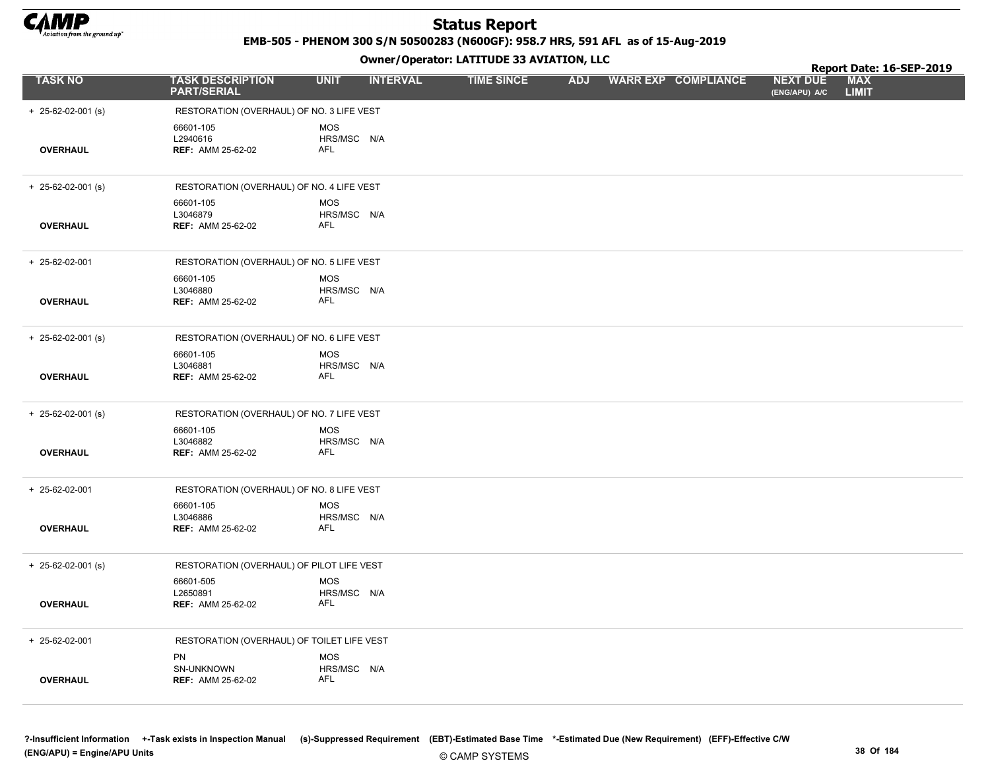

EMB-505 - PHENOM 300 S/N 50500283 (N600GF): 958.7 HRS, 591 AFL as of 15-Aug-2019

| <b>TASK DESCRIPTION</b><br><b>UNIT</b><br><b>INTERVAL</b><br><b>TIME SINCE</b><br><b>ADJ</b><br><b>WARR EXP COMPLIANCE</b><br><b>NEXT DUE</b><br><b>LIMIT</b><br><b>PART/SERIAL</b><br>(ENG/APU) A/C<br>$+ 25 - 62 - 02 - 001$ (s)<br>RESTORATION (OVERHAUL) OF NO. 3 LIFE VEST<br>66601-105<br><b>MOS</b><br>L2940616<br>HRS/MSC N/A<br><b>AFL</b><br><b>OVERHAUL</b><br><b>REF: AMM 25-62-02</b><br>RESTORATION (OVERHAUL) OF NO. 4 LIFE VEST<br>$+ 25 - 62 - 02 - 001$ (s)<br>66601-105<br><b>MOS</b><br>L3046879<br>HRS/MSC N/A<br><b>OVERHAUL</b><br><b>REF: AMM 25-62-02</b><br>AFL<br>RESTORATION (OVERHAUL) OF NO. 5 LIFE VEST<br>+ 25-62-02-001<br>66601-105<br><b>MOS</b><br>HRS/MSC N/A<br>L3046880<br><b>AFL</b><br><b>OVERHAUL</b><br><b>REF: AMM 25-62-02</b><br>$+ 25 - 62 - 02 - 001$ (s)<br>RESTORATION (OVERHAUL) OF NO. 6 LIFE VEST<br>66601-105<br><b>MOS</b><br>L3046881<br>HRS/MSC N/A<br><b>AFL</b><br><b>OVERHAUL</b><br><b>REF: AMM 25-62-02</b><br>RESTORATION (OVERHAUL) OF NO. 7 LIFE VEST<br>$+$ 25-62-02-001 (s)<br>66601-105<br><b>MOS</b><br>L3046882<br>HRS/MSC N/A<br>AFL<br><b>OVERHAUL</b><br><b>REF: AMM 25-62-02</b><br>RESTORATION (OVERHAUL) OF NO. 8 LIFE VEST<br>+ 25-62-02-001<br>66601-105<br><b>MOS</b><br>L3046886<br>HRS/MSC N/A<br>AFL<br><b>OVERHAUL</b><br><b>REF: AMM 25-62-02</b><br>$+$ 25-62-02-001 (s)<br>RESTORATION (OVERHAUL) OF PILOT LIFE VEST<br>66601-505<br><b>MOS</b><br>L2650891<br>HRS/MSC N/A<br><b>OVERHAUL</b><br><b>REF: AMM 25-62-02</b><br>AFL<br>+ 25-62-02-001<br>RESTORATION (OVERHAUL) OF TOILET LIFE VEST<br>PN<br><b>MOS</b><br>SN-UNKNOWN<br>HRS/MSC N/A<br>AFL<br><b>OVERHAUL</b><br><b>REF: AMM 25-62-02</b> |                |  |  |  | Report Date: 16-SEP-2019 |  |
|-----------------------------------------------------------------------------------------------------------------------------------------------------------------------------------------------------------------------------------------------------------------------------------------------------------------------------------------------------------------------------------------------------------------------------------------------------------------------------------------------------------------------------------------------------------------------------------------------------------------------------------------------------------------------------------------------------------------------------------------------------------------------------------------------------------------------------------------------------------------------------------------------------------------------------------------------------------------------------------------------------------------------------------------------------------------------------------------------------------------------------------------------------------------------------------------------------------------------------------------------------------------------------------------------------------------------------------------------------------------------------------------------------------------------------------------------------------------------------------------------------------------------------------------------------------------------------------------------------------------------------------------------------------------------------------------------|----------------|--|--|--|--------------------------|--|
|                                                                                                                                                                                                                                                                                                                                                                                                                                                                                                                                                                                                                                                                                                                                                                                                                                                                                                                                                                                                                                                                                                                                                                                                                                                                                                                                                                                                                                                                                                                                                                                                                                                                                               | <b>TASK NO</b> |  |  |  | <b>MAX</b>               |  |
|                                                                                                                                                                                                                                                                                                                                                                                                                                                                                                                                                                                                                                                                                                                                                                                                                                                                                                                                                                                                                                                                                                                                                                                                                                                                                                                                                                                                                                                                                                                                                                                                                                                                                               |                |  |  |  |                          |  |
|                                                                                                                                                                                                                                                                                                                                                                                                                                                                                                                                                                                                                                                                                                                                                                                                                                                                                                                                                                                                                                                                                                                                                                                                                                                                                                                                                                                                                                                                                                                                                                                                                                                                                               |                |  |  |  |                          |  |
|                                                                                                                                                                                                                                                                                                                                                                                                                                                                                                                                                                                                                                                                                                                                                                                                                                                                                                                                                                                                                                                                                                                                                                                                                                                                                                                                                                                                                                                                                                                                                                                                                                                                                               |                |  |  |  |                          |  |
|                                                                                                                                                                                                                                                                                                                                                                                                                                                                                                                                                                                                                                                                                                                                                                                                                                                                                                                                                                                                                                                                                                                                                                                                                                                                                                                                                                                                                                                                                                                                                                                                                                                                                               |                |  |  |  |                          |  |
|                                                                                                                                                                                                                                                                                                                                                                                                                                                                                                                                                                                                                                                                                                                                                                                                                                                                                                                                                                                                                                                                                                                                                                                                                                                                                                                                                                                                                                                                                                                                                                                                                                                                                               |                |  |  |  |                          |  |
|                                                                                                                                                                                                                                                                                                                                                                                                                                                                                                                                                                                                                                                                                                                                                                                                                                                                                                                                                                                                                                                                                                                                                                                                                                                                                                                                                                                                                                                                                                                                                                                                                                                                                               |                |  |  |  |                          |  |
|                                                                                                                                                                                                                                                                                                                                                                                                                                                                                                                                                                                                                                                                                                                                                                                                                                                                                                                                                                                                                                                                                                                                                                                                                                                                                                                                                                                                                                                                                                                                                                                                                                                                                               |                |  |  |  |                          |  |
|                                                                                                                                                                                                                                                                                                                                                                                                                                                                                                                                                                                                                                                                                                                                                                                                                                                                                                                                                                                                                                                                                                                                                                                                                                                                                                                                                                                                                                                                                                                                                                                                                                                                                               |                |  |  |  |                          |  |
|                                                                                                                                                                                                                                                                                                                                                                                                                                                                                                                                                                                                                                                                                                                                                                                                                                                                                                                                                                                                                                                                                                                                                                                                                                                                                                                                                                                                                                                                                                                                                                                                                                                                                               |                |  |  |  |                          |  |
|                                                                                                                                                                                                                                                                                                                                                                                                                                                                                                                                                                                                                                                                                                                                                                                                                                                                                                                                                                                                                                                                                                                                                                                                                                                                                                                                                                                                                                                                                                                                                                                                                                                                                               |                |  |  |  |                          |  |
|                                                                                                                                                                                                                                                                                                                                                                                                                                                                                                                                                                                                                                                                                                                                                                                                                                                                                                                                                                                                                                                                                                                                                                                                                                                                                                                                                                                                                                                                                                                                                                                                                                                                                               |                |  |  |  |                          |  |
|                                                                                                                                                                                                                                                                                                                                                                                                                                                                                                                                                                                                                                                                                                                                                                                                                                                                                                                                                                                                                                                                                                                                                                                                                                                                                                                                                                                                                                                                                                                                                                                                                                                                                               |                |  |  |  |                          |  |
|                                                                                                                                                                                                                                                                                                                                                                                                                                                                                                                                                                                                                                                                                                                                                                                                                                                                                                                                                                                                                                                                                                                                                                                                                                                                                                                                                                                                                                                                                                                                                                                                                                                                                               |                |  |  |  |                          |  |
|                                                                                                                                                                                                                                                                                                                                                                                                                                                                                                                                                                                                                                                                                                                                                                                                                                                                                                                                                                                                                                                                                                                                                                                                                                                                                                                                                                                                                                                                                                                                                                                                                                                                                               |                |  |  |  |                          |  |
|                                                                                                                                                                                                                                                                                                                                                                                                                                                                                                                                                                                                                                                                                                                                                                                                                                                                                                                                                                                                                                                                                                                                                                                                                                                                                                                                                                                                                                                                                                                                                                                                                                                                                               |                |  |  |  |                          |  |
|                                                                                                                                                                                                                                                                                                                                                                                                                                                                                                                                                                                                                                                                                                                                                                                                                                                                                                                                                                                                                                                                                                                                                                                                                                                                                                                                                                                                                                                                                                                                                                                                                                                                                               |                |  |  |  |                          |  |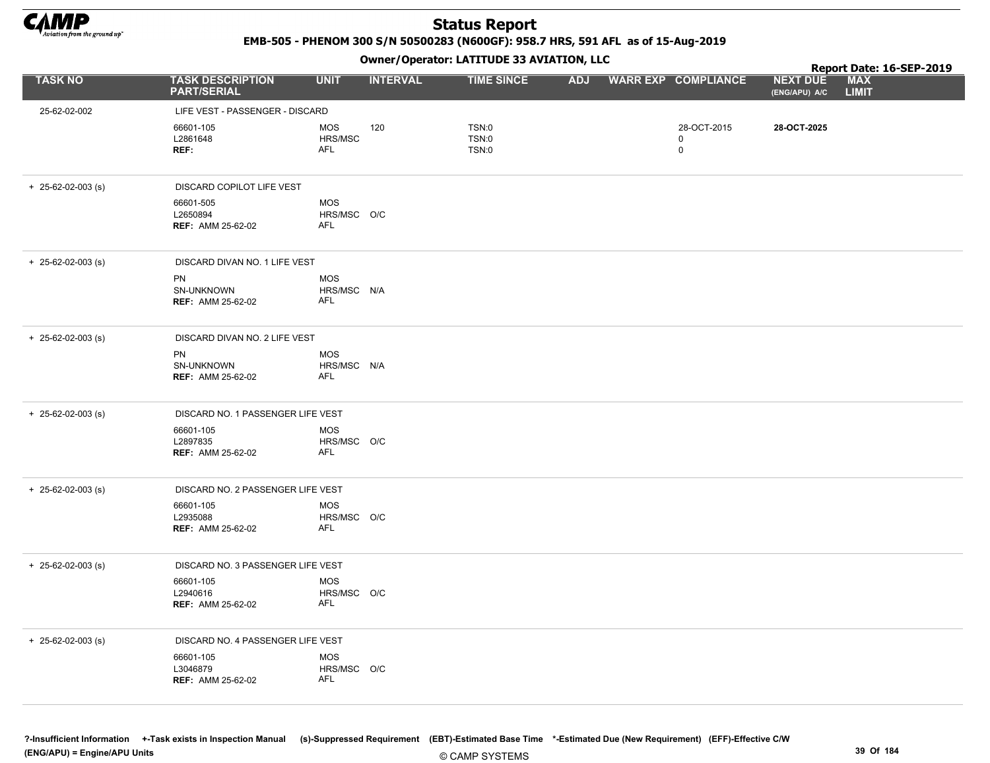

EMB-505 - PHENOM 300 S/N 50500283 (N600GF): 958.7 HRS, 591 AFL as of 15-Aug-2019

|                            |                                                   |                                         | - - -           |                         |  |                         |                                  | Report Date: 16-SEP-2019   |
|----------------------------|---------------------------------------------------|-----------------------------------------|-----------------|-------------------------|--|-------------------------|----------------------------------|----------------------------|
| <b>TASK NO</b>             | <b>TASK DESCRIPTION</b><br><b>PART/SERIAL</b>     | <b>UNIT</b>                             | <b>INTERVAL</b> | <b>TIME SINCE</b>       |  | ADJ WARR EXP COMPLIANCE | <b>NEXT DUE</b><br>(ENG/APU) A/C | <b>MAX</b><br><b>LIMIT</b> |
| 25-62-02-002               | LIFE VEST - PASSENGER - DISCARD                   |                                         |                 |                         |  |                         |                                  |                            |
|                            | 66601-105<br>L2861648<br>REF:                     | <b>MOS</b><br>HRS/MSC<br>AFL            | 120             | TSN:0<br>TSN:0<br>TSN:0 |  | 28-OCT-2015<br>0<br>0   | 28-OCT-2025                      |                            |
| $+$ 25-62-02-003 (s)       | DISCARD COPILOT LIFE VEST                         |                                         |                 |                         |  |                         |                                  |                            |
|                            | 66601-505<br>L2650894<br><b>REF: AMM 25-62-02</b> | <b>MOS</b><br>HRS/MSC O/C<br>AFL        |                 |                         |  |                         |                                  |                            |
| $+$ 25-62-02-003 (s)       | DISCARD DIVAN NO. 1 LIFE VEST                     |                                         |                 |                         |  |                         |                                  |                            |
|                            | PN<br>SN-UNKNOWN<br><b>REF: AMM 25-62-02</b>      | <b>MOS</b><br>HRS/MSC N/A<br>AFL        |                 |                         |  |                         |                                  |                            |
| $+$ 25-62-02-003 (s)       | DISCARD DIVAN NO. 2 LIFE VEST                     |                                         |                 |                         |  |                         |                                  |                            |
|                            | PN<br>SN-UNKNOWN<br><b>REF: AMM 25-62-02</b>      | <b>MOS</b><br>HRS/MSC N/A<br>AFL        |                 |                         |  |                         |                                  |                            |
| $+$ 25-62-02-003 (s)       | DISCARD NO. 1 PASSENGER LIFE VEST                 |                                         |                 |                         |  |                         |                                  |                            |
|                            | 66601-105<br>L2897835<br><b>REF: AMM 25-62-02</b> | <b>MOS</b><br>HRS/MSC O/C<br>AFL        |                 |                         |  |                         |                                  |                            |
| $+$ 25-62-02-003 (s)       | DISCARD NO. 2 PASSENGER LIFE VEST                 |                                         |                 |                         |  |                         |                                  |                            |
|                            | 66601-105<br>L2935088<br><b>REF: AMM 25-62-02</b> | <b>MOS</b><br>HRS/MSC O/C<br>AFL        |                 |                         |  |                         |                                  |                            |
| $+ 25 - 62 - 02 - 003$ (s) | DISCARD NO. 3 PASSENGER LIFE VEST                 |                                         |                 |                         |  |                         |                                  |                            |
|                            | 66601-105<br>L2940616<br><b>REF: AMM 25-62-02</b> | <b>MOS</b><br>HRS/MSC O/C<br>AFL        |                 |                         |  |                         |                                  |                            |
| $+$ 25-62-02-003 (s)       | DISCARD NO. 4 PASSENGER LIFE VEST                 |                                         |                 |                         |  |                         |                                  |                            |
|                            | 66601-105<br>L3046879<br><b>REF: AMM 25-62-02</b> | <b>MOS</b><br>HRS/MSC O/C<br><b>AFL</b> |                 |                         |  |                         |                                  |                            |
|                            |                                                   |                                         |                 |                         |  |                         |                                  |                            |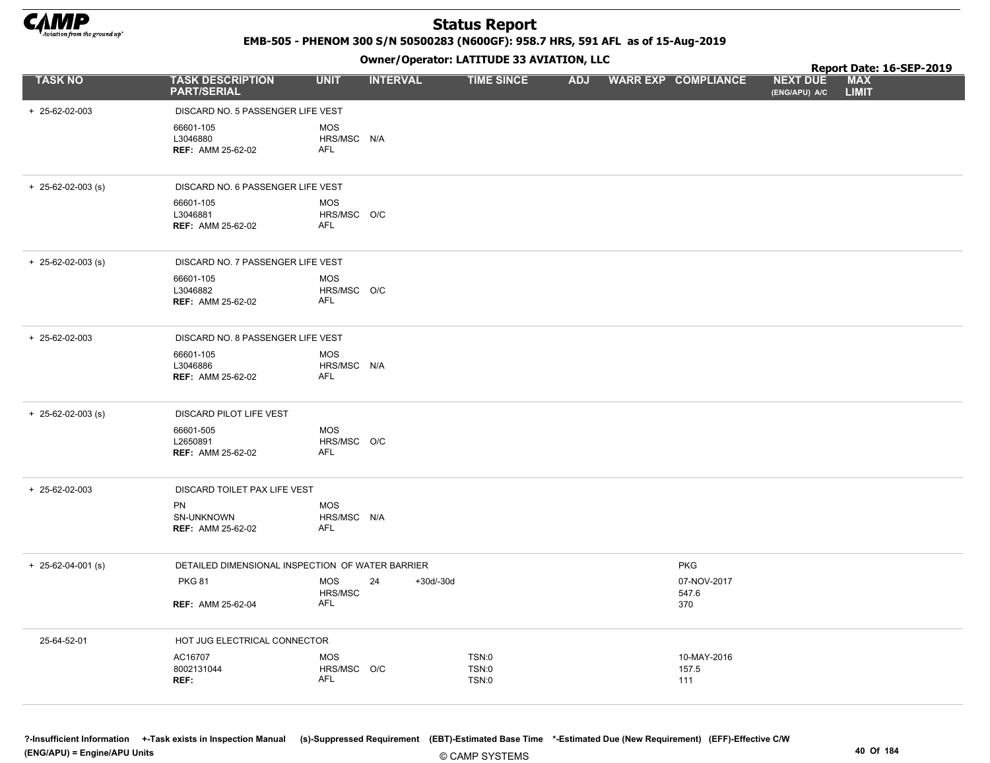

EMB-505 - PHENOM 300 S/N 50500283 (N600GF): 958.7 HRS, 591 AFL as of 15-Aug-2019

Owner/Operator: LATITUDE 33 AVIATION, LLC

|                            |                                                   |                                  | Owner / Operator: EATITODE 33 AVIATION, LLC |             |                         |            |  |                             | Report Date: 16-SEP-2019         |                            |  |
|----------------------------|---------------------------------------------------|----------------------------------|---------------------------------------------|-------------|-------------------------|------------|--|-----------------------------|----------------------------------|----------------------------|--|
| <b>TASK NO</b>             | <b>TASK DESCRIPTION</b><br><b>PART/SERIAL</b>     | <b>UNIT</b>                      | <b>INTERVAL</b>                             |             | <b>TIME SINCE</b>       | <b>ADJ</b> |  | <b>WARR EXP COMPLIANCE</b>  | <b>NEXT DUE</b><br>(ENG/APU) A/C | <b>MAX</b><br><b>LIMIT</b> |  |
| + 25-62-02-003             | DISCARD NO. 5 PASSENGER LIFE VEST                 |                                  |                                             |             |                         |            |  |                             |                                  |                            |  |
|                            | 66601-105<br>L3046880<br><b>REF: AMM 25-62-02</b> | <b>MOS</b><br>HRS/MSC N/A<br>AFL |                                             |             |                         |            |  |                             |                                  |                            |  |
| $+$ 25-62-02-003 (s)       | DISCARD NO. 6 PASSENGER LIFE VEST                 |                                  |                                             |             |                         |            |  |                             |                                  |                            |  |
|                            | 66601-105<br>L3046881<br><b>REF: AMM 25-62-02</b> | <b>MOS</b><br>HRS/MSC O/C<br>AFL |                                             |             |                         |            |  |                             |                                  |                            |  |
| $+$ 25-62-02-003 (s)       | DISCARD NO. 7 PASSENGER LIFE VEST                 |                                  |                                             |             |                         |            |  |                             |                                  |                            |  |
|                            | 66601-105<br>L3046882<br><b>REF: AMM 25-62-02</b> | <b>MOS</b><br>HRS/MSC O/C<br>AFL |                                             |             |                         |            |  |                             |                                  |                            |  |
| + 25-62-02-003             | DISCARD NO. 8 PASSENGER LIFE VEST                 |                                  |                                             |             |                         |            |  |                             |                                  |                            |  |
|                            | 66601-105<br>L3046886<br><b>REF: AMM 25-62-02</b> | <b>MOS</b><br>HRS/MSC N/A<br>AFL |                                             |             |                         |            |  |                             |                                  |                            |  |
| $+ 25 - 62 - 02 - 003$ (s) | DISCARD PILOT LIFE VEST                           |                                  |                                             |             |                         |            |  |                             |                                  |                            |  |
|                            | 66601-505<br>L2650891<br><b>REF: AMM 25-62-02</b> | <b>MOS</b><br>HRS/MSC O/C<br>AFL |                                             |             |                         |            |  |                             |                                  |                            |  |
| + 25-62-02-003             | DISCARD TOILET PAX LIFE VEST                      |                                  |                                             |             |                         |            |  |                             |                                  |                            |  |
|                            | PN<br>SN-UNKNOWN<br><b>REF: AMM 25-62-02</b>      | <b>MOS</b><br>HRS/MSC N/A<br>AFL |                                             |             |                         |            |  |                             |                                  |                            |  |
| $+$ 25-62-04-001 (s)       | DETAILED DIMENSIONAL INSPECTION OF WATER BARRIER  |                                  |                                             |             |                         |            |  | <b>PKG</b>                  |                                  |                            |  |
|                            | <b>PKG 81</b>                                     | <b>MOS</b><br>HRS/MSC            | 24                                          | $+30d/-30d$ |                         |            |  | 07-NOV-2017<br>547.6        |                                  |                            |  |
|                            | <b>REF: AMM 25-62-04</b>                          | <b>AFL</b>                       |                                             |             |                         |            |  | 370                         |                                  |                            |  |
| 25-64-52-01                | HOT JUG ELECTRICAL CONNECTOR                      |                                  |                                             |             |                         |            |  |                             |                                  |                            |  |
|                            | AC16707<br>8002131044<br>REF:                     | <b>MOS</b><br>HRS/MSC O/C<br>AFL |                                             |             | TSN:0<br>TSN:0<br>TSN:0 |            |  | 10-MAY-2016<br>157.5<br>111 |                                  |                            |  |
|                            |                                                   |                                  |                                             |             |                         |            |  |                             |                                  |                            |  |

?-Insufficient Information +-Task exists in Inspection Manual (s)-Suppressed Requirement (EBT)-Estimated Base Time \*-Estimated Due (New Requirement) (EFF)-Effective C/W (ENG/APU) = Engine/APU Units 40 Of 184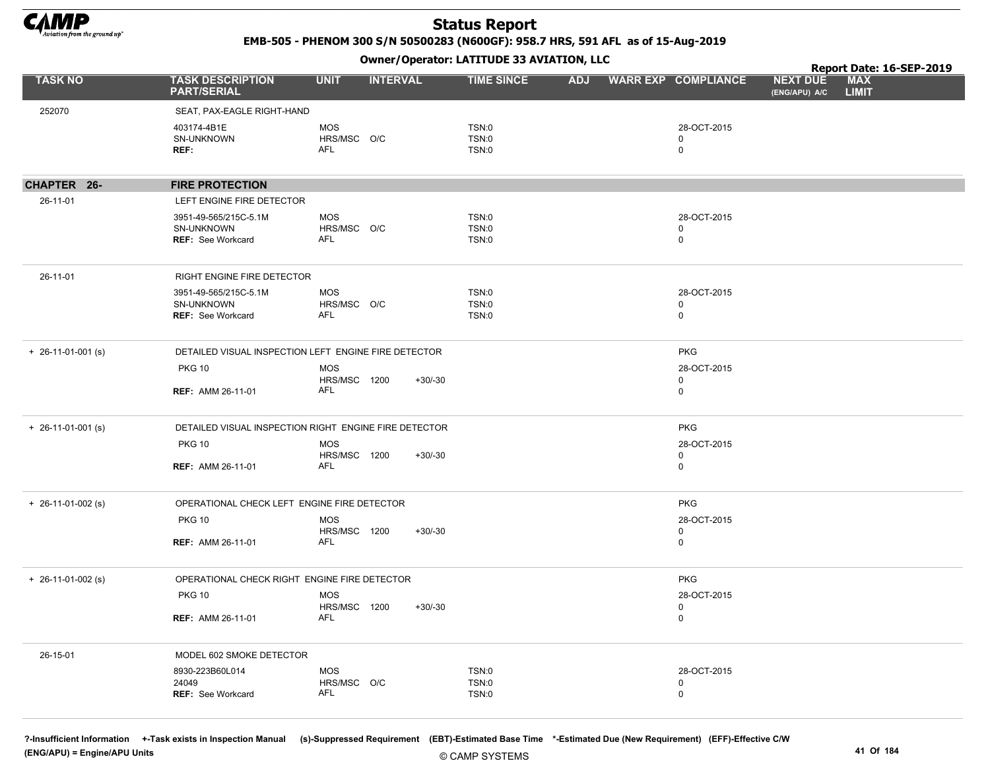

EMB-505 - PHENOM 300 S/N 50500283 (N600GF): 958.7 HRS, 591 AFL as of 15-Aug-2019

Owner/Operator: LATITUDE 33 AVIATION, LLC

|                            |                                                                 |                                   | Owner / Operator. EATITODE 33 AVIATION, LLC |                         |            |  |                            |                                  |                            | Report Date: 16-SEP-2019 |  |  |
|----------------------------|-----------------------------------------------------------------|-----------------------------------|---------------------------------------------|-------------------------|------------|--|----------------------------|----------------------------------|----------------------------|--------------------------|--|--|
| <b>TASK NO</b>             | <b>TASK DESCRIPTION</b><br><b>PART/SERIAL</b>                   | <b>UNIT</b>                       | <b>INTERVAL</b>                             | <b>TIME SINCE</b>       | <b>ADJ</b> |  | <b>WARR EXP COMPLIANCE</b> | <b>NEXT DUE</b><br>(ENG/APU) A/C | <b>MAX</b><br><b>LIMIT</b> |                          |  |  |
| 252070                     | SEAT, PAX-EAGLE RIGHT-HAND                                      |                                   |                                             |                         |            |  |                            |                                  |                            |                          |  |  |
|                            | 403174-4B1E<br>SN-UNKNOWN<br>REF:                               | <b>MOS</b><br>HRS/MSC O/C<br>AFL  |                                             | TSN:0<br>TSN:0<br>TSN:0 |            |  | 28-OCT-2015<br>0<br>0      |                                  |                            |                          |  |  |
| CHAPTER 26-                | <b>FIRE PROTECTION</b>                                          |                                   |                                             |                         |            |  |                            |                                  |                            |                          |  |  |
| 26-11-01                   | LEFT ENGINE FIRE DETECTOR                                       |                                   |                                             |                         |            |  |                            |                                  |                            |                          |  |  |
|                            | 3951-49-565/215C-5.1M<br>SN-UNKNOWN<br><b>REF: See Workcard</b> | MOS<br>HRS/MSC O/C<br>AFL         |                                             | TSN:0<br>TSN:0<br>TSN:0 |            |  | 28-OCT-2015<br>0<br>0      |                                  |                            |                          |  |  |
| 26-11-01                   | RIGHT ENGINE FIRE DETECTOR                                      |                                   |                                             |                         |            |  |                            |                                  |                            |                          |  |  |
|                            | 3951-49-565/215C-5.1M<br>SN-UNKNOWN<br><b>REF: See Workcard</b> | <b>MOS</b><br>HRS/MSC O/C<br>AFL  |                                             | TSN:0<br>TSN:0<br>TSN:0 |            |  | 28-OCT-2015<br>0<br>0      |                                  |                            |                          |  |  |
| $+ 26 - 11 - 01 - 001$ (s) | DETAILED VISUAL INSPECTION LEFT ENGINE FIRE DETECTOR            |                                   |                                             |                         |            |  | <b>PKG</b>                 |                                  |                            |                          |  |  |
|                            | <b>PKG 10</b><br><b>REF: AMM 26-11-01</b>                       | <b>MOS</b><br>HRS/MSC 1200<br>AFL | +30/-30                                     |                         |            |  | 28-OCT-2015<br>0<br>0      |                                  |                            |                          |  |  |
| $+ 26 - 11 - 01 - 001$ (s) | DETAILED VISUAL INSPECTION RIGHT ENGINE FIRE DETECTOR           |                                   |                                             |                         |            |  | <b>PKG</b>                 |                                  |                            |                          |  |  |
|                            | <b>PKG 10</b>                                                   | <b>MOS</b>                        |                                             |                         |            |  | 28-OCT-2015                |                                  |                            |                          |  |  |
|                            | <b>REF: AMM 26-11-01</b>                                        | HRS/MSC 1200<br>AFL               | $+30/-30$                                   |                         |            |  | 0<br>0                     |                                  |                            |                          |  |  |
| $+$ 26-11-01-002 (s)       | OPERATIONAL CHECK LEFT ENGINE FIRE DETECTOR                     |                                   |                                             |                         |            |  | <b>PKG</b>                 |                                  |                            |                          |  |  |
|                            | <b>PKG 10</b>                                                   | <b>MOS</b>                        |                                             |                         |            |  | 28-OCT-2015                |                                  |                            |                          |  |  |
|                            | <b>REF: AMM 26-11-01</b>                                        | HRS/MSC 1200<br>AFL               | +30/-30                                     |                         |            |  | 0<br>0                     |                                  |                            |                          |  |  |
| $+ 26-11-01-002$ (s)       | OPERATIONAL CHECK RIGHT ENGINE FIRE DETECTOR                    |                                   |                                             |                         |            |  | <b>PKG</b>                 |                                  |                            |                          |  |  |
|                            | <b>PKG 10</b>                                                   | <b>MOS</b><br>HRS/MSC 1200        | $+30/-30$                                   |                         |            |  | 28-OCT-2015<br>0           |                                  |                            |                          |  |  |
|                            | <b>REF: AMM 26-11-01</b>                                        | AFL                               |                                             |                         |            |  | $\Omega$                   |                                  |                            |                          |  |  |
| 26-15-01                   | MODEL 602 SMOKE DETECTOR                                        |                                   |                                             |                         |            |  |                            |                                  |                            |                          |  |  |
|                            | 8930-223B60L014<br>24049<br>REF: See Workcard                   | <b>MOS</b><br>HRS/MSC O/C<br>AFL  |                                             | TSN:0<br>TSN:0<br>TSN:0 |            |  | 28-OCT-2015<br>0<br>0      |                                  |                            |                          |  |  |
|                            |                                                                 |                                   |                                             |                         |            |  |                            |                                  |                            |                          |  |  |

?-Insufficient Information +-Task exists in Inspection Manual (s)-Suppressed Requirement (EBT)-Estimated Base Time \*-Estimated Due (New Requirement) (EFF)-Effective C/W (ENG/APU) = Engine/APU Units 41 Of 184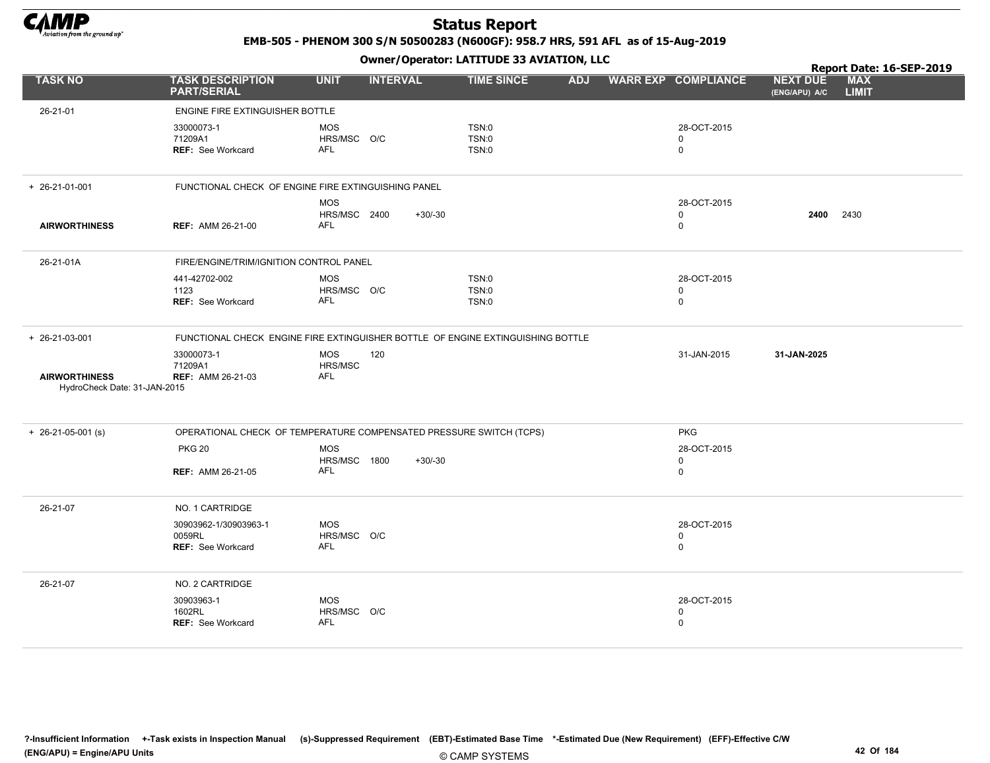

EMB-505 - PHENOM 300 S/N 50500283 (N600GF): 958.7 HRS, 591 AFL as of 15-Aug-2019

|                                                      | Owner / Operator: EATITODE 33 AVIATION, LLC                                     |                                          |                 |                                |            |  |                                           | Report Date: 16-SEP-2019         |                            |  |
|------------------------------------------------------|---------------------------------------------------------------------------------|------------------------------------------|-----------------|--------------------------------|------------|--|-------------------------------------------|----------------------------------|----------------------------|--|
| <b>TASK NO</b>                                       | <b>TASK DESCRIPTION</b><br><b>PART/SERIAL</b>                                   | <b>UNIT</b>                              | <b>INTERVAL</b> | <b>TIME SINCE</b>              | <b>ADJ</b> |  | <b>WARR EXP COMPLIANCE</b>                | <b>NEXT DUE</b><br>(ENG/APU) A/C | <b>MAX</b><br><b>LIMIT</b> |  |
| 26-21-01                                             | ENGINE FIRE EXTINGUISHER BOTTLE                                                 |                                          |                 |                                |            |  |                                           |                                  |                            |  |
|                                                      | 33000073-1<br>71209A1<br><b>REF: See Workcard</b>                               | <b>MOS</b><br>HRS/MSC O/C<br>AFL         |                 | <b>TSN:0</b><br>TSN:0<br>TSN:0 |            |  | 28-OCT-2015<br>$\mathbf 0$<br>0           |                                  |                            |  |
|                                                      |                                                                                 |                                          |                 |                                |            |  |                                           |                                  |                            |  |
| $+ 26 - 21 - 01 - 001$                               | FUNCTIONAL CHECK OF ENGINE FIRE EXTINGUISHING PANEL                             |                                          |                 |                                |            |  |                                           |                                  |                            |  |
| <b>AIRWORTHINESS</b>                                 | <b>REF: AMM 26-21-00</b>                                                        | <b>MOS</b><br>HRS/MSC 2400<br>AFL        | $+30/30$        |                                |            |  | 28-OCT-2015<br>$\mathbf 0$<br>$\mathbf 0$ | 2400                             | 2430                       |  |
| 26-21-01A                                            | FIRE/ENGINE/TRIM/IGNITION CONTROL PANEL                                         |                                          |                 |                                |            |  |                                           |                                  |                            |  |
|                                                      | 441-42702-002<br>1123<br>REF: See Workcard                                      | <b>MOS</b><br>HRS/MSC O/C<br><b>AFL</b>  |                 | TSN:0<br>TSN:0<br>TSN:0        |            |  | 28-OCT-2015<br>0<br>$\mathbf 0$           |                                  |                            |  |
| + 26-21-03-001                                       | FUNCTIONAL CHECK ENGINE FIRE EXTINGUISHER BOTTLE OF ENGINE EXTINGUISHING BOTTLE |                                          |                 |                                |            |  |                                           |                                  |                            |  |
| <b>AIRWORTHINESS</b><br>HydroCheck Date: 31-JAN-2015 | 33000073-1<br>71209A1<br><b>REF: AMM 26-21-03</b>                               | MOS<br>HRS/MSC<br><b>AFL</b>             | 120             |                                |            |  | 31-JAN-2015                               | 31-JAN-2025                      |                            |  |
| $+ 26-21-05-001$ (s)                                 | OPERATIONAL CHECK OF TEMPERATURE COMPENSATED PRESSURE SWITCH (TCPS)             |                                          |                 |                                |            |  | <b>PKG</b>                                |                                  |                            |  |
|                                                      | <b>PKG 20</b><br><b>REF: AMM 26-21-05</b>                                       | <b>MOS</b><br>HRS/MSC 1800<br><b>AFL</b> | $+30/-30$       |                                |            |  | 28-OCT-2015<br>0<br>$\mathbf 0$           |                                  |                            |  |
| 26-21-07                                             | NO. 1 CARTRIDGE                                                                 |                                          |                 |                                |            |  |                                           |                                  |                            |  |
|                                                      | 30903962-1/30903963-1<br>0059RL<br><b>REF: See Workcard</b>                     | <b>MOS</b><br>HRS/MSC O/C<br><b>AFL</b>  |                 |                                |            |  | 28-OCT-2015<br>0<br>$\mathbf 0$           |                                  |                            |  |
| 26-21-07                                             | NO. 2 CARTRIDGE                                                                 |                                          |                 |                                |            |  |                                           |                                  |                            |  |
|                                                      | 30903963-1<br>1602RL<br><b>REF: See Workcard</b>                                | <b>MOS</b><br>HRS/MSC O/C<br><b>AFL</b>  |                 |                                |            |  | 28-OCT-2015<br>0<br>$\mathbf 0$           |                                  |                            |  |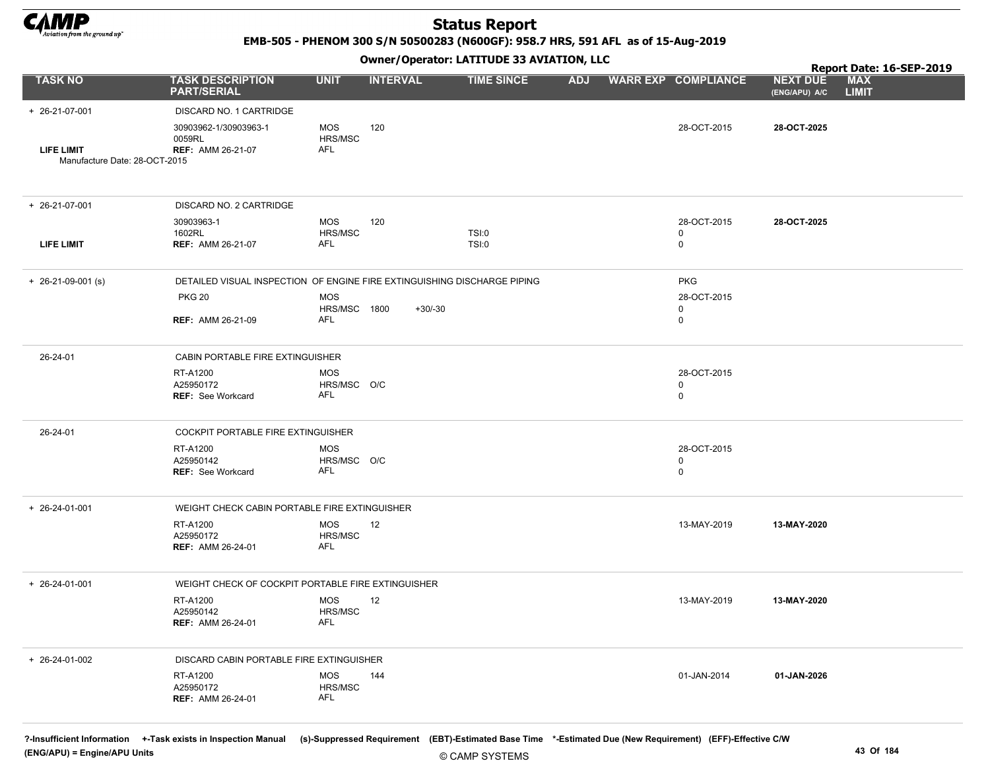

EMB-505 - PHENOM 300 S/N 50500283 (N600GF): 958.7 HRS, 591 AFL as of 15-Aug-2019

#### Owner/Operator: LATITUDE 33 AVIATION, LLC

|                                             | Owner / Operator. EATITODE 33 AVIATION, LLC                              |                                  |                 |                   |            |  |                                 |                                  | Report Date: 16-SEP-2019   |  |
|---------------------------------------------|--------------------------------------------------------------------------|----------------------------------|-----------------|-------------------|------------|--|---------------------------------|----------------------------------|----------------------------|--|
| <b>TASK NO</b>                              | <b>TASK DESCRIPTION</b><br><b>PART/SERIAL</b>                            | <b>UNIT</b>                      | <b>INTERVAL</b> | <b>TIME SINCE</b> | <b>ADJ</b> |  | <b>WARR EXP COMPLIANCE</b>      | <b>NEXT DUE</b><br>(ENG/APU) A/C | <b>MAX</b><br><b>LIMIT</b> |  |
| + 26-21-07-001                              | DISCARD NO. 1 CARTRIDGE                                                  |                                  |                 |                   |            |  |                                 |                                  |                            |  |
| LIFE LIMIT<br>Manufacture Date: 28-OCT-2015 | 30903962-1/30903963-1<br>0059RL<br><b>REF: AMM 26-21-07</b>              | <b>MOS</b><br>HRS/MSC<br>AFL     | 120             |                   |            |  | 28-OCT-2015                     | 28-OCT-2025                      |                            |  |
|                                             |                                                                          |                                  |                 |                   |            |  |                                 |                                  |                            |  |
| + 26-21-07-001                              | DISCARD NO. 2 CARTRIDGE                                                  |                                  |                 |                   |            |  |                                 |                                  |                            |  |
|                                             | 30903963-1                                                               | <b>MOS</b>                       | 120             |                   |            |  | 28-OCT-2015                     | 28-OCT-2025                      |                            |  |
| <b>LIFE LIMIT</b>                           | 1602RL<br><b>REF: AMM 26-21-07</b>                                       | HRS/MSC<br>AFL                   |                 | TSI:0<br>TSI:0    |            |  | 0<br>0                          |                                  |                            |  |
| $+$ 26-21-09-001 (s)                        | DETAILED VISUAL INSPECTION OF ENGINE FIRE EXTINGUISHING DISCHARGE PIPING |                                  |                 |                   |            |  | <b>PKG</b>                      |                                  |                            |  |
|                                             | <b>PKG 20</b>                                                            | <b>MOS</b>                       |                 |                   |            |  | 28-OCT-2015                     |                                  |                            |  |
|                                             | <b>REF: AMM 26-21-09</b>                                                 | HRS/MSC 1800<br>AFL              | $+30/-30$       |                   |            |  | 0<br>0                          |                                  |                            |  |
| 26-24-01                                    | CABIN PORTABLE FIRE EXTINGUISHER                                         |                                  |                 |                   |            |  |                                 |                                  |                            |  |
|                                             | RT-A1200<br>A25950172<br><b>REF: See Workcard</b>                        | <b>MOS</b><br>HRS/MSC O/C<br>AFL |                 |                   |            |  | 28-OCT-2015<br>0<br>$\mathbf 0$ |                                  |                            |  |
| 26-24-01                                    | COCKPIT PORTABLE FIRE EXTINGUISHER                                       |                                  |                 |                   |            |  |                                 |                                  |                            |  |
|                                             | RT-A1200<br>A25950142<br><b>REF: See Workcard</b>                        | <b>MOS</b><br>HRS/MSC O/C<br>AFL |                 |                   |            |  | 28-OCT-2015<br>0<br>0           |                                  |                            |  |
| $+ 26 - 24 - 01 - 001$                      | WEIGHT CHECK CABIN PORTABLE FIRE EXTINGUISHER                            |                                  |                 |                   |            |  |                                 |                                  |                            |  |
|                                             | RT-A1200<br>A25950172<br><b>REF: AMM 26-24-01</b>                        | <b>MOS</b><br>HRS/MSC<br>AFL     | 12              |                   |            |  | 13-MAY-2019                     | 13-MAY-2020                      |                            |  |
| + 26-24-01-001                              | WEIGHT CHECK OF COCKPIT PORTABLE FIRE EXTINGUISHER                       |                                  |                 |                   |            |  |                                 |                                  |                            |  |
|                                             | RT-A1200<br>A25950142<br><b>REF: AMM 26-24-01</b>                        | <b>MOS</b><br>HRS/MSC<br>AFL     | 12              |                   |            |  | 13-MAY-2019                     | 13-MAY-2020                      |                            |  |
| $+ 26 - 24 - 01 - 002$                      | DISCARD CABIN PORTABLE FIRE EXTINGUISHER                                 |                                  |                 |                   |            |  |                                 |                                  |                            |  |
|                                             | RT-A1200<br>A25950172<br><b>REF: AMM 26-24-01</b>                        | MOS<br>HRS/MSC<br>AFL            | 144             |                   |            |  | 01-JAN-2014                     | 01-JAN-2026                      |                            |  |
|                                             |                                                                          |                                  |                 |                   |            |  |                                 |                                  |                            |  |

?-Insufficient Information +-Task exists in Inspection Manual (s)-Suppressed Requirement (EBT)-Estimated Base Time \*-Estimated Due (New Requirement) (EFF)-Effective C/W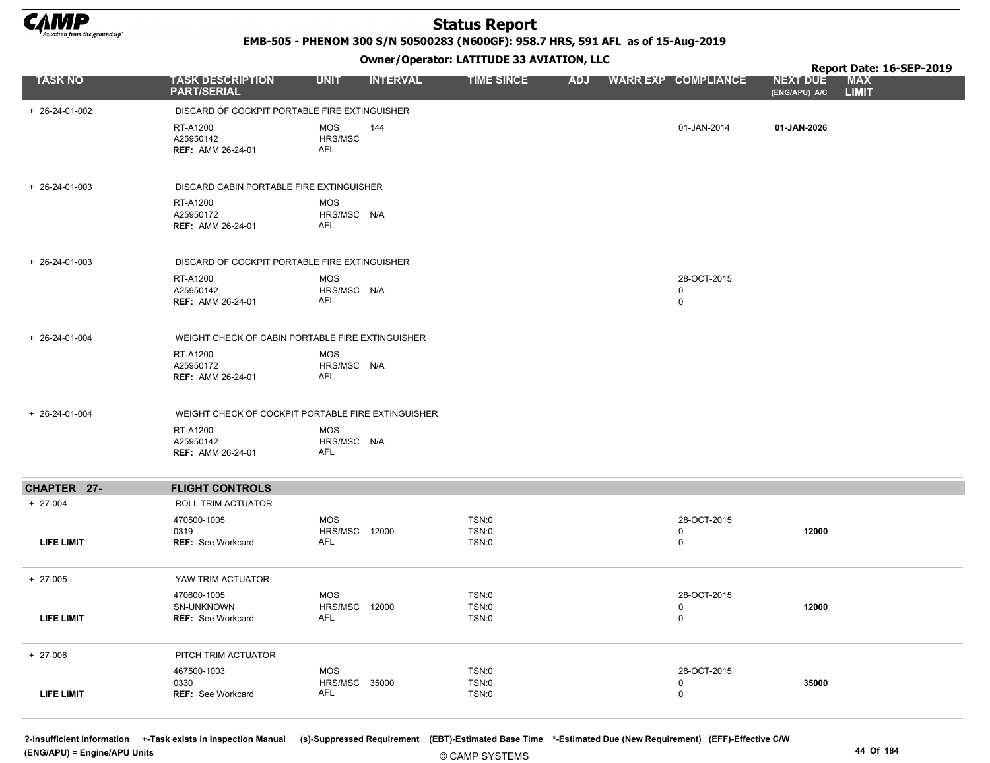

EMB-505 - PHENOM 300 S/N 50500283 (N600GF): 958.7 HRS, 591 AFL as of 15-Aug-2019

#### Owner/Operator: LATITUDE 33 AVIATION, LLC

|                        |                                                   | - - -                                              |                                       |                                 | Report Date: 16-SEP-2019                                       |  |
|------------------------|---------------------------------------------------|----------------------------------------------------|---------------------------------------|---------------------------------|----------------------------------------------------------------|--|
| <b>TASK NO</b>         | <b>TASK DESCRIPTION</b><br><b>PART/SERIAL</b>     | <b>UNIT</b><br><b>INTERVAL</b>                     | <b>TIME SINCE</b>                     | ADJ WARR EXP COMPLIANCE         | <b>MAX</b><br><b>NEXT DUE</b><br><b>LIMIT</b><br>(ENG/APU) A/C |  |
| + 26-24-01-002         | DISCARD OF COCKPIT PORTABLE FIRE EXTINGUISHER     |                                                    |                                       |                                 |                                                                |  |
|                        | RT-A1200<br>A25950142<br>REF: AMM 26-24-01        | <b>MOS</b><br>144<br>HRS/MSC<br>AFL                |                                       | 01-JAN-2014                     | 01-JAN-2026                                                    |  |
| $+ 26 - 24 - 01 - 003$ | DISCARD CABIN PORTABLE FIRE EXTINGUISHER          |                                                    |                                       |                                 |                                                                |  |
|                        | RT-A1200<br>A25950172<br><b>REF: AMM 26-24-01</b> | <b>MOS</b><br>HRS/MSC N/A<br><b>AFL</b>            |                                       |                                 |                                                                |  |
| + 26-24-01-003         | DISCARD OF COCKPIT PORTABLE FIRE EXTINGUISHER     |                                                    |                                       |                                 |                                                                |  |
|                        | RT-A1200<br>A25950142<br><b>REF: AMM 26-24-01</b> | <b>MOS</b><br>HRS/MSC N/A<br>AFL                   |                                       | 28-OCT-2015<br>$\mathbf 0$<br>0 |                                                                |  |
| + 26-24-01-004         |                                                   | WEIGHT CHECK OF CABIN PORTABLE FIRE EXTINGUISHER   |                                       |                                 |                                                                |  |
|                        | RT-A1200<br>A25950172<br>REF: AMM 26-24-01        | <b>MOS</b><br>HRS/MSC N/A<br>AFL                   |                                       |                                 |                                                                |  |
| + 26-24-01-004         |                                                   | WEIGHT CHECK OF COCKPIT PORTABLE FIRE EXTINGUISHER |                                       |                                 |                                                                |  |
|                        | RT-A1200<br>A25950142<br><b>REF: AMM 26-24-01</b> | <b>MOS</b><br>HRS/MSC N/A<br>AFL                   |                                       |                                 |                                                                |  |
| CHAPTER 27-            | <b>FLIGHT CONTROLS</b>                            |                                                    |                                       |                                 |                                                                |  |
| $+ 27-004$             | <b>ROLL TRIM ACTUATOR</b>                         |                                                    |                                       |                                 |                                                                |  |
| <b>LIFE LIMIT</b>      | 470500-1005<br>0319<br><b>REF: See Workcard</b>   | <b>MOS</b><br>HRS/MSC 12000<br>AFL                 | <b>TSN:0</b><br><b>TSN:0</b><br>TSN:0 | 28-OCT-2015<br>0<br>0           | 12000                                                          |  |
| $+ 27-005$             | YAW TRIM ACTUATOR                                 |                                                    |                                       |                                 |                                                                |  |
| LIFE LIMIT             | 470600-1005<br>SN-UNKNOWN<br>REF: See Workcard    | <b>MOS</b><br><b>HRS/MSC 12000</b><br>AFL          | TSN:0<br>TSN:0<br>TSN:0               | 28-OCT-2015<br>0<br>$\mathsf 0$ | 12000                                                          |  |
| $+ 27 - 006$           | PITCH TRIM ACTUATOR                               |                                                    |                                       |                                 |                                                                |  |
| LIFE LIMIT             | 467500-1003<br>0330<br><b>REF:</b> See Workcard   | <b>MOS</b><br><b>HRS/MSC 35000</b><br>AFL          | TSN:0<br>TSN:0<br>TSN:0               | 28-OCT-2015<br>0<br>0           | 35000                                                          |  |

?-Insufficient Information +-Task exists in Inspection Manual (s)-Suppressed Requirement (EBT)-Estimated Base Time \*-Estimated Due (New Requirement) (EFF)-Effective C/W (ENG/APU) = Engine/APU Units 44 Of 184

© CAMP SYSTEMS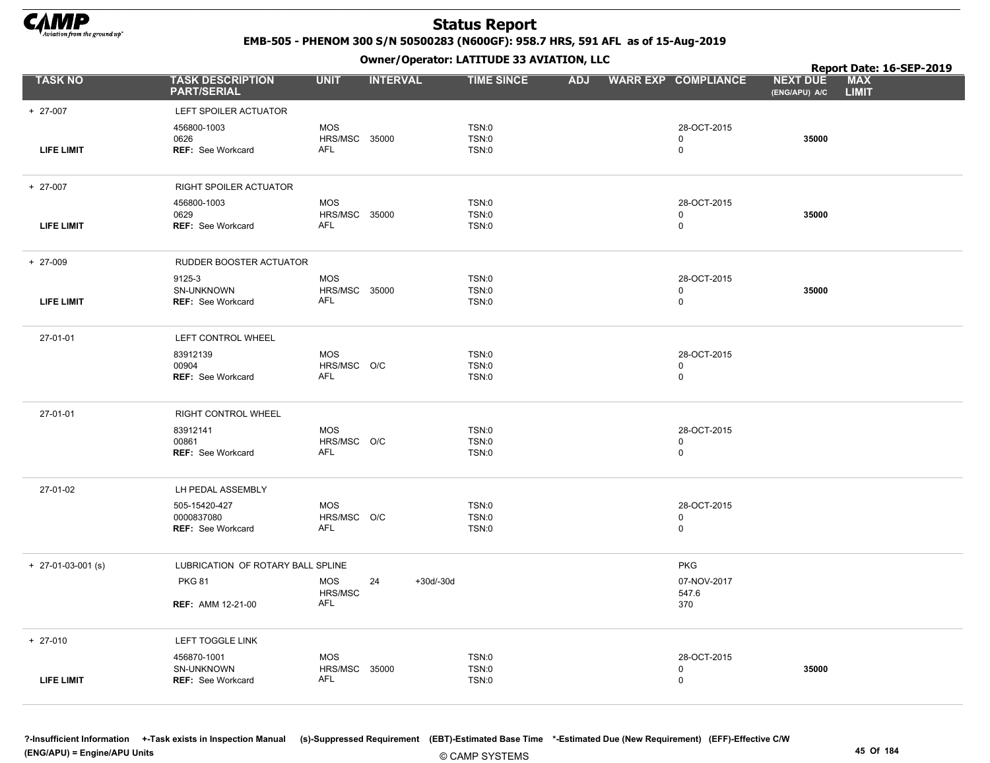

EMB-505 - PHENOM 300 S/N 50500283 (N600GF): 958.7 HRS, 591 AFL as of 15-Aug-2019

|                      |                                               |                             |                   | Owner / Operator. LATTTODE 33 AVIATION, LLC |            |                            | Report Date: 16-SEP-2019         |                            |  |
|----------------------|-----------------------------------------------|-----------------------------|-------------------|---------------------------------------------|------------|----------------------------|----------------------------------|----------------------------|--|
| <b>TASK NO</b>       | <b>TASK DESCRIPTION</b><br><b>PART/SERIAL</b> | <b>UNIT</b>                 | <b>INTERVAL</b>   | <b>TIME SINCE</b>                           | <b>ADJ</b> | <b>WARR EXP COMPLIANCE</b> | <b>NEXT DUE</b><br>(ENG/APU) A/C | <b>MAX</b><br><b>LIMIT</b> |  |
| + 27-007             | LEFT SPOILER ACTUATOR                         |                             |                   |                                             |            |                            |                                  |                            |  |
|                      | 456800-1003                                   | MOS                         |                   | TSN:0                                       |            | 28-OCT-2015                |                                  |                            |  |
| <b>LIFE LIMIT</b>    | 0626<br><b>REF: See Workcard</b>              | HRS/MSC 35000<br><b>AFL</b> |                   | TSN:0<br>TSN:0                              |            | 0<br>0                     | 35000                            |                            |  |
|                      |                                               |                             |                   |                                             |            |                            |                                  |                            |  |
| + 27-007             | RIGHT SPOILER ACTUATOR                        |                             |                   |                                             |            |                            |                                  |                            |  |
|                      | 456800-1003<br>0629                           | MOS<br>HRS/MSC 35000        |                   | TSN:0<br>TSN:0                              |            | 28-OCT-2015<br>0           | 35000                            |                            |  |
| <b>LIFE LIMIT</b>    | <b>REF: See Workcard</b>                      | AFL                         |                   | TSN:0                                       |            | $\mathbf 0$                |                                  |                            |  |
|                      |                                               |                             |                   |                                             |            |                            |                                  |                            |  |
| $+ 27-009$           | RUDDER BOOSTER ACTUATOR                       |                             |                   |                                             |            |                            |                                  |                            |  |
|                      | 9125-3                                        | <b>MOS</b>                  |                   | TSN:0                                       |            | 28-OCT-2015                |                                  |                            |  |
| <b>LIFE LIMIT</b>    | SN-UNKNOWN<br>REF: See Workcard               | HRS/MSC 35000<br>AFL        |                   | TSN:0<br>TSN:0                              |            | 0<br>$\mathbf 0$           | 35000                            |                            |  |
|                      |                                               |                             |                   |                                             |            |                            |                                  |                            |  |
| 27-01-01             | LEFT CONTROL WHEEL                            |                             |                   |                                             |            |                            |                                  |                            |  |
|                      | 83912139                                      | <b>MOS</b>                  |                   | TSN:0                                       |            | 28-OCT-2015                |                                  |                            |  |
|                      | 00904<br><b>REF: See Workcard</b>             | HRS/MSC O/C<br>AFL          |                   | TSN:0<br>TSN:0                              |            | $\mathbf 0$<br>$\mathsf 0$ |                                  |                            |  |
|                      |                                               |                             |                   |                                             |            |                            |                                  |                            |  |
| 27-01-01             | RIGHT CONTROL WHEEL                           |                             |                   |                                             |            |                            |                                  |                            |  |
|                      | 83912141                                      | <b>MOS</b>                  |                   | TSN:0                                       |            | 28-OCT-2015                |                                  |                            |  |
|                      | 00861<br><b>REF: See Workcard</b>             | HRS/MSC O/C<br>AFL          |                   | TSN:0<br>TSN:0                              |            | 0<br>0                     |                                  |                            |  |
|                      |                                               |                             |                   |                                             |            |                            |                                  |                            |  |
| 27-01-02             | LH PEDAL ASSEMBLY                             |                             |                   |                                             |            |                            |                                  |                            |  |
|                      | 505-15420-427                                 | MOS                         |                   | <b>TSN:0</b>                                |            | 28-OCT-2015                |                                  |                            |  |
|                      | 0000837080<br><b>REF: See Workcard</b>        | HRS/MSC O/C<br>AFL          |                   | <b>TSN:0</b><br>TSN:0                       |            | 0<br>0                     |                                  |                            |  |
|                      |                                               |                             |                   |                                             |            |                            |                                  |                            |  |
| $+$ 27-01-03-001 (s) | LUBRICATION OF ROTARY BALL SPLINE             |                             |                   |                                             |            | <b>PKG</b>                 |                                  |                            |  |
|                      | <b>PKG 81</b>                                 | <b>MOS</b><br>HRS/MSC       | 24<br>$+30d/-30d$ |                                             |            | 07-NOV-2017<br>547.6       |                                  |                            |  |
|                      | <b>REF: AMM 12-21-00</b>                      | <b>AFL</b>                  |                   |                                             |            | 370                        |                                  |                            |  |
|                      |                                               |                             |                   |                                             |            |                            |                                  |                            |  |
| $+ 27-010$           | LEFT TOGGLE LINK                              |                             |                   |                                             |            |                            |                                  |                            |  |
|                      | 456870-1001                                   | <b>MOS</b>                  |                   | <b>TSN:0</b>                                |            | 28-OCT-2015                |                                  |                            |  |
| <b>LIFE LIMIT</b>    | SN-UNKNOWN<br><b>REF: See Workcard</b>        | HRS/MSC 35000<br><b>AFL</b> |                   | TSN:0<br>TSN:0                              |            | 0<br>0                     | 35000                            |                            |  |
|                      |                                               |                             |                   |                                             |            |                            |                                  |                            |  |
|                      |                                               |                             |                   |                                             |            |                            |                                  |                            |  |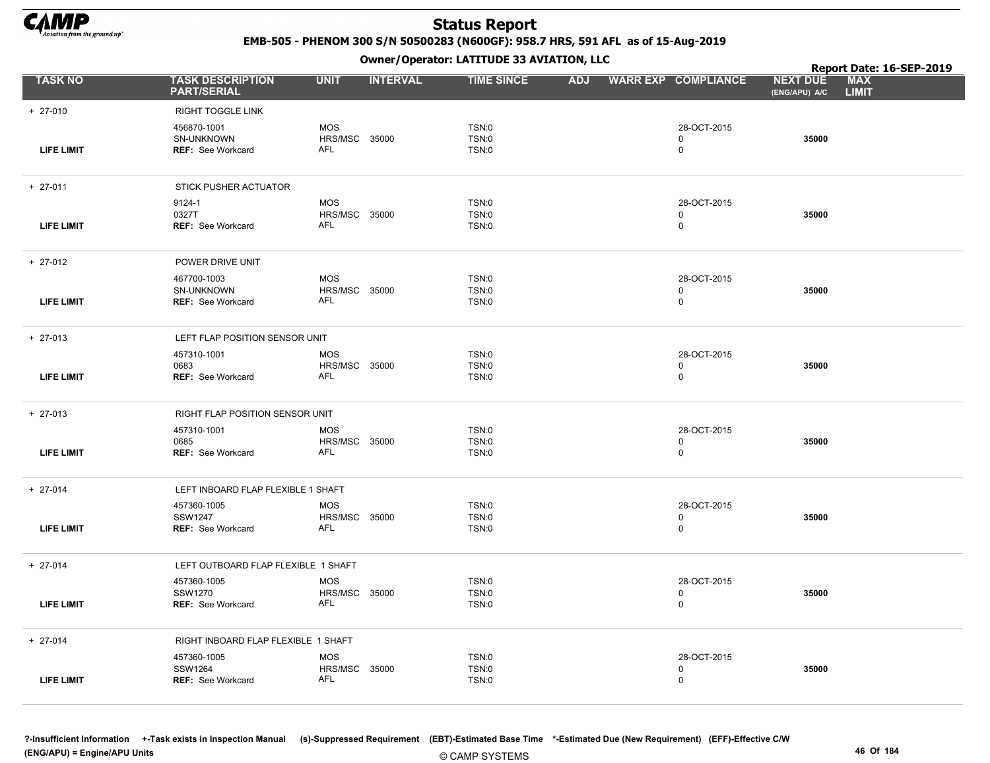

EMB-505 - PHENOM 300 S/N 50500283 (N600GF): 958.7 HRS, 591 AFL as of 15-Aug-2019

|                   |                                               |                             | .               |                       |            |                            |                                  | Report Date: 16-SEP-2019   |
|-------------------|-----------------------------------------------|-----------------------------|-----------------|-----------------------|------------|----------------------------|----------------------------------|----------------------------|
| <b>TASK NO</b>    | <b>TASK DESCRIPTION</b><br><b>PART/SERIAL</b> | <b>UNIT</b>                 | <b>INTERVAL</b> | <b>TIME SINCE</b>     | <b>ADJ</b> | <b>WARR EXP COMPLIANCE</b> | <b>NEXT DUE</b><br>(ENG/APU) A/C | <b>MAX</b><br><b>LIMIT</b> |
| $+ 27-010$        | RIGHT TOGGLE LINK                             |                             |                 |                       |            |                            |                                  |                            |
|                   | 456870-1001                                   | <b>MOS</b>                  |                 | TSN:0                 |            | 28-OCT-2015                |                                  |                            |
|                   | SN-UNKNOWN                                    | HRS/MSC 35000               |                 | <b>TSN:0</b>          |            | 0                          | 35000                            |                            |
| <b>LIFE LIMIT</b> | <b>REF: See Workcard</b>                      | <b>AFL</b>                  |                 | TSN:0                 |            | $\mathbf 0$                |                                  |                            |
| $+ 27-011$        | STICK PUSHER ACTUATOR                         |                             |                 |                       |            |                            |                                  |                            |
|                   | 9124-1                                        | <b>MOS</b>                  |                 | TSN:0                 |            | 28-OCT-2015                |                                  |                            |
| <b>LIFE LIMIT</b> | 0327T<br><b>REF: See Workcard</b>             | HRS/MSC 35000<br>AFL        |                 | TSN:0<br>TSN:0        |            | 0<br>0                     | 35000                            |                            |
|                   |                                               |                             |                 |                       |            |                            |                                  |                            |
| $+ 27-012$        | POWER DRIVE UNIT                              |                             |                 |                       |            |                            |                                  |                            |
|                   | 467700-1003                                   | <b>MOS</b>                  |                 | TSN:0                 |            | 28-OCT-2015                |                                  |                            |
| <b>LIFE LIMIT</b> | SN-UNKNOWN<br><b>REF: See Workcard</b>        | HRS/MSC 35000<br>AFL        |                 | <b>TSN:0</b><br>TSN:0 |            | 0<br>0                     | 35000                            |                            |
|                   |                                               |                             |                 |                       |            |                            |                                  |                            |
| $+ 27-013$        | LEFT FLAP POSITION SENSOR UNIT                |                             |                 |                       |            |                            |                                  |                            |
|                   | 457310-1001                                   | <b>MOS</b>                  |                 | TSN:0                 |            | 28-OCT-2015                |                                  |                            |
| <b>LIFE LIMIT</b> | 0683<br>REF: See Workcard                     | HRS/MSC 35000<br>AFL        |                 | TSN:0<br>TSN:0        |            | 0<br>$\mathbf 0$           | 35000                            |                            |
|                   |                                               |                             |                 |                       |            |                            |                                  |                            |
| $+ 27-013$        | RIGHT FLAP POSITION SENSOR UNIT               |                             |                 |                       |            |                            |                                  |                            |
|                   | 457310-1001                                   | <b>MOS</b>                  |                 | TSN:0                 |            | 28-OCT-2015                |                                  |                            |
| <b>LIFE LIMIT</b> | 0685<br><b>REF: See Workcard</b>              | HRS/MSC 35000<br>AFL        |                 | TSN:0<br>TSN:0        |            | $\mathbf 0$<br>$\mathbf 0$ | 35000                            |                            |
|                   |                                               |                             |                 |                       |            |                            |                                  |                            |
| $+ 27-014$        | LEFT INBOARD FLAP FLEXIBLE 1 SHAFT            |                             |                 |                       |            |                            |                                  |                            |
|                   | 457360-1005                                   | <b>MOS</b>                  |                 | TSN:0                 |            | 28-OCT-2015                |                                  |                            |
| <b>LIFE LIMIT</b> | <b>SSW1247</b><br>REF: See Workcard           | HRS/MSC 35000<br><b>AFL</b> |                 | <b>TSN:0</b><br>TSN:0 |            | $\mathbf 0$<br>$\mathbf 0$ | 35000                            |                            |
|                   |                                               |                             |                 |                       |            |                            |                                  |                            |
| $+ 27-014$        | LEFT OUTBOARD FLAP FLEXIBLE 1 SHAFT           |                             |                 |                       |            |                            |                                  |                            |
|                   | 457360-1005                                   | <b>MOS</b>                  |                 | TSN:0                 |            | 28-OCT-2015                |                                  |                            |
| <b>LIFE LIMIT</b> | SSW1270<br><b>REF: See Workcard</b>           | HRS/MSC 35000<br>AFL        |                 | <b>TSN:0</b><br>TSN:0 |            | 0<br>0                     | 35000                            |                            |
|                   |                                               |                             |                 |                       |            |                            |                                  |                            |
| $+ 27-014$        | RIGHT INBOARD FLAP FLEXIBLE 1 SHAFT           |                             |                 |                       |            |                            |                                  |                            |
|                   | 457360-1005                                   | <b>MOS</b>                  |                 | TSN:0                 |            | 28-OCT-2015                |                                  |                            |
| <b>LIFE LIMIT</b> | SSW1264<br><b>REF: See Workcard</b>           | <b>HRS/MSC 35000</b><br>AFL |                 | TSN:0<br>TSN:0        |            | 0<br>0                     | 35000                            |                            |
|                   |                                               |                             |                 |                       |            |                            |                                  |                            |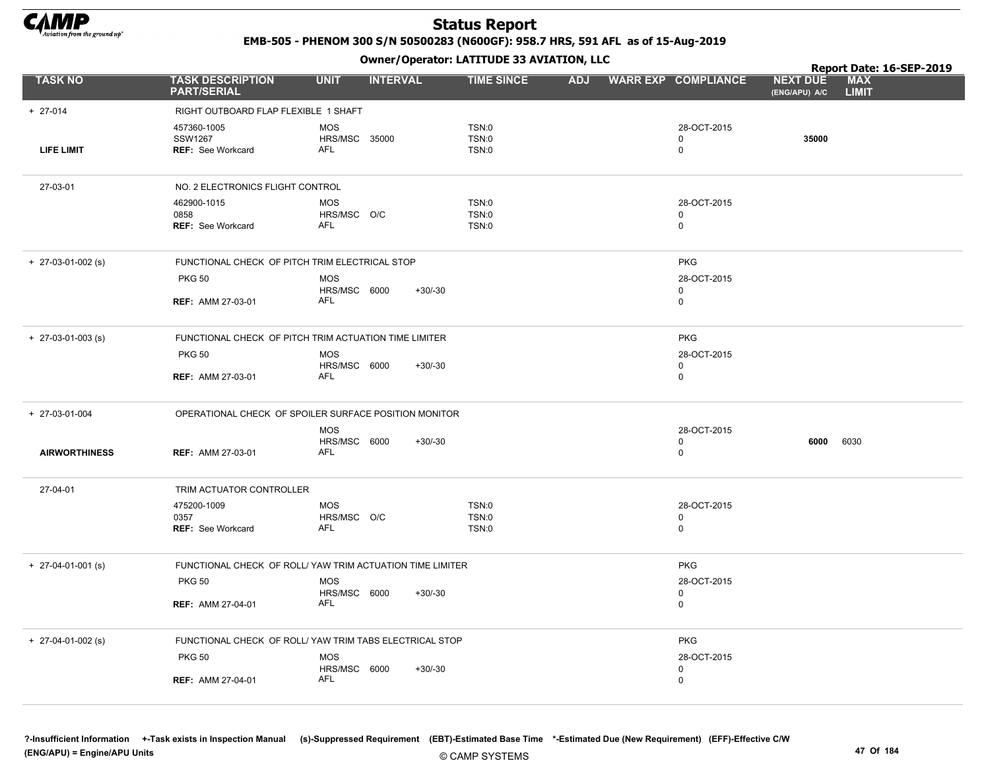

EMB-505 - PHENOM 300 S/N 50500283 (N600GF): 958.7 HRS, 591 AFL as of 15-Aug-2019

|                      |                                                    | .                                                         |                                |                                           | Report Date: 16-SEP-2019                                       |  |
|----------------------|----------------------------------------------------|-----------------------------------------------------------|--------------------------------|-------------------------------------------|----------------------------------------------------------------|--|
| <b>TASK NO</b>       | <b>TASK DESCRIPTION</b><br><b>PART/SERIAL</b>      | <b>UNIT</b><br><b>INTERVAL</b>                            | <b>TIME SINCE</b>              | ADJ WARR EXP COMPLIANCE                   | <b>MAX</b><br><b>NEXT DUE</b><br><b>LIMIT</b><br>(ENG/APU) A/C |  |
| $+ 27-014$           | RIGHT OUTBOARD FLAP FLEXIBLE 1 SHAFT               |                                                           |                                |                                           |                                                                |  |
| <b>LIFE LIMIT</b>    | 457360-1005<br><b>SSW1267</b><br>REF: See Workcard | <b>MOS</b><br>HRS/MSC 35000<br><b>AFL</b>                 | TSN:0<br>TSN:0<br>TSN:0        | 28-OCT-2015<br>$\mathbf 0$<br>$\mathbf 0$ | 35000                                                          |  |
| 27-03-01             | NO. 2 ELECTRONICS FLIGHT CONTROL                   |                                                           |                                |                                           |                                                                |  |
|                      | 462900-1015<br>0858<br><b>REF: See Workcard</b>    | MOS<br>HRS/MSC O/C<br><b>AFL</b>                          | TSN:0<br>TSN:0<br><b>TSN:0</b> | 28-OCT-2015<br>0<br>0                     |                                                                |  |
| $+$ 27-03-01-002 (s) | FUNCTIONAL CHECK OF PITCH TRIM ELECTRICAL STOP     |                                                           |                                | <b>PKG</b>                                |                                                                |  |
|                      | <b>PKG 50</b>                                      | <b>MOS</b><br>HRS/MSC 6000                                | $+30/-30$                      | 28-OCT-2015<br>0                          |                                                                |  |
|                      | <b>REF: AMM 27-03-01</b>                           | AFL                                                       |                                | $\mathbf 0$                               |                                                                |  |
| $+$ 27-03-01-003 (s) |                                                    | FUNCTIONAL CHECK OF PITCH TRIM ACTUATION TIME LIMITER     |                                | <b>PKG</b>                                |                                                                |  |
|                      | <b>PKG 50</b>                                      | MOS<br>HRS/MSC 6000                                       | $+30/-30$                      | 28-OCT-2015<br>$\mathbf 0$                |                                                                |  |
|                      | <b>REF: AMM 27-03-01</b>                           | <b>AFL</b>                                                |                                | $\mathsf 0$                               |                                                                |  |
| + 27-03-01-004       |                                                    | OPERATIONAL CHECK OF SPOILER SURFACE POSITION MONITOR     |                                |                                           |                                                                |  |
|                      |                                                    | <b>MOS</b><br>HRS/MSC 6000                                | $+30/-30$                      | 28-OCT-2015<br>$\mathbf 0$                | 6000<br>6030                                                   |  |
| <b>AIRWORTHINESS</b> | <b>REF: AMM 27-03-01</b>                           | <b>AFL</b>                                                |                                | $\mathbf 0$                               |                                                                |  |
| 27-04-01             | TRIM ACTUATOR CONTROLLER                           |                                                           |                                |                                           |                                                                |  |
|                      | 475200-1009                                        | <b>MOS</b>                                                | TSN:0                          | 28-OCT-2015                               |                                                                |  |
|                      | 0357<br><b>REF: See Workcard</b>                   | HRS/MSC O/C<br><b>AFL</b>                                 | TSN:0<br>TSN:0                 | $\mathbf 0$<br>$\mathbf 0$                |                                                                |  |
| $+$ 27-04-01-001 (s) |                                                    | FUNCTIONAL CHECK OF ROLL/ YAW TRIM ACTUATION TIME LIMITER |                                | <b>PKG</b>                                |                                                                |  |
|                      | <b>PKG 50</b>                                      | <b>MOS</b><br>HRS/MSC 6000                                | $+30/30$                       | 28-OCT-2015<br>$\mathbf 0$                |                                                                |  |
|                      | <b>REF: AMM 27-04-01</b>                           | <b>AFL</b>                                                |                                | $\mathbf 0$                               |                                                                |  |
| $+$ 27-04-01-002 (s) |                                                    | FUNCTIONAL CHECK OF ROLL/ YAW TRIM TABS ELECTRICAL STOP   |                                | <b>PKG</b>                                |                                                                |  |
|                      | <b>PKG 50</b>                                      | <b>MOS</b>                                                |                                | 28-OCT-2015                               |                                                                |  |
|                      | <b>REF: AMM 27-04-01</b>                           | HRS/MSC 6000<br><b>AFL</b>                                | $+30/-30$                      | $\mathbf 0$<br>$\mathsf 0$                |                                                                |  |
|                      |                                                    |                                                           |                                |                                           |                                                                |  |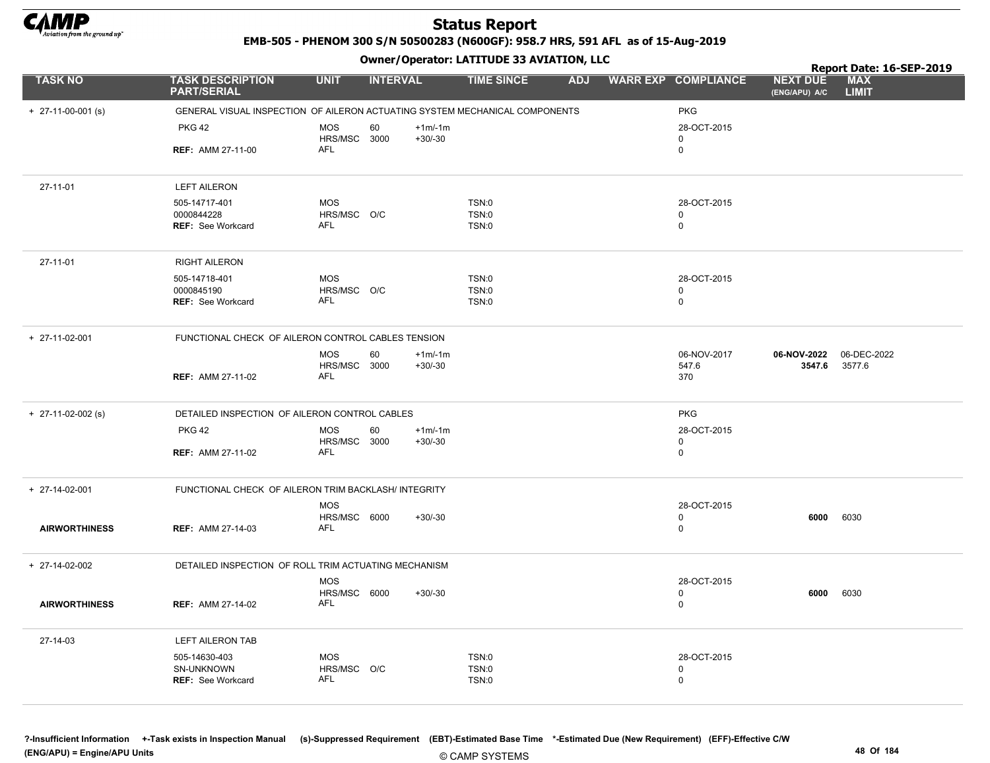

EMB-505 - PHENOM 300 S/N 50500283 (N600GF): 958.7 HRS, 591 AFL as of 15-Aug-2019

|                      |                                                                             |                            | .               |           |                       |            |                            |                                  | Report Date: 16-SEP-2019   |
|----------------------|-----------------------------------------------------------------------------|----------------------------|-----------------|-----------|-----------------------|------------|----------------------------|----------------------------------|----------------------------|
| <b>TASK NO</b>       | <b>TASK DESCRIPTION</b><br><b>PART/SERIAL</b>                               | <b>UNIT</b>                | <b>INTERVAL</b> |           | <b>TIME SINCE</b>     | <b>ADJ</b> | <b>WARR EXP COMPLIANCE</b> | <b>NEXT DUE</b><br>(ENG/APU) A/C | <b>MAX</b><br><b>LIMIT</b> |
| $+$ 27-11-00-001 (s) | GENERAL VISUAL INSPECTION OF AILERON ACTUATING SYSTEM MECHANICAL COMPONENTS |                            |                 |           |                       |            | <b>PKG</b>                 |                                  |                            |
|                      | <b>PKG 42</b>                                                               | <b>MOS</b>                 | 60              | $+1m/1m$  |                       |            | 28-OCT-2015                |                                  |                            |
|                      |                                                                             | HRS/MSC 3000               |                 | $+30/-30$ |                       |            | 0                          |                                  |                            |
|                      | <b>REF: AMM 27-11-00</b>                                                    | AFL                        |                 |           |                       |            | 0                          |                                  |                            |
| 27-11-01             | <b>LEFT AILERON</b>                                                         |                            |                 |           |                       |            |                            |                                  |                            |
|                      | 505-14717-401                                                               | <b>MOS</b>                 |                 |           | <b>TSN:0</b>          |            | 28-OCT-2015                |                                  |                            |
|                      | 0000844228                                                                  | HRS/MSC O/C                |                 |           | TSN:0                 |            | 0                          |                                  |                            |
|                      | <b>REF: See Workcard</b>                                                    | AFL                        |                 |           | TSN:0                 |            | 0                          |                                  |                            |
| 27-11-01             | <b>RIGHT AILERON</b>                                                        |                            |                 |           |                       |            |                            |                                  |                            |
|                      | 505-14718-401                                                               | <b>MOS</b>                 |                 |           | TSN:0                 |            | 28-OCT-2015                |                                  |                            |
|                      | 0000845190                                                                  | HRS/MSC O/C                |                 |           | TSN:0                 |            | 0                          |                                  |                            |
|                      | <b>REF: See Workcard</b>                                                    | <b>AFL</b>                 |                 |           | <b>TSN:0</b>          |            | 0                          |                                  |                            |
| + 27-11-02-001       | FUNCTIONAL CHECK OF AILERON CONTROL CABLES TENSION                          |                            |                 |           |                       |            |                            |                                  |                            |
|                      |                                                                             | <b>MOS</b>                 | 60              | $+1m/1m$  |                       |            | 06-NOV-2017                | 06-NOV-2022                      | 06-DEC-2022                |
|                      | <b>REF: AMM 27-11-02</b>                                                    | HRS/MSC 3000<br><b>AFL</b> |                 | $+30/-30$ |                       |            | 547.6                      | 3547.6                           | 3577.6                     |
|                      |                                                                             |                            |                 |           |                       |            | 370                        |                                  |                            |
| $+$ 27-11-02-002 (s) | DETAILED INSPECTION OF AILERON CONTROL CABLES                               |                            |                 |           |                       |            | <b>PKG</b>                 |                                  |                            |
|                      | <b>PKG 42</b>                                                               | <b>MOS</b>                 | 60              | $+1m/-1m$ |                       |            | 28-OCT-2015                |                                  |                            |
|                      | <b>REF: AMM 27-11-02</b>                                                    | HRS/MSC 3000<br>AFL        |                 | $+30/-30$ |                       |            | 0<br>$\mathbf 0$           |                                  |                            |
|                      |                                                                             |                            |                 |           |                       |            |                            |                                  |                            |
| + 27-14-02-001       | FUNCTIONAL CHECK OF AILERON TRIM BACKLASH/ INTEGRITY                        |                            |                 |           |                       |            |                            |                                  |                            |
|                      |                                                                             | <b>MOS</b>                 |                 |           |                       |            | 28-OCT-2015                |                                  |                            |
| <b>AIRWORTHINESS</b> | <b>REF: AMM 27-14-03</b>                                                    | HRS/MSC 6000<br>AFL        |                 | $+30/-30$ |                       |            | 0<br>0                     | 6000                             | 6030                       |
|                      |                                                                             |                            |                 |           |                       |            |                            |                                  |                            |
| + 27-14-02-002       | DETAILED INSPECTION OF ROLL TRIM ACTUATING MECHANISM                        |                            |                 |           |                       |            |                            |                                  |                            |
|                      |                                                                             | <b>MOS</b>                 |                 |           |                       |            | 28-OCT-2015                |                                  |                            |
| <b>AIRWORTHINESS</b> | <b>REF: AMM 27-14-02</b>                                                    | HRS/MSC 6000<br><b>AFL</b> |                 | $+30/-30$ |                       |            | 0<br>$\mathbf 0$           | 6000                             | 6030                       |
|                      |                                                                             |                            |                 |           |                       |            |                            |                                  |                            |
| 27-14-03             | LEFT AILERON TAB                                                            |                            |                 |           |                       |            |                            |                                  |                            |
|                      | 505-14630-403                                                               | <b>MOS</b>                 |                 |           | TSN:0                 |            | 28-OCT-2015                |                                  |                            |
|                      | SN-UNKNOWN<br><b>REF: See Workcard</b>                                      | HRS/MSC O/C<br>AFL         |                 |           | TSN:0<br><b>TSN:0</b> |            | 0<br>0                     |                                  |                            |
|                      |                                                                             |                            |                 |           |                       |            |                            |                                  |                            |
|                      |                                                                             |                            |                 |           |                       |            |                            |                                  |                            |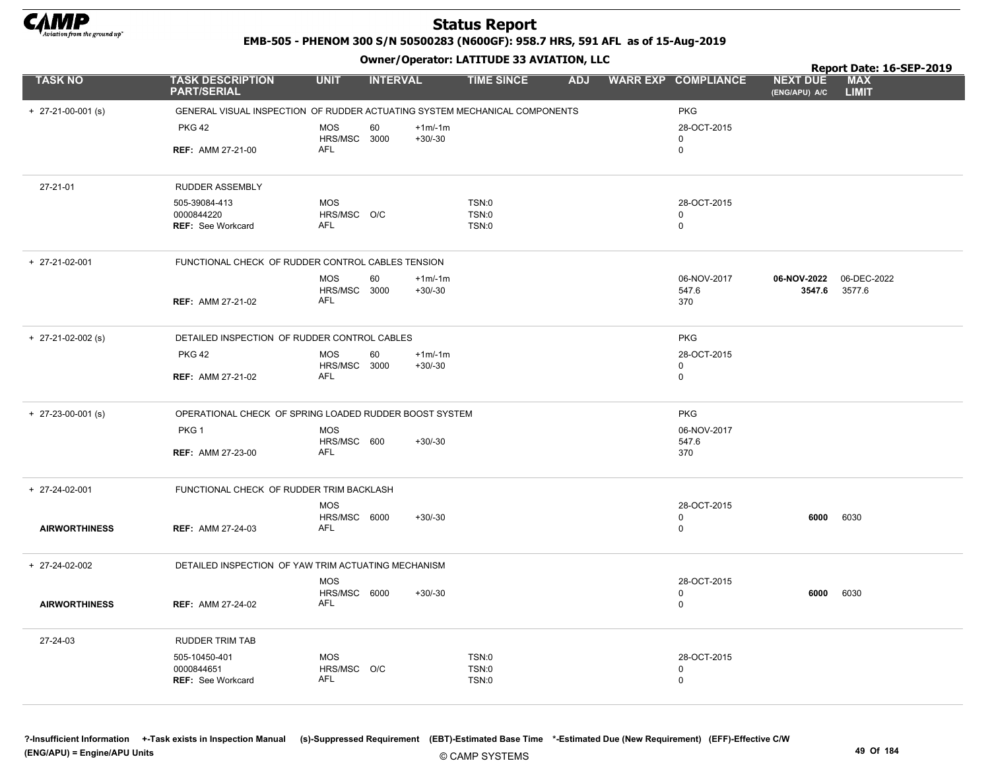

EMB-505 - PHENOM 300 S/N 50500283 (N600GF): 958.7 HRS, 591 AFL as of 15-Aug-2019

Owner/Operator: LATITUDE 33 AVIATION, LLC

|                            |                                                                            |                            | .               |           |                   |  |                         |                                  | Report Date: 16-SEP-2019   |
|----------------------------|----------------------------------------------------------------------------|----------------------------|-----------------|-----------|-------------------|--|-------------------------|----------------------------------|----------------------------|
| <b>TASK NO</b>             | <b>TASK DESCRIPTION</b><br><b>PART/SERIAL</b>                              | <b>UNIT</b>                | <b>INTERVAL</b> |           | <b>TIME SINCE</b> |  | ADJ WARR EXP COMPLIANCE | <b>NEXT DUE</b><br>(ENG/APU) A/C | <b>MAX</b><br><b>LIMIT</b> |
| $+ 27-21-00-001$ (s)       | GENERAL VISUAL INSPECTION OF RUDDER ACTUATING SYSTEM MECHANICAL COMPONENTS |                            |                 |           |                   |  | <b>PKG</b>              |                                  |                            |
|                            | <b>PKG 42</b>                                                              | <b>MOS</b>                 | 60              | $+1m/1m$  |                   |  | 28-OCT-2015             |                                  |                            |
|                            |                                                                            | HRS/MSC 3000               |                 | $+30/-30$ |                   |  | 0                       |                                  |                            |
|                            | <b>REF: AMM 27-21-00</b>                                                   | <b>AFL</b>                 |                 |           |                   |  | $\mathbf 0$             |                                  |                            |
| 27-21-01                   | RUDDER ASSEMBLY                                                            |                            |                 |           |                   |  |                         |                                  |                            |
|                            | 505-39084-413                                                              | <b>MOS</b>                 |                 |           | TSN:0             |  | 28-OCT-2015             |                                  |                            |
|                            | 0000844220<br><b>REF: See Workcard</b>                                     | HRS/MSC O/C<br>AFL         |                 |           | TSN:0<br>TSN:0    |  | 0<br>$\mathbf 0$        |                                  |                            |
|                            |                                                                            |                            |                 |           |                   |  |                         |                                  |                            |
| + 27-21-02-001             | FUNCTIONAL CHECK OF RUDDER CONTROL CABLES TENSION                          |                            |                 |           |                   |  |                         |                                  |                            |
|                            |                                                                            | <b>MOS</b>                 | 60              | $+1m/1m$  |                   |  | 06-NOV-2017             | 06-NOV-2022                      | 06-DEC-2022                |
|                            | <b>REF: AMM 27-21-02</b>                                                   | HRS/MSC 3000<br><b>AFL</b> |                 | $+30/-30$ |                   |  | 547.6<br>370            | 3547.6                           | 3577.6                     |
|                            |                                                                            |                            |                 |           |                   |  |                         |                                  |                            |
| $+$ 27-21-02-002 (s)       | DETAILED INSPECTION OF RUDDER CONTROL CABLES                               |                            |                 |           |                   |  | <b>PKG</b>              |                                  |                            |
|                            | <b>PKG 42</b>                                                              | <b>MOS</b>                 | 60              | $+1m/1m$  |                   |  | 28-OCT-2015             |                                  |                            |
|                            | <b>REF: AMM 27-21-02</b>                                                   | HRS/MSC 3000<br>AFL        |                 | $+30/-30$ |                   |  | 0<br>0                  |                                  |                            |
|                            |                                                                            |                            |                 |           |                   |  |                         |                                  |                            |
| $+ 27 - 23 - 00 - 001$ (s) | OPERATIONAL CHECK OF SPRING LOADED RUDDER BOOST SYSTEM                     |                            |                 |           |                   |  | <b>PKG</b>              |                                  |                            |
|                            | PKG <sub>1</sub>                                                           | <b>MOS</b>                 |                 |           |                   |  | 06-NOV-2017             |                                  |                            |
|                            | <b>REF: AMM 27-23-00</b>                                                   | HRS/MSC 600<br>AFL         |                 | $+30/-30$ |                   |  | 547.6<br>370            |                                  |                            |
|                            |                                                                            |                            |                 |           |                   |  |                         |                                  |                            |
| + 27-24-02-001             | FUNCTIONAL CHECK OF RUDDER TRIM BACKLASH                                   |                            |                 |           |                   |  |                         |                                  |                            |
|                            |                                                                            | <b>MOS</b>                 |                 |           |                   |  | 28-OCT-2015             |                                  |                            |
| <b>AIRWORTHINESS</b>       | <b>REF: AMM 27-24-03</b>                                                   | HRS/MSC 6000<br><b>AFL</b> |                 | $+30/-30$ |                   |  | 0<br>0                  | 6000                             | 6030                       |
|                            |                                                                            |                            |                 |           |                   |  |                         |                                  |                            |
| + 27-24-02-002             | DETAILED INSPECTION OF YAW TRIM ACTUATING MECHANISM                        |                            |                 |           |                   |  |                         |                                  |                            |
|                            |                                                                            | <b>MOS</b>                 |                 |           |                   |  | 28-OCT-2015             |                                  |                            |
| <b>AIRWORTHINESS</b>       | <b>REF: AMM 27-24-02</b>                                                   | HRS/MSC 6000<br>AFL        |                 | $+30/-30$ |                   |  | 0<br>0                  | 6000                             | 6030                       |
|                            |                                                                            |                            |                 |           |                   |  |                         |                                  |                            |
| 27-24-03                   | RUDDER TRIM TAB                                                            |                            |                 |           |                   |  |                         |                                  |                            |
|                            | 505-10450-401                                                              | <b>MOS</b>                 |                 |           | TSN:0             |  | 28-OCT-2015             |                                  |                            |
|                            | 0000844651<br><b>REF: See Workcard</b>                                     | HRS/MSC O/C<br>AFL         |                 |           | TSN:0<br>TSN:0    |  | $\mathbf 0$<br>0        |                                  |                            |
|                            |                                                                            |                            |                 |           |                   |  |                         |                                  |                            |
|                            |                                                                            |                            |                 |           |                   |  |                         |                                  |                            |

© CAMP SYSTEMS ?-Insufficient Information +-Task exists in Inspection Manual (s)-Suppressed Requirement (EBT)-Estimated Base Time \*-Estimated Due (New Requirement) (EFF)-Effective C/W (ENG/APU) = Engine/APU Units 49 Of 184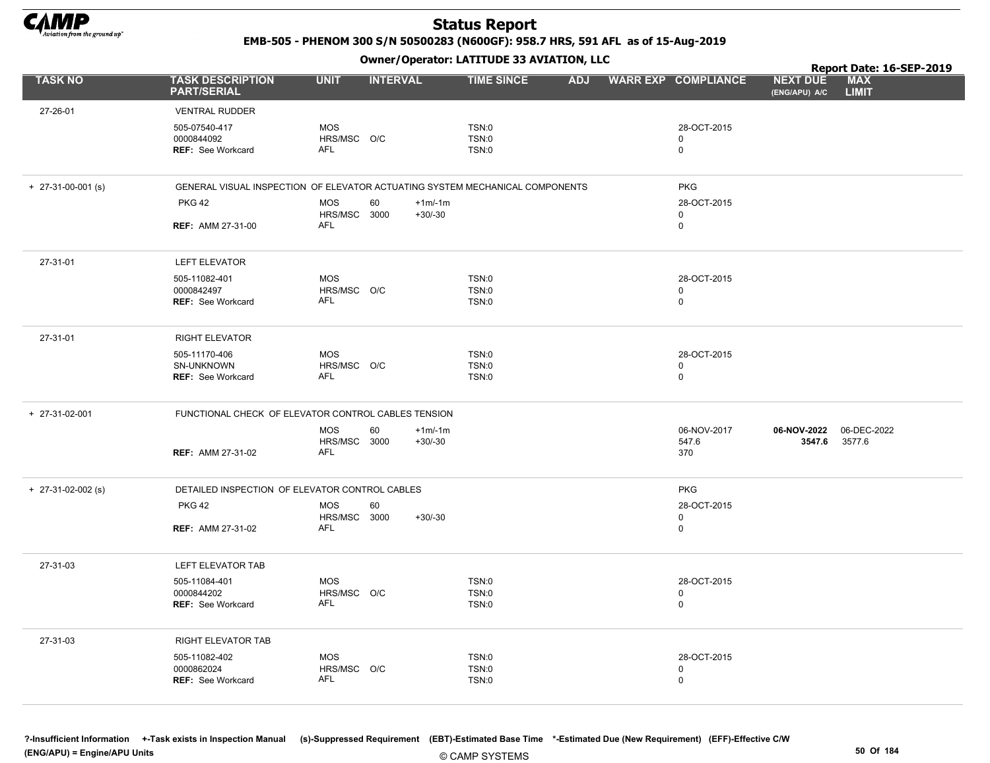

EMB-505 - PHENOM 300 S/N 50500283 (N600GF): 958.7 HRS, 591 AFL as of 15-Aug-2019

Owner/Operator: LATITUDE 33 AVIATION, LLC

|                      |                                                                              |                                          | .               |                       |                         |            |                                           |                                  | Report Date: 16-SEP-2019   |
|----------------------|------------------------------------------------------------------------------|------------------------------------------|-----------------|-----------------------|-------------------------|------------|-------------------------------------------|----------------------------------|----------------------------|
| <b>TASK NO</b>       | <b>TASK DESCRIPTION</b><br><b>PART/SERIAL</b>                                | <b>UNIT</b>                              | <b>INTERVAL</b> |                       | <b>TIME SINCE</b>       | <b>ADJ</b> | <b>WARR EXP COMPLIANCE</b>                | <b>NEXT DUE</b><br>(ENG/APU) A/C | <b>MAX</b><br><b>LIMIT</b> |
| 27-26-01             | <b>VENTRAL RUDDER</b>                                                        |                                          |                 |                       |                         |            |                                           |                                  |                            |
|                      | 505-07540-417<br>0000844092<br><b>REF: See Workcard</b>                      | <b>MOS</b><br>HRS/MSC O/C<br>AFL         |                 |                       | TSN:0<br>TSN:0<br>TSN:0 |            | 28-OCT-2015<br>$\mathbf 0$<br>$\mathbf 0$ |                                  |                            |
| $+$ 27-31-00-001 (s) | GENERAL VISUAL INSPECTION OF ELEVATOR ACTUATING SYSTEM MECHANICAL COMPONENTS |                                          |                 |                       |                         |            | <b>PKG</b>                                |                                  |                            |
|                      | <b>PKG 42</b><br><b>REF: AMM 27-31-00</b>                                    | <b>MOS</b><br>HRS/MSC 3000<br><b>AFL</b> | 60              | $+1m/1m$<br>$+30/-30$ |                         |            | 28-OCT-2015<br>$\mathsf 0$<br>$\mathbf 0$ |                                  |                            |
| 27-31-01             | LEFT ELEVATOR                                                                |                                          |                 |                       |                         |            |                                           |                                  |                            |
|                      | 505-11082-401<br>0000842497<br><b>REF: See Workcard</b>                      | <b>MOS</b><br>HRS/MSC O/C<br><b>AFL</b>  |                 |                       | TSN:0<br>TSN:0<br>TSN:0 |            | 28-OCT-2015<br>0<br>$\mathbf 0$           |                                  |                            |
| 27-31-01             | <b>RIGHT ELEVATOR</b>                                                        |                                          |                 |                       |                         |            |                                           |                                  |                            |
|                      | 505-11170-406<br>SN-UNKNOWN<br>REF: See Workcard                             | <b>MOS</b><br>HRS/MSC O/C<br><b>AFL</b>  |                 |                       | TSN:0<br>TSN:0<br>TSN:0 |            | 28-OCT-2015<br>0<br>$\mathbf 0$           |                                  |                            |
| + 27-31-02-001       | FUNCTIONAL CHECK OF ELEVATOR CONTROL CABLES TENSION                          |                                          |                 |                       |                         |            |                                           |                                  |                            |
|                      | <b>REF: AMM 27-31-02</b>                                                     | <b>MOS</b><br>HRS/MSC 3000<br><b>AFL</b> | 60              | $+1m/1m$<br>$+30/-30$ |                         |            | 06-NOV-2017<br>547.6<br>370               | 06-NOV-2022<br>3547.6            | 06-DEC-2022<br>3577.6      |
| $+$ 27-31-02-002 (s) | DETAILED INSPECTION OF ELEVATOR CONTROL CABLES                               |                                          |                 |                       |                         |            | <b>PKG</b>                                |                                  |                            |
|                      | <b>PKG 42</b>                                                                | <b>MOS</b>                               | 60              |                       |                         |            | 28-OCT-2015                               |                                  |                            |
|                      | <b>REF: AMM 27-31-02</b>                                                     | HRS/MSC 3000<br><b>AFL</b>               |                 | $+30/-30$             |                         |            | 0<br>$\mathsf 0$                          |                                  |                            |
| 27-31-03             | LEFT ELEVATOR TAB                                                            |                                          |                 |                       |                         |            |                                           |                                  |                            |
|                      | 505-11084-401<br>0000844202<br>REF: See Workcard                             | <b>MOS</b><br>HRS/MSC O/C<br><b>AFL</b>  |                 |                       | TSN:0<br>TSN:0<br>TSN:0 |            | 28-OCT-2015<br>$\mathbf 0$<br>$\mathsf 0$ |                                  |                            |
| 27-31-03             | RIGHT ELEVATOR TAB                                                           |                                          |                 |                       |                         |            |                                           |                                  |                            |
|                      | 505-11082-402<br>0000862024<br><b>REF: See Workcard</b>                      | <b>MOS</b><br>HRS/MSC O/C<br><b>AFL</b>  |                 |                       | TSN:0<br>TSN:0<br>TSN:0 |            | 28-OCT-2015<br>0<br>0                     |                                  |                            |

© CAMP SYSTEMS ?-Insufficient Information +-Task exists in Inspection Manual (s)-Suppressed Requirement (EBT)-Estimated Base Time \*-Estimated Due (New Requirement) (EFF)-Effective C/W (ENG/APU) = Engine/APU Units 50 Of 184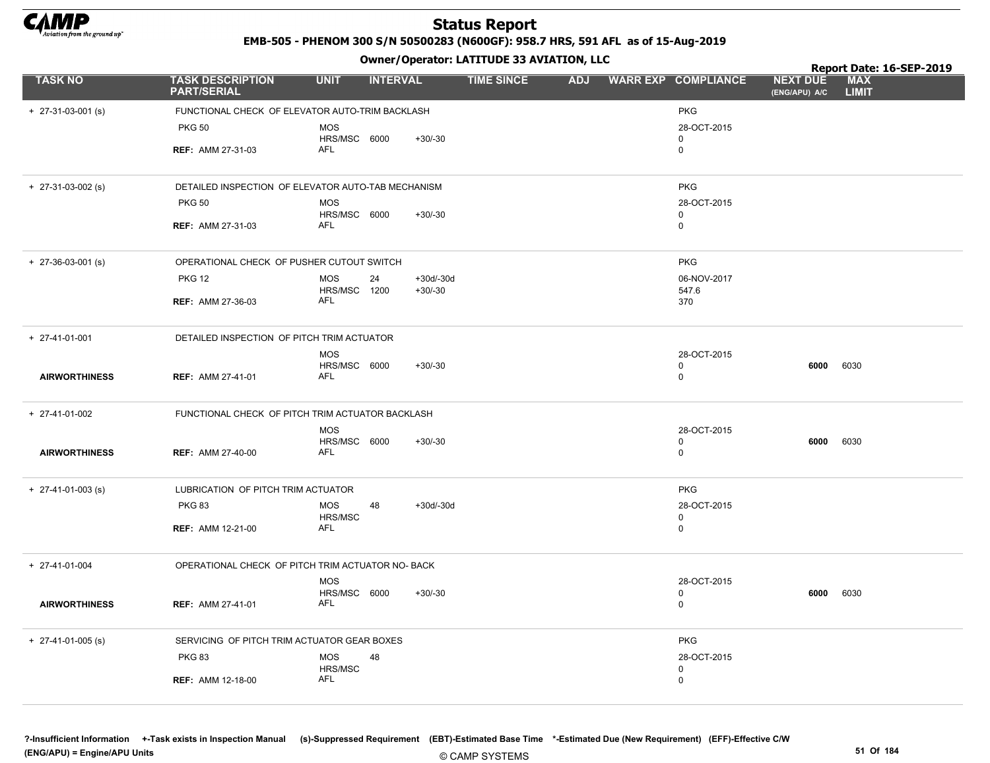

EMB-505 - PHENOM 300 S/N 50500283 (N600GF): 958.7 HRS, 591 AFL as of 15-Aug-2019

|                            |                                                    |                            | .               |                          |                   |  |                            |                                  | Report Date: 16-SEP-2019   |
|----------------------------|----------------------------------------------------|----------------------------|-----------------|--------------------------|-------------------|--|----------------------------|----------------------------------|----------------------------|
| <b>TASK NO</b>             | <b>TASK DESCRIPTION</b><br><b>PART/SERIAL</b>      | <b>UNIT</b>                | <b>INTERVAL</b> |                          | <b>TIME SINCE</b> |  | ADJ WARR EXP COMPLIANCE    | <b>NEXT DUE</b><br>(ENG/APU) A/C | <b>MAX</b><br><b>LIMIT</b> |
| $+ 27-31-03-001$ (s)       | FUNCTIONAL CHECK OF ELEVATOR AUTO-TRIM BACKLASH    |                            |                 |                          |                   |  | <b>PKG</b>                 |                                  |                            |
|                            | <b>PKG 50</b>                                      | <b>MOS</b>                 |                 |                          |                   |  | 28-OCT-2015                |                                  |                            |
|                            |                                                    | HRS/MSC 6000               |                 | $+30/-30$                |                   |  | $\mathbf 0$                |                                  |                            |
|                            | <b>REF: AMM 27-31-03</b>                           | AFL                        |                 |                          |                   |  | $\mathbf 0$                |                                  |                            |
| $+ 27-31-03-002$ (s)       | DETAILED INSPECTION OF ELEVATOR AUTO-TAB MECHANISM |                            |                 |                          |                   |  | <b>PKG</b>                 |                                  |                            |
|                            | <b>PKG 50</b>                                      | <b>MOS</b>                 |                 |                          |                   |  | 28-OCT-2015                |                                  |                            |
|                            |                                                    | HRS/MSC 6000               |                 | $+30/-30$                |                   |  | 0                          |                                  |                            |
|                            | <b>REF: AMM 27-31-03</b>                           | <b>AFL</b>                 |                 |                          |                   |  | 0                          |                                  |                            |
| $+ 27 - 36 - 03 - 001$ (s) | OPERATIONAL CHECK OF PUSHER CUTOUT SWITCH          |                            |                 |                          |                   |  | <b>PKG</b>                 |                                  |                            |
|                            | <b>PKG 12</b>                                      | MOS<br>HRS/MSC 1200        | 24              | $+30d/-30d$<br>$+30/-30$ |                   |  | 06-NOV-2017<br>547.6       |                                  |                            |
|                            | <b>REF: AMM 27-36-03</b>                           | AFL                        |                 |                          |                   |  | 370                        |                                  |                            |
| $+ 27-41-01-001$           | DETAILED INSPECTION OF PITCH TRIM ACTUATOR         |                            |                 |                          |                   |  |                            |                                  |                            |
|                            |                                                    | <b>MOS</b>                 |                 |                          |                   |  | 28-OCT-2015                |                                  |                            |
| <b>AIRWORTHINESS</b>       | <b>REF: AMM 27-41-01</b>                           | HRS/MSC 6000<br><b>AFL</b> |                 | $+30/-30$                |                   |  | $\mathbf 0$<br>$\mathbf 0$ | 6000                             | 6030                       |
| + 27-41-01-002             | FUNCTIONAL CHECK OF PITCH TRIM ACTUATOR BACKLASH   |                            |                 |                          |                   |  |                            |                                  |                            |
|                            |                                                    | <b>MOS</b>                 |                 |                          |                   |  | 28-OCT-2015                |                                  |                            |
| <b>AIRWORTHINESS</b>       | <b>REF: AMM 27-40-00</b>                           | HRS/MSC 6000<br>AFL        |                 | $+30/-30$                |                   |  | $\Omega$<br>0              | 6000                             | 6030                       |
| $+$ 27-41-01-003 (s)       | LUBRICATION OF PITCH TRIM ACTUATOR                 |                            |                 |                          |                   |  | <b>PKG</b>                 |                                  |                            |
|                            | <b>PKG 83</b>                                      | <b>MOS</b><br>HRS/MSC      | 48              | $+30d/-30d$              |                   |  | 28-OCT-2015<br>0           |                                  |                            |
|                            | <b>REF: AMM 12-21-00</b>                           | <b>AFL</b>                 |                 |                          |                   |  | 0                          |                                  |                            |
| + 27-41-01-004             | OPERATIONAL CHECK OF PITCH TRIM ACTUATOR NO- BACK  |                            |                 |                          |                   |  |                            |                                  |                            |
|                            |                                                    | <b>MOS</b>                 |                 |                          |                   |  | 28-OCT-2015                |                                  |                            |
| <b>AIRWORTHINESS</b>       | <b>REF: AMM 27-41-01</b>                           | HRS/MSC 6000<br>AFL        |                 | $+30/-30$                |                   |  | 0<br>0                     | 6000                             | 6030                       |
| $+$ 27-41-01-005 (s)       | SERVICING OF PITCH TRIM ACTUATOR GEAR BOXES        |                            |                 |                          |                   |  | <b>PKG</b>                 |                                  |                            |
|                            | <b>PKG 83</b>                                      | <b>MOS</b>                 | 48              |                          |                   |  | 28-OCT-2015                |                                  |                            |
|                            | <b>REF: AMM 12-18-00</b>                           | HRS/MSC<br>AFL             |                 |                          |                   |  | 0<br>$\Omega$              |                                  |                            |
|                            |                                                    |                            |                 |                          |                   |  |                            |                                  |                            |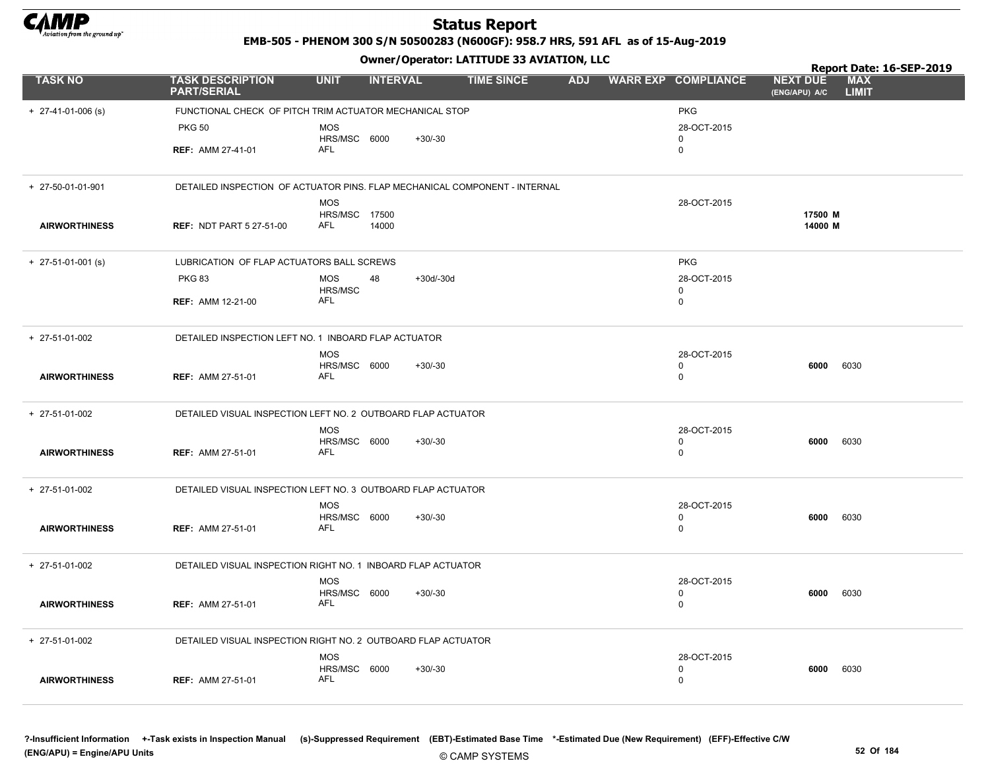

EMB-505 - PHENOM 300 S/N 50500283 (N600GF): 958.7 HRS, 591 AFL as of 15-Aug-2019

Owner/Operator: LATITUDE 33 AVIATION, LLC

|                            |                                                                            |                            |                 |             | Owner / Operator. LATTTODE 33 AVIATION, LLC |            |                            | Report Date: 16-SEP-2019         |                            |  |
|----------------------------|----------------------------------------------------------------------------|----------------------------|-----------------|-------------|---------------------------------------------|------------|----------------------------|----------------------------------|----------------------------|--|
| <b>TASK NO</b>             | <b>TASK DESCRIPTION</b><br><b>PART/SERIAL</b>                              | <b>UNIT</b>                | <b>INTERVAL</b> |             | <b>TIME SINCE</b>                           | <b>ADJ</b> | <b>WARR EXP COMPLIANCE</b> | <b>NEXT DUE</b><br>(ENG/APU) A/C | <b>MAX</b><br><b>LIMIT</b> |  |
| $+ 27-41-01-006$ (s)       | FUNCTIONAL CHECK OF PITCH TRIM ACTUATOR MECHANICAL STOP                    |                            |                 |             |                                             |            | <b>PKG</b>                 |                                  |                            |  |
|                            | <b>PKG 50</b>                                                              | <b>MOS</b>                 |                 |             |                                             |            | 28-OCT-2015                |                                  |                            |  |
|                            | <b>REF: AMM 27-41-01</b>                                                   | HRS/MSC 6000<br>AFL        |                 | $+30/-30$   |                                             |            | $\mathbf 0$<br>0           |                                  |                            |  |
| + 27-50-01-01-901          | DETAILED INSPECTION OF ACTUATOR PINS. FLAP MECHANICAL COMPONENT - INTERNAL |                            |                 |             |                                             |            |                            |                                  |                            |  |
|                            |                                                                            | <b>MOS</b>                 |                 |             |                                             |            | 28-OCT-2015                |                                  |                            |  |
| <b>AIRWORTHINESS</b>       | <b>REF: NDT PART 5 27-51-00</b>                                            | HRS/MSC 17500<br>AFL       | 14000           |             |                                             |            |                            | 17500 M<br>14000 M               |                            |  |
| $+ 27 - 51 - 01 - 001$ (s) | LUBRICATION OF FLAP ACTUATORS BALL SCREWS                                  |                            |                 |             |                                             |            | <b>PKG</b>                 |                                  |                            |  |
|                            | <b>PKG 83</b>                                                              | <b>MOS</b>                 | 48              | $+30d/-30d$ |                                             |            | 28-OCT-2015                |                                  |                            |  |
|                            | <b>REF: AMM 12-21-00</b>                                                   | HRS/MSC<br><b>AFL</b>      |                 |             |                                             |            | $\mathbf 0$<br>0           |                                  |                            |  |
| $+ 27 - 51 - 01 - 002$     | DETAILED INSPECTION LEFT NO. 1 INBOARD FLAP ACTUATOR                       |                            |                 |             |                                             |            |                            |                                  |                            |  |
|                            |                                                                            | <b>MOS</b>                 |                 |             |                                             |            | 28-OCT-2015                |                                  |                            |  |
| <b>AIRWORTHINESS</b>       | <b>REF: AMM 27-51-01</b>                                                   | HRS/MSC 6000<br><b>AFL</b> |                 | $+30/-30$   |                                             |            | $\mathbf 0$<br>0           | 6000                             | 6030                       |  |
| + 27-51-01-002             | DETAILED VISUAL INSPECTION LEFT NO. 2 OUTBOARD FLAP ACTUATOR               |                            |                 |             |                                             |            |                            |                                  |                            |  |
|                            |                                                                            | <b>MOS</b>                 |                 |             |                                             |            | 28-OCT-2015                |                                  |                            |  |
| <b>AIRWORTHINESS</b>       | <b>REF: AMM 27-51-01</b>                                                   | HRS/MSC 6000<br><b>AFL</b> |                 | $+30/-30$   |                                             |            | 0<br>$\mathbf 0$           | 6000                             | 6030                       |  |
| + 27-51-01-002             | DETAILED VISUAL INSPECTION LEFT NO. 3 OUTBOARD FLAP ACTUATOR               |                            |                 |             |                                             |            |                            |                                  |                            |  |
|                            |                                                                            | <b>MOS</b><br>HRS/MSC 6000 |                 | $+30/-30$   |                                             |            | 28-OCT-2015                |                                  | 6030                       |  |
| <b>AIRWORTHINESS</b>       | <b>REF: AMM 27-51-01</b>                                                   | <b>AFL</b>                 |                 |             |                                             |            | 0<br>$\mathbf 0$           | 6000                             |                            |  |
| + 27-51-01-002             | DETAILED VISUAL INSPECTION RIGHT NO. 1 INBOARD FLAP ACTUATOR               |                            |                 |             |                                             |            |                            |                                  |                            |  |
|                            |                                                                            | <b>MOS</b><br>HRS/MSC 6000 |                 | $+30/-30$   |                                             |            | 28-OCT-2015<br>0           | 6000                             | 6030                       |  |
| <b>AIRWORTHINESS</b>       | <b>REF: AMM 27-51-01</b>                                                   | AFL                        |                 |             |                                             |            | $\mathbf 0$                |                                  |                            |  |
| + 27-51-01-002             | DETAILED VISUAL INSPECTION RIGHT NO. 2 OUTBOARD FLAP ACTUATOR              |                            |                 |             |                                             |            |                            |                                  |                            |  |
|                            |                                                                            | <b>MOS</b>                 |                 |             |                                             |            | 28-OCT-2015<br>$\Omega$    |                                  |                            |  |
| <b>AIRWORTHINESS</b>       | <b>REF: AMM 27-51-01</b>                                                   | HRS/MSC 6000<br><b>AFL</b> |                 | $+30/-30$   |                                             |            | $\mathbf 0$                | 6000                             | 6030                       |  |
|                            |                                                                            |                            |                 |             |                                             |            |                            |                                  |                            |  |

?-Insufficient Information +-Task exists in Inspection Manual (s)-Suppressed Requirement (EBT)-Estimated Base Time \*-Estimated Due (New Requirement) (EFF)-Effective C/W (ENG/APU) = Engine/APU Units 52 Of 184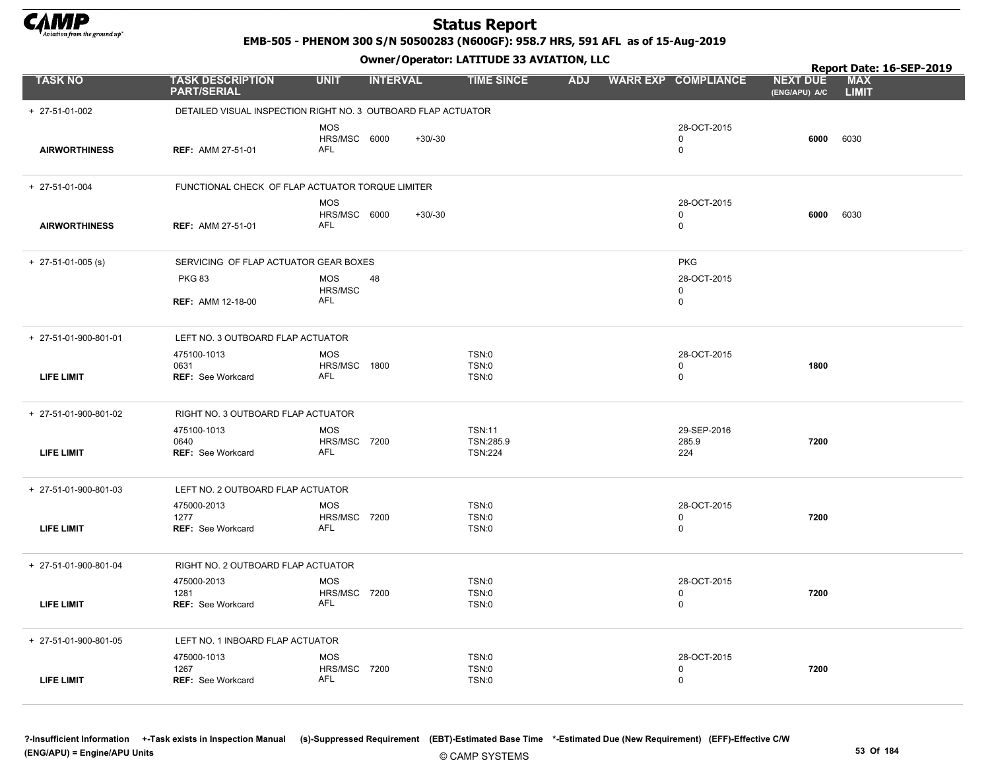

EMB-505 - PHENOM 300 S/N 50500283 (N600GF): 958.7 HRS, 591 AFL as of 15-Aug-2019

|                       |                                                               |                                                 | Owner / Operator. LATTTODE 33 AVIATION, LLC  |            |                                 |                                  | Report Date: 16-SEP-2019   |
|-----------------------|---------------------------------------------------------------|-------------------------------------------------|----------------------------------------------|------------|---------------------------------|----------------------------------|----------------------------|
| <b>TASK NO</b>        | <b>TASK DESCRIPTION</b><br><b>PART/SERIAL</b>                 | <b>UNIT</b><br><b>INTERVAL</b>                  | <b>TIME SINCE</b>                            | <b>ADJ</b> | <b>WARR EXP COMPLIANCE</b>      | <b>NEXT DUE</b><br>(ENG/APU) A/C | <b>MAX</b><br><b>LIMIT</b> |
| + 27-51-01-002        | DETAILED VISUAL INSPECTION RIGHT NO. 3 OUTBOARD FLAP ACTUATOR |                                                 |                                              |            |                                 |                                  |                            |
| <b>AIRWORTHINESS</b>  | <b>REF: AMM 27-51-01</b>                                      | <b>MOS</b><br>HRS/MSC 6000<br><b>AFL</b>        | $+30/-30$                                    |            | 28-OCT-2015<br>0<br>$\mathbf 0$ | 6000                             | 6030                       |
| + 27-51-01-004        | FUNCTIONAL CHECK OF FLAP ACTUATOR TORQUE LIMITER              |                                                 |                                              |            |                                 |                                  |                            |
| <b>AIRWORTHINESS</b>  | <b>REF: AMM 27-51-01</b>                                      | <b>MOS</b><br>HRS/MSC 6000<br>AFL               | $+30/-30$                                    |            | 28-OCT-2015<br>0<br>0           | 6000                             | 6030                       |
| $+$ 27-51-01-005 (s)  | SERVICING OF FLAP ACTUATOR GEAR BOXES                         |                                                 |                                              |            | <b>PKG</b>                      |                                  |                            |
|                       | <b>PKG 83</b>                                                 | <b>MOS</b><br>48<br>HRS/MSC                     |                                              |            | 28-OCT-2015<br>0                |                                  |                            |
|                       | <b>REF: AMM 12-18-00</b>                                      | AFL                                             |                                              |            | 0                               |                                  |                            |
| + 27-51-01-900-801-01 | LEFT NO. 3 OUTBOARD FLAP ACTUATOR                             |                                                 |                                              |            |                                 |                                  |                            |
| <b>LIFE LIMIT</b>     | 475100-1013<br>0631<br><b>REF: See Workcard</b>               | <b>MOS</b><br>HRS/MSC 1800<br>AFL               | TSN:0<br>TSN:0<br><b>TSN:0</b>               |            | 28-OCT-2015<br>0<br>$\mathbf 0$ | 1800                             |                            |
| + 27-51-01-900-801-02 | RIGHT NO. 3 OUTBOARD FLAP ACTUATOR                            |                                                 |                                              |            |                                 |                                  |                            |
| <b>LIFE LIMIT</b>     | 475100-1013<br>0640<br><b>REF: See Workcard</b>               | <b>MOS</b><br><b>HRS/MSC 7200</b><br><b>AFL</b> | <b>TSN:11</b><br>TSN:285.9<br><b>TSN:224</b> |            | 29-SEP-2016<br>285.9<br>224     | 7200                             |                            |
| + 27-51-01-900-801-03 | LEFT NO. 2 OUTBOARD FLAP ACTUATOR                             |                                                 |                                              |            |                                 |                                  |                            |
| <b>LIFE LIMIT</b>     | 475000-2013<br>1277<br><b>REF: See Workcard</b>               | <b>MOS</b><br><b>HRS/MSC 7200</b><br><b>AFL</b> | <b>TSN:0</b><br><b>TSN:0</b><br><b>TSN:0</b> |            | 28-OCT-2015<br>0<br>$\mathbf 0$ | 7200                             |                            |
| + 27-51-01-900-801-04 | RIGHT NO. 2 OUTBOARD FLAP ACTUATOR                            |                                                 |                                              |            |                                 |                                  |                            |
| LIFE LIMIT            | 475000-2013<br>1281<br>REF: See Workcard                      | <b>MOS</b><br><b>HRS/MSC 7200</b><br><b>AFL</b> | TSN:0<br><b>TSN:0</b><br>TSN:0               |            | 28-OCT-2015<br>$\mathbf 0$<br>0 | 7200                             |                            |
| + 27-51-01-900-801-05 | LEFT NO. 1 INBOARD FLAP ACTUATOR                              |                                                 |                                              |            |                                 |                                  |                            |
| <b>LIFE LIMIT</b>     | 475000-1013<br>1267<br><b>REF: See Workcard</b>               | <b>MOS</b><br><b>HRS/MSC 7200</b><br>AFL        | TSN:0<br><b>TSN:0</b><br><b>TSN:0</b>        |            | 28-OCT-2015<br>0<br>0           | 7200                             |                            |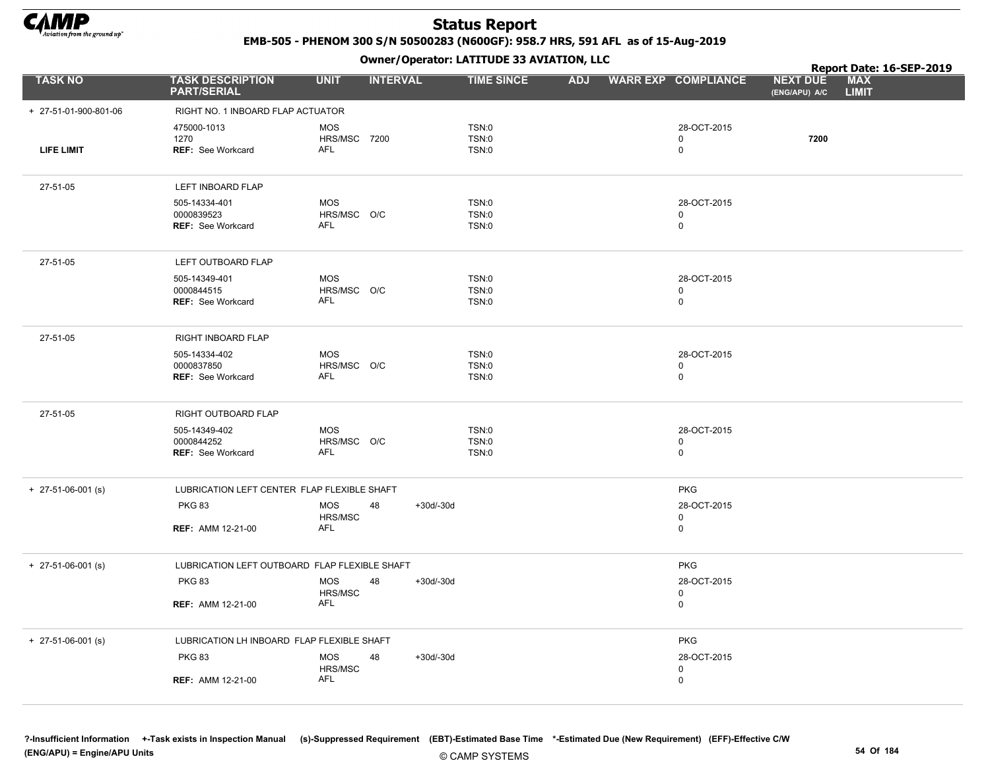

EMB-505 - PHENOM 300 S/N 50500283 (N600GF): 958.7 HRS, 591 AFL as of 15-Aug-2019

|                       |                                                         |                                          | .                 |                                       |  |                            | Report Date: 16-SEP-2019                                       |
|-----------------------|---------------------------------------------------------|------------------------------------------|-------------------|---------------------------------------|--|----------------------------|----------------------------------------------------------------|
| <b>TASK NO</b>        | <b>TASK DESCRIPTION</b><br><b>PART/SERIAL</b>           | <b>UNIT</b>                              | <b>INTERVAL</b>   | <b>TIME SINCE</b>                     |  | ADJ WARR EXP COMPLIANCE    | <b>MAX</b><br><b>NEXT DUE</b><br><b>LIMIT</b><br>(ENG/APU) A/C |
| + 27-51-01-900-801-06 | RIGHT NO. 1 INBOARD FLAP ACTUATOR                       |                                          |                   |                                       |  |                            |                                                                |
| LIFE LIMIT            | 475000-1013<br>1270<br><b>REF: See Workcard</b>         | <b>MOS</b><br><b>HRS/MSC 7200</b><br>AFL |                   | TSN:0<br>TSN:0<br><b>TSN:0</b>        |  | 28-OCT-2015<br>0<br>0      | 7200                                                           |
| 27-51-05              | LEFT INBOARD FLAP                                       |                                          |                   |                                       |  |                            |                                                                |
|                       | 505-14334-401<br>0000839523<br>REF: See Workcard        | <b>MOS</b><br>HRS/MSC O/C<br>AFL         |                   | <b>TSN:0</b><br><b>TSN:0</b><br>TSN:0 |  | 28-OCT-2015<br>0<br>0      |                                                                |
| 27-51-05              | LEFT OUTBOARD FLAP                                      |                                          |                   |                                       |  |                            |                                                                |
|                       | 505-14349-401<br>0000844515<br><b>REF: See Workcard</b> | <b>MOS</b><br>HRS/MSC O/C<br>AFL         |                   | TSN:0<br><b>TSN:0</b><br><b>TSN:0</b> |  | 28-OCT-2015<br>0<br>0      |                                                                |
| 27-51-05              | RIGHT INBOARD FLAP                                      |                                          |                   |                                       |  |                            |                                                                |
|                       | 505-14334-402<br>0000837850<br><b>REF: See Workcard</b> | <b>MOS</b><br>HRS/MSC O/C<br>AFL         |                   | TSN:0<br>TSN:0<br>TSN:0               |  | 28-OCT-2015<br>0<br>0      |                                                                |
| 27-51-05              | RIGHT OUTBOARD FLAP                                     |                                          |                   |                                       |  |                            |                                                                |
|                       | 505-14349-402<br>0000844252<br><b>REF: See Workcard</b> | <b>MOS</b><br>HRS/MSC O/C<br><b>AFL</b>  |                   | <b>TSN:0</b><br>TSN:0<br>TSN:0        |  | 28-OCT-2015<br>0<br>0      |                                                                |
| $+$ 27-51-06-001 (s)  | LUBRICATION LEFT CENTER FLAP FLEXIBLE SHAFT             |                                          |                   |                                       |  | <b>PKG</b>                 |                                                                |
|                       | <b>PKG 83</b><br><b>REF: AMM 12-21-00</b>               | <b>MOS</b><br>HRS/MSC<br><b>AFL</b>      | 48<br>+30d/-30d   |                                       |  | 28-OCT-2015<br>0<br>0      |                                                                |
| $+$ 27-51-06-001 (s)  | LUBRICATION LEFT OUTBOARD FLAP FLEXIBLE SHAFT           |                                          |                   |                                       |  | <b>PKG</b>                 |                                                                |
|                       | <b>PKG 83</b>                                           | <b>MOS</b><br>HRS/MSC                    | 48<br>$+30d/-30d$ |                                       |  | 28-OCT-2015<br>$\mathbf 0$ |                                                                |
|                       | <b>REF: AMM 12-21-00</b>                                | <b>AFL</b>                               |                   |                                       |  | 0                          |                                                                |
| $+$ 27-51-06-001 (s)  | LUBRICATION LH INBOARD FLAP FLEXIBLE SHAFT              |                                          |                   |                                       |  | <b>PKG</b>                 |                                                                |
|                       | <b>PKG 83</b>                                           | <b>MOS</b><br>HRS/MSC                    | 48<br>$+30d/-30d$ |                                       |  | 28-OCT-2015<br>0           |                                                                |
|                       | <b>REF: AMM 12-21-00</b>                                | <b>AFL</b>                               |                   |                                       |  | 0                          |                                                                |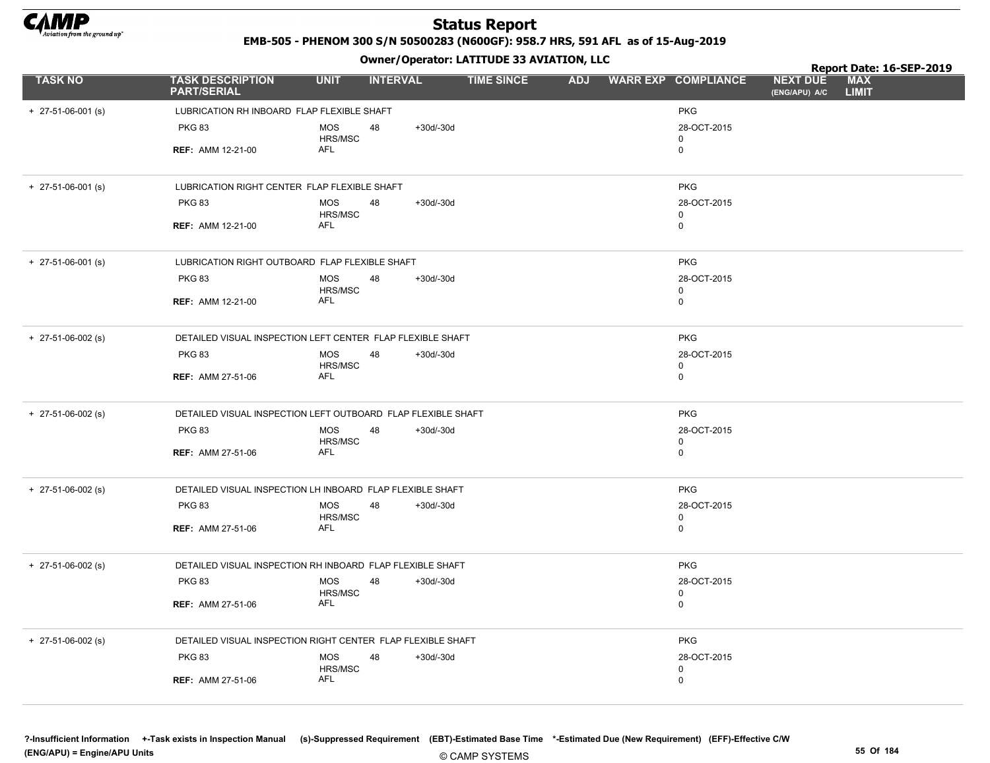

EMB-505 - PHENOM 300 S/N 50500283 (N600GF): 958.7 HRS, 591 AFL as of 15-Aug-2019

Owner/Operator: LATITUDE 33 AVIATION, LLC

|                      |                                                              |                              |                 |                   | Owner / Operator. LATTTODE 33 AVIATION, LLC |  |                            |                                  | Report Date: 16-SEP-2019   |
|----------------------|--------------------------------------------------------------|------------------------------|-----------------|-------------------|---------------------------------------------|--|----------------------------|----------------------------------|----------------------------|
| <b>TASK NO</b>       | <b>TASK DESCRIPTION</b><br><b>PART/SERIAL</b>                | <b>UNIT</b>                  | <b>INTERVAL</b> | <b>TIME SINCE</b> | <b>ADJ</b>                                  |  | <b>WARR EXP COMPLIANCE</b> | <b>NEXT DUE</b><br>(ENG/APU) A/C | <b>MAX</b><br><b>LIMIT</b> |
| $+$ 27-51-06-001 (s) | LUBRICATION RH INBOARD FLAP FLEXIBLE SHAFT                   |                              |                 |                   |                                             |  | <b>PKG</b>                 |                                  |                            |
|                      | <b>PKG 83</b>                                                | <b>MOS</b><br>HRS/MSC        | 48              | $+30d/-30d$       |                                             |  | 28-OCT-2015<br>0           |                                  |                            |
|                      | <b>REF: AMM 12-21-00</b>                                     | AFL                          |                 |                   |                                             |  | 0                          |                                  |                            |
| $+$ 27-51-06-001 (s) | LUBRICATION RIGHT CENTER FLAP FLEXIBLE SHAFT                 |                              |                 |                   |                                             |  | <b>PKG</b>                 |                                  |                            |
|                      | <b>PKG 83</b>                                                | <b>MOS</b><br>HRS/MSC        | 48              | $+30d/-30d$       |                                             |  | 28-OCT-2015<br>$\mathbf 0$ |                                  |                            |
|                      | <b>REF: AMM 12-21-00</b>                                     | AFL                          |                 |                   |                                             |  | $\mathbf 0$                |                                  |                            |
| $+$ 27-51-06-001 (s) | LUBRICATION RIGHT OUTBOARD FLAP FLEXIBLE SHAFT               |                              |                 |                   |                                             |  | <b>PKG</b>                 |                                  |                            |
|                      | <b>PKG 83</b>                                                | <b>MOS</b><br>HRS/MSC        | 48              | $+30d/-30d$       |                                             |  | 28-OCT-2015<br>0           |                                  |                            |
|                      | <b>REF: AMM 12-21-00</b>                                     | AFL                          |                 |                   |                                             |  | 0                          |                                  |                            |
| $+$ 27-51-06-002 (s) | DETAILED VISUAL INSPECTION LEFT CENTER FLAP FLEXIBLE SHAFT   |                              |                 |                   |                                             |  | <b>PKG</b>                 |                                  |                            |
|                      | <b>PKG 83</b>                                                | <b>MOS</b><br><b>HRS/MSC</b> | 48              | $+30d/-30d$       |                                             |  | 28-OCT-2015<br>0           |                                  |                            |
|                      | <b>REF: AMM 27-51-06</b>                                     | AFL                          |                 |                   |                                             |  | $\mathbf 0$                |                                  |                            |
| $+$ 27-51-06-002 (s) | DETAILED VISUAL INSPECTION LEFT OUTBOARD FLAP FLEXIBLE SHAFT |                              |                 |                   |                                             |  | <b>PKG</b>                 |                                  |                            |
|                      | <b>PKG 83</b>                                                | <b>MOS</b><br>HRS/MSC        | 48              | $+30d/-30d$       |                                             |  | 28-OCT-2015<br>$\mathbf 0$ |                                  |                            |
|                      | <b>REF: AMM 27-51-06</b>                                     | <b>AFL</b>                   |                 |                   |                                             |  | $\mathbf 0$                |                                  |                            |
| $+$ 27-51-06-002 (s) | DETAILED VISUAL INSPECTION LH INBOARD FLAP FLEXIBLE SHAFT    |                              |                 |                   |                                             |  | <b>PKG</b>                 |                                  |                            |
|                      | <b>PKG 83</b>                                                | <b>MOS</b><br>HRS/MSC        | 48              | $+30d/-30d$       |                                             |  | 28-OCT-2015<br>0           |                                  |                            |
|                      | <b>REF: AMM 27-51-06</b>                                     | AFL                          |                 |                   |                                             |  | $\mathbf 0$                |                                  |                            |
| $+$ 27-51-06-002 (s) | DETAILED VISUAL INSPECTION RH INBOARD FLAP FLEXIBLE SHAFT    |                              |                 |                   |                                             |  | <b>PKG</b>                 |                                  |                            |
|                      | <b>PKG 83</b>                                                | <b>MOS</b><br>HRS/MSC        | 48              | $+30d/-30d$       |                                             |  | 28-OCT-2015<br>$\mathbf 0$ |                                  |                            |
|                      | <b>REF: AMM 27-51-06</b>                                     | <b>AFL</b>                   |                 |                   |                                             |  | $\mathbf 0$                |                                  |                            |
| $+$ 27-51-06-002 (s) | DETAILED VISUAL INSPECTION RIGHT CENTER FLAP FLEXIBLE SHAFT  |                              |                 |                   |                                             |  | <b>PKG</b>                 |                                  |                            |
|                      | <b>PKG 83</b>                                                | <b>MOS</b><br>HRS/MSC        | 48              | $+30d/-30d$       |                                             |  | 28-OCT-2015<br>0           |                                  |                            |
|                      | <b>REF: AMM 27-51-06</b>                                     | AFL                          |                 |                   |                                             |  | 0                          |                                  |                            |

?-Insufficient Information +-Task exists in Inspection Manual (s)-Suppressed Requirement (EBT)-Estimated Base Time \*-Estimated Due (New Requirement) (EFF)-Effective C/W (ENG/APU) = Engine/APU Units 55 Of 184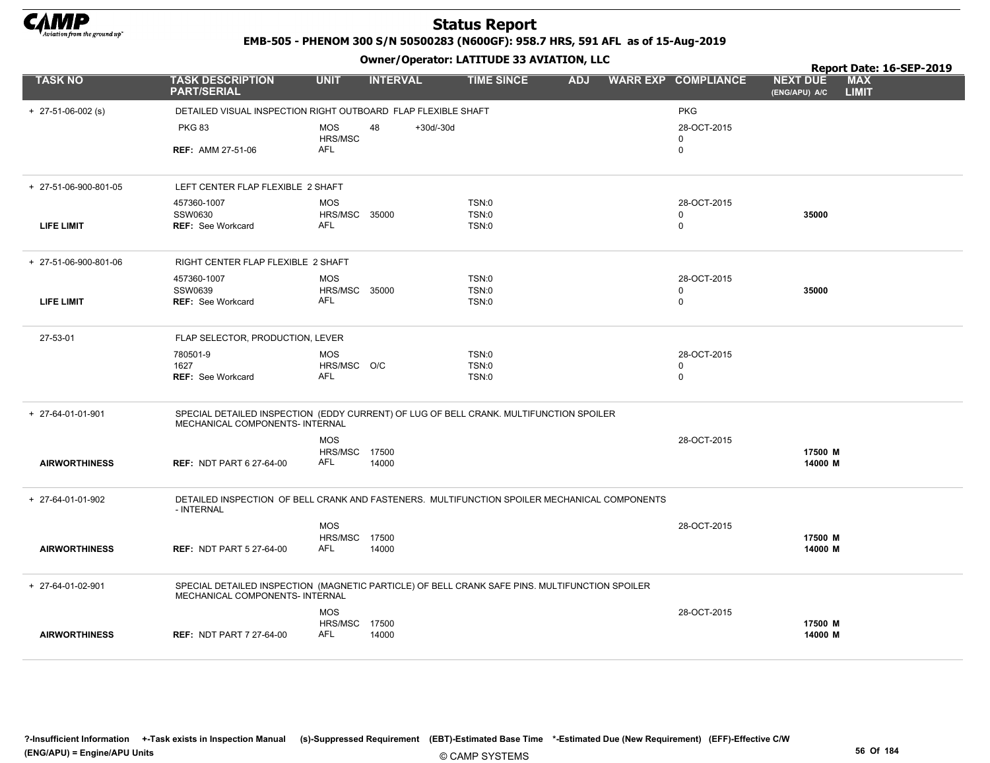

EMB-505 - PHENOM 300 S/N 50500283 (N600GF): 958.7 HRS, 591 AFL as of 15-Aug-2019

|                       |                                                                                                                                   |                                    |                 |             | Owner / Operator. EATITODE 33 AVIATION, LLC |            |                            |                                  | Report Date: 16-SEP-2019   |
|-----------------------|-----------------------------------------------------------------------------------------------------------------------------------|------------------------------------|-----------------|-------------|---------------------------------------------|------------|----------------------------|----------------------------------|----------------------------|
| <b>TASK NO</b>        | <b>TASK DESCRIPTION</b><br><b>PART/SERIAL</b>                                                                                     | <b>UNIT</b>                        | <b>INTERVAL</b> |             | <b>TIME SINCE</b>                           | <b>ADJ</b> | <b>WARR EXP COMPLIANCE</b> | <b>NEXT DUE</b><br>(ENG/APU) A/C | <b>MAX</b><br><b>LIMIT</b> |
| $+$ 27-51-06-002 (s)  | DETAILED VISUAL INSPECTION RIGHT OUTBOARD FLAP FLEXIBLE SHAFT                                                                     |                                    |                 |             |                                             |            | <b>PKG</b>                 |                                  |                            |
|                       | <b>PKG 83</b>                                                                                                                     | MOS<br>HRS/MSC                     | 48              | $+30d/-30d$ |                                             |            | 28-OCT-2015<br>$\mathbf 0$ |                                  |                            |
|                       | <b>REF: AMM 27-51-06</b>                                                                                                          | <b>AFL</b>                         |                 |             |                                             |            | $\mathbf 0$                |                                  |                            |
| + 27-51-06-900-801-05 | LEFT CENTER FLAP FLEXIBLE 2 SHAFT                                                                                                 |                                    |                 |             |                                             |            |                            |                                  |                            |
|                       | 457360-1007                                                                                                                       | <b>MOS</b>                         |                 |             | TSN:0                                       |            | 28-OCT-2015                |                                  |                            |
| <b>LIFE LIMIT</b>     | SSW0630<br><b>REF: See Workcard</b>                                                                                               | <b>HRS/MSC 35000</b><br><b>AFL</b> |                 |             | TSN:0<br>TSN:0                              |            | $\mathbf 0$<br>0           | 35000                            |                            |
| + 27-51-06-900-801-06 | RIGHT CENTER FLAP FLEXIBLE 2 SHAFT                                                                                                |                                    |                 |             |                                             |            |                            |                                  |                            |
|                       | 457360-1007                                                                                                                       | <b>MOS</b>                         |                 |             | TSN:0                                       |            | 28-OCT-2015                |                                  |                            |
| <b>LIFE LIMIT</b>     | SSW0639<br><b>REF: See Workcard</b>                                                                                               | <b>HRS/MSC 35000</b><br><b>AFL</b> |                 |             | <b>TSN:0</b><br>TSN:0                       |            | 0<br>$\mathbf 0$           | 35000                            |                            |
| 27-53-01              | FLAP SELECTOR, PRODUCTION, LEVER                                                                                                  |                                    |                 |             |                                             |            |                            |                                  |                            |
|                       | 780501-9<br>1627                                                                                                                  | <b>MOS</b><br>HRS/MSC O/C          |                 |             | TSN:0<br>TSN:0                              |            | 28-OCT-2015<br>0           |                                  |                            |
|                       | <b>REF: See Workcard</b>                                                                                                          | <b>AFL</b>                         |                 |             | TSN:0                                       |            | $\mathbf 0$                |                                  |                            |
| + 27-64-01-01-901     | SPECIAL DETAILED INSPECTION (EDDY CURRENT) OF LUG OF BELL CRANK. MULTIFUNCTION SPOILER<br>MECHANICAL COMPONENTS- INTERNAL         |                                    |                 |             |                                             |            |                            |                                  |                            |
|                       |                                                                                                                                   | <b>MOS</b>                         |                 |             |                                             |            | 28-OCT-2015                |                                  |                            |
| <b>AIRWORTHINESS</b>  | <b>REF: NDT PART 6 27-64-00</b>                                                                                                   | HRS/MSC 17500<br>AFL               | 14000           |             |                                             |            |                            | 17500 M<br>14000 M               |                            |
| + 27-64-01-01-902     | DETAILED INSPECTION OF BELL CRANK AND FASTENERS. MULTIFUNCTION SPOILER MECHANICAL COMPONENTS<br>- INTERNAL                        |                                    |                 |             |                                             |            |                            |                                  |                            |
|                       |                                                                                                                                   | <b>MOS</b>                         |                 |             |                                             |            | 28-OCT-2015                |                                  |                            |
| <b>AIRWORTHINESS</b>  | <b>REF: NDT PART 5 27-64-00</b>                                                                                                   | <b>HRS/MSC 17500</b><br>AFL        | 14000           |             |                                             |            |                            | 17500 M<br>14000 M               |                            |
| + 27-64-01-02-901     | SPECIAL DETAILED INSPECTION (MAGNETIC PARTICLE) OF BELL CRANK SAFE PINS. MULTIFUNCTION SPOILER<br>MECHANICAL COMPONENTS- INTERNAL |                                    |                 |             |                                             |            |                            |                                  |                            |
|                       |                                                                                                                                   | <b>MOS</b>                         |                 |             |                                             |            | 28-OCT-2015                |                                  |                            |
| <b>AIRWORTHINESS</b>  | <b>REF: NDT PART 7 27-64-00</b>                                                                                                   | HRS/MSC<br><b>AFL</b>              | 17500<br>14000  |             |                                             |            |                            | 17500 M<br>14000 M               |                            |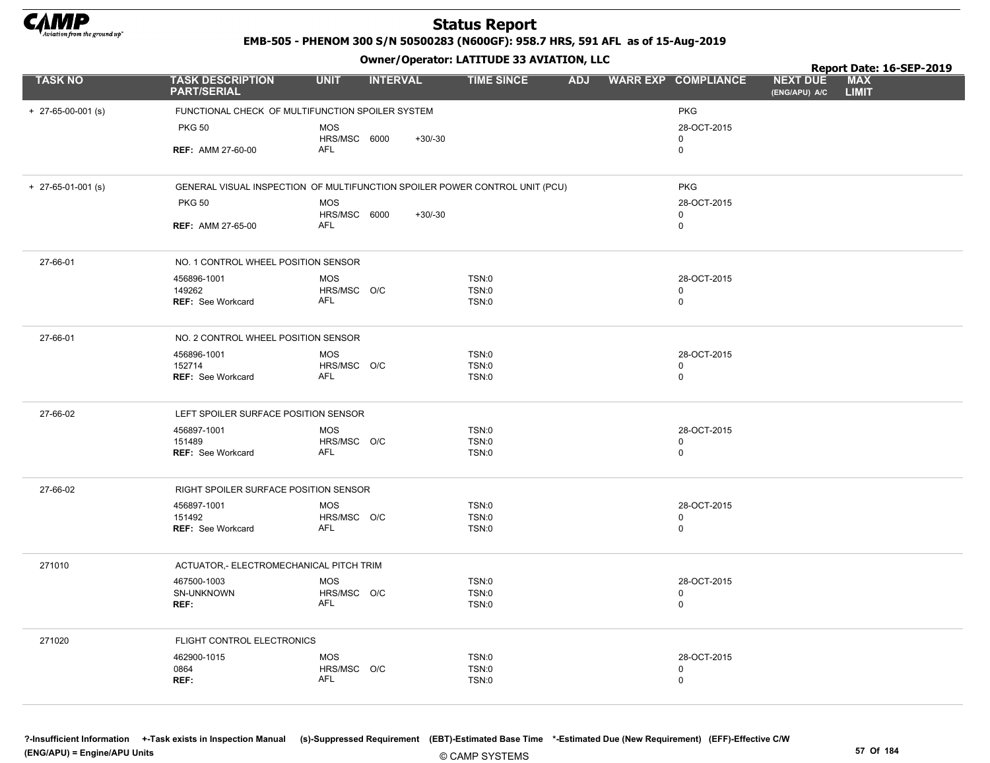

EMB-505 - PHENOM 300 S/N 50500283 (N600GF): 958.7 HRS, 591 AFL as of 15-Aug-2019

Owner/Operator: LATITUDE 33 AVIATION, LLC

|                      |                                                                             |              | - - -           |           |                   |  |                         |                                  | Report Date: 16-SEP-2019   |  |
|----------------------|-----------------------------------------------------------------------------|--------------|-----------------|-----------|-------------------|--|-------------------------|----------------------------------|----------------------------|--|
| <b>TASK NO</b>       | <b>TASK DESCRIPTION</b><br><b>PART/SERIAL</b>                               | <b>UNIT</b>  | <b>INTERVAL</b> |           | <b>TIME SINCE</b> |  | ADJ WARR EXP COMPLIANCE | <b>NEXT DUE</b><br>(ENG/APU) A/C | <b>MAX</b><br><b>LIMIT</b> |  |
| $+$ 27-65-00-001 (s) | FUNCTIONAL CHECK OF MULTIFUNCTION SPOILER SYSTEM                            |              |                 |           |                   |  | <b>PKG</b>              |                                  |                            |  |
|                      | <b>PKG 50</b>                                                               | <b>MOS</b>   |                 |           |                   |  | 28-OCT-2015             |                                  |                            |  |
|                      |                                                                             | HRS/MSC 6000 |                 | $+30/-30$ |                   |  | $\mathbf 0$             |                                  |                            |  |
|                      | <b>REF: AMM 27-60-00</b>                                                    | <b>AFL</b>   |                 |           |                   |  | 0                       |                                  |                            |  |
| $+$ 27-65-01-001 (s) | GENERAL VISUAL INSPECTION OF MULTIFUNCTION SPOILER POWER CONTROL UNIT (PCU) |              |                 |           |                   |  | <b>PKG</b>              |                                  |                            |  |
|                      | <b>PKG 50</b>                                                               | <b>MOS</b>   |                 |           |                   |  | 28-OCT-2015             |                                  |                            |  |
|                      |                                                                             | HRS/MSC 6000 |                 | $+30/-30$ |                   |  | $\mathbf 0$             |                                  |                            |  |
|                      | <b>REF: AMM 27-65-00</b>                                                    | AFL          |                 |           |                   |  | $\mathbf 0$             |                                  |                            |  |
| 27-66-01             | NO. 1 CONTROL WHEEL POSITION SENSOR                                         |              |                 |           |                   |  |                         |                                  |                            |  |
|                      | 456896-1001                                                                 | <b>MOS</b>   |                 |           | TSN:0             |  | 28-OCT-2015             |                                  |                            |  |
|                      | 149262                                                                      | HRS/MSC O/C  |                 |           | <b>TSN:0</b>      |  | 0                       |                                  |                            |  |
|                      | <b>REF: See Workcard</b>                                                    | AFL          |                 |           | TSN:0             |  | $\mathbf 0$             |                                  |                            |  |
| 27-66-01             | NO. 2 CONTROL WHEEL POSITION SENSOR                                         |              |                 |           |                   |  |                         |                                  |                            |  |
|                      | 456896-1001                                                                 | <b>MOS</b>   |                 |           | TSN:0             |  | 28-OCT-2015             |                                  |                            |  |
|                      | 152714                                                                      | HRS/MSC O/C  |                 |           | <b>TSN:0</b>      |  | $\mathbf 0$             |                                  |                            |  |
|                      | <b>REF: See Workcard</b>                                                    | AFL          |                 |           | <b>TSN:0</b>      |  | $\mathbf 0$             |                                  |                            |  |
| 27-66-02             | LEFT SPOILER SURFACE POSITION SENSOR                                        |              |                 |           |                   |  |                         |                                  |                            |  |
|                      | 456897-1001                                                                 | <b>MOS</b>   |                 |           | <b>TSN:0</b>      |  | 28-OCT-2015             |                                  |                            |  |
|                      | 151489                                                                      | HRS/MSC O/C  |                 |           | <b>TSN:0</b>      |  | $\mathbf 0$             |                                  |                            |  |
|                      | <b>REF: See Workcard</b>                                                    | AFL          |                 |           | TSN:0             |  | 0                       |                                  |                            |  |
| 27-66-02             | RIGHT SPOILER SURFACE POSITION SENSOR                                       |              |                 |           |                   |  |                         |                                  |                            |  |
|                      | 456897-1001                                                                 | <b>MOS</b>   |                 |           | TSN:0             |  | 28-OCT-2015             |                                  |                            |  |
|                      | 151492                                                                      | HRS/MSC O/C  |                 |           | <b>TSN:0</b>      |  | 0                       |                                  |                            |  |
|                      | <b>REF: See Workcard</b>                                                    | AFL          |                 |           | TSN:0             |  | 0                       |                                  |                            |  |
| 271010               | ACTUATOR,- ELECTROMECHANICAL PITCH TRIM                                     |              |                 |           |                   |  |                         |                                  |                            |  |
|                      | 467500-1003                                                                 | <b>MOS</b>   |                 |           | <b>TSN:0</b>      |  | 28-OCT-2015             |                                  |                            |  |
|                      | SN-UNKNOWN                                                                  | HRS/MSC O/C  |                 |           | <b>TSN:0</b>      |  | 0                       |                                  |                            |  |
|                      | REF:                                                                        | <b>AFL</b>   |                 |           | <b>TSN:0</b>      |  | $\pmb{0}$               |                                  |                            |  |
| 271020               | FLIGHT CONTROL ELECTRONICS                                                  |              |                 |           |                   |  |                         |                                  |                            |  |
|                      | 462900-1015                                                                 | <b>MOS</b>   |                 |           | <b>TSN:0</b>      |  | 28-OCT-2015             |                                  |                            |  |
|                      | 0864                                                                        | HRS/MSC O/C  |                 |           | <b>TSN:0</b>      |  | 0                       |                                  |                            |  |
|                      | REF:                                                                        | <b>AFL</b>   |                 |           | TSN:0             |  | 0                       |                                  |                            |  |
|                      |                                                                             |              |                 |           |                   |  |                         |                                  |                            |  |

© CAMP SYSTEMS ?-Insufficient Information +-Task exists in Inspection Manual (s)-Suppressed Requirement (EBT)-Estimated Base Time \*-Estimated Due (New Requirement) (EFF)-Effective C/W (ENG/APU) = Engine/APU Units 57 Of 184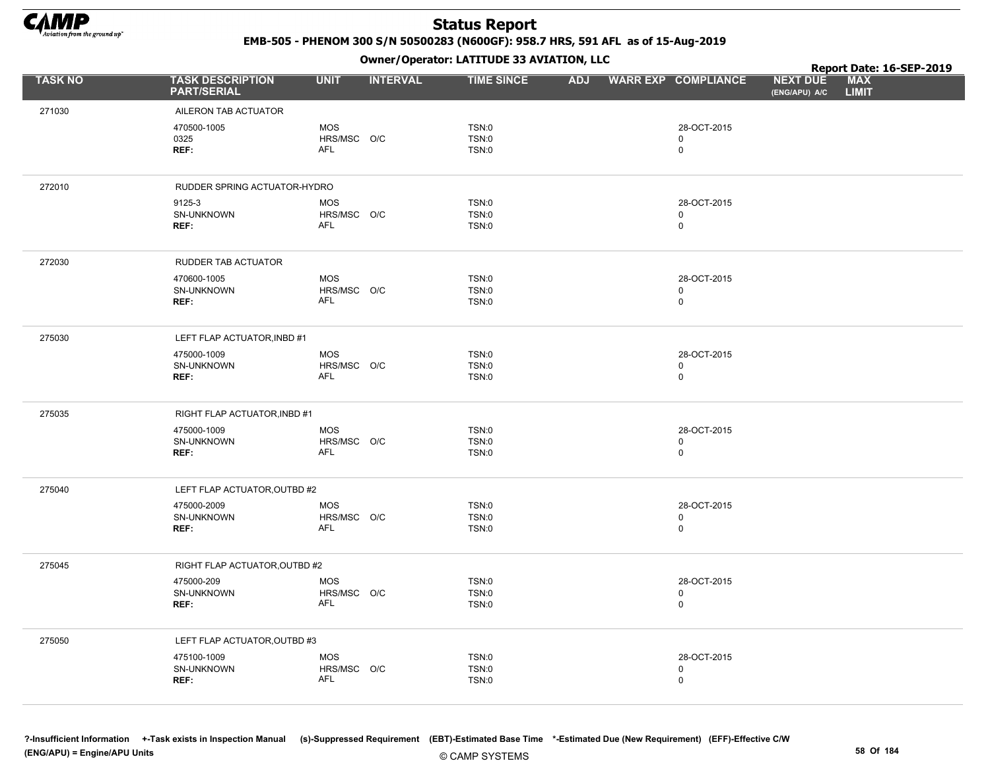

EMB-505 - PHENOM 300 S/N 50500283 (N600GF): 958.7 HRS, 591 AFL as of 15-Aug-2019

|                |                                               |                           | .               |                              |  |                            |                                  | Report Date: 16-SEP-2019   |  |
|----------------|-----------------------------------------------|---------------------------|-----------------|------------------------------|--|----------------------------|----------------------------------|----------------------------|--|
| <b>TASK NO</b> | <b>TASK DESCRIPTION</b><br><b>PART/SERIAL</b> | <b>UNIT</b>               | <b>INTERVAL</b> | <b>TIME SINCE</b>            |  | ADJ WARR EXP COMPLIANCE    | <b>NEXT DUE</b><br>(ENG/APU) A/C | <b>MAX</b><br><b>LIMIT</b> |  |
| 271030         | AILERON TAB ACTUATOR                          |                           |                 |                              |  |                            |                                  |                            |  |
|                | 470500-1005                                   | <b>MOS</b>                |                 | TSN:0                        |  | 28-OCT-2015                |                                  |                            |  |
|                | 0325                                          | HRS/MSC O/C               |                 | <b>TSN:0</b>                 |  | $\mathbf 0$                |                                  |                            |  |
|                | REF:                                          | AFL                       |                 | <b>TSN:0</b>                 |  | $\mathbf 0$                |                                  |                            |  |
|                |                                               |                           |                 |                              |  |                            |                                  |                            |  |
| 272010         | RUDDER SPRING ACTUATOR-HYDRO                  |                           |                 |                              |  |                            |                                  |                            |  |
|                | 9125-3                                        | <b>MOS</b>                |                 | <b>TSN:0</b>                 |  | 28-OCT-2015                |                                  |                            |  |
|                | SN-UNKNOWN<br>REF:                            | HRS/MSC O/C<br>AFL        |                 | <b>TSN:0</b><br><b>TSN:0</b> |  | $\mathbf 0$<br>$\mathbf 0$ |                                  |                            |  |
|                |                                               |                           |                 |                              |  |                            |                                  |                            |  |
| 272030         | RUDDER TAB ACTUATOR                           |                           |                 |                              |  |                            |                                  |                            |  |
|                | 470600-1005                                   | <b>MOS</b>                |                 | <b>TSN:0</b>                 |  | 28-OCT-2015                |                                  |                            |  |
|                | SN-UNKNOWN                                    | HRS/MSC O/C               |                 | <b>TSN:0</b>                 |  | $\mathbf 0$                |                                  |                            |  |
|                | REF:                                          | AFL                       |                 | <b>TSN:0</b>                 |  | $\mathbf 0$                |                                  |                            |  |
|                |                                               |                           |                 |                              |  |                            |                                  |                            |  |
| 275030         | LEFT FLAP ACTUATOR, INBD #1                   |                           |                 |                              |  |                            |                                  |                            |  |
|                | 475000-1009<br>SN-UNKNOWN                     | <b>MOS</b><br>HRS/MSC O/C |                 | <b>TSN:0</b><br>TSN:0        |  | 28-OCT-2015<br>$\mathbf 0$ |                                  |                            |  |
|                | REF:                                          | <b>AFL</b>                |                 | <b>TSN:0</b>                 |  | $\mathsf 0$                |                                  |                            |  |
|                |                                               |                           |                 |                              |  |                            |                                  |                            |  |
| 275035         | RIGHT FLAP ACTUATOR, INBD #1                  |                           |                 |                              |  |                            |                                  |                            |  |
|                | 475000-1009                                   | MOS                       |                 | <b>TSN:0</b>                 |  | 28-OCT-2015                |                                  |                            |  |
|                | SN-UNKNOWN                                    | HRS/MSC O/C<br>AFL        |                 | TSN:0                        |  | $\mathbf 0$                |                                  |                            |  |
|                | REF:                                          |                           |                 | <b>TSN:0</b>                 |  | $\mathsf 0$                |                                  |                            |  |
| 275040         | LEFT FLAP ACTUATOR, OUTBD #2                  |                           |                 |                              |  |                            |                                  |                            |  |
|                | 475000-2009                                   | <b>MOS</b>                |                 | <b>TSN:0</b>                 |  | 28-OCT-2015                |                                  |                            |  |
|                | SN-UNKNOWN                                    | HRS/MSC O/C               |                 | <b>TSN:0</b>                 |  | $\mathbf 0$                |                                  |                            |  |
|                | REF:                                          | <b>AFL</b>                |                 | <b>TSN:0</b>                 |  | $\mathbf 0$                |                                  |                            |  |
| 275045         | RIGHT FLAP ACTUATOR, OUTBD #2                 |                           |                 |                              |  |                            |                                  |                            |  |
|                | 475000-209                                    | <b>MOS</b>                |                 | <b>TSN:0</b>                 |  | 28-OCT-2015                |                                  |                            |  |
|                | SN-UNKNOWN                                    | HRS/MSC O/C               |                 | <b>TSN:0</b>                 |  | $\mathbf 0$                |                                  |                            |  |
|                | REF:                                          | <b>AFL</b>                |                 | TSN:0                        |  | $\mathsf 0$                |                                  |                            |  |
|                |                                               |                           |                 |                              |  |                            |                                  |                            |  |
| 275050         | LEFT FLAP ACTUATOR, OUTBD #3                  |                           |                 |                              |  |                            |                                  |                            |  |
|                | 475100-1009                                   | <b>MOS</b>                |                 | TSN:0                        |  | 28-OCT-2015                |                                  |                            |  |
|                | SN-UNKNOWN<br>REF:                            | HRS/MSC O/C<br><b>AFL</b> |                 | TSN:0<br><b>TSN:0</b>        |  | 0<br>$\mathbf 0$           |                                  |                            |  |
|                |                                               |                           |                 |                              |  |                            |                                  |                            |  |
|                |                                               |                           |                 |                              |  |                            |                                  |                            |  |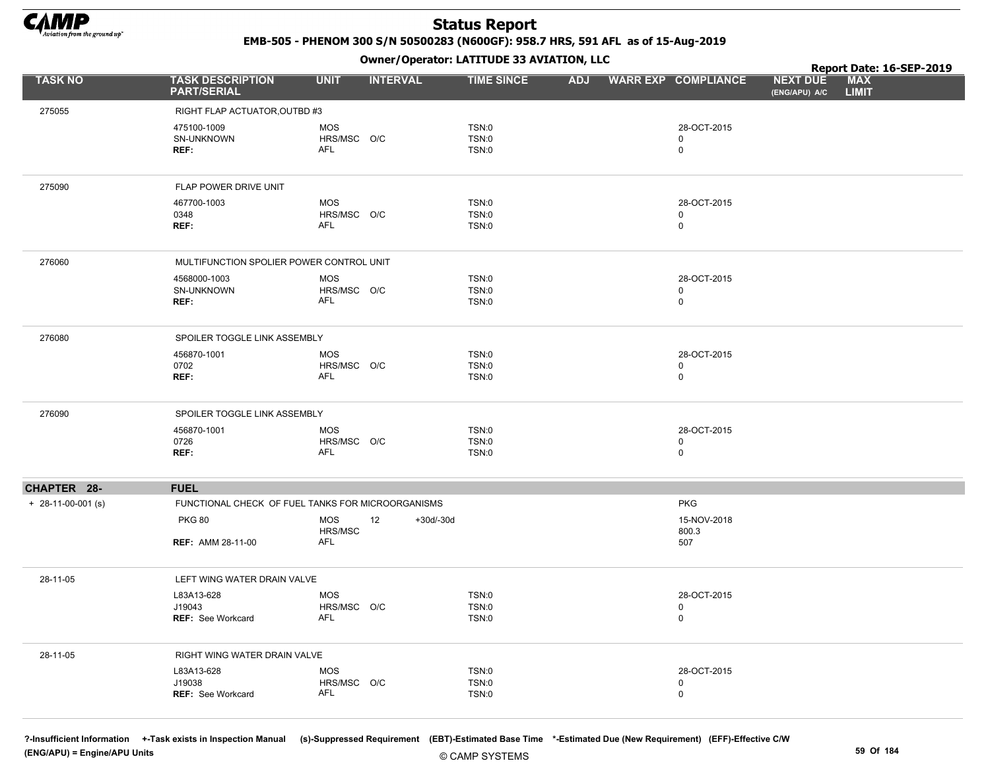

EMB-505 - PHENOM 300 S/N 50500283 (N600GF): 958.7 HRS, 591 AFL as of 15-Aug-2019

Owner/Operator: LATITUDE 33 AVIATION, LLC

|                      |                                                   | . <i>.</i>                     |                   |            |                            | Report Date: 16-SEP-2019                                       |
|----------------------|---------------------------------------------------|--------------------------------|-------------------|------------|----------------------------|----------------------------------------------------------------|
| <b>TASK NO</b>       | <b>TASK DESCRIPTION</b><br><b>PART/SERIAL</b>     | <b>UNIT</b><br><b>INTERVAL</b> | <b>TIME SINCE</b> | <b>ADJ</b> | <b>WARR EXP COMPLIANCE</b> | <b>MAX</b><br><b>NEXT DUE</b><br><b>LIMIT</b><br>(ENG/APU) A/C |
| 275055               | RIGHT FLAP ACTUATOR, OUTBD #3                     |                                |                   |            |                            |                                                                |
|                      | 475100-1009                                       | MOS                            | TSN:0             |            | 28-OCT-2015                |                                                                |
|                      | SN-UNKNOWN                                        | HRS/MSC O/C                    | TSN:0             |            | 0                          |                                                                |
|                      | REF:                                              | AFL                            | TSN:0             |            | 0                          |                                                                |
| 275090               | FLAP POWER DRIVE UNIT                             |                                |                   |            |                            |                                                                |
|                      | 467700-1003                                       | <b>MOS</b>                     | TSN:0             |            | 28-OCT-2015                |                                                                |
|                      | 0348                                              | HRS/MSC O/C                    | TSN:0             |            | 0                          |                                                                |
|                      | REF:                                              | AFL                            | TSN:0             |            | $\mathbf 0$                |                                                                |
| 276060               | MULTIFUNCTION SPOLIER POWER CONTROL UNIT          |                                |                   |            |                            |                                                                |
|                      | 4568000-1003                                      | MOS                            | TSN:0             |            | 28-OCT-2015                |                                                                |
|                      | SN-UNKNOWN                                        | HRS/MSC O/C                    | TSN:0             |            | 0                          |                                                                |
|                      | REF:                                              | <b>AFL</b>                     | TSN:0             |            | 0                          |                                                                |
| 276080               | SPOILER TOGGLE LINK ASSEMBLY                      |                                |                   |            |                            |                                                                |
|                      | 456870-1001                                       | <b>MOS</b>                     | TSN:0             |            | 28-OCT-2015                |                                                                |
|                      | 0702                                              | HRS/MSC O/C                    | TSN:0             |            | 0                          |                                                                |
|                      | REF:                                              | AFL                            | TSN:0             |            | 0                          |                                                                |
| 276090               | SPOILER TOGGLE LINK ASSEMBLY                      |                                |                   |            |                            |                                                                |
|                      | 456870-1001                                       | MOS                            | TSN:0             |            | 28-OCT-2015                |                                                                |
|                      | 0726<br>REF:                                      | HRS/MSC O/C<br>AFL             | TSN:0<br>TSN:0    |            | 0<br>0                     |                                                                |
|                      |                                                   |                                |                   |            |                            |                                                                |
| CHAPTER 28-          | <b>FUEL</b>                                       |                                |                   |            |                            |                                                                |
| $+$ 28-11-00-001 (s) | FUNCTIONAL CHECK OF FUEL TANKS FOR MICROORGANISMS |                                |                   |            | <b>PKG</b>                 |                                                                |
|                      | <b>PKG 80</b>                                     | MOS<br>12                      | $+30d/-30d$       |            | 15-NOV-2018                |                                                                |
|                      | <b>REF: AMM 28-11-00</b>                          | HRS/MSC<br><b>AFL</b>          |                   |            | 800.3<br>507               |                                                                |
|                      |                                                   |                                |                   |            |                            |                                                                |
| 28-11-05             | LEFT WING WATER DRAIN VALVE                       |                                |                   |            |                            |                                                                |
|                      | L83A13-628                                        | <b>MOS</b>                     | TSN:0             |            | 28-OCT-2015                |                                                                |
|                      | J19043<br><b>REF: See Workcard</b>                | HRS/MSC O/C<br>AFL             | TSN:0<br>TSN:0    |            | 0<br>$\mathbf 0$           |                                                                |
|                      |                                                   |                                |                   |            |                            |                                                                |
| 28-11-05             | RIGHT WING WATER DRAIN VALVE                      |                                |                   |            |                            |                                                                |
|                      | L83A13-628                                        | MOS                            | TSN:0             |            | 28-OCT-2015                |                                                                |
|                      | J19038<br><b>REF: See Workcard</b>                | HRS/MSC O/C<br>AFL             | TSN:0<br>TSN:0    |            | 0<br>$\mathbf 0$           |                                                                |
|                      |                                                   |                                |                   |            |                            |                                                                |

?-Insufficient Information +-Task exists in Inspection Manual (s)-Suppressed Requirement (EBT)-Estimated Base Time \*-Estimated Due (New Requirement) (EFF)-Effective C/W (ENG/APU) = Engine/APU Units 59 Of 184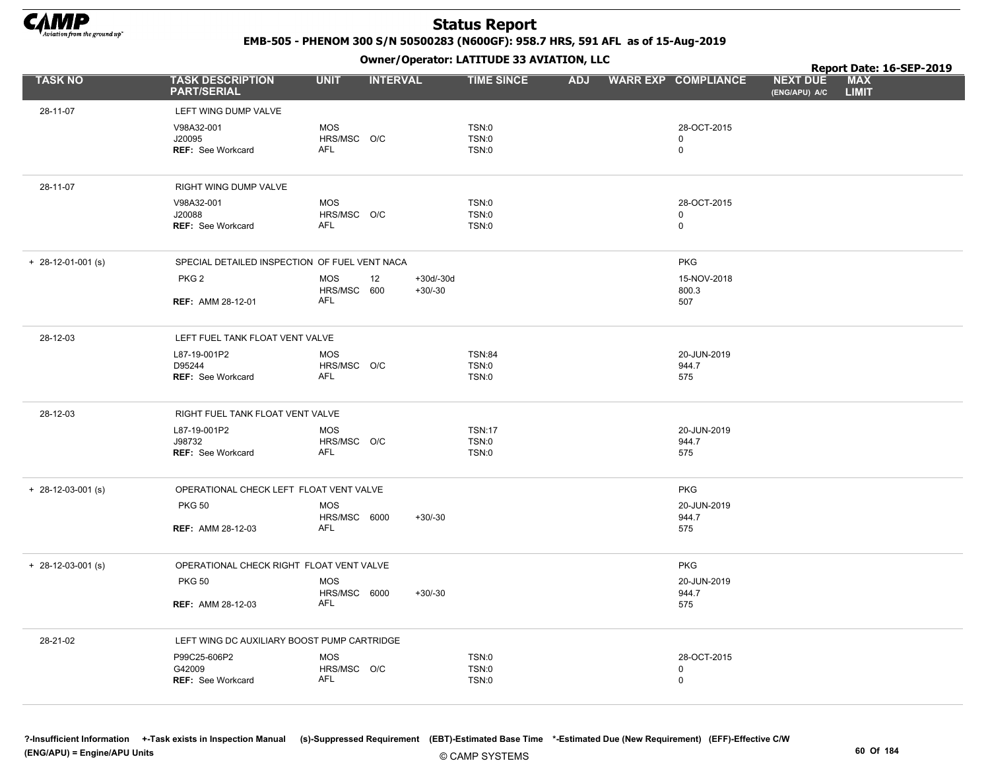

EMB-505 - PHENOM 300 S/N 50500283 (N600GF): 958.7 HRS, 591 AFL as of 15-Aug-2019

Owner/Operator: LATITUDE 33 AVIATION, LLC

|                      |                                               |                            | .                            |                   |  |                            |                                  | Report Date: 16-SEP-2019   |  |
|----------------------|-----------------------------------------------|----------------------------|------------------------------|-------------------|--|----------------------------|----------------------------------|----------------------------|--|
| <b>TASK NO</b>       | <b>TASK DESCRIPTION</b><br><b>PART/SERIAL</b> | <b>UNIT</b>                | <b>INTERVAL</b>              | <b>TIME SINCE</b> |  | ADJ WARR EXP COMPLIANCE    | <b>NEXT DUE</b><br>(ENG/APU) A/C | <b>MAX</b><br><b>LIMIT</b> |  |
| 28-11-07             | LEFT WING DUMP VALVE                          |                            |                              |                   |  |                            |                                  |                            |  |
|                      | V98A32-001                                    | <b>MOS</b>                 |                              | TSN:0             |  | 28-OCT-2015                |                                  |                            |  |
|                      | J20095                                        | HRS/MSC O/C                |                              | <b>TSN:0</b>      |  | 0                          |                                  |                            |  |
|                      | REF: See Workcard                             | AFL                        |                              | TSN:0             |  | $\mathbf 0$                |                                  |                            |  |
| 28-11-07             | RIGHT WING DUMP VALVE                         |                            |                              |                   |  |                            |                                  |                            |  |
|                      | V98A32-001                                    | MOS                        |                              | TSN:0             |  | 28-OCT-2015                |                                  |                            |  |
|                      | J20088                                        | HRS/MSC O/C<br><b>AFL</b>  |                              | TSN:0             |  | $\mathbf 0$<br>$\mathbf 0$ |                                  |                            |  |
|                      | REF: See Workcard                             |                            |                              | TSN:0             |  |                            |                                  |                            |  |
| $+$ 28-12-01-001 (s) | SPECIAL DETAILED INSPECTION OF FUEL VENT NACA |                            |                              |                   |  | <b>PKG</b>                 |                                  |                            |  |
|                      | PKG <sub>2</sub>                              | <b>MOS</b><br>HRS/MSC 600  | +30d/-30d<br>12<br>$+30/-30$ |                   |  | 15-NOV-2018<br>800.3       |                                  |                            |  |
|                      | <b>REF: AMM 28-12-01</b>                      | AFL                        |                              |                   |  | 507                        |                                  |                            |  |
| 28-12-03             | LEFT FUEL TANK FLOAT VENT VALVE               |                            |                              |                   |  |                            |                                  |                            |  |
|                      | L87-19-001P2                                  | MOS                        |                              | <b>TSN:84</b>     |  | 20-JUN-2019                |                                  |                            |  |
|                      | D95244<br>REF: See Workcard                   | HRS/MSC O/C<br><b>AFL</b>  |                              | TSN:0<br>TSN:0    |  | 944.7<br>575               |                                  |                            |  |
|                      |                                               |                            |                              |                   |  |                            |                                  |                            |  |
| 28-12-03             | RIGHT FUEL TANK FLOAT VENT VALVE              |                            |                              |                   |  |                            |                                  |                            |  |
|                      | L87-19-001P2                                  | <b>MOS</b>                 |                              | <b>TSN:17</b>     |  | 20-JUN-2019                |                                  |                            |  |
|                      | J98732<br><b>REF: See Workcard</b>            | HRS/MSC O/C<br>AFL         |                              | TSN:0<br>TSN:0    |  | 944.7<br>575               |                                  |                            |  |
|                      |                                               |                            |                              |                   |  |                            |                                  |                            |  |
| $+$ 28-12-03-001 (s) | OPERATIONAL CHECK LEFT FLOAT VENT VALVE       |                            |                              |                   |  | <b>PKG</b>                 |                                  |                            |  |
|                      | <b>PKG 50</b>                                 | <b>MOS</b>                 |                              |                   |  | 20-JUN-2019                |                                  |                            |  |
|                      | <b>REF: AMM 28-12-03</b>                      | HRS/MSC 6000<br><b>AFL</b> | $+30/-30$                    |                   |  | 944.7<br>575               |                                  |                            |  |
|                      |                                               |                            |                              |                   |  |                            |                                  |                            |  |
| $+$ 28-12-03-001 (s) | OPERATIONAL CHECK RIGHT FLOAT VENT VALVE      |                            |                              |                   |  | <b>PKG</b>                 |                                  |                            |  |
|                      | <b>PKG 50</b>                                 | <b>MOS</b><br>HRS/MSC 6000 | $+30/-30$                    |                   |  | 20-JUN-2019<br>944.7       |                                  |                            |  |
|                      | <b>REF: AMM 28-12-03</b>                      | <b>AFL</b>                 |                              |                   |  | 575                        |                                  |                            |  |
|                      |                                               |                            |                              |                   |  |                            |                                  |                            |  |
| 28-21-02             | LEFT WING DC AUXILIARY BOOST PUMP CARTRIDGE   |                            |                              |                   |  |                            |                                  |                            |  |
|                      | P99C25-606P2<br>G42009                        | <b>MOS</b><br>HRS/MSC O/C  |                              | TSN:0<br>TSN:0    |  | 28-OCT-2015<br>0           |                                  |                            |  |
|                      | <b>REF: See Workcard</b>                      | <b>AFL</b>                 |                              | TSN:0             |  | 0                          |                                  |                            |  |
|                      |                                               |                            |                              |                   |  |                            |                                  |                            |  |

?-Insufficient Information +-Task exists in Inspection Manual (s)-Suppressed Requirement (EBT)-Estimated Base Time \*-Estimated Due (New Requirement) (EFF)-Effective C/W (ENG/APU) = Engine/APU Units 60 Of 184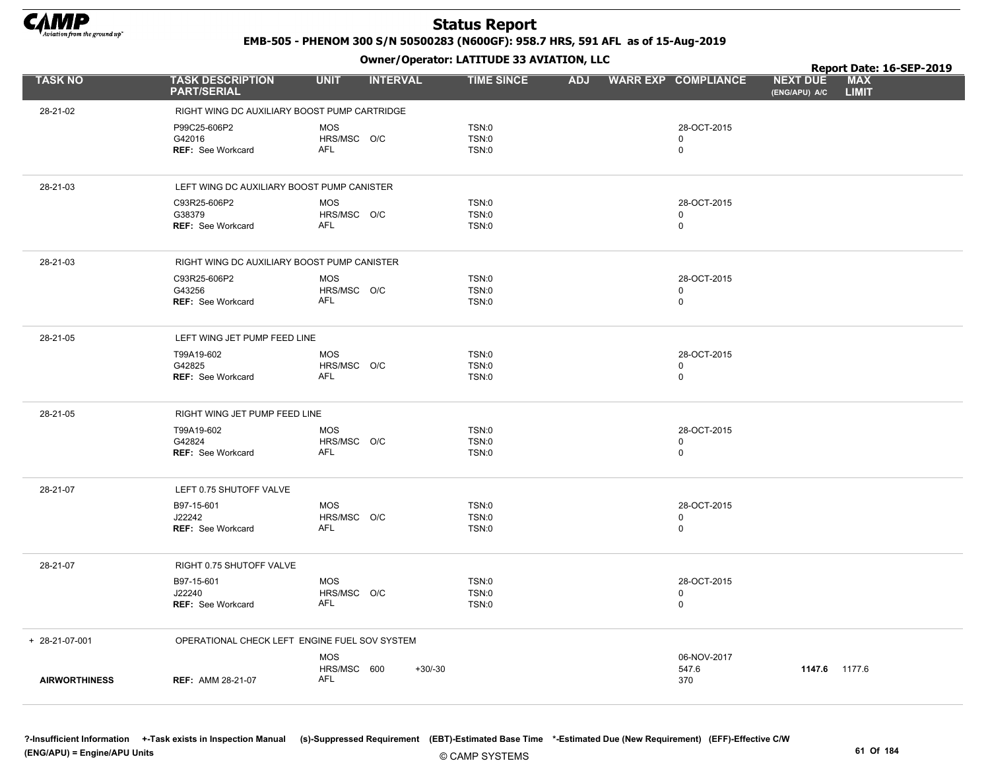

EMB-505 - PHENOM 300 S/N 50500283 (N600GF): 958.7 HRS, 591 AFL as of 15-Aug-2019

Owner/Operator: LATITUDE 33 AVIATION, LLC

|                      |                                               | .                               |                   |            |                            |                                  | Report Date: 16-SEP-2019   |  |
|----------------------|-----------------------------------------------|---------------------------------|-------------------|------------|----------------------------|----------------------------------|----------------------------|--|
| <b>TASK NO</b>       | <b>TASK DESCRIPTION</b><br><b>PART/SERIAL</b> | <b>UNIT</b><br><b>INTERVAL</b>  | <b>TIME SINCE</b> | <b>ADJ</b> | <b>WARR EXP COMPLIANCE</b> | <b>NEXT DUE</b><br>(ENG/APU) A/C | <b>MAX</b><br><b>LIMIT</b> |  |
| 28-21-02             | RIGHT WING DC AUXILIARY BOOST PUMP CARTRIDGE  |                                 |                   |            |                            |                                  |                            |  |
|                      | P99C25-606P2                                  | <b>MOS</b>                      | TSN:0             |            | 28-OCT-2015                |                                  |                            |  |
|                      | G42016                                        | HRS/MSC O/C                     | TSN:0             |            | $\mathsf 0$                |                                  |                            |  |
|                      | <b>REF: See Workcard</b>                      | <b>AFL</b>                      | TSN:0             |            | $\mathbf 0$                |                                  |                            |  |
| 28-21-03             | LEFT WING DC AUXILIARY BOOST PUMP CANISTER    |                                 |                   |            |                            |                                  |                            |  |
|                      | C93R25-606P2                                  | MOS                             | TSN:0             |            | 28-OCT-2015                |                                  |                            |  |
|                      | G38379                                        | HRS/MSC O/C                     | TSN:0             |            | $\mathbf 0$                |                                  |                            |  |
|                      | <b>REF: See Workcard</b>                      | AFL                             | TSN:0             |            | $\mathbf 0$                |                                  |                            |  |
| 28-21-03             | RIGHT WING DC AUXILIARY BOOST PUMP CANISTER   |                                 |                   |            |                            |                                  |                            |  |
|                      | C93R25-606P2                                  | <b>MOS</b>                      | TSN:0             |            | 28-OCT-2015                |                                  |                            |  |
|                      | G43256                                        | HRS/MSC O/C                     | TSN:0             |            | $\mathbf 0$                |                                  |                            |  |
|                      | <b>REF: See Workcard</b>                      | <b>AFL</b>                      | TSN:0             |            | $\mathbf 0$                |                                  |                            |  |
| 28-21-05             | LEFT WING JET PUMP FEED LINE                  |                                 |                   |            |                            |                                  |                            |  |
|                      | T99A19-602                                    | <b>MOS</b>                      | TSN:0             |            | 28-OCT-2015                |                                  |                            |  |
|                      | G42825                                        | HRS/MSC O/C                     | TSN:0             |            | $\pmb{0}$                  |                                  |                            |  |
|                      | <b>REF: See Workcard</b>                      | <b>AFL</b>                      | TSN:0             |            | $\mathbf 0$                |                                  |                            |  |
| 28-21-05             | RIGHT WING JET PUMP FEED LINE                 |                                 |                   |            |                            |                                  |                            |  |
|                      | T99A19-602                                    | <b>MOS</b>                      | TSN:0             |            | 28-OCT-2015                |                                  |                            |  |
|                      | G42824<br><b>REF: See Workcard</b>            | HRS/MSC O/C<br><b>AFL</b>       | TSN:0<br>TSN:0    |            | $\mathbf 0$<br>$\mathbf 0$ |                                  |                            |  |
|                      |                                               |                                 |                   |            |                            |                                  |                            |  |
| 28-21-07             | LEFT 0.75 SHUTOFF VALVE                       |                                 |                   |            |                            |                                  |                            |  |
|                      | B97-15-601                                    | <b>MOS</b>                      | TSN:0             |            | 28-OCT-2015                |                                  |                            |  |
|                      | J22242<br><b>REF: See Workcard</b>            | HRS/MSC O/C<br>AFL              | TSN:0<br>TSN:0    |            | $\mathbf 0$<br>$\mathbf 0$ |                                  |                            |  |
|                      |                                               |                                 |                   |            |                            |                                  |                            |  |
| 28-21-07             | RIGHT 0.75 SHUTOFF VALVE                      |                                 |                   |            |                            |                                  |                            |  |
|                      | B97-15-601                                    | <b>MOS</b>                      | TSN:0             |            | 28-OCT-2015                |                                  |                            |  |
|                      | J22240<br>REF: See Workcard                   | HRS/MSC O/C<br><b>AFL</b>       | TSN:0<br>TSN:0    |            | $\mathbf 0$<br>$\mathsf 0$ |                                  |                            |  |
|                      |                                               |                                 |                   |            |                            |                                  |                            |  |
| + 28-21-07-001       | OPERATIONAL CHECK LEFT ENGINE FUEL SOV SYSTEM |                                 |                   |            |                            |                                  |                            |  |
|                      |                                               | <b>MOS</b>                      |                   |            | 06-NOV-2017                |                                  |                            |  |
| <b>AIRWORTHINESS</b> | <b>REF: AMM 28-21-07</b>                      | HRS/MSC 600<br>$+30/-30$<br>AFL |                   |            | 547.6<br>370               | 1147.6 1177.6                    |                            |  |
|                      |                                               |                                 |                   |            |                            |                                  |                            |  |
|                      |                                               |                                 |                   |            |                            |                                  |                            |  |

?-Insufficient Information +-Task exists in Inspection Manual (s)-Suppressed Requirement (EBT)-Estimated Base Time \*-Estimated Due (New Requirement) (EFF)-Effective C/W (ENG/APU) = Engine/APU Units 61 Of 184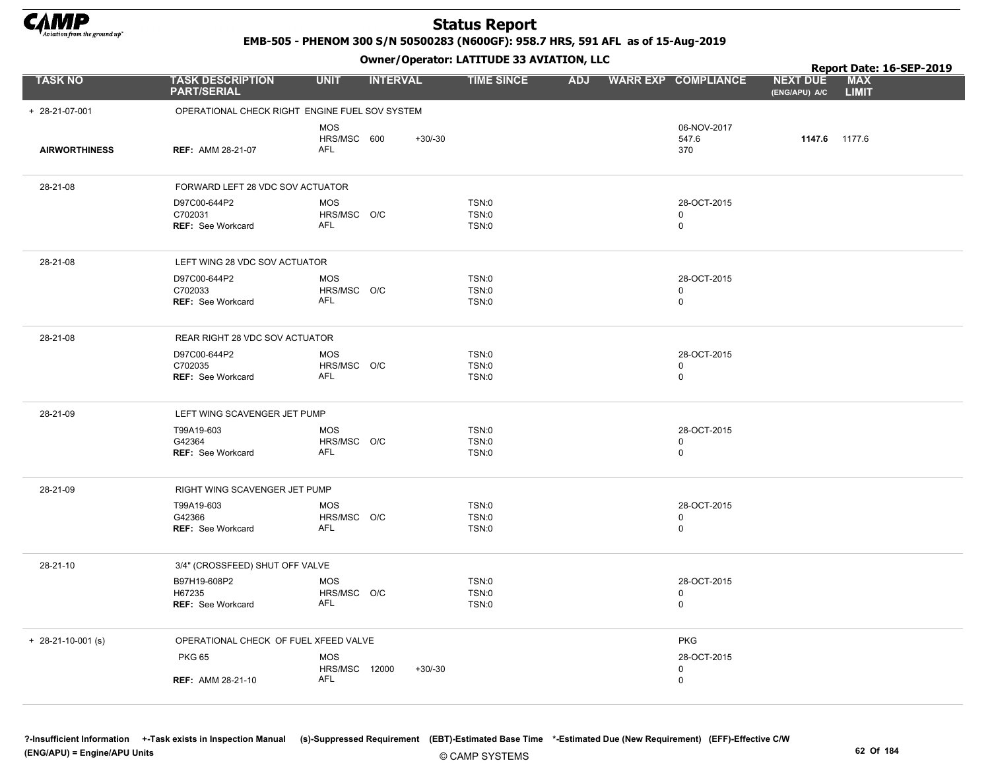

EMB-505 - PHENOM 300 S/N 50500283 (N600GF): 958.7 HRS, 591 AFL as of 15-Aug-2019

|                      |                                                     |                                         | Owner / Operator: EATITODE 33 AVIATION, LLC |            |                                         | Report Date: 16-SEP-2019         |                            |  |
|----------------------|-----------------------------------------------------|-----------------------------------------|---------------------------------------------|------------|-----------------------------------------|----------------------------------|----------------------------|--|
| <b>TASK NO</b>       | <b>TASK DESCRIPTION</b><br><b>PART/SERIAL</b>       | <b>UNIT</b><br><b>INTERVAL</b>          | <b>TIME SINCE</b>                           | <b>ADJ</b> | <b>WARR EXP COMPLIANCE</b>              | <b>NEXT DUE</b><br>(ENG/APU) A/C | <b>MAX</b><br><b>LIMIT</b> |  |
| + 28-21-07-001       | OPERATIONAL CHECK RIGHT ENGINE FUEL SOV SYSTEM      |                                         |                                             |            |                                         |                                  |                            |  |
| <b>AIRWORTHINESS</b> | <b>REF: AMM 28-21-07</b>                            | <b>MOS</b><br>HRS/MSC 600<br><b>AFL</b> | $+30/-30$                                   |            | 06-NOV-2017<br>547.6<br>370             | 1147.6 1177.6                    |                            |  |
| 28-21-08             | FORWARD LEFT 28 VDC SOV ACTUATOR                    |                                         |                                             |            |                                         |                                  |                            |  |
|                      | D97C00-644P2<br>C702031<br>REF: See Workcard        | <b>MOS</b><br>HRS/MSC O/C<br><b>AFL</b> | TSN:0<br>TSN:0<br>TSN:0                     |            | 28-OCT-2015<br>0<br>0                   |                                  |                            |  |
| 28-21-08             | LEFT WING 28 VDC SOV ACTUATOR                       |                                         |                                             |            |                                         |                                  |                            |  |
|                      | D97C00-644P2<br>C702033<br><b>REF: See Workcard</b> | <b>MOS</b><br>HRS/MSC O/C<br><b>AFL</b> | TSN:0<br><b>TSN:0</b><br>TSN:0              |            | 28-OCT-2015<br>$\mathbf 0$<br>0         |                                  |                            |  |
| 28-21-08             | REAR RIGHT 28 VDC SOV ACTUATOR                      |                                         |                                             |            |                                         |                                  |                            |  |
|                      | D97C00-644P2<br>C702035<br><b>REF: See Workcard</b> | <b>MOS</b><br>HRS/MSC O/C<br><b>AFL</b> | TSN:0<br>TSN:0<br>TSN:0                     |            | 28-OCT-2015<br>0<br>0                   |                                  |                            |  |
| 28-21-09             | LEFT WING SCAVENGER JET PUMP                        |                                         |                                             |            |                                         |                                  |                            |  |
|                      | T99A19-603<br>G42364<br><b>REF: See Workcard</b>    | <b>MOS</b><br>HRS/MSC O/C<br>AFL        | TSN:0<br>TSN:0<br>TSN:0                     |            | 28-OCT-2015<br>0<br>0                   |                                  |                            |  |
| 28-21-09             | RIGHT WING SCAVENGER JET PUMP                       |                                         |                                             |            |                                         |                                  |                            |  |
|                      | T99A19-603<br>G42366<br>REF: See Workcard           | <b>MOS</b><br>HRS/MSC O/C<br><b>AFL</b> | TSN:0<br>TSN:0<br>TSN:0                     |            | 28-OCT-2015<br>0<br>$\mathbf 0$         |                                  |                            |  |
| 28-21-10             | 3/4" (CROSSFEED) SHUT OFF VALVE                     |                                         |                                             |            |                                         |                                  |                            |  |
|                      | B97H19-608P2<br>H67235<br>REF: See Workcard         | <b>MOS</b><br>HRS/MSC O/C<br>AFL        | TSN:0<br>TSN:0<br>TSN:0                     |            | 28-OCT-2015<br>$\mathbf 0$<br>$\pmb{0}$ |                                  |                            |  |
| $+$ 28-21-10-001 (s) | OPERATIONAL CHECK OF FUEL XFEED VALVE               |                                         |                                             |            | <b>PKG</b>                              |                                  |                            |  |
|                      | <b>PKG 65</b><br><b>REF: AMM 28-21-10</b>           | <b>MOS</b><br>HRS/MSC 12000<br>AFL      | $+30/-30$                                   |            | 28-OCT-2015<br>0<br>0                   |                                  |                            |  |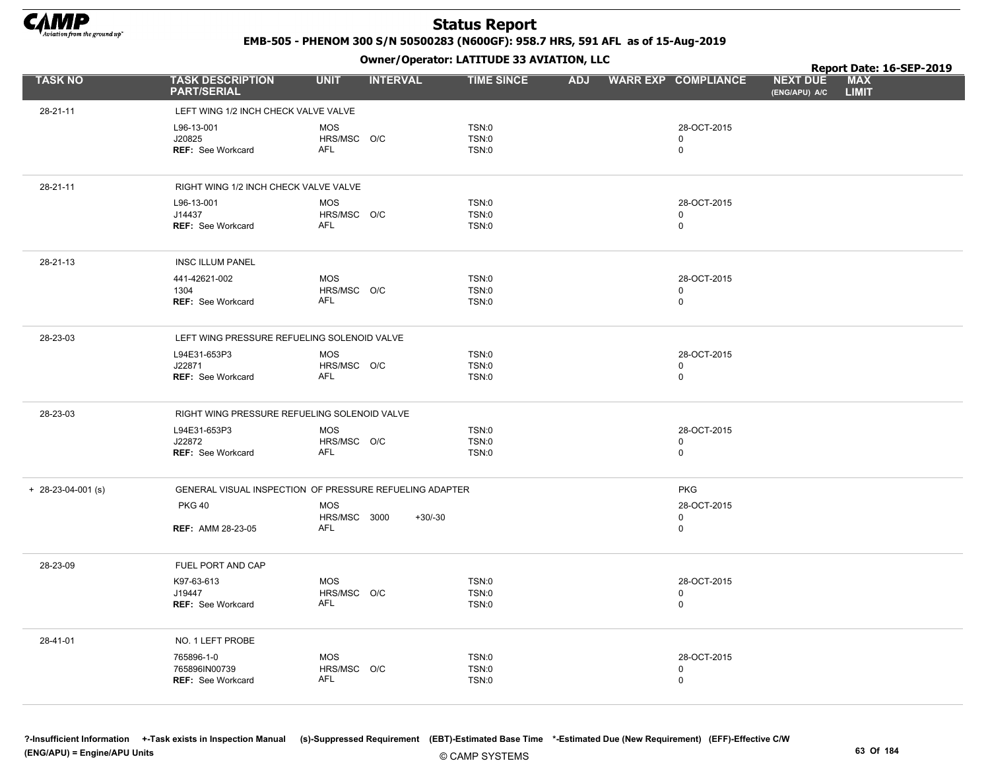

EMB-505 - PHENOM 300 S/N 50500283 (N600GF): 958.7 HRS, 591 AFL as of 15-Aug-2019

Owner/Operator: LATITUDE 33 AVIATION, LLC

|                      |                                                         |                                                         | Owner / Operator: EATITODE 33 AVIATION, LLC  |            |                                           | Report Date: 16-SEP-2019         |                            |  |
|----------------------|---------------------------------------------------------|---------------------------------------------------------|----------------------------------------------|------------|-------------------------------------------|----------------------------------|----------------------------|--|
| <b>TASK NO</b>       | <b>TASK DESCRIPTION</b><br><b>PART/SERIAL</b>           | <b>UNIT</b><br><b>INTERVAL</b>                          | <b>TIME SINCE</b>                            | <b>ADJ</b> | <b>WARR EXP COMPLIANCE</b>                | <b>NEXT DUE</b><br>(ENG/APU) A/C | <b>MAX</b><br><b>LIMIT</b> |  |
| 28-21-11             | LEFT WING 1/2 INCH CHECK VALVE VALVE                    |                                                         |                                              |            |                                           |                                  |                            |  |
|                      | L96-13-001<br>J20825<br><b>REF: See Workcard</b>        | <b>MOS</b><br>HRS/MSC O/C<br><b>AFL</b>                 | <b>TSN:0</b><br><b>TSN:0</b><br><b>TSN:0</b> |            | 28-OCT-2015<br>$\mathbf 0$<br>$\mathsf 0$ |                                  |                            |  |
| 28-21-11             | RIGHT WING 1/2 INCH CHECK VALVE VALVE                   |                                                         |                                              |            |                                           |                                  |                            |  |
|                      | L96-13-001<br>J14437<br>REF: See Workcard               | <b>MOS</b><br>HRS/MSC O/C<br><b>AFL</b>                 | <b>TSN:0</b><br><b>TSN:0</b><br><b>TSN:0</b> |            | 28-OCT-2015<br>$\mathbf 0$<br>$\mathsf 0$ |                                  |                            |  |
| 28-21-13             | <b>INSC ILLUM PANEL</b>                                 |                                                         |                                              |            |                                           |                                  |                            |  |
|                      | 441-42621-002<br>1304<br><b>REF: See Workcard</b>       | <b>MOS</b><br>HRS/MSC O/C<br><b>AFL</b>                 | <b>TSN:0</b><br><b>TSN:0</b><br><b>TSN:0</b> |            | 28-OCT-2015<br>$\mathbf 0$<br>$\mathbf 0$ |                                  |                            |  |
| 28-23-03             | LEFT WING PRESSURE REFUELING SOLENOID VALVE             |                                                         |                                              |            |                                           |                                  |                            |  |
|                      | L94E31-653P3<br>J22871<br><b>REF: See Workcard</b>      | <b>MOS</b><br>HRS/MSC O/C<br>AFL                        | <b>TSN:0</b><br><b>TSN:0</b><br><b>TSN:0</b> |            | 28-OCT-2015<br>$\mathsf 0$<br>$\mathbf 0$ |                                  |                            |  |
| 28-23-03             | RIGHT WING PRESSURE REFUELING SOLENOID VALVE            |                                                         |                                              |            |                                           |                                  |                            |  |
|                      | L94E31-653P3<br>J22872<br><b>REF: See Workcard</b>      | <b>MOS</b><br>HRS/MSC O/C<br>AFL                        | <b>TSN:0</b><br>TSN:0<br><b>TSN:0</b>        |            | 28-OCT-2015<br>$\mathbf 0$<br>$\mathsf 0$ |                                  |                            |  |
| $+ 28-23-04-001$ (s) |                                                         | GENERAL VISUAL INSPECTION OF PRESSURE REFUELING ADAPTER |                                              |            | <b>PKG</b>                                |                                  |                            |  |
|                      | <b>PKG 40</b>                                           | <b>MOS</b>                                              |                                              |            | 28-OCT-2015                               |                                  |                            |  |
|                      | <b>REF: AMM 28-23-05</b>                                | HRS/MSC 3000<br>$+30/30$<br><b>AFL</b>                  |                                              |            | $\mathbf 0$<br>$\mathbf 0$                |                                  |                            |  |
| 28-23-09             | FUEL PORT AND CAP                                       |                                                         |                                              |            |                                           |                                  |                            |  |
|                      | K97-63-613<br>J19447<br><b>REF: See Workcard</b>        | <b>MOS</b><br>HRS/MSC O/C<br><b>AFL</b>                 | <b>TSN:0</b><br><b>TSN:0</b><br>TSN:0        |            | 28-OCT-2015<br>$\mathbf 0$<br>$\mathsf 0$ |                                  |                            |  |
| 28-41-01             | NO. 1 LEFT PROBE                                        |                                                         |                                              |            |                                           |                                  |                            |  |
|                      | 765896-1-0<br>765896IN00739<br><b>REF: See Workcard</b> | <b>MOS</b><br>HRS/MSC O/C<br><b>AFL</b>                 | <b>TSN:0</b><br><b>TSN:0</b><br>TSN:0        |            | 28-OCT-2015<br>$\mathbf 0$<br>$\mathbf 0$ |                                  |                            |  |

?-Insufficient Information +-Task exists in Inspection Manual (s)-Suppressed Requirement (EBT)-Estimated Base Time \*-Estimated Due (New Requirement) (EFF)-Effective C/W (ENG/APU) = Engine/APU Units 63 Of 184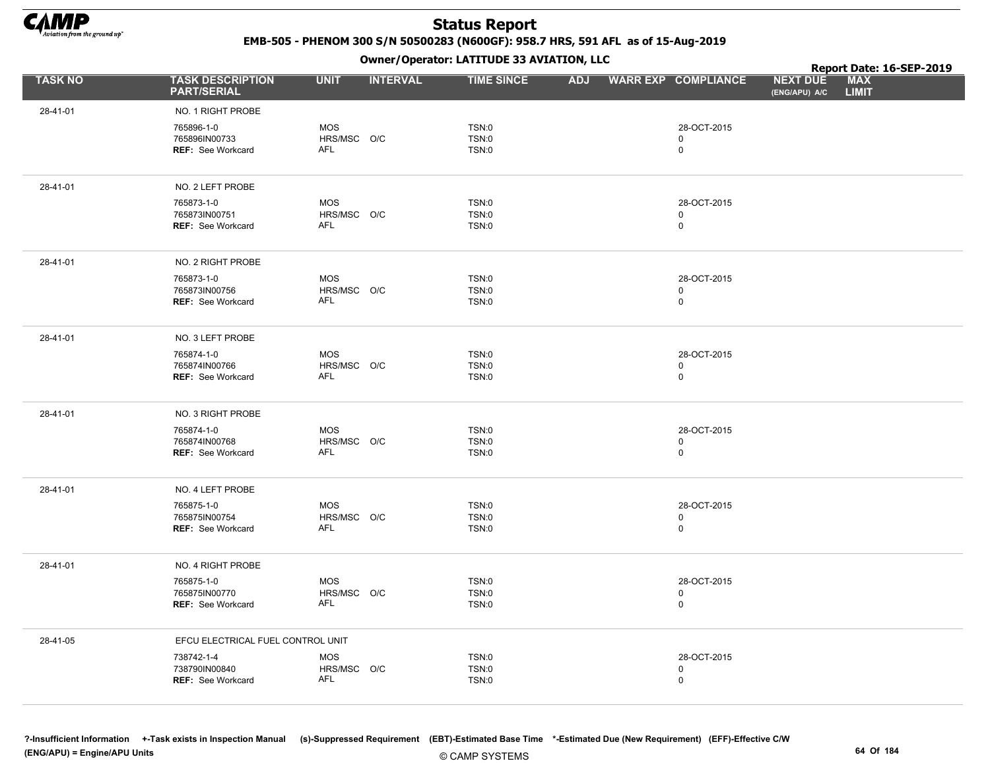

EMB-505 - PHENOM 300 S/N 50500283 (N600GF): 958.7 HRS, 591 AFL as of 15-Aug-2019

Owner/Operator: LATITUDE 33 AVIATION, LLC

|                |                                                         |                                         |                 | Owner / Operator: EATITODE 33 AVIATION, LLC  |            |                                           | Report Date: 16-SEP-2019         |                            |  |
|----------------|---------------------------------------------------------|-----------------------------------------|-----------------|----------------------------------------------|------------|-------------------------------------------|----------------------------------|----------------------------|--|
| <b>TASK NO</b> | <b>TASK DESCRIPTION</b><br><b>PART/SERIAL</b>           | <b>UNIT</b>                             | <b>INTERVAL</b> | <b>TIME SINCE</b>                            | <b>ADJ</b> | <b>WARR EXP COMPLIANCE</b>                | <b>NEXT DUE</b><br>(ENG/APU) A/C | <b>MAX</b><br><b>LIMIT</b> |  |
| 28-41-01       | NO. 1 RIGHT PROBE                                       |                                         |                 |                                              |            |                                           |                                  |                            |  |
|                | 765896-1-0<br>765896IN00733<br><b>REF: See Workcard</b> | <b>MOS</b><br>HRS/MSC O/C<br>AFL        |                 | <b>TSN:0</b><br><b>TSN:0</b><br><b>TSN:0</b> |            | 28-OCT-2015<br>$\mathbf 0$<br>$\mathsf 0$ |                                  |                            |  |
| 28-41-01       | NO. 2 LEFT PROBE                                        |                                         |                 |                                              |            |                                           |                                  |                            |  |
|                | 765873-1-0<br>765873IN00751<br>REF: See Workcard        | <b>MOS</b><br>HRS/MSC O/C<br><b>AFL</b> |                 | <b>TSN:0</b><br>TSN:0<br>TSN:0               |            | 28-OCT-2015<br>$\mathbf 0$<br>$\mathbf 0$ |                                  |                            |  |
| 28-41-01       | NO. 2 RIGHT PROBE                                       |                                         |                 |                                              |            |                                           |                                  |                            |  |
|                | 765873-1-0<br>765873IN00756<br><b>REF: See Workcard</b> | <b>MOS</b><br>HRS/MSC O/C<br><b>AFL</b> |                 | <b>TSN:0</b><br><b>TSN:0</b><br><b>TSN:0</b> |            | 28-OCT-2015<br>$\mathbf 0$<br>$\mathsf 0$ |                                  |                            |  |
| 28-41-01       | NO. 3 LEFT PROBE                                        |                                         |                 |                                              |            |                                           |                                  |                            |  |
|                | 765874-1-0<br>765874IN00766<br>REF: See Workcard        | <b>MOS</b><br>HRS/MSC O/C<br>AFL        |                 | TSN:0<br><b>TSN:0</b><br><b>TSN:0</b>        |            | 28-OCT-2015<br>$\mathbf 0$<br>$\mathbf 0$ |                                  |                            |  |
| 28-41-01       | NO. 3 RIGHT PROBE                                       |                                         |                 |                                              |            |                                           |                                  |                            |  |
|                | 765874-1-0<br>765874IN00768<br>REF: See Workcard        | <b>MOS</b><br>HRS/MSC O/C<br>AFL        |                 | <b>TSN:0</b><br><b>TSN:0</b><br>TSN:0        |            | 28-OCT-2015<br>$\mathsf 0$<br>$\mathbf 0$ |                                  |                            |  |
| 28-41-01       | NO. 4 LEFT PROBE                                        |                                         |                 |                                              |            |                                           |                                  |                            |  |
|                | 765875-1-0<br>765875IN00754<br><b>REF: See Workcard</b> | <b>MOS</b><br>HRS/MSC O/C<br>AFL        |                 | <b>TSN:0</b><br>TSN:0<br><b>TSN:0</b>        |            | 28-OCT-2015<br>$\mathsf 0$<br>$\mathsf 0$ |                                  |                            |  |
| 28-41-01       | NO. 4 RIGHT PROBE                                       |                                         |                 |                                              |            |                                           |                                  |                            |  |
|                | 765875-1-0<br>765875IN00770<br><b>REF: See Workcard</b> | <b>MOS</b><br>HRS/MSC O/C<br>AFL        |                 | <b>TSN:0</b><br><b>TSN:0</b><br><b>TSN:0</b> |            | 28-OCT-2015<br>0<br>$\mathbf 0$           |                                  |                            |  |
| 28-41-05       | EFCU ELECTRICAL FUEL CONTROL UNIT                       |                                         |                 |                                              |            |                                           |                                  |                            |  |
|                | 738742-1-4<br>738790IN00840<br>REF: See Workcard        | <b>MOS</b><br>HRS/MSC O/C<br><b>AFL</b> |                 | <b>TSN:0</b><br>TSN:0<br>TSN:0               |            | 28-OCT-2015<br>$\mathsf 0$<br>$\mathsf 0$ |                                  |                            |  |

?-Insufficient Information +-Task exists in Inspection Manual (s)-Suppressed Requirement (EBT)-Estimated Base Time \*-Estimated Due (New Requirement) (EFF)-Effective C/W (ENG/APU) = Engine/APU Units 64 Of 184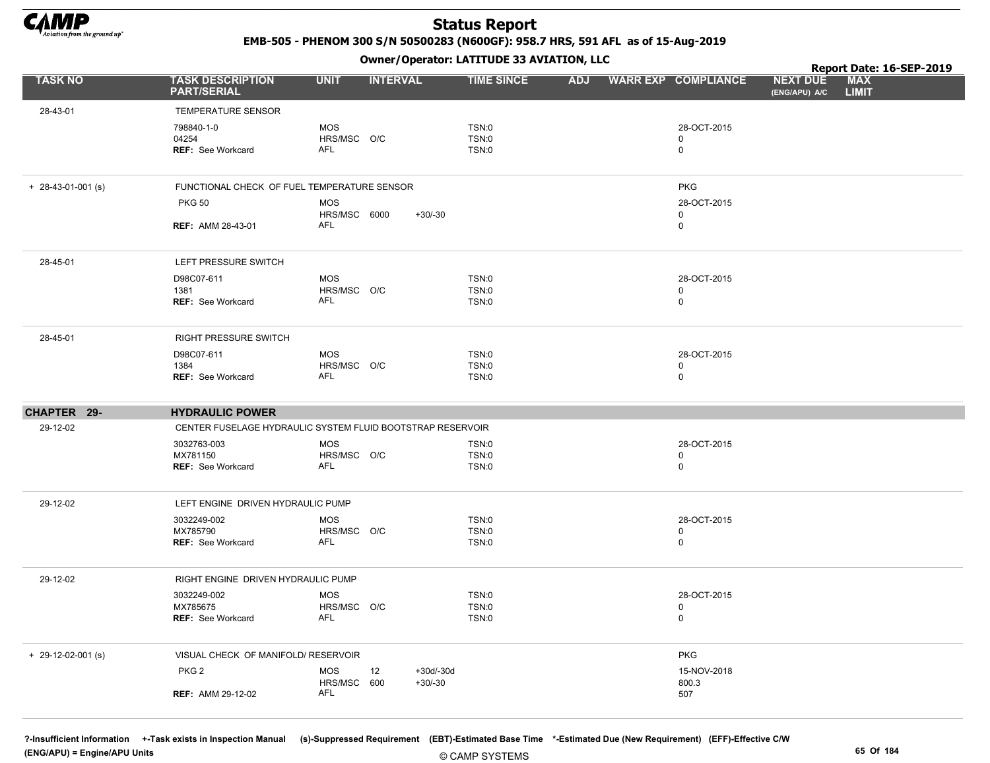

EMB-505 - PHENOM 300 S/N 50500283 (N600GF): 958.7 HRS, 591 AFL as of 15-Aug-2019

Owner/Operator: LATITUDE 33 AVIATION, LLC

|                      |                                                            |                                         | Owner / Operator. LATTTODE 33 AVIATION, LLC |            |                                 | Report Date: 16-SEP-2019         |                            |  |  |
|----------------------|------------------------------------------------------------|-----------------------------------------|---------------------------------------------|------------|---------------------------------|----------------------------------|----------------------------|--|--|
| <b>TASK NO</b>       | <b>TASK DESCRIPTION</b><br><b>PART/SERIAL</b>              | <b>UNIT</b>                             | <b>INTERVAL</b><br><b>TIME SINCE</b>        | <b>ADJ</b> | <b>WARR EXP COMPLIANCE</b>      | <b>NEXT DUE</b><br>(ENG/APU) A/C | <b>MAX</b><br><b>LIMIT</b> |  |  |
| 28-43-01             | TEMPERATURE SENSOR                                         |                                         |                                             |            |                                 |                                  |                            |  |  |
|                      | 798840-1-0<br>04254<br>REF: See Workcard                   | <b>MOS</b><br>HRS/MSC O/C<br><b>AFL</b> | TSN:0<br><b>TSN:0</b><br>TSN:0              |            | 28-OCT-2015<br>0<br>$\mathsf 0$ |                                  |                            |  |  |
| $+ 28-43-01-001$ (s) | FUNCTIONAL CHECK OF FUEL TEMPERATURE SENSOR                |                                         |                                             |            | <b>PKG</b>                      |                                  |                            |  |  |
|                      | <b>PKG 50</b><br><b>REF: AMM 28-43-01</b>                  | <b>MOS</b><br>HRS/MSC 6000<br>AFL       | $+30/-30$                                   |            | 28-OCT-2015<br>0<br>0           |                                  |                            |  |  |
|                      |                                                            |                                         |                                             |            |                                 |                                  |                            |  |  |
| 28-45-01             | LEFT PRESSURE SWITCH                                       |                                         |                                             |            |                                 |                                  |                            |  |  |
|                      | D98C07-611                                                 | <b>MOS</b>                              | TSN:0                                       |            | 28-OCT-2015                     |                                  |                            |  |  |
|                      | 1381<br>REF: See Workcard                                  | HRS/MSC O/C<br><b>AFL</b>               | TSN:0<br><b>TSN:0</b>                       |            | 0<br>$\mathbf 0$                |                                  |                            |  |  |
| 28-45-01             | RIGHT PRESSURE SWITCH                                      |                                         |                                             |            |                                 |                                  |                            |  |  |
|                      | D98C07-611                                                 | <b>MOS</b>                              | TSN:0                                       |            | 28-OCT-2015                     |                                  |                            |  |  |
|                      | 1384<br><b>REF: See Workcard</b>                           | HRS/MSC O/C<br>AFL                      | TSN:0<br>TSN:0                              |            | 0<br>0                          |                                  |                            |  |  |
| CHAPTER 29-          | <b>HYDRAULIC POWER</b>                                     |                                         |                                             |            |                                 |                                  |                            |  |  |
| 29-12-02             | CENTER FUSELAGE HYDRAULIC SYSTEM FLUID BOOTSTRAP RESERVOIR |                                         |                                             |            |                                 |                                  |                            |  |  |
|                      | 3032763-003                                                | <b>MOS</b>                              | TSN:0                                       |            | 28-OCT-2015<br>$\mathbf 0$      |                                  |                            |  |  |
|                      | MX781150<br><b>REF: See Workcard</b>                       | HRS/MSC O/C<br>AFL                      | TSN:0<br><b>TSN:0</b>                       |            | 0                               |                                  |                            |  |  |
| 29-12-02             | LEFT ENGINE DRIVEN HYDRAULIC PUMP                          |                                         |                                             |            |                                 |                                  |                            |  |  |
|                      | 3032249-002                                                | <b>MOS</b>                              | <b>TSN:0</b>                                |            | 28-OCT-2015                     |                                  |                            |  |  |
|                      | MX785790<br>REF: See Workcard                              | HRS/MSC O/C<br><b>AFL</b>               | <b>TSN:0</b><br>TSN:0                       |            | 0<br>$\mathbf 0$                |                                  |                            |  |  |
| 29-12-02             | RIGHT ENGINE DRIVEN HYDRAULIC PUMP                         |                                         |                                             |            |                                 |                                  |                            |  |  |
|                      | 3032249-002<br>MX785675                                    | <b>MOS</b>                              | TSN:0<br><b>TSN:0</b>                       |            | 28-OCT-2015                     |                                  |                            |  |  |
|                      | <b>REF: See Workcard</b>                                   | HRS/MSC O/C<br>AFL                      | TSN:0                                       |            | 0<br>0                          |                                  |                            |  |  |
| $+ 29-12-02-001$ (s) | VISUAL CHECK OF MANIFOLD/ RESERVOIR                        |                                         |                                             |            | <b>PKG</b>                      |                                  |                            |  |  |
|                      | PKG <sub>2</sub>                                           | <b>MOS</b><br>12<br>HRS/MSC<br>600      | $+30d/-30d$<br>$+30/-30$                    |            | 15-NOV-2018<br>800.3            |                                  |                            |  |  |
|                      | <b>REF: AMM 29-12-02</b>                                   | AFL                                     |                                             |            | 507                             |                                  |                            |  |  |

?-Insufficient Information +-Task exists in Inspection Manual (s)-Suppressed Requirement (EBT)-Estimated Base Time \*-Estimated Due (New Requirement) (EFF)-Effective C/W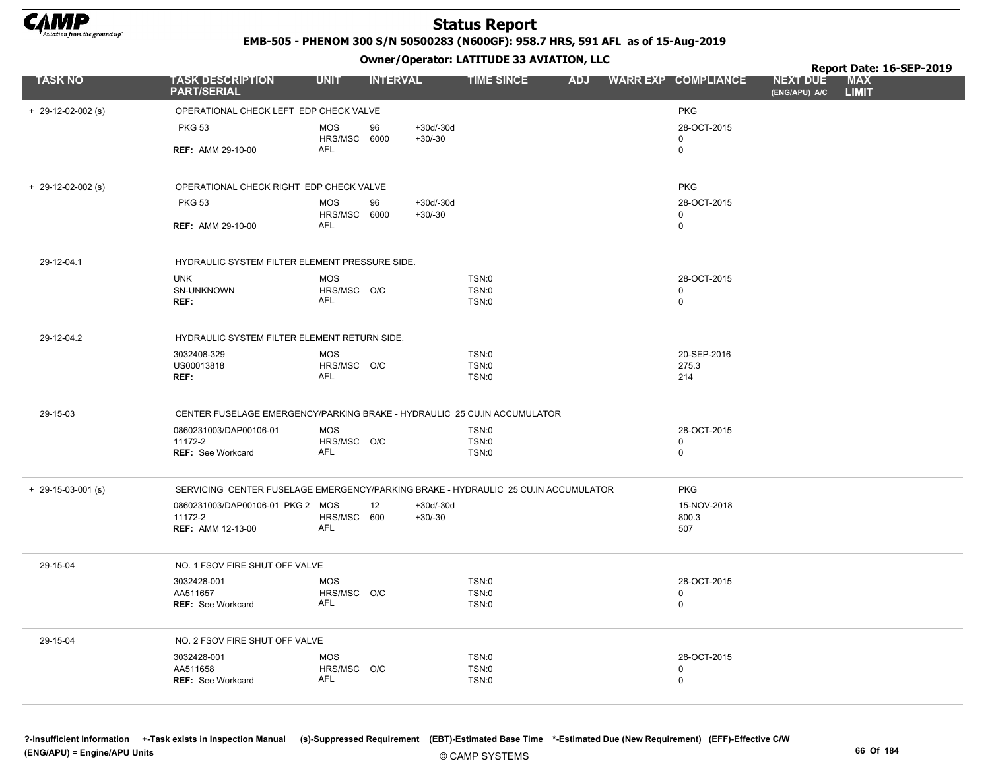

EMB-505 - PHENOM 300 S/N 50500283 (N600GF): 958.7 HRS, 591 AFL as of 15-Aug-2019

|                      |                                                                                    |                            | .               |             |                              |  |                            |                                  | Report Date: 16-SEP-2019   |  |
|----------------------|------------------------------------------------------------------------------------|----------------------------|-----------------|-------------|------------------------------|--|----------------------------|----------------------------------|----------------------------|--|
| <b>TASK NO</b>       | <b>TASK DESCRIPTION</b><br><b>PART/SERIAL</b>                                      | <b>UNIT</b>                | <b>INTERVAL</b> |             | <b>TIME SINCE</b>            |  | ADJ WARR EXP COMPLIANCE    | <b>NEXT DUE</b><br>(ENG/APU) A/C | <b>MAX</b><br><b>LIMIT</b> |  |
| $+$ 29-12-02-002 (s) | OPERATIONAL CHECK LEFT EDP CHECK VALVE                                             |                            |                 |             |                              |  | <b>PKG</b>                 |                                  |                            |  |
|                      | <b>PKG 53</b>                                                                      | <b>MOS</b>                 | 96              | $+30d/-30d$ |                              |  | 28-OCT-2015                |                                  |                            |  |
|                      |                                                                                    | HRS/MSC 6000               |                 | $+30/-30$   |                              |  | 0                          |                                  |                            |  |
|                      | <b>REF: AMM 29-10-00</b>                                                           | AFL                        |                 |             |                              |  | $\mathbf 0$                |                                  |                            |  |
| $+$ 29-12-02-002 (s) | OPERATIONAL CHECK RIGHT EDP CHECK VALVE                                            |                            |                 |             |                              |  | <b>PKG</b>                 |                                  |                            |  |
|                      | <b>PKG 53</b>                                                                      | <b>MOS</b>                 | 96              | $+30d/-30d$ |                              |  | 28-OCT-2015                |                                  |                            |  |
|                      | <b>REF: AMM 29-10-00</b>                                                           | HRS/MSC 6000<br><b>AFL</b> |                 | $+30/-30$   |                              |  | $\mathbf 0$<br>$\mathbf 0$ |                                  |                            |  |
| 29-12-04.1           | HYDRAULIC SYSTEM FILTER ELEMENT PRESSURE SIDE.                                     |                            |                 |             |                              |  |                            |                                  |                            |  |
|                      | <b>UNK</b>                                                                         | <b>MOS</b>                 |                 |             | TSN:0                        |  | 28-OCT-2015                |                                  |                            |  |
|                      | SN-UNKNOWN                                                                         | HRS/MSC O/C                |                 |             | <b>TSN:0</b>                 |  | $\mathbf{0}$               |                                  |                            |  |
|                      | REF:                                                                               | <b>AFL</b>                 |                 |             | <b>TSN:0</b>                 |  | $\mathbf 0$                |                                  |                            |  |
| 29-12-04.2           | HYDRAULIC SYSTEM FILTER ELEMENT RETURN SIDE.                                       |                            |                 |             |                              |  |                            |                                  |                            |  |
|                      | 3032408-329                                                                        | <b>MOS</b>                 |                 |             | TSN:0                        |  | 20-SEP-2016                |                                  |                            |  |
|                      | US00013818<br>REF:                                                                 | HRS/MSC O/C<br><b>AFL</b>  |                 |             | <b>TSN:0</b><br><b>TSN:0</b> |  | 275.3<br>214               |                                  |                            |  |
| 29-15-03             | CENTER FUSELAGE EMERGENCY/PARKING BRAKE - HYDRAULIC 25 CU.IN ACCUMULATOR           |                            |                 |             |                              |  |                            |                                  |                            |  |
|                      | 0860231003/DAP00106-01                                                             | <b>MOS</b>                 |                 |             | <b>TSN:0</b>                 |  | 28-OCT-2015                |                                  |                            |  |
|                      | 11172-2<br><b>REF: See Workcard</b>                                                | HRS/MSC O/C<br><b>AFL</b>  |                 |             | <b>TSN:0</b><br><b>TSN:0</b> |  | 0<br>$\mathbf 0$           |                                  |                            |  |
|                      |                                                                                    |                            |                 |             |                              |  |                            |                                  |                            |  |
| $+$ 29-15-03-001 (s) | SERVICING CENTER FUSELAGE EMERGENCY/PARKING BRAKE - HYDRAULIC 25 CU.IN ACCUMULATOR |                            |                 |             |                              |  | <b>PKG</b>                 |                                  |                            |  |
|                      | 0860231003/DAP00106-01 PKG 2 MOS                                                   |                            | 12              | $+30d/-30d$ |                              |  | 15-NOV-2018                |                                  |                            |  |
|                      | 11172-2<br><b>REF: AMM 12-13-00</b>                                                | HRS/MSC 600<br><b>AFL</b>  |                 | $+30/-30$   |                              |  | 800.3<br>507               |                                  |                            |  |
| 29-15-04             | NO. 1 FSOV FIRE SHUT OFF VALVE                                                     |                            |                 |             |                              |  |                            |                                  |                            |  |
|                      | 3032428-001                                                                        | <b>MOS</b>                 |                 |             | TSN:0                        |  | 28-OCT-2015                |                                  |                            |  |
|                      | AA511657<br><b>REF: See Workcard</b>                                               | HRS/MSC O/C<br><b>AFL</b>  |                 |             | <b>TSN:0</b><br><b>TSN:0</b> |  | $\mathbf 0$<br>$\mathbf 0$ |                                  |                            |  |
|                      |                                                                                    |                            |                 |             |                              |  |                            |                                  |                            |  |
| 29-15-04             | NO. 2 FSOV FIRE SHUT OFF VALVE                                                     |                            |                 |             |                              |  |                            |                                  |                            |  |
|                      | 3032428-001<br>AA511658                                                            | <b>MOS</b><br>HRS/MSC O/C  |                 |             | <b>TSN:0</b><br><b>TSN:0</b> |  | 28-OCT-2015<br>0           |                                  |                            |  |
|                      | <b>REF: See Workcard</b>                                                           | AFL                        |                 |             | <b>TSN:0</b>                 |  | $\mathbf 0$                |                                  |                            |  |
|                      |                                                                                    |                            |                 |             |                              |  |                            |                                  |                            |  |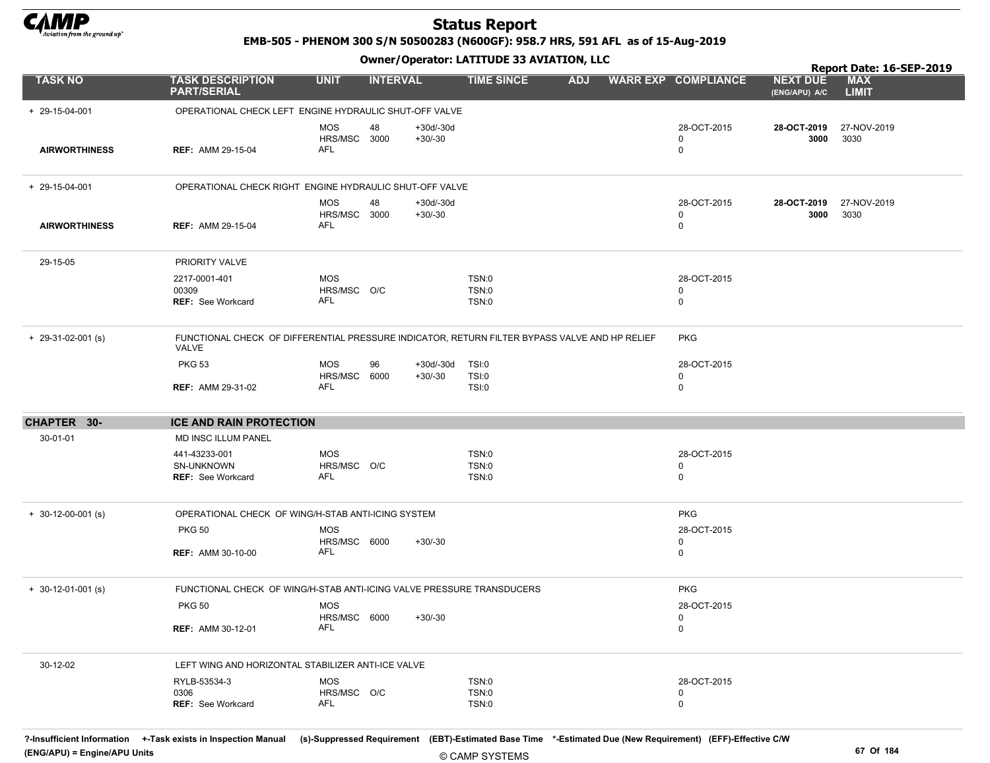

EMB-505 - PHENOM 300 S/N 50500283 (N600GF): 958.7 HRS, 591 AFL as of 15-Aug-2019

Owner/Operator: LATITUDE 33 AVIATION, LLC

|                        |                                                                                                        |                                   |                 |                          | Owner / Operator: EATITODE 33 AVIATION, LLC |            |                             | Report Date: 16-SEP-2019         |                            |  |
|------------------------|--------------------------------------------------------------------------------------------------------|-----------------------------------|-----------------|--------------------------|---------------------------------------------|------------|-----------------------------|----------------------------------|----------------------------|--|
| <b>TASK NO</b>         | <b>TASK DESCRIPTION</b><br><b>PART/SERIAL</b>                                                          | <b>UNIT</b>                       | <b>INTERVAL</b> |                          | <b>TIME SINCE</b>                           | <b>ADJ</b> | <b>WARR EXP COMPLIANCE</b>  | <b>NEXT DUE</b><br>(ENG/APU) A/C | <b>MAX</b><br><b>LIMIT</b> |  |
| $+ 29 - 15 - 04 - 001$ | OPERATIONAL CHECK LEFT ENGINE HYDRAULIC SHUT-OFF VALVE                                                 |                                   |                 |                          |                                             |            |                             |                                  |                            |  |
| <b>AIRWORTHINESS</b>   | <b>REF: AMM 29-15-04</b>                                                                               | <b>MOS</b><br>HRS/MSC 3000<br>AFL | 48              | $+30d/-30d$<br>$+30/-30$ |                                             |            | 28-OCT-2015<br>0<br>0       | 28-OCT-2019<br>3000              | 27-NOV-2019<br>3030        |  |
| $+ 29 - 15 - 04 - 001$ | OPERATIONAL CHECK RIGHT ENGINE HYDRAULIC SHUT-OFF VALVE                                                |                                   |                 |                          |                                             |            |                             |                                  |                            |  |
| <b>AIRWORTHINESS</b>   | <b>REF: AMM 29-15-04</b>                                                                               | <b>MOS</b><br>HRS/MSC 3000<br>AFL | 48              | $+30d/-30d$<br>$+30/-30$ |                                             |            | 28-OCT-2015<br>0<br>0       | 28-OCT-2019<br>3000              | 27-NOV-2019<br>3030        |  |
| 29-15-05               | PRIORITY VALVE                                                                                         |                                   |                 |                          |                                             |            |                             |                                  |                            |  |
|                        | 2217-0001-401<br>00309<br><b>REF: See Workcard</b>                                                     | <b>MOS</b><br>HRS/MSC O/C<br>AFL  |                 |                          | TSN:0<br>TSN:0<br>TSN:0                     |            | 28-OCT-2015<br>0<br>0       |                                  |                            |  |
| $+$ 29-31-02-001 (s)   | FUNCTIONAL CHECK OF DIFFERENTIAL PRESSURE INDICATOR, RETURN FILTER BYPASS VALVE AND HP RELIEF<br>VALVE |                                   |                 |                          |                                             |            | <b>PKG</b>                  |                                  |                            |  |
|                        | <b>PKG 53</b>                                                                                          | <b>MOS</b><br>HRS/MSC             | 96<br>6000      | +30d/-30d<br>$+30/-30$   | TSI:0<br>TSI:0                              |            | 28-OCT-2015<br>0            |                                  |                            |  |
|                        | <b>REF: AMM 29-31-02</b>                                                                               | AFL                               |                 |                          | TSI:0                                       |            | 0                           |                                  |                            |  |
| CHAPTER 30-            | <b>ICE AND RAIN PROTECTION</b>                                                                         |                                   |                 |                          |                                             |            |                             |                                  |                            |  |
| 30-01-01               | MD INSC ILLUM PANEL                                                                                    |                                   |                 |                          |                                             |            |                             |                                  |                            |  |
|                        | 441-43233-001<br>SN-UNKNOWN<br><b>REF: See Workcard</b>                                                | <b>MOS</b><br>HRS/MSC O/C<br>AFL  |                 |                          | TSN:0<br>TSN:0<br>TSN:0                     |            | 28-OCT-2015<br>0<br>0       |                                  |                            |  |
| $+$ 30-12-00-001 (s)   | OPERATIONAL CHECK OF WING/H-STAB ANTI-ICING SYSTEM                                                     |                                   |                 |                          |                                             |            | <b>PKG</b>                  |                                  |                            |  |
|                        | <b>PKG 50</b>                                                                                          | <b>MOS</b><br>HRS/MSC 6000        |                 | $+30/-30$                |                                             |            | 28-OCT-2015<br>0            |                                  |                            |  |
|                        | <b>REF: AMM 30-10-00</b>                                                                               | AFL                               |                 |                          |                                             |            | 0                           |                                  |                            |  |
| $+$ 30-12-01-001 (s)   | FUNCTIONAL CHECK OF WING/H-STAB ANTI-ICING VALVE PRESSURE TRANSDUCERS                                  |                                   |                 |                          |                                             |            | <b>PKG</b>                  |                                  |                            |  |
|                        | <b>PKG 50</b>                                                                                          | <b>MOS</b><br>HRS/MSC 6000        |                 | $+30/-30$                |                                             |            | 28-OCT-2015<br>$\mathbf{0}$ |                                  |                            |  |
|                        | <b>REF: AMM 30-12-01</b>                                                                               | AFL                               |                 |                          |                                             |            | 0                           |                                  |                            |  |
| 30-12-02               | LEFT WING AND HORIZONTAL STABILIZER ANTI-ICE VALVE                                                     |                                   |                 |                          |                                             |            |                             |                                  |                            |  |
|                        | RYLB-53534-3<br>0306                                                                                   | <b>MOS</b><br>HRS/MSC O/C         |                 |                          | TSN:0<br>TSN:0                              |            | 28-OCT-2015<br>0            |                                  |                            |  |
|                        | REF: See Workcard                                                                                      | AFL                               |                 |                          | TSN:0                                       |            | 0                           |                                  |                            |  |

?-Insufficient Information +-Task exists in Inspection Manual (s)-Suppressed Requirement (EBT)-Estimated Base Time \*-Estimated Due (New Requirement) (EFF)-Effective C/W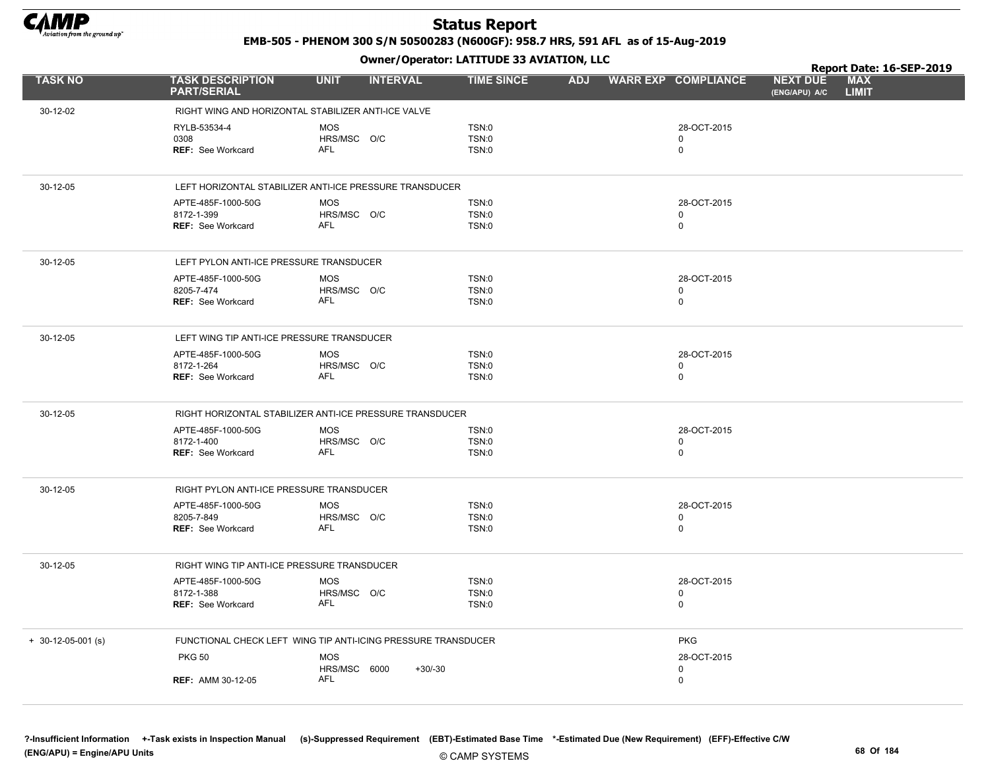

EMB-505 - PHENOM 300 S/N 50500283 (N600GF): 958.7 HRS, 591 AFL as of 15-Aug-2019

|                      |                                               |                                                               |                   |  |                            |                                  | Report Date: 16-SEP-2019   |  |
|----------------------|-----------------------------------------------|---------------------------------------------------------------|-------------------|--|----------------------------|----------------------------------|----------------------------|--|
| <b>TASK NO</b>       | <b>TASK DESCRIPTION</b><br><b>PART/SERIAL</b> | <b>UNIT</b><br><b>INTERVAL</b>                                | <b>TIME SINCE</b> |  | ADJ WARR EXP COMPLIANCE    | <b>NEXT DUE</b><br>(ENG/APU) A/C | <b>MAX</b><br><b>LIMIT</b> |  |
| 30-12-02             |                                               | RIGHT WING AND HORIZONTAL STABILIZER ANTI-ICE VALVE           |                   |  |                            |                                  |                            |  |
|                      | RYLB-53534-4                                  | <b>MOS</b>                                                    | <b>TSN:0</b>      |  | 28-OCT-2015                |                                  |                            |  |
|                      | 0308                                          | HRS/MSC O/C                                                   | <b>TSN:0</b>      |  | $\mathbf 0$                |                                  |                            |  |
|                      | <b>REF: See Workcard</b>                      | AFL                                                           | <b>TSN:0</b>      |  | $\mathbf 0$                |                                  |                            |  |
| 30-12-05             |                                               | LEFT HORIZONTAL STABILIZER ANTI-ICE PRESSURE TRANSDUCER       |                   |  |                            |                                  |                            |  |
|                      | APTE-485F-1000-50G                            | <b>MOS</b>                                                    | <b>TSN:0</b>      |  | 28-OCT-2015                |                                  |                            |  |
|                      | 8172-1-399                                    | HRS/MSC O/C                                                   | <b>TSN:0</b>      |  | 0                          |                                  |                            |  |
|                      | <b>REF: See Workcard</b>                      | AFL                                                           | <b>TSN:0</b>      |  | $\mathbf 0$                |                                  |                            |  |
| 30-12-05             | LEFT PYLON ANTI-ICE PRESSURE TRANSDUCER       |                                                               |                   |  |                            |                                  |                            |  |
|                      | APTE-485F-1000-50G                            | <b>MOS</b>                                                    | <b>TSN:0</b>      |  | 28-OCT-2015                |                                  |                            |  |
|                      | 8205-7-474                                    | HRS/MSC O/C                                                   | <b>TSN:0</b>      |  | $\mathbf 0$                |                                  |                            |  |
|                      | <b>REF: See Workcard</b>                      | AFL                                                           | TSN:0             |  | $\mathbf 0$                |                                  |                            |  |
| 30-12-05             | LEFT WING TIP ANTI-ICE PRESSURE TRANSDUCER    |                                                               |                   |  |                            |                                  |                            |  |
|                      | APTE-485F-1000-50G                            | <b>MOS</b>                                                    | <b>TSN:0</b>      |  | 28-OCT-2015                |                                  |                            |  |
|                      | 8172-1-264                                    | HRS/MSC O/C                                                   | <b>TSN:0</b>      |  | 0                          |                                  |                            |  |
|                      | REF: See Workcard                             | <b>AFL</b>                                                    | <b>TSN:0</b>      |  | $\mathbf 0$                |                                  |                            |  |
| 30-12-05             |                                               | RIGHT HORIZONTAL STABILIZER ANTI-ICE PRESSURE TRANSDUCER      |                   |  |                            |                                  |                            |  |
|                      | APTE-485F-1000-50G                            | <b>MOS</b>                                                    | <b>TSN:0</b>      |  | 28-OCT-2015                |                                  |                            |  |
|                      | 8172-1-400                                    | HRS/MSC O/C                                                   | TSN:0             |  | $\mathbf 0$                |                                  |                            |  |
|                      | <b>REF: See Workcard</b>                      | AFL                                                           | <b>TSN:0</b>      |  | $\mathbf 0$                |                                  |                            |  |
| 30-12-05             | RIGHT PYLON ANTI-ICE PRESSURE TRANSDUCER      |                                                               |                   |  |                            |                                  |                            |  |
|                      | APTE-485F-1000-50G                            | <b>MOS</b>                                                    | <b>TSN:0</b>      |  | 28-OCT-2015                |                                  |                            |  |
|                      | 8205-7-849                                    | HRS/MSC O/C<br><b>AFL</b>                                     | <b>TSN:0</b>      |  | $\mathbf 0$<br>$\mathbf 0$ |                                  |                            |  |
|                      | REF: See Workcard                             |                                                               | <b>TSN:0</b>      |  |                            |                                  |                            |  |
| 30-12-05             | RIGHT WING TIP ANTI-ICE PRESSURE TRANSDUCER   |                                                               |                   |  |                            |                                  |                            |  |
|                      | APTE-485F-1000-50G                            | <b>MOS</b>                                                    | <b>TSN:0</b>      |  | 28-OCT-2015                |                                  |                            |  |
|                      | 8172-1-388                                    | HRS/MSC O/C<br><b>AFL</b>                                     | <b>TSN:0</b>      |  | 0                          |                                  |                            |  |
|                      | <b>REF: See Workcard</b>                      |                                                               | <b>TSN:0</b>      |  | $\mathbf 0$                |                                  |                            |  |
| $+$ 30-12-05-001 (s) |                                               | FUNCTIONAL CHECK LEFT WING TIP ANTI-ICING PRESSURE TRANSDUCER |                   |  | <b>PKG</b>                 |                                  |                            |  |
|                      | <b>PKG 50</b>                                 | <b>MOS</b>                                                    |                   |  | 28-OCT-2015                |                                  |                            |  |
|                      |                                               | HRS/MSC 6000<br>$+30/-30$<br><b>AFL</b>                       |                   |  | 0                          |                                  |                            |  |
|                      | <b>REF: AMM 30-12-05</b>                      |                                                               |                   |  | $\mathbf 0$                |                                  |                            |  |
|                      |                                               |                                                               |                   |  |                            |                                  |                            |  |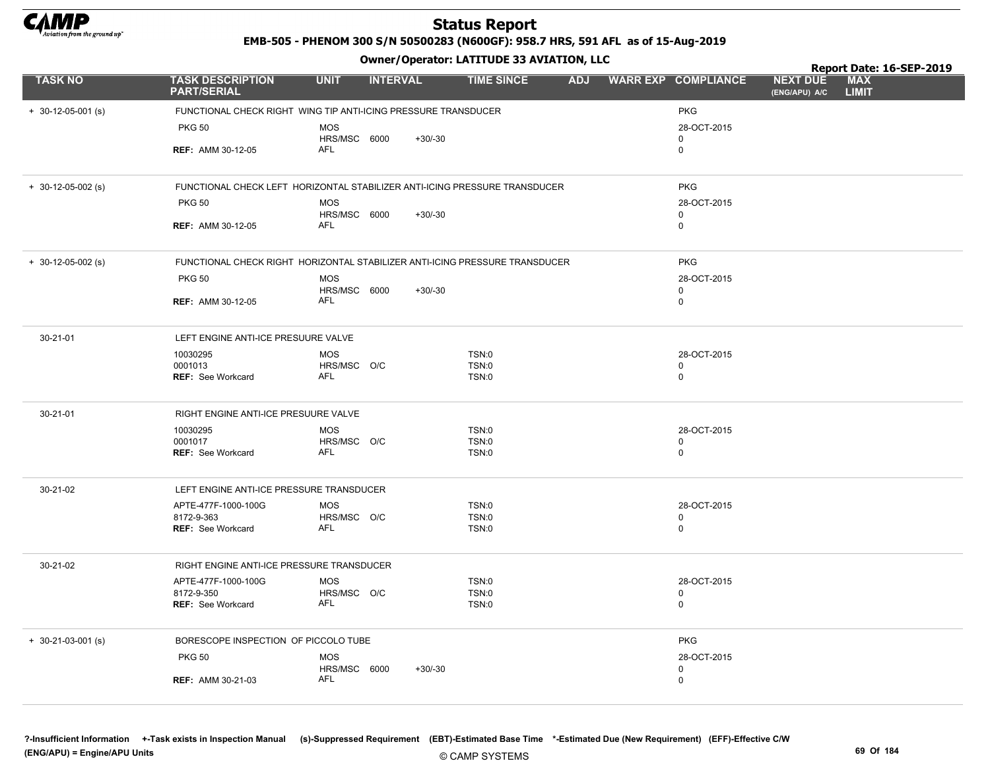

EMB-505 - PHENOM 300 S/N 50500283 (N600GF): 958.7 HRS, 591 AFL as of 15-Aug-2019

Owner/Operator: LATITUDE 33 AVIATION, LLC

|                      |                                                                |                                |                                                                             |                            | Report Date: 16-SEP-2019                                       |
|----------------------|----------------------------------------------------------------|--------------------------------|-----------------------------------------------------------------------------|----------------------------|----------------------------------------------------------------|
| <b>TASK NO</b>       | <b>TASK DESCRIPTION</b><br><b>PART/SERIAL</b>                  | <b>UNIT</b><br><b>INTERVAL</b> | <b>TIME SINCE</b>                                                           | ADJ WARR EXP COMPLIANCE    | <b>MAX</b><br><b>NEXT DUE</b><br><b>LIMIT</b><br>(ENG/APU) A/C |
| $+ 30-12-05-001$ (s) | FUNCTIONAL CHECK RIGHT WING TIP ANTI-ICING PRESSURE TRANSDUCER |                                |                                                                             | <b>PKG</b>                 |                                                                |
|                      | <b>PKG 50</b>                                                  | <b>MOS</b>                     |                                                                             | 28-OCT-2015                |                                                                |
|                      |                                                                | HRS/MSC 6000                   | $+30/-30$                                                                   | 0                          |                                                                |
|                      | <b>REF: AMM 30-12-05</b>                                       | AFL                            |                                                                             | 0                          |                                                                |
| $+$ 30-12-05-002 (s) |                                                                |                                | FUNCTIONAL CHECK LEFT HORIZONTAL STABILIZER ANTI-ICING PRESSURE TRANSDUCER  | <b>PKG</b>                 |                                                                |
|                      | <b>PKG 50</b>                                                  | <b>MOS</b>                     |                                                                             | 28-OCT-2015                |                                                                |
|                      | <b>REF: AMM 30-12-05</b>                                       | HRS/MSC 6000<br>AFL            | $+30/-30$                                                                   | $\mathbf 0$<br>$\mathbf 0$ |                                                                |
|                      |                                                                |                                |                                                                             |                            |                                                                |
| $+$ 30-12-05-002 (s) |                                                                |                                | FUNCTIONAL CHECK RIGHT HORIZONTAL STABILIZER ANTI-ICING PRESSURE TRANSDUCER | <b>PKG</b>                 |                                                                |
|                      | <b>PKG 50</b>                                                  | <b>MOS</b>                     |                                                                             | 28-OCT-2015                |                                                                |
|                      | <b>REF: AMM 30-12-05</b>                                       | HRS/MSC 6000<br>AFL            | $+30/-30$                                                                   | 0<br>0                     |                                                                |
|                      |                                                                |                                |                                                                             |                            |                                                                |
| 30-21-01             | LEFT ENGINE ANTI-ICE PRESUURE VALVE                            |                                |                                                                             |                            |                                                                |
|                      | 10030295                                                       | <b>MOS</b>                     | <b>TSN:0</b>                                                                | 28-OCT-2015                |                                                                |
|                      | 0001013<br><b>REF: See Workcard</b>                            | HRS/MSC O/C<br><b>AFL</b>      | <b>TSN:0</b><br>TSN:0                                                       | $\mathbf 0$<br>$\mathbf 0$ |                                                                |
|                      |                                                                |                                |                                                                             |                            |                                                                |
| 30-21-01             | RIGHT ENGINE ANTI-ICE PRESUURE VALVE                           |                                |                                                                             |                            |                                                                |
|                      | 10030295                                                       | <b>MOS</b>                     | TSN:0                                                                       | 28-OCT-2015                |                                                                |
|                      | 0001017                                                        | HRS/MSC O/C                    | <b>TSN:0</b>                                                                | 0                          |                                                                |
|                      | REF: See Workcard                                              | AFL                            | <b>TSN:0</b>                                                                | 0                          |                                                                |
| 30-21-02             | LEFT ENGINE ANTI-ICE PRESSURE TRANSDUCER                       |                                |                                                                             |                            |                                                                |
|                      | APTE-477F-1000-100G                                            | <b>MOS</b>                     | TSN:0                                                                       | 28-OCT-2015                |                                                                |
|                      | 8172-9-363<br><b>REF: See Workcard</b>                         | HRS/MSC O/C<br><b>AFL</b>      | TSN:0<br><b>TSN:0</b>                                                       | $\mathbf 0$<br>$\mathbf 0$ |                                                                |
|                      |                                                                |                                |                                                                             |                            |                                                                |
| 30-21-02             | RIGHT ENGINE ANTI-ICE PRESSURE TRANSDUCER                      |                                |                                                                             |                            |                                                                |
|                      | APTE-477F-1000-100G                                            | <b>MOS</b>                     | <b>TSN:0</b>                                                                | 28-OCT-2015                |                                                                |
|                      | 8172-9-350<br>REF: See Workcard                                | HRS/MSC O/C<br>AFL             | <b>TSN:0</b><br>TSN:0                                                       | 0<br>0                     |                                                                |
|                      |                                                                |                                |                                                                             |                            |                                                                |
| $+$ 30-21-03-001 (s) | BORESCOPE INSPECTION OF PICCOLO TUBE                           |                                |                                                                             | <b>PKG</b>                 |                                                                |
|                      | <b>PKG 50</b>                                                  | <b>MOS</b>                     |                                                                             | 28-OCT-2015                |                                                                |
|                      |                                                                | HRS/MSC 6000<br><b>AFL</b>     | $+30/-30$                                                                   | 0                          |                                                                |
|                      | <b>REF: AMM 30-21-03</b>                                       |                                |                                                                             | $\mathbf 0$                |                                                                |
|                      |                                                                |                                |                                                                             |                            |                                                                |

?-Insufficient Information +-Task exists in Inspection Manual (s)-Suppressed Requirement (EBT)-Estimated Base Time \*-Estimated Due (New Requirement) (EFF)-Effective C/W (ENG/APU) = Engine/APU Units 69 Of 184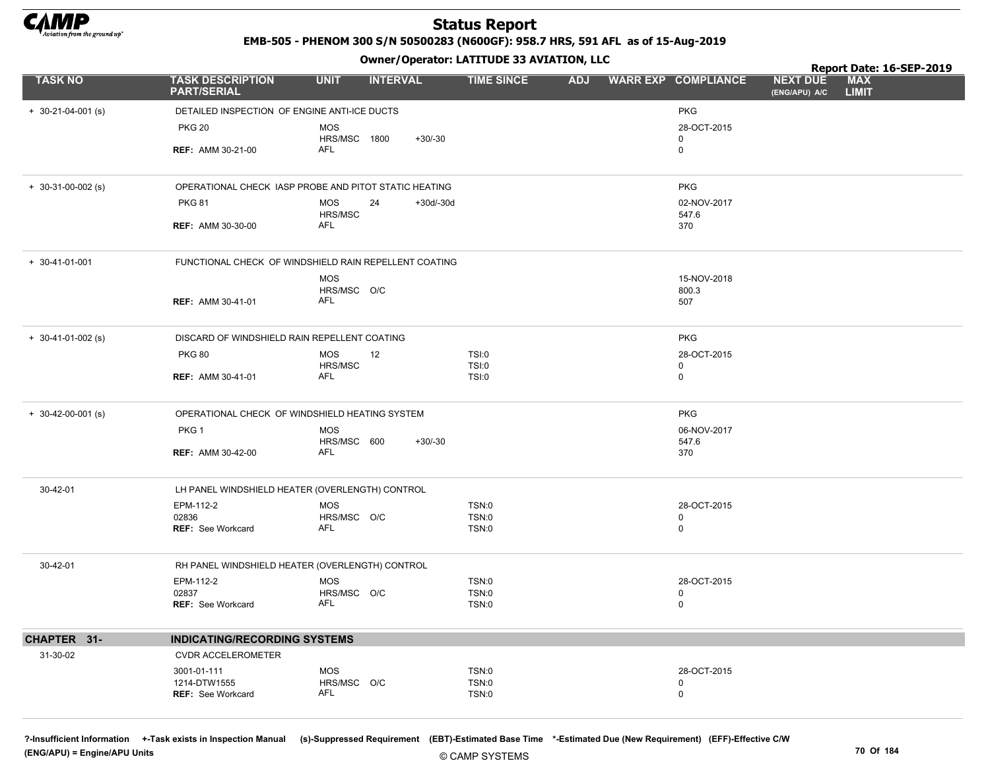

EMB-505 - PHENOM 300 S/N 50500283 (N600GF): 958.7 HRS, 591 AFL as of 15-Aug-2019

Owner/Operator: LATITUDE 33 AVIATION, LLC

|                            |                                                       |                           | .               |             |                       |  |                         |                                  | Report Date: 16-SEP-2019   |  |
|----------------------------|-------------------------------------------------------|---------------------------|-----------------|-------------|-----------------------|--|-------------------------|----------------------------------|----------------------------|--|
| <b>TASK NO</b>             | <b>TASK DESCRIPTION</b><br><b>PART/SERIAL</b>         | <b>UNIT</b>               | <b>INTERVAL</b> |             | <b>TIME SINCE</b>     |  | ADJ WARR EXP COMPLIANCE | <b>NEXT DUE</b><br>(ENG/APU) A/C | <b>MAX</b><br><b>LIMIT</b> |  |
| $+ 30 - 21 - 04 - 001$ (s) | DETAILED INSPECTION OF ENGINE ANTI-ICE DUCTS          |                           |                 |             |                       |  | <b>PKG</b>              |                                  |                            |  |
|                            | <b>PKG 20</b>                                         | <b>MOS</b>                |                 |             |                       |  | 28-OCT-2015             |                                  |                            |  |
|                            |                                                       | HRS/MSC 1800              |                 | $+30/-30$   |                       |  | $\mathbf 0$             |                                  |                            |  |
|                            | <b>REF: AMM 30-21-00</b>                              | AFL                       |                 |             |                       |  | $\mathbf 0$             |                                  |                            |  |
| $+ 30-31-00-002$ (s)       | OPERATIONAL CHECK IASP PROBE AND PITOT STATIC HEATING |                           |                 |             |                       |  | <b>PKG</b>              |                                  |                            |  |
|                            | <b>PKG 81</b>                                         | MOS                       | 24              | $+30d/-30d$ |                       |  | 02-NOV-2017             |                                  |                            |  |
|                            |                                                       | HRS/MSC                   |                 |             |                       |  | 547.6                   |                                  |                            |  |
|                            | <b>REF: AMM 30-30-00</b>                              | <b>AFL</b>                |                 |             |                       |  | 370                     |                                  |                            |  |
| $+ 30 - 41 - 01 - 001$     | FUNCTIONAL CHECK OF WINDSHIELD RAIN REPELLENT COATING |                           |                 |             |                       |  |                         |                                  |                            |  |
|                            |                                                       | <b>MOS</b>                |                 |             |                       |  | 15-NOV-2018             |                                  |                            |  |
|                            |                                                       | HRS/MSC O/C<br><b>AFL</b> |                 |             |                       |  | 800.3                   |                                  |                            |  |
|                            | <b>REF: AMM 30-41-01</b>                              |                           |                 |             |                       |  | 507                     |                                  |                            |  |
| $+ 30-41-01-002$ (s)       | DISCARD OF WINDSHIELD RAIN REPELLENT COATING          |                           |                 |             |                       |  | <b>PKG</b>              |                                  |                            |  |
|                            | <b>PKG 80</b>                                         | <b>MOS</b>                | 12              |             | TSI:0                 |  | 28-OCT-2015             |                                  |                            |  |
|                            | <b>REF: AMM 30-41-01</b>                              | HRS/MSC<br>AFL            |                 |             | TSI:0<br>TSI:0        |  | 0<br>$\mathbf 0$        |                                  |                            |  |
|                            |                                                       |                           |                 |             |                       |  |                         |                                  |                            |  |
| $+$ 30-42-00-001 (s)       | OPERATIONAL CHECK OF WINDSHIELD HEATING SYSTEM        |                           |                 |             |                       |  | <b>PKG</b>              |                                  |                            |  |
|                            | PKG 1                                                 | <b>MOS</b>                |                 |             |                       |  | 06-NOV-2017             |                                  |                            |  |
|                            | <b>REF: AMM 30-42-00</b>                              | HRS/MSC 600<br><b>AFL</b> |                 | $+30/-30$   |                       |  | 547.6<br>370            |                                  |                            |  |
|                            |                                                       |                           |                 |             |                       |  |                         |                                  |                            |  |
| 30-42-01                   | LH PANEL WINDSHIELD HEATER (OVERLENGTH) CONTROL       |                           |                 |             |                       |  |                         |                                  |                            |  |
|                            | EPM-112-2                                             | <b>MOS</b>                |                 |             | TSN:0                 |  | 28-OCT-2015             |                                  |                            |  |
|                            | 02836<br><b>REF:</b> See Workcard                     | HRS/MSC O/C<br><b>AFL</b> |                 |             | <b>TSN:0</b><br>TSN:0 |  | $\mathbf 0$<br>0        |                                  |                            |  |
|                            |                                                       |                           |                 |             |                       |  |                         |                                  |                            |  |
| 30-42-01                   | RH PANEL WINDSHIELD HEATER (OVERLENGTH) CONTROL       |                           |                 |             |                       |  |                         |                                  |                            |  |
|                            | EPM-112-2                                             | <b>MOS</b>                |                 |             | TSN:0                 |  | 28-OCT-2015             |                                  |                            |  |
|                            | 02837<br><b>REF: See Workcard</b>                     | HRS/MSC O/C<br>AFL        |                 |             | <b>TSN:0</b><br>TSN:0 |  | 0<br>0                  |                                  |                            |  |
|                            |                                                       |                           |                 |             |                       |  |                         |                                  |                            |  |
| CHAPTER 31-                | <b>INDICATING/RECORDING SYSTEMS</b>                   |                           |                 |             |                       |  |                         |                                  |                            |  |
| 31-30-02                   | CVDR ACCELEROMETER                                    |                           |                 |             |                       |  |                         |                                  |                            |  |
|                            | 3001-01-111                                           | <b>MOS</b>                |                 |             | <b>TSN:0</b>          |  | 28-OCT-2015             |                                  |                            |  |
|                            | 1214-DTW1555                                          | HRS/MSC O/C               |                 |             | <b>TSN:0</b>          |  | 0                       |                                  |                            |  |
|                            | <b>REF: See Workcard</b>                              | <b>AFL</b>                |                 |             | TSN:0                 |  | $\mathbf 0$             |                                  |                            |  |
|                            |                                                       |                           |                 |             |                       |  |                         |                                  |                            |  |

?-Insufficient Information +-Task exists in Inspection Manual (s)-Suppressed Requirement (EBT)-Estimated Base Time \*-Estimated Due (New Requirement) (EFF)-Effective C/W (ENG/APU) = Engine/APU Units 70 Of 184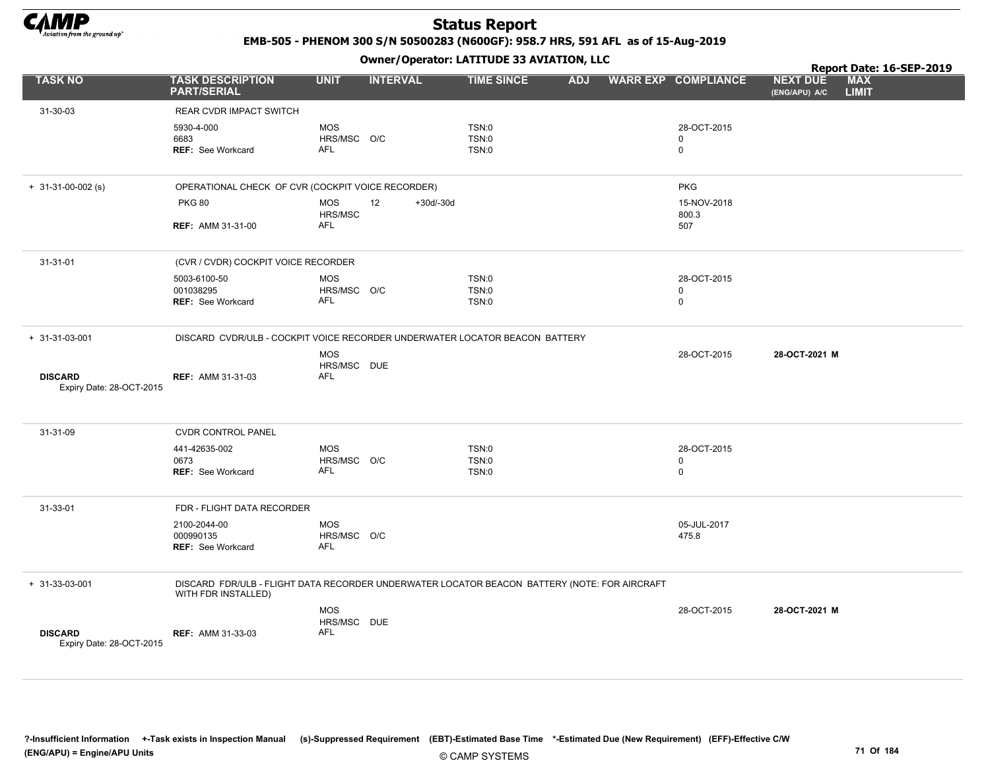

EMB-505 - PHENOM 300 S/N 50500283 (N600GF): 958.7 HRS, 591 AFL as of 15-Aug-2019

|                                            |                                                                                                                     |                           |                   | Owner / Operator. EATITODE 33 AVIATION, LLC |                            | Report Date: 16-SEP-2019         |                            |  |  |
|--------------------------------------------|---------------------------------------------------------------------------------------------------------------------|---------------------------|-------------------|---------------------------------------------|----------------------------|----------------------------------|----------------------------|--|--|
| <b>TASK NO</b>                             | <b>TASK DESCRIPTION</b><br><b>PART/SERIAL</b>                                                                       | <b>UNIT</b>               | <b>INTERVAL</b>   | <b>TIME SINCE</b><br><b>ADJ</b>             | <b>WARR EXP COMPLIANCE</b> | <b>NEXT DUE</b><br>(ENG/APU) A/C | <b>MAX</b><br><b>LIMIT</b> |  |  |
| 31-30-03                                   | REAR CVDR IMPACT SWITCH                                                                                             |                           |                   |                                             |                            |                                  |                            |  |  |
|                                            | 5930-4-000                                                                                                          | <b>MOS</b>                |                   | <b>TSN:0</b>                                | 28-OCT-2015                |                                  |                            |  |  |
|                                            | 6683                                                                                                                | HRS/MSC O/C<br><b>AFL</b> |                   | TSN:0                                       | 0                          |                                  |                            |  |  |
|                                            | REF: See Workcard                                                                                                   |                           |                   | TSN:0                                       | $\mathbf 0$                |                                  |                            |  |  |
| $+ 31-31-00-002$ (s)                       | OPERATIONAL CHECK OF CVR (COCKPIT VOICE RECORDER)                                                                   |                           |                   |                                             | <b>PKG</b>                 |                                  |                            |  |  |
|                                            | <b>PKG 80</b>                                                                                                       | <b>MOS</b><br>HRS/MSC     | 12<br>$+30d/-30d$ |                                             | 15-NOV-2018<br>800.3       |                                  |                            |  |  |
|                                            | <b>REF: AMM 31-31-00</b>                                                                                            | <b>AFL</b>                |                   |                                             | 507                        |                                  |                            |  |  |
| 31-31-01                                   | (CVR / CVDR) COCKPIT VOICE RECORDER                                                                                 |                           |                   |                                             |                            |                                  |                            |  |  |
|                                            | 5003-6100-50                                                                                                        | <b>MOS</b>                |                   | <b>TSN:0</b>                                | 28-OCT-2015                |                                  |                            |  |  |
|                                            | 001038295<br><b>REF: See Workcard</b>                                                                               | HRS/MSC O/C<br><b>AFL</b> |                   | TSN:0<br><b>TSN:0</b>                       | 0<br>$\mathbf 0$           |                                  |                            |  |  |
|                                            |                                                                                                                     |                           |                   |                                             |                            |                                  |                            |  |  |
| $+ 31 - 31 - 03 - 001$                     | DISCARD CVDR/ULB - COCKPIT VOICE RECORDER UNDERWATER LOCATOR BEACON BATTERY                                         |                           |                   |                                             |                            |                                  |                            |  |  |
|                                            |                                                                                                                     | <b>MOS</b><br>HRS/MSC DUE |                   |                                             | 28-OCT-2015                | 28-OCT-2021 M                    |                            |  |  |
| <b>DISCARD</b><br>Expiry Date: 28-OCT-2015 | <b>REF: AMM 31-31-03</b>                                                                                            | <b>AFL</b>                |                   |                                             |                            |                                  |                            |  |  |
|                                            |                                                                                                                     |                           |                   |                                             |                            |                                  |                            |  |  |
| 31-31-09                                   | <b>CVDR CONTROL PANEL</b>                                                                                           |                           |                   |                                             |                            |                                  |                            |  |  |
|                                            | 441-42635-002<br>0673                                                                                               | <b>MOS</b><br>HRS/MSC O/C |                   | TSN:0<br>TSN:0                              | 28-OCT-2015<br>0           |                                  |                            |  |  |
|                                            | <b>REF: See Workcard</b>                                                                                            | <b>AFL</b>                |                   | TSN:0                                       | $\mathbf 0$                |                                  |                            |  |  |
|                                            |                                                                                                                     |                           |                   |                                             |                            |                                  |                            |  |  |
| 31-33-01                                   | FDR - FLIGHT DATA RECORDER                                                                                          |                           |                   |                                             |                            |                                  |                            |  |  |
|                                            | 2100-2044-00<br>000990135                                                                                           | <b>MOS</b><br>HRS/MSC O/C |                   |                                             | 05-JUL-2017<br>475.8       |                                  |                            |  |  |
|                                            | REF: See Workcard                                                                                                   | AFL                       |                   |                                             |                            |                                  |                            |  |  |
|                                            |                                                                                                                     |                           |                   |                                             |                            |                                  |                            |  |  |
| + 31-33-03-001                             | DISCARD FDR/ULB - FLIGHT DATA RECORDER UNDERWATER LOCATOR BEACON BATTERY (NOTE: FOR AIRCRAFT<br>WITH FDR INSTALLED) |                           |                   |                                             |                            |                                  |                            |  |  |
|                                            |                                                                                                                     | <b>MOS</b>                |                   |                                             | 28-OCT-2015                | 28-OCT-2021 M                    |                            |  |  |
|                                            |                                                                                                                     | HRS/MSC DUE               |                   |                                             |                            |                                  |                            |  |  |
| <b>DISCARD</b><br>Expiry Date: 28-OCT-2015 | <b>REF: AMM 31-33-03</b>                                                                                            | <b>AFL</b>                |                   |                                             |                            |                                  |                            |  |  |
|                                            |                                                                                                                     |                           |                   |                                             |                            |                                  |                            |  |  |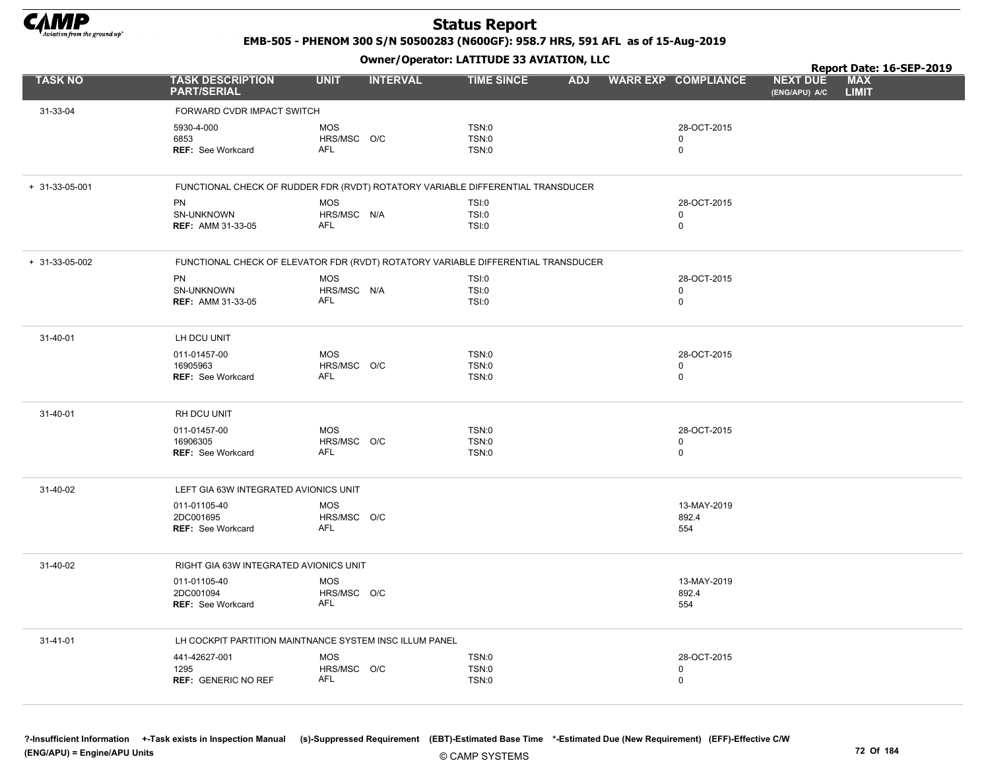

EMB-505 - PHENOM 300 S/N 50500283 (N600GF): 958.7 HRS, 591 AFL as of 15-Aug-2019

|                        |                                                                                   |                           | .               |                   |  |                         |                                  | Report Date: 16-SEP-2019   |  |
|------------------------|-----------------------------------------------------------------------------------|---------------------------|-----------------|-------------------|--|-------------------------|----------------------------------|----------------------------|--|
| <b>TASK NO</b>         | <b>TASK DESCRIPTION</b><br><b>PART/SERIAL</b>                                     | <b>UNIT</b>               | <b>INTERVAL</b> | <b>TIME SINCE</b> |  | ADJ WARR EXP COMPLIANCE | <b>NEXT DUE</b><br>(ENG/APU) A/C | <b>MAX</b><br><b>LIMIT</b> |  |
| 31-33-04               | FORWARD CVDR IMPACT SWITCH                                                        |                           |                 |                   |  |                         |                                  |                            |  |
|                        | 5930-4-000                                                                        | <b>MOS</b>                |                 | TSN:0             |  | 28-OCT-2015             |                                  |                            |  |
|                        | 6853                                                                              | HRS/MSC O/C               |                 | TSN:0             |  | $\mathbf 0$             |                                  |                            |  |
|                        | <b>REF: See Workcard</b>                                                          | <b>AFL</b>                |                 | <b>TSN:0</b>      |  | $\mathbf 0$             |                                  |                            |  |
| $+ 31 - 33 - 05 - 001$ | FUNCTIONAL CHECK OF RUDDER FDR (RVDT) ROTATORY VARIABLE DIFFERENTIAL TRANSDUCER   |                           |                 |                   |  |                         |                                  |                            |  |
|                        | PN                                                                                | MOS                       |                 | TSI:0             |  | 28-OCT-2015             |                                  |                            |  |
|                        | SN-UNKNOWN                                                                        | HRS/MSC N/A               |                 | <b>TSI:0</b>      |  | 0                       |                                  |                            |  |
|                        | REF: AMM 31-33-05                                                                 | <b>AFL</b>                |                 | TSI:0             |  | 0                       |                                  |                            |  |
| $+ 31-33-05-002$       | FUNCTIONAL CHECK OF ELEVATOR FDR (RVDT) ROTATORY VARIABLE DIFFERENTIAL TRANSDUCER |                           |                 |                   |  |                         |                                  |                            |  |
|                        | PN                                                                                | <b>MOS</b>                |                 | TSI:0             |  | 28-OCT-2015             |                                  |                            |  |
|                        | SN-UNKNOWN                                                                        | HRS/MSC N/A               |                 | TSI:0             |  | 0                       |                                  |                            |  |
|                        | <b>REF: AMM 31-33-05</b>                                                          | AFL                       |                 | TSI:0             |  | 0                       |                                  |                            |  |
| 31-40-01               | LH DCU UNIT                                                                       |                           |                 |                   |  |                         |                                  |                            |  |
|                        | 011-01457-00                                                                      | <b>MOS</b>                |                 | TSN:0             |  | 28-OCT-2015             |                                  |                            |  |
|                        | 16905963                                                                          | HRS/MSC O/C               |                 | TSN:0             |  | $\mathbf 0$             |                                  |                            |  |
|                        | <b>REF: See Workcard</b>                                                          | <b>AFL</b>                |                 | TSN:0             |  | $\mathbf 0$             |                                  |                            |  |
| 31-40-01               | RH DCU UNIT                                                                       |                           |                 |                   |  |                         |                                  |                            |  |
|                        | 011-01457-00                                                                      | <b>MOS</b>                |                 | TSN:0             |  | 28-OCT-2015             |                                  |                            |  |
|                        | 16906305                                                                          | HRS/MSC O/C               |                 | TSN:0             |  | 0                       |                                  |                            |  |
|                        | <b>REF: See Workcard</b>                                                          | <b>AFL</b>                |                 | TSN:0             |  | $\mathbf 0$             |                                  |                            |  |
| 31-40-02               | LEFT GIA 63W INTEGRATED AVIONICS UNIT                                             |                           |                 |                   |  |                         |                                  |                            |  |
|                        | 011-01105-40                                                                      | <b>MOS</b>                |                 |                   |  | 13-MAY-2019             |                                  |                            |  |
|                        | 2DC001695                                                                         | HRS/MSC O/C<br><b>AFL</b> |                 |                   |  | 892.4                   |                                  |                            |  |
|                        | <b>REF: See Workcard</b>                                                          |                           |                 |                   |  | 554                     |                                  |                            |  |
| 31-40-02               | RIGHT GIA 63W INTEGRATED AVIONICS UNIT                                            |                           |                 |                   |  |                         |                                  |                            |  |
|                        | 011-01105-40                                                                      | <b>MOS</b>                |                 |                   |  | 13-MAY-2019             |                                  |                            |  |
|                        | 2DC001094                                                                         | HRS/MSC O/C<br>AFL        |                 |                   |  | 892.4                   |                                  |                            |  |
|                        | REF: See Workcard                                                                 |                           |                 |                   |  | 554                     |                                  |                            |  |
| 31-41-01               | LH COCKPIT PARTITION MAINTNANCE SYSTEM INSC ILLUM PANEL                           |                           |                 |                   |  |                         |                                  |                            |  |
|                        | 441-42627-001                                                                     | MOS                       |                 | TSN:0             |  | 28-OCT-2015             |                                  |                            |  |
|                        | 1295                                                                              | HRS/MSC O/C               |                 | TSN:0             |  | 0                       |                                  |                            |  |
|                        | <b>REF: GENERIC NO REF</b>                                                        | <b>AFL</b>                |                 | TSN:0             |  | 0                       |                                  |                            |  |
|                        |                                                                                   |                           |                 |                   |  |                         |                                  |                            |  |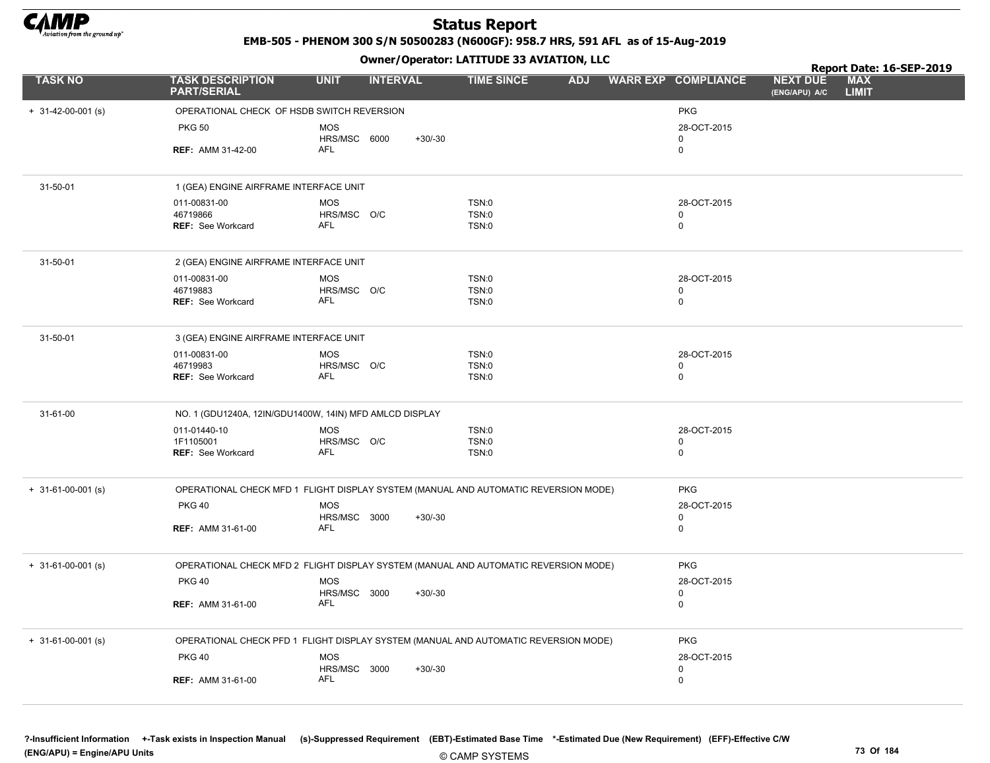

EMB-505 - PHENOM 300 S/N 50500283 (N600GF): 958.7 HRS, 591 AFL as of 15-Aug-2019

|                            |                                                         |                                | Owner / Operator: LATITUDE 33 AVIATION, LLC                                         |            | Report Date: 16-SEP-2019 |                            |                                  |                            |  |
|----------------------------|---------------------------------------------------------|--------------------------------|-------------------------------------------------------------------------------------|------------|--------------------------|----------------------------|----------------------------------|----------------------------|--|
| <b>TASK NO</b>             | <b>TASK DESCRIPTION</b><br><b>PART/SERIAL</b>           | <b>UNIT</b><br><b>INTERVAL</b> | <b>TIME SINCE</b>                                                                   | <b>ADJ</b> |                          | <b>WARR EXP COMPLIANCE</b> | <b>NEXT DUE</b><br>(ENG/APU) A/C | <b>MAX</b><br><b>LIMIT</b> |  |
| $+$ 31-42-00-001 (s)       | OPERATIONAL CHECK OF HSDB SWITCH REVERSION              |                                |                                                                                     |            |                          | <b>PKG</b>                 |                                  |                            |  |
|                            | <b>PKG 50</b>                                           | <b>MOS</b><br>HRS/MSC 6000     | $+30/-30$                                                                           |            |                          | 28-OCT-2015<br>0           |                                  |                            |  |
|                            | <b>REF: AMM 31-42-00</b>                                | <b>AFL</b>                     |                                                                                     |            |                          | 0                          |                                  |                            |  |
| 31-50-01                   | 1 (GEA) ENGINE AIRFRAME INTERFACE UNIT                  |                                |                                                                                     |            |                          |                            |                                  |                            |  |
|                            | 011-00831-00                                            | <b>MOS</b>                     | TSN:0                                                                               |            |                          | 28-OCT-2015                |                                  |                            |  |
|                            | 46719866                                                | HRS/MSC O/C                    | <b>TSN:0</b>                                                                        |            |                          | 0                          |                                  |                            |  |
|                            | <b>REF: See Workcard</b>                                | AFL                            | TSN:0                                                                               |            |                          | $\mathbf 0$                |                                  |                            |  |
| 31-50-01                   | 2 (GEA) ENGINE AIRFRAME INTERFACE UNIT                  |                                |                                                                                     |            |                          |                            |                                  |                            |  |
|                            | 011-00831-00                                            | <b>MOS</b>                     | TSN:0                                                                               |            |                          | 28-OCT-2015                |                                  |                            |  |
|                            | 46719883                                                | HRS/MSC O/C                    | <b>TSN:0</b>                                                                        |            |                          | 0                          |                                  |                            |  |
|                            | <b>REF: See Workcard</b>                                | AFL                            | TSN:0                                                                               |            |                          | 0                          |                                  |                            |  |
| 31-50-01                   | 3 (GEA) ENGINE AIRFRAME INTERFACE UNIT                  |                                |                                                                                     |            |                          |                            |                                  |                            |  |
|                            | 011-00831-00                                            | <b>MOS</b>                     | TSN:0                                                                               |            |                          | 28-OCT-2015                |                                  |                            |  |
|                            | 46719983                                                | HRS/MSC O/C                    | TSN:0                                                                               |            |                          | 0                          |                                  |                            |  |
|                            | <b>REF: See Workcard</b>                                | <b>AFL</b>                     | TSN:0                                                                               |            |                          | $\mathbf 0$                |                                  |                            |  |
| 31-61-00                   | NO. 1 (GDU1240A, 12IN/GDU1400W, 14IN) MFD AMLCD DISPLAY |                                |                                                                                     |            |                          |                            |                                  |                            |  |
|                            | 011-01440-10                                            | <b>MOS</b>                     | TSN:0                                                                               |            |                          | 28-OCT-2015                |                                  |                            |  |
|                            | 1F1105001                                               | HRS/MSC O/C                    | TSN:0                                                                               |            |                          | $\mathbf 0$                |                                  |                            |  |
|                            | <b>REF:</b> See Workcard                                | AFL                            | TSN:0                                                                               |            |                          | $\mathbf 0$                |                                  |                            |  |
| $+ 31-61-00-001$ (s)       |                                                         |                                | OPERATIONAL CHECK MFD 1 FLIGHT DISPLAY SYSTEM (MANUAL AND AUTOMATIC REVERSION MODE) |            |                          | <b>PKG</b>                 |                                  |                            |  |
|                            | <b>PKG 40</b>                                           | <b>MOS</b>                     |                                                                                     |            |                          | 28-OCT-2015                |                                  |                            |  |
|                            |                                                         | HRS/MSC 3000                   | $+30/-30$                                                                           |            |                          | $\mathbf 0$                |                                  |                            |  |
|                            | <b>REF: AMM 31-61-00</b>                                | AFL                            |                                                                                     |            |                          | $\mathbf 0$                |                                  |                            |  |
| $+ 31 - 61 - 00 - 001$ (s) |                                                         |                                | OPERATIONAL CHECK MFD 2 FLIGHT DISPLAY SYSTEM (MANUAL AND AUTOMATIC REVERSION MODE) |            |                          | <b>PKG</b>                 |                                  |                            |  |
|                            | <b>PKG 40</b>                                           | <b>MOS</b>                     |                                                                                     |            |                          | 28-OCT-2015                |                                  |                            |  |
|                            |                                                         | HRS/MSC 3000<br><b>AFL</b>     | $+30/-30$                                                                           |            |                          | 0                          |                                  |                            |  |
|                            | <b>REF: AMM 31-61-00</b>                                |                                |                                                                                     |            |                          | 0                          |                                  |                            |  |
| $+$ 31-61-00-001 (s)       |                                                         |                                | OPERATIONAL CHECK PFD 1 FLIGHT DISPLAY SYSTEM (MANUAL AND AUTOMATIC REVERSION MODE) |            |                          | <b>PKG</b>                 |                                  |                            |  |
|                            | <b>PKG 40</b>                                           | <b>MOS</b>                     |                                                                                     |            |                          | 28-OCT-2015                |                                  |                            |  |
|                            |                                                         | HRS/MSC 3000<br><b>AFL</b>     | $+30/-30$                                                                           |            |                          | $\mathbf 0$<br>0           |                                  |                            |  |
|                            | <b>REF: AMM 31-61-00</b>                                |                                |                                                                                     |            |                          |                            |                                  |                            |  |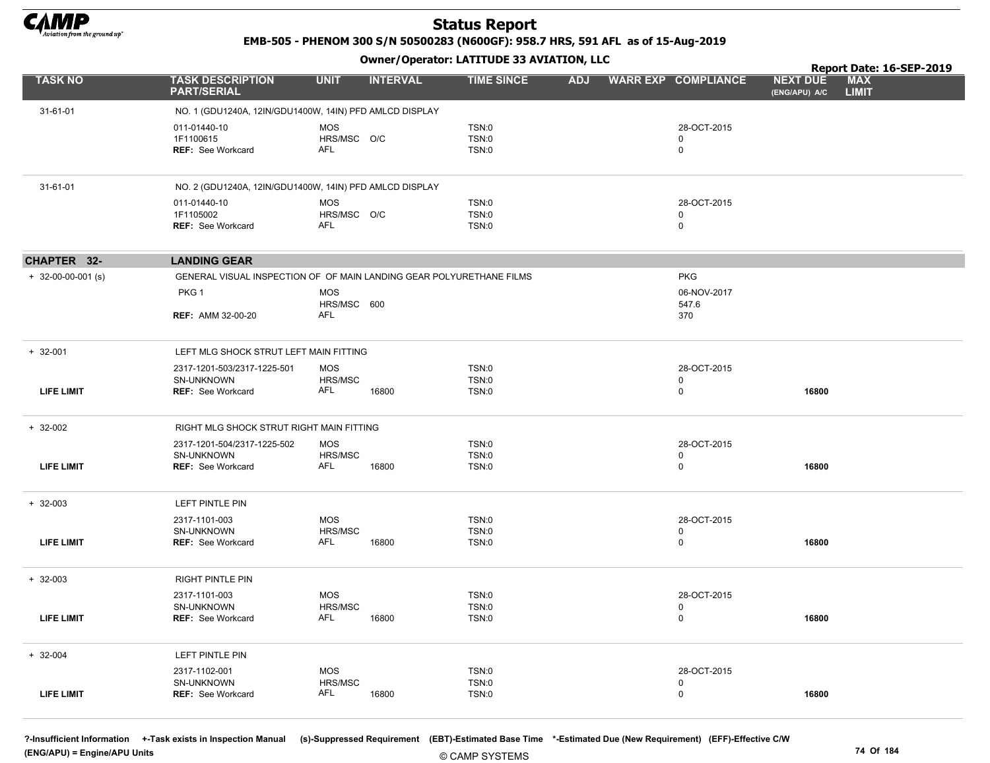

EMB-505 - PHENOM 300 S/N 50500283 (N600GF): 958.7 HRS, 591 AFL as of 15-Aug-2019

Owner/Operator: LATITUDE 33 AVIATION, LLC

|                            |                                                                      |                           | .               |                       |            |                            |                                  | Report Date: 16-SEP-2019   |
|----------------------------|----------------------------------------------------------------------|---------------------------|-----------------|-----------------------|------------|----------------------------|----------------------------------|----------------------------|
| <b>TASK NO</b>             | <b>TASK DESCRIPTION</b><br><b>PART/SERIAL</b>                        | <b>UNIT</b>               | <b>INTERVAL</b> | <b>TIME SINCE</b>     | <b>ADJ</b> | <b>WARR EXP COMPLIANCE</b> | <b>NEXT DUE</b><br>(ENG/APU) A/C | <b>MAX</b><br><b>LIMIT</b> |
| 31-61-01                   | NO. 1 (GDU1240A, 12IN/GDU1400W, 14IN) PFD AMLCD DISPLAY              |                           |                 |                       |            |                            |                                  |                            |
|                            | 011-01440-10                                                         | <b>MOS</b>                |                 | TSN:0                 |            | 28-OCT-2015                |                                  |                            |
|                            | 1F1100615                                                            | HRS/MSC O/C               |                 | <b>TSN:0</b>          |            | 0                          |                                  |                            |
|                            | <b>REF: See Workcard</b>                                             | AFL                       |                 | <b>TSN:0</b>          |            | $\mathbf 0$                |                                  |                            |
| 31-61-01                   | NO. 2 (GDU1240A, 12IN/GDU1400W, 14IN) PFD AMLCD DISPLAY              |                           |                 |                       |            |                            |                                  |                            |
|                            | 011-01440-10                                                         | <b>MOS</b>                |                 | TSN:0                 |            | 28-OCT-2015                |                                  |                            |
|                            | 1F1105002<br>REF: See Workcard                                       | HRS/MSC O/C<br><b>AFL</b> |                 | TSN:0<br><b>TSN:0</b> |            | $\mathbf 0$<br>$\mathbf 0$ |                                  |                            |
|                            |                                                                      |                           |                 |                       |            |                            |                                  |                            |
| CHAPTER 32-                | <b>LANDING GEAR</b>                                                  |                           |                 |                       |            |                            |                                  |                            |
| $+ 32 - 00 - 00 - 001$ (s) | GENERAL VISUAL INSPECTION OF OF MAIN LANDING GEAR POLYURETHANE FILMS |                           |                 |                       |            | <b>PKG</b>                 |                                  |                            |
|                            | PKG <sub>1</sub>                                                     | <b>MOS</b>                |                 |                       |            | 06-NOV-2017                |                                  |                            |
|                            | <b>REF: AMM 32-00-20</b>                                             | HRS/MSC 600<br>AFL        |                 |                       |            | 547.6<br>370               |                                  |                            |
|                            |                                                                      |                           |                 |                       |            |                            |                                  |                            |
| $+ 32 - 001$               | LEFT MLG SHOCK STRUT LEFT MAIN FITTING                               |                           |                 |                       |            |                            |                                  |                            |
|                            | 2317-1201-503/2317-1225-501                                          | <b>MOS</b>                |                 | TSN:0                 |            | 28-OCT-2015                |                                  |                            |
| <b>LIFE LIMIT</b>          | SN-UNKNOWN<br><b>REF: See Workcard</b>                               | HRS/MSC<br>AFL            | 16800           | <b>TSN:0</b><br>TSN:0 |            | 0<br>0                     | 16800                            |                            |
|                            |                                                                      |                           |                 |                       |            |                            |                                  |                            |
| $+ 32-002$                 | RIGHT MLG SHOCK STRUT RIGHT MAIN FITTING                             |                           |                 |                       |            |                            |                                  |                            |
|                            | 2317-1201-504/2317-1225-502                                          | <b>MOS</b>                |                 | TSN:0                 |            | 28-OCT-2015                |                                  |                            |
| <b>LIFE LIMIT</b>          | SN-UNKNOWN<br><b>REF: See Workcard</b>                               | HRS/MSC<br><b>AFL</b>     | 16800           | TSN:0<br>TSN:0        |            | 0<br>0                     | 16800                            |                            |
|                            |                                                                      |                           |                 |                       |            |                            |                                  |                            |
| $+ 32-003$                 | LEFT PINTLE PIN                                                      |                           |                 |                       |            |                            |                                  |                            |
|                            | 2317-1101-003                                                        | <b>MOS</b>                |                 | TSN:0                 |            | 28-OCT-2015                |                                  |                            |
| <b>LIFE LIMIT</b>          | SN-UNKNOWN<br><b>REF: See Workcard</b>                               | HRS/MSC<br><b>AFL</b>     | 16800           | <b>TSN:0</b><br>TSN:0 |            | 0<br>0                     | 16800                            |                            |
|                            |                                                                      |                           |                 |                       |            |                            |                                  |                            |
| $+32-003$                  | <b>RIGHT PINTLE PIN</b>                                              |                           |                 |                       |            |                            |                                  |                            |
|                            | 2317-1101-003                                                        | <b>MOS</b>                |                 | <b>TSN:0</b>          |            | 28-OCT-2015                |                                  |                            |
| <b>LIFE LIMIT</b>          | SN-UNKNOWN<br><b>REF: See Workcard</b>                               | HRS/MSC<br>AFL            | 16800           | TSN:0<br>TSN:0        |            | 0<br>$\mathbf 0$           | 16800                            |                            |
|                            |                                                                      |                           |                 |                       |            |                            |                                  |                            |
| $+ 32 - 004$               | LEFT PINTLE PIN                                                      |                           |                 |                       |            |                            |                                  |                            |
|                            | 2317-1102-001                                                        | <b>MOS</b>                |                 | TSN:0                 |            | 28-OCT-2015                |                                  |                            |
| <b>LIFE LIMIT</b>          | SN-UNKNOWN<br><b>REF: See Workcard</b>                               | HRS/MSC<br>AFL            | 16800           | <b>TSN:0</b><br>TSN:0 |            | $\Omega$<br>$\mathbf 0$    | 16800                            |                            |
|                            |                                                                      |                           |                 |                       |            |                            |                                  |                            |

?-Insufficient Information +-Task exists in Inspection Manual (s)-Suppressed Requirement (EBT)-Estimated Base Time \*-Estimated Due (New Requirement) (EFF)-Effective C/W (ENG/APU) = Engine/APU Units 74 Of 184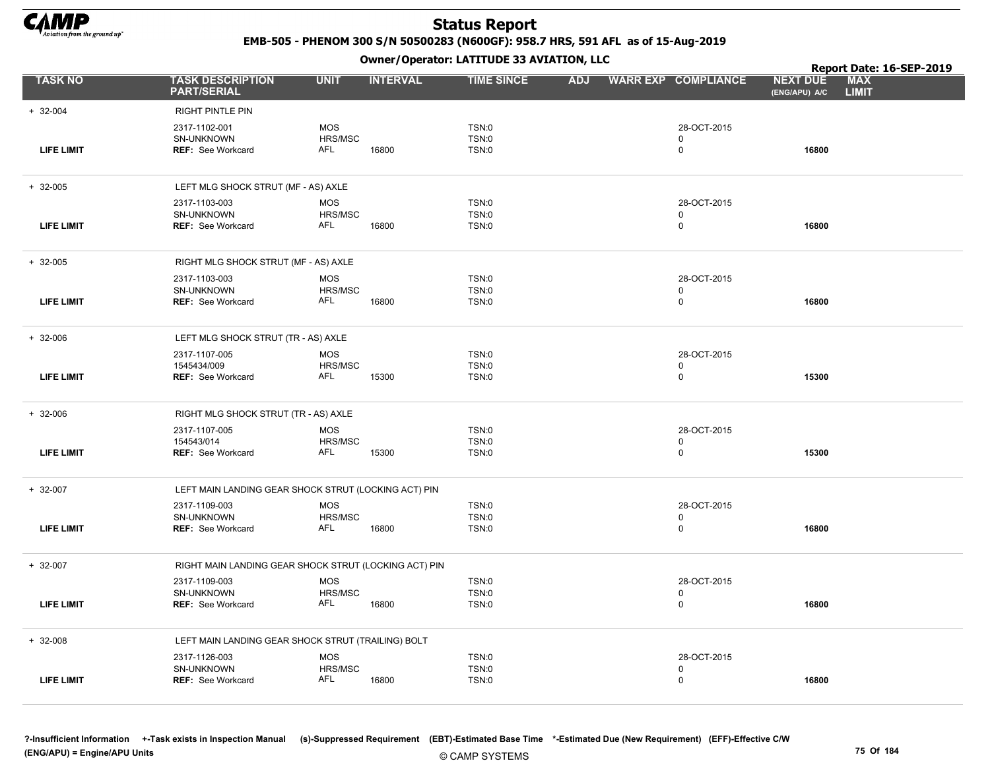

EMB-505 - PHENOM 300 S/N 50500283 (N600GF): 958.7 HRS, 591 AFL as of 15-Aug-2019

Owner/Operator: LATITUDE 33 AVIATION, LLC

|                   |                                                          |                                     | $\mathbf{r}$    |                                |            |                            |                                  | Report Date: 16-SEP-2019   |
|-------------------|----------------------------------------------------------|-------------------------------------|-----------------|--------------------------------|------------|----------------------------|----------------------------------|----------------------------|
| <b>TASK NO</b>    | <b>TASK DESCRIPTION</b><br><b>PART/SERIAL</b>            | <b>UNIT</b>                         | <b>INTERVAL</b> | <b>TIME SINCE</b>              | <b>ADJ</b> | <b>WARR EXP COMPLIANCE</b> | <b>NEXT DUE</b><br>(ENG/APU) A/C | <b>MAX</b><br><b>LIMIT</b> |
| $+ 32 - 004$      | <b>RIGHT PINTLE PIN</b>                                  |                                     |                 |                                |            |                            |                                  |                            |
| <b>LIFE LIMIT</b> | 2317-1102-001<br>SN-UNKNOWN<br>REF: See Workcard         | <b>MOS</b><br>HRS/MSC<br>AFL        | 16800           | TSN:0<br><b>TSN:0</b><br>TSN:0 |            | 28-OCT-2015<br>0<br>0      | 16800                            |                            |
| $+32-005$         | LEFT MLG SHOCK STRUT (MF - AS) AXLE                      |                                     |                 |                                |            |                            |                                  |                            |
| <b>LIFE LIMIT</b> | 2317-1103-003<br>SN-UNKNOWN<br><b>REF: See Workcard</b>  | <b>MOS</b><br>HRS/MSC<br>AFL        | 16800           | TSN:0<br>TSN:0<br>TSN:0        |            | 28-OCT-2015<br>0<br>0      | 16800                            |                            |
| $+32-005$         | RIGHT MLG SHOCK STRUT (MF - AS) AXLE                     |                                     |                 |                                |            |                            |                                  |                            |
|                   | 2317-1103-003                                            | <b>MOS</b>                          |                 | TSN:0                          |            | 28-OCT-2015                |                                  |                            |
| <b>LIFE LIMIT</b> | SN-UNKNOWN<br><b>REF: See Workcard</b>                   | HRS/MSC<br>AFL                      | 16800           | TSN:0<br>TSN:0                 |            | 0<br>0                     | 16800                            |                            |
| $+ 32-006$        | LEFT MLG SHOCK STRUT (TR - AS) AXLE                      |                                     |                 |                                |            |                            |                                  |                            |
| <b>LIFE LIMIT</b> | 2317-1107-005<br>1545434/009<br><b>REF: See Workcard</b> | <b>MOS</b><br>HRS/MSC<br><b>AFL</b> | 15300           | TSN:0<br>TSN:0<br>TSN:0        |            | 28-OCT-2015<br>0<br>0      | 15300                            |                            |
| $+ 32 - 006$      | RIGHT MLG SHOCK STRUT (TR - AS) AXLE                     |                                     |                 |                                |            |                            |                                  |                            |
|                   | 2317-1107-005                                            | <b>MOS</b>                          |                 | TSN:0                          |            | 28-OCT-2015                |                                  |                            |
| <b>LIFE LIMIT</b> | 154543/014<br><b>REF: See Workcard</b>                   | HRS/MSC<br>AFL                      | 15300           | <b>TSN:0</b><br>TSN:0          |            | $\Omega$<br>0              | 15300                            |                            |
| $+ 32-007$        | LEFT MAIN LANDING GEAR SHOCK STRUT (LOCKING ACT) PIN     |                                     |                 |                                |            |                            |                                  |                            |
|                   | 2317-1109-003                                            | <b>MOS</b>                          |                 | TSN:0                          |            | 28-OCT-2015                |                                  |                            |
| <b>LIFE LIMIT</b> | SN-UNKNOWN<br><b>REF: See Workcard</b>                   | HRS/MSC<br><b>AFL</b>               | 16800           | TSN:0<br>TSN:0                 |            | 0<br>0                     | 16800                            |                            |
| $+ 32-007$        | RIGHT MAIN LANDING GEAR SHOCK STRUT (LOCKING ACT) PIN    |                                     |                 |                                |            |                            |                                  |                            |
| LIFE LIMIT        | 2317-1109-003<br>SN-UNKNOWN<br><b>REF: See Workcard</b>  | <b>MOS</b><br>HRS/MSC<br><b>AFL</b> | 16800           | TSN:0<br><b>TSN:0</b><br>TSN:0 |            | 28-OCT-2015<br>0<br>0      | 16800                            |                            |
|                   |                                                          |                                     |                 |                                |            |                            |                                  |                            |
| $+ 32-008$        | LEFT MAIN LANDING GEAR SHOCK STRUT (TRAILING) BOLT       |                                     |                 |                                |            |                            |                                  |                            |
|                   | 2317-1126-003<br>SN-UNKNOWN                              | <b>MOS</b><br>HRS/MSC               |                 | TSN:0<br>TSN:0                 |            | 28-OCT-2015<br>0           |                                  |                            |
| <b>LIFE LIMIT</b> | <b>REF: See Workcard</b>                                 | AFL                                 | 16800           | TSN:0                          |            | 0                          | 16800                            |                            |

?-Insufficient Information +-Task exists in Inspection Manual (s)-Suppressed Requirement (EBT)-Estimated Base Time \*-Estimated Due (New Requirement) (EFF)-Effective C/W (ENG/APU) = Engine/APU Units 75 Of 184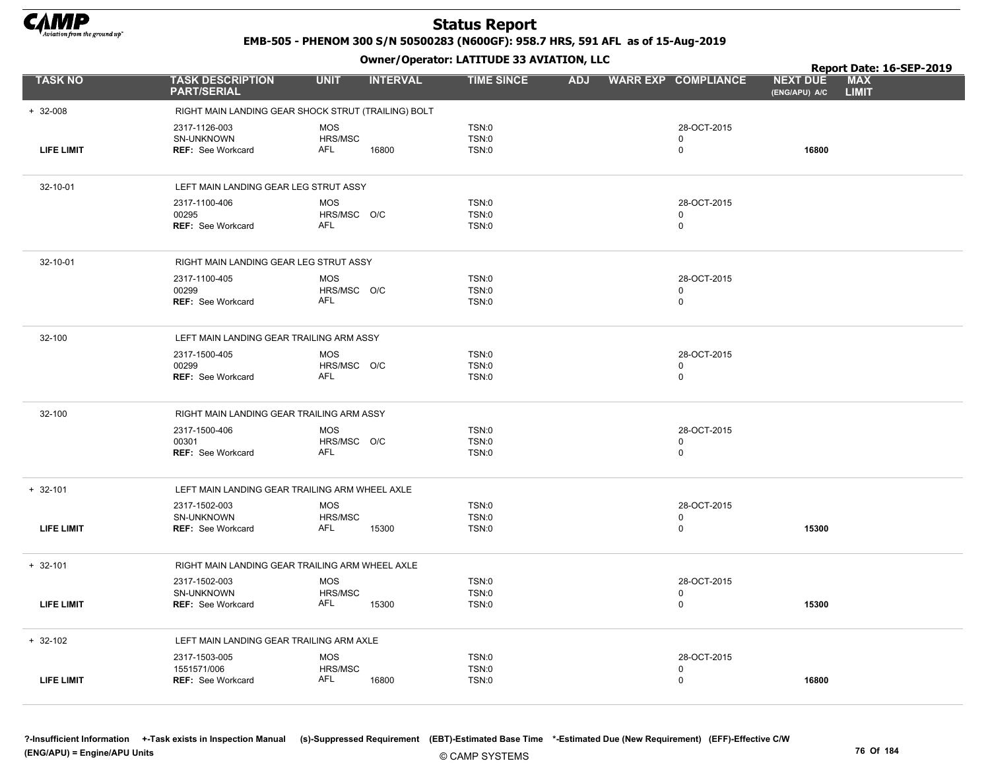

EMB-505 - PHENOM 300 S/N 50500283 (N600GF): 958.7 HRS, 591 AFL as of 15-Aug-2019

|                   |                                                                |                                                     | Owner / Operator. EATTTODE 33 AVIATION, LLC |            |                            | Report Date: 16-SEP-2019         |                            |  |
|-------------------|----------------------------------------------------------------|-----------------------------------------------------|---------------------------------------------|------------|----------------------------|----------------------------------|----------------------------|--|
| <b>TASK NO</b>    | <b>TASK DESCRIPTION</b><br><b>PART/SERIAL</b>                  | <b>UNIT</b><br><b>INTERVAL</b>                      | <b>TIME SINCE</b>                           | <b>ADJ</b> | <b>WARR EXP COMPLIANCE</b> | <b>NEXT DUE</b><br>(ENG/APU) A/C | <b>MAX</b><br><b>LIMIT</b> |  |
| $+ 32 - 008$      |                                                                | RIGHT MAIN LANDING GEAR SHOCK STRUT (TRAILING) BOLT |                                             |            |                            |                                  |                            |  |
| <b>LIFE LIMIT</b> | 2317-1126-003<br><b>SN-UNKNOWN</b><br><b>REF: See Workcard</b> | <b>MOS</b><br>HRS/MSC<br><b>AFL</b><br>16800        | TSN:0<br>TSN:0<br>TSN:0                     |            | 28-OCT-2015<br>0<br>0      | 16800                            |                            |  |
| 32-10-01          | LEFT MAIN LANDING GEAR LEG STRUT ASSY                          |                                                     |                                             |            |                            |                                  |                            |  |
|                   | 2317-1100-406<br>00295<br><b>REF: See Workcard</b>             | <b>MOS</b><br>HRS/MSC O/C<br><b>AFL</b>             | TSN:0<br>TSN:0<br>TSN:0                     |            | 28-OCT-2015<br>0<br>0      |                                  |                            |  |
| 32-10-01          | RIGHT MAIN LANDING GEAR LEG STRUT ASSY                         |                                                     |                                             |            |                            |                                  |                            |  |
|                   | 2317-1100-405<br>00299<br><b>REF: See Workcard</b>             | <b>MOS</b><br>HRS/MSC O/C<br><b>AFL</b>             | TSN:0<br>TSN:0<br>TSN:0                     |            | 28-OCT-2015<br>0<br>0      |                                  |                            |  |
| 32-100            | LEFT MAIN LANDING GEAR TRAILING ARM ASSY                       |                                                     |                                             |            |                            |                                  |                            |  |
|                   | 2317-1500-405<br>00299<br><b>REF: See Workcard</b>             | <b>MOS</b><br>HRS/MSC O/C<br><b>AFL</b>             | TSN:0<br>TSN:0<br>TSN:0                     |            | 28-OCT-2015<br>0<br>0      |                                  |                            |  |
| 32-100            | RIGHT MAIN LANDING GEAR TRAILING ARM ASSY                      |                                                     |                                             |            |                            |                                  |                            |  |
|                   | 2317-1500-406<br>00301<br>REF: See Workcard                    | <b>MOS</b><br>HRS/MSC O/C<br>AFL                    | TSN:0<br>TSN:0<br>TSN:0                     |            | 28-OCT-2015<br>0<br>0      |                                  |                            |  |
| $+ 32 - 101$      | LEFT MAIN LANDING GEAR TRAILING ARM WHEEL AXLE                 |                                                     |                                             |            |                            |                                  |                            |  |
| <b>LIFE LIMIT</b> | 2317-1502-003<br>SN-UNKNOWN<br><b>REF: See Workcard</b>        | <b>MOS</b><br>HRS/MSC<br>AFL<br>15300               | TSN:0<br>TSN:0<br>TSN:0                     |            | 28-OCT-2015<br>0<br>0      | 15300                            |                            |  |
| $+ 32 - 101$      |                                                                | RIGHT MAIN LANDING GEAR TRAILING ARM WHEEL AXLE     |                                             |            |                            |                                  |                            |  |
| <b>LIFE LIMIT</b> | 2317-1502-003<br>SN-UNKNOWN<br><b>REF: See Workcard</b>        | <b>MOS</b><br>HRS/MSC<br>AFL<br>15300               | TSN:0<br>TSN:0<br>TSN:0                     |            | 28-OCT-2015<br>0<br>0      | 15300                            |                            |  |
| $+ 32 - 102$      | LEFT MAIN LANDING GEAR TRAILING ARM AXLE                       |                                                     |                                             |            |                            |                                  |                            |  |
| <b>LIFE LIMIT</b> | 2317-1503-005<br>1551571/006<br><b>REF: See Workcard</b>       | <b>MOS</b><br>HRS/MSC<br>AFL<br>16800               | TSN:0<br>TSN:0<br>TSN:0                     |            | 28-OCT-2015<br>0<br>0      | 16800                            |                            |  |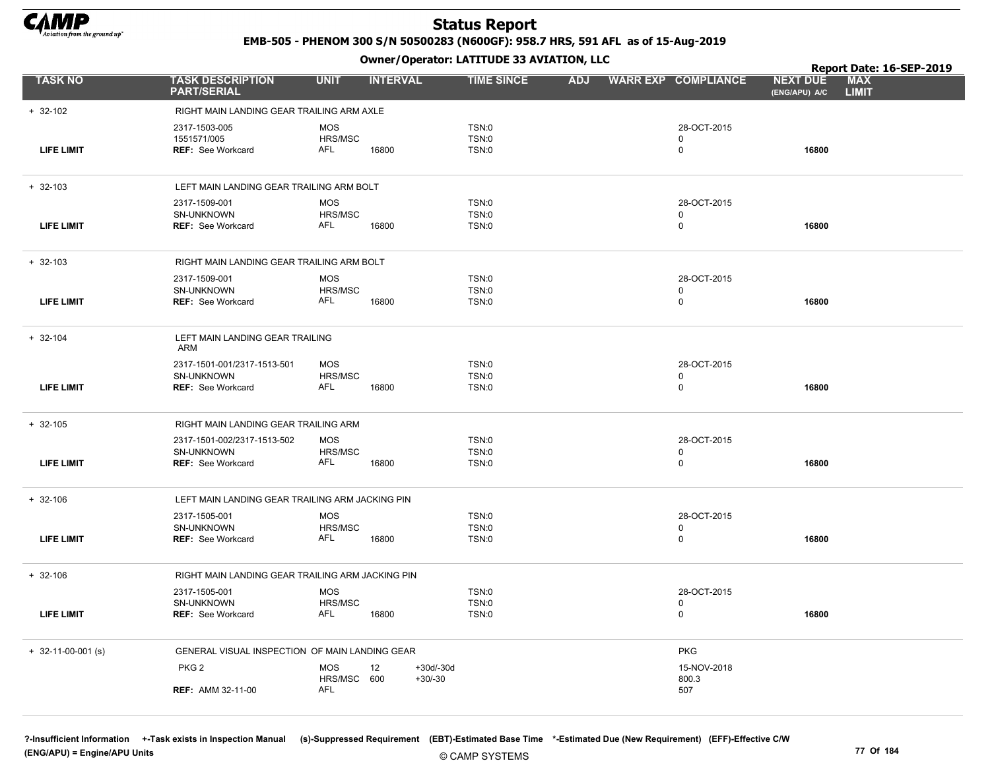

EMB-505 - PHENOM 300 S/N 50500283 (N600GF): 958.7 HRS, 591 AFL as of 15-Aug-2019

Owner/Operator: LATITUDE 33 AVIATION, LLC

|                      |                                                                       |                                     |                              |                         |            |                                           |                                  | Report Date: 16-SEP-2019   |
|----------------------|-----------------------------------------------------------------------|-------------------------------------|------------------------------|-------------------------|------------|-------------------------------------------|----------------------------------|----------------------------|
| <b>TASK NO</b>       | <b>TASK DESCRIPTION</b><br><b>PART/SERIAL</b>                         | <b>UNIT</b>                         | <b>INTERVAL</b>              | <b>TIME SINCE</b>       | <b>ADJ</b> | <b>WARR EXP COMPLIANCE</b>                | <b>NEXT DUE</b><br>(ENG/APU) A/C | <b>MAX</b><br><b>LIMIT</b> |
| $+ 32 - 102$         | RIGHT MAIN LANDING GEAR TRAILING ARM AXLE                             |                                     |                              |                         |            |                                           |                                  |                            |
| <b>LIFE LIMIT</b>    | 2317-1503-005<br>1551571/005<br><b>REF: See Workcard</b>              | <b>MOS</b><br>HRS/MSC<br>AFL        | 16800                        | TSN:0<br>TSN:0<br>TSN:0 |            | 28-OCT-2015<br>$\mathbf 0$<br>0           | 16800                            |                            |
| $+ 32 - 103$         | LEFT MAIN LANDING GEAR TRAILING ARM BOLT                              |                                     |                              |                         |            |                                           |                                  |                            |
| <b>LIFE LIMIT</b>    | 2317-1509-001<br>SN-UNKNOWN<br><b>REF: See Workcard</b>               | MOS<br>HRS/MSC<br>AFL               | 16800                        | TSN:0<br>TSN:0<br>TSN:0 |            | 28-OCT-2015<br>0<br>0                     | 16800                            |                            |
| $+ 32 - 103$         | RIGHT MAIN LANDING GEAR TRAILING ARM BOLT                             |                                     |                              |                         |            |                                           |                                  |                            |
| <b>LIFE LIMIT</b>    | 2317-1509-001<br>SN-UNKNOWN<br><b>REF: See Workcard</b>               | <b>MOS</b><br>HRS/MSC<br><b>AFL</b> | 16800                        | TSN:0<br>TSN:0<br>TSN:0 |            | 28-OCT-2015<br>0<br>$\mathbf 0$           | 16800                            |                            |
| $+ 32 - 104$         | LEFT MAIN LANDING GEAR TRAILING<br>ARM                                |                                     |                              |                         |            |                                           |                                  |                            |
| <b>LIFE LIMIT</b>    | 2317-1501-001/2317-1513-501<br>SN-UNKNOWN<br><b>REF: See Workcard</b> | MOS<br>HRS/MSC<br>AFL               | 16800                        | TSN:0<br>TSN:0<br>TSN:0 |            | 28-OCT-2015<br>0<br>0                     | 16800                            |                            |
| $+ 32 - 105$         | RIGHT MAIN LANDING GEAR TRAILING ARM                                  |                                     |                              |                         |            |                                           |                                  |                            |
| <b>LIFE LIMIT</b>    | 2317-1501-002/2317-1513-502<br>SN-UNKNOWN<br><b>REF: See Workcard</b> | <b>MOS</b><br>HRS/MSC<br><b>AFL</b> | 16800                        | TSN:0<br>TSN:0<br>TSN:0 |            | 28-OCT-2015<br>$\mathbf 0$<br>$\mathbf 0$ | 16800                            |                            |
| $+ 32 - 106$         | LEFT MAIN LANDING GEAR TRAILING ARM JACKING PIN                       |                                     |                              |                         |            |                                           |                                  |                            |
| <b>LIFE LIMIT</b>    | 2317-1505-001<br>SN-UNKNOWN<br><b>REF: See Workcard</b>               | <b>MOS</b><br>HRS/MSC<br>AFL        | 16800                        | TSN:0<br>TSN:0<br>TSN:0 |            | 28-OCT-2015<br>0<br>0                     | 16800                            |                            |
| $+ 32 - 106$         | RIGHT MAIN LANDING GEAR TRAILING ARM JACKING PIN                      |                                     |                              |                         |            |                                           |                                  |                            |
| <b>LIFE LIMIT</b>    | 2317-1505-001<br>SN-UNKNOWN<br><b>REF: See Workcard</b>               | MOS<br>HRS/MSC<br><b>AFL</b>        | 16800                        | TSN:0<br>TSN:0<br>TSN:0 |            | 28-OCT-2015<br>0<br>0                     | 16800                            |                            |
| $+$ 32-11-00-001 (s) | GENERAL VISUAL INSPECTION OF MAIN LANDING GEAR                        |                                     |                              |                         |            | <b>PKG</b>                                |                                  |                            |
|                      | PKG <sub>2</sub>                                                      | <b>MOS</b><br>HRS/MSC 600           | 12<br>+30d/-30d<br>$+30/-30$ |                         |            | 15-NOV-2018<br>800.3                      |                                  |                            |
|                      | <b>REF: AMM 32-11-00</b>                                              | <b>AFL</b>                          |                              |                         |            | 507                                       |                                  |                            |

?-Insufficient Information +-Task exists in Inspection Manual (s)-Suppressed Requirement (EBT)-Estimated Base Time \*-Estimated Due (New Requirement) (EFF)-Effective C/W (ENG/APU) = Engine/APU Units 77 Of 184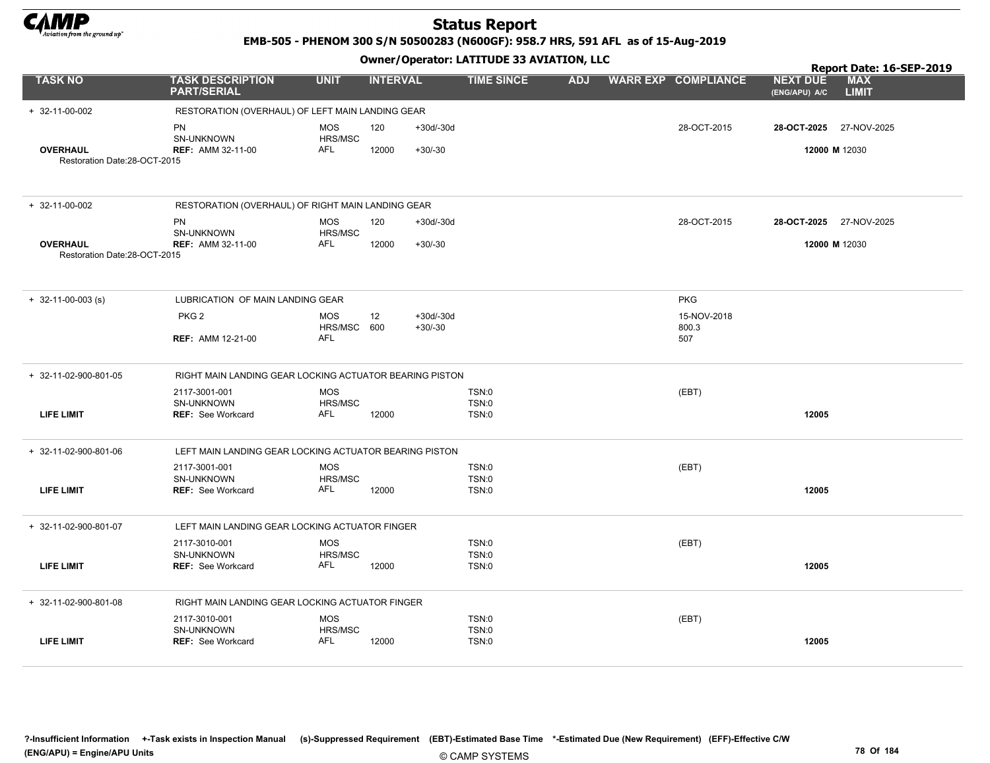

EMB-505 - PHENOM 300 S/N 50500283 (N600GF): 958.7 HRS, 591 AFL as of 15-Aug-2019

|                              |                                                         |                       |                 |             | Owner / Operator. EATITODE 33 AVIATION, LLC |            |                            | Report Date: 16-SEP-2019         |                            |
|------------------------------|---------------------------------------------------------|-----------------------|-----------------|-------------|---------------------------------------------|------------|----------------------------|----------------------------------|----------------------------|
| <b>TASK NO</b>               | <b>TASK DESCRIPTION</b><br><b>PART/SERIAL</b>           | <b>UNIT</b>           | <b>INTERVAL</b> |             | <b>TIME SINCE</b>                           | <b>ADJ</b> | <b>WARR EXP COMPLIANCE</b> | <b>NEXT DUE</b><br>(ENG/APU) A/C | <b>MAX</b><br><b>LIMIT</b> |
| $+ 32 - 11 - 00 - 002$       | RESTORATION (OVERHAUL) OF LEFT MAIN LANDING GEAR        |                       |                 |             |                                             |            |                            |                                  |                            |
|                              | PN                                                      | <b>MOS</b>            | 120             | $+30d/-30d$ |                                             |            | 28-OCT-2015                | 28-OCT-2025                      | 27-NOV-2025                |
| <b>OVERHAUL</b>              | SN-UNKNOWN<br><b>REF: AMM 32-11-00</b>                  | HRS/MSC<br>AFL        | 12000           | $+30/-30$   |                                             |            |                            | 12000 M 12030                    |                            |
| Restoration Date:28-OCT-2015 |                                                         |                       |                 |             |                                             |            |                            |                                  |                            |
|                              |                                                         |                       |                 |             |                                             |            |                            |                                  |                            |
| $+ 32 - 11 - 00 - 002$       | RESTORATION (OVERHAUL) OF RIGHT MAIN LANDING GEAR       |                       |                 |             |                                             |            |                            |                                  |                            |
|                              | PN                                                      | <b>MOS</b>            | 120             | $+30d/-30d$ |                                             |            | 28-OCT-2015                | 28-OCT-2025 27-NOV-2025          |                            |
| <b>OVERHAUL</b>              | SN-UNKNOWN<br><b>REF: AMM 32-11-00</b>                  | HRS/MSC<br>AFL        | 12000           | $+30/-30$   |                                             |            |                            | 12000 M 12030                    |                            |
| Restoration Date:28-OCT-2015 |                                                         |                       |                 |             |                                             |            |                            |                                  |                            |
|                              |                                                         |                       |                 |             |                                             |            |                            |                                  |                            |
| $+$ 32-11-00-003 (s)         | LUBRICATION OF MAIN LANDING GEAR                        |                       |                 |             |                                             |            | <b>PKG</b>                 |                                  |                            |
|                              | PKG <sub>2</sub>                                        | <b>MOS</b>            | 12              | $+30d/-30d$ |                                             |            | 15-NOV-2018                |                                  |                            |
|                              | <b>REF: AMM 12-21-00</b>                                | HRS/MSC 600<br>AFL    |                 | $+30/-30$   |                                             |            | 800.3<br>507               |                                  |                            |
|                              |                                                         |                       |                 |             |                                             |            |                            |                                  |                            |
| + 32-11-02-900-801-05        | RIGHT MAIN LANDING GEAR LOCKING ACTUATOR BEARING PISTON |                       |                 |             |                                             |            |                            |                                  |                            |
|                              | 2117-3001-001<br>SN-UNKNOWN                             | <b>MOS</b><br>HRS/MSC |                 |             | TSN:0<br>TSN:0                              |            | (EBT)                      |                                  |                            |
| <b>LIFE LIMIT</b>            | <b>REF: See Workcard</b>                                | AFL                   | 12000           |             | TSN:0                                       |            |                            | 12005                            |                            |
|                              |                                                         |                       |                 |             |                                             |            |                            |                                  |                            |
| + 32-11-02-900-801-06        | LEFT MAIN LANDING GEAR LOCKING ACTUATOR BEARING PISTON  |                       |                 |             |                                             |            |                            |                                  |                            |
|                              | 2117-3001-001<br>SN-UNKNOWN                             | <b>MOS</b><br>HRS/MSC |                 |             | TSN:0<br>TSN:0                              |            | (EBT)                      |                                  |                            |
| <b>LIFE LIMIT</b>            | <b>REF: See Workcard</b>                                | AFL                   | 12000           |             | TSN:0                                       |            |                            | 12005                            |                            |
|                              |                                                         |                       |                 |             |                                             |            |                            |                                  |                            |
| + 32-11-02-900-801-07        | LEFT MAIN LANDING GEAR LOCKING ACTUATOR FINGER          |                       |                 |             |                                             |            |                            |                                  |                            |
|                              | 2117-3010-001<br><b>SN-UNKNOWN</b>                      | <b>MOS</b><br>HRS/MSC |                 |             | TSN:0<br>TSN:0                              |            | (EBT)                      |                                  |                            |
| <b>LIFE LIMIT</b>            | REF: See Workcard                                       | <b>AFL</b>            | 12000           |             | TSN:0                                       |            |                            | 12005                            |                            |
|                              |                                                         |                       |                 |             |                                             |            |                            |                                  |                            |
| + 32-11-02-900-801-08        | RIGHT MAIN LANDING GEAR LOCKING ACTUATOR FINGER         |                       |                 |             |                                             |            |                            |                                  |                            |
|                              | 2117-3010-001                                           | <b>MOS</b>            |                 |             | TSN:0                                       |            | (EBT)                      |                                  |                            |
| <b>LIFE LIMIT</b>            | SN-UNKNOWN<br><b>REF: See Workcard</b>                  | HRS/MSC<br>AFL        | 12000           |             | <b>TSN:0</b><br>TSN:0                       |            |                            | 12005                            |                            |
|                              |                                                         |                       |                 |             |                                             |            |                            |                                  |                            |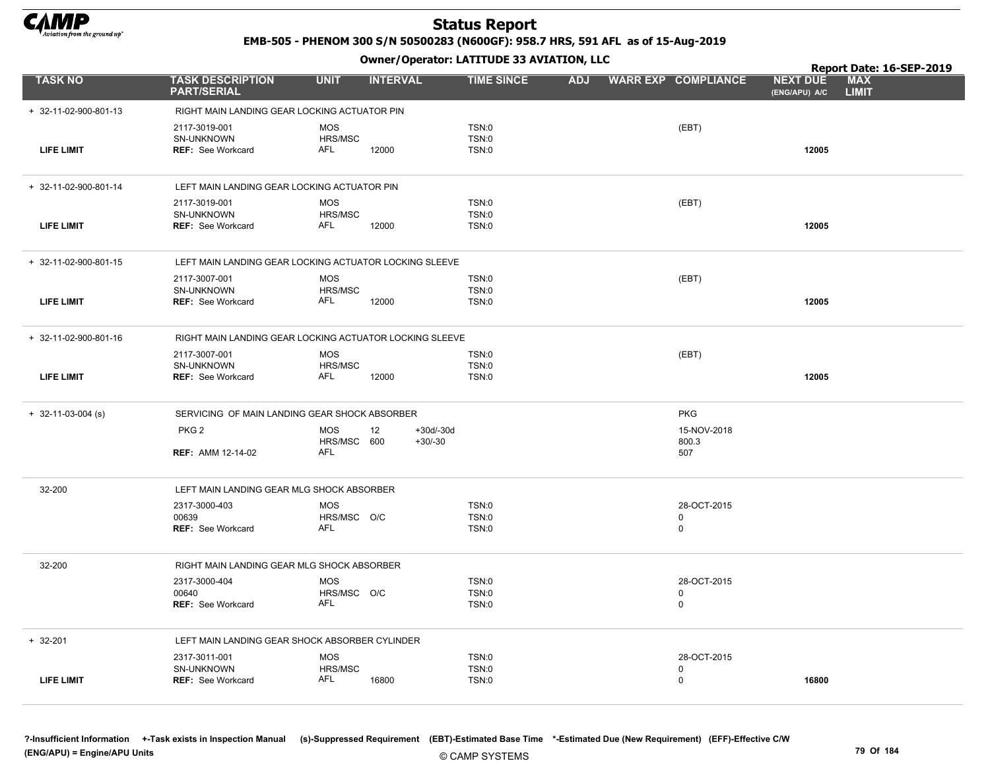

EMB-505 - PHENOM 300 S/N 50500283 (N600GF): 958.7 HRS, 591 AFL as of 15-Aug-2019

Owner/Operator: LATITUDE 33 AVIATION, LLC

|                       |                                                         |                                         |                                | Owner / Operator. LATTTODE 33 AVIATION, LLC |            |  |                                 |                                  |                            |  |  |  |  |
|-----------------------|---------------------------------------------------------|-----------------------------------------|--------------------------------|---------------------------------------------|------------|--|---------------------------------|----------------------------------|----------------------------|--|--|--|--|
| <b>TASK NO</b>        | <b>TASK DESCRIPTION</b><br><b>PART/SERIAL</b>           | <b>UNIT</b>                             | <b>INTERVAL</b>                | <b>TIME SINCE</b>                           | <b>ADJ</b> |  | <b>WARR EXP COMPLIANCE</b>      | <b>NEXT DUE</b><br>(ENG/APU) A/C | <b>MAX</b><br><b>LIMIT</b> |  |  |  |  |
| + 32-11-02-900-801-13 | RIGHT MAIN LANDING GEAR LOCKING ACTUATOR PIN            |                                         |                                |                                             |            |  |                                 |                                  |                            |  |  |  |  |
| <b>LIFE LIMIT</b>     | 2117-3019-001<br>SN-UNKNOWN<br><b>REF: See Workcard</b> | <b>MOS</b><br>HRS/MSC<br>AFL            | 12000                          | TSN:0<br>TSN:0<br><b>TSN:0</b>              |            |  | (EBT)                           | 12005                            |                            |  |  |  |  |
| + 32-11-02-900-801-14 | LEFT MAIN LANDING GEAR LOCKING ACTUATOR PIN             |                                         |                                |                                             |            |  |                                 |                                  |                            |  |  |  |  |
| <b>LIFE LIMIT</b>     | 2117-3019-001<br>SN-UNKNOWN<br><b>REF: See Workcard</b> | <b>MOS</b><br>HRS/MSC<br>AFL            | 12000                          | TSN:0<br><b>TSN:0</b><br><b>TSN:0</b>       |            |  | (EBT)                           | 12005                            |                            |  |  |  |  |
| + 32-11-02-900-801-15 | LEFT MAIN LANDING GEAR LOCKING ACTUATOR LOCKING SLEEVE  |                                         |                                |                                             |            |  |                                 |                                  |                            |  |  |  |  |
| <b>LIFE LIMIT</b>     | 2117-3007-001<br>SN-UNKNOWN<br><b>REF: See Workcard</b> | <b>MOS</b><br>HRS/MSC<br>AFL            | 12000                          | <b>TSN:0</b><br>TSN:0<br><b>TSN:0</b>       |            |  | (EBT)                           | 12005                            |                            |  |  |  |  |
| + 32-11-02-900-801-16 | RIGHT MAIN LANDING GEAR LOCKING ACTUATOR LOCKING SLEEVE |                                         |                                |                                             |            |  |                                 |                                  |                            |  |  |  |  |
| <b>LIFE LIMIT</b>     | 2117-3007-001<br>SN-UNKNOWN<br>REF: See Workcard        | <b>MOS</b><br>HRS/MSC<br>AFL            | 12000                          | TSN:0<br><b>TSN:0</b><br><b>TSN:0</b>       |            |  | (EBT)                           | 12005                            |                            |  |  |  |  |
| $+$ 32-11-03-004 (s)  | SERVICING OF MAIN LANDING GEAR SHOCK ABSORBER           |                                         |                                |                                             |            |  | <b>PKG</b>                      |                                  |                            |  |  |  |  |
|                       | PKG <sub>2</sub><br><b>REF: AMM 12-14-02</b>            | <b>MOS</b><br>HRS/MSC 600<br>AFL        | 12<br>$+30d/-30d$<br>$+30/-30$ |                                             |            |  | 15-NOV-2018<br>800.3<br>507     |                                  |                            |  |  |  |  |
| 32-200                | LEFT MAIN LANDING GEAR MLG SHOCK ABSORBER               |                                         |                                |                                             |            |  |                                 |                                  |                            |  |  |  |  |
|                       | 2317-3000-403<br>00639<br>REF: See Workcard             | <b>MOS</b><br>HRS/MSC O/C<br><b>AFL</b> |                                | TSN:0<br><b>TSN:0</b><br>TSN:0              |            |  | 28-OCT-2015<br>0<br>0           |                                  |                            |  |  |  |  |
| 32-200                | RIGHT MAIN LANDING GEAR MLG SHOCK ABSORBER              |                                         |                                |                                             |            |  |                                 |                                  |                            |  |  |  |  |
|                       | 2317-3000-404<br>00640<br>REF: See Workcard             | <b>MOS</b><br>HRS/MSC O/C<br>AFL        |                                | TSN:0<br><b>TSN:0</b><br><b>TSN:0</b>       |            |  | 28-OCT-2015<br>0<br>0           |                                  |                            |  |  |  |  |
| $+ 32 - 201$          | LEFT MAIN LANDING GEAR SHOCK ABSORBER CYLINDER          |                                         |                                |                                             |            |  |                                 |                                  |                            |  |  |  |  |
| <b>LIFE LIMIT</b>     | 2317-3011-001<br>SN-UNKNOWN<br><b>REF: See Workcard</b> | <b>MOS</b><br>HRS/MSC<br>AFL            | 16800                          | <b>TSN:0</b><br>TSN:0<br><b>TSN:0</b>       |            |  | 28-OCT-2015<br>0<br>$\mathbf 0$ | 16800                            |                            |  |  |  |  |

?-Insufficient Information +-Task exists in Inspection Manual (s)-Suppressed Requirement (EBT)-Estimated Base Time \*-Estimated Due (New Requirement) (EFF)-Effective C/W (ENG/APU) = Engine/APU Units 79 Of 184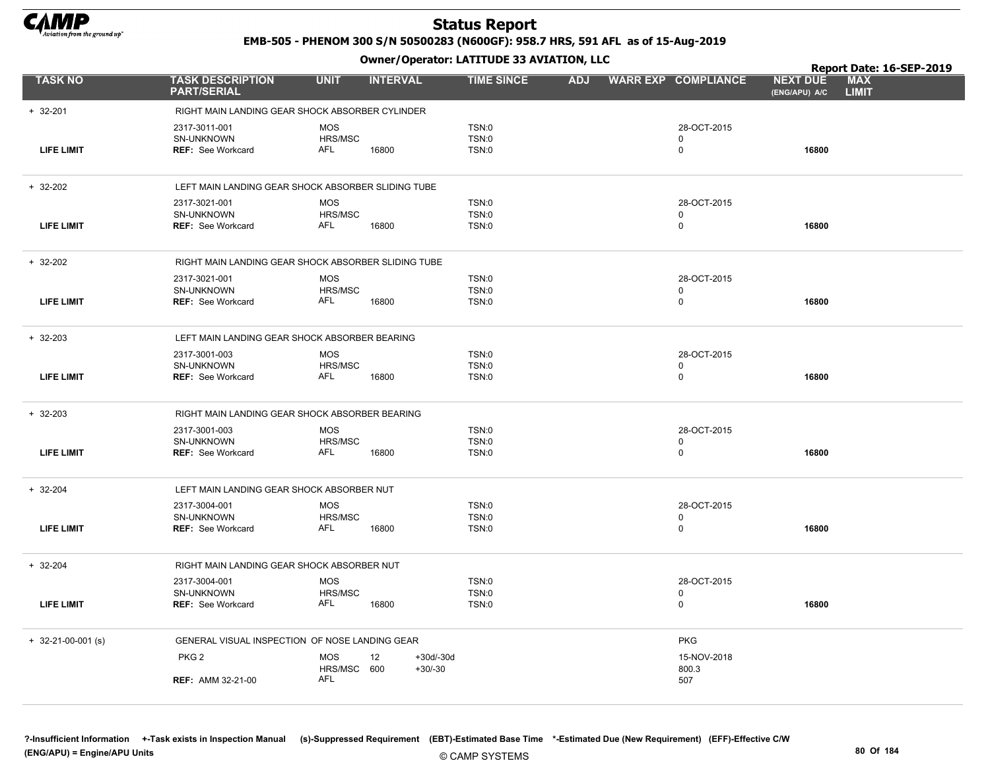

EMB-505 - PHENOM 300 S/N 50500283 (N600GF): 958.7 HRS, 591 AFL as of 15-Aug-2019

|                      |                                                     |                           | .                 |                              |            |                            |                                  | Report Date: 16-SEP-2019 |
|----------------------|-----------------------------------------------------|---------------------------|-------------------|------------------------------|------------|----------------------------|----------------------------------|--------------------------|
| <b>TASK NO</b>       | <b>TASK DESCRIPTION</b><br><b>PART/SERIAL</b>       | <b>UNIT</b>               | <b>INTERVAL</b>   | <b>TIME SINCE</b>            | <b>ADJ</b> | <b>WARR EXP COMPLIANCE</b> | <b>NEXT DUE</b><br>(ENG/APU) A/C | MAX<br><b>LIMIT</b>      |
| $+ 32 - 201$         | RIGHT MAIN LANDING GEAR SHOCK ABSORBER CYLINDER     |                           |                   |                              |            |                            |                                  |                          |
|                      | 2317-3011-001                                       | <b>MOS</b>                |                   | TSN:0                        |            | 28-OCT-2015                |                                  |                          |
|                      | SN-UNKNOWN                                          | HRS/MSC                   |                   | <b>TSN:0</b>                 |            | $\Omega$                   |                                  |                          |
| <b>LIFE LIMIT</b>    | <b>REF: See Workcard</b>                            | AFL                       | 16800             | <b>TSN:0</b>                 |            | $\mathbf 0$                | 16800                            |                          |
| $+ 32-202$           | LEFT MAIN LANDING GEAR SHOCK ABSORBER SLIDING TUBE  |                           |                   |                              |            |                            |                                  |                          |
|                      | 2317-3021-001                                       | <b>MOS</b>                |                   | TSN:0                        |            | 28-OCT-2015                |                                  |                          |
|                      | SN-UNKNOWN                                          | HRS/MSC<br>AFL            |                   | <b>TSN:0</b>                 |            | 0<br>$\mathbf 0$           | 16800                            |                          |
| <b>LIFE LIMIT</b>    | <b>REF: See Workcard</b>                            |                           | 16800             | <b>TSN:0</b>                 |            |                            |                                  |                          |
| $+ 32-202$           | RIGHT MAIN LANDING GEAR SHOCK ABSORBER SLIDING TUBE |                           |                   |                              |            |                            |                                  |                          |
|                      | 2317-3021-001                                       | <b>MOS</b>                |                   | TSN:0                        |            | 28-OCT-2015                |                                  |                          |
| <b>LIFE LIMIT</b>    | SN-UNKNOWN                                          | HRS/MSC<br>AFL            | 16800             | <b>TSN:0</b><br><b>TSN:0</b> |            | 0<br>$\mathbf 0$           | 16800                            |                          |
|                      | <b>REF: See Workcard</b>                            |                           |                   |                              |            |                            |                                  |                          |
| $+ 32 - 203$         | LEFT MAIN LANDING GEAR SHOCK ABSORBER BEARING       |                           |                   |                              |            |                            |                                  |                          |
|                      | 2317-3001-003                                       | <b>MOS</b>                |                   | <b>TSN:0</b>                 |            | 28-OCT-2015                |                                  |                          |
|                      | SN-UNKNOWN                                          | HRS/MSC                   |                   | <b>TSN:0</b>                 |            | $\Omega$                   |                                  |                          |
| <b>LIFE LIMIT</b>    | <b>REF:</b> See Workcard                            | <b>AFL</b>                | 16800             | <b>TSN:0</b>                 |            | 0                          | 16800                            |                          |
| $+ 32 - 203$         | RIGHT MAIN LANDING GEAR SHOCK ABSORBER BEARING      |                           |                   |                              |            |                            |                                  |                          |
|                      | 2317-3001-003                                       | <b>MOS</b>                |                   | <b>TSN:0</b>                 |            | 28-OCT-2015                |                                  |                          |
| <b>LIFE LIMIT</b>    | SN-UNKNOWN<br><b>REF: See Workcard</b>              | HRS/MSC<br>AFL            |                   | <b>TSN:0</b><br><b>TSN:0</b> |            | 0<br>$\mathbf 0$           | 16800                            |                          |
|                      |                                                     |                           | 16800             |                              |            |                            |                                  |                          |
| $+ 32 - 204$         | LEFT MAIN LANDING GEAR SHOCK ABSORBER NUT           |                           |                   |                              |            |                            |                                  |                          |
|                      | 2317-3004-001                                       | <b>MOS</b>                |                   | <b>TSN:0</b>                 |            | 28-OCT-2015                |                                  |                          |
| <b>LIFE LIMIT</b>    | SN-UNKNOWN<br><b>REF: See Workcard</b>              | HRS/MSC<br>AFL            | 16800             | TSN:0<br>TSN:0               |            | $\mathbf 0$<br>0           | 16800                            |                          |
|                      |                                                     |                           |                   |                              |            |                            |                                  |                          |
| $+ 32 - 204$         | RIGHT MAIN LANDING GEAR SHOCK ABSORBER NUT          |                           |                   |                              |            |                            |                                  |                          |
|                      | 2317-3004-001                                       | <b>MOS</b>                |                   | <b>TSN:0</b>                 |            | 28-OCT-2015                |                                  |                          |
| <b>LIFE LIMIT</b>    | SN-UNKNOWN<br><b>REF: See Workcard</b>              | HRS/MSC<br>AFL            | 16800             | <b>TSN:0</b><br>TSN:0        |            | $\mathbf 0$<br>0           | 16800                            |                          |
|                      |                                                     |                           |                   |                              |            |                            |                                  |                          |
| $+$ 32-21-00-001 (s) | GENERAL VISUAL INSPECTION OF NOSE LANDING GEAR      |                           |                   |                              |            | <b>PKG</b>                 |                                  |                          |
|                      | PKG <sub>2</sub>                                    | <b>MOS</b>                | $+30d/-30d$<br>12 |                              |            | 15-NOV-2018                |                                  |                          |
|                      |                                                     | HRS/MSC 600<br><b>AFL</b> | $+30/-30$         |                              |            | 800.3                      |                                  |                          |
|                      | <b>REF: AMM 32-21-00</b>                            |                           |                   |                              |            | 507                        |                                  |                          |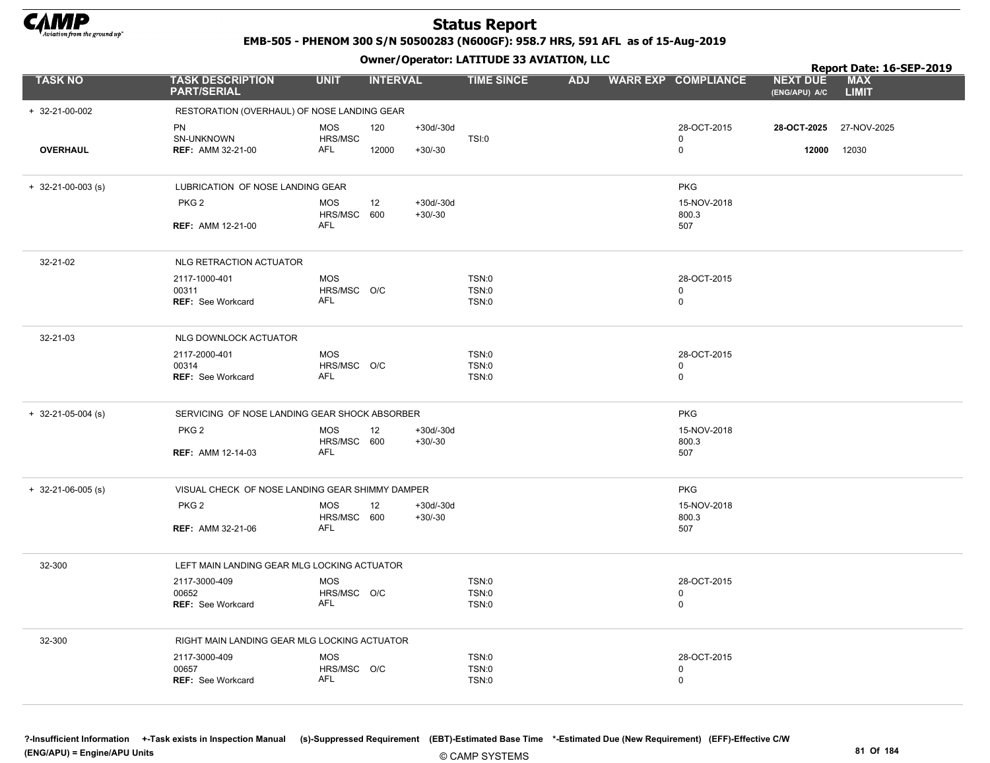

EMB-505 - PHENOM 300 S/N 50500283 (N600GF): 958.7 HRS, 591 AFL as of 15-Aug-2019

|                            |                                                 |                           | .               |                          |                   |  |                            |                                  | Report Date: 16-SEP-2019   |
|----------------------------|-------------------------------------------------|---------------------------|-----------------|--------------------------|-------------------|--|----------------------------|----------------------------------|----------------------------|
| <b>TASK NO</b>             | <b>TASK DESCRIPTION</b><br><b>PART/SERIAL</b>   | <b>UNIT</b>               | <b>INTERVAL</b> |                          | <b>TIME SINCE</b> |  | ADJ WARR EXP COMPLIANCE    | <b>NEXT DUE</b><br>(ENG/APU) A/C | <b>MAX</b><br><b>LIMIT</b> |
| + 32-21-00-002             | RESTORATION (OVERHAUL) OF NOSE LANDING GEAR     |                           |                 |                          |                   |  |                            |                                  |                            |
|                            | <b>PN</b><br>SN-UNKNOWN                         | <b>MOS</b><br>HRS/MSC     | 120             | $+30d/-30d$              | <b>TSI:0</b>      |  | 28-OCT-2015<br>$\pmb{0}$   | 28-OCT-2025                      | 27-NOV-2025                |
| <b>OVERHAUL</b>            | <b>REF: AMM 32-21-00</b>                        | <b>AFL</b>                | 12000           | $+30/-30$                |                   |  | $\pmb{0}$                  | 12000                            | 12030                      |
| $+ 32 - 21 - 00 - 003$ (s) | LUBRICATION OF NOSE LANDING GEAR                |                           |                 |                          |                   |  | <b>PKG</b>                 |                                  |                            |
|                            | PKG <sub>2</sub>                                | <b>MOS</b><br>HRS/MSC 600 | 12              | $+30d/-30d$<br>$+30/-30$ |                   |  | 15-NOV-2018<br>800.3       |                                  |                            |
|                            | REF: AMM 12-21-00                               | <b>AFL</b>                |                 |                          |                   |  | 507                        |                                  |                            |
| 32-21-02                   | NLG RETRACTION ACTUATOR                         |                           |                 |                          |                   |  |                            |                                  |                            |
|                            | 2117-1000-401                                   | <b>MOS</b>                |                 |                          | TSN:0             |  | 28-OCT-2015                |                                  |                            |
|                            | 00311<br>REF: See Workcard                      | HRS/MSC O/C<br>AFL        |                 |                          | TSN:0<br>TSN:0    |  | $\mathbf 0$<br>$\mathbf 0$ |                                  |                            |
|                            |                                                 |                           |                 |                          |                   |  |                            |                                  |                            |
| 32-21-03                   | NLG DOWNLOCK ACTUATOR                           |                           |                 |                          |                   |  |                            |                                  |                            |
|                            | 2117-2000-401                                   | <b>MOS</b>                |                 |                          | TSN:0             |  | 28-OCT-2015                |                                  |                            |
|                            | 00314<br>REF: See Workcard                      | HRS/MSC O/C<br>AFL        |                 |                          | TSN:0<br>TSN:0    |  | $\mathbf 0$<br>$\mathbf 0$ |                                  |                            |
| $+$ 32-21-05-004 (s)       | SERVICING OF NOSE LANDING GEAR SHOCK ABSORBER   |                           |                 |                          |                   |  | <b>PKG</b>                 |                                  |                            |
|                            | PKG <sub>2</sub>                                | <b>MOS</b><br>HRS/MSC 600 | 12              | $+30d/-30d$<br>$+30/-30$ |                   |  | 15-NOV-2018<br>800.3       |                                  |                            |
|                            | <b>REF: AMM 12-14-03</b>                        | AFL                       |                 |                          |                   |  | 507                        |                                  |                            |
| $+$ 32-21-06-005 (s)       | VISUAL CHECK OF NOSE LANDING GEAR SHIMMY DAMPER |                           |                 |                          |                   |  | <b>PKG</b>                 |                                  |                            |
|                            | PKG <sub>2</sub>                                | <b>MOS</b><br>HRS/MSC 600 | 12              | $+30d/-30d$<br>$+30/-30$ |                   |  | 15-NOV-2018<br>800.3       |                                  |                            |
|                            | <b>REF: AMM 32-21-06</b>                        | AFL                       |                 |                          |                   |  | 507                        |                                  |                            |
| 32-300                     | LEFT MAIN LANDING GEAR MLG LOCKING ACTUATOR     |                           |                 |                          |                   |  |                            |                                  |                            |
|                            | 2117-3000-409                                   | <b>MOS</b>                |                 |                          | TSN:0             |  | 28-OCT-2015                |                                  |                            |
|                            | 00652                                           | HRS/MSC O/C               |                 |                          | <b>TSN:0</b>      |  | $\mathbf 0$                |                                  |                            |
|                            | REF: See Workcard                               | <b>AFL</b>                |                 |                          | TSN:0             |  | $\mathbf 0$                |                                  |                            |
| 32-300                     | RIGHT MAIN LANDING GEAR MLG LOCKING ACTUATOR    |                           |                 |                          |                   |  |                            |                                  |                            |
|                            | 2117-3000-409                                   | <b>MOS</b>                |                 |                          | TSN:0             |  | 28-OCT-2015                |                                  |                            |
|                            | 00657                                           | HRS/MSC O/C<br><b>AFL</b> |                 |                          | <b>TSN:0</b>      |  | $\mathbf 0$                |                                  |                            |
|                            | <b>REF: See Workcard</b>                        |                           |                 |                          | TSN:0             |  | $\mathbf 0$                |                                  |                            |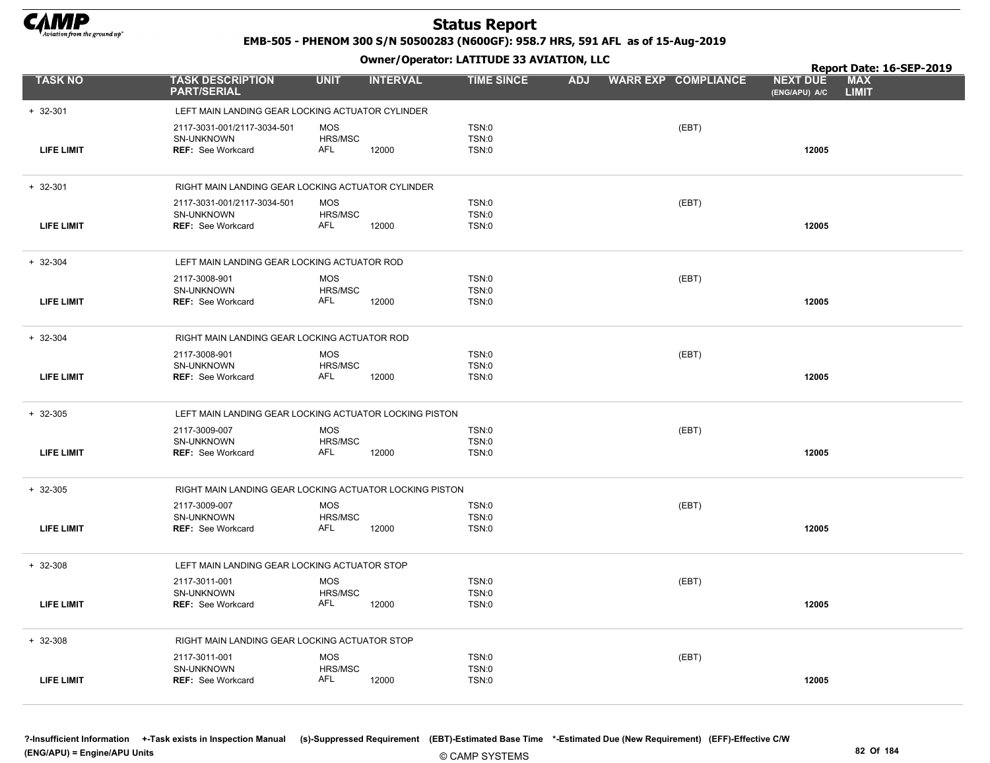

EMB-505 - PHENOM 300 S/N 50500283 (N600GF): 958.7 HRS, 591 AFL as of 15-Aug-2019

|                   |                                                                       |                                     |                 | Owner / Operator. LATTTODE 33 AVIATION, LLC |            |                            | Report Date: 16-SEP-2019         |                            |
|-------------------|-----------------------------------------------------------------------|-------------------------------------|-----------------|---------------------------------------------|------------|----------------------------|----------------------------------|----------------------------|
| <b>TASK NO</b>    | <b>TASK DESCRIPTION</b><br><b>PART/SERIAL</b>                         | <b>UNIT</b>                         | <b>INTERVAL</b> | <b>TIME SINCE</b>                           | <b>ADJ</b> | <b>WARR EXP COMPLIANCE</b> | <b>NEXT DUE</b><br>(ENG/APU) A/C | <b>MAX</b><br><b>LIMIT</b> |
| $+ 32 - 301$      | LEFT MAIN LANDING GEAR LOCKING ACTUATOR CYLINDER                      |                                     |                 |                                             |            |                            |                                  |                            |
| <b>LIFE LIMIT</b> | 2117-3031-001/2117-3034-501<br>SN-UNKNOWN<br><b>REF: See Workcard</b> | <b>MOS</b><br>HRS/MSC<br><b>AFL</b> | 12000           | TSN:0<br>TSN:0<br>TSN:0                     |            | (EBT)                      | 12005                            |                            |
| $+ 32 - 301$      | RIGHT MAIN LANDING GEAR LOCKING ACTUATOR CYLINDER                     |                                     |                 |                                             |            |                            |                                  |                            |
| <b>LIFE LIMIT</b> | 2117-3031-001/2117-3034-501<br>SN-UNKNOWN<br><b>REF: See Workcard</b> | <b>MOS</b><br>HRS/MSC<br>AFL        | 12000           | TSN:0<br><b>TSN:0</b><br>TSN:0              |            | (EBT)                      | 12005                            |                            |
| $+ 32 - 304$      | LEFT MAIN LANDING GEAR LOCKING ACTUATOR ROD                           |                                     |                 |                                             |            |                            |                                  |                            |
| <b>LIFE LIMIT</b> | 2117-3008-901<br><b>SN-UNKNOWN</b><br><b>REF: See Workcard</b>        | <b>MOS</b><br>HRS/MSC<br>AFL        | 12000           | TSN:0<br>TSN:0<br>TSN:0                     |            | (EBT)                      | 12005                            |                            |
| $+ 32 - 304$      | RIGHT MAIN LANDING GEAR LOCKING ACTUATOR ROD                          |                                     |                 |                                             |            |                            |                                  |                            |
| <b>LIFE LIMIT</b> | 2117-3008-901<br>SN-UNKNOWN<br>REF: See Workcard                      | <b>MOS</b><br>HRS/MSC<br><b>AFL</b> | 12000           | TSN:0<br>TSN:0<br>TSN:0                     |            | (EBT)                      | 12005                            |                            |
| $+ 32 - 305$      | LEFT MAIN LANDING GEAR LOCKING ACTUATOR LOCKING PISTON                |                                     |                 |                                             |            |                            |                                  |                            |
| <b>LIFE LIMIT</b> | 2117-3009-007<br>SN-UNKNOWN<br><b>REF: See Workcard</b>               | <b>MOS</b><br>HRS/MSC<br>AFL        | 12000           | TSN:0<br>TSN:0<br>TSN:0                     |            | (EBT)                      | 12005                            |                            |
| $+32-305$         | RIGHT MAIN LANDING GEAR LOCKING ACTUATOR LOCKING PISTON               |                                     |                 |                                             |            |                            |                                  |                            |
| <b>LIFE LIMIT</b> | 2117-3009-007<br>SN-UNKNOWN<br><b>REF: See Workcard</b>               | <b>MOS</b><br>HRS/MSC<br><b>AFL</b> | 12000           | TSN:0<br>TSN:0<br>TSN:0                     |            | (EBT)                      | 12005                            |                            |
| $+ 32 - 308$      | LEFT MAIN LANDING GEAR LOCKING ACTUATOR STOP                          |                                     |                 |                                             |            |                            |                                  |                            |
| <b>LIFE LIMIT</b> | 2117-3011-001<br>SN-UNKNOWN<br><b>REF: See Workcard</b>               | <b>MOS</b><br>HRS/MSC<br>AFL        | 12000           | TSN:0<br>TSN:0<br><b>TSN:0</b>              |            | (EBT)                      | 12005                            |                            |
| $+ 32 - 308$      | RIGHT MAIN LANDING GEAR LOCKING ACTUATOR STOP                         |                                     |                 |                                             |            |                            |                                  |                            |
| <b>LIFE LIMIT</b> | 2117-3011-001<br>SN-UNKNOWN<br><b>REF: See Workcard</b>               | <b>MOS</b><br>HRS/MSC<br><b>AFL</b> | 12000           | TSN:0<br>TSN:0<br>TSN:0                     |            | (EBT)                      | 12005                            |                            |
|                   |                                                                       |                                     |                 |                                             |            |                            |                                  |                            |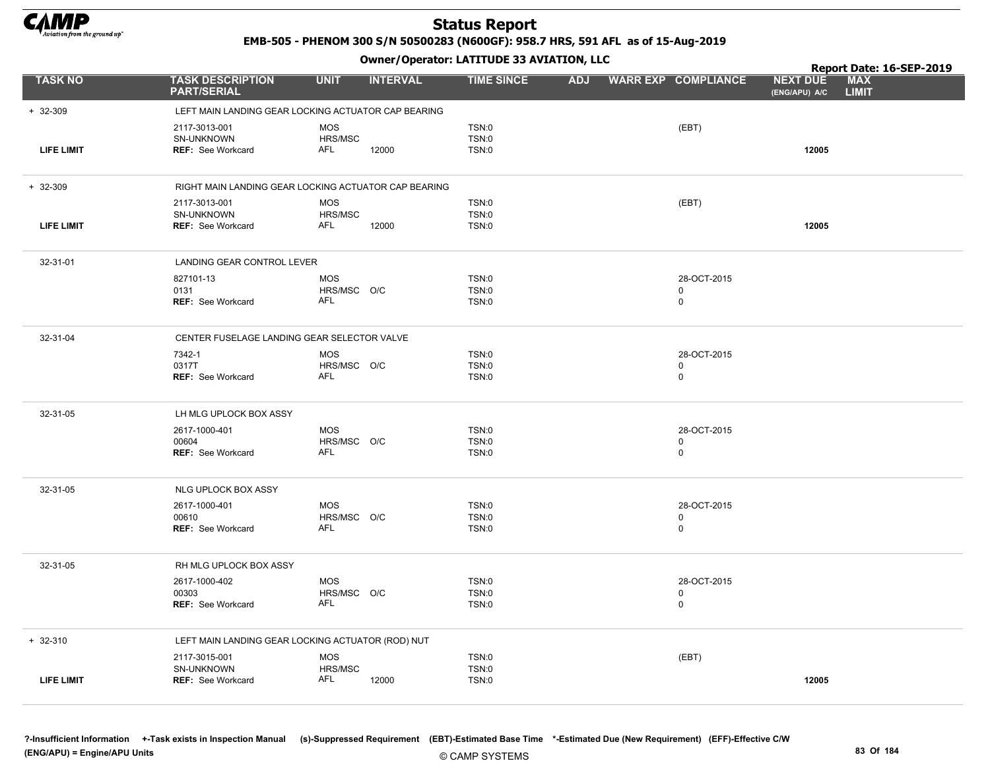

EMB-505 - PHENOM 300 S/N 50500283 (N600GF): 958.7 HRS, 591 AFL as of 15-Aug-2019

|                   |                                                         |                                                      | Owner / Operator. LATTTODE 33 AVIATION, LLC  |            |                                           | Report Date: 16-SEP-2019         |                            |  |
|-------------------|---------------------------------------------------------|------------------------------------------------------|----------------------------------------------|------------|-------------------------------------------|----------------------------------|----------------------------|--|
| <b>TASK NO</b>    | <b>TASK DESCRIPTION</b><br><b>PART/SERIAL</b>           | <b>UNIT</b><br><b>INTERVAL</b>                       | <b>TIME SINCE</b>                            | <b>ADJ</b> | <b>WARR EXP COMPLIANCE</b>                | <b>NEXT DUE</b><br>(ENG/APU) A/C | <b>MAX</b><br><b>LIMIT</b> |  |
| $+ 32 - 309$      |                                                         | LEFT MAIN LANDING GEAR LOCKING ACTUATOR CAP BEARING  |                                              |            |                                           |                                  |                            |  |
| <b>LIFE LIMIT</b> | 2117-3013-001<br>SN-UNKNOWN<br><b>REF: See Workcard</b> | <b>MOS</b><br>HRS/MSC<br>AFL<br>12000                | TSN:0<br><b>TSN:0</b><br><b>TSN:0</b>        |            | (EBT)                                     | 12005                            |                            |  |
| $+ 32 - 309$      |                                                         | RIGHT MAIN LANDING GEAR LOCKING ACTUATOR CAP BEARING |                                              |            |                                           |                                  |                            |  |
| <b>LIFE LIMIT</b> | 2117-3013-001<br>SN-UNKNOWN<br><b>REF: See Workcard</b> | <b>MOS</b><br>HRS/MSC<br>AFL<br>12000                | TSN:0<br><b>TSN:0</b><br><b>TSN:0</b>        |            | (EBT)                                     | 12005                            |                            |  |
| 32-31-01          | LANDING GEAR CONTROL LEVER                              |                                                      |                                              |            |                                           |                                  |                            |  |
|                   | 827101-13<br>0131<br>REF: See Workcard                  | <b>MOS</b><br>HRS/MSC O/C<br>AFL                     | <b>TSN:0</b><br><b>TSN:0</b><br><b>TSN:0</b> |            | 28-OCT-2015<br>0<br>$\mathbf 0$           |                                  |                            |  |
| 32-31-04          | CENTER FUSELAGE LANDING GEAR SELECTOR VALVE             |                                                      |                                              |            |                                           |                                  |                            |  |
|                   | 7342-1<br>0317T<br><b>REF: See Workcard</b>             | <b>MOS</b><br>HRS/MSC O/C<br>AFL                     | TSN:0<br>TSN:0<br><b>TSN:0</b>               |            | 28-OCT-2015<br>0<br>0                     |                                  |                            |  |
| 32-31-05          | LH MLG UPLOCK BOX ASSY                                  |                                                      |                                              |            |                                           |                                  |                            |  |
|                   | 2617-1000-401<br>00604<br><b>REF: See Workcard</b>      | <b>MOS</b><br>HRS/MSC O/C<br><b>AFL</b>              | <b>TSN:0</b><br><b>TSN:0</b><br>TSN:0        |            | 28-OCT-2015<br>$\mathbf 0$<br>$\mathbf 0$ |                                  |                            |  |
| 32-31-05          | NLG UPLOCK BOX ASSY                                     |                                                      |                                              |            |                                           |                                  |                            |  |
|                   | 2617-1000-401<br>00610<br><b>REF: See Workcard</b>      | <b>MOS</b><br>HRS/MSC O/C<br>AFL                     | TSN:0<br>TSN:0<br>TSN:0                      |            | 28-OCT-2015<br>0<br>$\mathbf 0$           |                                  |                            |  |
| 32-31-05          | RH MLG UPLOCK BOX ASSY                                  |                                                      |                                              |            |                                           |                                  |                            |  |
|                   | 2617-1000-402<br>00303<br>REF: See Workcard             | <b>MOS</b><br>HRS/MSC O/C<br>AFL                     | TSN:0<br>TSN:0<br>TSN:0                      |            | 28-OCT-2015<br>0<br>$\mathbf 0$           |                                  |                            |  |
| $+ 32 - 310$      |                                                         | LEFT MAIN LANDING GEAR LOCKING ACTUATOR (ROD) NUT    |                                              |            |                                           |                                  |                            |  |
| <b>LIFE LIMIT</b> | 2117-3015-001<br>SN-UNKNOWN<br><b>REF: See Workcard</b> | <b>MOS</b><br>HRS/MSC<br>AFL<br>12000                | TSN:0<br>TSN:0<br><b>TSN:0</b>               |            | (EBT)                                     | 12005                            |                            |  |
|                   |                                                         |                                                      |                                              |            |                                           |                                  |                            |  |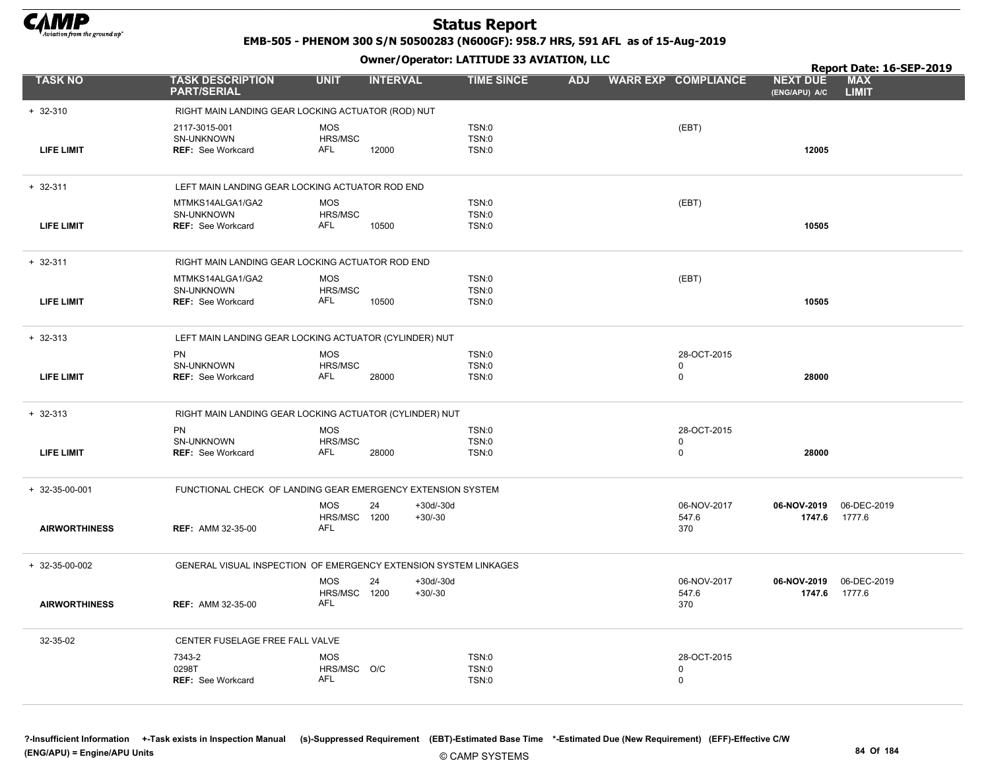

EMB-505 - PHENOM 300 S/N 50500283 (N600GF): 958.7 HRS, 591 AFL as of 15-Aug-2019

Owner/Operator: LATITUDE 33 AVIATION, LLC

|                      |                                                                  |                                                |                                  |                                       |            |                                           |                                  | Report Date: 16-SEP-2019   |
|----------------------|------------------------------------------------------------------|------------------------------------------------|----------------------------------|---------------------------------------|------------|-------------------------------------------|----------------------------------|----------------------------|
| <b>TASK NO</b>       | <b>TASK DESCRIPTION</b><br><b>PART/SERIAL</b>                    | <b>UNIT</b>                                    | <b>INTERVAL</b>                  | <b>TIME SINCE</b>                     | <b>ADJ</b> | <b>WARR EXP COMPLIANCE</b>                | <b>NEXT DUE</b><br>(ENG/APU) A/C | <b>MAX</b><br><b>LIMIT</b> |
| $+ 32 - 310$         | RIGHT MAIN LANDING GEAR LOCKING ACTUATOR (ROD) NUT               |                                                |                                  |                                       |            |                                           |                                  |                            |
| <b>LIFE LIMIT</b>    | 2117-3015-001<br>SN-UNKNOWN<br><b>REF: See Workcard</b>          | <b>MOS</b><br>HRS/MSC<br>AFL                   | 12000                            | TSN:0<br><b>TSN:0</b><br>TSN:0        |            | (EBT)                                     | 12005                            |                            |
| $+ 32 - 311$         | LEFT MAIN LANDING GEAR LOCKING ACTUATOR ROD END                  |                                                |                                  |                                       |            |                                           |                                  |                            |
| <b>LIFE LIMIT</b>    | MTMKS14ALGA1/GA2<br>SN-UNKNOWN<br><b>REF:</b> See Workcard       | MOS<br>HRS/MSC<br>AFL                          | 10500                            | TSN:0<br>TSN:0<br>TSN:0               |            | (EBT)                                     | 10505                            |                            |
| $+ 32 - 311$         | RIGHT MAIN LANDING GEAR LOCKING ACTUATOR ROD END                 |                                                |                                  |                                       |            |                                           |                                  |                            |
| <b>LIFE LIMIT</b>    | MTMKS14ALGA1/GA2<br>SN-UNKNOWN<br><b>REF: See Workcard</b>       | <b>MOS</b><br>HRS/MSC<br>AFL                   | 10500                            | TSN:0<br><b>TSN:0</b><br><b>TSN:0</b> |            | (EBT)                                     | 10505                            |                            |
| $+ 32 - 313$         | LEFT MAIN LANDING GEAR LOCKING ACTUATOR (CYLINDER) NUT           |                                                |                                  |                                       |            |                                           |                                  |                            |
| <b>LIFE LIMIT</b>    | PN<br>SN-UNKNOWN<br>REF: See Workcard                            | <b>MOS</b><br>HRS/MSC<br><b>AFL</b>            | 28000                            | TSN:0<br>TSN:0<br>TSN:0               |            | 28-OCT-2015<br>$\mathbf 0$<br>$\mathbf 0$ | 28000                            |                            |
| $+ 32 - 313$         | RIGHT MAIN LANDING GEAR LOCKING ACTUATOR (CYLINDER) NUT          |                                                |                                  |                                       |            |                                           |                                  |                            |
| <b>LIFE LIMIT</b>    | PN<br>SN-UNKNOWN<br><b>REF: See Workcard</b>                     | <b>MOS</b><br>HRS/MSC<br>AFL                   | 28000                            | TSN:0<br>TSN:0<br><b>TSN:0</b>        |            | 28-OCT-2015<br>0<br>$\mathbf 0$           | 28000                            |                            |
| + 32-35-00-001       | FUNCTIONAL CHECK OF LANDING GEAR EMERGENCY EXTENSION SYSTEM      |                                                |                                  |                                       |            |                                           |                                  |                            |
| <b>AIRWORTHINESS</b> | <b>REF: AMM 32-35-00</b>                                         | 24<br><b>MOS</b><br>HRS/MSC 1200<br><b>AFL</b> | $+30d/-30d$<br>$+30/-30$         |                                       |            | 06-NOV-2017<br>547.6<br>370               | 06-NOV-2019<br>1747.6            | 06-DEC-2019<br>1777.6      |
| + 32-35-00-002       | GENERAL VISUAL INSPECTION OF EMERGENCY EXTENSION SYSTEM LINKAGES |                                                |                                  |                                       |            |                                           |                                  |                            |
| <b>AIRWORTHINESS</b> | <b>REF: AMM 32-35-00</b>                                         | <b>MOS</b><br>24<br>HRS/MSC<br>AFL             | $+30d/-30d$<br>$+30/-30$<br>1200 |                                       |            | 06-NOV-2017<br>547.6<br>370               | 06-NOV-2019<br>1747.6            | 06-DEC-2019<br>1777.6      |
| 32-35-02             | CENTER FUSELAGE FREE FALL VALVE                                  |                                                |                                  |                                       |            |                                           |                                  |                            |
|                      | 7343-2<br>0298T<br><b>REF: See Workcard</b>                      | <b>MOS</b><br>HRS/MSC O/C<br>AFL               |                                  | TSN:0<br>TSN:0<br><b>TSN:0</b>        |            | 28-OCT-2015<br>0<br>0                     |                                  |                            |
|                      |                                                                  |                                                |                                  |                                       |            |                                           |                                  |                            |

?-Insufficient Information +-Task exists in Inspection Manual (s)-Suppressed Requirement (EBT)-Estimated Base Time \*-Estimated Due (New Requirement) (EFF)-Effective C/W (ENG/APU) = Engine/APU Units 84 Of 184 Companies and the CAMP SONTEINS 84 Of 184 Of 184 Of 184 Of 184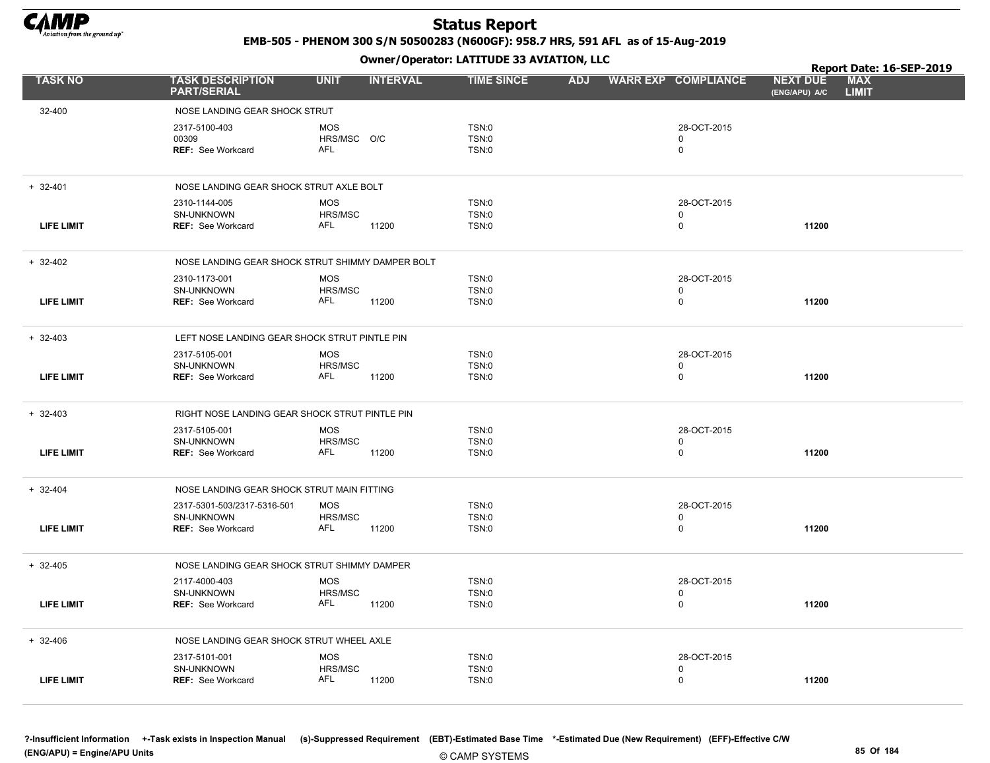

EMB-505 - PHENOM 300 S/N 50500283 (N600GF): 958.7 HRS, 591 AFL as of 15-Aug-2019

|                   |                                                                       | Owner / Operator. LATTTODE 33 AVIATION, LLC |                 |                         |            |  |                                           |                                  |                            |  |
|-------------------|-----------------------------------------------------------------------|---------------------------------------------|-----------------|-------------------------|------------|--|-------------------------------------------|----------------------------------|----------------------------|--|
| <b>TASK NO</b>    | <b>TASK DESCRIPTION</b><br><b>PART/SERIAL</b>                         | <b>UNIT</b>                                 | <b>INTERVAL</b> | <b>TIME SINCE</b>       | <b>ADJ</b> |  | <b>WARR EXP COMPLIANCE</b>                | <b>NEXT DUE</b><br>(ENG/APU) A/C | <b>MAX</b><br><b>LIMIT</b> |  |
| 32-400            | NOSE LANDING GEAR SHOCK STRUT                                         |                                             |                 |                         |            |  |                                           |                                  |                            |  |
|                   | 2317-5100-403<br>00309<br><b>REF: See Workcard</b>                    | <b>MOS</b><br>HRS/MSC O/C<br><b>AFL</b>     |                 | TSN:0<br>TSN:0<br>TSN:0 |            |  | 28-OCT-2015<br>0<br>$\mathsf 0$           |                                  |                            |  |
| $+ 32 - 401$      | NOSE LANDING GEAR SHOCK STRUT AXLE BOLT                               |                                             |                 |                         |            |  |                                           |                                  |                            |  |
| <b>LIFE LIMIT</b> | 2310-1144-005<br>SN-UNKNOWN<br><b>REF: See Workcard</b>               | <b>MOS</b><br>HRS/MSC<br>AFL                | 11200           | TSN:0<br>TSN:0<br>TSN:0 |            |  | 28-OCT-2015<br>0<br>$\mathbf 0$           | 11200                            |                            |  |
| $+ 32-402$        | NOSE LANDING GEAR SHOCK STRUT SHIMMY DAMPER BOLT                      |                                             |                 |                         |            |  |                                           |                                  |                            |  |
| <b>LIFE LIMIT</b> | 2310-1173-001<br>SN-UNKNOWN<br><b>REF: See Workcard</b>               | <b>MOS</b><br>HRS/MSC<br>AFL                | 11200           | TSN:0<br>TSN:0<br>TSN:0 |            |  | 28-OCT-2015<br>$\mathbf 0$<br>$\mathbf 0$ | 11200                            |                            |  |
| $+ 32 - 403$      | LEFT NOSE LANDING GEAR SHOCK STRUT PINTLE PIN                         |                                             |                 |                         |            |  |                                           |                                  |                            |  |
| <b>LIFE LIMIT</b> | 2317-5105-001<br><b>SN-UNKNOWN</b><br><b>REF: See Workcard</b>        | <b>MOS</b><br><b>HRS/MSC</b><br>AFL         | 11200           | TSN:0<br>TSN:0<br>TSN:0 |            |  | 28-OCT-2015<br>$\mathbf 0$<br>$\mathbf 0$ | 11200                            |                            |  |
| $+ 32-403$        | RIGHT NOSE LANDING GEAR SHOCK STRUT PINTLE PIN                        |                                             |                 |                         |            |  |                                           |                                  |                            |  |
| <b>LIFE LIMIT</b> | 2317-5105-001<br>SN-UNKNOWN<br><b>REF: See Workcard</b>               | <b>MOS</b><br>HRS/MSC<br>AFL                | 11200           | TSN:0<br>TSN:0<br>TSN:0 |            |  | 28-OCT-2015<br>0<br>$\mathbf 0$           | 11200                            |                            |  |
| $+ 32 - 404$      | NOSE LANDING GEAR SHOCK STRUT MAIN FITTING                            |                                             |                 |                         |            |  |                                           |                                  |                            |  |
| <b>LIFE LIMIT</b> | 2317-5301-503/2317-5316-501<br>SN-UNKNOWN<br><b>REF: See Workcard</b> | <b>MOS</b><br>HRS/MSC<br>AFL                | 11200           | TSN:0<br>TSN:0<br>TSN:0 |            |  | 28-OCT-2015<br>$\mathbf 0$<br>$\mathbf 0$ | 11200                            |                            |  |
| $+ 32-405$        | NOSE LANDING GEAR SHOCK STRUT SHIMMY DAMPER                           |                                             |                 |                         |            |  |                                           |                                  |                            |  |
| <b>LIFE LIMIT</b> | 2117-4000-403<br>SN-UNKNOWN<br><b>REF:</b> See Workcard               | <b>MOS</b><br>HRS/MSC<br><b>AFL</b>         | 11200           | TSN:0<br>TSN:0<br>TSN:0 |            |  | 28-OCT-2015<br>0<br>$\mathsf 0$           | 11200                            |                            |  |
| $+ 32 - 406$      | NOSE LANDING GEAR SHOCK STRUT WHEEL AXLE                              |                                             |                 |                         |            |  |                                           |                                  |                            |  |
| <b>LIFE LIMIT</b> | 2317-5101-001<br>SN-UNKNOWN<br><b>REF: See Workcard</b>               | <b>MOS</b><br>HRS/MSC<br><b>AFL</b>         | 11200           | TSN:0<br>TSN:0<br>TSN:0 |            |  | 28-OCT-2015<br>$\mathbf 0$<br>$\mathbf 0$ | 11200                            |                            |  |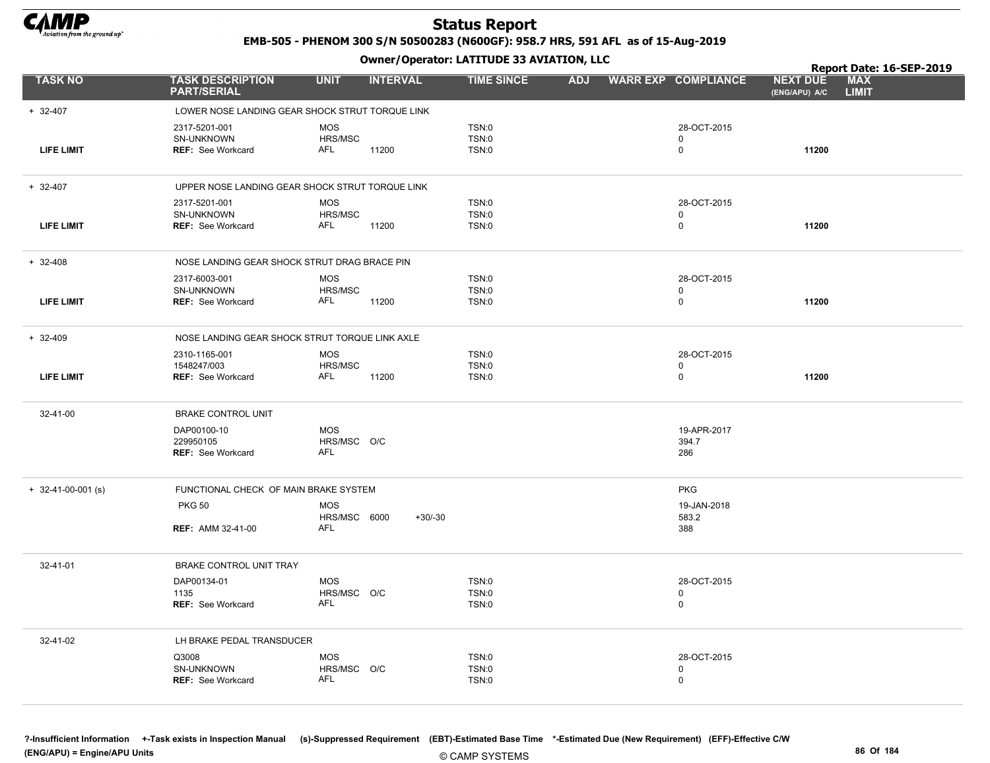

EMB-505 - PHENOM 300 S/N 50500283 (N600GF): 958.7 HRS, 591 AFL as of 15-Aug-2019

Owner/Operator: LATITUDE 33 AVIATION, LLC

|                      |                                                          | .                                       |                                |            |                             | Report Date: 16-SEP-2019                                       |
|----------------------|----------------------------------------------------------|-----------------------------------------|--------------------------------|------------|-----------------------------|----------------------------------------------------------------|
| <b>TASK NO</b>       | <b>TASK DESCRIPTION</b><br><b>PART/SERIAL</b>            | <b>UNIT</b><br><b>INTERVAL</b>          | <b>TIME SINCE</b>              | <b>ADJ</b> | <b>WARR EXP COMPLIANCE</b>  | <b>MAX</b><br><b>NEXT DUE</b><br>(ENG/APU) A/C<br><b>LIMIT</b> |
| $+ 32-407$           | LOWER NOSE LANDING GEAR SHOCK STRUT TORQUE LINK          |                                         |                                |            |                             |                                                                |
| <b>LIFE LIMIT</b>    | 2317-5201-001<br>SN-UNKNOWN<br><b>REF: See Workcard</b>  | <b>MOS</b><br>HRS/MSC<br>AFL<br>11200   | TSN:0<br><b>TSN:0</b><br>TSN:0 |            | 28-OCT-2015<br>0<br>0       | 11200                                                          |
| $+ 32-407$           | UPPER NOSE LANDING GEAR SHOCK STRUT TORQUE LINK          |                                         |                                |            |                             |                                                                |
| <b>LIFE LIMIT</b>    | 2317-5201-001<br>SN-UNKNOWN<br><b>REF: See Workcard</b>  | <b>MOS</b><br>HRS/MSC<br>AFL<br>11200   | TSN:0<br>TSN:0<br>TSN:0        |            | 28-OCT-2015<br>0<br>0       | 11200                                                          |
| $+ 32 - 408$         | NOSE LANDING GEAR SHOCK STRUT DRAG BRACE PIN             |                                         |                                |            |                             |                                                                |
|                      | 2317-6003-001                                            | <b>MOS</b>                              | TSN:0                          |            | 28-OCT-2015                 |                                                                |
| <b>LIFE LIMIT</b>    | SN-UNKNOWN<br><b>REF: See Workcard</b>                   | HRS/MSC<br>AFL<br>11200                 | TSN:0<br>TSN:0                 |            | 0<br>0                      | 11200                                                          |
| $+ 32-409$           | NOSE LANDING GEAR SHOCK STRUT TORQUE LINK AXLE           |                                         |                                |            |                             |                                                                |
| <b>LIFE LIMIT</b>    | 2310-1165-001<br>1548247/003<br><b>REF: See Workcard</b> | <b>MOS</b><br>HRS/MSC<br>AFL<br>11200   | TSN:0<br><b>TSN:0</b><br>TSN:0 |            | 28-OCT-2015<br>0<br>0       | 11200                                                          |
| 32-41-00             | <b>BRAKE CONTROL UNIT</b>                                |                                         |                                |            |                             |                                                                |
|                      | DAP00100-10<br>229950105<br><b>REF: See Workcard</b>     | <b>MOS</b><br>HRS/MSC O/C<br><b>AFL</b> |                                |            | 19-APR-2017<br>394.7<br>286 |                                                                |
| $+$ 32-41-00-001 (s) | FUNCTIONAL CHECK OF MAIN BRAKE SYSTEM                    |                                         |                                |            | <b>PKG</b>                  |                                                                |
|                      | <b>PKG 50</b>                                            | <b>MOS</b>                              |                                |            | 19-JAN-2018                 |                                                                |
|                      | <b>REF: AMM 32-41-00</b>                                 | HRS/MSC 6000<br><b>AFL</b>              | $+30/-30$                      |            | 583.2<br>388                |                                                                |
| 32-41-01             | BRAKE CONTROL UNIT TRAY                                  |                                         |                                |            |                             |                                                                |
|                      | DAP00134-01                                              | <b>MOS</b>                              | TSN:0                          |            | 28-OCT-2015                 |                                                                |
|                      | 1135<br>REF: See Workcard                                | HRS/MSC O/C<br><b>AFL</b>               | <b>TSN:0</b><br>TSN:0          |            | 0<br>$\mathbf 0$            |                                                                |
| 32-41-02             | LH BRAKE PEDAL TRANSDUCER                                |                                         |                                |            |                             |                                                                |
|                      | Q3008                                                    | <b>MOS</b>                              | TSN:0                          |            | 28-OCT-2015                 |                                                                |
|                      | SN-UNKNOWN<br>REF: See Workcard                          | HRS/MSC O/C<br><b>AFL</b>               | TSN:0<br>TSN:0                 |            | 0<br>$\mathbf 0$            |                                                                |

?-Insufficient Information +-Task exists in Inspection Manual (s)-Suppressed Requirement (EBT)-Estimated Base Time \*-Estimated Due (New Requirement) (EFF)-Effective C/W (ENG/APU) = Engine/APU Units 86 Of 184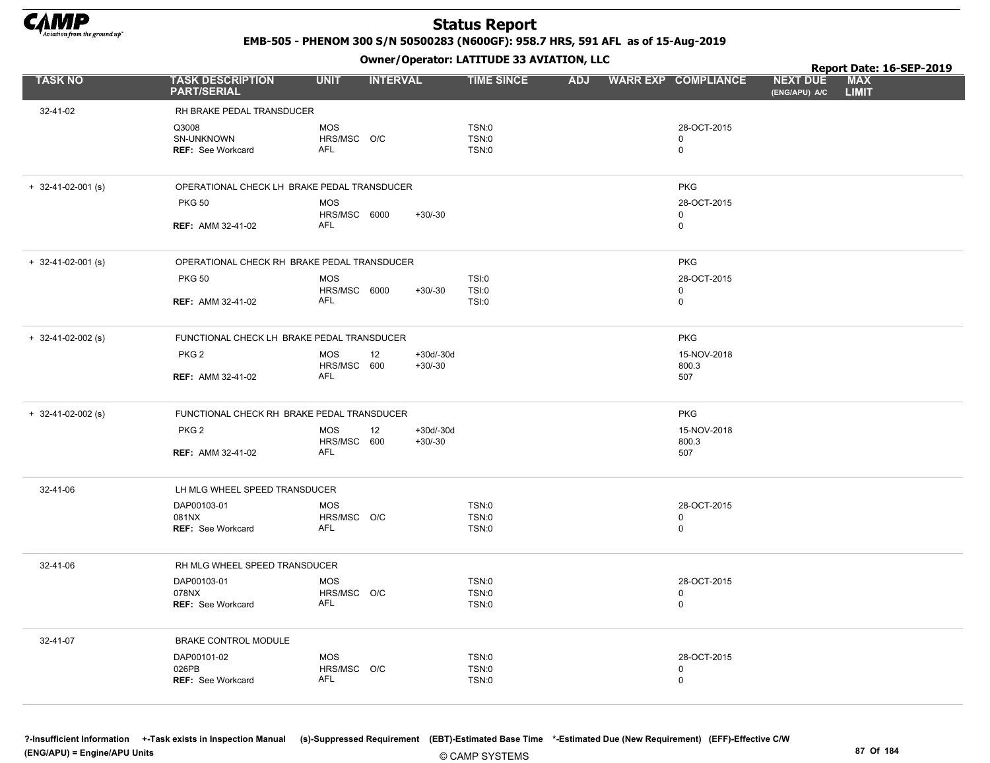

EMB-505 - PHENOM 300 S/N 50500283 (N600GF): 958.7 HRS, 591 AFL as of 15-Aug-2019

Owner/Operator: LATITUDE 33 AVIATION, LLC

|                      |                                                 |                                         |                                | Owner / Operator. LATTTODE 33 AVIATION, LLC |            |                                 | Report Date: 16-SEP-2019         |                            |  |
|----------------------|-------------------------------------------------|-----------------------------------------|--------------------------------|---------------------------------------------|------------|---------------------------------|----------------------------------|----------------------------|--|
| <b>TASK NO</b>       | <b>TASK DESCRIPTION</b><br><b>PART/SERIAL</b>   | <b>UNIT</b>                             | <b>INTERVAL</b>                | <b>TIME SINCE</b>                           | <b>ADJ</b> | <b>WARR EXP COMPLIANCE</b>      | <b>NEXT DUE</b><br>(ENG/APU) A/C | <b>MAX</b><br><b>LIMIT</b> |  |
| 32-41-02             | RH BRAKE PEDAL TRANSDUCER                       |                                         |                                |                                             |            |                                 |                                  |                            |  |
|                      | Q3008<br>SN-UNKNOWN<br><b>REF: See Workcard</b> | <b>MOS</b><br>HRS/MSC O/C<br><b>AFL</b> |                                | TSN:0<br><b>TSN:0</b><br><b>TSN:0</b>       |            | 28-OCT-2015<br>0<br>$\mathbf 0$ |                                  |                            |  |
| $+$ 32-41-02-001 (s) | OPERATIONAL CHECK LH BRAKE PEDAL TRANSDUCER     |                                         |                                |                                             |            | <b>PKG</b>                      |                                  |                            |  |
|                      | <b>PKG 50</b>                                   | <b>MOS</b><br>HRS/MSC 6000              | $+30/-30$                      |                                             |            | 28-OCT-2015<br>0                |                                  |                            |  |
|                      | <b>REF: AMM 32-41-02</b>                        | AFL                                     |                                |                                             |            | 0                               |                                  |                            |  |
| $+$ 32-41-02-001 (s) | OPERATIONAL CHECK RH BRAKE PEDAL TRANSDUCER     |                                         |                                |                                             |            | <b>PKG</b>                      |                                  |                            |  |
|                      | <b>PKG 50</b>                                   | <b>MOS</b><br>HRS/MSC 6000              | $+30/-30$                      | TSI:0<br><b>TSI:0</b>                       |            | 28-OCT-2015<br>0                |                                  |                            |  |
|                      | <b>REF: AMM 32-41-02</b>                        | <b>AFL</b>                              |                                | TSI:0                                       |            | 0                               |                                  |                            |  |
| $+$ 32-41-02-002 (s) | FUNCTIONAL CHECK LH BRAKE PEDAL TRANSDUCER      |                                         |                                |                                             |            | <b>PKG</b>                      |                                  |                            |  |
|                      | PKG <sub>2</sub>                                | <b>MOS</b><br>HRS/MSC 600               | 12<br>$+30d/-30d$<br>$+30/-30$ |                                             |            | 15-NOV-2018<br>800.3            |                                  |                            |  |
|                      | <b>REF: AMM 32-41-02</b>                        | <b>AFL</b>                              |                                |                                             |            | 507                             |                                  |                            |  |
| $+$ 32-41-02-002 (s) | FUNCTIONAL CHECK RH BRAKE PEDAL TRANSDUCER      |                                         |                                |                                             |            | <b>PKG</b>                      |                                  |                            |  |
|                      | PKG <sub>2</sub>                                | <b>MOS</b><br>HRS/MSC 600               | 12<br>$+30d/-30d$<br>$+30/-30$ |                                             |            | 15-NOV-2018<br>800.3            |                                  |                            |  |
|                      | <b>REF: AMM 32-41-02</b>                        | <b>AFL</b>                              |                                |                                             |            | 507                             |                                  |                            |  |
| 32-41-06             | LH MLG WHEEL SPEED TRANSDUCER                   |                                         |                                |                                             |            |                                 |                                  |                            |  |
|                      | DAP00103-01<br>081NX                            | <b>MOS</b><br>HRS/MSC O/C               |                                | TSN:0<br><b>TSN:0</b>                       |            | 28-OCT-2015<br>0                |                                  |                            |  |
|                      | <b>REF:</b> See Workcard                        | <b>AFL</b>                              |                                | TSN:0                                       |            | 0                               |                                  |                            |  |
| 32-41-06             | RH MLG WHEEL SPEED TRANSDUCER                   |                                         |                                |                                             |            |                                 |                                  |                            |  |
|                      | DAP00103-01<br>078NX                            | <b>MOS</b><br>HRS/MSC O/C               |                                | TSN:0<br>TSN:0                              |            | 28-OCT-2015<br>0                |                                  |                            |  |
|                      | REF: See Workcard                               | AFL                                     |                                | TSN:0                                       |            | 0                               |                                  |                            |  |
| 32-41-07             | BRAKE CONTROL MODULE                            |                                         |                                |                                             |            |                                 |                                  |                            |  |
|                      | DAP00101-02<br>026PB                            | <b>MOS</b><br>HRS/MSC O/C               |                                | TSN:0<br><b>TSN:0</b>                       |            | 28-OCT-2015<br>0                |                                  |                            |  |
|                      | <b>REF: See Workcard</b>                        | <b>AFL</b>                              |                                | TSN:0                                       |            | 0                               |                                  |                            |  |
|                      |                                                 |                                         |                                |                                             |            |                                 |                                  |                            |  |

© CAMP SYSTEMS ?-Insufficient Information +-Task exists in Inspection Manual (s)-Suppressed Requirement (EBT)-Estimated Base Time \*-Estimated Due (New Requirement) (EFF)-Effective C/W (ENG/APU) = Engine/APU Units 87 Of 184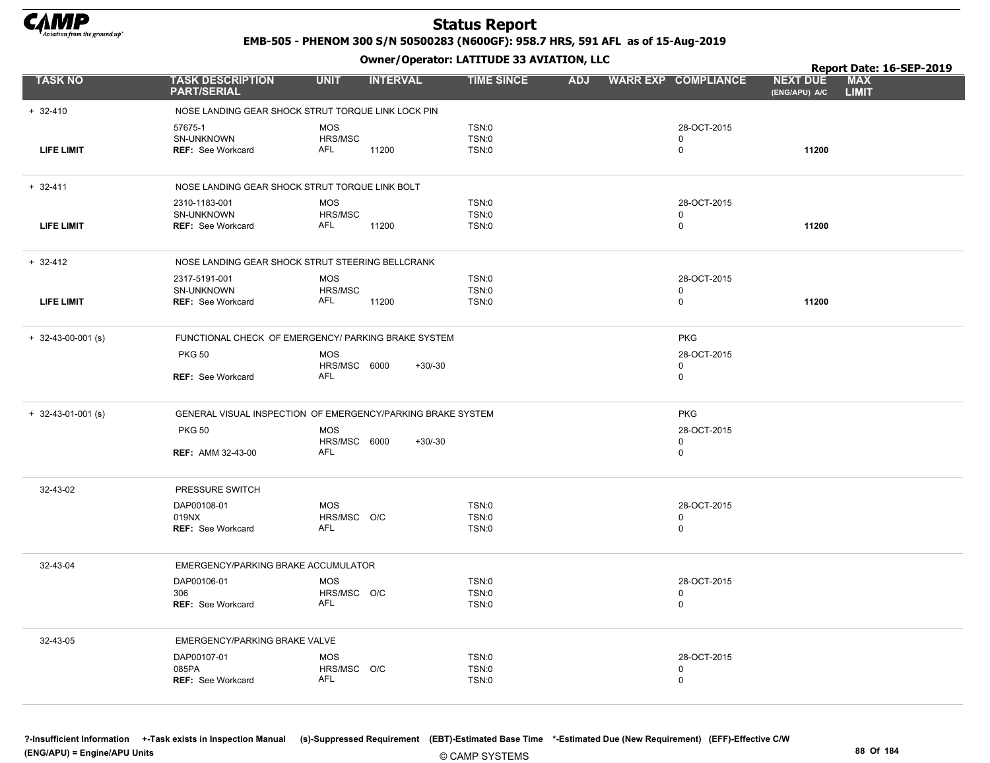

EMB-505 - PHENOM 300 S/N 50500283 (N600GF): 958.7 HRS, 591 AFL as of 15-Aug-2019

|                      |                                                                | .                                                           |                                |            |                                           | Report Date: 16-SEP-2019                                       |  |
|----------------------|----------------------------------------------------------------|-------------------------------------------------------------|--------------------------------|------------|-------------------------------------------|----------------------------------------------------------------|--|
| <b>TASK NO</b>       | <b>TASK DESCRIPTION</b><br><b>PART/SERIAL</b>                  | <b>UNIT</b><br><b>INTERVAL</b>                              | <b>TIME SINCE</b>              | <b>ADJ</b> | <b>WARR EXP COMPLIANCE</b>                | <b>MAX</b><br><b>NEXT DUE</b><br>(ENG/APU) A/C<br><b>LIMIT</b> |  |
| $+ 32-410$           |                                                                | NOSE LANDING GEAR SHOCK STRUT TORQUE LINK LOCK PIN          |                                |            |                                           |                                                                |  |
| <b>LIFE LIMIT</b>    | 57675-1<br>SN-UNKNOWN<br><b>REF: See Workcard</b>              | <b>MOS</b><br>HRS/MSC<br>AFL<br>11200                       | TSN:0<br>TSN:0<br><b>TSN:0</b> |            | 28-OCT-2015<br>$\mathbf 0$<br>$\mathbf 0$ | 11200                                                          |  |
| $+ 32 - 411$         |                                                                | NOSE LANDING GEAR SHOCK STRUT TORQUE LINK BOLT              |                                |            |                                           |                                                                |  |
| <b>LIFE LIMIT</b>    | 2310-1183-001<br><b>SN-UNKNOWN</b><br><b>REF: See Workcard</b> | <b>MOS</b><br>HRS/MSC<br>AFL<br>11200                       | TSN:0<br>TSN:0<br>TSN:0        |            | 28-OCT-2015<br>$\mathbf 0$<br>0           | 11200                                                          |  |
| $+ 32 - 412$         |                                                                | NOSE LANDING GEAR SHOCK STRUT STEERING BELLCRANK            |                                |            |                                           |                                                                |  |
|                      | 2317-5191-001                                                  | <b>MOS</b>                                                  | TSN:0                          |            | 28-OCT-2015                               |                                                                |  |
|                      | SN-UNKNOWN                                                     | HRS/MSC                                                     | TSN:0                          |            | 0                                         |                                                                |  |
| <b>LIFE LIMIT</b>    | <b>REF: See Workcard</b>                                       | AFL<br>11200                                                | TSN:0                          |            | 0                                         | 11200                                                          |  |
| $+$ 32-43-00-001 (s) |                                                                | FUNCTIONAL CHECK OF EMERGENCY/ PARKING BRAKE SYSTEM         |                                |            | <b>PKG</b>                                |                                                                |  |
|                      | <b>PKG 50</b>                                                  | <b>MOS</b>                                                  |                                |            | 28-OCT-2015                               |                                                                |  |
|                      | <b>REF: See Workcard</b>                                       | HRS/MSC 6000<br>$+30/-30$<br>AFL                            |                                |            | 0<br>$\mathbf 0$                          |                                                                |  |
| $+$ 32-43-01-001 (s) |                                                                | GENERAL VISUAL INSPECTION OF EMERGENCY/PARKING BRAKE SYSTEM | <b>PKG</b>                     |            |                                           |                                                                |  |
|                      | <b>PKG 50</b>                                                  | <b>MOS</b><br>HRS/MSC 6000<br>$+30/-30$                     |                                |            | 28-OCT-2015<br>0                          |                                                                |  |
|                      | <b>REF: AMM 32-43-00</b>                                       | <b>AFL</b>                                                  |                                |            | $\mathbf 0$                               |                                                                |  |
| 32-43-02             | PRESSURE SWITCH                                                |                                                             |                                |            |                                           |                                                                |  |
|                      | DAP00108-01                                                    | <b>MOS</b>                                                  | TSN:0                          |            | 28-OCT-2015                               |                                                                |  |
|                      | 019NX<br><b>REF: See Workcard</b>                              | HRS/MSC O/C<br><b>AFL</b>                                   | TSN:0<br>TSN:0                 |            | 0<br>0                                    |                                                                |  |
| 32-43-04             | EMERGENCY/PARKING BRAKE ACCUMULATOR                            |                                                             |                                |            |                                           |                                                                |  |
|                      | DAP00106-01                                                    | <b>MOS</b>                                                  | TSN:0                          |            | 28-OCT-2015                               |                                                                |  |
|                      | 306                                                            | HRS/MSC O/C                                                 | TSN:0                          |            | 0                                         |                                                                |  |
|                      | REF: See Workcard                                              | AFL                                                         | TSN:0                          |            | 0                                         |                                                                |  |
| 32-43-05             | EMERGENCY/PARKING BRAKE VALVE                                  |                                                             |                                |            |                                           |                                                                |  |
|                      | DAP00107-01                                                    | <b>MOS</b>                                                  | TSN:0                          |            | 28-OCT-2015                               |                                                                |  |
|                      | 085PA                                                          | HRS/MSC O/C                                                 | TSN:0                          |            | 0                                         |                                                                |  |
|                      | REF: See Workcard                                              | <b>AFL</b>                                                  | TSN:0                          |            | $\mathbf 0$                               |                                                                |  |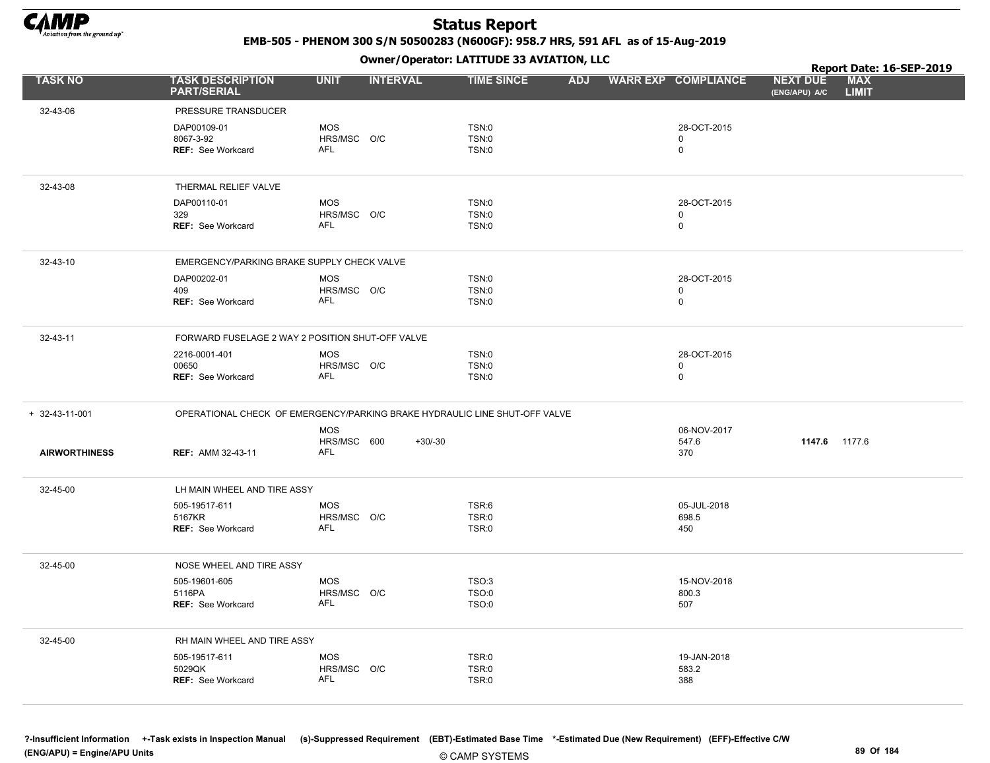

EMB-505 - PHENOM 300 S/N 50500283 (N600GF): 958.7 HRS, 591 AFL as of 15-Aug-2019

Owner/Operator: LATITUDE 33 AVIATION, LLC

|                      |                                                                            |                           | .               |                   |            |                            |                                  | Report Date: 16-SEP-2019   |
|----------------------|----------------------------------------------------------------------------|---------------------------|-----------------|-------------------|------------|----------------------------|----------------------------------|----------------------------|
| <b>TASK NO</b>       | <b>TASK DESCRIPTION</b><br><b>PART/SERIAL</b>                              | <b>UNIT</b>               | <b>INTERVAL</b> | <b>TIME SINCE</b> | <b>ADJ</b> | <b>WARR EXP COMPLIANCE</b> | <b>NEXT DUE</b><br>(ENG/APU) A/C | <b>MAX</b><br><b>LIMIT</b> |
| 32-43-06             | PRESSURE TRANSDUCER                                                        |                           |                 |                   |            |                            |                                  |                            |
|                      | DAP00109-01                                                                | <b>MOS</b>                |                 | TSN:0             |            | 28-OCT-2015                |                                  |                            |
|                      | 8067-3-92                                                                  | HRS/MSC O/C               |                 | TSN:0             |            | $\mathbf 0$                |                                  |                            |
|                      | <b>REF: See Workcard</b>                                                   | AFL                       |                 | <b>TSN:0</b>      |            | $\mathbf 0$                |                                  |                            |
| 32-43-08             | THERMAL RELIEF VALVE                                                       |                           |                 |                   |            |                            |                                  |                            |
|                      | DAP00110-01                                                                | <b>MOS</b>                |                 | TSN:0             |            | 28-OCT-2015                |                                  |                            |
|                      | 329                                                                        | HRS/MSC O/C               |                 | TSN:0             |            | $\mathbf 0$                |                                  |                            |
|                      | <b>REF: See Workcard</b>                                                   | <b>AFL</b>                |                 | TSN:0             |            | $\mathbf 0$                |                                  |                            |
| 32-43-10             | EMERGENCY/PARKING BRAKE SUPPLY CHECK VALVE                                 |                           |                 |                   |            |                            |                                  |                            |
|                      | DAP00202-01                                                                | <b>MOS</b>                |                 | TSN:0             |            | 28-OCT-2015                |                                  |                            |
|                      | 409                                                                        | HRS/MSC O/C               |                 | TSN:0             |            | 0                          |                                  |                            |
|                      | <b>REF: See Workcard</b>                                                   | <b>AFL</b>                |                 | <b>TSN:0</b>      |            | $\mathbf 0$                |                                  |                            |
| 32-43-11             | FORWARD FUSELAGE 2 WAY 2 POSITION SHUT-OFF VALVE                           |                           |                 |                   |            |                            |                                  |                            |
|                      | 2216-0001-401                                                              | <b>MOS</b>                |                 | TSN:0             |            | 28-OCT-2015                |                                  |                            |
|                      | 00650                                                                      | HRS/MSC O/C<br><b>AFL</b> |                 | <b>TSN:0</b>      |            | $\mathbf 0$<br>$\mathbf 0$ |                                  |                            |
|                      | REF: See Workcard                                                          |                           |                 | TSN:0             |            |                            |                                  |                            |
| + 32-43-11-001       | OPERATIONAL CHECK OF EMERGENCY/PARKING BRAKE HYDRAULIC LINE SHUT-OFF VALVE |                           |                 |                   |            |                            |                                  |                            |
|                      |                                                                            | <b>MOS</b>                |                 |                   |            | 06-NOV-2017                |                                  |                            |
| <b>AIRWORTHINESS</b> | <b>REF: AMM 32-43-11</b>                                                   | HRS/MSC 600<br><b>AFL</b> | $+30/-30$       |                   |            | 547.6<br>370               | 1147.6 1177.6                    |                            |
| 32-45-00             | LH MAIN WHEEL AND TIRE ASSY                                                |                           |                 |                   |            |                            |                                  |                            |
|                      | 505-19517-611                                                              | <b>MOS</b>                |                 | TSR:6             |            | 05-JUL-2018                |                                  |                            |
|                      | 5167KR<br><b>REF: See Workcard</b>                                         | HRS/MSC O/C<br>AFL        |                 | TSR:0<br>TSR:0    |            | 698.5<br>450               |                                  |                            |
|                      |                                                                            |                           |                 |                   |            |                            |                                  |                            |
| 32-45-00             | NOSE WHEEL AND TIRE ASSY                                                   |                           |                 |                   |            |                            |                                  |                            |
|                      | 505-19601-605                                                              | <b>MOS</b>                |                 | <b>TSO:3</b>      |            | 15-NOV-2018                |                                  |                            |
|                      | 5116PA<br><b>REF: See Workcard</b>                                         | HRS/MSC O/C<br>AFL        |                 | TSO:0<br>TSO:0    |            | 800.3<br>507               |                                  |                            |
|                      |                                                                            |                           |                 |                   |            |                            |                                  |                            |
| 32-45-00             | RH MAIN WHEEL AND TIRE ASSY                                                |                           |                 |                   |            |                            |                                  |                            |
|                      | 505-19517-611                                                              | <b>MOS</b>                |                 | TSR:0             |            | 19-JAN-2018                |                                  |                            |
|                      | 5029QK<br><b>REF: See Workcard</b>                                         | HRS/MSC O/C<br>AFL        |                 | TSR:0<br>TSR:0    |            | 583.2<br>388               |                                  |                            |
|                      |                                                                            |                           |                 |                   |            |                            |                                  |                            |

?-Insufficient Information +-Task exists in Inspection Manual (s)-Suppressed Requirement (EBT)-Estimated Base Time \*-Estimated Due (New Requirement) (EFF)-Effective C/W (ENG/APU) = Engine/APU Units 89 Of 184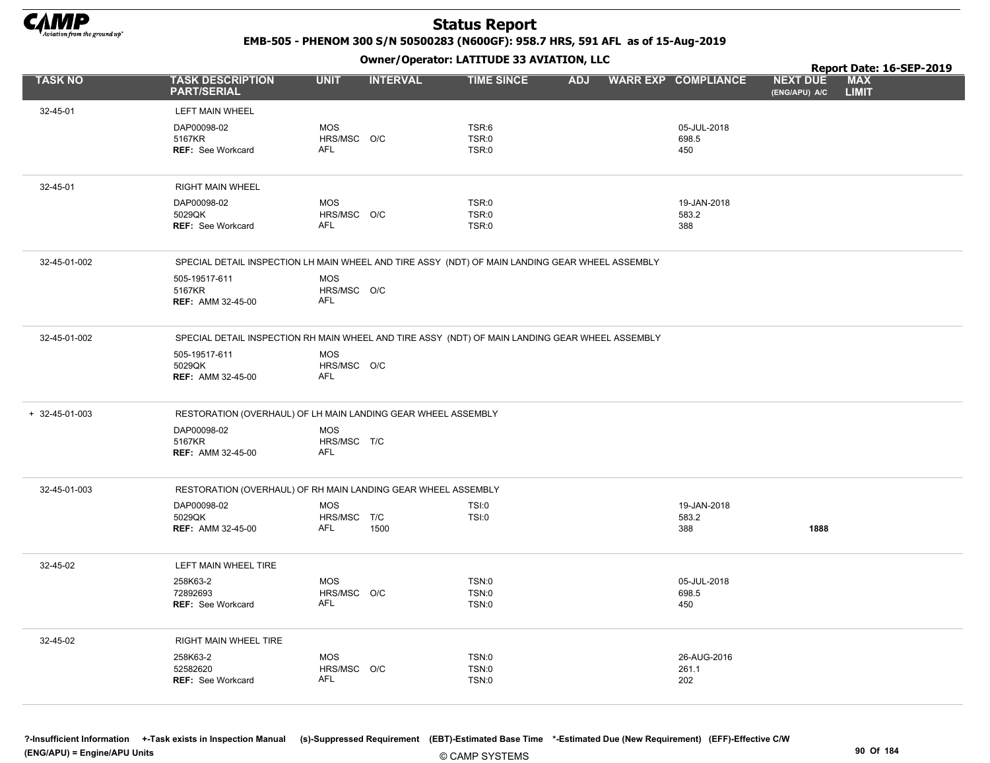

EMB-505 - PHENOM 300 S/N 50500283 (N600GF): 958.7 HRS, 591 AFL as of 15-Aug-2019

Owner/Operator: LATITUDE 33 AVIATION, LLC

|                |                                                                                                 |                           | .               |                       |            |  |                            |                                  | Report Date: 16-SEP-2019   |  |  |  |
|----------------|-------------------------------------------------------------------------------------------------|---------------------------|-----------------|-----------------------|------------|--|----------------------------|----------------------------------|----------------------------|--|--|--|
| <b>TASK NO</b> | <b>TASK DESCRIPTION</b><br><b>PART/SERIAL</b>                                                   | <b>UNIT</b>               | <b>INTERVAL</b> | <b>TIME SINCE</b>     | <b>ADJ</b> |  | <b>WARR EXP COMPLIANCE</b> | <b>NEXT DUE</b><br>(ENG/APU) A/C | <b>MAX</b><br><b>LIMIT</b> |  |  |  |
| 32-45-01       | LEFT MAIN WHEEL                                                                                 |                           |                 |                       |            |  |                            |                                  |                            |  |  |  |
|                | DAP00098-02                                                                                     | <b>MOS</b>                |                 | TSR:6                 |            |  | 05-JUL-2018                |                                  |                            |  |  |  |
|                | 5167KR<br>REF: See Workcard                                                                     | HRS/MSC O/C<br><b>AFL</b> |                 | TSR:0<br>TSR:0        |            |  | 698.5<br>450               |                                  |                            |  |  |  |
|                |                                                                                                 |                           |                 |                       |            |  |                            |                                  |                            |  |  |  |
| 32-45-01       | RIGHT MAIN WHEEL                                                                                |                           |                 |                       |            |  |                            |                                  |                            |  |  |  |
|                | DAP00098-02                                                                                     | <b>MOS</b>                |                 | TSR:0                 |            |  | 19-JAN-2018                |                                  |                            |  |  |  |
|                | 5029QK<br><b>REF: See Workcard</b>                                                              | HRS/MSC O/C<br><b>AFL</b> |                 | TSR:0<br>TSR:0        |            |  | 583.2<br>388               |                                  |                            |  |  |  |
|                |                                                                                                 |                           |                 |                       |            |  |                            |                                  |                            |  |  |  |
| 32-45-01-002   | SPECIAL DETAIL INSPECTION LH MAIN WHEEL AND TIRE ASSY (NDT) OF MAIN LANDING GEAR WHEEL ASSEMBLY |                           |                 |                       |            |  |                            |                                  |                            |  |  |  |
|                | 505-19517-611<br>5167KR                                                                         | <b>MOS</b><br>HRS/MSC O/C |                 |                       |            |  |                            |                                  |                            |  |  |  |
|                | <b>REF: AMM 32-45-00</b>                                                                        | <b>AFL</b>                |                 |                       |            |  |                            |                                  |                            |  |  |  |
|                |                                                                                                 |                           |                 |                       |            |  |                            |                                  |                            |  |  |  |
| 32-45-01-002   | SPECIAL DETAIL INSPECTION RH MAIN WHEEL AND TIRE ASSY (NDT) OF MAIN LANDING GEAR WHEEL ASSEMBLY |                           |                 |                       |            |  |                            |                                  |                            |  |  |  |
|                | 505-19517-611<br>5029QK                                                                         | <b>MOS</b><br>HRS/MSC O/C |                 |                       |            |  |                            |                                  |                            |  |  |  |
|                | <b>REF: AMM 32-45-00</b>                                                                        | <b>AFL</b>                |                 |                       |            |  |                            |                                  |                            |  |  |  |
|                |                                                                                                 |                           |                 |                       |            |  |                            |                                  |                            |  |  |  |
| + 32-45-01-003 | RESTORATION (OVERHAUL) OF LH MAIN LANDING GEAR WHEEL ASSEMBLY                                   |                           |                 |                       |            |  |                            |                                  |                            |  |  |  |
|                | DAP00098-02<br>5167KR                                                                           | <b>MOS</b><br>HRS/MSC T/C |                 |                       |            |  |                            |                                  |                            |  |  |  |
|                | <b>REF: AMM 32-45-00</b>                                                                        | <b>AFL</b>                |                 |                       |            |  |                            |                                  |                            |  |  |  |
|                |                                                                                                 |                           |                 |                       |            |  |                            |                                  |                            |  |  |  |
| 32-45-01-003   | RESTORATION (OVERHAUL) OF RH MAIN LANDING GEAR WHEEL ASSEMBLY                                   |                           |                 |                       |            |  |                            |                                  |                            |  |  |  |
|                | DAP00098-02<br>5029QK                                                                           | <b>MOS</b><br>HRS/MSC T/C |                 | <b>TSI:0</b><br>TSI:0 |            |  | 19-JAN-2018<br>583.2       |                                  |                            |  |  |  |
|                | <b>REF: AMM 32-45-00</b>                                                                        | AFL                       | 1500            |                       |            |  | 388                        | 1888                             |                            |  |  |  |
|                |                                                                                                 |                           |                 |                       |            |  |                            |                                  |                            |  |  |  |
| 32-45-02       | LEFT MAIN WHEEL TIRE                                                                            |                           |                 |                       |            |  |                            |                                  |                            |  |  |  |
|                | 258K63-2<br>72892693                                                                            | <b>MOS</b><br>HRS/MSC O/C |                 | TSN:0<br>TSN:0        |            |  | 05-JUL-2018<br>698.5       |                                  |                            |  |  |  |
|                | <b>REF: See Workcard</b>                                                                        | AFL                       |                 | TSN:0                 |            |  | 450                        |                                  |                            |  |  |  |
|                |                                                                                                 |                           |                 |                       |            |  |                            |                                  |                            |  |  |  |
| 32-45-02       | RIGHT MAIN WHEEL TIRE                                                                           |                           |                 |                       |            |  |                            |                                  |                            |  |  |  |
|                | 258K63-2<br>52582620                                                                            | <b>MOS</b><br>HRS/MSC O/C |                 | TSN:0<br>TSN:0        |            |  | 26-AUG-2016<br>261.1       |                                  |                            |  |  |  |
|                | <b>REF: See Workcard</b>                                                                        | AFL                       |                 | TSN:0                 |            |  | 202                        |                                  |                            |  |  |  |
|                |                                                                                                 |                           |                 |                       |            |  |                            |                                  |                            |  |  |  |
|                |                                                                                                 |                           |                 |                       |            |  |                            |                                  |                            |  |  |  |

?-Insufficient Information +-Task exists in Inspection Manual (s)-Suppressed Requirement (EBT)-Estimated Base Time \*-Estimated Due (New Requirement) (EFF)-Effective C/W (ENG/APU) = Engine/APU Units 90 Of 184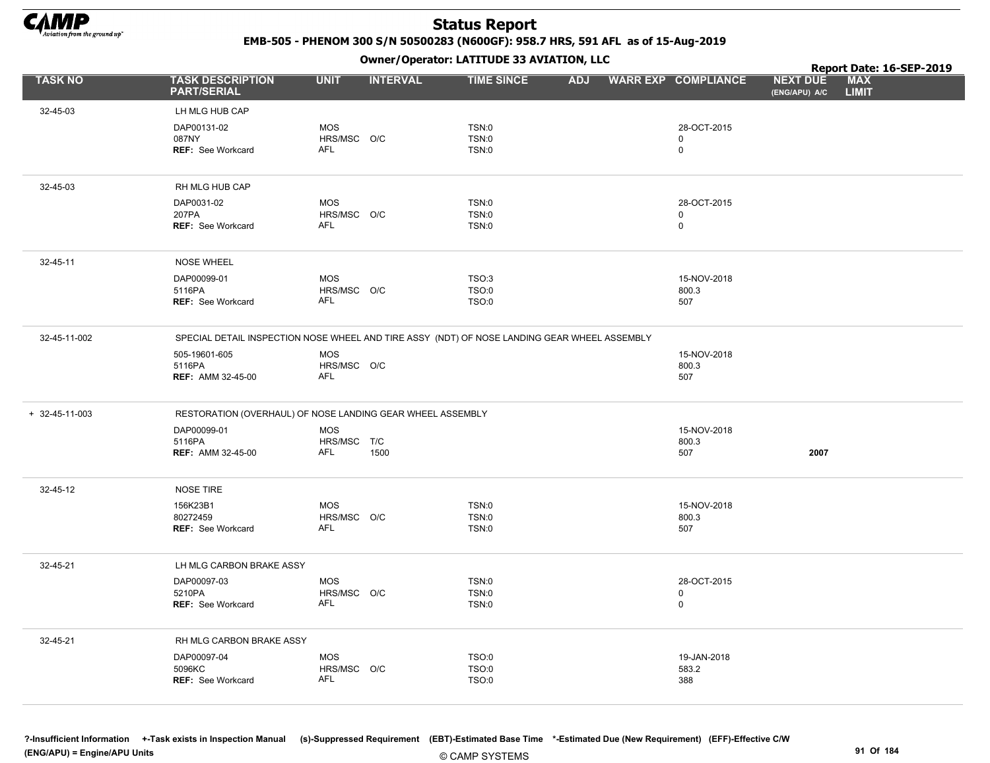

EMB-505 - PHENOM 300 S/N 50500283 (N600GF): 958.7 HRS, 591 AFL as of 15-Aug-2019

Owner/Operator: LATITUDE 33 AVIATION, LLC

|                        |                                                                                              |                           | .               |                   |            |                            |                                  | Report Date: 16-SEP-2019   |
|------------------------|----------------------------------------------------------------------------------------------|---------------------------|-----------------|-------------------|------------|----------------------------|----------------------------------|----------------------------|
| <b>TASK NO</b>         | <b>TASK DESCRIPTION</b><br><b>PART/SERIAL</b>                                                | <b>UNIT</b>               | <b>INTERVAL</b> | <b>TIME SINCE</b> | <b>ADJ</b> | <b>WARR EXP COMPLIANCE</b> | <b>NEXT DUE</b><br>(ENG/APU) A/C | <b>MAX</b><br><b>LIMIT</b> |
| 32-45-03               | LH MLG HUB CAP                                                                               |                           |                 |                   |            |                            |                                  |                            |
|                        | DAP00131-02                                                                                  | <b>MOS</b>                |                 | TSN:0             |            | 28-OCT-2015                |                                  |                            |
|                        | 087NY                                                                                        | HRS/MSC O/C               |                 | TSN:0             |            | 0                          |                                  |                            |
|                        | REF: See Workcard                                                                            | AFL                       |                 | TSN:0             |            | $\mathbf 0$                |                                  |                            |
| 32-45-03               | RH MLG HUB CAP                                                                               |                           |                 |                   |            |                            |                                  |                            |
|                        | DAP0031-02                                                                                   | <b>MOS</b>                |                 | TSN:0             |            | 28-OCT-2015                |                                  |                            |
|                        | 207PA                                                                                        | HRS/MSC O/C               |                 | TSN:0             |            | 0                          |                                  |                            |
|                        | REF: See Workcard                                                                            | AFL                       |                 | TSN:0             |            | 0                          |                                  |                            |
| 32-45-11               | <b>NOSE WHEEL</b>                                                                            |                           |                 |                   |            |                            |                                  |                            |
|                        | DAP00099-01                                                                                  | <b>MOS</b>                |                 | TSO:3             |            | 15-NOV-2018                |                                  |                            |
|                        | 5116PA                                                                                       | HRS/MSC O/C               |                 | TSO:0             |            | 800.3                      |                                  |                            |
|                        | <b>REF: See Workcard</b>                                                                     | <b>AFL</b>                |                 | TSO:0             |            | 507                        |                                  |                            |
| 32-45-11-002           | SPECIAL DETAIL INSPECTION NOSE WHEEL AND TIRE ASSY (NDT) OF NOSE LANDING GEAR WHEEL ASSEMBLY |                           |                 |                   |            |                            |                                  |                            |
|                        | 505-19601-605                                                                                | <b>MOS</b>                |                 |                   |            | 15-NOV-2018                |                                  |                            |
|                        | 5116PA                                                                                       | HRS/MSC O/C               |                 |                   |            | 800.3                      |                                  |                            |
|                        | <b>REF: AMM 32-45-00</b>                                                                     | <b>AFL</b>                |                 |                   |            | 507                        |                                  |                            |
| $+ 32 - 45 - 11 - 003$ | RESTORATION (OVERHAUL) OF NOSE LANDING GEAR WHEEL ASSEMBLY                                   |                           |                 |                   |            |                            |                                  |                            |
|                        | DAP00099-01                                                                                  | <b>MOS</b>                |                 |                   |            | 15-NOV-2018                |                                  |                            |
|                        | 5116PA<br><b>REF: AMM 32-45-00</b>                                                           | HRS/MSC T/C<br><b>AFL</b> | 1500            |                   |            | 800.3<br>507               | 2007                             |                            |
|                        |                                                                                              |                           |                 |                   |            |                            |                                  |                            |
| 32-45-12               | <b>NOSE TIRE</b>                                                                             |                           |                 |                   |            |                            |                                  |                            |
|                        | 156K23B1                                                                                     | <b>MOS</b>                |                 | TSN:0             |            | 15-NOV-2018                |                                  |                            |
|                        | 80272459<br><b>REF: See Workcard</b>                                                         | HRS/MSC O/C<br><b>AFL</b> |                 | TSN:0<br>TSN:0    |            | 800.3<br>507               |                                  |                            |
|                        |                                                                                              |                           |                 |                   |            |                            |                                  |                            |
| 32-45-21               | LH MLG CARBON BRAKE ASSY                                                                     |                           |                 |                   |            |                            |                                  |                            |
|                        | DAP00097-03                                                                                  | <b>MOS</b>                |                 | TSN:0             |            | 28-OCT-2015                |                                  |                            |
|                        | 5210PA<br>REF: See Workcard                                                                  | HRS/MSC O/C<br>AFL        |                 | TSN:0<br>TSN:0    |            | 0<br>0                     |                                  |                            |
|                        |                                                                                              |                           |                 |                   |            |                            |                                  |                            |
| 32-45-21               | RH MLG CARBON BRAKE ASSY                                                                     |                           |                 |                   |            |                            |                                  |                            |
|                        | DAP00097-04                                                                                  | MOS                       |                 | TSO:0             |            | 19-JAN-2018                |                                  |                            |
|                        | 5096KC<br>REF: See Workcard                                                                  | HRS/MSC O/C<br>AFL        |                 | TSO:0<br>TSO:0    |            | 583.2<br>388               |                                  |                            |
|                        |                                                                                              |                           |                 |                   |            |                            |                                  |                            |
|                        |                                                                                              |                           |                 |                   |            |                            |                                  |                            |

?-Insufficient Information +-Task exists in Inspection Manual (s)-Suppressed Requirement (EBT)-Estimated Base Time \*-Estimated Due (New Requirement) (EFF)-Effective C/W (ENG/APU) = Engine/APU Units 91 Of 184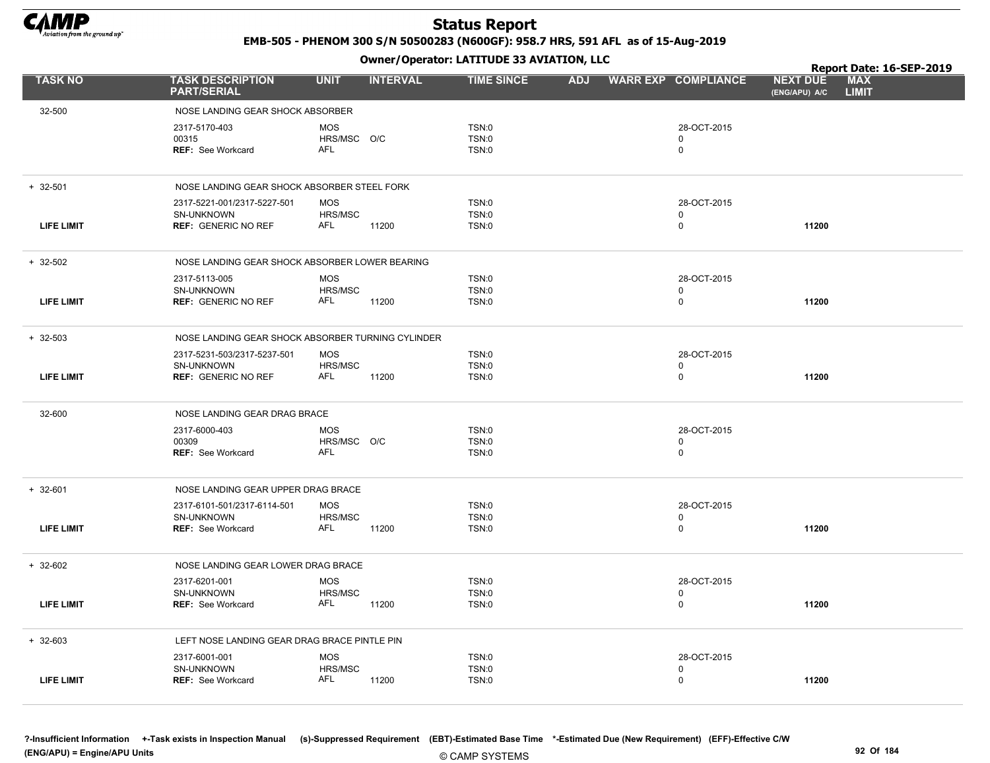

EMB-505 - PHENOM 300 S/N 50500283 (N600GF): 958.7 HRS, 591 AFL as of 15-Aug-2019

|                   |                                                                         |                                              | Report Date: 16-SEP-2019 |            |                                           |                                  |                            |
|-------------------|-------------------------------------------------------------------------|----------------------------------------------|--------------------------|------------|-------------------------------------------|----------------------------------|----------------------------|
| <b>TASK NO</b>    | <b>TASK DESCRIPTION</b><br><b>PART/SERIAL</b>                           | <b>UNIT</b><br><b>INTERVAL</b>               | <b>TIME SINCE</b>        | <b>ADJ</b> | <b>WARR EXP COMPLIANCE</b>                | <b>NEXT DUE</b><br>(ENG/APU) A/C | <b>MAX</b><br><b>LIMIT</b> |
| 32-500            | NOSE LANDING GEAR SHOCK ABSORBER                                        |                                              |                          |            |                                           |                                  |                            |
|                   | 2317-5170-403<br>00315<br><b>REF:</b> See Workcard                      | <b>MOS</b><br>HRS/MSC O/C<br>AFL             | TSN:0<br>TSN:0<br>TSN:0  |            | 28-OCT-2015<br>0<br>$\mathbf 0$           |                                  |                            |
| $+ 32 - 501$      | NOSE LANDING GEAR SHOCK ABSORBER STEEL FORK                             |                                              |                          |            |                                           |                                  |                            |
| <b>LIFE LIMIT</b> | 2317-5221-001/2317-5227-501<br>SN-UNKNOWN<br><b>REF: GENERIC NO REF</b> | <b>MOS</b><br>HRS/MSC<br>AFL<br>11200        | TSN:0<br>TSN:0<br>TSN:0  |            | 28-OCT-2015<br>0<br>$\mathbf 0$           | 11200                            |                            |
| $+ 32 - 502$      | NOSE LANDING GEAR SHOCK ABSORBER LOWER BEARING                          |                                              |                          |            |                                           |                                  |                            |
| <b>LIFE LIMIT</b> | 2317-5113-005<br>SN-UNKNOWN<br><b>REF: GENERIC NO REF</b>               | <b>MOS</b><br>HRS/MSC<br>AFL<br>11200        | TSN:0<br>TSN:0<br>TSN:0  |            | 28-OCT-2015<br>$\mathbf 0$<br>$\mathbf 0$ | 11200                            |                            |
| $+32-503$         | NOSE LANDING GEAR SHOCK ABSORBER TURNING CYLINDER                       |                                              |                          |            |                                           |                                  |                            |
| <b>LIFE LIMIT</b> | 2317-5231-503/2317-5237-501<br>SN-UNKNOWN<br><b>REF: GENERIC NO REF</b> | <b>MOS</b><br><b>HRS/MSC</b><br>AFL<br>11200 | TSN:0<br>TSN:0<br>TSN:0  |            | 28-OCT-2015<br>0<br>0                     | 11200                            |                            |
| 32-600            | NOSE LANDING GEAR DRAG BRACE                                            |                                              |                          |            |                                           |                                  |                            |
|                   | 2317-6000-403<br>00309<br>REF: See Workcard                             | <b>MOS</b><br>HRS/MSC O/C<br><b>AFL</b>      | TSN:0<br>TSN:0<br>TSN:0  |            | 28-OCT-2015<br>$\mathbf 0$<br>$\mathsf 0$ |                                  |                            |
| $+ 32 - 601$      | NOSE LANDING GEAR UPPER DRAG BRACE                                      |                                              |                          |            |                                           |                                  |                            |
| <b>LIFE LIMIT</b> | 2317-6101-501/2317-6114-501<br>SN-UNKNOWN<br><b>REF:</b> See Workcard   | <b>MOS</b><br>HRS/MSC<br><b>AFL</b><br>11200 | TSN:0<br>TSN:0<br>TSN:0  |            | 28-OCT-2015<br>$\Omega$<br>$\Omega$       | 11200                            |                            |
| $+ 32 - 602$      | NOSE LANDING GEAR LOWER DRAG BRACE                                      |                                              |                          |            |                                           |                                  |                            |
| <b>LIFE LIMIT</b> | 2317-6201-001<br>SN-UNKNOWN<br><b>REF:</b> See Workcard                 | <b>MOS</b><br>HRS/MSC<br>AFL<br>11200        | TSN:0<br>TSN:0<br>TSN:0  |            | 28-OCT-2015<br>0<br>$\mathbf 0$           | 11200                            |                            |
| $+ 32-603$        | LEFT NOSE LANDING GEAR DRAG BRACE PINTLE PIN                            |                                              |                          |            |                                           |                                  |                            |
| <b>LIFE LIMIT</b> | 2317-6001-001<br>SN-UNKNOWN<br><b>REF: See Workcard</b>                 | <b>MOS</b><br>HRS/MSC<br><b>AFL</b><br>11200 | TSN:0<br>TSN:0<br>TSN:0  |            | 28-OCT-2015<br>0<br>$\mathbf 0$           | 11200                            |                            |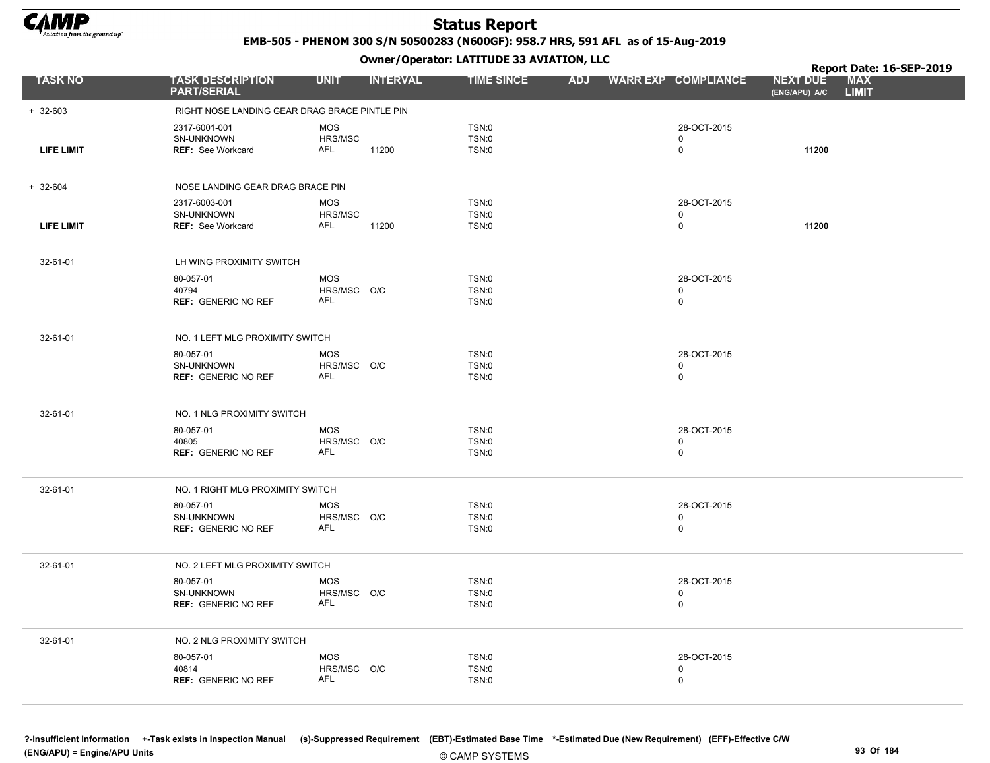

EMB-505 - PHENOM 300 S/N 50500283 (N600GF): 958.7 HRS, 591 AFL as of 15-Aug-2019

|                   |                                                                |                                         | .               |                                |            |                                           |                                  | Report Date: 16-SEP-2019   |
|-------------------|----------------------------------------------------------------|-----------------------------------------|-----------------|--------------------------------|------------|-------------------------------------------|----------------------------------|----------------------------|
| <b>TASK NO</b>    | <b>TASK DESCRIPTION</b><br><b>PART/SERIAL</b>                  | <b>UNIT</b>                             | <b>INTERVAL</b> | <b>TIME SINCE</b>              | <b>ADJ</b> | <b>WARR EXP COMPLIANCE</b>                | <b>NEXT DUE</b><br>(ENG/APU) A/C | <b>MAX</b><br><b>LIMIT</b> |
| $+ 32-603$        | RIGHT NOSE LANDING GEAR DRAG BRACE PINTLE PIN                  |                                         |                 |                                |            |                                           |                                  |                            |
| <b>LIFE LIMIT</b> | 2317-6001-001<br>SN-UNKNOWN<br>REF: See Workcard               | <b>MOS</b><br>HRS/MSC<br>AFL            | 11200           | TSN:0<br><b>TSN:0</b><br>TSN:0 |            | 28-OCT-2015<br>0<br>0                     | 11200                            |                            |
| $+ 32 - 604$      | NOSE LANDING GEAR DRAG BRACE PIN                               |                                         |                 |                                |            |                                           |                                  |                            |
| <b>LIFE LIMIT</b> | 2317-6003-001<br><b>SN-UNKNOWN</b><br><b>REF: See Workcard</b> | <b>MOS</b><br>HRS/MSC<br>AFL            | 11200           | TSN:0<br>TSN:0<br>TSN:0        |            | 28-OCT-2015<br>0<br>0                     | 11200                            |                            |
| 32-61-01          | LH WING PROXIMITY SWITCH                                       |                                         |                 |                                |            |                                           |                                  |                            |
|                   | 80-057-01<br>40794<br><b>REF: GENERIC NO REF</b>               | <b>MOS</b><br>HRS/MSC O/C<br><b>AFL</b> |                 | TSN:0<br><b>TSN:0</b><br>TSN:0 |            | 28-OCT-2015<br>$\mathbf 0$<br>$\mathbf 0$ |                                  |                            |
| 32-61-01          | NO. 1 LEFT MLG PROXIMITY SWITCH                                |                                         |                 |                                |            |                                           |                                  |                            |
|                   | 80-057-01<br>SN-UNKNOWN<br><b>REF: GENERIC NO REF</b>          | <b>MOS</b><br>HRS/MSC O/C<br>AFL        |                 | TSN:0<br>TSN:0<br>TSN:0        |            | 28-OCT-2015<br>$\mathbf 0$<br>$\pmb{0}$   |                                  |                            |
| 32-61-01          | NO. 1 NLG PROXIMITY SWITCH                                     |                                         |                 |                                |            |                                           |                                  |                            |
|                   | 80-057-01<br>40805<br><b>REF: GENERIC NO REF</b>               | <b>MOS</b><br>HRS/MSC O/C<br>AFL        |                 | TSN:0<br><b>TSN:0</b><br>TSN:0 |            | 28-OCT-2015<br>0<br>0                     |                                  |                            |
| 32-61-01          | NO. 1 RIGHT MLG PROXIMITY SWITCH                               |                                         |                 |                                |            |                                           |                                  |                            |
|                   | 80-057-01<br>SN-UNKNOWN<br><b>REF: GENERIC NO REF</b>          | <b>MOS</b><br>HRS/MSC O/C<br><b>AFL</b> |                 | TSN:0<br>TSN:0<br>TSN:0        |            | 28-OCT-2015<br>0<br>0                     |                                  |                            |
| 32-61-01          | NO. 2 LEFT MLG PROXIMITY SWITCH                                |                                         |                 |                                |            |                                           |                                  |                            |
|                   | 80-057-01<br>SN-UNKNOWN<br><b>REF: GENERIC NO REF</b>          | <b>MOS</b><br>HRS/MSC O/C<br><b>AFL</b> |                 | TSN:0<br>TSN:0<br>TSN:0        |            | 28-OCT-2015<br>0<br>0                     |                                  |                            |
| 32-61-01          | NO. 2 NLG PROXIMITY SWITCH                                     |                                         |                 |                                |            |                                           |                                  |                            |
|                   | 80-057-01<br>40814<br><b>REF: GENERIC NO REF</b>               | <b>MOS</b><br>HRS/MSC O/C<br>AFL        |                 | TSN:0<br>TSN:0<br>TSN:0        |            | 28-OCT-2015<br>0<br>0                     |                                  |                            |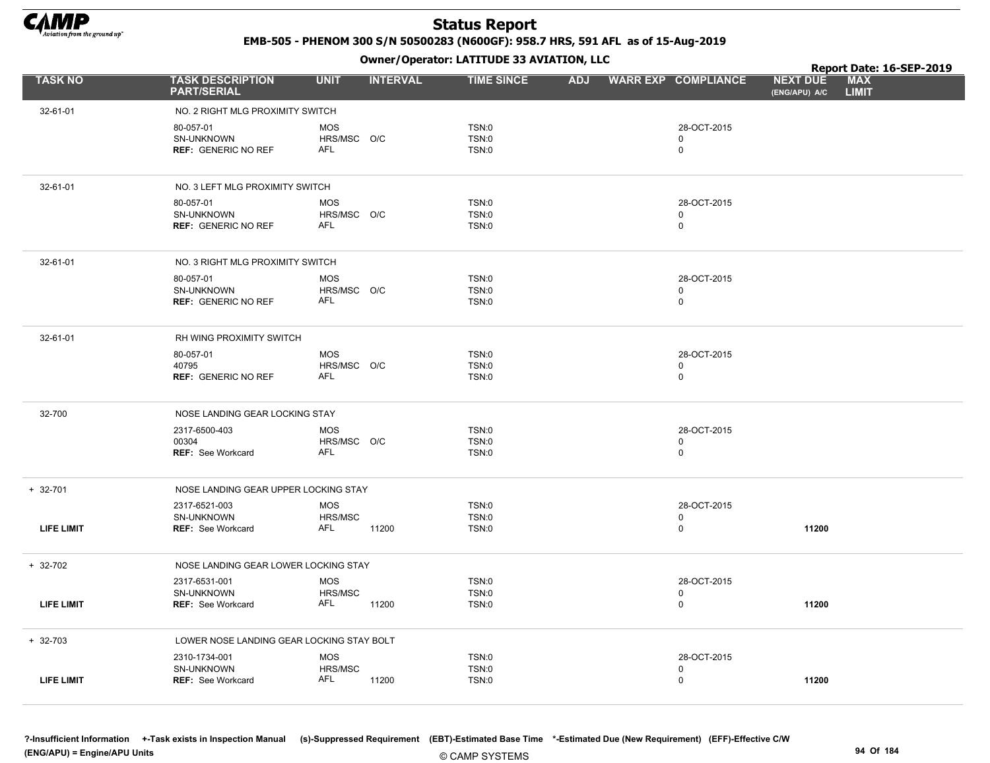

EMB-505 - PHENOM 300 S/N 50500283 (N600GF): 958.7 HRS, 591 AFL as of 15-Aug-2019

Owner/Operator: LATITUDE 33 AVIATION, LLC

|                   | Owner / Operator. EATTTODE 33 AVIATION, LLC             |                                              |                                              |            |  |                                           |                                  | Report Date: 16-SEP-2019   |  |  |
|-------------------|---------------------------------------------------------|----------------------------------------------|----------------------------------------------|------------|--|-------------------------------------------|----------------------------------|----------------------------|--|--|
| <b>TASK NO</b>    | <b>TASK DESCRIPTION</b><br><b>PART/SERIAL</b>           | <b>UNIT</b><br><b>INTERVAL</b>               | <b>TIME SINCE</b>                            | <b>ADJ</b> |  | <b>WARR EXP COMPLIANCE</b>                | <b>NEXT DUE</b><br>(ENG/APU) A/C | <b>MAX</b><br><b>LIMIT</b> |  |  |
| 32-61-01          | NO. 2 RIGHT MLG PROXIMITY SWITCH                        |                                              |                                              |            |  |                                           |                                  |                            |  |  |
|                   | 80-057-01<br>SN-UNKNOWN<br><b>REF: GENERIC NO REF</b>   | <b>MOS</b><br>HRS/MSC O/C<br><b>AFL</b>      | <b>TSN:0</b><br><b>TSN:0</b><br><b>TSN:0</b> |            |  | 28-OCT-2015<br>$\mathbf 0$<br>$\mathsf 0$ |                                  |                            |  |  |
| 32-61-01          | NO. 3 LEFT MLG PROXIMITY SWITCH                         |                                              |                                              |            |  |                                           |                                  |                            |  |  |
|                   | 80-057-01<br>SN-UNKNOWN<br><b>REF: GENERIC NO REF</b>   | <b>MOS</b><br>HRS/MSC O/C<br><b>AFL</b>      | TSN:0<br>TSN:0<br><b>TSN:0</b>               |            |  | 28-OCT-2015<br>$\mathbf 0$<br>$\mathbf 0$ |                                  |                            |  |  |
| 32-61-01          | NO. 3 RIGHT MLG PROXIMITY SWITCH                        |                                              |                                              |            |  |                                           |                                  |                            |  |  |
|                   | 80-057-01<br>SN-UNKNOWN<br><b>REF: GENERIC NO REF</b>   | <b>MOS</b><br>HRS/MSC O/C<br><b>AFL</b>      | <b>TSN:0</b><br><b>TSN:0</b><br><b>TSN:0</b> |            |  | 28-OCT-2015<br>$\mathsf 0$<br>$\mathsf 0$ |                                  |                            |  |  |
| 32-61-01          | RH WING PROXIMITY SWITCH                                |                                              |                                              |            |  |                                           |                                  |                            |  |  |
|                   | 80-057-01<br>40795<br><b>REF: GENERIC NO REF</b>        | <b>MOS</b><br>HRS/MSC O/C<br>AFL             | <b>TSN:0</b><br><b>TSN:0</b><br>TSN:0        |            |  | 28-OCT-2015<br>0<br>$\mathbf 0$           |                                  |                            |  |  |
| 32-700            | NOSE LANDING GEAR LOCKING STAY                          |                                              |                                              |            |  |                                           |                                  |                            |  |  |
|                   | 2317-6500-403<br>00304<br>REF: See Workcard             | <b>MOS</b><br>HRS/MSC O/C<br>AFL             | <b>TSN:0</b><br><b>TSN:0</b><br><b>TSN:0</b> |            |  | 28-OCT-2015<br>0<br>$\mathbf 0$           |                                  |                            |  |  |
| + 32-701          | NOSE LANDING GEAR UPPER LOCKING STAY                    |                                              |                                              |            |  |                                           |                                  |                            |  |  |
| <b>LIFE LIMIT</b> | 2317-6521-003<br>SN-UNKNOWN<br><b>REF: See Workcard</b> | <b>MOS</b><br>HRS/MSC<br><b>AFL</b><br>11200 | <b>TSN:0</b><br><b>TSN:0</b><br><b>TSN:0</b> |            |  | 28-OCT-2015<br>$\mathbf 0$<br>$\mathbf 0$ | 11200                            |                            |  |  |
| $+ 32-702$        | NOSE LANDING GEAR LOWER LOCKING STAY                    |                                              |                                              |            |  |                                           |                                  |                            |  |  |
| <b>LIFE LIMIT</b> | 2317-6531-001<br>SN-UNKNOWN<br>REF: See Workcard        | <b>MOS</b><br>HRS/MSC<br>AFL<br>11200        | <b>TSN:0</b><br><b>TSN:0</b><br><b>TSN:0</b> |            |  | 28-OCT-2015<br>0<br>0                     | 11200                            |                            |  |  |
| $+ 32 - 703$      | LOWER NOSE LANDING GEAR LOCKING STAY BOLT               |                                              |                                              |            |  |                                           |                                  |                            |  |  |
| <b>LIFE LIMIT</b> | 2310-1734-001<br>SN-UNKNOWN<br>REF: See Workcard        | <b>MOS</b><br>HRS/MSC<br>AFL<br>11200        | <b>TSN:0</b><br>TSN:0<br><b>TSN:0</b>        |            |  | 28-OCT-2015<br>$\mathbf 0$<br>$\mathbf 0$ | 11200                            |                            |  |  |

?-Insufficient Information +-Task exists in Inspection Manual (s)-Suppressed Requirement (EBT)-Estimated Base Time \*-Estimated Due (New Requirement) (EFF)-Effective C/W (ENG/APU) = Engine/APU Units 94 Of 184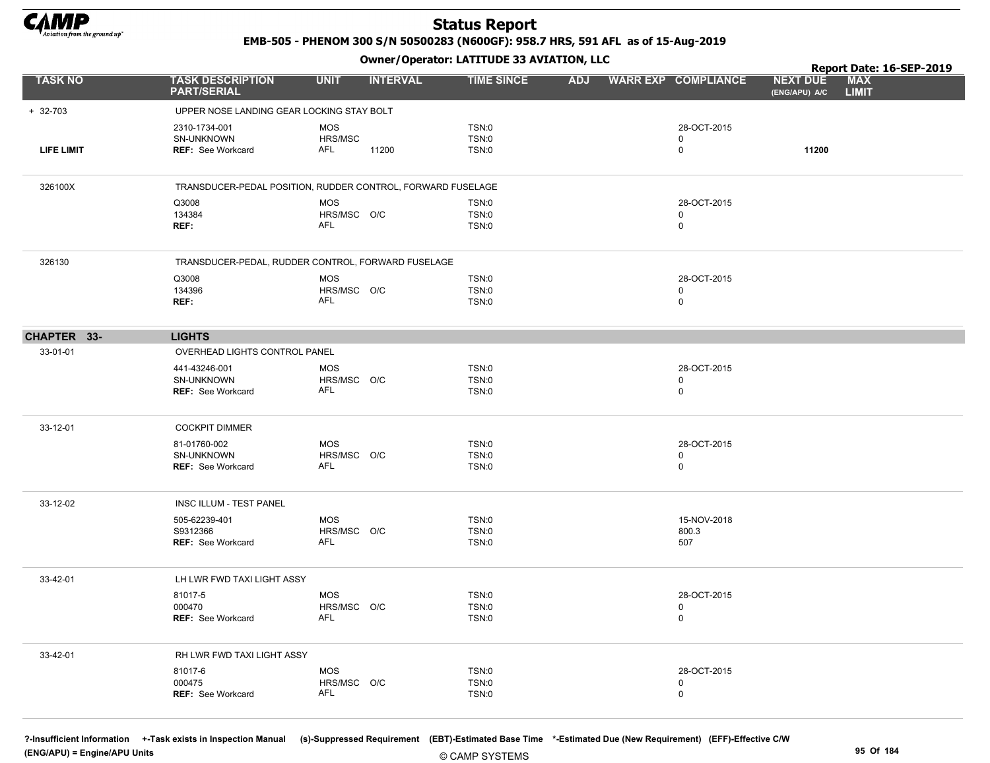

EMB-505 - PHENOM 300 S/N 50500283 (N600GF): 958.7 HRS, 591 AFL as of 15-Aug-2019

Owner/Operator: LATITUDE 33 AVIATION, LLC

|                   |                                                             |                           | - 1 - 1         |                       |  |                         |                                  | Report Date: 16-SEP-2019   |
|-------------------|-------------------------------------------------------------|---------------------------|-----------------|-----------------------|--|-------------------------|----------------------------------|----------------------------|
| <b>TASK NO</b>    | <b>TASK DESCRIPTION</b><br><b>PART/SERIAL</b>               | <b>UNIT</b>               | <b>INTERVAL</b> | <b>TIME SINCE</b>     |  | ADJ WARR EXP COMPLIANCE | <b>NEXT DUE</b><br>(ENG/APU) A/C | <b>MAX</b><br><b>LIMIT</b> |
| $+ 32-703$        | UPPER NOSE LANDING GEAR LOCKING STAY BOLT                   |                           |                 |                       |  |                         |                                  |                            |
|                   | 2310-1734-001                                               | <b>MOS</b>                |                 | TSN:0                 |  | 28-OCT-2015             |                                  |                            |
|                   | SN-UNKNOWN                                                  | HRS/MSC                   |                 | <b>TSN:0</b>          |  | $\mathbf 0$             |                                  |                            |
| <b>LIFE LIMIT</b> | <b>REF:</b> See Workcard                                    | AFL                       | 11200           | TSN:0                 |  | 0                       | 11200                            |                            |
| 326100X           | TRANSDUCER-PEDAL POSITION, RUDDER CONTROL, FORWARD FUSELAGE |                           |                 |                       |  |                         |                                  |                            |
|                   | Q3008                                                       | <b>MOS</b>                |                 | TSN:0                 |  | 28-OCT-2015             |                                  |                            |
|                   | 134384                                                      | HRS/MSC O/C<br>AFL        |                 | <b>TSN:0</b>          |  | 0                       |                                  |                            |
|                   | REF:                                                        |                           |                 | TSN:0                 |  | $\mathbf 0$             |                                  |                            |
| 326130            | TRANSDUCER-PEDAL, RUDDER CONTROL, FORWARD FUSELAGE          |                           |                 |                       |  |                         |                                  |                            |
|                   | Q3008                                                       | <b>MOS</b>                |                 | TSN:0                 |  | 28-OCT-2015             |                                  |                            |
|                   | 134396                                                      | HRS/MSC O/C               |                 | <b>TSN:0</b>          |  | 0                       |                                  |                            |
|                   | REF:                                                        | AFL                       |                 | <b>TSN:0</b>          |  | 0                       |                                  |                            |
| CHAPTER 33-       | <b>LIGHTS</b>                                               |                           |                 |                       |  |                         |                                  |                            |
| 33-01-01          | OVERHEAD LIGHTS CONTROL PANEL                               |                           |                 |                       |  |                         |                                  |                            |
|                   | 441-43246-001                                               | <b>MOS</b>                |                 | <b>TSN:0</b>          |  | 28-OCT-2015             |                                  |                            |
|                   | SN-UNKNOWN                                                  | HRS/MSC O/C               |                 | <b>TSN:0</b>          |  | 0                       |                                  |                            |
|                   | <b>REF: See Workcard</b>                                    | <b>AFL</b>                |                 | TSN:0                 |  | $\mathbf 0$             |                                  |                            |
| 33-12-01          | <b>COCKPIT DIMMER</b>                                       |                           |                 |                       |  |                         |                                  |                            |
|                   | 81-01760-002                                                | <b>MOS</b>                |                 | <b>TSN:0</b>          |  | 28-OCT-2015             |                                  |                            |
|                   | SN-UNKNOWN<br><b>REF: See Workcard</b>                      | HRS/MSC O/C<br><b>AFL</b> |                 | <b>TSN:0</b>          |  | 0                       |                                  |                            |
|                   |                                                             |                           |                 | <b>TSN:0</b>          |  | 0                       |                                  |                            |
| 33-12-02          | INSC ILLUM - TEST PANEL                                     |                           |                 |                       |  |                         |                                  |                            |
|                   | 505-62239-401                                               | <b>MOS</b>                |                 | <b>TSN:0</b>          |  | 15-NOV-2018             |                                  |                            |
|                   | S9312366<br>REF: See Workcard                               | HRS/MSC O/C<br><b>AFL</b> |                 | TSN:0<br><b>TSN:0</b> |  | 800.3<br>507            |                                  |                            |
|                   |                                                             |                           |                 |                       |  |                         |                                  |                            |
| 33-42-01          | LH LWR FWD TAXI LIGHT ASSY                                  |                           |                 |                       |  |                         |                                  |                            |
|                   | 81017-5                                                     | <b>MOS</b>                |                 | <b>TSN:0</b>          |  | 28-OCT-2015             |                                  |                            |
|                   | 000470                                                      | HRS/MSC O/C<br><b>AFL</b> |                 | <b>TSN:0</b>          |  | 0<br>$\mathbf 0$        |                                  |                            |
|                   | REF: See Workcard                                           |                           |                 | TSN:0                 |  |                         |                                  |                            |
| 33-42-01          | RH LWR FWD TAXI LIGHT ASSY                                  |                           |                 |                       |  |                         |                                  |                            |
|                   | 81017-6                                                     | <b>MOS</b>                |                 | <b>TSN:0</b>          |  | 28-OCT-2015             |                                  |                            |
|                   | 000475                                                      | HRS/MSC O/C               |                 | <b>TSN:0</b>          |  | 0                       |                                  |                            |
|                   | REF: See Workcard                                           | <b>AFL</b>                |                 | TSN:0                 |  | 0                       |                                  |                            |
|                   |                                                             |                           |                 |                       |  |                         |                                  |                            |

?-Insufficient Information +-Task exists in Inspection Manual (s)-Suppressed Requirement (EBT)-Estimated Base Time \*-Estimated Due (New Requirement) (EFF)-Effective C/W (ENG/APU) = Engine/APU Units 95 Of 184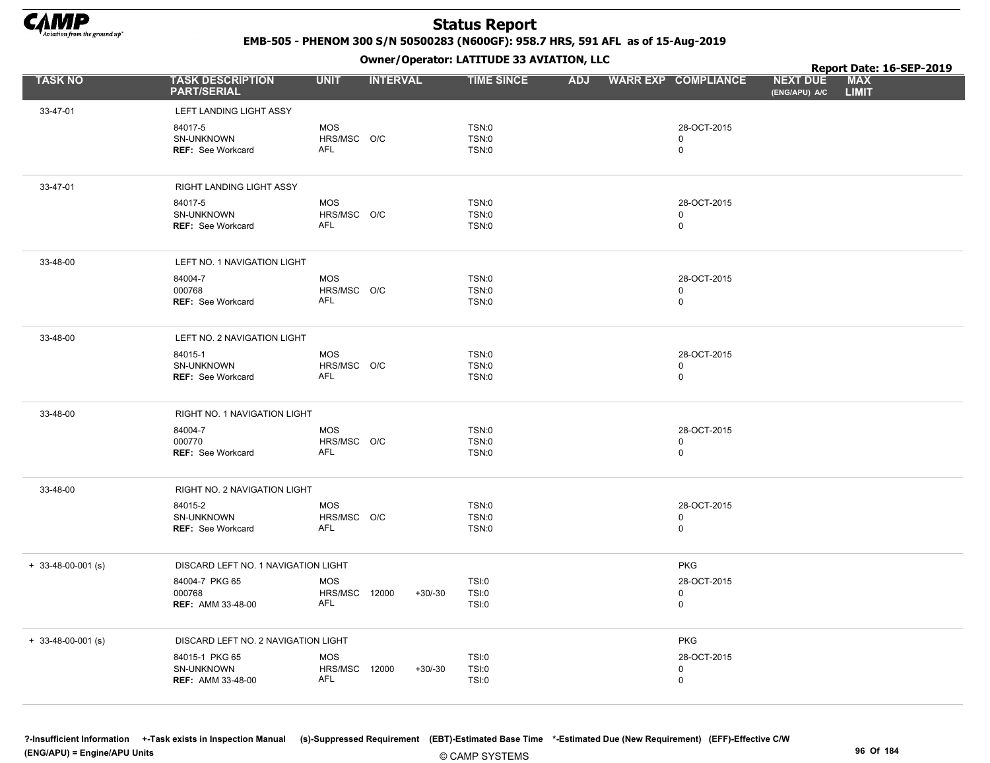

EMB-505 - PHENOM 300 S/N 50500283 (N600GF): 958.7 HRS, 591 AFL as of 15-Aug-2019

Owner/Operator: LATITUDE 33 AVIATION, LLC

|                      |                                                          |                                                  |                 | Owner / Operator: EATITODE 33 AVIATION, LLC  |            |                                           |                                  | Report Date: 16-SEP-2019   |  |
|----------------------|----------------------------------------------------------|--------------------------------------------------|-----------------|----------------------------------------------|------------|-------------------------------------------|----------------------------------|----------------------------|--|
| <b>TASK NO</b>       | <b>TASK DESCRIPTION</b><br><b>PART/SERIAL</b>            | <b>UNIT</b>                                      | <b>INTERVAL</b> | <b>TIME SINCE</b>                            | <b>ADJ</b> | <b>WARR EXP COMPLIANCE</b>                | <b>NEXT DUE</b><br>(ENG/APU) A/C | <b>MAX</b><br><b>LIMIT</b> |  |
| 33-47-01             | LEFT LANDING LIGHT ASSY                                  |                                                  |                 |                                              |            |                                           |                                  |                            |  |
|                      | 84017-5<br>SN-UNKNOWN<br>REF: See Workcard               | <b>MOS</b><br>HRS/MSC O/C<br><b>AFL</b>          |                 | <b>TSN:0</b><br><b>TSN:0</b><br><b>TSN:0</b> |            | 28-OCT-2015<br>$\mathbf 0$<br>$\mathbf 0$ |                                  |                            |  |
| 33-47-01             | RIGHT LANDING LIGHT ASSY                                 |                                                  |                 |                                              |            |                                           |                                  |                            |  |
|                      | 84017-5<br>SN-UNKNOWN<br><b>REF: See Workcard</b>        | MOS<br>HRS/MSC O/C<br>AFL                        |                 | <b>TSN:0</b><br><b>TSN:0</b><br><b>TSN:0</b> |            | 28-OCT-2015<br>$\mathbf 0$<br>$\mathbf 0$ |                                  |                            |  |
| 33-48-00             | LEFT NO. 1 NAVIGATION LIGHT                              |                                                  |                 |                                              |            |                                           |                                  |                            |  |
|                      | 84004-7<br>000768<br><b>REF: See Workcard</b>            | <b>MOS</b><br>HRS/MSC O/C<br><b>AFL</b>          |                 | <b>TSN:0</b><br>TSN:0<br><b>TSN:0</b>        |            | 28-OCT-2015<br>$\mathbf 0$<br>$\mathbf 0$ |                                  |                            |  |
| 33-48-00             | LEFT NO. 2 NAVIGATION LIGHT                              |                                                  |                 |                                              |            |                                           |                                  |                            |  |
|                      | 84015-1<br>SN-UNKNOWN<br><b>REF: See Workcard</b>        | <b>MOS</b><br>HRS/MSC O/C<br>AFL                 |                 | <b>TSN:0</b><br><b>TSN:0</b><br><b>TSN:0</b> |            | 28-OCT-2015<br>$\mathsf 0$<br>$\mathbf 0$ |                                  |                            |  |
| 33-48-00             | RIGHT NO. 1 NAVIGATION LIGHT                             |                                                  |                 |                                              |            |                                           |                                  |                            |  |
|                      | 84004-7<br>000770<br><b>REF: See Workcard</b>            | <b>MOS</b><br>HRS/MSC O/C<br>AFL                 |                 | <b>TSN:0</b><br><b>TSN:0</b><br><b>TSN:0</b> |            | 28-OCT-2015<br>$\mathbf 0$<br>$\mathsf 0$ |                                  |                            |  |
| 33-48-00             | RIGHT NO. 2 NAVIGATION LIGHT                             |                                                  |                 |                                              |            |                                           |                                  |                            |  |
|                      | 84015-2<br>SN-UNKNOWN<br><b>REF: See Workcard</b>        | <b>MOS</b><br>HRS/MSC O/C<br>AFL                 |                 | <b>TSN:0</b><br><b>TSN:0</b><br><b>TSN:0</b> |            | 28-OCT-2015<br>$\mathbf 0$<br>$\mathbf 0$ |                                  |                            |  |
| $+ 33-48-00-001$ (s) | DISCARD LEFT NO. 1 NAVIGATION LIGHT                      |                                                  |                 |                                              |            | <b>PKG</b>                                |                                  |                            |  |
|                      | 84004-7 PKG 65<br>000768<br><b>REF: AMM 33-48-00</b>     | <b>MOS</b><br><b>HRS/MSC 12000</b><br>AFL        | $+30/-30$       | <b>TSI:0</b><br><b>TSI:0</b><br><b>TSI:0</b> |            | 28-OCT-2015<br>$\mathbf 0$<br>$\mathbf 0$ |                                  |                            |  |
| $+ 33-48-00-001$ (s) | DISCARD LEFT NO. 2 NAVIGATION LIGHT                      |                                                  |                 |                                              |            | <b>PKG</b>                                |                                  |                            |  |
|                      | 84015-1 PKG 65<br>SN-UNKNOWN<br><b>REF: AMM 33-48-00</b> | <b>MOS</b><br><b>HRS/MSC 12000</b><br><b>AFL</b> | $+30/-30$       | <b>TSI:0</b><br><b>TSI:0</b><br><b>TSI:0</b> |            | 28-OCT-2015<br>$\mathbf 0$<br>$\mathbf 0$ |                                  |                            |  |

?-Insufficient Information +-Task exists in Inspection Manual (s)-Suppressed Requirement (EBT)-Estimated Base Time \*-Estimated Due (New Requirement) (EFF)-Effective C/W (ENG/APU) = Engine/APU Units 96 Of 184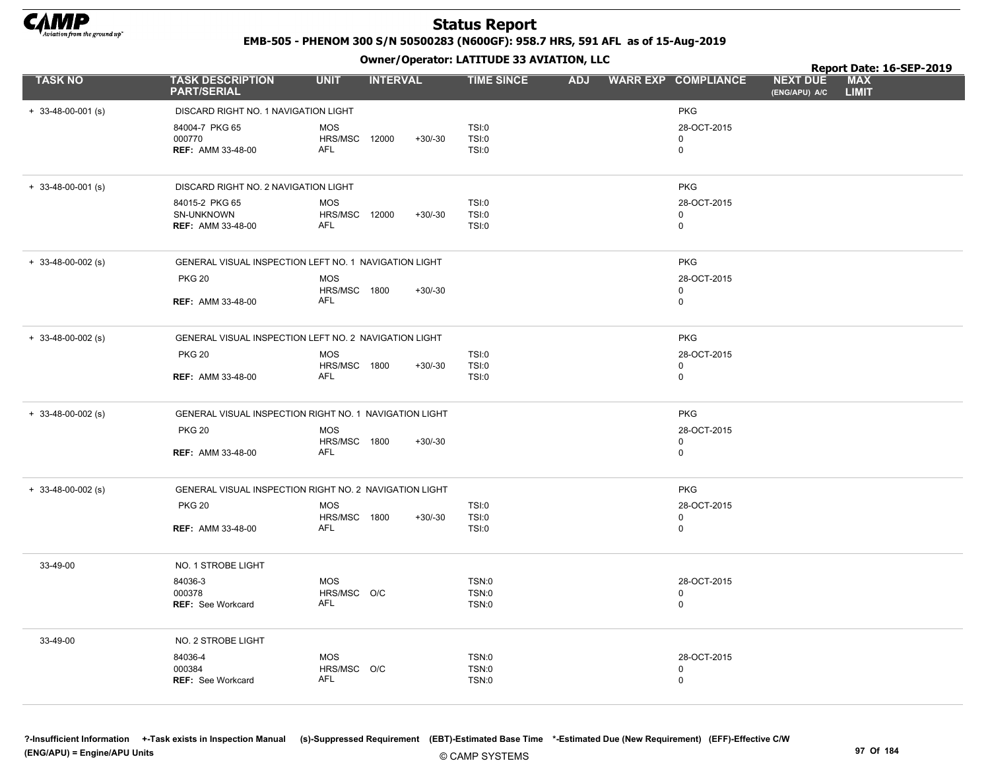

EMB-505 - PHENOM 300 S/N 50500283 (N600GF): 958.7 HRS, 591 AFL as of 15-Aug-2019

Owner/Operator: LATITUDE 33 AVIATION, LLC

|                      |                                                        |                             | .               |           |                              |  |                         |                                  | Report Date: 16-SEP-2019   |  |
|----------------------|--------------------------------------------------------|-----------------------------|-----------------|-----------|------------------------------|--|-------------------------|----------------------------------|----------------------------|--|
| <b>TASK NO</b>       | <b>TASK DESCRIPTION</b><br><b>PART/SERIAL</b>          | <b>UNIT</b>                 | <b>INTERVAL</b> |           | <b>TIME SINCE</b>            |  | ADJ WARR EXP COMPLIANCE | <b>NEXT DUE</b><br>(ENG/APU) A/C | <b>MAX</b><br><b>LIMIT</b> |  |
| $+ 33-48-00-001$ (s) | DISCARD RIGHT NO. 1 NAVIGATION LIGHT                   |                             |                 |           |                              |  | <b>PKG</b>              |                                  |                            |  |
|                      | 84004-7 PKG 65                                         | <b>MOS</b>                  |                 |           | TSI:0                        |  | 28-OCT-2015             |                                  |                            |  |
|                      | 000770                                                 | HRS/MSC 12000               |                 | $+30/-30$ | TSI:0                        |  | $\mathbf 0$             |                                  |                            |  |
|                      | <b>REF: AMM 33-48-00</b>                               | AFL                         |                 |           | TSI:0                        |  | $\mathbf 0$             |                                  |                            |  |
| $+ 33-48-00-001$ (s) | DISCARD RIGHT NO. 2 NAVIGATION LIGHT                   |                             |                 |           |                              |  | <b>PKG</b>              |                                  |                            |  |
|                      | 84015-2 PKG 65                                         | <b>MOS</b>                  |                 |           | TSI:0                        |  | 28-OCT-2015             |                                  |                            |  |
|                      | SN-UNKNOWN<br><b>REF: AMM 33-48-00</b>                 | HRS/MSC 12000<br><b>AFL</b> |                 | $+30/-30$ | TSI:0<br>TSI:0               |  | 0                       |                                  |                            |  |
|                      |                                                        |                             |                 |           |                              |  | 0                       |                                  |                            |  |
| $+ 33-48-00-002$ (s) | GENERAL VISUAL INSPECTION LEFT NO. 1 NAVIGATION LIGHT  |                             |                 |           |                              |  | <b>PKG</b>              |                                  |                            |  |
|                      | <b>PKG 20</b>                                          | <b>MOS</b>                  |                 |           |                              |  | 28-OCT-2015             |                                  |                            |  |
|                      | <b>REF: AMM 33-48-00</b>                               | HRS/MSC 1800<br>AFL         |                 | $+30/-30$ |                              |  | 0<br>0                  |                                  |                            |  |
|                      |                                                        |                             |                 |           |                              |  |                         |                                  |                            |  |
| $+$ 33-48-00-002 (s) | GENERAL VISUAL INSPECTION LEFT NO. 2 NAVIGATION LIGHT  |                             |                 |           |                              |  | <b>PKG</b>              |                                  |                            |  |
|                      | <b>PKG 20</b>                                          | <b>MOS</b>                  |                 |           | TSI:0                        |  | 28-OCT-2015             |                                  |                            |  |
|                      | <b>REF: AMM 33-48-00</b>                               | HRS/MSC 1800<br>AFL         |                 | $+30/-30$ | TSI:0<br>TSI:0               |  | 0<br>0                  |                                  |                            |  |
|                      |                                                        |                             |                 |           |                              |  |                         |                                  |                            |  |
| $+ 33-48-00-002$ (s) | GENERAL VISUAL INSPECTION RIGHT NO. 1 NAVIGATION LIGHT |                             |                 |           |                              |  | <b>PKG</b>              |                                  |                            |  |
|                      | <b>PKG 20</b>                                          | <b>MOS</b>                  |                 |           |                              |  | 28-OCT-2015             |                                  |                            |  |
|                      | <b>REF: AMM 33-48-00</b>                               | HRS/MSC 1800<br>AFL         |                 | $+30/-30$ |                              |  | 0<br>0                  |                                  |                            |  |
|                      |                                                        |                             |                 |           |                              |  |                         |                                  |                            |  |
| $+$ 33-48-00-002 (s) | GENERAL VISUAL INSPECTION RIGHT NO. 2 NAVIGATION LIGHT |                             |                 |           |                              |  | <b>PKG</b>              |                                  |                            |  |
|                      | <b>PKG 20</b>                                          | <b>MOS</b>                  |                 |           | TSI:0                        |  | 28-OCT-2015             |                                  |                            |  |
|                      | <b>REF: AMM 33-48-00</b>                               | HRS/MSC 1800<br><b>AFL</b>  |                 | $+30/-30$ | TSI:0<br>TSI:0               |  | 0<br>0                  |                                  |                            |  |
|                      |                                                        |                             |                 |           |                              |  |                         |                                  |                            |  |
| 33-49-00             | NO. 1 STROBE LIGHT                                     |                             |                 |           |                              |  |                         |                                  |                            |  |
|                      | 84036-3                                                | <b>MOS</b>                  |                 |           | <b>TSN:0</b>                 |  | 28-OCT-2015             |                                  |                            |  |
|                      | 000378<br>REF: See Workcard                            | HRS/MSC O/C<br>AFL          |                 |           | <b>TSN:0</b><br>TSN:0        |  | 0<br>0                  |                                  |                            |  |
|                      |                                                        |                             |                 |           |                              |  |                         |                                  |                            |  |
| 33-49-00             | NO. 2 STROBE LIGHT                                     |                             |                 |           |                              |  |                         |                                  |                            |  |
|                      | 84036-4                                                | <b>MOS</b>                  |                 |           | TSN:0                        |  | 28-OCT-2015             |                                  |                            |  |
|                      | 000384<br>REF: See Workcard                            | HRS/MSC O/C<br>AFL          |                 |           | <b>TSN:0</b><br><b>TSN:0</b> |  | 0<br>0                  |                                  |                            |  |
|                      |                                                        |                             |                 |           |                              |  |                         |                                  |                            |  |

?-Insufficient Information +-Task exists in Inspection Manual (s)-Suppressed Requirement (EBT)-Estimated Base Time \*-Estimated Due (New Requirement) (EFF)-Effective C/W (ENG/APU) = Engine/APU Units 97 Of 184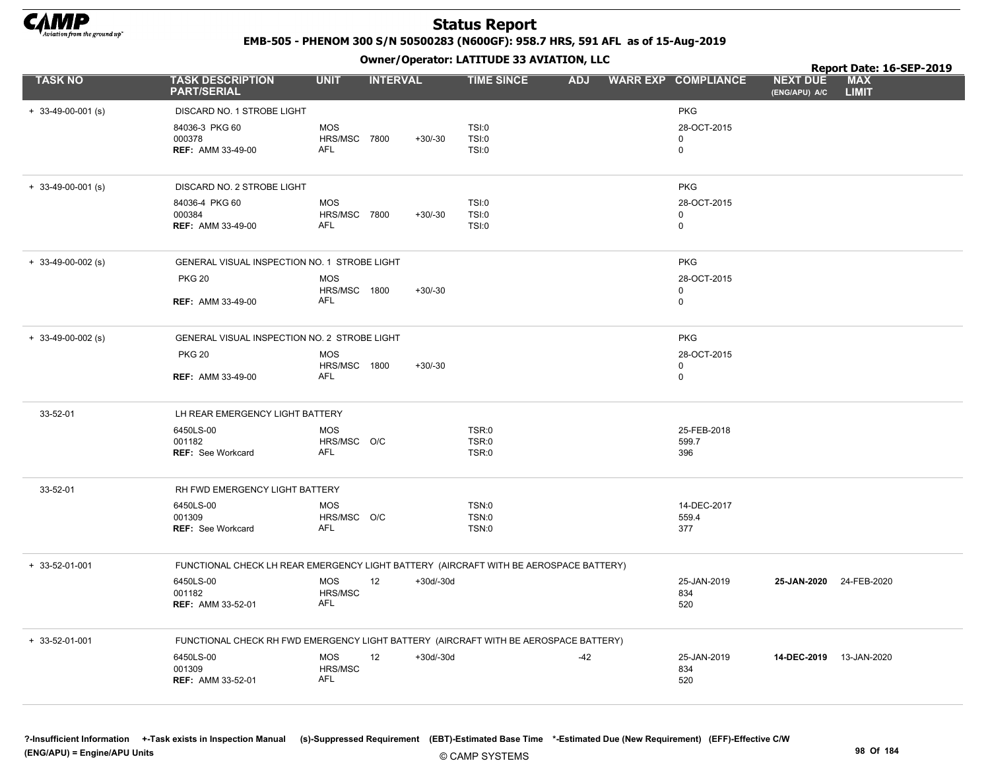

EMB-505 - PHENOM 300 S/N 50500283 (N600GF): 958.7 HRS, 591 AFL as of 15-Aug-2019

|                      |                                                                                       |                                                 |                 |             | Owner / Operator. LATTTODE 33 AVIATION, LLC  |            |                                           | Report Date: 16-SEP-2019         |                            |
|----------------------|---------------------------------------------------------------------------------------|-------------------------------------------------|-----------------|-------------|----------------------------------------------|------------|-------------------------------------------|----------------------------------|----------------------------|
| <b>TASK NO</b>       | <b>TASK DESCRIPTION</b><br><b>PART/SERIAL</b>                                         | <b>UNIT</b>                                     | <b>INTERVAL</b> |             | <b>TIME SINCE</b>                            | <b>ADJ</b> | <b>WARR EXP COMPLIANCE</b>                | <b>NEXT DUE</b><br>(ENG/APU) A/C | <b>MAX</b><br><b>LIMIT</b> |
| $+$ 33-49-00-001 (s) | DISCARD NO. 1 STROBE LIGHT                                                            |                                                 |                 |             |                                              |            | <b>PKG</b>                                |                                  |                            |
|                      | 84036-3 PKG 60<br>000378<br><b>REF: AMM 33-49-00</b>                                  | <b>MOS</b><br><b>HRS/MSC 7800</b><br><b>AFL</b> |                 | $+30/-30$   | TSI:0<br>TSI:0<br>TSI:0                      |            | 28-OCT-2015<br>$\mathbf 0$<br>$\mathbf 0$ |                                  |                            |
| $+$ 33-49-00-001 (s) | DISCARD NO. 2 STROBE LIGHT                                                            |                                                 |                 |             |                                              |            | <b>PKG</b>                                |                                  |                            |
|                      | 84036-4 PKG 60<br>000384<br><b>REF: AMM 33-49-00</b>                                  | <b>MOS</b><br>HRS/MSC 7800<br>AFL               |                 | $+30/-30$   | TSI:0<br>TSI:0<br><b>TSI:0</b>               |            | 28-OCT-2015<br>0<br>$\mathbf 0$           |                                  |                            |
| $+ 33-49-00-002$ (s) | GENERAL VISUAL INSPECTION NO. 1 STROBE LIGHT                                          |                                                 |                 |             |                                              |            | <b>PKG</b>                                |                                  |                            |
|                      | <b>PKG 20</b>                                                                         | <b>MOS</b>                                      |                 |             |                                              |            | 28-OCT-2015                               |                                  |                            |
|                      | <b>REF: AMM 33-49-00</b>                                                              | HRS/MSC 1800<br>AFL                             |                 | $+30/-30$   |                                              |            | 0<br>$\mathbf 0$                          |                                  |                            |
| $+$ 33-49-00-002 (s) | GENERAL VISUAL INSPECTION NO. 2 STROBE LIGHT                                          |                                                 |                 |             |                                              |            | <b>PKG</b>                                |                                  |                            |
|                      | <b>PKG 20</b>                                                                         | <b>MOS</b>                                      |                 |             |                                              |            | 28-OCT-2015                               |                                  |                            |
|                      | <b>REF: AMM 33-49-00</b>                                                              | HRS/MSC 1800<br>AFL                             |                 | $+30/-30$   |                                              |            | 0<br>$\mathbf 0$                          |                                  |                            |
| 33-52-01             | LH REAR EMERGENCY LIGHT BATTERY                                                       |                                                 |                 |             |                                              |            |                                           |                                  |                            |
|                      | 6450LS-00                                                                             | <b>MOS</b>                                      |                 |             | TSR:0                                        |            | 25-FEB-2018                               |                                  |                            |
|                      | 001182<br>REF: See Workcard                                                           | HRS/MSC O/C<br><b>AFL</b>                       |                 |             | TSR:0<br>TSR:0                               |            | 599.7<br>396                              |                                  |                            |
| 33-52-01             | RH FWD EMERGENCY LIGHT BATTERY                                                        |                                                 |                 |             |                                              |            |                                           |                                  |                            |
|                      | 6450LS-00<br>001309<br><b>REF:</b> See Workcard                                       | MOS<br>HRS/MSC O/C<br>AFL                       |                 |             | <b>TSN:0</b><br><b>TSN:0</b><br><b>TSN:0</b> |            | 14-DEC-2017<br>559.4<br>377               |                                  |                            |
| + 33-52-01-001       | FUNCTIONAL CHECK LH REAR EMERGENCY LIGHT BATTERY (AIRCRAFT WITH BE AEROSPACE BATTERY) |                                                 |                 |             |                                              |            |                                           |                                  |                            |
|                      | 6450LS-00<br>001182<br>REF: AMM 33-52-01                                              | <b>MOS</b><br>HRS/MSC<br><b>AFL</b>             | 12              | $+30d/-30d$ |                                              |            | 25-JAN-2019<br>834<br>520                 | 25-JAN-2020                      | 24-FEB-2020                |
| + 33-52-01-001       | FUNCTIONAL CHECK RH FWD EMERGENCY LIGHT BATTERY (AIRCRAFT WITH BE AEROSPACE BATTERY)  |                                                 |                 |             |                                              |            |                                           |                                  |                            |
|                      | 6450LS-00<br>001309<br><b>REF: AMM 33-52-01</b>                                       | <b>MOS</b><br>HRS/MSC<br>AFL                    | 12              | $+30d/-30d$ |                                              | $-42$      | 25-JAN-2019<br>834<br>520                 | 14-DEC-2019 13-JAN-2020          |                            |
|                      |                                                                                       |                                                 |                 |             |                                              |            |                                           |                                  |                            |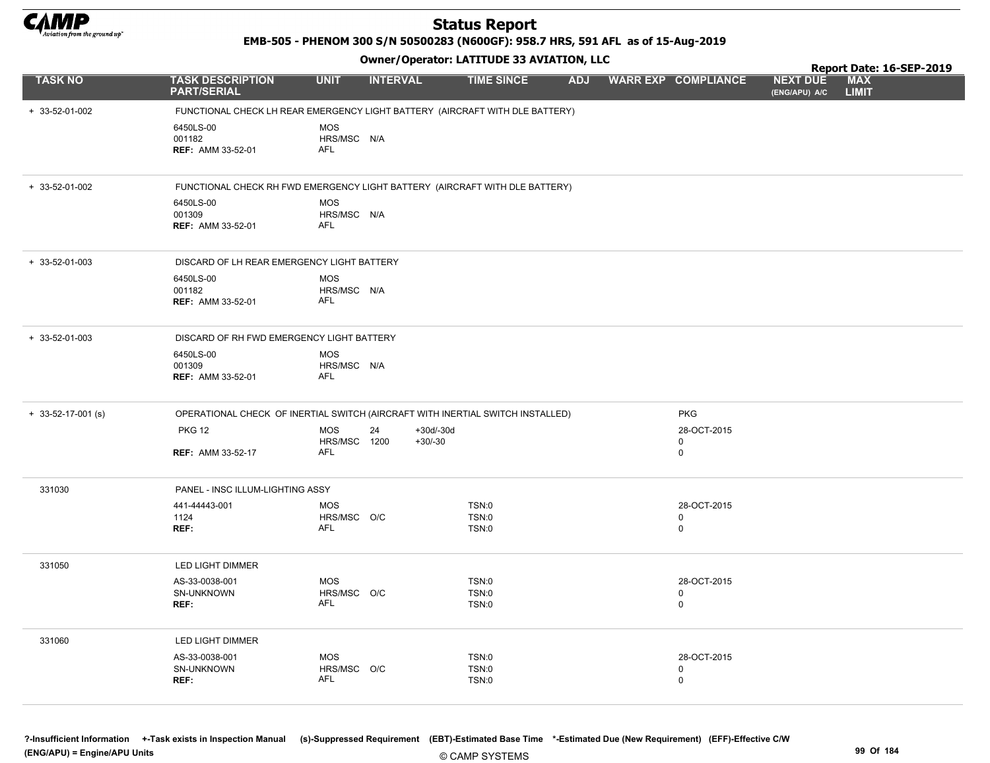

EMB-505 - PHENOM 300 S/N 50500283 (N600GF): 958.7 HRS, 591 AFL as of 15-Aug-2019

Owner/Operator: LATITUDE 33 AVIATION, LLC

|                      |                                                                                |                                         | .                              |                         |                                 |                                  | Report Date: 16-SEP-2019   |  |
|----------------------|--------------------------------------------------------------------------------|-----------------------------------------|--------------------------------|-------------------------|---------------------------------|----------------------------------|----------------------------|--|
| <b>TASK NO</b>       | <b>TASK DESCRIPTION</b><br><b>PART/SERIAL</b>                                  | <b>UNIT</b>                             | <b>INTERVAL</b>                | <b>TIME SINCE</b>       | ADJ WARR EXP COMPLIANCE         | <b>NEXT DUE</b><br>(ENG/APU) A/C | <b>MAX</b><br><b>LIMIT</b> |  |
| + 33-52-01-002       | FUNCTIONAL CHECK LH REAR EMERGENCY LIGHT BATTERY (AIRCRAFT WITH DLE BATTERY)   |                                         |                                |                         |                                 |                                  |                            |  |
|                      | 6450LS-00<br>001182<br><b>REF: AMM 33-52-01</b>                                | <b>MOS</b><br>HRS/MSC N/A<br><b>AFL</b> |                                |                         |                                 |                                  |                            |  |
| + 33-52-01-002       | FUNCTIONAL CHECK RH FWD EMERGENCY LIGHT BATTERY (AIRCRAFT WITH DLE BATTERY)    |                                         |                                |                         |                                 |                                  |                            |  |
|                      | 6450LS-00<br>001309<br><b>REF: AMM 33-52-01</b>                                | <b>MOS</b><br>HRS/MSC N/A<br><b>AFL</b> |                                |                         |                                 |                                  |                            |  |
| + 33-52-01-003       | DISCARD OF LH REAR EMERGENCY LIGHT BATTERY                                     |                                         |                                |                         |                                 |                                  |                            |  |
|                      | 6450LS-00<br>001182<br><b>REF: AMM 33-52-01</b>                                | <b>MOS</b><br>HRS/MSC N/A<br><b>AFL</b> |                                |                         |                                 |                                  |                            |  |
| $+33-52-01-003$      | DISCARD OF RH FWD EMERGENCY LIGHT BATTERY                                      |                                         |                                |                         |                                 |                                  |                            |  |
|                      | 6450LS-00<br>001309<br><b>REF: AMM 33-52-01</b>                                | MOS<br>HRS/MSC N/A<br><b>AFL</b>        |                                |                         |                                 |                                  |                            |  |
| $+$ 33-52-17-001 (s) | OPERATIONAL CHECK OF INERTIAL SWITCH (AIRCRAFT WITH INERTIAL SWITCH INSTALLED) |                                         |                                |                         | <b>PKG</b>                      |                                  |                            |  |
|                      | <b>PKG 12</b>                                                                  | <b>MOS</b><br>HRS/MSC 1200              | 24<br>$+30d/-30d$<br>$+30/-30$ |                         | 28-OCT-2015<br>0                |                                  |                            |  |
|                      | <b>REF: AMM 33-52-17</b>                                                       | AFL                                     |                                |                         | $\mathsf 0$                     |                                  |                            |  |
| 331030               | PANEL - INSC ILLUM-LIGHTING ASSY                                               |                                         |                                |                         |                                 |                                  |                            |  |
|                      | 441-44443-001<br>1124                                                          | <b>MOS</b><br>HRS/MSC O/C               |                                | TSN:0<br>TSN:0          | 28-OCT-2015<br>$\mathbf 0$      |                                  |                            |  |
|                      | REF:                                                                           | <b>AFL</b>                              |                                | TSN:0                   | $\mathsf 0$                     |                                  |                            |  |
| 331050               | LED LIGHT DIMMER                                                               |                                         |                                |                         |                                 |                                  |                            |  |
|                      | AS-33-0038-001<br>SN-UNKNOWN<br>REF:                                           | <b>MOS</b><br>HRS/MSC O/C<br><b>AFL</b> |                                | TSN:0<br>TSN:0<br>TSN:0 | 28-OCT-2015<br>0<br>$\mathbf 0$ |                                  |                            |  |
| 331060               | LED LIGHT DIMMER                                                               |                                         |                                |                         |                                 |                                  |                            |  |
|                      | AS-33-0038-001<br>SN-UNKNOWN                                                   | <b>MOS</b><br>HRS/MSC O/C               |                                | TSN:0<br>TSN:0          | 28-OCT-2015<br>$\mathbf 0$      |                                  |                            |  |
|                      | REF:                                                                           | AFL                                     |                                | TSN:0                   | $\mathbf 0$                     |                                  |                            |  |

© CAMP SYSTEMS ?-Insufficient Information +-Task exists in Inspection Manual (s)-Suppressed Requirement (EBT)-Estimated Base Time \*-Estimated Due (New Requirement) (EFF)-Effective C/W (ENG/APU) = Engine/APU Units 99 Of 184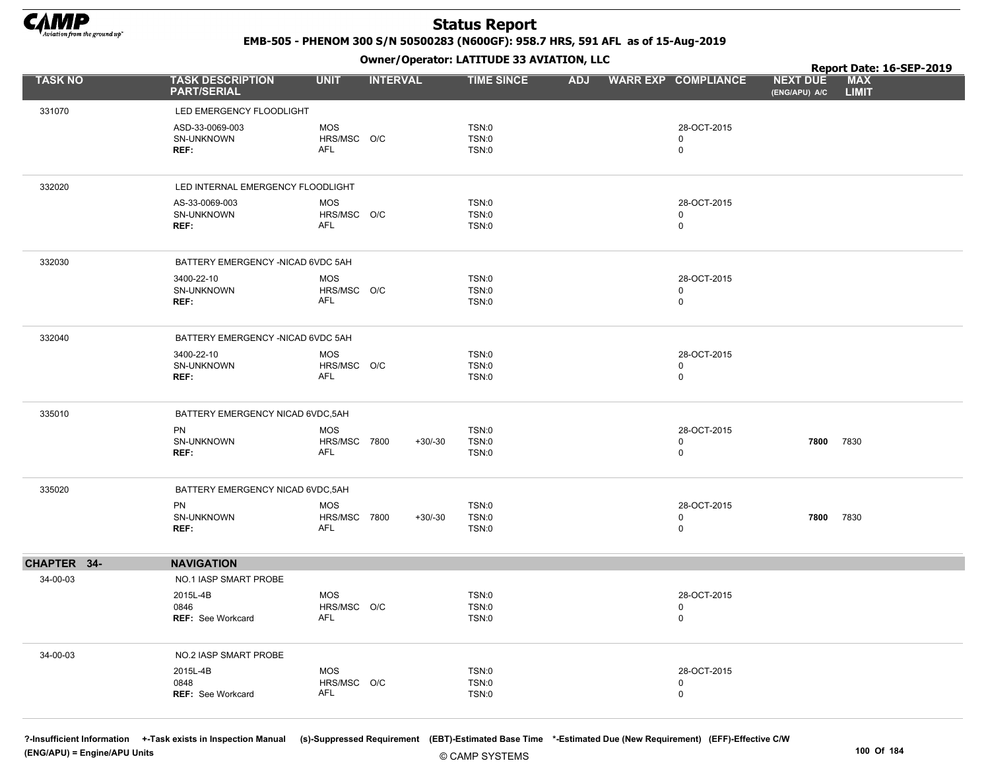

EMB-505 - PHENOM 300 S/N 50500283 (N600GF): 958.7 HRS, 591 AFL as of 15-Aug-2019

Owner/Operator: LATITUDE 33 AVIATION, LLC

|                |                                               |                            | - - - -         |                   |            |                            |                                  | Report Date: 16-SEP-2019   |
|----------------|-----------------------------------------------|----------------------------|-----------------|-------------------|------------|----------------------------|----------------------------------|----------------------------|
| <b>TASK NO</b> | <b>TASK DESCRIPTION</b><br><b>PART/SERIAL</b> | <b>UNIT</b>                | <b>INTERVAL</b> | <b>TIME SINCE</b> | <b>ADJ</b> | <b>WARR EXP COMPLIANCE</b> | <b>NEXT DUE</b><br>(ENG/APU) A/C | <b>MAX</b><br><b>LIMIT</b> |
| 331070         | LED EMERGENCY FLOODLIGHT                      |                            |                 |                   |            |                            |                                  |                            |
|                | ASD-33-0069-003                               | <b>MOS</b>                 |                 | TSN:0             |            | 28-OCT-2015                |                                  |                            |
|                | SN-UNKNOWN                                    | HRS/MSC O/C                |                 | TSN:0             |            | 0                          |                                  |                            |
|                | REF:                                          | <b>AFL</b>                 |                 | TSN:0             |            | $\mathbf 0$                |                                  |                            |
|                |                                               |                            |                 |                   |            |                            |                                  |                            |
| 332020         | LED INTERNAL EMERGENCY FLOODLIGHT             |                            |                 |                   |            |                            |                                  |                            |
|                | AS-33-0069-003                                | <b>MOS</b>                 |                 | TSN:0             |            | 28-OCT-2015                |                                  |                            |
|                | SN-UNKNOWN<br>REF:                            | HRS/MSC O/C<br>AFL         |                 | TSN:0<br>TSN:0    |            | $\mathbf 0$<br>$\mathbf 0$ |                                  |                            |
|                |                                               |                            |                 |                   |            |                            |                                  |                            |
| 332030         | BATTERY EMERGENCY - NICAD 6VDC 5AH            |                            |                 |                   |            |                            |                                  |                            |
|                | 3400-22-10                                    | <b>MOS</b>                 |                 | TSN:0             |            | 28-OCT-2015                |                                  |                            |
|                | SN-UNKNOWN                                    | HRS/MSC O/C<br><b>AFL</b>  |                 | TSN:0             |            | 0                          |                                  |                            |
|                | REF:                                          |                            |                 | TSN:0             |            | $\mathbf 0$                |                                  |                            |
| 332040         | BATTERY EMERGENCY -NICAD 6VDC 5AH             |                            |                 |                   |            |                            |                                  |                            |
|                | 3400-22-10                                    | <b>MOS</b>                 |                 | TSN:0             |            | 28-OCT-2015                |                                  |                            |
|                | SN-UNKNOWN                                    | HRS/MSC O/C                |                 | TSN:0             |            | $\mathbf 0$                |                                  |                            |
|                | REF:                                          | AFL                        |                 | TSN:0             |            | $\mathbf 0$                |                                  |                            |
| 335010         | BATTERY EMERGENCY NICAD 6VDC, 5AH             |                            |                 |                   |            |                            |                                  |                            |
|                | PN                                            | <b>MOS</b>                 |                 | TSN:0             |            | 28-OCT-2015                |                                  |                            |
|                | SN-UNKNOWN<br>REF:                            | HRS/MSC 7800<br><b>AFL</b> | $+30/-30$       | TSN:0<br>TSN:0    |            | 0<br>$\mathbf 0$           | 7800 7830                        |                            |
|                |                                               |                            |                 |                   |            |                            |                                  |                            |
| 335020         | BATTERY EMERGENCY NICAD 6VDC, 5AH             |                            |                 |                   |            |                            |                                  |                            |
|                | PN                                            | <b>MOS</b>                 |                 | TSN:0             |            | 28-OCT-2015                |                                  |                            |
|                | SN-UNKNOWN<br>REF:                            | HRS/MSC 7800<br><b>AFL</b> | $+30/-30$       | TSN:0<br>TSN:0    |            | $\mathbf 0$<br>$\mathbf 0$ | 7800 7830                        |                            |
|                |                                               |                            |                 |                   |            |                            |                                  |                            |
| CHAPTER 34-    | <b>NAVIGATION</b>                             |                            |                 |                   |            |                            |                                  |                            |
| 34-00-03       | NO.1 IASP SMART PROBE                         |                            |                 |                   |            |                            |                                  |                            |
|                | 2015L-4B                                      | <b>MOS</b>                 |                 | TSN:0             |            | 28-OCT-2015                |                                  |                            |
|                | 0846<br><b>REF: See Workcard</b>              | HRS/MSC O/C<br>AFL         |                 | TSN:0<br>TSN:0    |            | 0<br>$\mathbf 0$           |                                  |                            |
|                |                                               |                            |                 |                   |            |                            |                                  |                            |
| 34-00-03       | NO.2 IASP SMART PROBE                         |                            |                 |                   |            |                            |                                  |                            |
|                | 2015L-4B                                      | MOS                        |                 | TSN:0             |            | 28-OCT-2015                |                                  |                            |
|                | 0848                                          | HRS/MSC O/C<br><b>AFL</b>  |                 | TSN:0             |            | 0                          |                                  |                            |
|                | REF: See Workcard                             |                            |                 | TSN:0             |            | $\mathbf 0$                |                                  |                            |
|                |                                               |                            |                 |                   |            |                            |                                  |                            |

?-Insufficient Information +-Task exists in Inspection Manual (s)-Suppressed Requirement (EBT)-Estimated Base Time \*-Estimated Due (New Requirement) (EFF)-Effective C/W (ENG/APU) = Engine/APU Units 100 Of 184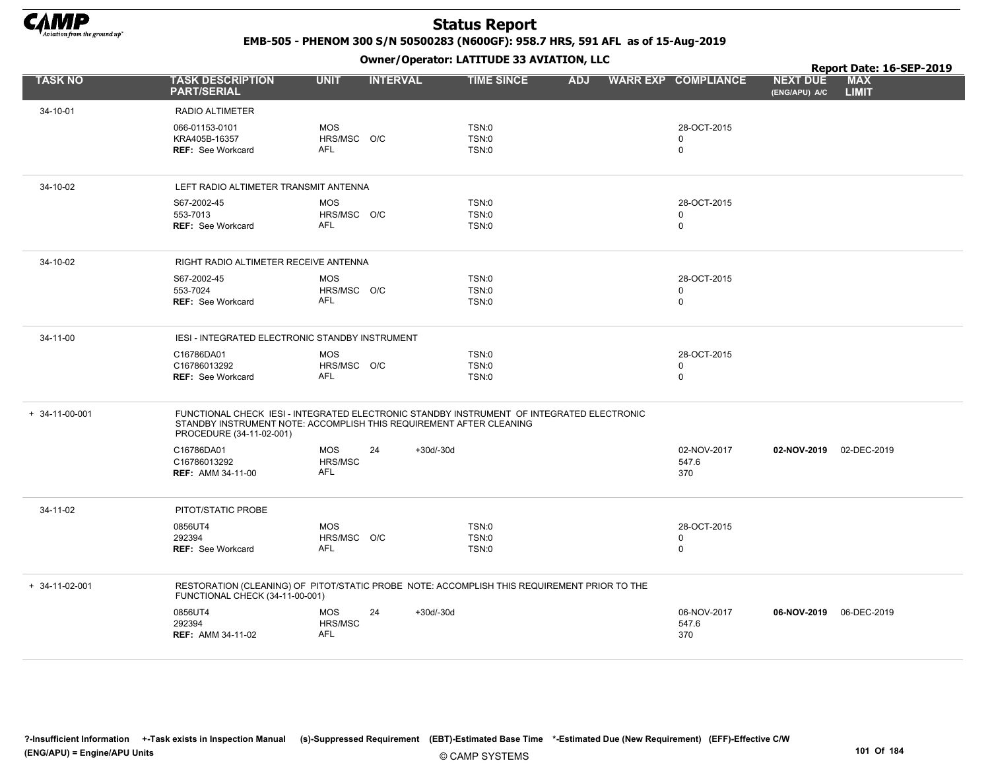

EMB-505 - PHENOM 300 S/N 50500283 (N600GF): 958.7 HRS, 591 AFL as of 15-Aug-2019

|                        |                                                                                                                                                                                              |                           |                 |           | Owner/Operator. EATITODE 33 AVIATION, LLC |            |                            |             |                                  | Report Date: 16-SEP-2019   |  |
|------------------------|----------------------------------------------------------------------------------------------------------------------------------------------------------------------------------------------|---------------------------|-----------------|-----------|-------------------------------------------|------------|----------------------------|-------------|----------------------------------|----------------------------|--|
| <b>TASK NO</b>         | <b>TASK DESCRIPTION</b><br><b>PART/SERIAL</b>                                                                                                                                                | <b>UNIT</b>               | <b>INTERVAL</b> |           | <b>TIME SINCE</b>                         | <b>ADJ</b> | <b>WARR EXP COMPLIANCE</b> |             | <b>NEXT DUE</b><br>(ENG/APU) A/C | <b>MAX</b><br><b>LIMIT</b> |  |
| 34-10-01               | <b>RADIO ALTIMETER</b>                                                                                                                                                                       |                           |                 |           |                                           |            |                            |             |                                  |                            |  |
|                        | 066-01153-0101                                                                                                                                                                               | <b>MOS</b>                |                 |           | TSN:0                                     |            |                            | 28-OCT-2015 |                                  |                            |  |
|                        | KRA405B-16357<br><b>REF: See Workcard</b>                                                                                                                                                    | HRS/MSC O/C<br><b>AFL</b> |                 |           | TSN:0<br>TSN:0                            |            | 0<br>$\mathbf 0$           |             |                                  |                            |  |
|                        |                                                                                                                                                                                              |                           |                 |           |                                           |            |                            |             |                                  |                            |  |
| 34-10-02               | LEFT RADIO ALTIMETER TRANSMIT ANTENNA                                                                                                                                                        |                           |                 |           |                                           |            |                            |             |                                  |                            |  |
|                        | S67-2002-45                                                                                                                                                                                  | <b>MOS</b>                |                 |           | TSN:0                                     |            |                            | 28-OCT-2015 |                                  |                            |  |
|                        | 553-7013<br><b>REF: See Workcard</b>                                                                                                                                                         | HRS/MSC O/C<br><b>AFL</b> |                 |           | TSN:0<br>TSN:0                            |            | 0<br>$\mathbf 0$           |             |                                  |                            |  |
|                        |                                                                                                                                                                                              |                           |                 |           |                                           |            |                            |             |                                  |                            |  |
| 34-10-02               | RIGHT RADIO ALTIMETER RECEIVE ANTENNA                                                                                                                                                        |                           |                 |           |                                           |            |                            |             |                                  |                            |  |
|                        | S67-2002-45                                                                                                                                                                                  | <b>MOS</b>                |                 |           | TSN:0                                     |            |                            | 28-OCT-2015 |                                  |                            |  |
|                        | 553-7024<br><b>REF: See Workcard</b>                                                                                                                                                         | HRS/MSC O/C<br><b>AFL</b> |                 |           | TSN:0<br>TSN:0                            |            | 0<br>$\mathbf 0$           |             |                                  |                            |  |
|                        |                                                                                                                                                                                              |                           |                 |           |                                           |            |                            |             |                                  |                            |  |
| 34-11-00               | IESI - INTEGRATED ELECTRONIC STANDBY INSTRUMENT                                                                                                                                              |                           |                 |           |                                           |            |                            |             |                                  |                            |  |
|                        | C16786DA01                                                                                                                                                                                   | <b>MOS</b>                |                 |           | TSN:0                                     |            |                            | 28-OCT-2015 |                                  |                            |  |
|                        | C16786013292<br><b>REF: See Workcard</b>                                                                                                                                                     | HRS/MSC O/C<br><b>AFL</b> |                 |           | TSN:0<br>TSN:0                            |            | 0<br>0                     |             |                                  |                            |  |
|                        |                                                                                                                                                                                              |                           |                 |           |                                           |            |                            |             |                                  |                            |  |
| $+ 34 - 11 - 00 - 001$ | FUNCTIONAL CHECK IESI - INTEGRATED ELECTRONIC STANDBY INSTRUMENT OF INTEGRATED ELECTRONIC<br>STANDBY INSTRUMENT NOTE: ACCOMPLISH THIS REQUIREMENT AFTER CLEANING<br>PROCEDURE (34-11-02-001) |                           |                 |           |                                           |            |                            |             |                                  |                            |  |
|                        | C16786DA01                                                                                                                                                                                   | <b>MOS</b>                | 24              | +30d/-30d |                                           |            |                            | 02-NOV-2017 | 02-NOV-2019                      | 02-DEC-2019                |  |
|                        | C16786013292                                                                                                                                                                                 | HRS/MSC                   |                 |           |                                           |            |                            | 547.6       |                                  |                            |  |
|                        | <b>REF: AMM 34-11-00</b>                                                                                                                                                                     | <b>AFL</b>                |                 |           |                                           |            | 370                        |             |                                  |                            |  |
| 34-11-02               | PITOT/STATIC PROBE                                                                                                                                                                           |                           |                 |           |                                           |            |                            |             |                                  |                            |  |
|                        | 0856UT4                                                                                                                                                                                      | <b>MOS</b>                |                 |           | TSN:0                                     |            |                            | 28-OCT-2015 |                                  |                            |  |
|                        | 292394                                                                                                                                                                                       | HRS/MSC O/C<br><b>AFL</b> |                 |           | TSN:0                                     |            | $\mathbf 0$                |             |                                  |                            |  |
|                        | REF: See Workcard                                                                                                                                                                            |                           |                 |           | TSN:0                                     |            | $\mathbf 0$                |             |                                  |                            |  |
| $+ 34 - 11 - 02 - 001$ | RESTORATION (CLEANING) OF PITOT/STATIC PROBE NOTE: ACCOMPLISH THIS REQUIREMENT PRIOR TO THE<br>FUNCTIONAL CHECK (34-11-00-001)                                                               |                           |                 |           |                                           |            |                            |             |                                  |                            |  |
|                        | 0856UT4                                                                                                                                                                                      | <b>MOS</b>                | 24              | +30d/-30d |                                           |            |                            | 06-NOV-2017 | 06-NOV-2019 06-DEC-2019          |                            |  |
|                        | 292394                                                                                                                                                                                       | HRS/MSC                   |                 |           |                                           |            |                            | 547.6       |                                  |                            |  |
|                        | <b>REF: AMM 34-11-02</b>                                                                                                                                                                     | AFL                       |                 |           |                                           |            | 370                        |             |                                  |                            |  |
|                        |                                                                                                                                                                                              |                           |                 |           |                                           |            |                            |             |                                  |                            |  |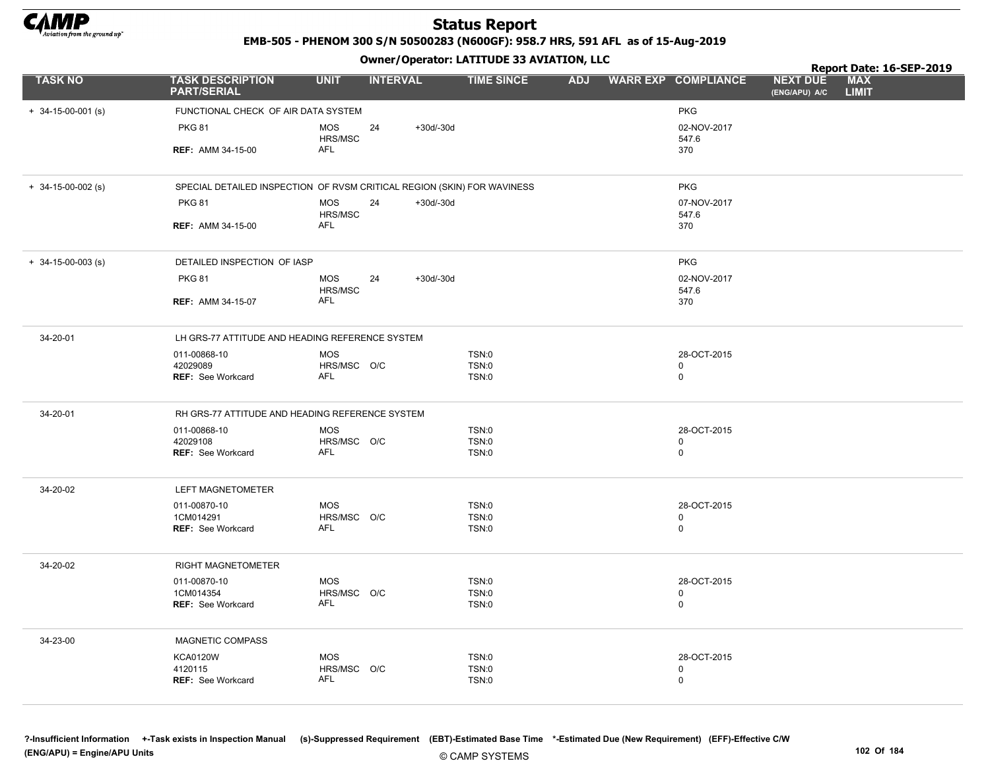

EMB-505 - PHENOM 300 S/N 50500283 (N600GF): 958.7 HRS, 591 AFL as of 15-Aug-2019

Owner/Operator: LATITUDE 33 AVIATION, LLC

|                            | Owner / Operator: EATITODE 33 AVIATION, LLC                             |                           |                 |             |                              |            |  | Report Date: 16-SEP-2019   |                                  |                            |  |
|----------------------------|-------------------------------------------------------------------------|---------------------------|-----------------|-------------|------------------------------|------------|--|----------------------------|----------------------------------|----------------------------|--|
| <b>TASK NO</b>             | <b>TASK DESCRIPTION</b><br><b>PART/SERIAL</b>                           | <b>UNIT</b>               | <b>INTERVAL</b> |             | <b>TIME SINCE</b>            | <b>ADJ</b> |  | <b>WARR EXP COMPLIANCE</b> | <b>NEXT DUE</b><br>(ENG/APU) A/C | <b>MAX</b><br><b>LIMIT</b> |  |
| $+ 34 - 15 - 00 - 001$ (s) | FUNCTIONAL CHECK OF AIR DATA SYSTEM                                     |                           |                 |             |                              |            |  | <b>PKG</b>                 |                                  |                            |  |
|                            | <b>PKG 81</b>                                                           | <b>MOS</b><br>HRS/MSC     | 24              | $+30d/-30d$ |                              |            |  | 02-NOV-2017<br>547.6       |                                  |                            |  |
|                            | <b>REF: AMM 34-15-00</b>                                                | AFL                       |                 |             |                              |            |  | 370                        |                                  |                            |  |
| $+$ 34-15-00-002 (s)       | SPECIAL DETAILED INSPECTION OF RVSM CRITICAL REGION (SKIN) FOR WAVINESS |                           |                 |             |                              |            |  | <b>PKG</b>                 |                                  |                            |  |
|                            | <b>PKG 81</b>                                                           | <b>MOS</b><br>HRS/MSC     | 24              | $+30d/-30d$ |                              |            |  | 07-NOV-2017<br>547.6       |                                  |                            |  |
|                            | <b>REF: AMM 34-15-00</b>                                                | AFL                       |                 |             |                              |            |  | 370                        |                                  |                            |  |
| $+ 34 - 15 - 00 - 003$ (s) | DETAILED INSPECTION OF IASP                                             |                           |                 |             |                              |            |  | <b>PKG</b>                 |                                  |                            |  |
|                            | <b>PKG 81</b>                                                           | <b>MOS</b><br>HRS/MSC     | 24              | $+30d/-30d$ |                              |            |  | 02-NOV-2017<br>547.6       |                                  |                            |  |
|                            | <b>REF: AMM 34-15-07</b>                                                | AFL                       |                 |             |                              |            |  | 370                        |                                  |                            |  |
| 34-20-01                   | LH GRS-77 ATTITUDE AND HEADING REFERENCE SYSTEM                         |                           |                 |             |                              |            |  |                            |                                  |                            |  |
|                            | 011-00868-10<br>42029089                                                | <b>MOS</b><br>HRS/MSC O/C |                 |             | <b>TSN:0</b><br>TSN:0        |            |  | 28-OCT-2015<br>$\mathbf 0$ |                                  |                            |  |
|                            | REF: See Workcard                                                       | <b>AFL</b>                |                 |             | <b>TSN:0</b>                 |            |  | $\mathbf 0$                |                                  |                            |  |
| 34-20-01                   | RH GRS-77 ATTITUDE AND HEADING REFERENCE SYSTEM                         |                           |                 |             |                              |            |  |                            |                                  |                            |  |
|                            | 011-00868-10                                                            | <b>MOS</b>                |                 |             | <b>TSN:0</b>                 |            |  | 28-OCT-2015                |                                  |                            |  |
|                            | 42029108<br>REF: See Workcard                                           | HRS/MSC O/C<br><b>AFL</b> |                 |             | TSN:0<br><b>TSN:0</b>        |            |  | $\mathbf 0$<br>$\mathbf 0$ |                                  |                            |  |
| 34-20-02                   | <b>LEFT MAGNETOMETER</b>                                                |                           |                 |             |                              |            |  |                            |                                  |                            |  |
|                            | 011-00870-10<br>1CM014291                                               | <b>MOS</b><br>HRS/MSC O/C |                 |             | <b>TSN:0</b><br>TSN:0        |            |  | 28-OCT-2015<br>$\mathbf 0$ |                                  |                            |  |
|                            | REF: See Workcard                                                       | AFL                       |                 |             | <b>TSN:0</b>                 |            |  | $\mathbf 0$                |                                  |                            |  |
| 34-20-02                   | <b>RIGHT MAGNETOMETER</b>                                               |                           |                 |             |                              |            |  |                            |                                  |                            |  |
|                            | 011-00870-10<br>1CM014354                                               | <b>MOS</b><br>HRS/MSC O/C |                 |             | <b>TSN:0</b><br>TSN:0        |            |  | 28-OCT-2015<br>0           |                                  |                            |  |
|                            | <b>REF: See Workcard</b>                                                | <b>AFL</b>                |                 |             | <b>TSN:0</b>                 |            |  | $\mathbf 0$                |                                  |                            |  |
| 34-23-00                   | MAGNETIC COMPASS                                                        |                           |                 |             |                              |            |  |                            |                                  |                            |  |
|                            | <b>KCA0120W</b><br>4120115                                              | <b>MOS</b><br>HRS/MSC O/C |                 |             | <b>TSN:0</b><br><b>TSN:0</b> |            |  | 28-OCT-2015<br>0           |                                  |                            |  |
|                            | <b>REF: See Workcard</b>                                                | <b>AFL</b>                |                 |             | TSN:0                        |            |  | $\mathbf 0$                |                                  |                            |  |
|                            |                                                                         |                           |                 |             |                              |            |  |                            |                                  |                            |  |

© CAMP SYSTEMS ?-Insufficient Information +-Task exists in Inspection Manual (s)-Suppressed Requirement (EBT)-Estimated Base Time \*-Estimated Due (New Requirement) (EFF)-Effective C/W (ENG/APU) = Engine/APU Units 102 Of 184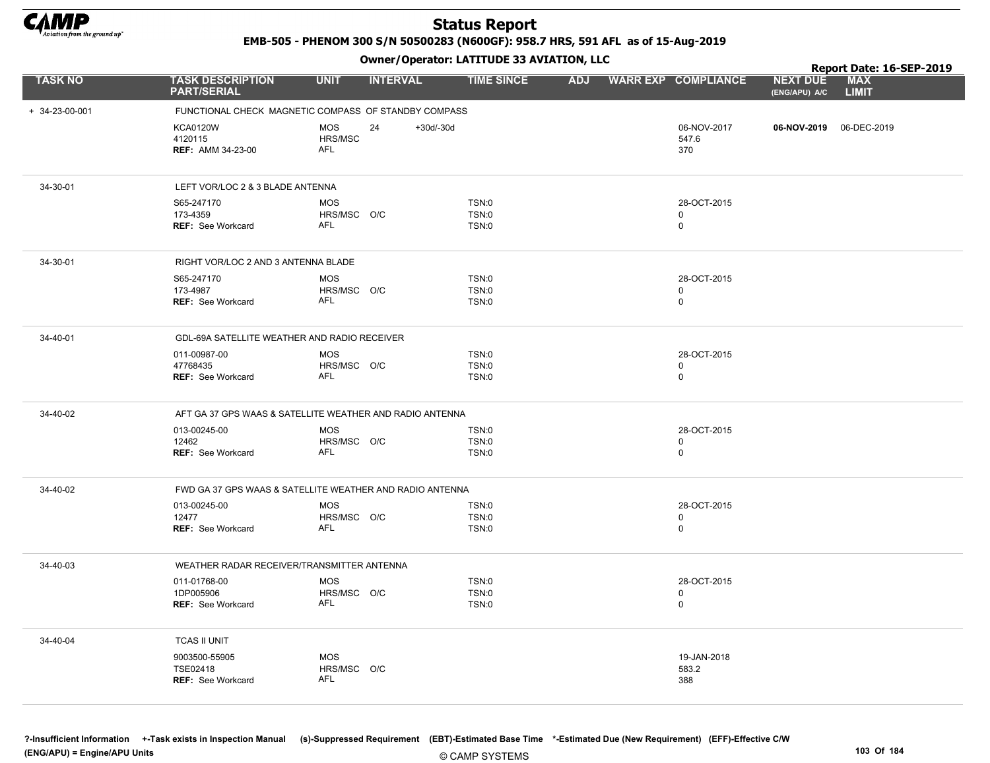

EMB-505 - PHENOM 300 S/N 50500283 (N600GF): 958.7 HRS, 591 AFL as of 15-Aug-2019

|                        |                                                        |                                                          | Report Date: 16-SEP-2019 |            |                                           |                                                                |
|------------------------|--------------------------------------------------------|----------------------------------------------------------|--------------------------|------------|-------------------------------------------|----------------------------------------------------------------|
| <b>TASK NO</b>         | <b>TASK DESCRIPTION</b><br><b>PART/SERIAL</b>          | <b>UNIT</b><br><b>INTERVAL</b>                           | <b>TIME SINCE</b>        | <b>ADJ</b> | <b>WARR EXP COMPLIANCE</b>                | <b>NEXT DUE</b><br><b>MAX</b><br><b>LIMIT</b><br>(ENG/APU) A/C |
| $+ 34 - 23 - 00 - 001$ |                                                        | FUNCTIONAL CHECK MAGNETIC COMPASS OF STANDBY COMPASS     |                          |            |                                           |                                                                |
|                        | <b>KCA0120W</b><br>4120115<br><b>REF: AMM 34-23-00</b> | <b>MOS</b><br>24<br>$+30d/-30d$<br>HRS/MSC<br><b>AFL</b> |                          |            | 06-NOV-2017<br>547.6<br>370               | 06-NOV-2019 06-DEC-2019                                        |
| 34-30-01               | LEFT VOR/LOC 2 & 3 BLADE ANTENNA                       |                                                          |                          |            |                                           |                                                                |
|                        | S65-247170<br>173-4359<br>REF: See Workcard            | <b>MOS</b><br>HRS/MSC O/C<br><b>AFL</b>                  | TSN:0<br>TSN:0<br>TSN:0  |            | 28-OCT-2015<br>$\mathbf 0$<br>$\mathbf 0$ |                                                                |
| 34-30-01               | RIGHT VOR/LOC 2 AND 3 ANTENNA BLADE                    |                                                          |                          |            |                                           |                                                                |
|                        | S65-247170<br>173-4987<br><b>REF: See Workcard</b>     | <b>MOS</b><br>HRS/MSC O/C<br>AFL                         | TSN:0<br>TSN:0<br>TSN:0  |            | 28-OCT-2015<br>0<br>$\mathbf 0$           |                                                                |
| 34-40-01               | GDL-69A SATELLITE WEATHER AND RADIO RECEIVER           |                                                          |                          |            |                                           |                                                                |
|                        | 011-00987-00<br>47768435<br><b>REF: See Workcard</b>   | <b>MOS</b><br>HRS/MSC O/C<br><b>AFL</b>                  | TSN:0<br>TSN:0<br>TSN:0  |            | 28-OCT-2015<br>$\mathbf 0$<br>$\mathbf 0$ |                                                                |
| 34-40-02               |                                                        | AFT GA 37 GPS WAAS & SATELLITE WEATHER AND RADIO ANTENNA |                          |            |                                           |                                                                |
|                        | 013-00245-00<br>12462<br>REF: See Workcard             | <b>MOS</b><br>HRS/MSC O/C<br><b>AFL</b>                  | TSN:0<br>TSN:0<br>TSN:0  |            | 28-OCT-2015<br>$\mathbf 0$<br>$\mathsf 0$ |                                                                |
| 34-40-02               |                                                        | FWD GA 37 GPS WAAS & SATELLITE WEATHER AND RADIO ANTENNA |                          |            |                                           |                                                                |
|                        | 013-00245-00<br>12477<br><b>REF: See Workcard</b>      | <b>MOS</b><br>HRS/MSC O/C<br>AFL                         | TSN:0<br>TSN:0<br>TSN:0  |            | 28-OCT-2015<br>0<br>$\mathbf 0$           |                                                                |
| 34-40-03               | WEATHER RADAR RECEIVER/TRANSMITTER ANTENNA             |                                                          |                          |            |                                           |                                                                |
|                        | 011-01768-00<br>1DP005906<br><b>REF: See Workcard</b>  | <b>MOS</b><br>HRS/MSC O/C<br><b>AFL</b>                  | TSN:0<br>TSN:0<br>TSN:0  |            | 28-OCT-2015<br>$\mathbf 0$<br>$\mathbf 0$ |                                                                |
| 34-40-04               | <b>TCAS II UNIT</b>                                    |                                                          |                          |            |                                           |                                                                |
|                        | 9003500-55905<br>TSE02418<br><b>REF: See Workcard</b>  | <b>MOS</b><br>HRS/MSC O/C<br><b>AFL</b>                  |                          |            | 19-JAN-2018<br>583.2<br>388               |                                                                |
|                        |                                                        |                                                          |                          |            |                                           |                                                                |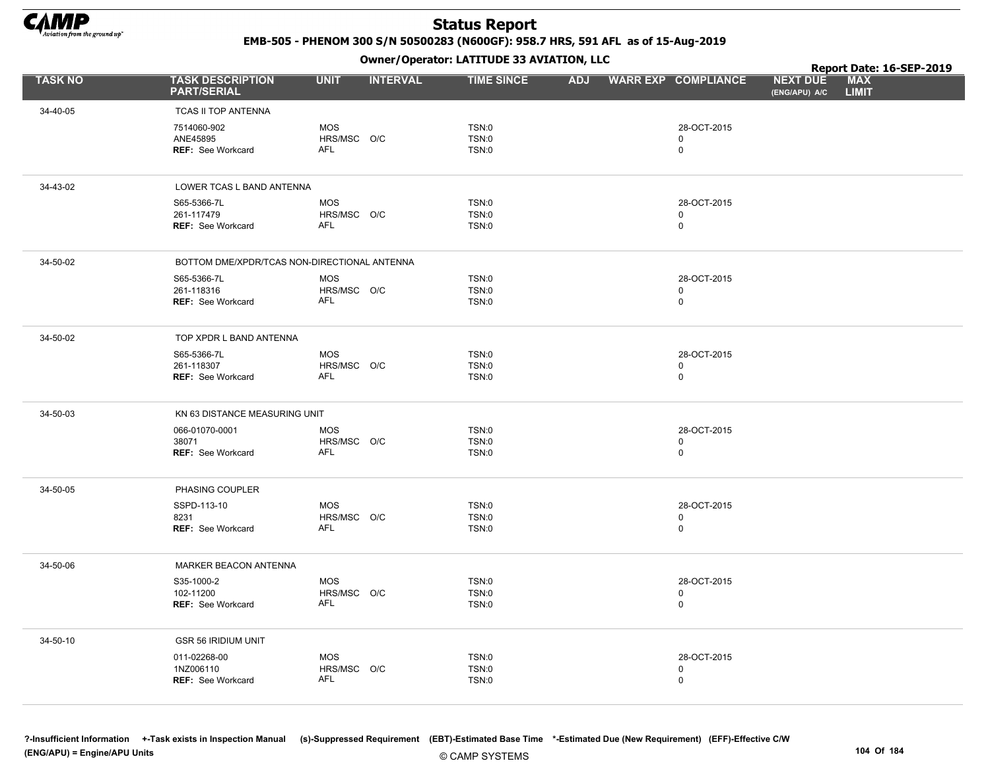

EMB-505 - PHENOM 300 S/N 50500283 (N600GF): 958.7 HRS, 591 AFL as of 15-Aug-2019

Owner/Operator: LATITUDE 33 AVIATION, LLC

|                |                                                       |                                         |                 | Owner / Operator: EATITODE 33 AVIATION, LLC |            |                                           |                                  | Report Date: 16-SEP-2019   |  |
|----------------|-------------------------------------------------------|-----------------------------------------|-----------------|---------------------------------------------|------------|-------------------------------------------|----------------------------------|----------------------------|--|
| <b>TASK NO</b> | <b>TASK DESCRIPTION</b><br><b>PART/SERIAL</b>         | <b>UNIT</b>                             | <b>INTERVAL</b> | <b>TIME SINCE</b>                           | <b>ADJ</b> | <b>WARR EXP COMPLIANCE</b>                | <b>NEXT DUE</b><br>(ENG/APU) A/C | <b>MAX</b><br><b>LIMIT</b> |  |
| 34-40-05       | TCAS II TOP ANTENNA                                   |                                         |                 |                                             |            |                                           |                                  |                            |  |
|                | 7514060-902<br>ANE45895<br><b>REF: See Workcard</b>   | <b>MOS</b><br>HRS/MSC O/C<br><b>AFL</b> |                 | TSN:0<br>TSN:0<br>TSN:0                     |            | 28-OCT-2015<br>$\mathbf 0$<br>$\mathsf 0$ |                                  |                            |  |
| 34-43-02       | LOWER TCAS L BAND ANTENNA                             |                                         |                 |                                             |            |                                           |                                  |                            |  |
|                | S65-5366-7L<br>261-117479<br>REF: See Workcard        | <b>MOS</b><br>HRS/MSC O/C<br>AFL        |                 | TSN:0<br>TSN:0<br><b>TSN:0</b>              |            | 28-OCT-2015<br>$\mathbf 0$<br>$\pmb{0}$   |                                  |                            |  |
| 34-50-02       | BOTTOM DME/XPDR/TCAS NON-DIRECTIONAL ANTENNA          |                                         |                 |                                             |            |                                           |                                  |                            |  |
|                | S65-5366-7L<br>261-118316<br><b>REF: See Workcard</b> | <b>MOS</b><br>HRS/MSC O/C<br>AFL        |                 | <b>TSN:0</b><br>TSN:0<br>TSN:0              |            | 28-OCT-2015<br>$\pmb{0}$<br>$\mathbf 0$   |                                  |                            |  |
| 34-50-02       | TOP XPDR L BAND ANTENNA                               |                                         |                 |                                             |            |                                           |                                  |                            |  |
|                | S65-5366-7L<br>261-118307<br><b>REF:</b> See Workcard | <b>MOS</b><br>HRS/MSC O/C<br><b>AFL</b> |                 | TSN:0<br>TSN:0<br>TSN:0                     |            | 28-OCT-2015<br>$\mathbf 0$<br>$\mathbf 0$ |                                  |                            |  |
| 34-50-03       | KN 63 DISTANCE MEASURING UNIT                         |                                         |                 |                                             |            |                                           |                                  |                            |  |
|                | 066-01070-0001<br>38071<br><b>REF:</b> See Workcard   | <b>MOS</b><br>HRS/MSC O/C<br><b>AFL</b> |                 | TSN:0<br>TSN:0<br>TSN:0                     |            | 28-OCT-2015<br>$\mathbf 0$<br>$\mathbf 0$ |                                  |                            |  |
| 34-50-05       | PHASING COUPLER                                       |                                         |                 |                                             |            |                                           |                                  |                            |  |
|                | SSPD-113-10<br>8231<br><b>REF:</b> See Workcard       | <b>MOS</b><br>HRS/MSC O/C<br>AFL        |                 | TSN:0<br>TSN:0<br>TSN:0                     |            | 28-OCT-2015<br>$\pmb{0}$<br>$\mathsf 0$   |                                  |                            |  |
| 34-50-06       | MARKER BEACON ANTENNA                                 |                                         |                 |                                             |            |                                           |                                  |                            |  |
|                | S35-1000-2<br>102-11200<br>REF: See Workcard          | <b>MOS</b><br>HRS/MSC O/C<br><b>AFL</b> |                 | TSN:0<br>TSN:0<br>TSN:0                     |            | 28-OCT-2015<br>$\pmb{0}$<br>$\mathbf 0$   |                                  |                            |  |
| 34-50-10       | GSR 56 IRIDIUM UNIT                                   |                                         |                 |                                             |            |                                           |                                  |                            |  |
|                | 011-02268-00<br>1NZ006110<br><b>REF: See Workcard</b> | <b>MOS</b><br>HRS/MSC O/C<br><b>AFL</b> |                 | TSN:0<br>TSN:0<br>TSN:0                     |            | 28-OCT-2015<br>$\mathbf 0$<br>$\pmb{0}$   |                                  |                            |  |
|                |                                                       |                                         |                 |                                             |            |                                           |                                  |                            |  |

© CAMP SYSTEMS ?-Insufficient Information +-Task exists in Inspection Manual (s)-Suppressed Requirement (EBT)-Estimated Base Time \*-Estimated Due (New Requirement) (EFF)-Effective C/W (ENG/APU) = Engine/APU Units 104 Of 184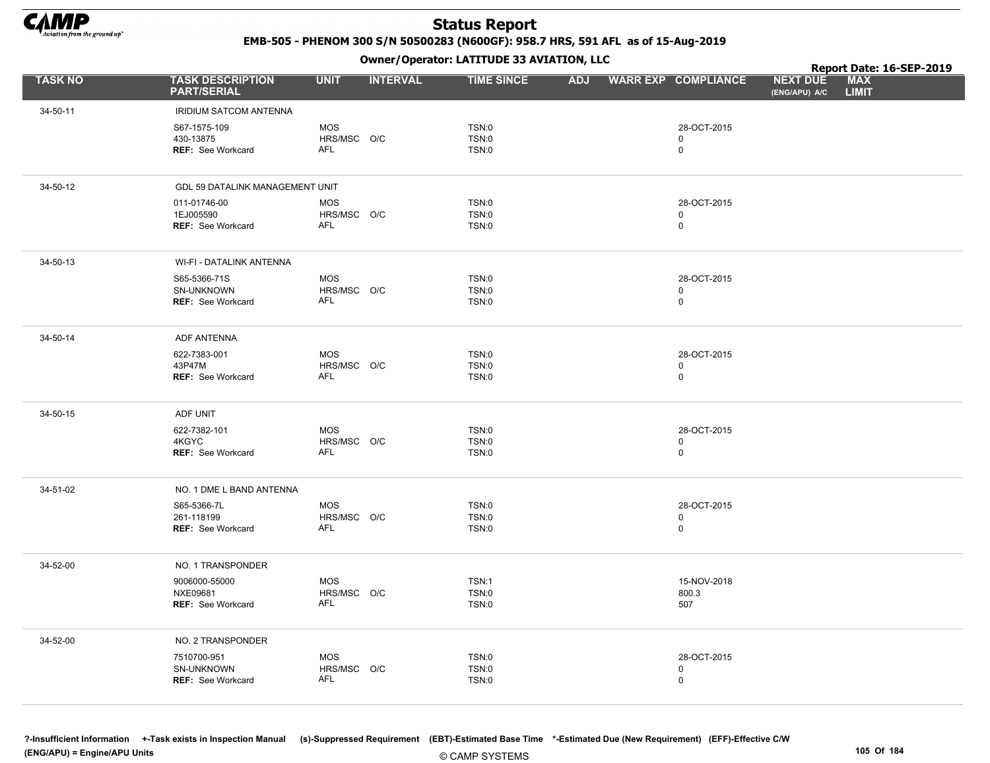

EMB-505 - PHENOM 300 S/N 50500283 (N600GF): 958.7 HRS, 591 AFL as of 15-Aug-2019

Owner/Operator: LATITUDE 33 AVIATION, LLC

|                |                                                        |                                         |                 | Owner / Operator: EATITODE 33 AVIATION, LLC  |            |                                           |                                  | Report Date: 16-SEP-2019   |  |
|----------------|--------------------------------------------------------|-----------------------------------------|-----------------|----------------------------------------------|------------|-------------------------------------------|----------------------------------|----------------------------|--|
| <b>TASK NO</b> | <b>TASK DESCRIPTION</b><br><b>PART/SERIAL</b>          | <b>UNIT</b>                             | <b>INTERVAL</b> | <b>TIME SINCE</b>                            | <b>ADJ</b> | <b>WARR EXP COMPLIANCE</b>                | <b>NEXT DUE</b><br>(ENG/APU) A/C | <b>MAX</b><br><b>LIMIT</b> |  |
| 34-50-11       | <b>IRIDIUM SATCOM ANTENNA</b>                          |                                         |                 |                                              |            |                                           |                                  |                            |  |
|                | S67-1575-109<br>430-13875<br>REF: See Workcard         | <b>MOS</b><br>HRS/MSC O/C<br><b>AFL</b> |                 | <b>TSN:0</b><br><b>TSN:0</b><br>TSN:0        |            | 28-OCT-2015<br>$\mathbf 0$<br>$\mathsf 0$ |                                  |                            |  |
| 34-50-12       | GDL 59 DATALINK MANAGEMENT UNIT                        |                                         |                 |                                              |            |                                           |                                  |                            |  |
|                | 011-01746-00<br>1EJ005590<br><b>REF: See Workcard</b>  | <b>MOS</b><br>HRS/MSC O/C<br><b>AFL</b> |                 | TSN:0<br><b>TSN:0</b><br><b>TSN:0</b>        |            | 28-OCT-2015<br>$\mathbf 0$<br>$\mathsf 0$ |                                  |                            |  |
| 34-50-13       | WI-FI - DATALINK ANTENNA                               |                                         |                 |                                              |            |                                           |                                  |                            |  |
|                | S65-5366-71S<br>SN-UNKNOWN<br><b>REF: See Workcard</b> | <b>MOS</b><br>HRS/MSC O/C<br>AFL        |                 | <b>TSN:0</b><br><b>TSN:0</b><br><b>TSN:0</b> |            | 28-OCT-2015<br>$\mathbf 0$<br>$\mathsf 0$ |                                  |                            |  |
| 34-50-14       | <b>ADF ANTENNA</b>                                     |                                         |                 |                                              |            |                                           |                                  |                            |  |
|                | 622-7383-001<br>43P47M<br><b>REF: See Workcard</b>     | <b>MOS</b><br>HRS/MSC O/C<br>AFL        |                 | <b>TSN:0</b><br>TSN:0<br><b>TSN:0</b>        |            | 28-OCT-2015<br>$\mathbf 0$<br>$\mathsf 0$ |                                  |                            |  |
| 34-50-15       | ADF UNIT                                               |                                         |                 |                                              |            |                                           |                                  |                            |  |
|                | 622-7382-101<br>4KGYC<br>REF: See Workcard             | <b>MOS</b><br>HRS/MSC O/C<br><b>AFL</b> |                 | <b>TSN:0</b><br><b>TSN:0</b><br><b>TSN:0</b> |            | 28-OCT-2015<br>$\mathbf 0$<br>$\mathsf 0$ |                                  |                            |  |
| 34-51-02       | NO. 1 DME L BAND ANTENNA                               |                                         |                 |                                              |            |                                           |                                  |                            |  |
|                | S65-5366-7L<br>261-118199<br><b>REF: See Workcard</b>  | <b>MOS</b><br>HRS/MSC O/C<br><b>AFL</b> |                 | <b>TSN:0</b><br><b>TSN:0</b><br><b>TSN:0</b> |            | 28-OCT-2015<br>$\mathbf 0$<br>$\mathsf 0$ |                                  |                            |  |
| 34-52-00       | NO. 1 TRANSPONDER                                      |                                         |                 |                                              |            |                                           |                                  |                            |  |
|                | 9006000-55000<br>NXE09681<br><b>REF: See Workcard</b>  | <b>MOS</b><br>HRS/MSC O/C<br>AFL        |                 | TSN:1<br><b>TSN:0</b><br><b>TSN:0</b>        |            | 15-NOV-2018<br>800.3<br>507               |                                  |                            |  |
| 34-52-00       | NO. 2 TRANSPONDER                                      |                                         |                 |                                              |            |                                           |                                  |                            |  |
|                | 7510700-951<br>SN-UNKNOWN<br><b>REF: See Workcard</b>  | <b>MOS</b><br>HRS/MSC O/C<br>AFL        |                 | <b>TSN:0</b><br>TSN:0<br><b>TSN:0</b>        |            | 28-OCT-2015<br>$\mathbf 0$<br>$\mathbf 0$ |                                  |                            |  |
|                |                                                        |                                         |                 |                                              |            |                                           |                                  |                            |  |

© CAMP SYSTEMS ?-Insufficient Information +-Task exists in Inspection Manual (s)-Suppressed Requirement (EBT)-Estimated Base Time \*-Estimated Due (New Requirement) (EFF)-Effective C/W (ENG/APU) = Engine/APU Units 105 Of 184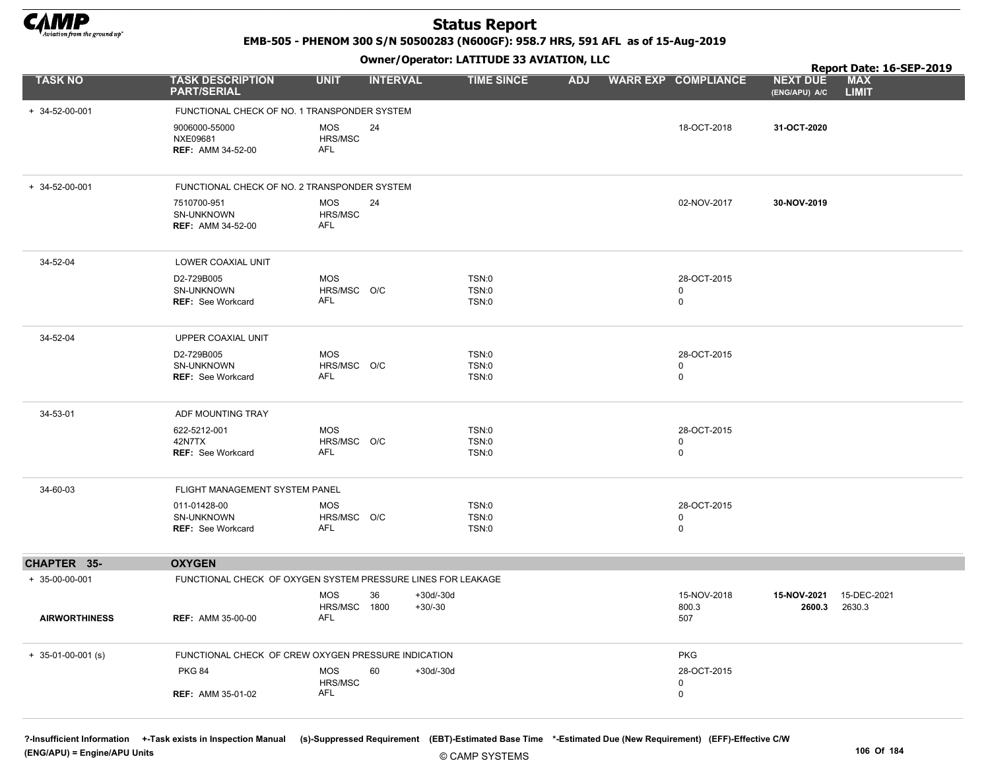

EMB-505 - PHENOM 300 S/N 50500283 (N600GF): 958.7 HRS, 591 AFL as of 15-Aug-2019

#### Owner/Operator: LATITUDE 33 AVIATION, LLC

|                        |                                                        | .                                                            |                                |            |                                           | Report Date: 16-SEP-2019                                       |
|------------------------|--------------------------------------------------------|--------------------------------------------------------------|--------------------------------|------------|-------------------------------------------|----------------------------------------------------------------|
| <b>TASK NO</b>         | <b>TASK DESCRIPTION</b><br><b>PART/SERIAL</b>          | <b>INTERVAL</b><br><b>UNIT</b>                               | <b>TIME SINCE</b>              | <b>ADJ</b> | <b>WARR EXP COMPLIANCE</b>                | <b>MAX</b><br><b>NEXT DUE</b><br><b>LIMIT</b><br>(ENG/APU) A/C |
| $+ 34 - 52 - 00 - 001$ | FUNCTIONAL CHECK OF NO. 1 TRANSPONDER SYSTEM           |                                                              |                                |            |                                           |                                                                |
|                        | 9006000-55000<br>NXE09681<br><b>REF: AMM 34-52-00</b>  | <b>MOS</b><br>24<br>HRS/MSC<br>AFL                           |                                |            | 18-OCT-2018                               | 31-OCT-2020                                                    |
| + 34-52-00-001         | FUNCTIONAL CHECK OF NO. 2 TRANSPONDER SYSTEM           |                                                              |                                |            |                                           |                                                                |
|                        | 7510700-951<br>SN-UNKNOWN<br><b>REF: AMM 34-52-00</b>  | MOS<br>24<br>HRS/MSC<br><b>AFL</b>                           |                                |            | 02-NOV-2017                               | 30-NOV-2019                                                    |
| 34-52-04               | LOWER COAXIAL UNIT                                     |                                                              |                                |            |                                           |                                                                |
|                        | D2-729B005<br>SN-UNKNOWN<br><b>REF: See Workcard</b>   | <b>MOS</b><br>HRS/MSC O/C<br>AFL                             | TSN:0<br>TSN:0<br>TSN:0        |            | 28-OCT-2015<br>0<br>$\mathbf 0$           |                                                                |
| 34-52-04               | UPPER COAXIAL UNIT                                     |                                                              |                                |            |                                           |                                                                |
|                        | D2-729B005<br>SN-UNKNOWN<br><b>REF: See Workcard</b>   | <b>MOS</b><br>HRS/MSC O/C<br>AFL                             | TSN:0<br><b>TSN:0</b><br>TSN:0 |            | 28-OCT-2015<br>$\mathbf 0$<br>$\mathbf 0$ |                                                                |
| 34-53-01               | ADF MOUNTING TRAY                                      |                                                              |                                |            |                                           |                                                                |
|                        | 622-5212-001<br>42N7TX<br><b>REF: See Workcard</b>     | <b>MOS</b><br>HRS/MSC O/C<br>AFL                             | TSN:0<br>TSN:0<br>TSN:0        |            | 28-OCT-2015<br>$\mathbf 0$<br>$\mathbf 0$ |                                                                |
| 34-60-03               | FLIGHT MANAGEMENT SYSTEM PANEL                         |                                                              |                                |            |                                           |                                                                |
|                        | 011-01428-00<br>SN-UNKNOWN<br><b>REF: See Workcard</b> | <b>MOS</b><br>HRS/MSC O/C<br><b>AFL</b>                      | <b>TSN:0</b><br>TSN:0<br>TSN:0 |            | 28-OCT-2015<br>0<br>$\mathbf 0$           |                                                                |
| <b>CHAPTER 35-</b>     | <b>OXYGEN</b>                                          |                                                              |                                |            |                                           |                                                                |
| + 35-00-00-001         |                                                        | FUNCTIONAL CHECK OF OXYGEN SYSTEM PRESSURE LINES FOR LEAKAGE |                                |            |                                           |                                                                |
|                        |                                                        | <b>MOS</b><br>36<br>HRS/MSC 1800                             | $+30d/-30d$<br>$+30/-30$       |            | 15-NOV-2018<br>800.3                      | 15-NOV-2021<br>15-DEC-2021<br>2600.3<br>2630.3                 |
| <b>AIRWORTHINESS</b>   | <b>REF: AMM 35-00-00</b>                               | <b>AFL</b>                                                   |                                |            | 507                                       |                                                                |
| $+$ 35-01-00-001 (s)   |                                                        | FUNCTIONAL CHECK OF CREW OXYGEN PRESSURE INDICATION          |                                |            | <b>PKG</b>                                |                                                                |
|                        | <b>PKG 84</b>                                          | <b>MOS</b><br>60<br>HRS/MSC                                  | $+30d/-30d$                    |            | 28-OCT-2015<br>0                          |                                                                |
|                        | <b>REF: AMM 35-01-02</b>                               | AFL                                                          |                                |            | $\mathbf 0$                               |                                                                |

?-Insufficient Information +-Task exists in Inspection Manual (s)-Suppressed Requirement (EBT)-Estimated Base Time \*-Estimated Due (New Requirement) (EFF)-Effective C/W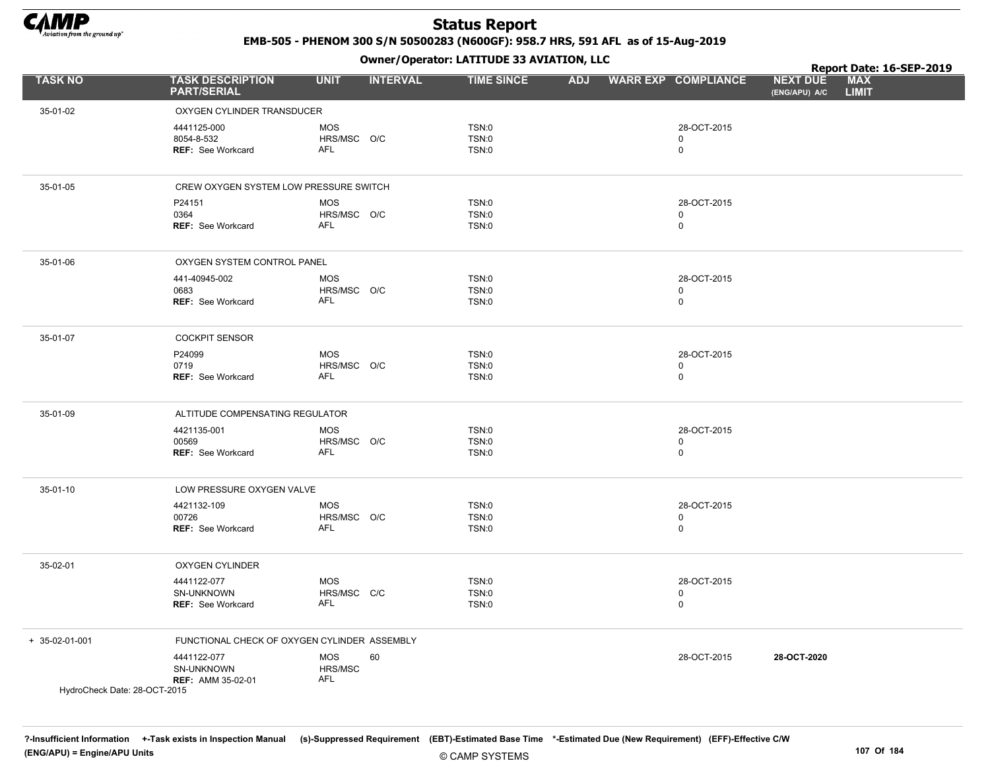

EMB-505 - PHENOM 300 S/N 50500283 (N600GF): 958.7 HRS, 591 AFL as of 15-Aug-2019

|                              |                                                       |                                           | Owner / Operator: EATITODE 33 AVIATION, LLC  |            |                                           |                                  | Report Date: 16-SEP-2019   |  |
|------------------------------|-------------------------------------------------------|-------------------------------------------|----------------------------------------------|------------|-------------------------------------------|----------------------------------|----------------------------|--|
| <b>TASK NO</b>               | <b>TASK DESCRIPTION</b><br><b>PART/SERIAL</b>         | <b>UNIT</b><br><b>INTERVAL</b>            | <b>TIME SINCE</b>                            | <b>ADJ</b> | <b>WARR EXP COMPLIANCE</b>                | <b>NEXT DUE</b><br>(ENG/APU) A/C | <b>MAX</b><br><b>LIMIT</b> |  |
| 35-01-02                     | OXYGEN CYLINDER TRANSDUCER                            |                                           |                                              |            |                                           |                                  |                            |  |
|                              | 4441125-000<br>8054-8-532<br><b>REF: See Workcard</b> | <b>MOS</b><br>HRS/MSC O/C<br>AFL          | <b>TSN:0</b><br><b>TSN:0</b><br><b>TSN:0</b> |            | 28-OCT-2015<br>$\mathbf 0$<br>$\mathsf 0$ |                                  |                            |  |
| 35-01-05                     | CREW OXYGEN SYSTEM LOW PRESSURE SWITCH                |                                           |                                              |            |                                           |                                  |                            |  |
|                              | P24151<br>0364<br><b>REF: See Workcard</b>            | <b>MOS</b><br>HRS/MSC O/C<br>AFL          | <b>TSN:0</b><br><b>TSN:0</b><br><b>TSN:0</b> |            | 28-OCT-2015<br>0<br>$\mathbf 0$           |                                  |                            |  |
| 35-01-06                     | OXYGEN SYSTEM CONTROL PANEL                           |                                           |                                              |            |                                           |                                  |                            |  |
|                              | 441-40945-002<br>0683<br>REF: See Workcard            | <b>MOS</b><br>HRS/MSC O/C<br>AFL          | <b>TSN:0</b><br><b>TSN:0</b><br><b>TSN:0</b> |            | 28-OCT-2015<br>$\mathbf 0$<br>$\mathsf 0$ |                                  |                            |  |
| 35-01-07                     | <b>COCKPIT SENSOR</b>                                 |                                           |                                              |            |                                           |                                  |                            |  |
|                              | P24099<br>0719<br><b>REF: See Workcard</b>            | <b>MOS</b><br>HRS/MSC O/C<br>AFL          | TSN:0<br><b>TSN:0</b><br><b>TSN:0</b>        |            | 28-OCT-2015<br>$\mathbf 0$<br>$\mathsf 0$ |                                  |                            |  |
| 35-01-09                     | ALTITUDE COMPENSATING REGULATOR                       |                                           |                                              |            |                                           |                                  |                            |  |
|                              | 4421135-001<br>00569<br>REF: See Workcard             | <b>MOS</b><br>HRS/MSC O/C<br><b>AFL</b>   | TSN:0<br><b>TSN:0</b><br><b>TSN:0</b>        |            | 28-OCT-2015<br>$\mathbf 0$<br>$\mathsf 0$ |                                  |                            |  |
| 35-01-10                     | LOW PRESSURE OXYGEN VALVE                             |                                           |                                              |            |                                           |                                  |                            |  |
|                              | 4421132-109<br>00726<br><b>REF: See Workcard</b>      | <b>MOS</b><br>HRS/MSC O/C<br><b>AFL</b>   | <b>TSN:0</b><br><b>TSN:0</b><br><b>TSN:0</b> |            | 28-OCT-2015<br>$\mathbf 0$<br>$\mathsf 0$ |                                  |                            |  |
| 35-02-01                     | <b>OXYGEN CYLINDER</b>                                |                                           |                                              |            |                                           |                                  |                            |  |
|                              | 4441122-077<br>SN-UNKNOWN<br>REF: See Workcard        | <b>MOS</b><br>HRS/MSC C/C<br><b>AFL</b>   | <b>TSN:0</b><br>TSN:0<br><b>TSN:0</b>        |            | 28-OCT-2015<br>$\mathbf 0$<br>$\mathsf 0$ |                                  |                            |  |
| + 35-02-01-001               | FUNCTIONAL CHECK OF OXYGEN CYLINDER ASSEMBLY          |                                           |                                              |            |                                           |                                  |                            |  |
| HydroCheck Date: 28-OCT-2015 | 4441122-077<br>SN-UNKNOWN<br><b>REF: AMM 35-02-01</b> | <b>MOS</b><br>60<br>HRS/MSC<br><b>AFL</b> |                                              |            | 28-OCT-2015                               | 28-OCT-2020                      |                            |  |
|                              |                                                       |                                           |                                              |            |                                           |                                  |                            |  |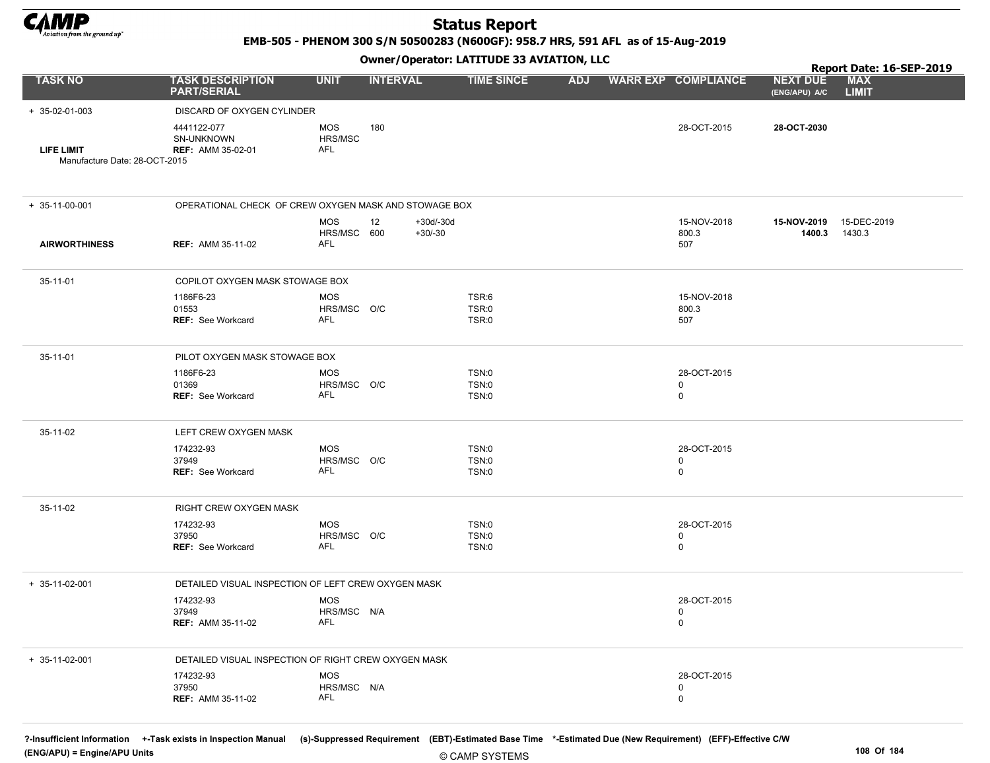

EMB-505 - PHENOM 300 S/N 50500283 (N600GF): 958.7 HRS, 591 AFL as of 15-Aug-2019

#### Owner/Operator: LATITUDE 33 AVIATION, LLC

|                                                    | Owner / Operator. EATITODE 33 AVIATION, LLC           |                                  |                                |                         |            |  |                                 | Report Date: 16-SEP-2019         |                            |  |
|----------------------------------------------------|-------------------------------------------------------|----------------------------------|--------------------------------|-------------------------|------------|--|---------------------------------|----------------------------------|----------------------------|--|
| <b>TASK NO</b>                                     | <b>TASK DESCRIPTION</b><br><b>PART/SERIAL</b>         | <b>UNIT</b>                      | <b>INTERVAL</b>                | <b>TIME SINCE</b>       | <b>ADJ</b> |  | <b>WARR EXP COMPLIANCE</b>      | <b>NEXT DUE</b><br>(ENG/APU) A/C | <b>MAX</b><br><b>LIMIT</b> |  |
| + 35-02-01-003                                     | DISCARD OF OXYGEN CYLINDER                            |                                  |                                |                         |            |  |                                 |                                  |                            |  |
| <b>LIFE LIMIT</b><br>Manufacture Date: 28-OCT-2015 | 4441122-077<br>SN-UNKNOWN<br><b>REF: AMM 35-02-01</b> | <b>MOS</b><br>HRS/MSC<br>AFL     | 180                            |                         |            |  | 28-OCT-2015                     | 28-OCT-2030                      |                            |  |
| $+ 35 - 11 - 00 - 001$                             | OPERATIONAL CHECK OF CREW OXYGEN MASK AND STOWAGE BOX |                                  |                                |                         |            |  |                                 |                                  |                            |  |
| <b>AIRWORTHINESS</b>                               | <b>REF: AMM 35-11-02</b>                              | <b>MOS</b><br>HRS/MSC 600<br>AFL | 12<br>$+30d/-30d$<br>$+30/-30$ |                         |            |  | 15-NOV-2018<br>800.3<br>507     | 15-NOV-2019<br>1400.3            | 15-DEC-2019<br>1430.3      |  |
| 35-11-01                                           | COPILOT OXYGEN MASK STOWAGE BOX                       |                                  |                                |                         |            |  |                                 |                                  |                            |  |
|                                                    | 1186F6-23<br>01553<br>REF: See Workcard               | <b>MOS</b><br>HRS/MSC O/C<br>AFL |                                | TSR:6<br>TSR:0<br>TSR:0 |            |  | 15-NOV-2018<br>800.3<br>507     |                                  |                            |  |
| 35-11-01                                           | PILOT OXYGEN MASK STOWAGE BOX                         |                                  |                                |                         |            |  |                                 |                                  |                            |  |
|                                                    | 1186F6-23<br>01369<br><b>REF: See Workcard</b>        | <b>MOS</b><br>HRS/MSC O/C<br>AFL |                                | TSN:0<br>TSN:0<br>TSN:0 |            |  | 28-OCT-2015<br>0<br>0           |                                  |                            |  |
| 35-11-02                                           | LEFT CREW OXYGEN MASK                                 |                                  |                                |                         |            |  |                                 |                                  |                            |  |
|                                                    | 174232-93<br>37949<br>REF: See Workcard               | <b>MOS</b><br>HRS/MSC O/C<br>AFL |                                | TSN:0<br>TSN:0<br>TSN:0 |            |  | 28-OCT-2015<br>0<br>0           |                                  |                            |  |
| 35-11-02                                           | RIGHT CREW OXYGEN MASK                                |                                  |                                |                         |            |  |                                 |                                  |                            |  |
|                                                    | 174232-93<br>37950<br><b>REF: See Workcard</b>        | <b>MOS</b><br>HRS/MSC O/C<br>AFL |                                | TSN:0<br>TSN:0<br>TSN:0 |            |  | 28-OCT-2015<br>0<br>0           |                                  |                            |  |
| $+ 35 - 11 - 02 - 001$                             | DETAILED VISUAL INSPECTION OF LEFT CREW OXYGEN MASK   |                                  |                                |                         |            |  |                                 |                                  |                            |  |
|                                                    | 174232-93<br>37949<br><b>REF:</b> AMM 35-11-02        | <b>MOS</b><br>HRS/MSC N/A<br>AFL |                                |                         |            |  | 28-OCT-2015<br>0<br>0           |                                  |                            |  |
| $+ 35-11-02-001$                                   | DETAILED VISUAL INSPECTION OF RIGHT CREW OXYGEN MASK  |                                  |                                |                         |            |  |                                 |                                  |                            |  |
|                                                    | 174232-93<br>37950<br><b>REF: AMM 35-11-02</b>        | <b>MOS</b><br>HRS/MSC N/A<br>AFL |                                |                         |            |  | 28-OCT-2015<br>$\mathbf 0$<br>0 |                                  |                            |  |
|                                                    |                                                       |                                  |                                |                         |            |  |                                 |                                  |                            |  |

?-Insufficient Information +-Task exists in Inspection Manual (s)-Suppressed Requirement (EBT)-Estimated Base Time \*-Estimated Due (New Requirement) (EFF)-Effective C/W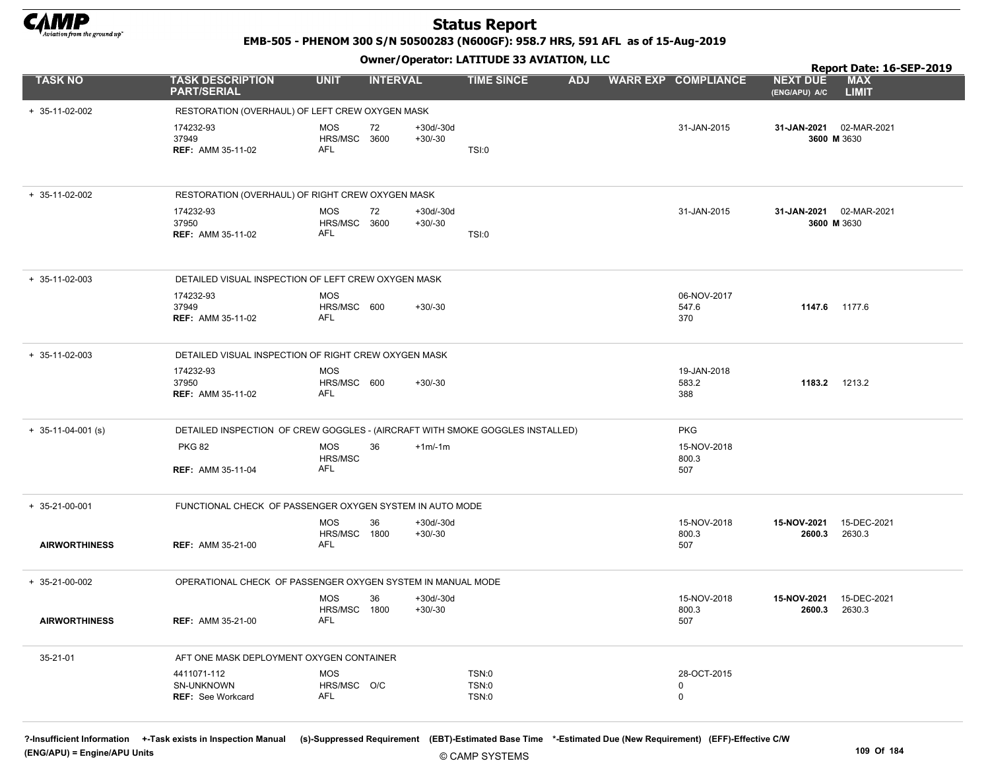

EMB-505 - PHENOM 300 S/N 50500283 (N600GF): 958.7 HRS, 591 AFL as of 15-Aug-2019

Owner/Operator: LATITUDE 33 AVIATION, LLC

|                      |                                                                               |                            |                 |                          |                              |            |                            |                                  | Report Date: 16-SEP-2019   |
|----------------------|-------------------------------------------------------------------------------|----------------------------|-----------------|--------------------------|------------------------------|------------|----------------------------|----------------------------------|----------------------------|
| <b>TASK NO</b>       | <b>TASK DESCRIPTION</b><br><b>PART/SERIAL</b>                                 | <b>UNIT</b>                | <b>INTERVAL</b> |                          | <b>TIME SINCE</b>            | <b>ADJ</b> | <b>WARR EXP COMPLIANCE</b> | <b>NEXT DUE</b><br>(ENG/APU) A/C | <b>MAX</b><br><b>LIMIT</b> |
| + 35-11-02-002       | RESTORATION (OVERHAUL) OF LEFT CREW OXYGEN MASK                               |                            |                 |                          |                              |            |                            |                                  |                            |
|                      | 174232-93                                                                     | MOS                        | 72              | $+30d/-30d$              |                              |            | 31-JAN-2015                | 31-JAN-2021                      | 02-MAR-2021                |
|                      | 37949                                                                         | HRS/MSC 3600               |                 | $+30/-30$                |                              |            |                            | 3600 M 3630                      |                            |
|                      | <b>REF: AMM 35-11-02</b>                                                      | AFL                        |                 |                          | TSI:0                        |            |                            |                                  |                            |
| $+ 35-11-02-002$     | RESTORATION (OVERHAUL) OF RIGHT CREW OXYGEN MASK                              |                            |                 |                          |                              |            |                            |                                  |                            |
|                      | 174232-93                                                                     | MOS                        | 72              | $+30d/-30d$              |                              |            | 31-JAN-2015                | 31-JAN-2021 02-MAR-2021          |                            |
|                      | 37950<br><b>REF: AMM 35-11-02</b>                                             | HRS/MSC 3600<br>AFL        |                 | $+30/-30$                | TSI:0                        |            |                            | 3600 M 3630                      |                            |
|                      |                                                                               |                            |                 |                          |                              |            |                            |                                  |                            |
| $+ 35-11-02-003$     | DETAILED VISUAL INSPECTION OF LEFT CREW OXYGEN MASK                           |                            |                 |                          |                              |            |                            |                                  |                            |
|                      | 174232-93                                                                     | <b>MOS</b>                 |                 |                          |                              |            | 06-NOV-2017                |                                  |                            |
|                      | 37949<br><b>REF: AMM 35-11-02</b>                                             | HRS/MSC 600<br>AFL         |                 | $+30/-30$                |                              |            | 547.6<br>370               | 1147.6 1177.6                    |                            |
|                      |                                                                               |                            |                 |                          |                              |            |                            |                                  |                            |
| $+ 35-11-02-003$     | DETAILED VISUAL INSPECTION OF RIGHT CREW OXYGEN MASK                          |                            |                 |                          |                              |            |                            |                                  |                            |
|                      | 174232-93<br>37950                                                            | <b>MOS</b><br>HRS/MSC 600  |                 | $+30/-30$                |                              |            | 19-JAN-2018<br>583.2       | 1183.2 1213.2                    |                            |
|                      | <b>REF: AMM 35-11-02</b>                                                      | AFL                        |                 |                          |                              |            | 388                        |                                  |                            |
|                      |                                                                               |                            |                 |                          |                              |            |                            |                                  |                            |
| $+$ 35-11-04-001 (s) | DETAILED INSPECTION OF CREW GOGGLES - (AIRCRAFT WITH SMOKE GOGGLES INSTALLED) |                            |                 |                          |                              |            | <b>PKG</b>                 |                                  |                            |
|                      | <b>PKG 82</b>                                                                 | MOS<br>HRS/MSC             | 36              | $+1m/1m$                 |                              |            | 15-NOV-2018<br>800.3       |                                  |                            |
|                      | <b>REF: AMM 35-11-04</b>                                                      | <b>AFL</b>                 |                 |                          |                              |            | 507                        |                                  |                            |
|                      |                                                                               |                            |                 |                          |                              |            |                            |                                  |                            |
| $+ 35-21-00-001$     | FUNCTIONAL CHECK OF PASSENGER OXYGEN SYSTEM IN AUTO MODE                      |                            |                 |                          |                              |            |                            |                                  |                            |
|                      |                                                                               | <b>MOS</b><br>HRS/MSC      | 36<br>1800      | $+30d/-30d$<br>$+30/-30$ |                              |            | 15-NOV-2018<br>800.3       | 15-NOV-2021<br>2600.3            | 15-DEC-2021<br>2630.3      |
| <b>AIRWORTHINESS</b> | <b>REF: AMM 35-21-00</b>                                                      | AFL                        |                 |                          |                              |            | 507                        |                                  |                            |
|                      |                                                                               |                            |                 |                          |                              |            |                            |                                  |                            |
| $+ 35-21-00-002$     | OPERATIONAL CHECK OF PASSENGER OXYGEN SYSTEM IN MANUAL MODE                   |                            |                 |                          |                              |            |                            |                                  |                            |
|                      |                                                                               | <b>MOS</b><br>HRS/MSC 1800 | 36              | +30d/-30d<br>$+30/-30$   |                              |            | 15-NOV-2018<br>800.3       | 15-NOV-2021<br>2600.3            | 15-DEC-2021<br>2630.3      |
| <b>AIRWORTHINESS</b> | <b>REF: AMM 35-21-00</b>                                                      | AFL                        |                 |                          |                              |            | 507                        |                                  |                            |
|                      |                                                                               |                            |                 |                          |                              |            |                            |                                  |                            |
| 35-21-01             | AFT ONE MASK DEPLOYMENT OXYGEN CONTAINER                                      |                            |                 |                          |                              |            |                            |                                  |                            |
|                      | 4411071-112<br>SN-UNKNOWN                                                     | <b>MOS</b><br>HRS/MSC O/C  |                 |                          | <b>TSN:0</b><br><b>TSN:0</b> |            | 28-OCT-2015<br>0           |                                  |                            |
|                      | <b>REF: See Workcard</b>                                                      | AFL                        |                 |                          | <b>TSN:0</b>                 |            | 0                          |                                  |                            |
|                      |                                                                               |                            |                 |                          |                              |            |                            |                                  |                            |

?-Insufficient Information +-Task exists in Inspection Manual (s)-Suppressed Requirement (EBT)-Estimated Base Time \*-Estimated Due (New Requirement) (EFF)-Effective C/W (ENG/APU) = Engine/APU Units 109 Of 184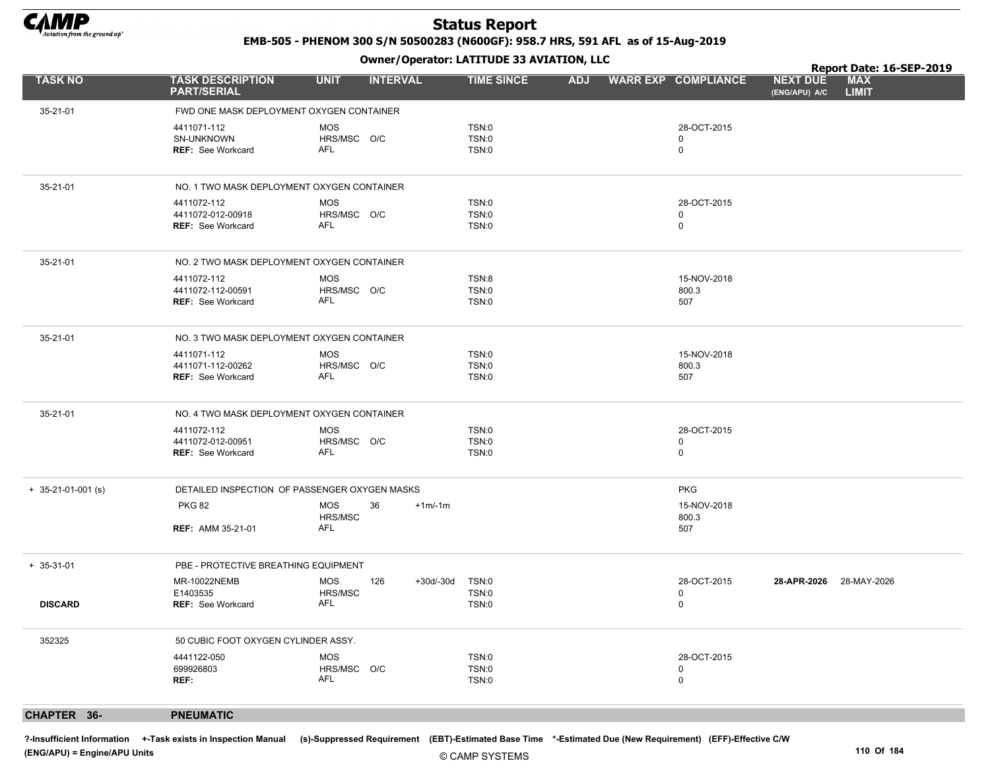

EMB-505 - PHENOM 300 S/N 50500283 (N600GF): 958.7 HRS, 591 AFL as of 15-Aug-2019

Owner/Operator: LATITUDE 33 AVIATION, LLC

|                      |                                                              |                                                | Owner / Operator. EATITODE 33 AVIATION, LLC |            |                                 |                                  | Report Date: 16-SEP-2019   |  |
|----------------------|--------------------------------------------------------------|------------------------------------------------|---------------------------------------------|------------|---------------------------------|----------------------------------|----------------------------|--|
| <b>TASK NO</b>       | <b>TASK DESCRIPTION</b><br><b>PART/SERIAL</b>                | <b>UNIT</b><br><b>INTERVAL</b>                 | <b>TIME SINCE</b>                           | <b>ADJ</b> | <b>WARR EXP COMPLIANCE</b>      | <b>NEXT DUE</b><br>(ENG/APU) A/C | <b>MAX</b><br><b>LIMIT</b> |  |
| 35-21-01             | FWD ONE MASK DEPLOYMENT OXYGEN CONTAINER                     |                                                |                                             |            |                                 |                                  |                            |  |
|                      | 4411071-112<br>SN-UNKNOWN<br><b>REF:</b> See Workcard        | <b>MOS</b><br>HRS/MSC O/C<br>AFL               | TSN:0<br>TSN:0<br>TSN:0                     |            | 28-OCT-2015<br>0<br>0           |                                  |                            |  |
| 35-21-01             | NO. 1 TWO MASK DEPLOYMENT OXYGEN CONTAINER                   |                                                |                                             |            |                                 |                                  |                            |  |
|                      | 4411072-112<br>4411072-012-00918<br><b>REF: See Workcard</b> | <b>MOS</b><br>HRS/MSC O/C<br>AFL               | TSN:0<br>TSN:0<br>TSN:0                     |            | 28-OCT-2015<br>$\mathbf 0$<br>0 |                                  |                            |  |
| 35-21-01             | NO. 2 TWO MASK DEPLOYMENT OXYGEN CONTAINER                   |                                                |                                             |            |                                 |                                  |                            |  |
|                      | 4411072-112<br>4411072-112-00591<br><b>REF:</b> See Workcard | MOS<br>HRS/MSC O/C<br>AFL                      | TSN:8<br>TSN:0<br>TSN:0                     |            | 15-NOV-2018<br>800.3<br>507     |                                  |                            |  |
| 35-21-01             | NO. 3 TWO MASK DEPLOYMENT OXYGEN CONTAINER                   |                                                |                                             |            |                                 |                                  |                            |  |
|                      | 4411071-112<br>4411071-112-00262<br><b>REF: See Workcard</b> | <b>MOS</b><br>HRS/MSC O/C<br>AFL               | TSN:0<br>TSN:0<br>TSN:0                     |            | 15-NOV-2018<br>800.3<br>507     |                                  |                            |  |
| 35-21-01             | NO. 4 TWO MASK DEPLOYMENT OXYGEN CONTAINER                   |                                                |                                             |            |                                 |                                  |                            |  |
|                      | 4411072-112<br>4411072-012-00951<br><b>REF: See Workcard</b> | <b>MOS</b><br>HRS/MSC O/C<br>AFL               | TSN:0<br>TSN:0<br>TSN:0                     |            | 28-OCT-2015<br>0<br>0           |                                  |                            |  |
| $+ 35-21-01-001$ (s) |                                                              | DETAILED INSPECTION OF PASSENGER OXYGEN MASKS  |                                             |            | <b>PKG</b>                      |                                  |                            |  |
|                      | <b>PKG 82</b><br><b>REF: AMM 35-21-01</b>                    | <b>MOS</b><br>36<br>$+1m/1m$<br>HRS/MSC<br>AFL |                                             |            | 15-NOV-2018<br>800.3<br>507     |                                  |                            |  |
| $+ 35 - 31 - 01$     | PBE - PROTECTIVE BREATHING EQUIPMENT                         |                                                |                                             |            |                                 |                                  |                            |  |
| <b>DISCARD</b>       | MR-10022NEMB<br>E1403535<br><b>REF:</b> See Workcard         | MOS<br>126<br>+30d/-30d<br>HRS/MSC<br>AFL      | TSN:0<br>TSN:0<br>TSN:0                     |            | 28-OCT-2015<br>0<br>0           | 28-APR-2026 28-MAY-2026          |                            |  |
| 352325               | 50 CUBIC FOOT OXYGEN CYLINDER ASSY.                          |                                                |                                             |            |                                 |                                  |                            |  |
|                      | 4441122-050<br>699926803<br>REF:                             | <b>MOS</b><br>HRS/MSC O/C<br>AFL               | TSN:0<br>TSN:0<br>TSN:0                     |            | 28-OCT-2015<br>0<br>0           |                                  |                            |  |
| CHAPTER 36-          | <b>PNEUMATIC</b>                                             |                                                |                                             |            |                                 |                                  |                            |  |

?-Insufficient Information +-Task exists in Inspection Manual (s)-Suppressed Requirement (EBT)-Estimated Base Time \*-Estimated Due (New Requirement) (EFF)-Effective C/W (ENG/APU) = Engine/APU Units 110 Of 184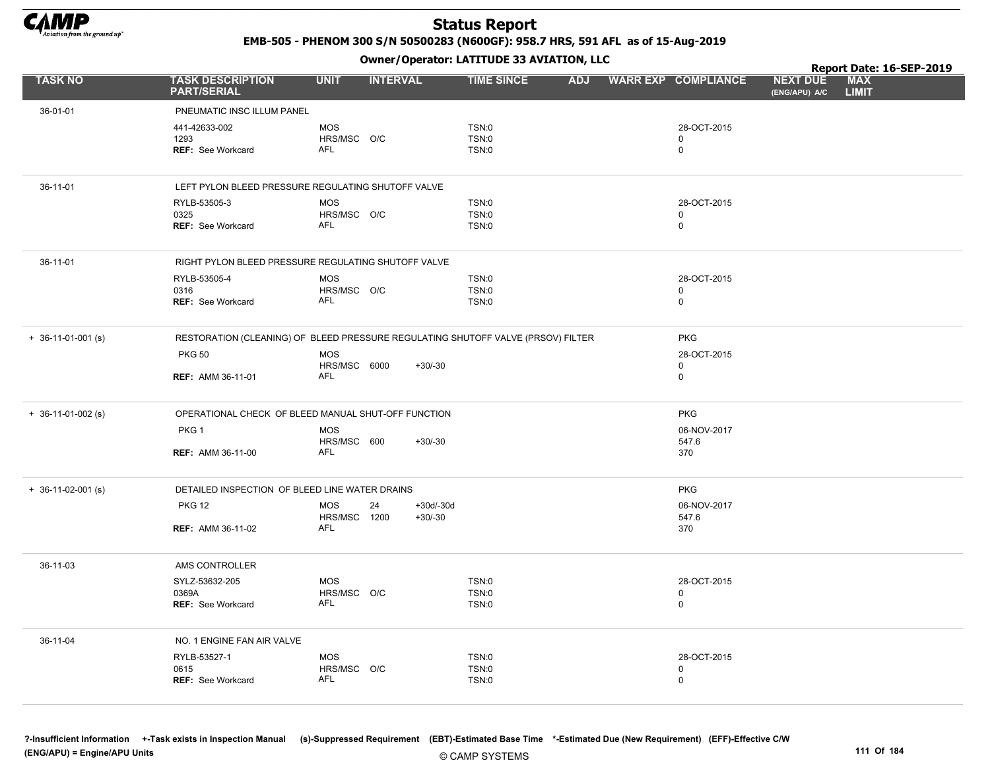

EMB-505 - PHENOM 300 S/N 50500283 (N600GF): 958.7 HRS, 591 AFL as of 15-Aug-2019

Owner/Operator: LATITUDE 33 AVIATION, LLC

|                      |                                                                                  |                                          |                          | Owner / Operator: EATITODE 33 AVIATION, LLC |            |                                           |                                  | Report Date: 16-SEP-2019   |  |
|----------------------|----------------------------------------------------------------------------------|------------------------------------------|--------------------------|---------------------------------------------|------------|-------------------------------------------|----------------------------------|----------------------------|--|
| <b>TASK NO</b>       | <b>TASK DESCRIPTION</b><br><b>PART/SERIAL</b>                                    | <b>UNIT</b>                              | <b>INTERVAL</b>          | <b>TIME SINCE</b>                           | <b>ADJ</b> | <b>WARR EXP COMPLIANCE</b>                | <b>NEXT DUE</b><br>(ENG/APU) A/C | <b>MAX</b><br><b>LIMIT</b> |  |
| 36-01-01             | PNEUMATIC INSC ILLUM PANEL                                                       |                                          |                          |                                             |            |                                           |                                  |                            |  |
|                      | 441-42633-002<br>1293<br>REF: See Workcard                                       | <b>MOS</b><br>HRS/MSC O/C<br><b>AFL</b>  |                          | TSN:0<br><b>TSN:0</b><br>TSN:0              |            | 28-OCT-2015<br>$\mathbf 0$<br>$\mathsf 0$ |                                  |                            |  |
| 36-11-01             | LEFT PYLON BLEED PRESSURE REGULATING SHUTOFF VALVE                               |                                          |                          |                                             |            |                                           |                                  |                            |  |
|                      | RYLB-53505-3<br>0325<br>REF: See Workcard                                        | <b>MOS</b><br>HRS/MSC O/C<br><b>AFL</b>  |                          | TSN:0<br>TSN:0<br>TSN:0                     |            | 28-OCT-2015<br>$\mathbf 0$<br>$\mathsf 0$ |                                  |                            |  |
| 36-11-01             | RIGHT PYLON BLEED PRESSURE REGULATING SHUTOFF VALVE                              |                                          |                          |                                             |            |                                           |                                  |                            |  |
|                      | RYLB-53505-4<br>0316<br><b>REF: See Workcard</b>                                 | <b>MOS</b><br>HRS/MSC O/C<br><b>AFL</b>  |                          | TSN:0<br>TSN:0<br>TSN:0                     |            | 28-OCT-2015<br>$\mathbf 0$<br>$\mathbf 0$ |                                  |                            |  |
| $+$ 36-11-01-001 (s) | RESTORATION (CLEANING) OF BLEED PRESSURE REGULATING SHUTOFF VALVE (PRSOV) FILTER |                                          |                          |                                             |            | <b>PKG</b>                                |                                  |                            |  |
|                      | <b>PKG 50</b><br><b>REF: AMM 36-11-01</b>                                        | <b>MOS</b><br>HRS/MSC 6000<br><b>AFL</b> | $+30/-30$                |                                             |            | 28-OCT-2015<br>$\mathbf 0$<br>$\mathbf 0$ |                                  |                            |  |
| $+$ 36-11-01-002 (s) | OPERATIONAL CHECK OF BLEED MANUAL SHUT-OFF FUNCTION                              |                                          |                          |                                             |            | <b>PKG</b>                                |                                  |                            |  |
|                      | PKG <sub>1</sub>                                                                 | <b>MOS</b><br>HRS/MSC 600                | $+30/-30$                |                                             |            | 06-NOV-2017<br>547.6                      |                                  |                            |  |
|                      | <b>REF: AMM 36-11-00</b>                                                         | <b>AFL</b>                               |                          |                                             |            | 370                                       |                                  |                            |  |
| $+ 36-11-02-001$ (s) | DETAILED INSPECTION OF BLEED LINE WATER DRAINS                                   |                                          |                          |                                             |            | <b>PKG</b>                                |                                  |                            |  |
|                      | <b>PKG 12</b>                                                                    | <b>MOS</b><br>24<br>HRS/MSC 1200         | $+30d/-30d$<br>$+30/-30$ |                                             |            | 06-NOV-2017<br>547.6                      |                                  |                            |  |
|                      | <b>REF: AMM 36-11-02</b>                                                         | <b>AFL</b>                               |                          |                                             |            | 370                                       |                                  |                            |  |
| 36-11-03             | AMS CONTROLLER                                                                   |                                          |                          |                                             |            |                                           |                                  |                            |  |
|                      | SYLZ-53632-205<br>0369A<br><b>REF: See Workcard</b>                              | <b>MOS</b><br>HRS/MSC O/C<br><b>AFL</b>  |                          | TSN:0<br><b>TSN:0</b><br>TSN:0              |            | 28-OCT-2015<br>$\mathbf 0$<br>$\mathbf 0$ |                                  |                            |  |
| 36-11-04             | NO. 1 ENGINE FAN AIR VALVE                                                       |                                          |                          |                                             |            |                                           |                                  |                            |  |
|                      | RYLB-53527-1<br>0615<br><b>REF: See Workcard</b>                                 | MOS<br>HRS/MSC O/C<br>AFL                |                          | TSN:0<br>TSN:0<br>TSN:0                     |            | 28-OCT-2015<br>$\mathbf 0$<br>$\mathbf 0$ |                                  |                            |  |

© CAMP SYSTEMS ?-Insufficient Information +-Task exists in Inspection Manual (s)-Suppressed Requirement (EBT)-Estimated Base Time \*-Estimated Due (New Requirement) (EFF)-Effective C/W (ENG/APU) = Engine/APU Units 111 Of 184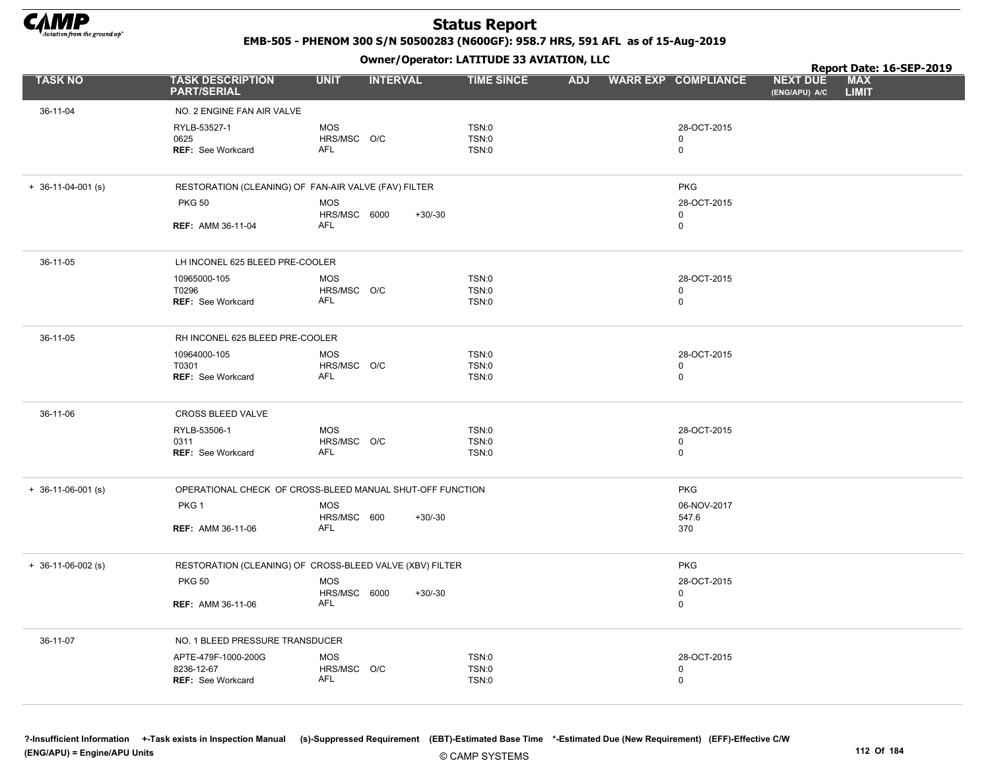

EMB-505 - PHENOM 300 S/N 50500283 (N600GF): 958.7 HRS, 591 AFL as of 15-Aug-2019

Owner/Operator: LATITUDE 33 AVIATION, LLC

|                            |                                                           |                                          |                 | Owner / Operator: EATITODE 33 AVIATION, LLC |            |                                           | Report Date: 16-SEP-2019         |                            |  |
|----------------------------|-----------------------------------------------------------|------------------------------------------|-----------------|---------------------------------------------|------------|-------------------------------------------|----------------------------------|----------------------------|--|
| <b>TASK NO</b>             | <b>TASK DESCRIPTION</b><br><b>PART/SERIAL</b>             | <b>UNIT</b>                              | <b>INTERVAL</b> | <b>TIME SINCE</b>                           | <b>ADJ</b> | <b>WARR EXP COMPLIANCE</b>                | <b>NEXT DUE</b><br>(ENG/APU) A/C | <b>MAX</b><br><b>LIMIT</b> |  |
| 36-11-04                   | NO. 2 ENGINE FAN AIR VALVE                                |                                          |                 |                                             |            |                                           |                                  |                            |  |
|                            | RYLB-53527-1<br>0625<br><b>REF: See Workcard</b>          | <b>MOS</b><br>HRS/MSC O/C<br><b>AFL</b>  |                 | TSN:0<br><b>TSN:0</b><br>TSN:0              |            | 28-OCT-2015<br>$\mathbf 0$<br>$\mathbf 0$ |                                  |                            |  |
| $+ 36 - 11 - 04 - 001$ (s) | RESTORATION (CLEANING) OF FAN-AIR VALVE (FAV) FILTER      |                                          |                 |                                             |            | <b>PKG</b>                                |                                  |                            |  |
|                            | <b>PKG 50</b>                                             | <b>MOS</b><br>HRS/MSC 6000<br><b>AFL</b> | $+30/-30$       |                                             |            | 28-OCT-2015<br>0                          |                                  |                            |  |
|                            | <b>REF: AMM 36-11-04</b>                                  |                                          |                 |                                             |            | 0                                         |                                  |                            |  |
| 36-11-05                   | LH INCONEL 625 BLEED PRE-COOLER                           |                                          |                 |                                             |            |                                           |                                  |                            |  |
|                            | 10965000-105                                              | <b>MOS</b>                               |                 | TSN:0                                       |            | 28-OCT-2015                               |                                  |                            |  |
|                            | T0296<br><b>REF: See Workcard</b>                         | HRS/MSC O/C<br><b>AFL</b>                |                 | TSN:0<br>TSN:0                              |            | 0<br>0                                    |                                  |                            |  |
| 36-11-05                   | RH INCONEL 625 BLEED PRE-COOLER                           |                                          |                 |                                             |            |                                           |                                  |                            |  |
|                            | 10964000-105                                              | <b>MOS</b>                               |                 | TSN:0                                       |            | 28-OCT-2015                               |                                  |                            |  |
|                            | T0301<br><b>REF: See Workcard</b>                         | HRS/MSC O/C<br>AFL                       |                 | TSN:0<br>TSN:0                              |            | 0<br>0                                    |                                  |                            |  |
| 36-11-06                   | CROSS BLEED VALVE                                         |                                          |                 |                                             |            |                                           |                                  |                            |  |
|                            | RYLB-53506-1                                              | <b>MOS</b>                               |                 | TSN:0                                       |            | 28-OCT-2015                               |                                  |                            |  |
|                            | 0311<br>REF: See Workcard                                 | HRS/MSC O/C<br><b>AFL</b>                |                 | TSN:0<br>TSN:0                              |            | $\mathbf 0$<br>0                          |                                  |                            |  |
| $+$ 36-11-06-001 (s)       | OPERATIONAL CHECK OF CROSS-BLEED MANUAL SHUT-OFF FUNCTION |                                          |                 |                                             |            | <b>PKG</b>                                |                                  |                            |  |
|                            | PKG <sub>1</sub>                                          | <b>MOS</b>                               |                 |                                             |            | 06-NOV-2017                               |                                  |                            |  |
|                            | <b>REF: AMM 36-11-06</b>                                  | HRS/MSC 600<br><b>AFL</b>                | $+30/-30$       |                                             |            | 547.6<br>370                              |                                  |                            |  |
| $+ 36-11-06-002$ (s)       | RESTORATION (CLEANING) OF CROSS-BLEED VALVE (XBV) FILTER  |                                          |                 |                                             |            | <b>PKG</b>                                |                                  |                            |  |
|                            | <b>PKG 50</b>                                             | <b>MOS</b>                               |                 |                                             |            | 28-OCT-2015                               |                                  |                            |  |
|                            | <b>REF: AMM 36-11-06</b>                                  | HRS/MSC 6000<br><b>AFL</b>               | $+30/-30$       |                                             |            | 0<br>$\mathbf 0$                          |                                  |                            |  |
| 36-11-07                   | NO. 1 BLEED PRESSURE TRANSDUCER                           |                                          |                 |                                             |            |                                           |                                  |                            |  |
|                            | APTE-479F-1000-200G                                       | <b>MOS</b>                               |                 | TSN:0                                       |            | 28-OCT-2015                               |                                  |                            |  |
|                            | 8236-12-67<br><b>REF: See Workcard</b>                    | HRS/MSC O/C<br>AFL                       |                 | TSN:0<br>TSN:0                              |            | 0<br>0                                    |                                  |                            |  |
|                            |                                                           |                                          |                 |                                             |            |                                           |                                  |                            |  |

?-Insufficient Information +-Task exists in Inspection Manual (s)-Suppressed Requirement (EBT)-Estimated Base Time \*-Estimated Due (New Requirement) (EFF)-Effective C/W (ENG/APU) = Engine/APU Units 112 Of 184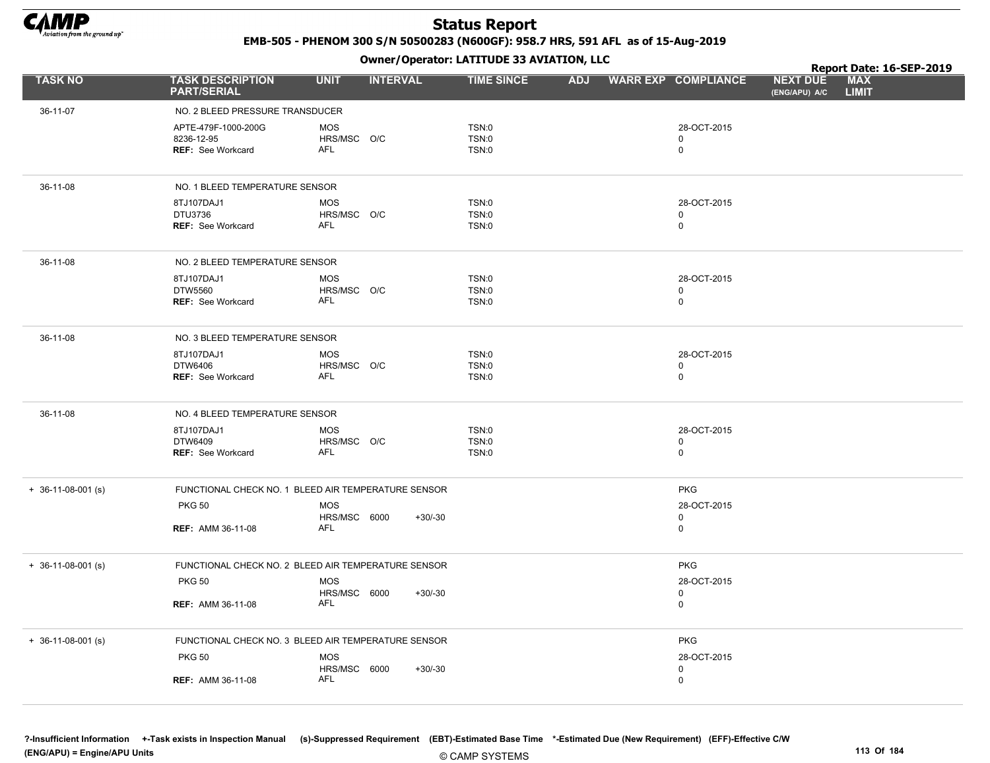

EMB-505 - PHENOM 300 S/N 50500283 (N600GF): 958.7 HRS, 591 AFL as of 15-Aug-2019

Owner/Operator: LATITUDE 33 AVIATION, LLC

|                            |                                                        |                                          |           | Owner / Operator. EATTTODE 33 AVIATION, LLC |            |                                           |                                  | Report Date: 16-SEP-2019   |  |
|----------------------------|--------------------------------------------------------|------------------------------------------|-----------|---------------------------------------------|------------|-------------------------------------------|----------------------------------|----------------------------|--|
| <b>TASK NO</b>             | <b>TASK DESCRIPTION</b><br><b>PART/SERIAL</b>          | <b>UNIT</b><br><b>INTERVAL</b>           |           | <b>TIME SINCE</b>                           | <b>ADJ</b> | <b>WARR EXP COMPLIANCE</b>                | <b>NEXT DUE</b><br>(ENG/APU) A/C | <b>MAX</b><br><b>LIMIT</b> |  |
| 36-11-07                   | NO. 2 BLEED PRESSURE TRANSDUCER                        |                                          |           |                                             |            |                                           |                                  |                            |  |
|                            | APTE-479F-1000-200G<br>8236-12-95<br>REF: See Workcard | <b>MOS</b><br>HRS/MSC O/C<br><b>AFL</b>  |           | TSN:0<br>TSN:0<br>TSN:0                     |            | 28-OCT-2015<br>0<br>$\mathbf 0$           |                                  |                            |  |
| 36-11-08                   | NO. 1 BLEED TEMPERATURE SENSOR                         |                                          |           |                                             |            |                                           |                                  |                            |  |
|                            | 8TJ107DAJ1<br>DTU3736<br>REF: See Workcard             | <b>MOS</b><br>HRS/MSC O/C<br><b>AFL</b>  |           | TSN:0<br>TSN:0<br>TSN:0                     |            | 28-OCT-2015<br>0<br>$\mathbf 0$           |                                  |                            |  |
| 36-11-08                   | NO. 2 BLEED TEMPERATURE SENSOR                         |                                          |           |                                             |            |                                           |                                  |                            |  |
|                            | 8TJ107DAJ1<br>DTW5560<br><b>REF: See Workcard</b>      | <b>MOS</b><br>HRS/MSC O/C<br>AFL         |           | TSN:0<br>TSN:0<br>TSN:0                     |            | 28-OCT-2015<br>$\mathbf 0$<br>$\mathbf 0$ |                                  |                            |  |
| 36-11-08                   | NO. 3 BLEED TEMPERATURE SENSOR                         |                                          |           |                                             |            |                                           |                                  |                            |  |
|                            | 8TJ107DAJ1<br>DTW6406<br>REF: See Workcard             | <b>MOS</b><br>HRS/MSC O/C<br>AFL         |           | TSN:0<br>TSN:0<br>TSN:0                     |            | 28-OCT-2015<br>0<br>$\mathbf 0$           |                                  |                            |  |
| 36-11-08                   | NO. 4 BLEED TEMPERATURE SENSOR                         |                                          |           |                                             |            |                                           |                                  |                            |  |
|                            | 8TJ107DAJ1<br>DTW6409<br>REF: See Workcard             | <b>MOS</b><br>HRS/MSC O/C<br><b>AFL</b>  |           | TSN:0<br>TSN:0<br>TSN:0                     |            | 28-OCT-2015<br>0<br>$\mathbf 0$           |                                  |                            |  |
| $+$ 36-11-08-001 (s)       | FUNCTIONAL CHECK NO. 1 BLEED AIR TEMPERATURE SENSOR    |                                          |           |                                             |            | <b>PKG</b>                                |                                  |                            |  |
|                            | <b>PKG 50</b><br><b>REF: AMM 36-11-08</b>              | <b>MOS</b><br>HRS/MSC 6000<br><b>AFL</b> | $+30/-30$ |                                             |            | 28-OCT-2015<br>$\mathbf 0$<br>$\mathbf 0$ |                                  |                            |  |
| $+$ 36-11-08-001 (s)       | FUNCTIONAL CHECK NO. 2 BLEED AIR TEMPERATURE SENSOR    |                                          |           |                                             |            | <b>PKG</b>                                |                                  |                            |  |
|                            | <b>PKG 50</b>                                          | <b>MOS</b>                               |           |                                             |            | 28-OCT-2015                               |                                  |                            |  |
|                            | <b>REF: AMM 36-11-08</b>                               | HRS/MSC 6000<br>AFL                      | $+30/-30$ |                                             |            | 0<br>$\mathbf 0$                          |                                  |                            |  |
| $+ 36 - 11 - 08 - 001$ (s) | FUNCTIONAL CHECK NO. 3 BLEED AIR TEMPERATURE SENSOR    |                                          |           |                                             |            | <b>PKG</b>                                |                                  |                            |  |
|                            | <b>PKG 50</b>                                          | <b>MOS</b><br>HRS/MSC 6000               | $+30/-30$ |                                             |            | 28-OCT-2015<br>$\mathbf 0$                |                                  |                            |  |
|                            | <b>REF: AMM 36-11-08</b>                               | <b>AFL</b>                               |           |                                             |            | $\mathbf 0$                               |                                  |                            |  |

?-Insufficient Information +-Task exists in Inspection Manual (s)-Suppressed Requirement (EBT)-Estimated Base Time \*-Estimated Due (New Requirement) (EFF)-Effective C/W (ENG/APU) = Engine/APU Units 113 Of 184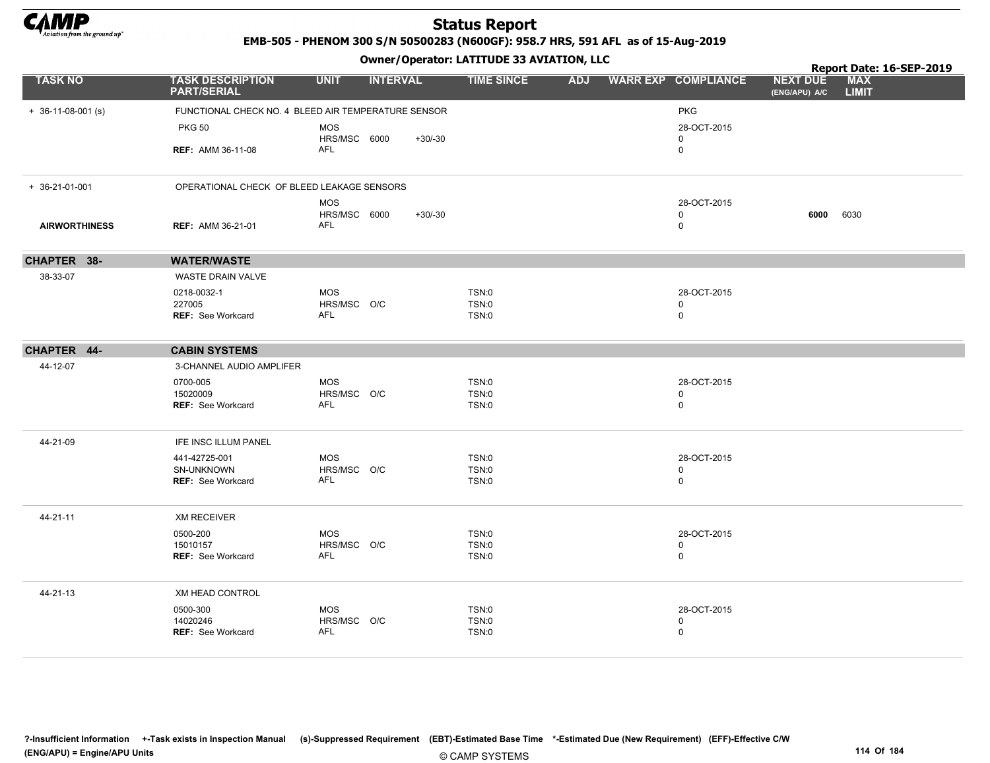

EMB-505 - PHENOM 300 S/N 50500283 (N600GF): 958.7 HRS, 591 AFL as of 15-Aug-2019

Owner/Operator: LATITUDE 33 AVIATION, LLC

|                      |                                                     |                                |           | Owner / Operator. LATTTODE 33 AVIATION, LLC |                            |                                  | Report Date: 16-SEP-2019   |
|----------------------|-----------------------------------------------------|--------------------------------|-----------|---------------------------------------------|----------------------------|----------------------------------|----------------------------|
| <b>TASK NO</b>       | <b>TASK DESCRIPTION</b><br><b>PART/SERIAL</b>       | <b>UNIT</b><br><b>INTERVAL</b> |           | <b>TIME SINCE</b><br><b>ADJ</b>             | <b>WARR EXP COMPLIANCE</b> | <b>NEXT DUE</b><br>(ENG/APU) A/C | <b>MAX</b><br><b>LIMIT</b> |
| $+ 36-11-08-001$ (s) | FUNCTIONAL CHECK NO. 4 BLEED AIR TEMPERATURE SENSOR |                                |           |                                             | <b>PKG</b>                 |                                  |                            |
|                      | <b>PKG 50</b>                                       | <b>MOS</b>                     |           |                                             | 28-OCT-2015                |                                  |                            |
|                      |                                                     | HRS/MSC 6000                   | $+30/-30$ |                                             | $\mathbf 0$                |                                  |                            |
|                      | <b>REF: AMM 36-11-08</b>                            | AFL                            |           |                                             | 0                          |                                  |                            |
| $+ 36-21-01-001$     | OPERATIONAL CHECK OF BLEED LEAKAGE SENSORS          |                                |           |                                             |                            |                                  |                            |
|                      |                                                     | <b>MOS</b>                     |           |                                             | 28-OCT-2015                |                                  |                            |
| <b>AIRWORTHINESS</b> | <b>REF: AMM 36-21-01</b>                            | HRS/MSC 6000<br>AFL            | $+30/-30$ |                                             | $\mathbf 0$<br>0           | 6000                             | 6030                       |
| CHAPTER 38-          | <b>WATER/WASTE</b>                                  |                                |           |                                             |                            |                                  |                            |
| 38-33-07             | WASTE DRAIN VALVE                                   |                                |           |                                             |                            |                                  |                            |
|                      | 0218-0032-1                                         | <b>MOS</b>                     |           | <b>TSN:0</b>                                | 28-OCT-2015                |                                  |                            |
|                      | 227005<br><b>REF: See Workcard</b>                  | HRS/MSC O/C<br>AFL             |           | <b>TSN:0</b><br>TSN:0                       | $\mathbf 0$<br>0           |                                  |                            |
|                      |                                                     |                                |           |                                             |                            |                                  |                            |
| CHAPTER 44-          | <b>CABIN SYSTEMS</b>                                |                                |           |                                             |                            |                                  |                            |
| 44-12-07             | 3-CHANNEL AUDIO AMPLIFER                            |                                |           |                                             |                            |                                  |                            |
|                      | 0700-005                                            | <b>MOS</b>                     |           | TSN:0                                       | 28-OCT-2015                |                                  |                            |
|                      | 15020009<br>REF: See Workcard                       | HRS/MSC O/C<br>AFL             |           | <b>TSN:0</b><br>TSN:0                       | 0<br>0                     |                                  |                            |
|                      |                                                     |                                |           |                                             |                            |                                  |                            |
| 44-21-09             | IFE INSC ILLUM PANEL                                |                                |           |                                             |                            |                                  |                            |
|                      | 441-42725-001                                       | <b>MOS</b>                     |           | <b>TSN:0</b>                                | 28-OCT-2015                |                                  |                            |
|                      | SN-UNKNOWN<br>REF: See Workcard                     | HRS/MSC O/C<br>AFL             |           | <b>TSN:0</b><br>TSN:0                       | $\mathbf 0$<br>0           |                                  |                            |
|                      |                                                     |                                |           |                                             |                            |                                  |                            |
| 44-21-11             | <b>XM RECEIVER</b>                                  |                                |           |                                             |                            |                                  |                            |
|                      | 0500-200                                            | <b>MOS</b>                     |           | <b>TSN:0</b>                                | 28-OCT-2015                |                                  |                            |
|                      | 15010157<br>REF: See Workcard                       | HRS/MSC O/C<br>AFL             |           | <b>TSN:0</b><br>TSN:0                       | 0<br>0                     |                                  |                            |
|                      |                                                     |                                |           |                                             |                            |                                  |                            |
| 44-21-13             | XM HEAD CONTROL                                     |                                |           |                                             |                            |                                  |                            |
|                      | 0500-300                                            | <b>MOS</b>                     |           | <b>TSN:0</b>                                | 28-OCT-2015                |                                  |                            |
|                      | 14020246<br>REF: See Workcard                       | HRS/MSC O/C<br>AFL             |           | <b>TSN:0</b><br>TSN:0                       | $\mathbf 0$<br>0           |                                  |                            |
|                      |                                                     |                                |           |                                             |                            |                                  |                            |

?-Insufficient Information +-Task exists in Inspection Manual (s)-Suppressed Requirement (EBT)-Estimated Base Time \*-Estimated Due (New Requirement) (EFF)-Effective C/W (ENG/APU) = Engine/APU Units 114 Of 184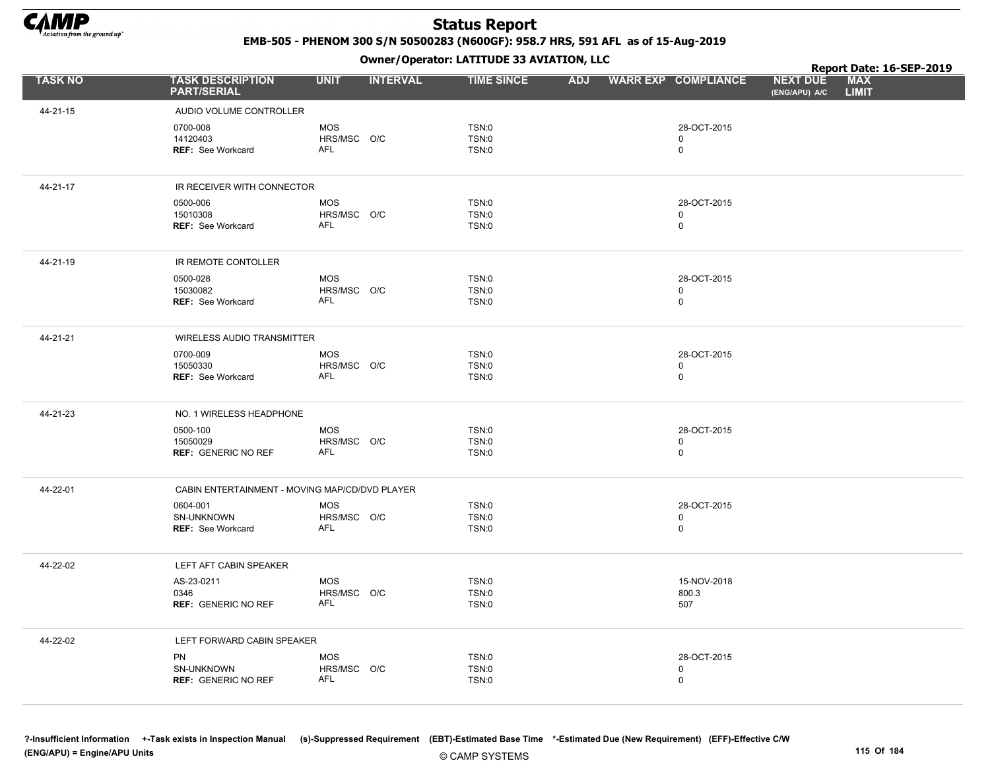

EMB-505 - PHENOM 300 S/N 50500283 (N600GF): 958.7 HRS, 591 AFL as of 15-Aug-2019

Owner/Operator: LATITUDE 33 AVIATION, LLC

|                |                                                       |                                         | Report Date: 16-SEP-2019                     |            |                                           |                                  |                            |
|----------------|-------------------------------------------------------|-----------------------------------------|----------------------------------------------|------------|-------------------------------------------|----------------------------------|----------------------------|
| <b>TASK NO</b> | <b>TASK DESCRIPTION</b><br><b>PART/SERIAL</b>         | <b>UNIT</b><br><b>INTERVAL</b>          | <b>TIME SINCE</b>                            | <b>ADJ</b> | <b>WARR EXP COMPLIANCE</b>                | <b>NEXT DUE</b><br>(ENG/APU) A/C | <b>MAX</b><br><b>LIMIT</b> |
| 44-21-15       | AUDIO VOLUME CONTROLLER                               |                                         |                                              |            |                                           |                                  |                            |
|                | 0700-008<br>14120403<br><b>REF: See Workcard</b>      | <b>MOS</b><br>HRS/MSC O/C<br>AFL        | <b>TSN:0</b><br><b>TSN:0</b><br><b>TSN:0</b> |            | 28-OCT-2015<br>0<br>$\mathbf 0$           |                                  |                            |
| 44-21-17       | IR RECEIVER WITH CONNECTOR                            |                                         |                                              |            |                                           |                                  |                            |
|                | 0500-006<br>15010308<br>REF: See Workcard             | <b>MOS</b><br>HRS/MSC O/C<br><b>AFL</b> | TSN:0<br><b>TSN:0</b><br><b>TSN:0</b>        |            | 28-OCT-2015<br>$\mathbf 0$<br>$\mathbf 0$ |                                  |                            |
| 44-21-19       | IR REMOTE CONTOLLER                                   |                                         |                                              |            |                                           |                                  |                            |
|                | 0500-028<br>15030082<br>REF: See Workcard             | <b>MOS</b><br>HRS/MSC O/C<br>AFL        | <b>TSN:0</b><br>TSN:0<br><b>TSN:0</b>        |            | 28-OCT-2015<br>$\mathbf 0$<br>$\mathsf 0$ |                                  |                            |
| 44-21-21       | WIRELESS AUDIO TRANSMITTER                            |                                         |                                              |            |                                           |                                  |                            |
|                | 0700-009<br>15050330<br>REF: See Workcard             | <b>MOS</b><br>HRS/MSC O/C<br>AFL        | <b>TSN:0</b><br><b>TSN:0</b><br><b>TSN:0</b> |            | 28-OCT-2015<br>$\mathbf 0$<br>$\mathsf 0$ |                                  |                            |
| 44-21-23       | NO. 1 WIRELESS HEADPHONE                              |                                         |                                              |            |                                           |                                  |                            |
|                | 0500-100<br>15050029<br><b>REF: GENERIC NO REF</b>    | <b>MOS</b><br>HRS/MSC O/C<br>AFL        | TSN:0<br><b>TSN:0</b><br>TSN:0               |            | 28-OCT-2015<br>$\mathbf 0$<br>$\mathsf 0$ |                                  |                            |
| 44-22-01       | CABIN ENTERTAINMENT - MOVING MAP/CD/DVD PLAYER        |                                         |                                              |            |                                           |                                  |                            |
|                | 0604-001<br>SN-UNKNOWN<br><b>REF: See Workcard</b>    | <b>MOS</b><br>HRS/MSC O/C<br><b>AFL</b> | <b>TSN:0</b><br><b>TSN:0</b><br><b>TSN:0</b> |            | 28-OCT-2015<br>$\mathbf 0$<br>$\mathbf 0$ |                                  |                            |
| 44-22-02       | LEFT AFT CABIN SPEAKER                                |                                         |                                              |            |                                           |                                  |                            |
|                | AS-23-0211<br>0346<br><b>REF: GENERIC NO REF</b>      | <b>MOS</b><br>HRS/MSC O/C<br>AFL        | TSN:0<br><b>TSN:0</b><br><b>TSN:0</b>        |            | 15-NOV-2018<br>800.3<br>507               |                                  |                            |
| 44-22-02       | LEFT FORWARD CABIN SPEAKER                            |                                         |                                              |            |                                           |                                  |                            |
|                | <b>PN</b><br>SN-UNKNOWN<br><b>REF: GENERIC NO REF</b> | <b>MOS</b><br>HRS/MSC O/C<br><b>AFL</b> | <b>TSN:0</b><br>TSN:0<br>TSN:0               |            | 28-OCT-2015<br>$\mathbf 0$<br>$\mathsf 0$ |                                  |                            |

?-Insufficient Information +-Task exists in Inspection Manual (s)-Suppressed Requirement (EBT)-Estimated Base Time \*-Estimated Due (New Requirement) (EFF)-Effective C/W (ENG/APU) = Engine/APU Units 115 Of 184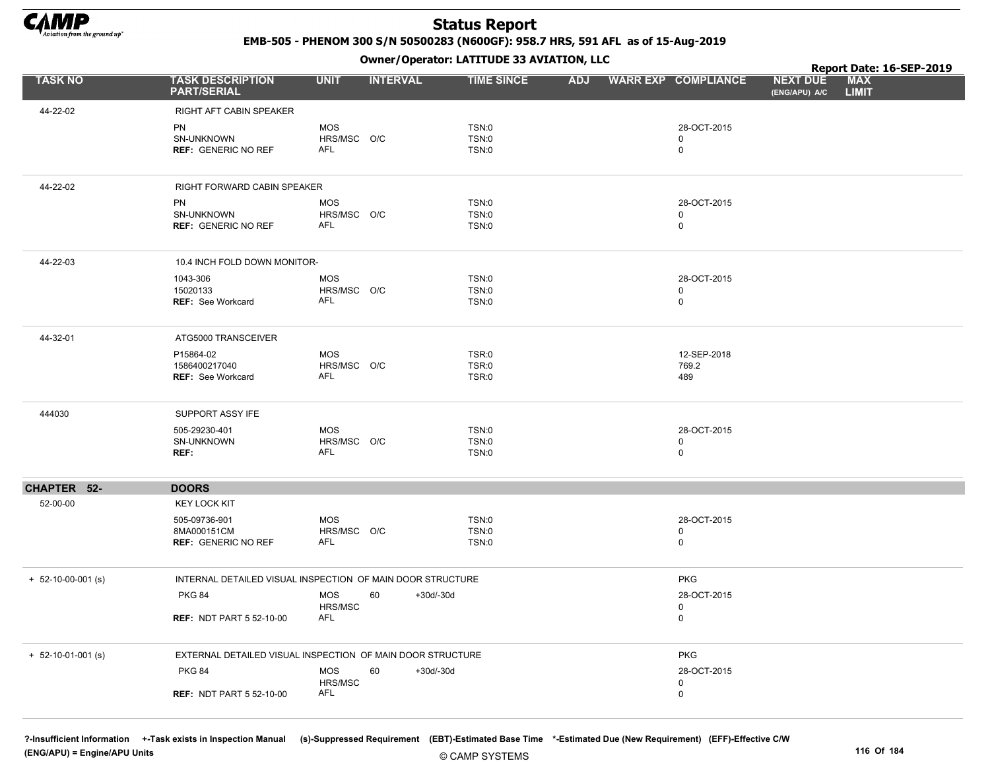

EMB-505 - PHENOM 300 S/N 50500283 (N600GF): 958.7 HRS, 591 AFL as of 15-Aug-2019

Owner/Operator: LATITUDE 33 AVIATION, LLC

|                      |                                                            |                           | .                 |                       |            |                            |                                  | Report Date: 16-SEP-2019   |  |
|----------------------|------------------------------------------------------------|---------------------------|-------------------|-----------------------|------------|----------------------------|----------------------------------|----------------------------|--|
| <b>TASK NO</b>       | <b>TASK DESCRIPTION</b><br><b>PART/SERIAL</b>              | <b>UNIT</b>               | <b>INTERVAL</b>   | <b>TIME SINCE</b>     | <b>ADJ</b> | <b>WARR EXP COMPLIANCE</b> | <b>NEXT DUE</b><br>(ENG/APU) A/C | <b>MAX</b><br><b>LIMIT</b> |  |
| 44-22-02             | RIGHT AFT CABIN SPEAKER                                    |                           |                   |                       |            |                            |                                  |                            |  |
|                      | <b>PN</b>                                                  | <b>MOS</b>                |                   | TSN:0                 |            | 28-OCT-2015                |                                  |                            |  |
|                      | SN-UNKNOWN                                                 | HRS/MSC O/C               |                   | TSN:0                 |            | 0                          |                                  |                            |  |
|                      | <b>REF: GENERIC NO REF</b>                                 | AFL                       |                   | <b>TSN:0</b>          |            | $\mathbf 0$                |                                  |                            |  |
| 44-22-02             | RIGHT FORWARD CABIN SPEAKER                                |                           |                   |                       |            |                            |                                  |                            |  |
|                      |                                                            |                           |                   |                       |            |                            |                                  |                            |  |
|                      | <b>PN</b><br>SN-UNKNOWN                                    | <b>MOS</b><br>HRS/MSC O/C |                   | TSN:0<br><b>TSN:0</b> |            | 28-OCT-2015<br>0           |                                  |                            |  |
|                      | <b>REF: GENERIC NO REF</b>                                 | <b>AFL</b>                |                   | TSN:0                 |            | $\mathbf 0$                |                                  |                            |  |
| 44-22-03             | 10.4 INCH FOLD DOWN MONITOR-                               |                           |                   |                       |            |                            |                                  |                            |  |
|                      |                                                            |                           |                   |                       |            |                            |                                  |                            |  |
|                      | 1043-306<br>15020133                                       | <b>MOS</b><br>HRS/MSC O/C |                   | TSN:0<br>TSN:0        |            | 28-OCT-2015<br>$\mathbf 0$ |                                  |                            |  |
|                      | REF: See Workcard                                          | <b>AFL</b>                |                   | TSN:0                 |            | $\mathbf 0$                |                                  |                            |  |
|                      |                                                            |                           |                   |                       |            |                            |                                  |                            |  |
| 44-32-01             | ATG5000 TRANSCEIVER                                        |                           |                   |                       |            |                            |                                  |                            |  |
|                      | P15864-02                                                  | <b>MOS</b>                |                   | TSR:0                 |            | 12-SEP-2018                |                                  |                            |  |
|                      | 1586400217040<br><b>REF: See Workcard</b>                  | HRS/MSC O/C<br>AFL        |                   | TSR:0<br>TSR:0        |            | 769.2<br>489               |                                  |                            |  |
|                      |                                                            |                           |                   |                       |            |                            |                                  |                            |  |
| 444030               | SUPPORT ASSY IFE                                           |                           |                   |                       |            |                            |                                  |                            |  |
|                      | 505-29230-401                                              | <b>MOS</b>                |                   | TSN:0                 |            | 28-OCT-2015                |                                  |                            |  |
|                      | SN-UNKNOWN<br>REF:                                         | HRS/MSC O/C<br><b>AFL</b> |                   | <b>TSN:0</b><br>TSN:0 |            | $\mathbf 0$<br>$\mathbf 0$ |                                  |                            |  |
|                      |                                                            |                           |                   |                       |            |                            |                                  |                            |  |
| CHAPTER 52-          | <b>DOORS</b>                                               |                           |                   |                       |            |                            |                                  |                            |  |
| 52-00-00             | <b>KEY LOCK KIT</b>                                        |                           |                   |                       |            |                            |                                  |                            |  |
|                      | 505-09736-901                                              | <b>MOS</b>                |                   | <b>TSN:0</b>          |            | 28-OCT-2015                |                                  |                            |  |
|                      | 8MA000151CM<br><b>REF: GENERIC NO REF</b>                  | HRS/MSC O/C<br>AFL        |                   | TSN:0<br>TSN:0        |            | 0<br>$\mathbf 0$           |                                  |                            |  |
|                      |                                                            |                           |                   |                       |            |                            |                                  |                            |  |
| $+ 52-10-00-001$ (s) | INTERNAL DETAILED VISUAL INSPECTION OF MAIN DOOR STRUCTURE |                           |                   |                       |            | <b>PKG</b>                 |                                  |                            |  |
|                      | <b>PKG 84</b>                                              | <b>MOS</b>                | 60<br>$+30d/-30d$ |                       |            | 28-OCT-2015                |                                  |                            |  |
|                      |                                                            | HRS/MSC                   |                   |                       |            | $\mathbf 0$                |                                  |                            |  |
|                      | <b>REF: NDT PART 5 52-10-00</b>                            | <b>AFL</b>                |                   |                       |            | 0                          |                                  |                            |  |
| $+ 52-10-01-001$ (s) | EXTERNAL DETAILED VISUAL INSPECTION OF MAIN DOOR STRUCTURE |                           |                   |                       |            | <b>PKG</b>                 |                                  |                            |  |
|                      | <b>PKG 84</b>                                              | MOS                       | 60<br>+30d/-30d   |                       |            | 28-OCT-2015                |                                  |                            |  |
|                      |                                                            | HRS/MSC                   |                   |                       |            | $\mathbf 0$                |                                  |                            |  |
|                      | <b>REF: NDT PART 5 52-10-00</b>                            | <b>AFL</b>                |                   |                       |            | 0                          |                                  |                            |  |
|                      |                                                            |                           |                   |                       |            |                            |                                  |                            |  |

?-Insufficient Information +-Task exists in Inspection Manual (s)-Suppressed Requirement (EBT)-Estimated Base Time \*-Estimated Due (New Requirement) (EFF)-Effective C/W (ENG/APU) = Engine/APU Units 116 Of 184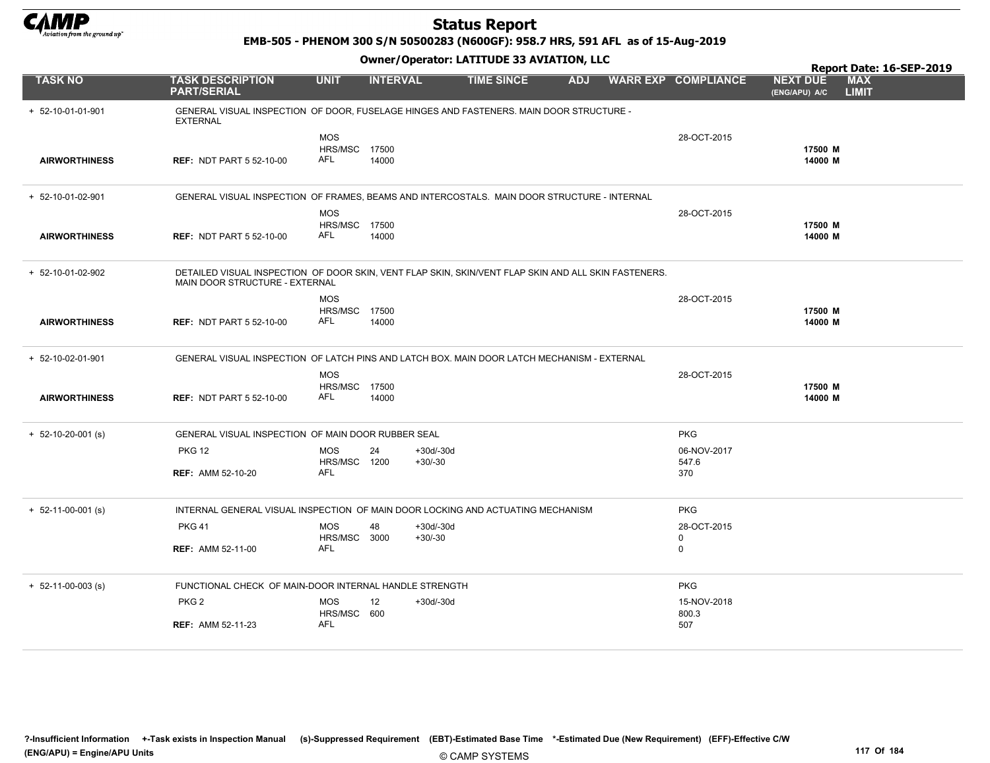

EMB-505 - PHENOM 300 S/N 50500283 (N600GF): 958.7 HRS, 591 AFL as of 15-Aug-2019

|                            |                                                        |                                    | Report Date: 16-SEP-2019 |                                                                                                      |            |  |                            |                                  |                            |
|----------------------------|--------------------------------------------------------|------------------------------------|--------------------------|------------------------------------------------------------------------------------------------------|------------|--|----------------------------|----------------------------------|----------------------------|
| <b>TASK NO</b>             | <b>TASK DESCRIPTION</b><br><b>PART/SERIAL</b>          | <b>UNIT</b>                        | <b>INTERVAL</b>          | <b>TIME SINCE</b>                                                                                    | <b>ADJ</b> |  | <b>WARR EXP COMPLIANCE</b> | <b>NEXT DUE</b><br>(ENG/APU) A/C | <b>MAX</b><br><b>LIMIT</b> |
| + 52-10-01-01-901          | <b>EXTERNAL</b>                                        |                                    |                          | GENERAL VISUAL INSPECTION OF DOOR, FUSELAGE HINGES AND FASTENERS. MAIN DOOR STRUCTURE -              |            |  |                            |                                  |                            |
|                            |                                                        | <b>MOS</b><br><b>HRS/MSC 17500</b> |                          |                                                                                                      |            |  | 28-OCT-2015                | 17500 M                          |                            |
| <b>AIRWORTHINESS</b>       | <b>REF: NDT PART 5 52-10-00</b>                        | AFL                                | 14000                    |                                                                                                      |            |  |                            | 14000 M                          |                            |
| + 52-10-01-02-901          |                                                        |                                    |                          | GENERAL VISUAL INSPECTION OF FRAMES, BEAMS AND INTERCOSTALS. MAIN DOOR STRUCTURE - INTERNAL          |            |  |                            |                                  |                            |
|                            |                                                        | <b>MOS</b><br>HRS/MSC 17500        |                          |                                                                                                      |            |  | 28-OCT-2015                | 17500 M                          |                            |
| <b>AIRWORTHINESS</b>       | <b>REF: NDT PART 5 52-10-00</b>                        | AFL                                | 14000                    |                                                                                                      |            |  |                            | 14000 M                          |                            |
| + 52-10-01-02-902          | MAIN DOOR STRUCTURE - EXTERNAL                         |                                    |                          | DETAILED VISUAL INSPECTION OF DOOR SKIN, VENT FLAP SKIN, SKIN/VENT FLAP SKIN AND ALL SKIN FASTENERS. |            |  |                            |                                  |                            |
|                            |                                                        | <b>MOS</b><br>HRS/MSC 17500        |                          |                                                                                                      |            |  | 28-OCT-2015                | 17500 M                          |                            |
| <b>AIRWORTHINESS</b>       | <b>REF: NDT PART 5 52-10-00</b>                        | <b>AFL</b>                         | 14000                    |                                                                                                      |            |  |                            | 14000 M                          |                            |
| + 52-10-02-01-901          |                                                        |                                    |                          | GENERAL VISUAL INSPECTION OF LATCH PINS AND LATCH BOX. MAIN DOOR LATCH MECHANISM - EXTERNAL          |            |  |                            |                                  |                            |
|                            |                                                        | <b>MOS</b><br><b>HRS/MSC 17500</b> |                          |                                                                                                      |            |  | 28-OCT-2015                | 17500 M                          |                            |
| <b>AIRWORTHINESS</b>       | <b>REF: NDT PART 5 52-10-00</b>                        | AFL                                | 14000                    |                                                                                                      |            |  |                            | 14000 M                          |                            |
| $+ 52-10-20-001$ (s)       | GENERAL VISUAL INSPECTION OF MAIN DOOR RUBBER SEAL     |                                    |                          |                                                                                                      |            |  | <b>PKG</b>                 |                                  |                            |
|                            | <b>PKG 12</b>                                          | <b>MOS</b><br>HRS/MSC 1200         | 24                       | $+30d/-30d$<br>$+30/-30$                                                                             |            |  | 06-NOV-2017<br>547.6       |                                  |                            |
|                            | <b>REF: AMM 52-10-20</b>                               | <b>AFL</b>                         |                          |                                                                                                      |            |  | 370                        |                                  |                            |
| $+ 52-11-00-001$ (s)       |                                                        |                                    |                          | INTERNAL GENERAL VISUAL INSPECTION OF MAIN DOOR LOCKING AND ACTUATING MECHANISM                      |            |  | <b>PKG</b>                 |                                  |                            |
|                            | <b>PKG 41</b>                                          | <b>MOS</b><br>HRS/MSC 3000         | 48                       | $+30d/-30d$<br>$+30/-30$                                                                             |            |  | 28-OCT-2015<br>0           |                                  |                            |
|                            | <b>REF: AMM 52-11-00</b>                               | AFL                                |                          |                                                                                                      |            |  | 0                          |                                  |                            |
| $+ 52 - 11 - 00 - 003$ (s) | FUNCTIONAL CHECK OF MAIN-DOOR INTERNAL HANDLE STRENGTH |                                    |                          |                                                                                                      |            |  | <b>PKG</b>                 |                                  |                            |
|                            | PKG <sub>2</sub>                                       | <b>MOS</b><br>HRS/MSC 600          | 12                       | $+30d/-30d$                                                                                          |            |  | 15-NOV-2018<br>800.3       |                                  |                            |
|                            | <b>REF: AMM 52-11-23</b>                               | AFL                                |                          |                                                                                                      |            |  | 507                        |                                  |                            |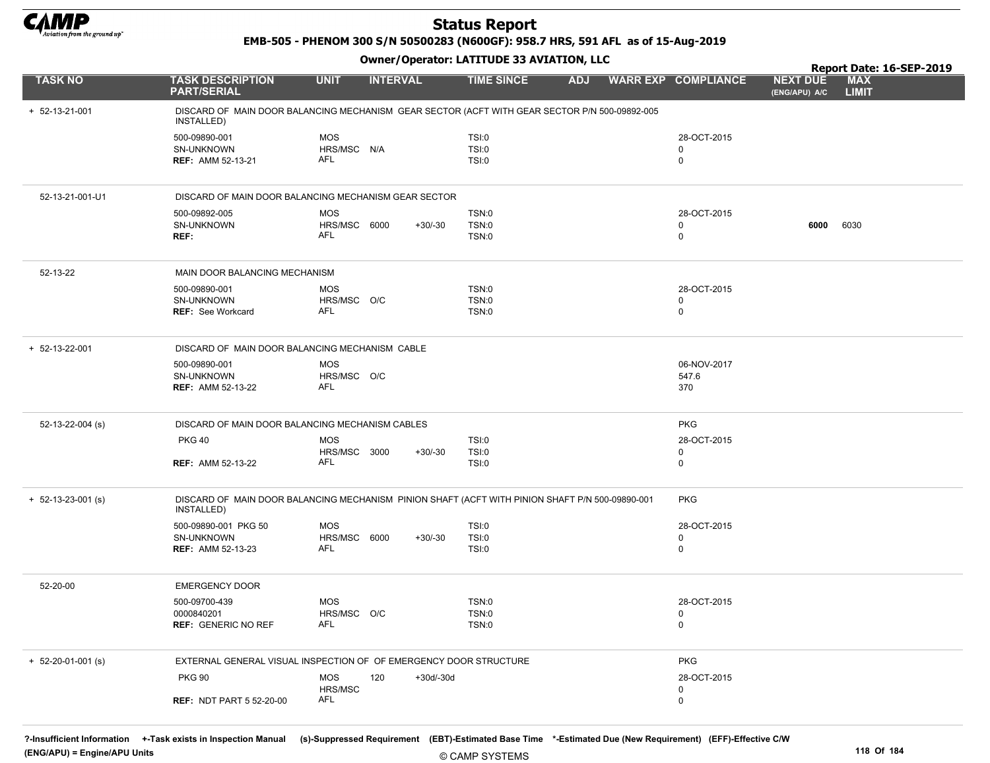

EMB-505 - PHENOM 300 S/N 50500283 (N600GF): 958.7 HRS, 591 AFL as of 15-Aug-2019

|                            |                                                                                                               |                       |                  |                   |            |                            |                                  | Report Date: 16-SEP-2019   |
|----------------------------|---------------------------------------------------------------------------------------------------------------|-----------------------|------------------|-------------------|------------|----------------------------|----------------------------------|----------------------------|
| <b>TASK NO</b>             | <b>TASK DESCRIPTION</b><br><b>PART/SERIAL</b>                                                                 | <b>UNIT</b>           | <b>INTERVAL</b>  | <b>TIME SINCE</b> | <b>ADJ</b> | <b>WARR EXP COMPLIANCE</b> | <b>NEXT DUE</b><br>(ENG/APU) A/C | <b>MAX</b><br><b>LIMIT</b> |
| $+ 52 - 13 - 21 - 001$     | DISCARD OF MAIN DOOR BALANCING MECHANISM GEAR SECTOR (ACFT WITH GEAR SECTOR P/N 500-09892-005<br>INSTALLED)   |                       |                  |                   |            |                            |                                  |                            |
|                            | 500-09890-001                                                                                                 | <b>MOS</b>            |                  | <b>TSI:0</b>      |            | 28-OCT-2015                |                                  |                            |
|                            | SN-UNKNOWN                                                                                                    | HRS/MSC N/A           |                  | <b>TSI:0</b>      |            | 0                          |                                  |                            |
|                            | <b>REF: AMM 52-13-21</b>                                                                                      | AFL                   |                  | <b>TSI:0</b>      |            | 0                          |                                  |                            |
| 52-13-21-001-U1            | DISCARD OF MAIN DOOR BALANCING MECHANISM GEAR SECTOR                                                          |                       |                  |                   |            |                            |                                  |                            |
|                            | 500-09892-005                                                                                                 | <b>MOS</b>            |                  | TSN:0             |            | 28-OCT-2015                |                                  |                            |
|                            | SN-UNKNOWN                                                                                                    | HRS/MSC 6000          | $+30/-30$        | <b>TSN:0</b>      |            | 0                          | 6000                             | 6030                       |
|                            | REF:                                                                                                          | AFL                   |                  | TSN:0             |            | 0                          |                                  |                            |
| 52-13-22                   | MAIN DOOR BALANCING MECHANISM                                                                                 |                       |                  |                   |            |                            |                                  |                            |
|                            | 500-09890-001                                                                                                 | <b>MOS</b>            |                  | TSN:0             |            | 28-OCT-2015                |                                  |                            |
|                            | SN-UNKNOWN                                                                                                    | HRS/MSC O/C           |                  | TSN:0             |            | 0                          |                                  |                            |
|                            | <b>REF: See Workcard</b>                                                                                      | AFL                   |                  | TSN:0             |            | $\mathbf 0$                |                                  |                            |
| $+ 52 - 13 - 22 - 001$     | DISCARD OF MAIN DOOR BALANCING MECHANISM CABLE                                                                |                       |                  |                   |            |                            |                                  |                            |
|                            | 500-09890-001                                                                                                 | <b>MOS</b>            |                  |                   |            | 06-NOV-2017                |                                  |                            |
|                            | SN-UNKNOWN                                                                                                    | HRS/MSC O/C           |                  |                   |            | 547.6                      |                                  |                            |
|                            | <b>REF: AMM 52-13-22</b>                                                                                      | <b>AFL</b>            |                  |                   |            | 370                        |                                  |                            |
| 52-13-22-004 (s)           | DISCARD OF MAIN DOOR BALANCING MECHANISM CABLES                                                               |                       |                  |                   |            | <b>PKG</b>                 |                                  |                            |
|                            | <b>PKG 40</b>                                                                                                 | <b>MOS</b>            |                  | <b>TSI:0</b>      |            | 28-OCT-2015                |                                  |                            |
|                            |                                                                                                               | HRS/MSC 3000          | $+30/-30$        | <b>TSI:0</b>      |            | 0                          |                                  |                            |
|                            | <b>REF: AMM 52-13-22</b>                                                                                      | AFL                   |                  | <b>TSI:0</b>      |            | 0                          |                                  |                            |
| $+ 52 - 13 - 23 - 001$ (s) | DISCARD OF MAIN DOOR BALANCING MECHANISM PINION SHAFT (ACFT WITH PINION SHAFT P/N 500-09890-001<br>INSTALLED) |                       |                  |                   |            | <b>PKG</b>                 |                                  |                            |
|                            | 500-09890-001 PKG 50                                                                                          | <b>MOS</b>            |                  | <b>TSI:0</b>      |            | 28-OCT-2015                |                                  |                            |
|                            | SN-UNKNOWN                                                                                                    | HRS/MSC 6000          | $+30/-30$        | TSI:0             |            | 0                          |                                  |                            |
|                            | <b>REF: AMM 52-13-23</b>                                                                                      | <b>AFL</b>            |                  | <b>TSI:0</b>      |            | $\mathbf 0$                |                                  |                            |
| 52-20-00                   | <b>EMERGENCY DOOR</b>                                                                                         |                       |                  |                   |            |                            |                                  |                            |
|                            | 500-09700-439                                                                                                 | <b>MOS</b>            |                  | TSN:0             |            | 28-OCT-2015                |                                  |                            |
|                            | 0000840201                                                                                                    | HRS/MSC O/C           |                  | TSN:0             |            | 0                          |                                  |                            |
|                            | <b>REF: GENERIC NO REF</b>                                                                                    | AFL                   |                  | <b>TSN:0</b>      |            | $\mathbf 0$                |                                  |                            |
| $+ 52-20-01-001$ (s)       | EXTERNAL GENERAL VISUAL INSPECTION OF OF EMERGENCY DOOR STRUCTURE                                             |                       |                  |                   |            | <b>PKG</b>                 |                                  |                            |
|                            | <b>PKG 90</b>                                                                                                 | <b>MOS</b>            | 120<br>+30d/-30d |                   |            | 28-OCT-2015                |                                  |                            |
|                            | <b>REF: NDT PART 5 52-20-00</b>                                                                               | HRS/MSC<br><b>AFL</b> |                  |                   |            | 0<br>0                     |                                  |                            |
|                            |                                                                                                               |                       |                  |                   |            |                            |                                  |                            |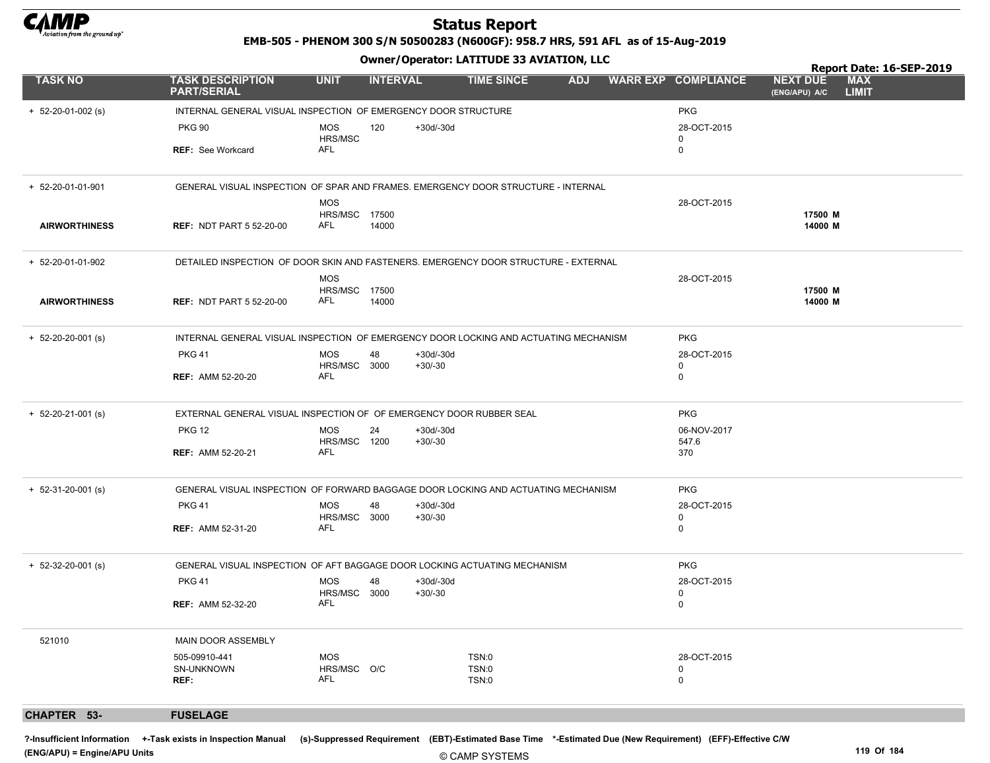

EMB-505 - PHENOM 300 S/N 50500283 (N600GF): 958.7 HRS, 591 AFL as of 15-Aug-2019

Owner/Operator: LATITUDE 33 AVIATION, LLC

|                            | Owner / Operator: LATITODE 33 AVIATION, LLC                                          |                                  |                 |                          |                         |            |  |                            | Report Date: 16-SEP-2019         |                            |  |  |
|----------------------------|--------------------------------------------------------------------------------------|----------------------------------|-----------------|--------------------------|-------------------------|------------|--|----------------------------|----------------------------------|----------------------------|--|--|
| <b>TASK NO</b>             | <b>TASK DESCRIPTION</b><br><b>PART/SERIAL</b>                                        | <b>UNIT</b>                      | <b>INTERVAL</b> |                          | <b>TIME SINCE</b>       | <b>ADJ</b> |  | <b>WARR EXP COMPLIANCE</b> | <b>NEXT DUE</b><br>(ENG/APU) A/C | <b>MAX</b><br><b>LIMIT</b> |  |  |
| $+ 52 - 20 - 01 - 002$ (s) | INTERNAL GENERAL VISUAL INSPECTION OF EMERGENCY DOOR STRUCTURE                       |                                  |                 |                          |                         |            |  | <b>PKG</b>                 |                                  |                            |  |  |
|                            | <b>PKG 90</b>                                                                        | <b>MOS</b>                       | 120             | +30d/-30d                |                         |            |  | 28-OCT-2015                |                                  |                            |  |  |
|                            | <b>REF:</b> See Workcard                                                             | HRS/MSC<br>AFL                   |                 |                          |                         |            |  | 0<br>$\mathbf 0$           |                                  |                            |  |  |
| + 52-20-01-01-901          | GENERAL VISUAL INSPECTION OF SPAR AND FRAMES. EMERGENCY DOOR STRUCTURE - INTERNAL    |                                  |                 |                          |                         |            |  |                            |                                  |                            |  |  |
|                            |                                                                                      | <b>MOS</b>                       |                 |                          |                         |            |  | 28-OCT-2015                |                                  |                            |  |  |
| <b>AIRWORTHINESS</b>       | <b>REF: NDT PART 5 52-20-00</b>                                                      | HRS/MSC 17500<br>AFL             | 14000           |                          |                         |            |  |                            | 17500 M<br>14000 M               |                            |  |  |
| + 52-20-01-01-902          | DETAILED INSPECTION OF DOOR SKIN AND FASTENERS. EMERGENCY DOOR STRUCTURE - EXTERNAL  |                                  |                 |                          |                         |            |  |                            |                                  |                            |  |  |
|                            |                                                                                      | <b>MOS</b>                       |                 |                          |                         |            |  | 28-OCT-2015                |                                  |                            |  |  |
| <b>AIRWORTHINESS</b>       | <b>REF: NDT PART 5 52-20-00</b>                                                      | HRS/MSC 17500<br>AFL             | 14000           |                          |                         |            |  |                            | 17500 M<br>14000 M               |                            |  |  |
| $+ 52-20-20-001$ (s)       | INTERNAL GENERAL VISUAL INSPECTION OF EMERGENCY DOOR LOCKING AND ACTUATING MECHANISM |                                  |                 |                          |                         |            |  | <b>PKG</b>                 |                                  |                            |  |  |
|                            | <b>PKG 41</b>                                                                        | <b>MOS</b>                       | 48              | $+30d/-30d$              |                         |            |  | 28-OCT-2015                |                                  |                            |  |  |
|                            | <b>REF: AMM 52-20-20</b>                                                             | HRS/MSC 3000<br>AFL              |                 | $+30/-30$                |                         |            |  | 0<br>0                     |                                  |                            |  |  |
| $+ 52 - 20 - 21 - 001$ (s) | EXTERNAL GENERAL VISUAL INSPECTION OF OF EMERGENCY DOOR RUBBER SEAL                  |                                  |                 |                          |                         |            |  | <b>PKG</b>                 |                                  |                            |  |  |
|                            | <b>PKG 12</b>                                                                        | <b>MOS</b>                       | 24              | $+30d/-30d$              |                         |            |  | 06-NOV-2017                |                                  |                            |  |  |
|                            | <b>REF: AMM 52-20-21</b>                                                             | HRS/MSC 1200<br>AFL              |                 | $+30/-30$                |                         |            |  | 547.6<br>370               |                                  |                            |  |  |
| $+ 52-31-20-001$ (s)       | GENERAL VISUAL INSPECTION OF FORWARD BAGGAGE DOOR LOCKING AND ACTUATING MECHANISM    |                                  |                 |                          |                         |            |  | <b>PKG</b>                 |                                  |                            |  |  |
|                            | <b>PKG 41</b>                                                                        | <b>MOS</b>                       | 48              | $+30d/-30d$              |                         |            |  | 28-OCT-2015                |                                  |                            |  |  |
|                            | <b>REF: AMM 52-31-20</b>                                                             | HRS/MSC 3000<br>AFL              |                 | $+30/-30$                |                         |            |  | 0<br>0                     |                                  |                            |  |  |
| $+ 52-32-20-001$ (s)       | GENERAL VISUAL INSPECTION OF AFT BAGGAGE DOOR LOCKING ACTUATING MECHANISM            |                                  |                 |                          |                         |            |  | <b>PKG</b>                 |                                  |                            |  |  |
|                            | <b>PKG 41</b>                                                                        | <b>MOS</b><br>HRS/MSC 3000       | 48              | $+30d/-30d$<br>$+30/-30$ |                         |            |  | 28-OCT-2015<br>0           |                                  |                            |  |  |
|                            | <b>REF: AMM 52-32-20</b>                                                             | AFL                              |                 |                          |                         |            |  | 0                          |                                  |                            |  |  |
| 521010                     | MAIN DOOR ASSEMBLY                                                                   |                                  |                 |                          |                         |            |  |                            |                                  |                            |  |  |
|                            | 505-09910-441<br>SN-UNKNOWN<br>REF:                                                  | <b>MOS</b><br>HRS/MSC O/C<br>AFL |                 |                          | TSN:0<br>TSN:0<br>TSN:0 |            |  | 28-OCT-2015<br>0<br>0      |                                  |                            |  |  |
|                            |                                                                                      |                                  |                 |                          |                         |            |  |                            |                                  |                            |  |  |
| CHAPTER 53-                | <b>FUSELAGE</b>                                                                      |                                  |                 |                          |                         |            |  |                            |                                  |                            |  |  |

?-Insufficient Information +-Task exists in Inspection Manual (s)-Suppressed Requirement (EBT)-Estimated Base Time \*-Estimated Due (New Requirement) (EFF)-Effective C/W (ENG/APU) = Engine/APU Units 119 Of 184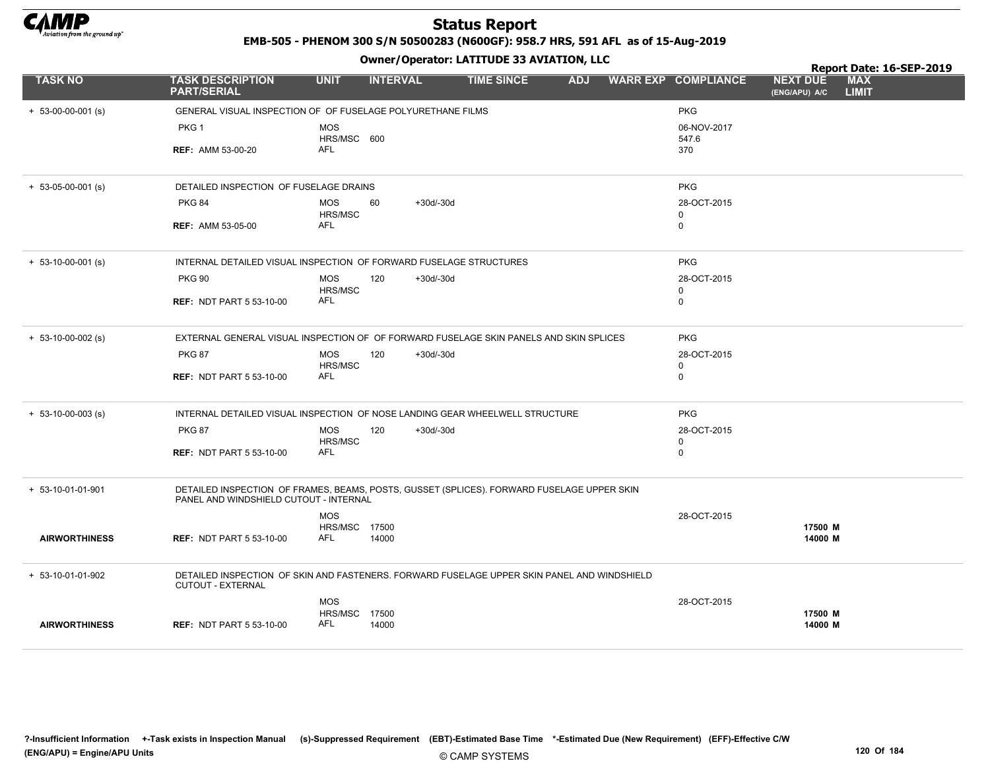

EMB-505 - PHENOM 300 S/N 50500283 (N600GF): 958.7 HRS, 591 AFL as of 15-Aug-2019

|                      |                                                                                                                                      |                             |                    | Owner / Operator. EATITODE 33 AVIATION, LLC |            |                            | Report Date: 16-SEP-2019         |                            |  |  |
|----------------------|--------------------------------------------------------------------------------------------------------------------------------------|-----------------------------|--------------------|---------------------------------------------|------------|----------------------------|----------------------------------|----------------------------|--|--|
| <b>TASK NO</b>       | <b>TASK DESCRIPTION</b><br><b>PART/SERIAL</b>                                                                                        | <b>UNIT</b>                 | <b>INTERVAL</b>    | <b>TIME SINCE</b>                           | <b>ADJ</b> | <b>WARR EXP COMPLIANCE</b> | <b>NEXT DUE</b><br>(ENG/APU) A/C | <b>MAX</b><br><b>LIMIT</b> |  |  |
| $+ 53-00-00-001$ (s) | GENERAL VISUAL INSPECTION OF OF FUSELAGE POLYURETHANE FILMS                                                                          |                             |                    |                                             |            | <b>PKG</b>                 |                                  |                            |  |  |
|                      | PKG <sub>1</sub>                                                                                                                     | <b>MOS</b>                  |                    |                                             |            | 06-NOV-2017                |                                  |                            |  |  |
|                      | <b>REF: AMM 53-00-20</b>                                                                                                             | HRS/MSC 600<br><b>AFL</b>   |                    |                                             |            | 547.6<br>370               |                                  |                            |  |  |
|                      |                                                                                                                                      |                             |                    |                                             |            |                            |                                  |                            |  |  |
| $+ 53-05-00-001$ (s) | DETAILED INSPECTION OF FUSELAGE DRAINS                                                                                               |                             |                    |                                             |            | <b>PKG</b>                 |                                  |                            |  |  |
|                      | <b>PKG 84</b>                                                                                                                        | <b>MOS</b>                  | 60<br>$+30d/-30d$  |                                             |            | 28-OCT-2015                |                                  |                            |  |  |
|                      | <b>REF: AMM 53-05-00</b>                                                                                                             | HRS/MSC<br><b>AFL</b>       |                    |                                             |            | 0<br>0                     |                                  |                            |  |  |
|                      |                                                                                                                                      |                             |                    |                                             |            |                            |                                  |                            |  |  |
| $+ 53-10-00-001$ (s) | INTERNAL DETAILED VISUAL INSPECTION OF FORWARD FUSELAGE STRUCTURES                                                                   |                             |                    |                                             |            | <b>PKG</b>                 |                                  |                            |  |  |
|                      | <b>PKG 90</b>                                                                                                                        | <b>MOS</b>                  | 120<br>$+30d/-30d$ |                                             |            | 28-OCT-2015                |                                  |                            |  |  |
|                      | <b>REF: NDT PART 5 53-10-00</b>                                                                                                      | HRS/MSC<br>AFL              |                    |                                             |            | 0<br>$\mathbf 0$           |                                  |                            |  |  |
|                      |                                                                                                                                      |                             |                    |                                             |            |                            |                                  |                            |  |  |
| $+ 53-10-00-002$ (s) | EXTERNAL GENERAL VISUAL INSPECTION OF OF FORWARD FUSELAGE SKIN PANELS AND SKIN SPLICES                                               |                             |                    |                                             |            | <b>PKG</b>                 |                                  |                            |  |  |
|                      | <b>PKG 87</b>                                                                                                                        | <b>MOS</b>                  | 120<br>$+30d/-30d$ |                                             |            | 28-OCT-2015                |                                  |                            |  |  |
|                      | <b>REF: NDT PART 5 53-10-00</b>                                                                                                      | HRS/MSC<br><b>AFL</b>       |                    |                                             |            | 0<br>$\mathbf 0$           |                                  |                            |  |  |
|                      |                                                                                                                                      |                             |                    |                                             |            |                            |                                  |                            |  |  |
| $+ 53-10-00-003$ (s) | INTERNAL DETAILED VISUAL INSPECTION OF NOSE LANDING GEAR WHEELWELL STRUCTURE                                                         |                             |                    |                                             |            | <b>PKG</b>                 |                                  |                            |  |  |
|                      | <b>PKG 87</b>                                                                                                                        | <b>MOS</b>                  | 120<br>$+30d/-30d$ |                                             |            | 28-OCT-2015                |                                  |                            |  |  |
|                      | <b>REF: NDT PART 5 53-10-00</b>                                                                                                      | HRS/MSC<br><b>AFL</b>       |                    |                                             |            | 0<br>$\mathbf 0$           |                                  |                            |  |  |
|                      |                                                                                                                                      |                             |                    |                                             |            |                            |                                  |                            |  |  |
| + 53-10-01-01-901    | DETAILED INSPECTION OF FRAMES, BEAMS, POSTS, GUSSET (SPLICES). FORWARD FUSELAGE UPPER SKIN<br>PANEL AND WINDSHIELD CUTOUT - INTERNAL |                             |                    |                                             |            |                            |                                  |                            |  |  |
|                      |                                                                                                                                      | <b>MOS</b>                  |                    |                                             |            | 28-OCT-2015                |                                  |                            |  |  |
| <b>AIRWORTHINESS</b> | <b>REF: NDT PART 5 53-10-00</b>                                                                                                      | HRS/MSC 17500<br>AFL        | 14000              |                                             |            |                            | 17500 M<br>14000 M               |                            |  |  |
|                      |                                                                                                                                      |                             |                    |                                             |            |                            |                                  |                            |  |  |
| + 53-10-01-01-902    | DETAILED INSPECTION OF SKIN AND FASTENERS. FORWARD FUSELAGE UPPER SKIN PANEL AND WINDSHIELD<br>CUTOUT - EXTERNAL                     |                             |                    |                                             |            |                            |                                  |                            |  |  |
|                      |                                                                                                                                      | <b>MOS</b>                  |                    |                                             |            | 28-OCT-2015                |                                  |                            |  |  |
| <b>AIRWORTHINESS</b> | <b>REF: NDT PART 5 53-10-00</b>                                                                                                      | HRS/MSC 17500<br><b>AFL</b> | 14000              |                                             |            |                            | 17500 M<br>14000 M               |                            |  |  |
|                      |                                                                                                                                      |                             |                    |                                             |            |                            |                                  |                            |  |  |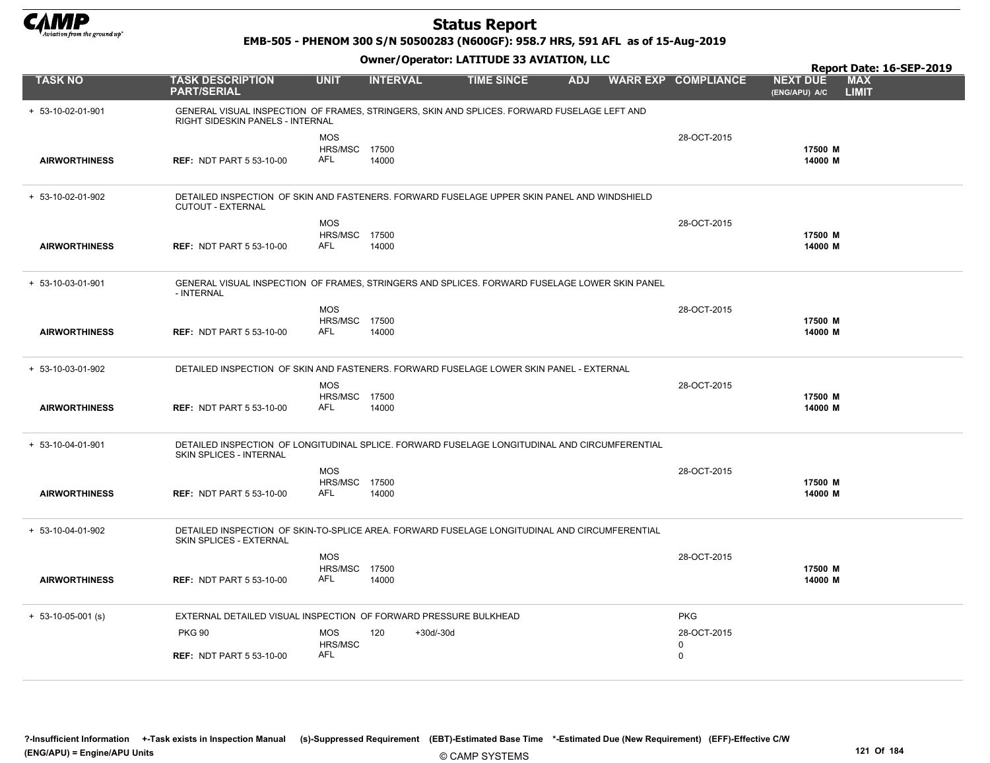

EMB-505 - PHENOM 300 S/N 50500283 (N600GF): 958.7 HRS, 591 AFL as of 15-Aug-2019

|                      |                                                                                                                                 |                                    | Report Date: 16-SEP-2019 |                   |            |  |                            |                                  |                            |
|----------------------|---------------------------------------------------------------------------------------------------------------------------------|------------------------------------|--------------------------|-------------------|------------|--|----------------------------|----------------------------------|----------------------------|
| <b>TASK NO</b>       | <b>TASK DESCRIPTION</b><br><b>PART/SERIAL</b>                                                                                   | <b>UNIT</b>                        | <b>INTERVAL</b>          | <b>TIME SINCE</b> | <b>ADJ</b> |  | <b>WARR EXP COMPLIANCE</b> | <b>NEXT DUE</b><br>(ENG/APU) A/C | <b>MAX</b><br><b>LIMIT</b> |
| + 53-10-02-01-901    | GENERAL VISUAL INSPECTION OF FRAMES, STRINGERS, SKIN AND SPLICES. FORWARD FUSELAGE LEFT AND<br>RIGHT SIDESKIN PANELS - INTERNAL |                                    |                          |                   |            |  |                            |                                  |                            |
|                      |                                                                                                                                 | <b>MOS</b><br><b>HRS/MSC 17500</b> |                          |                   |            |  | 28-OCT-2015                | 17500 M                          |                            |
| <b>AIRWORTHINESS</b> | <b>REF: NDT PART 5 53-10-00</b>                                                                                                 | AFL                                | 14000                    |                   |            |  |                            | 14000 M                          |                            |
| + 53-10-02-01-902    | DETAILED INSPECTION OF SKIN AND FASTENERS. FORWARD FUSELAGE UPPER SKIN PANEL AND WINDSHIELD<br>CUTOUT - EXTERNAL                |                                    |                          |                   |            |  |                            |                                  |                            |
|                      |                                                                                                                                 | <b>MOS</b>                         |                          |                   |            |  | 28-OCT-2015                |                                  |                            |
| <b>AIRWORTHINESS</b> | <b>REF: NDT PART 5 53-10-00</b>                                                                                                 | HRS/MSC 17500<br><b>AFL</b>        | 14000                    |                   |            |  |                            | 17500 M<br>14000 M               |                            |
| + 53-10-03-01-901    | GENERAL VISUAL INSPECTION OF FRAMES, STRINGERS AND SPLICES. FORWARD FUSELAGE LOWER SKIN PANEL<br>- INTERNAL                     |                                    |                          |                   |            |  |                            |                                  |                            |
|                      |                                                                                                                                 | <b>MOS</b>                         |                          |                   |            |  | 28-OCT-2015                |                                  |                            |
| <b>AIRWORTHINESS</b> | <b>REF: NDT PART 5 53-10-00</b>                                                                                                 | HRS/MSC 17500<br><b>AFL</b>        | 14000                    |                   |            |  |                            | 17500 M<br>14000 M               |                            |
|                      |                                                                                                                                 |                                    |                          |                   |            |  |                            |                                  |                            |
| + 53-10-03-01-902    | DETAILED INSPECTION OF SKIN AND FASTENERS. FORWARD FUSELAGE LOWER SKIN PANEL - EXTERNAL                                         |                                    |                          |                   |            |  |                            |                                  |                            |
|                      |                                                                                                                                 | <b>MOS</b>                         |                          |                   |            |  | 28-OCT-2015                |                                  |                            |
| <b>AIRWORTHINESS</b> | <b>REF: NDT PART 5 53-10-00</b>                                                                                                 | HRS/MSC 17500<br><b>AFL</b>        | 14000                    |                   |            |  |                            | 17500 M<br>14000 M               |                            |
|                      |                                                                                                                                 |                                    |                          |                   |            |  |                            |                                  |                            |
| + 53-10-04-01-901    | DETAILED INSPECTION OF LONGITUDINAL SPLICE. FORWARD FUSELAGE LONGITUDINAL AND CIRCUMFERENTIAL<br>SKIN SPLICES - INTERNAL        |                                    |                          |                   |            |  |                            |                                  |                            |
|                      |                                                                                                                                 | <b>MOS</b>                         |                          |                   |            |  | 28-OCT-2015                |                                  |                            |
| <b>AIRWORTHINESS</b> | <b>REF: NDT PART 5 53-10-00</b>                                                                                                 | HRS/MSC 17500<br>AFL               | 14000                    |                   |            |  |                            | 17500 M<br>14000 M               |                            |
|                      |                                                                                                                                 |                                    |                          |                   |            |  |                            |                                  |                            |
| $+ 53-10-04-01-902$  | DETAILED INSPECTION OF SKIN-TO-SPLICE AREA. FORWARD FUSELAGE LONGITUDINAL AND CIRCUMFERENTIAL<br>SKIN SPLICES - EXTERNAL        |                                    |                          |                   |            |  |                            |                                  |                            |
|                      |                                                                                                                                 | <b>MOS</b>                         |                          |                   |            |  | 28-OCT-2015                |                                  |                            |
| <b>AIRWORTHINESS</b> | <b>REF: NDT PART 5 53-10-00</b>                                                                                                 | HRS/MSC<br>AFL                     | 17500<br>14000           |                   |            |  |                            | 17500 M<br>14000 M               |                            |
|                      |                                                                                                                                 |                                    |                          |                   |            |  |                            |                                  |                            |
| $+ 53-10-05-001$ (s) | EXTERNAL DETAILED VISUAL INSPECTION OF FORWARD PRESSURE BULKHEAD                                                                |                                    |                          |                   |            |  | <b>PKG</b>                 |                                  |                            |
|                      | <b>PKG 90</b>                                                                                                                   | <b>MOS</b>                         | 120                      | $+30d/-30d$       |            |  | 28-OCT-2015                |                                  |                            |
|                      | <b>REF: NDT PART 5 53-10-00</b>                                                                                                 | HRS/MSC<br><b>AFL</b>              |                          |                   |            |  | $\Omega$<br>$\mathbf 0$    |                                  |                            |
|                      |                                                                                                                                 |                                    |                          |                   |            |  |                            |                                  |                            |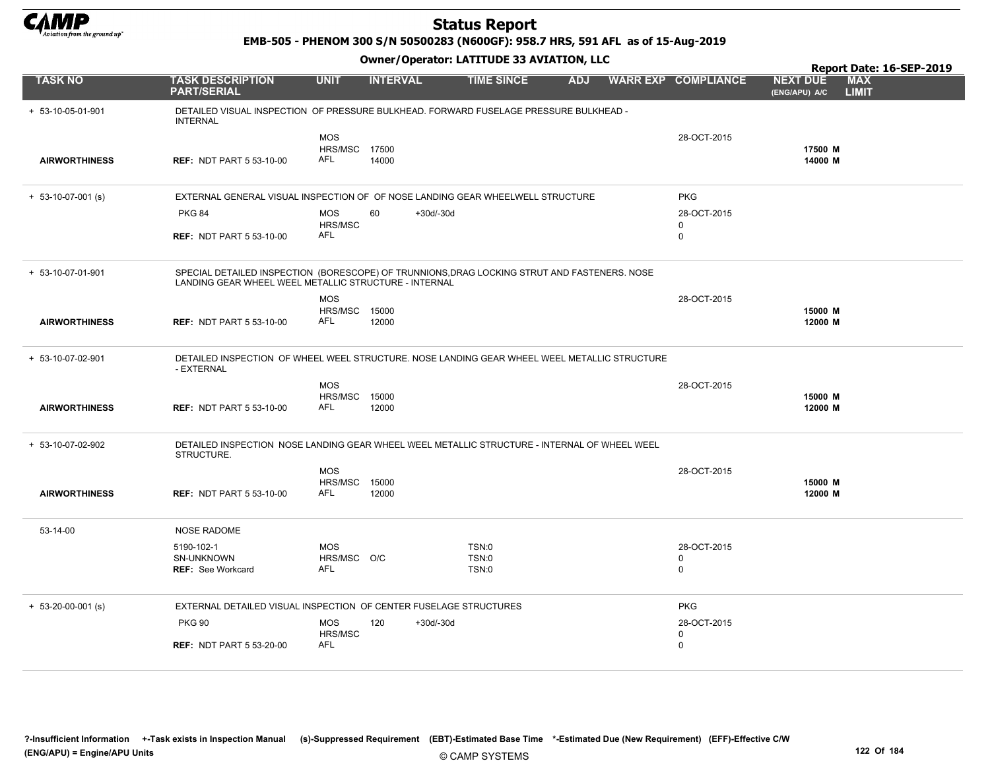

EMB-505 - PHENOM 300 S/N 50500283 (N600GF): 958.7 HRS, 591 AFL as of 15-Aug-2019

|                      |                                                                                                                                                       |                                                  |                    |                         |            |                                        |                                  | Report Date: 16-SEP-2019   |
|----------------------|-------------------------------------------------------------------------------------------------------------------------------------------------------|--------------------------------------------------|--------------------|-------------------------|------------|----------------------------------------|----------------------------------|----------------------------|
| <b>TASK NO</b>       | <b>TASK DESCRIPTION</b><br><b>PART/SERIAL</b>                                                                                                         | <b>UNIT</b>                                      | <b>INTERVAL</b>    | <b>TIME SINCE</b>       | <b>ADJ</b> | <b>WARR EXP COMPLIANCE</b>             | <b>NEXT DUE</b><br>(ENG/APU) A/C | <b>MAX</b><br><b>LIMIT</b> |
| $+ 53-10-05-01-901$  | DETAILED VISUAL INSPECTION OF PRESSURE BULKHEAD. FORWARD FUSELAGE PRESSURE BULKHEAD -<br><b>INTERNAL</b>                                              |                                                  |                    |                         |            |                                        |                                  |                            |
| <b>AIRWORTHINESS</b> | <b>REF: NDT PART 5 53-10-00</b>                                                                                                                       | <b>MOS</b><br><b>HRS/MSC 17500</b><br>AFL        | 14000              |                         |            | 28-OCT-2015                            | 17500 M<br>14000 M               |                            |
| $+ 53-10-07-001$ (s) | EXTERNAL GENERAL VISUAL INSPECTION OF OF NOSE LANDING GEAR WHEELWELL STRUCTURE                                                                        |                                                  |                    |                         |            | <b>PKG</b>                             |                                  |                            |
|                      | <b>PKG 84</b><br><b>REF: NDT PART 5 53-10-00</b>                                                                                                      | <b>MOS</b><br>HRS/MSC<br>AFL                     | 60<br>$+30d/-30d$  |                         |            | 28-OCT-2015<br>$\Omega$<br>$\mathbf 0$ |                                  |                            |
| + 53-10-07-01-901    | SPECIAL DETAILED INSPECTION (BORESCOPE) OF TRUNNIONS, DRAG LOCKING STRUT AND FASTENERS. NOSE<br>LANDING GEAR WHEEL WEEL METALLIC STRUCTURE - INTERNAL |                                                  |                    |                         |            |                                        |                                  |                            |
| <b>AIRWORTHINESS</b> | <b>REF: NDT PART 5 53-10-00</b>                                                                                                                       | <b>MOS</b><br><b>HRS/MSC 15000</b><br><b>AFL</b> | 12000              |                         |            | 28-OCT-2015                            | 15000 M<br>12000 M               |                            |
| + 53-10-07-02-901    | DETAILED INSPECTION OF WHEEL WEEL STRUCTURE. NOSE LANDING GEAR WHEEL WEEL METALLIC STRUCTURE<br>- EXTERNAL                                            |                                                  |                    |                         |            |                                        |                                  |                            |
| <b>AIRWORTHINESS</b> | <b>REF: NDT PART 5 53-10-00</b>                                                                                                                       | <b>MOS</b><br>HRS/MSC<br><b>AFL</b>              | 15000<br>12000     |                         |            | 28-OCT-2015                            | 15000 M<br>12000 M               |                            |
| + 53-10-07-02-902    | DETAILED INSPECTION NOSE LANDING GEAR WHEEL WEEL METALLIC STRUCTURE - INTERNAL OF WHEEL WEEL<br>STRUCTURE.                                            |                                                  |                    |                         |            |                                        |                                  |                            |
| <b>AIRWORTHINESS</b> | <b>REF: NDT PART 5 53-10-00</b>                                                                                                                       | <b>MOS</b><br><b>HRS/MSC 15000</b><br>AFL        | 12000              |                         |            | 28-OCT-2015                            | 15000 M<br>12000 M               |                            |
| 53-14-00             | <b>NOSE RADOME</b>                                                                                                                                    |                                                  |                    |                         |            |                                        |                                  |                            |
|                      | 5190-102-1<br>SN-UNKNOWN<br><b>REF: See Workcard</b>                                                                                                  | <b>MOS</b><br>HRS/MSC O/C<br>AFL                 |                    | TSN:0<br>TSN:0<br>TSN:0 |            | 28-OCT-2015<br>0<br>$\mathbf 0$        |                                  |                            |
| $+ 53-20-00-001$ (s) | EXTERNAL DETAILED VISUAL INSPECTION OF CENTER FUSELAGE STRUCTURES                                                                                     |                                                  |                    |                         |            | <b>PKG</b>                             |                                  |                            |
|                      | <b>PKG 90</b>                                                                                                                                         | <b>MOS</b><br>HRS/MSC                            | 120<br>$+30d/-30d$ |                         |            | 28-OCT-2015<br>$\mathbf 0$             |                                  |                            |
|                      | <b>REF: NDT PART 5 53-20-00</b>                                                                                                                       | AFL                                              |                    |                         |            | 0                                      |                                  |                            |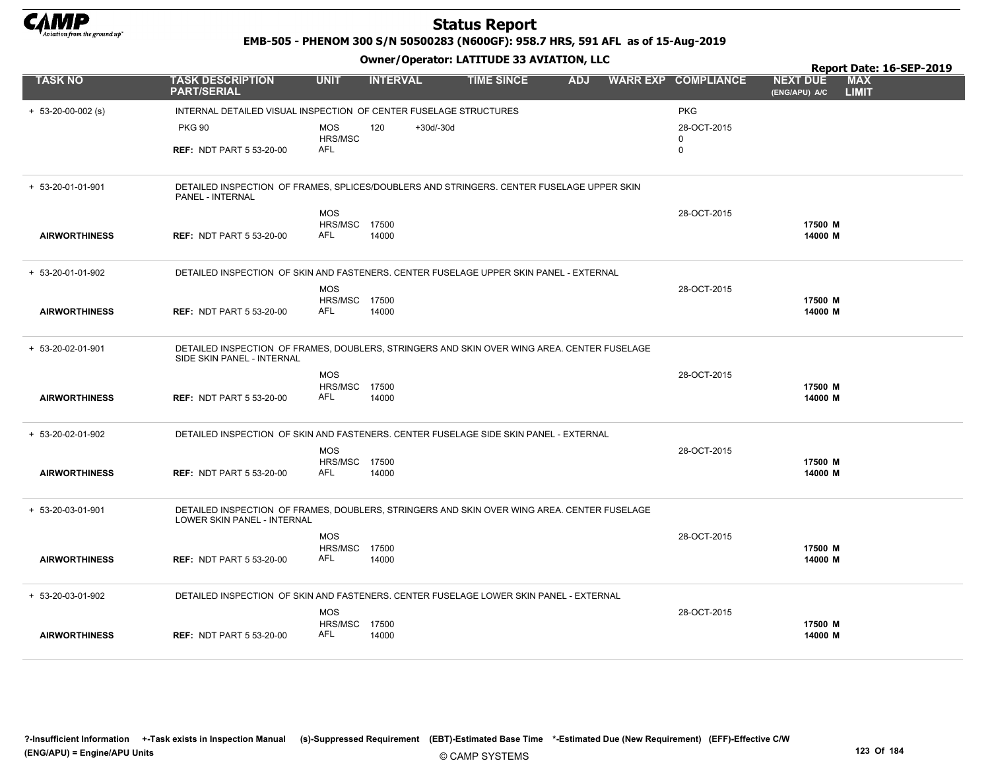

EMB-505 - PHENOM 300 S/N 50500283 (N600GF): 958.7 HRS, 591 AFL as of 15-Aug-2019

#### Owner/Operator: LATITUDE 33 AVIATION, LLC

|                      |                                                                                                                                   |                                    |                    | Owner / Operator. EATITODE 33 AVIATION, LLC |            |  | Report Date: 16-SEP-2019   |                                  |                            |
|----------------------|-----------------------------------------------------------------------------------------------------------------------------------|------------------------------------|--------------------|---------------------------------------------|------------|--|----------------------------|----------------------------------|----------------------------|
| <b>TASK NO</b>       | <b>TASK DESCRIPTION</b><br><b>PART/SERIAL</b>                                                                                     | <b>UNIT</b>                        | <b>INTERVAL</b>    | <b>TIME SINCE</b>                           | <b>ADJ</b> |  | <b>WARR EXP COMPLIANCE</b> | <b>NEXT DUE</b><br>(ENG/APU) A/C | <b>MAX</b><br><b>LIMIT</b> |
| $+ 53-20-00-002$ (s) | INTERNAL DETAILED VISUAL INSPECTION OF CENTER FUSELAGE STRUCTURES                                                                 |                                    |                    |                                             |            |  | <b>PKG</b>                 |                                  |                            |
|                      | <b>PKG 90</b>                                                                                                                     | MOS<br>HRS/MSC                     | 120<br>$+30d/-30d$ |                                             |            |  | 28-OCT-2015<br>0           |                                  |                            |
|                      | <b>REF: NDT PART 5 53-20-00</b>                                                                                                   | <b>AFL</b>                         |                    |                                             |            |  | $\mathbf 0$                |                                  |                            |
| + 53-20-01-01-901    | DETAILED INSPECTION OF FRAMES, SPLICES/DOUBLERS AND STRINGERS. CENTER FUSELAGE UPPER SKIN<br>PANEL - INTERNAL                     |                                    |                    |                                             |            |  |                            |                                  |                            |
|                      |                                                                                                                                   | <b>MOS</b>                         |                    |                                             |            |  | 28-OCT-2015                |                                  |                            |
| <b>AIRWORTHINESS</b> | <b>REF: NDT PART 5 53-20-00</b>                                                                                                   | <b>HRS/MSC 17500</b><br><b>AFL</b> | 14000              |                                             |            |  |                            | 17500 M<br>14000 M               |                            |
| + 53-20-01-01-902    | DETAILED INSPECTION OF SKIN AND FASTENERS. CENTER FUSELAGE UPPER SKIN PANEL - EXTERNAL                                            |                                    |                    |                                             |            |  |                            |                                  |                            |
|                      |                                                                                                                                   | <b>MOS</b><br><b>HRS/MSC 17500</b> |                    |                                             |            |  | 28-OCT-2015                | 17500 M                          |                            |
| <b>AIRWORTHINESS</b> | <b>REF: NDT PART 5 53-20-00</b>                                                                                                   | AFL                                | 14000              |                                             |            |  |                            | 14000 M                          |                            |
| + 53-20-02-01-901    | DETAILED INSPECTION OF FRAMES, DOUBLERS, STRINGERS AND SKIN OVER WING AREA. CENTER FUSELAGE<br>SIDE SKIN PANEL - INTERNAL         |                                    |                    |                                             |            |  |                            |                                  |                            |
|                      |                                                                                                                                   | <b>MOS</b>                         |                    |                                             |            |  | 28-OCT-2015                |                                  |                            |
| <b>AIRWORTHINESS</b> | <b>REF: NDT PART 5 53-20-00</b>                                                                                                   | HRS/MSC 17500<br><b>AFL</b>        | 14000              |                                             |            |  |                            | 17500 M<br>14000 M               |                            |
| + 53-20-02-01-902    | DETAILED INSPECTION OF SKIN AND FASTENERS. CENTER FUSELAGE SIDE SKIN PANEL - EXTERNAL                                             |                                    |                    |                                             |            |  |                            |                                  |                            |
|                      |                                                                                                                                   | <b>MOS</b><br><b>HRS/MSC 17500</b> |                    |                                             |            |  | 28-OCT-2015                | 17500 M                          |                            |
| <b>AIRWORTHINESS</b> | <b>REF: NDT PART 5 53-20-00</b>                                                                                                   | <b>AFL</b>                         | 14000              |                                             |            |  |                            | 14000 M                          |                            |
| + 53-20-03-01-901    | DETAILED INSPECTION OF FRAMES, DOUBLERS, STRINGERS AND SKIN OVER WING AREA. CENTER FUSELAGE<br><b>LOWER SKIN PANEL - INTERNAL</b> |                                    |                    |                                             |            |  |                            |                                  |                            |
|                      |                                                                                                                                   | <b>MOS</b>                         |                    |                                             |            |  | 28-OCT-2015                |                                  |                            |
| <b>AIRWORTHINESS</b> | <b>REF: NDT PART 5 53-20-00</b>                                                                                                   | HRS/MSC<br>AFL                     | 17500<br>14000     |                                             |            |  |                            | 17500 M<br>14000 M               |                            |
| + 53-20-03-01-902    | DETAILED INSPECTION OF SKIN AND FASTENERS. CENTER FUSELAGE LOWER SKIN PANEL - EXTERNAL                                            |                                    |                    |                                             |            |  |                            |                                  |                            |
|                      |                                                                                                                                   | <b>MOS</b>                         |                    |                                             |            |  | 28-OCT-2015                |                                  |                            |
| <b>AIRWORTHINESS</b> | <b>REF: NDT PART 5 53-20-00</b>                                                                                                   | HRS/MSC<br><b>AFL</b>              | 17500<br>14000     |                                             |            |  |                            | 17500 M<br>14000 M               |                            |

?-Insufficient Information +-Task exists in Inspection Manual (s)-Suppressed Requirement (EBT)-Estimated Base Time \*-Estimated Due (New Requirement) (EFF)-Effective C/W (ENG/APU) = Engine/APU Units 123 Of 184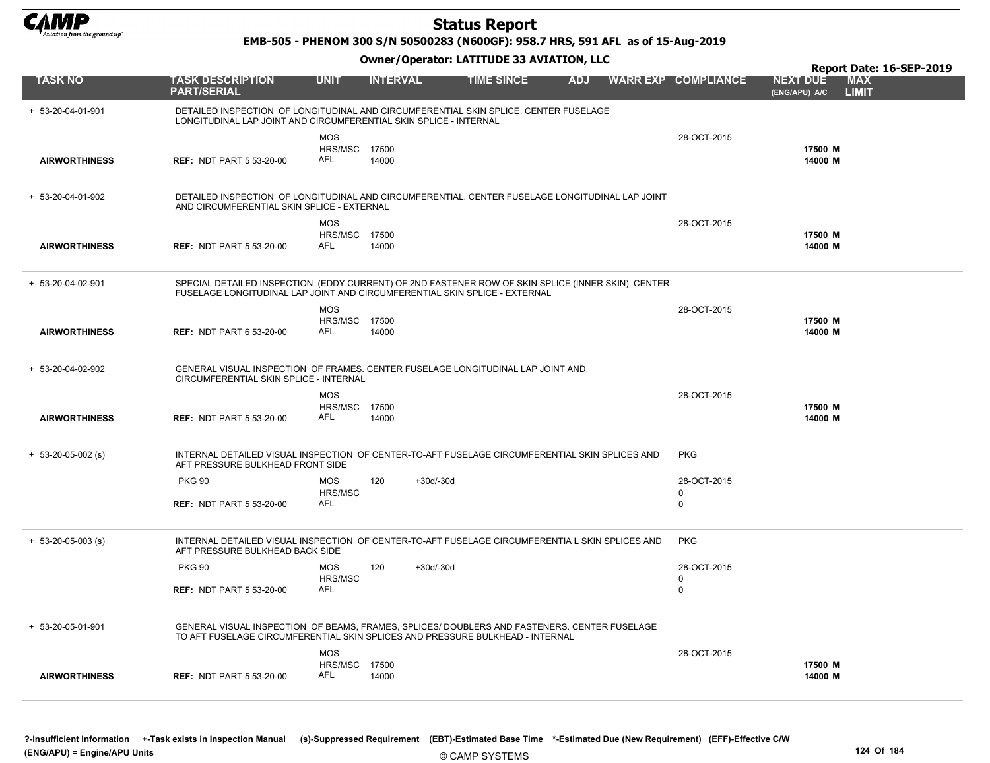

EMB-505 - PHENOM 300 S/N 50500283 (N600GF): 958.7 HRS, 591 AFL as of 15-Aug-2019

|                      |                                                                   |                                    | Report Date: 16-SEP-2019 |                                                                                                                                                                                  |            |  |                            |                                  |                            |
|----------------------|-------------------------------------------------------------------|------------------------------------|--------------------------|----------------------------------------------------------------------------------------------------------------------------------------------------------------------------------|------------|--|----------------------------|----------------------------------|----------------------------|
| <b>TASK NO</b>       | <b>TASK DESCRIPTION</b><br><b>PART/SERIAL</b>                     | <b>UNIT</b>                        | <b>INTERVAL</b>          | <b>TIME SINCE</b>                                                                                                                                                                | <b>ADJ</b> |  | <b>WARR EXP COMPLIANCE</b> | <b>NEXT DUE</b><br>(ENG/APU) A/C | <b>MAX</b><br><b>LIMIT</b> |
| + 53-20-04-01-901    | LONGITUDINAL LAP JOINT AND CIRCUMFERENTIAL SKIN SPLICE - INTERNAL |                                    |                          | DETAILED INSPECTION OF LONGITUDINAL AND CIRCUMFERENTIAL SKIN SPLICE. CENTER FUSELAGE                                                                                             |            |  |                            |                                  |                            |
|                      |                                                                   | <b>MOS</b>                         |                          |                                                                                                                                                                                  |            |  | 28-OCT-2015                |                                  |                            |
| <b>AIRWORTHINESS</b> | <b>REF: NDT PART 5 53-20-00</b>                                   | <b>HRS/MSC 17500</b><br>AFL        | 14000                    |                                                                                                                                                                                  |            |  |                            | 17500 M<br>14000 M               |                            |
| + 53-20-04-01-902    | AND CIRCUMFERENTIAL SKIN SPLICE - EXTERNAL                        |                                    |                          | DETAILED INSPECTION OF LONGITUDINAL AND CIRCUMFERENTIAL. CENTER FUSELAGE LONGITUDINAL LAP JOINT                                                                                  |            |  |                            |                                  |                            |
|                      |                                                                   | <b>MOS</b>                         |                          |                                                                                                                                                                                  |            |  | 28-OCT-2015                |                                  |                            |
| <b>AIRWORTHINESS</b> | <b>REF: NDT PART 5 53-20-00</b>                                   | <b>HRS/MSC 17500</b><br>AFL        | 14000                    |                                                                                                                                                                                  |            |  |                            | 17500 M<br>14000 M               |                            |
| + 53-20-04-02-901    |                                                                   |                                    |                          | SPECIAL DETAILED INSPECTION (EDDY CURRENT) OF 2ND FASTENER ROW OF SKIN SPLICE (INNER SKIN). CENTER<br>FUSELAGE LONGITUDINAL LAP JOINT AND CIRCUMFERENTIAL SKIN SPLICE - EXTERNAL |            |  |                            |                                  |                            |
|                      |                                                                   | <b>MOS</b>                         |                          |                                                                                                                                                                                  |            |  | 28-OCT-2015                |                                  |                            |
| <b>AIRWORTHINESS</b> | <b>REF: NDT PART 6 53-20-00</b>                                   | <b>HRS/MSC 17500</b><br>AFL        | 14000                    |                                                                                                                                                                                  |            |  |                            | 17500 M<br>14000 M               |                            |
| + 53-20-04-02-902    | CIRCUMFERENTIAL SKIN SPLICE - INTERNAL                            |                                    |                          | GENERAL VISUAL INSPECTION OF FRAMES, CENTER FUSELAGE LONGITUDINAL LAP JOINT AND                                                                                                  |            |  |                            |                                  |                            |
|                      |                                                                   | <b>MOS</b>                         |                          |                                                                                                                                                                                  |            |  | 28-OCT-2015                |                                  |                            |
| <b>AIRWORTHINESS</b> | <b>REF: NDT PART 5 53-20-00</b>                                   | HRS/MSC 17500<br>AFL               | 14000                    |                                                                                                                                                                                  |            |  |                            | 17500 M<br>14000 M               |                            |
| $+ 53-20-05-002$ (s) | AFT PRESSURE BULKHEAD FRONT SIDE                                  |                                    |                          | INTERNAL DETAILED VISUAL INSPECTION OF CENTER-TO-AFT FUSELAGE CIRCUMFERENTIAL SKIN SPLICES AND                                                                                   |            |  | <b>PKG</b>                 |                                  |                            |
|                      | <b>PKG 90</b>                                                     | <b>MOS</b>                         | 120                      | $+30d/-30d$                                                                                                                                                                      |            |  | 28-OCT-2015                |                                  |                            |
|                      | <b>REF: NDT PART 5 53-20-00</b>                                   | HRS/MSC<br>AFL                     |                          |                                                                                                                                                                                  |            |  | $\Omega$<br>$\Omega$       |                                  |                            |
| $+ 53-20-05-003$ (s) | AFT PRESSURE BULKHEAD BACK SIDE                                   |                                    |                          | INTERNAL DETAILED VISUAL INSPECTION OF CENTER-TO-AFT FUSELAGE CIRCUMFERENTIA L SKIN SPLICES AND                                                                                  |            |  | <b>PKG</b>                 |                                  |                            |
|                      | <b>PKG 90</b>                                                     | <b>MOS</b>                         | 120                      | $+30d/-30d$                                                                                                                                                                      |            |  | 28-OCT-2015                |                                  |                            |
|                      | <b>REF: NDT PART 5 53-20-00</b>                                   | HRS/MSC<br><b>AFL</b>              |                          |                                                                                                                                                                                  |            |  | 0<br>0                     |                                  |                            |
|                      |                                                                   |                                    |                          |                                                                                                                                                                                  |            |  |                            |                                  |                            |
| + 53-20-05-01-901    |                                                                   |                                    |                          | GENERAL VISUAL INSPECTION OF BEAMS, FRAMES, SPLICES/ DOUBLERS AND FASTENERS. CENTER FUSELAGE<br>TO AFT FUSELAGE CIRCUMFERENTIAL SKIN SPLICES AND PRESSURE BULKHEAD - INTERNAL    |            |  |                            |                                  |                            |
|                      |                                                                   | <b>MOS</b>                         |                          |                                                                                                                                                                                  |            |  | 28-OCT-2015                |                                  |                            |
| <b>AIRWORTHINESS</b> | <b>REF: NDT PART 5 53-20-00</b>                                   | <b>HRS/MSC 17500</b><br><b>AFL</b> | 14000                    |                                                                                                                                                                                  |            |  |                            | 17500 M<br>14000 M               |                            |
|                      |                                                                   |                                    |                          |                                                                                                                                                                                  |            |  |                            |                                  |                            |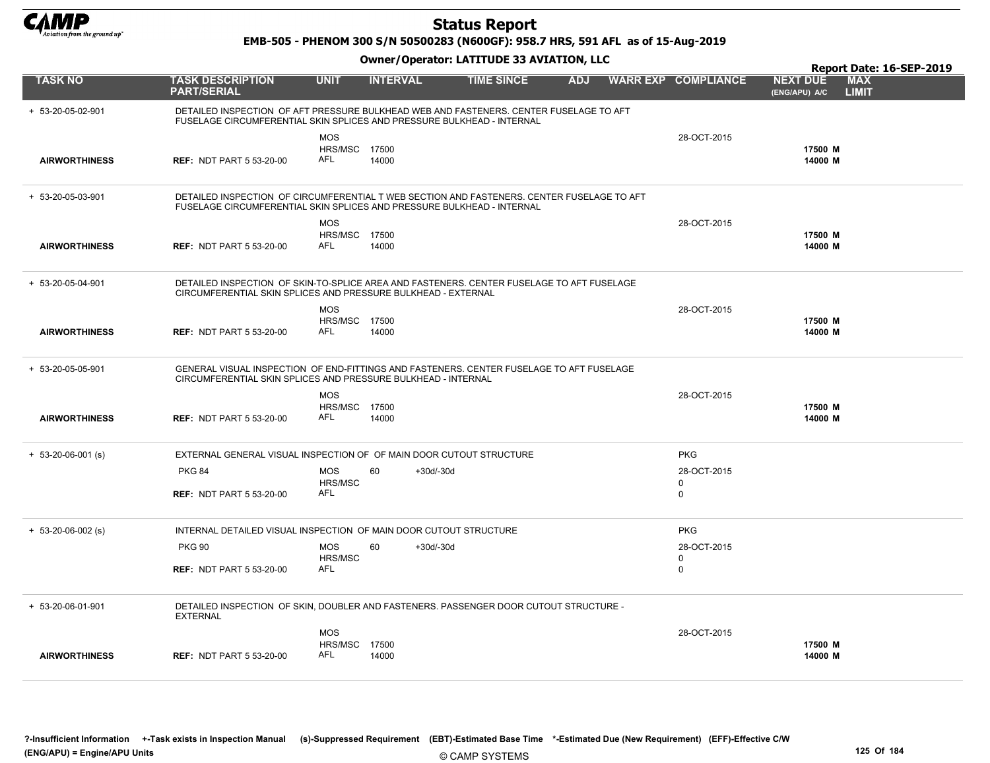

EMB-505 - PHENOM 300 S/N 50500283 (N600GF): 958.7 HRS, 591 AFL as of 15-Aug-2019

|                      |                                                                                                                                                                      |                                                  |                 |             |                   |            |                                           | Report Date: 16-SEP-2019                                       |
|----------------------|----------------------------------------------------------------------------------------------------------------------------------------------------------------------|--------------------------------------------------|-----------------|-------------|-------------------|------------|-------------------------------------------|----------------------------------------------------------------|
| <b>TASK NO</b>       | <b>TASK DESCRIPTION</b><br><b>PART/SERIAL</b>                                                                                                                        | <b>UNIT</b>                                      | <b>INTERVAL</b> |             | <b>TIME SINCE</b> | <b>ADJ</b> | <b>WARR EXP COMPLIANCE</b>                | <b>MAX</b><br><b>NEXT DUE</b><br><b>LIMIT</b><br>(ENG/APU) A/C |
| + 53-20-05-02-901    | DETAILED INSPECTION OF AFT PRESSURE BULKHEAD WEB AND FASTENERS. CENTER FUSELAGE TO AFT<br>FUSELAGE CIRCUMFERENTIAL SKIN SPLICES AND PRESSURE BULKHEAD - INTERNAL     |                                                  |                 |             |                   |            |                                           |                                                                |
| <b>AIRWORTHINESS</b> | <b>REF: NDT PART 5 53-20-00</b>                                                                                                                                      | <b>MOS</b><br><b>HRS/MSC 17500</b><br><b>AFL</b> | 14000           |             |                   |            | 28-OCT-2015                               | 17500 M<br>14000 M                                             |
| + 53-20-05-03-901    | DETAILED INSPECTION OF CIRCUMFERENTIAL T WEB SECTION AND FASTENERS. CENTER FUSELAGE TO AFT<br>FUSELAGE CIRCUMFERENTIAL SKIN SPLICES AND PRESSURE BULKHEAD - INTERNAL |                                                  |                 |             |                   |            |                                           |                                                                |
| <b>AIRWORTHINESS</b> | <b>REF: NDT PART 5 53-20-00</b>                                                                                                                                      | <b>MOS</b><br>HRS/MSC 17500<br><b>AFL</b>        | 14000           |             |                   |            | 28-OCT-2015                               | 17500 M<br>14000 M                                             |
| + 53-20-05-04-901    | DETAILED INSPECTION OF SKIN-TO-SPLICE AREA AND FASTENERS. CENTER FUSELAGE TO AFT FUSELAGE<br>CIRCUMFERENTIAL SKIN SPLICES AND PRESSURE BULKHEAD - EXTERNAL           |                                                  |                 |             |                   |            |                                           |                                                                |
| <b>AIRWORTHINESS</b> | <b>REF: NDT PART 5 53-20-00</b>                                                                                                                                      | <b>MOS</b><br><b>HRS/MSC 17500</b><br>AFL        | 14000           |             |                   |            | 28-OCT-2015                               | 17500 M<br>14000 M                                             |
| + 53-20-05-05-901    | GENERAL VISUAL INSPECTION OF END-FITTINGS AND FASTENERS. CENTER FUSELAGE TO AFT FUSELAGE<br>CIRCUMFERENTIAL SKIN SPLICES AND PRESSURE BULKHEAD - INTERNAL            |                                                  |                 |             |                   |            |                                           |                                                                |
| <b>AIRWORTHINESS</b> | <b>REF: NDT PART 5 53-20-00</b>                                                                                                                                      | <b>MOS</b><br><b>HRS/MSC 17500</b><br>AFL        | 14000           |             |                   |            | 28-OCT-2015                               | 17500 M<br>14000 M                                             |
| $+ 53-20-06-001$ (s) | EXTERNAL GENERAL VISUAL INSPECTION OF OF MAIN DOOR CUTOUT STRUCTURE                                                                                                  |                                                  |                 |             |                   |            | <b>PKG</b>                                |                                                                |
|                      | <b>PKG 84</b><br><b>REF: NDT PART 5 53-20-00</b>                                                                                                                     | <b>MOS</b><br>HRS/MSC<br>AFL                     | 60              | $+30d/-30d$ |                   |            | 28-OCT-2015<br>$\mathbf 0$<br>$\mathbf 0$ |                                                                |
| $+ 53-20-06-002$ (s) | INTERNAL DETAILED VISUAL INSPECTION OF MAIN DOOR CUTOUT STRUCTURE                                                                                                    |                                                  |                 |             |                   |            | <b>PKG</b>                                |                                                                |
|                      | <b>PKG 90</b><br><b>REF: NDT PART 5 53-20-00</b>                                                                                                                     | <b>MOS</b><br>HRS/MSC<br>AFL                     | 60              | $+30d/-30d$ |                   |            | 28-OCT-2015<br>$\mathbf 0$<br>$\mathbf 0$ |                                                                |
| + 53-20-06-01-901    | DETAILED INSPECTION OF SKIN, DOUBLER AND FASTENERS. PASSENGER DOOR CUTOUT STRUCTURE -<br><b>EXTERNAL</b>                                                             |                                                  |                 |             |                   |            |                                           |                                                                |
| <b>AIRWORTHINESS</b> | <b>REF: NDT PART 5 53-20-00</b>                                                                                                                                      | <b>MOS</b><br>HRS/MSC<br>AFL                     | 17500<br>14000  |             |                   |            | 28-OCT-2015                               | 17500 M<br>14000 M                                             |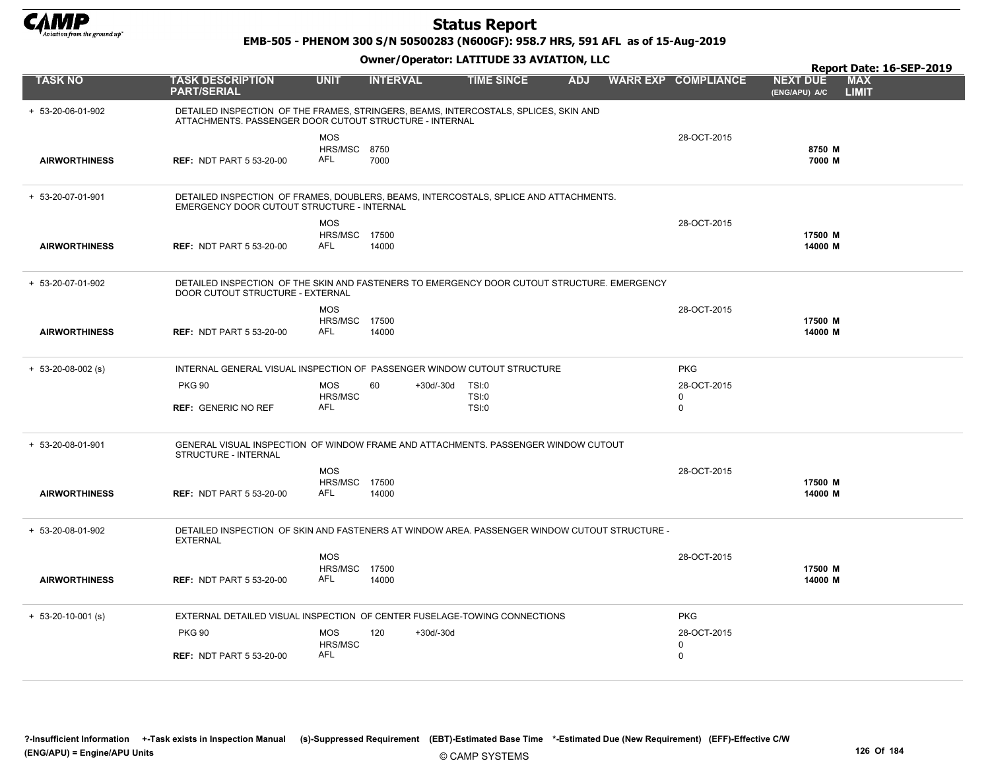

EMB-505 - PHENOM 300 S/N 50500283 (N600GF): 958.7 HRS, 591 AFL as of 15-Aug-2019

|                      |                                                                                                                                                 |                                           |                 |             |                                       |            |                            |                                  | Report Date: 16-SEP-2019   |
|----------------------|-------------------------------------------------------------------------------------------------------------------------------------------------|-------------------------------------------|-----------------|-------------|---------------------------------------|------------|----------------------------|----------------------------------|----------------------------|
| <b>TASK NO</b>       | <b>TASK DESCRIPTION</b><br><b>PART/SERIAL</b>                                                                                                   | <b>UNIT</b>                               | <b>INTERVAL</b> |             | <b>TIME SINCE</b>                     | <b>ADJ</b> | <b>WARR EXP COMPLIANCE</b> | <b>NEXT DUE</b><br>(ENG/APU) A/C | <b>MAX</b><br><b>LIMIT</b> |
| + 53-20-06-01-902    | DETAILED INSPECTION OF THE FRAMES, STRINGERS, BEAMS, INTERCOSTALS, SPLICES, SKIN AND<br>ATTACHMENTS. PASSENGER DOOR CUTOUT STRUCTURE - INTERNAL |                                           |                 |             |                                       |            |                            |                                  |                            |
| <b>AIRWORTHINESS</b> | <b>REF: NDT PART 5 53-20-00</b>                                                                                                                 | <b>MOS</b><br><b>HRS/MSC 8750</b><br>AFL  | 7000            |             |                                       |            | 28-OCT-2015                | 8750 M<br>7000 M                 |                            |
| + 53-20-07-01-901    | DETAILED INSPECTION OF FRAMES, DOUBLERS, BEAMS, INTERCOSTALS, SPLICE AND ATTACHMENTS.<br>EMERGENCY DOOR CUTOUT STRUCTURE - INTERNAL             |                                           |                 |             |                                       |            |                            |                                  |                            |
| <b>AIRWORTHINESS</b> | <b>REF: NDT PART 5 53-20-00</b>                                                                                                                 | <b>MOS</b><br><b>HRS/MSC 17500</b><br>AFL | 14000           |             |                                       |            | 28-OCT-2015                | 17500 M<br>14000 M               |                            |
| + 53-20-07-01-902    | DETAILED INSPECTION OF THE SKIN AND FASTENERS TO EMERGENCY DOOR CUTOUT STRUCTURE. EMERGENCY<br>DOOR CUTOUT STRUCTURE - EXTERNAL                 |                                           |                 |             |                                       |            |                            |                                  |                            |
| <b>AIRWORTHINESS</b> | <b>REF: NDT PART 5 53-20-00</b>                                                                                                                 | <b>MOS</b><br><b>HRS/MSC 17500</b><br>AFL | 14000           |             |                                       |            | 28-OCT-2015                | 17500 M<br>14000 M               |                            |
| $+ 53-20-08-002$ (s) | INTERNAL GENERAL VISUAL INSPECTION OF PASSENGER WINDOW CUTOUT STRUCTURE                                                                         |                                           |                 |             |                                       |            | <b>PKG</b>                 |                                  |                            |
|                      | <b>PKG 90</b><br><b>REF: GENERIC NO REF</b>                                                                                                     | <b>MOS</b><br>HRS/MSC<br><b>AFL</b>       | 60              | +30d/-30d   | TSI:0<br><b>TSI:0</b><br><b>TSI:0</b> |            | 28-OCT-2015<br>0<br>0      |                                  |                            |
| + 53-20-08-01-901    | GENERAL VISUAL INSPECTION OF WINDOW FRAME AND ATTACHMENTS. PASSENGER WINDOW CUTOUT<br>STRUCTURE - INTERNAL                                      |                                           |                 |             |                                       |            |                            |                                  |                            |
| <b>AIRWORTHINESS</b> | <b>REF: NDT PART 5 53-20-00</b>                                                                                                                 | <b>MOS</b><br><b>HRS/MSC 17500</b><br>AFL | 14000           |             |                                       |            | 28-OCT-2015                | 17500 M<br>14000 M               |                            |
| + 53-20-08-01-902    | DETAILED INSPECTION OF SKIN AND FASTENERS AT WINDOW AREA. PASSENGER WINDOW CUTOUT STRUCTURE -<br><b>EXTERNAL</b>                                |                                           |                 |             |                                       |            |                            |                                  |                            |
| <b>AIRWORTHINESS</b> | <b>REF: NDT PART 5 53-20-00</b>                                                                                                                 | <b>MOS</b><br><b>HRS/MSC 17500</b><br>AFL | 14000           |             |                                       |            | 28-OCT-2015                | 17500 M<br>14000 M               |                            |
| $+ 53-20-10-001$ (s) | EXTERNAL DETAILED VISUAL INSPECTION OF CENTER FUSELAGE-TOWING CONNECTIONS                                                                       |                                           |                 |             |                                       |            | <b>PKG</b>                 |                                  |                            |
|                      | <b>PKG 90</b>                                                                                                                                   | <b>MOS</b><br>HRS/MSC                     | 120             | $+30d/-30d$ |                                       |            | 28-OCT-2015<br>0           |                                  |                            |
|                      | <b>REF: NDT PART 5 53-20-00</b>                                                                                                                 | <b>AFL</b>                                |                 |             |                                       |            | 0                          |                                  |                            |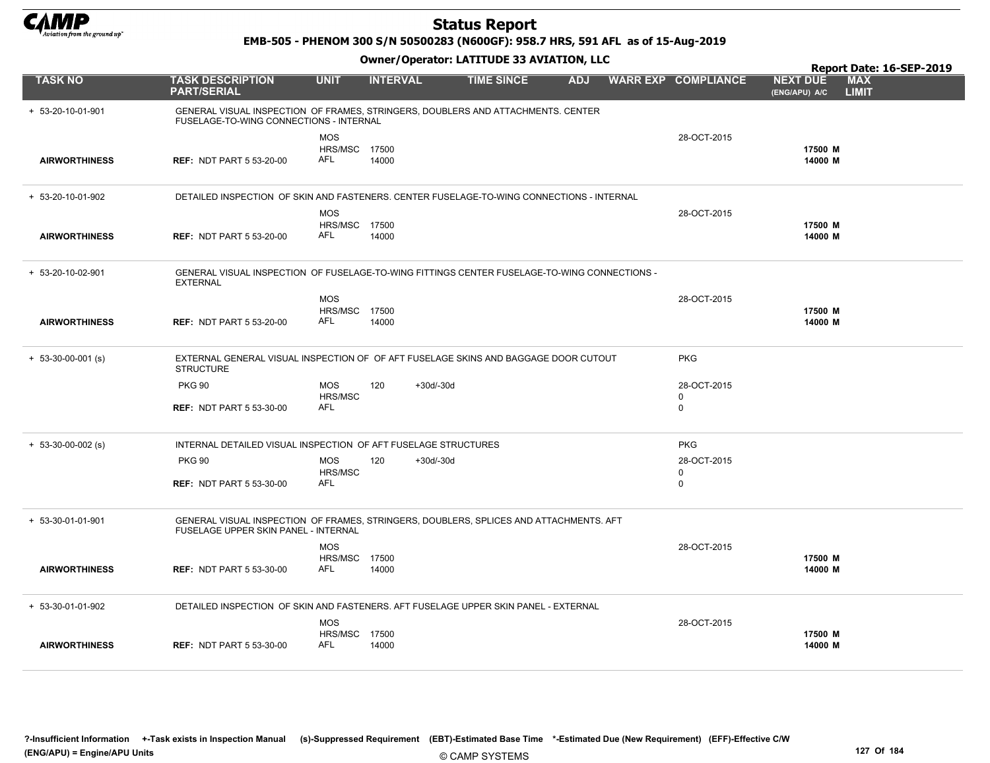

EMB-505 - PHENOM 300 S/N 50500283 (N600GF): 958.7 HRS, 591 AFL as of 15-Aug-2019

Owner/Operator: LATITUDE 33 AVIATION, LLC

|                      |                                                                                                                                | Owner / Operator. EATITODE 33 AVIATION, LLC |                 |             |                   |            |  |                            |                                  | Report Date: 16-SEP-2019   |  |
|----------------------|--------------------------------------------------------------------------------------------------------------------------------|---------------------------------------------|-----------------|-------------|-------------------|------------|--|----------------------------|----------------------------------|----------------------------|--|
| <b>TASK NO</b>       | <b>TASK DESCRIPTION</b><br><b>PART/SERIAL</b>                                                                                  | <b>UNIT</b>                                 | <b>INTERVAL</b> |             | <b>TIME SINCE</b> | <b>ADJ</b> |  | <b>WARR EXP COMPLIANCE</b> | <b>NEXT DUE</b><br>(ENG/APU) A/C | <b>MAX</b><br><b>LIMIT</b> |  |
| + 53-20-10-01-901    | GENERAL VISUAL INSPECTION OF FRAMES, STRINGERS, DOUBLERS AND ATTACHMENTS. CENTER<br>FUSELAGE-TO-WING CONNECTIONS - INTERNAL    |                                             |                 |             |                   |            |  |                            |                                  |                            |  |
|                      |                                                                                                                                | <b>MOS</b><br><b>HRS/MSC 17500</b>          |                 |             |                   |            |  | 28-OCT-2015                | 17500 M                          |                            |  |
| <b>AIRWORTHINESS</b> | <b>REF: NDT PART 5 53-20-00</b>                                                                                                | AFL                                         | 14000           |             |                   |            |  |                            | 14000 M                          |                            |  |
| + 53-20-10-01-902    | DETAILED INSPECTION OF SKIN AND FASTENERS. CENTER FUSELAGE-TO-WING CONNECTIONS - INTERNAL                                      |                                             |                 |             |                   |            |  |                            |                                  |                            |  |
|                      |                                                                                                                                | <b>MOS</b>                                  |                 |             |                   |            |  | 28-OCT-2015                |                                  |                            |  |
| <b>AIRWORTHINESS</b> | <b>REF: NDT PART 5 53-20-00</b>                                                                                                | <b>HRS/MSC 17500</b><br><b>AFL</b>          | 14000           |             |                   |            |  |                            | 17500 M<br>14000 M               |                            |  |
| + 53-20-10-02-901    | GENERAL VISUAL INSPECTION OF FUSELAGE-TO-WING FITTINGS CENTER FUSELAGE-TO-WING CONNECTIONS -<br><b>EXTERNAL</b>                |                                             |                 |             |                   |            |  |                            |                                  |                            |  |
|                      |                                                                                                                                | <b>MOS</b>                                  |                 |             |                   |            |  | 28-OCT-2015                |                                  |                            |  |
| <b>AIRWORTHINESS</b> | <b>REF: NDT PART 5 53-20-00</b>                                                                                                | HRS/MSC 17500<br><b>AFL</b>                 | 14000           |             |                   |            |  |                            | 17500 M<br>14000 M               |                            |  |
|                      |                                                                                                                                |                                             |                 |             |                   |            |  |                            |                                  |                            |  |
| $+ 53-30-00-001$ (s) | EXTERNAL GENERAL VISUAL INSPECTION OF OF AFT FUSELAGE SKINS AND BAGGAGE DOOR CUTOUT<br><b>STRUCTURE</b>                        |                                             |                 |             |                   |            |  | <b>PKG</b>                 |                                  |                            |  |
|                      | <b>PKG 90</b>                                                                                                                  | <b>MOS</b>                                  | 120             | $+30d/-30d$ |                   |            |  | 28-OCT-2015                |                                  |                            |  |
|                      | <b>REF: NDT PART 5 53-30-00</b>                                                                                                | HRS/MSC<br><b>AFL</b>                       |                 |             |                   |            |  | 0<br>0                     |                                  |                            |  |
|                      |                                                                                                                                |                                             |                 |             |                   |            |  |                            |                                  |                            |  |
| $+ 53-30-00-002$ (s) | INTERNAL DETAILED VISUAL INSPECTION OF AFT FUSELAGE STRUCTURES                                                                 |                                             |                 |             |                   |            |  | <b>PKG</b>                 |                                  |                            |  |
|                      | <b>PKG 90</b>                                                                                                                  | <b>MOS</b><br>HRS/MSC                       | 120             | $+30d/-30d$ |                   |            |  | 28-OCT-2015<br>$\mathbf 0$ |                                  |                            |  |
|                      | <b>REF: NDT PART 5 53-30-00</b>                                                                                                | <b>AFL</b>                                  |                 |             |                   |            |  | 0                          |                                  |                            |  |
|                      |                                                                                                                                |                                             |                 |             |                   |            |  |                            |                                  |                            |  |
| + 53-30-01-01-901    | GENERAL VISUAL INSPECTION OF FRAMES, STRINGERS, DOUBLERS, SPLICES AND ATTACHMENTS. AFT<br>FUSELAGE UPPER SKIN PANEL - INTERNAL |                                             |                 |             |                   |            |  |                            |                                  |                            |  |
|                      |                                                                                                                                | <b>MOS</b>                                  |                 |             |                   |            |  | 28-OCT-2015                | 17500 M                          |                            |  |
| <b>AIRWORTHINESS</b> | <b>REF: NDT PART 5 53-30-00</b>                                                                                                | <b>HRS/MSC 17500</b><br>AFL                 | 14000           |             |                   |            |  |                            | 14000 M                          |                            |  |
| + 53-30-01-01-902    | DETAILED INSPECTION OF SKIN AND FASTENERS. AFT FUSELAGE UPPER SKIN PANEL - EXTERNAL                                            |                                             |                 |             |                   |            |  |                            |                                  |                            |  |
|                      |                                                                                                                                | <b>MOS</b>                                  |                 |             |                   |            |  | 28-OCT-2015                |                                  |                            |  |
|                      |                                                                                                                                | <b>HRS/MSC 17500</b>                        |                 |             |                   |            |  |                            | 17500 M                          |                            |  |
| <b>AIRWORTHINESS</b> | <b>REF: NDT PART 5 53-30-00</b>                                                                                                | AFL                                         | 14000           |             |                   |            |  |                            | 14000 M                          |                            |  |

© CAMP SYSTEMS ?-Insufficient Information +-Task exists in Inspection Manual (s)-Suppressed Requirement (EBT)-Estimated Base Time \*-Estimated Due (New Requirement) (EFF)-Effective C/W (ENG/APU) = Engine/APU Units 127 Of 184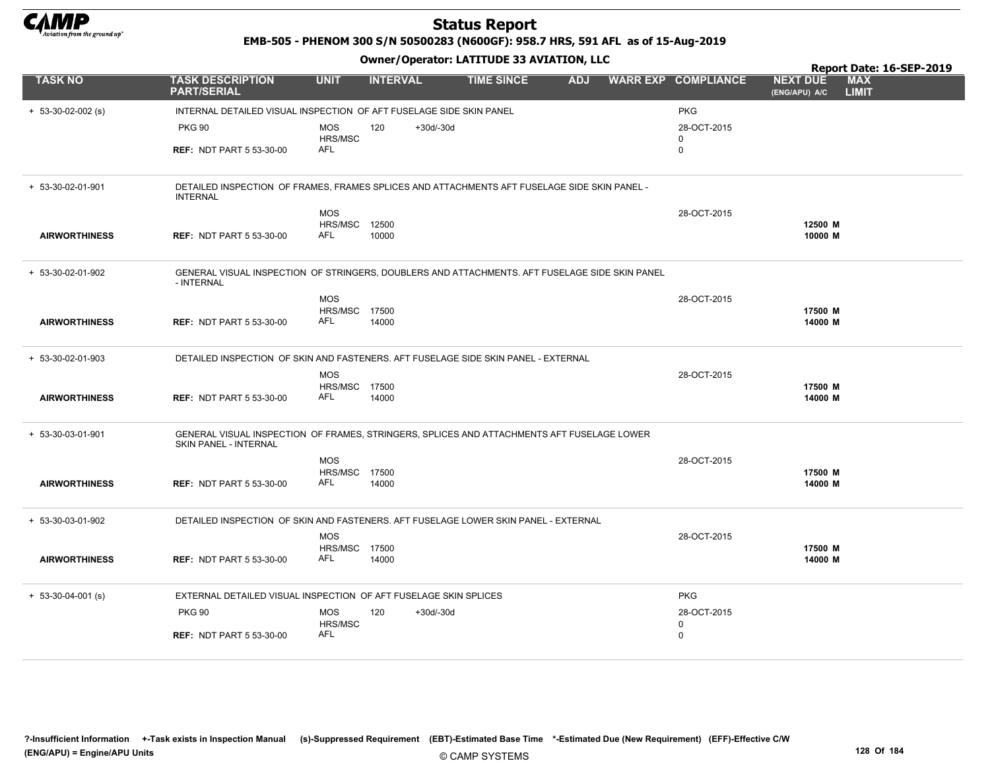

EMB-505 - PHENOM 300 S/N 50500283 (N600GF): 958.7 HRS, 591 AFL as of 15-Aug-2019

|                      |                                                                                                                            |                             |                    |                   |            |                            |                                  | Report Date: 16-SEP-2019   |
|----------------------|----------------------------------------------------------------------------------------------------------------------------|-----------------------------|--------------------|-------------------|------------|----------------------------|----------------------------------|----------------------------|
| <b>TASK NO</b>       | <b>TASK DESCRIPTION</b><br><b>PART/SERIAL</b>                                                                              | <b>UNIT</b>                 | <b>INTERVAL</b>    | <b>TIME SINCE</b> | <b>ADJ</b> | <b>WARR EXP COMPLIANCE</b> | <b>NEXT DUE</b><br>(ENG/APU) A/C | <b>MAX</b><br><b>LIMIT</b> |
| $+ 53-30-02-002$ (s) | INTERNAL DETAILED VISUAL INSPECTION OF AFT FUSELAGE SIDE SKIN PANEL                                                        |                             |                    |                   |            | <b>PKG</b>                 |                                  |                            |
|                      | <b>PKG 90</b>                                                                                                              | <b>MOS</b>                  | 120<br>$+30d/-30d$ |                   |            | 28-OCT-2015                |                                  |                            |
|                      | <b>REF: NDT PART 5 53-30-00</b>                                                                                            | HRS/MSC<br>AFL              |                    |                   |            | 0<br>0                     |                                  |                            |
|                      |                                                                                                                            |                             |                    |                   |            |                            |                                  |                            |
| + 53-30-02-01-901    | DETAILED INSPECTION OF FRAMES, FRAMES SPLICES AND ATTACHMENTS AFT FUSELAGE SIDE SKIN PANEL -<br><b>INTERNAL</b>            |                             |                    |                   |            |                            |                                  |                            |
|                      |                                                                                                                            | <b>MOS</b>                  |                    |                   |            | 28-OCT-2015                |                                  |                            |
|                      |                                                                                                                            | <b>HRS/MSC 12500</b><br>AFL |                    |                   |            |                            | 12500 M<br>10000 M               |                            |
| <b>AIRWORTHINESS</b> | <b>REF: NDT PART 5 53-30-00</b>                                                                                            |                             | 10000              |                   |            |                            |                                  |                            |
| + 53-30-02-01-902    | GENERAL VISUAL INSPECTION OF STRINGERS, DOUBLERS AND ATTACHMENTS. AFT FUSELAGE SIDE SKIN PANEL<br>- INTERNAL               |                             |                    |                   |            |                            |                                  |                            |
|                      |                                                                                                                            | MOS                         |                    |                   |            | 28-OCT-2015                |                                  |                            |
| <b>AIRWORTHINESS</b> | <b>REF: NDT PART 5 53-30-00</b>                                                                                            | <b>HRS/MSC 17500</b><br>AFL | 14000              |                   |            |                            | 17500 M<br>14000 M               |                            |
|                      |                                                                                                                            |                             |                    |                   |            |                            |                                  |                            |
| + 53-30-02-01-903    | DETAILED INSPECTION OF SKIN AND FASTENERS. AFT FUSELAGE SIDE SKIN PANEL - EXTERNAL                                         |                             |                    |                   |            |                            |                                  |                            |
|                      |                                                                                                                            | <b>MOS</b>                  |                    |                   |            | 28-OCT-2015                |                                  |                            |
| <b>AIRWORTHINESS</b> | <b>REF: NDT PART 5 53-30-00</b>                                                                                            | <b>HRS/MSC 17500</b><br>AFL | 14000              |                   |            |                            | 17500 M<br>14000 M               |                            |
|                      |                                                                                                                            |                             |                    |                   |            |                            |                                  |                            |
| + 53-30-03-01-901    | GENERAL VISUAL INSPECTION OF FRAMES, STRINGERS, SPLICES AND ATTACHMENTS AFT FUSELAGE LOWER<br><b>SKIN PANEL - INTERNAL</b> |                             |                    |                   |            |                            |                                  |                            |
|                      |                                                                                                                            | <b>MOS</b>                  |                    |                   |            | 28-OCT-2015                |                                  |                            |
| <b>AIRWORTHINESS</b> | <b>REF: NDT PART 5 53-30-00</b>                                                                                            | HRS/MSC 17500<br>AFL        | 14000              |                   |            |                            | 17500 M<br>14000 M               |                            |
|                      |                                                                                                                            |                             |                    |                   |            |                            |                                  |                            |
| + 53-30-03-01-902    | DETAILED INSPECTION OF SKIN AND FASTENERS. AFT FUSELAGE LOWER SKIN PANEL - EXTERNAL                                        |                             |                    |                   |            |                            |                                  |                            |
|                      |                                                                                                                            | <b>MOS</b>                  |                    |                   |            | 28-OCT-2015                |                                  |                            |
| <b>AIRWORTHINESS</b> | <b>REF: NDT PART 5 53-30-00</b>                                                                                            | <b>HRS/MSC 17500</b><br>AFL | 14000              |                   |            |                            | 17500 M<br>14000 M               |                            |
|                      |                                                                                                                            |                             |                    |                   |            |                            |                                  |                            |
| $+ 53-30-04-001$ (s) | EXTERNAL DETAILED VISUAL INSPECTION OF AFT FUSELAGE SKIN SPLICES                                                           |                             |                    |                   |            | <b>PKG</b>                 |                                  |                            |
|                      | <b>PKG 90</b>                                                                                                              | <b>MOS</b>                  | 120<br>$+30d/-30d$ |                   |            | 28-OCT-2015                |                                  |                            |
|                      | <b>REF: NDT PART 5 53-30-00</b>                                                                                            | HRS/MSC<br>AFL              |                    |                   |            | 0<br>0                     |                                  |                            |
|                      |                                                                                                                            |                             |                    |                   |            |                            |                                  |                            |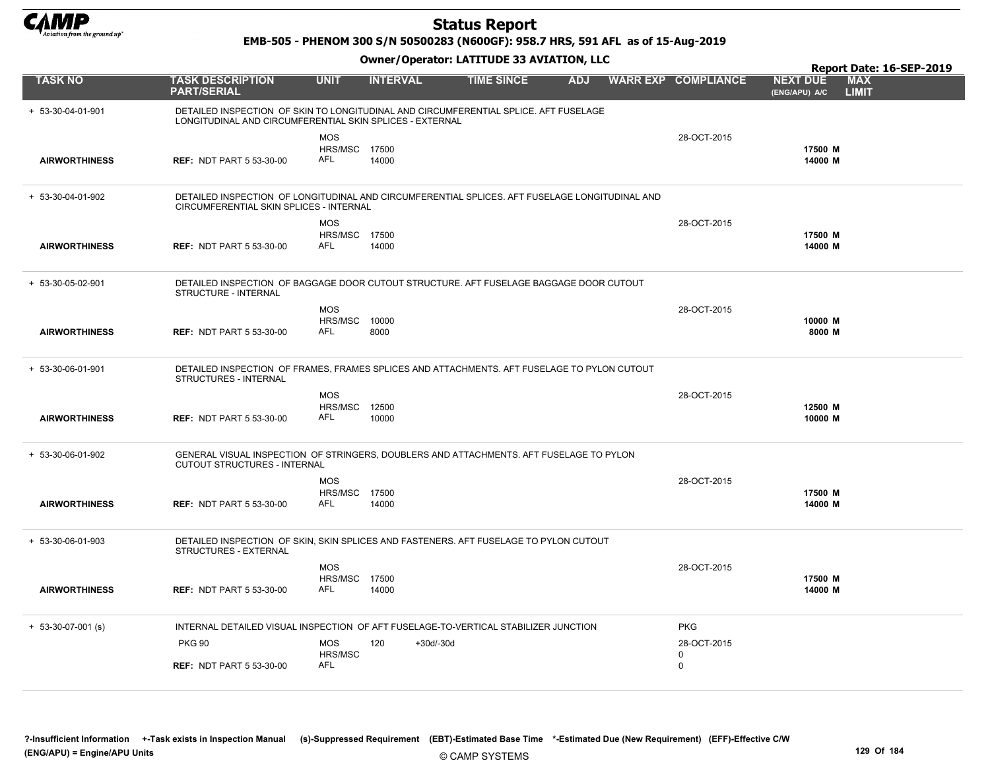

EMB-505 - PHENOM 300 S/N 50500283 (N600GF): 958.7 HRS, 591 AFL as of 15-Aug-2019

|                      |                                                                                                                                                  |                                           |                    |                   |            |                                     |                                  | Report Date: 16-SEP-2019   |
|----------------------|--------------------------------------------------------------------------------------------------------------------------------------------------|-------------------------------------------|--------------------|-------------------|------------|-------------------------------------|----------------------------------|----------------------------|
| <b>TASK NO</b>       | <b>TASK DESCRIPTION</b><br><b>PART/SERIAL</b>                                                                                                    | <b>UNIT</b>                               | <b>INTERVAL</b>    | <b>TIME SINCE</b> | <b>ADJ</b> | <b>WARR EXP COMPLIANCE</b>          | <b>NEXT DUE</b><br>(ENG/APU) A/C | <b>MAX</b><br><b>LIMIT</b> |
| + 53-30-04-01-901    | DETAILED INSPECTION OF SKIN TO LONGITUDINAL AND CIRCUMFERENTIAL SPLICE. AFT FUSELAGE<br>LONGITUDINAL AND CIRCUMFERENTIAL SKIN SPLICES - EXTERNAL |                                           |                    |                   |            |                                     |                                  |                            |
| <b>AIRWORTHINESS</b> | <b>REF: NDT PART 5 53-30-00</b>                                                                                                                  | <b>MOS</b><br>HRS/MSC 17500<br>AFL        | 14000              |                   |            | 28-OCT-2015                         | 17500 M<br>14000 M               |                            |
| + 53-30-04-01-902    | DETAILED INSPECTION OF LONGITUDINAL AND CIRCUMFERENTIAL SPLICES. AFT FUSELAGE LONGITUDINAL AND<br>CIRCUMFERENTIAL SKIN SPLICES - INTERNAL        |                                           |                    |                   |            |                                     |                                  |                            |
| <b>AIRWORTHINESS</b> | <b>REF: NDT PART 5 53-30-00</b>                                                                                                                  | <b>MOS</b><br><b>HRS/MSC 17500</b><br>AFL | 14000              |                   |            | 28-OCT-2015                         | 17500 M<br>14000 M               |                            |
| + 53-30-05-02-901    | DETAILED INSPECTION OF BAGGAGE DOOR CUTOUT STRUCTURE. AFT FUSELAGE BAGGAGE DOOR CUTOUT<br>STRUCTURE - INTERNAL                                   |                                           |                    |                   |            |                                     |                                  |                            |
| <b>AIRWORTHINESS</b> | <b>REF: NDT PART 5 53-30-00</b>                                                                                                                  | <b>MOS</b><br>HRS/MSC<br><b>AFL</b>       | 10000<br>8000      |                   |            | 28-OCT-2015                         | 10000 M<br>8000 M                |                            |
| + 53-30-06-01-901    | DETAILED INSPECTION OF FRAMES, FRAMES SPLICES AND ATTACHMENTS. AFT FUSELAGE TO PYLON CUTOUT<br>STRUCTURES - INTERNAL                             |                                           |                    |                   |            |                                     |                                  |                            |
| <b>AIRWORTHINESS</b> | <b>REF: NDT PART 5 53-30-00</b>                                                                                                                  | <b>MOS</b><br>HRS/MSC<br>AFL              | 12500<br>10000     |                   |            | 28-OCT-2015                         | 12500 M<br>10000 M               |                            |
| + 53-30-06-01-902    | GENERAL VISUAL INSPECTION OF STRINGERS, DOUBLERS AND ATTACHMENTS. AFT FUSELAGE TO PYLON<br><b>CUTOUT STRUCTURES - INTERNAL</b>                   |                                           |                    |                   |            |                                     |                                  |                            |
| <b>AIRWORTHINESS</b> | <b>REF: NDT PART 5 53-30-00</b>                                                                                                                  | <b>MOS</b><br><b>HRS/MSC 17500</b><br>AFL | 14000              |                   |            | 28-OCT-2015                         | 17500 M<br>14000 M               |                            |
| $+ 53-30-06-01-903$  | DETAILED INSPECTION OF SKIN, SKIN SPLICES AND FASTENERS. AFT FUSELAGE TO PYLON CUTOUT<br>STRUCTURES - EXTERNAL                                   |                                           |                    |                   |            |                                     |                                  |                            |
| <b>AIRWORTHINESS</b> | <b>REF: NDT PART 5 53-30-00</b>                                                                                                                  | <b>MOS</b><br>HRS/MSC 17500<br>AFL        | 14000              |                   |            | 28-OCT-2015                         | 17500 M<br>14000 M               |                            |
| $+ 53-30-07-001$ (s) | INTERNAL DETAILED VISUAL INSPECTION OF AFT FUSELAGE-TO-VERTICAL STABILIZER JUNCTION                                                              |                                           |                    |                   |            | <b>PKG</b>                          |                                  |                            |
|                      | <b>PKG 90</b><br><b>REF: NDT PART 5 53-30-00</b>                                                                                                 | <b>MOS</b><br>HRS/MSC<br>AFL              | 120<br>$+30d/-30d$ |                   |            | 28-OCT-2015<br>$\Omega$<br>$\Omega$ |                                  |                            |
|                      |                                                                                                                                                  |                                           |                    |                   |            |                                     |                                  |                            |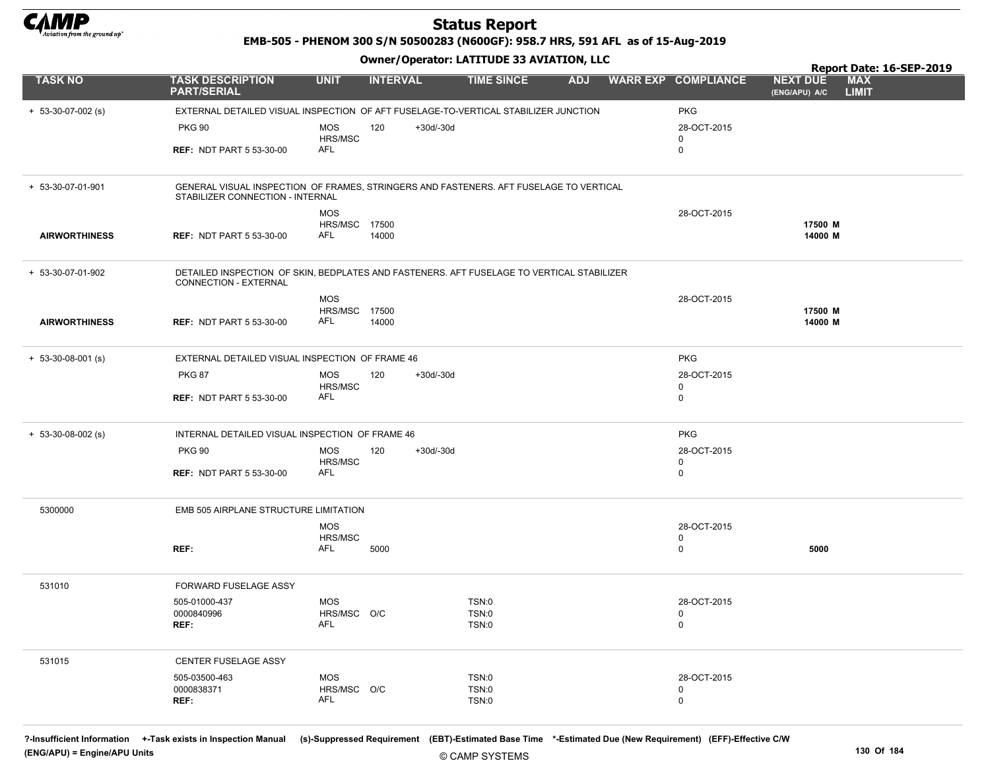

EMB-505 - PHENOM 300 S/N 50500283 (N600GF): 958.7 HRS, 591 AFL as of 15-Aug-2019

Owner/Operator: LATITUDE 33 AVIATION, LLC

|                      |                                                                                                                            |                           | .                  |                   |            |                            | Report Date: 16-SEP-2019                                       |
|----------------------|----------------------------------------------------------------------------------------------------------------------------|---------------------------|--------------------|-------------------|------------|----------------------------|----------------------------------------------------------------|
| <b>TASK NO</b>       | <b>TASK DESCRIPTION</b><br><b>PART/SERIAL</b>                                                                              | <b>UNIT</b>               | <b>INTERVAL</b>    | <b>TIME SINCE</b> | <b>ADJ</b> | <b>WARR EXP COMPLIANCE</b> | <b>MAX</b><br><b>NEXT DUE</b><br><b>LIMIT</b><br>(ENG/APU) A/C |
| $+ 53-30-07-002$ (s) | EXTERNAL DETAILED VISUAL INSPECTION OF AFT FUSELAGE-TO-VERTICAL STABILIZER JUNCTION                                        |                           |                    |                   |            | <b>PKG</b>                 |                                                                |
|                      | <b>PKG 90</b>                                                                                                              | <b>MOS</b><br>HRS/MSC     | +30d/-30d<br>120   |                   |            | 28-OCT-2015<br>0           |                                                                |
|                      | <b>REF: NDT PART 5 53-30-00</b>                                                                                            | AFL                       |                    |                   |            | $\mathbf 0$                |                                                                |
| + 53-30-07-01-901    | GENERAL VISUAL INSPECTION OF FRAMES, STRINGERS AND FASTENERS. AFT FUSELAGE TO VERTICAL<br>STABILIZER CONNECTION - INTERNAL |                           |                    |                   |            |                            |                                                                |
|                      |                                                                                                                            | <b>MOS</b>                |                    |                   |            | 28-OCT-2015                |                                                                |
| <b>AIRWORTHINESS</b> | <b>REF: NDT PART 5 53-30-00</b>                                                                                            | HRS/MSC<br>AFL            | 17500<br>14000     |                   |            |                            | 17500 M<br>14000 M                                             |
| + 53-30-07-01-902    | DETAILED INSPECTION OF SKIN, BEDPLATES AND FASTENERS. AFT FUSELAGE TO VERTICAL STABILIZER<br>CONNECTION - EXTERNAL         |                           |                    |                   |            |                            |                                                                |
|                      |                                                                                                                            | <b>MOS</b>                |                    |                   |            | 28-OCT-2015                |                                                                |
| <b>AIRWORTHINESS</b> | <b>REF: NDT PART 5 53-30-00</b>                                                                                            | HRS/MSC 17500<br>AFL      | 14000              |                   |            |                            | 17500 M<br>14000 M                                             |
| $+ 53-30-08-001$ (s) | EXTERNAL DETAILED VISUAL INSPECTION OF FRAME 46                                                                            |                           |                    |                   |            | <b>PKG</b>                 |                                                                |
|                      | <b>PKG 87</b>                                                                                                              | <b>MOS</b><br>HRS/MSC     | 120<br>$+30d/-30d$ |                   |            | 28-OCT-2015<br>0           |                                                                |
|                      | <b>REF: NDT PART 5 53-30-00</b>                                                                                            | AFL                       |                    |                   |            | $\mathbf 0$                |                                                                |
| $+ 53-30-08-002$ (s) | INTERNAL DETAILED VISUAL INSPECTION OF FRAME 46                                                                            |                           |                    |                   |            | <b>PKG</b>                 |                                                                |
|                      | <b>PKG 90</b>                                                                                                              | MOS                       | 120<br>+30d/-30d   |                   |            | 28-OCT-2015                |                                                                |
|                      | <b>REF: NDT PART 5 53-30-00</b>                                                                                            | HRS/MSC<br>AFL            |                    |                   |            | 0<br>$\mathbf 0$           |                                                                |
| 5300000              | EMB 505 AIRPLANE STRUCTURE LIMITATION                                                                                      |                           |                    |                   |            |                            |                                                                |
|                      |                                                                                                                            | <b>MOS</b>                |                    |                   |            | 28-OCT-2015                |                                                                |
|                      | REF:                                                                                                                       | HRS/MSC<br>AFL            | 5000               |                   |            | $\mathbf 0$<br>$\mathbf 0$ | 5000                                                           |
| 531010               | FORWARD FUSELAGE ASSY                                                                                                      |                           |                    |                   |            |                            |                                                                |
|                      | 505-01000-437                                                                                                              | MOS                       |                    | TSN:0             |            | 28-OCT-2015                |                                                                |
|                      | 0000840996<br>REF:                                                                                                         | HRS/MSC O/C<br>AFL        |                    | TSN:0<br>TSN:0    |            | 0<br>0                     |                                                                |
| 531015               | CENTER FUSELAGE ASSY                                                                                                       |                           |                    |                   |            |                            |                                                                |
|                      | 505-03500-463                                                                                                              | <b>MOS</b><br>HRS/MSC O/C |                    | TSN:0             |            | 28-OCT-2015                |                                                                |
|                      | 0000838371<br>REF:                                                                                                         | AFL                       |                    | TSN:0<br>TSN:0    |            | 0<br>$\mathbf 0$           |                                                                |

?-Insufficient Information +-Task exists in Inspection Manual (s)-Suppressed Requirement (EBT)-Estimated Base Time \*-Estimated Due (New Requirement) (EFF)-Effective C/W (ENG/APU) = Engine/APU Units 130 Of 184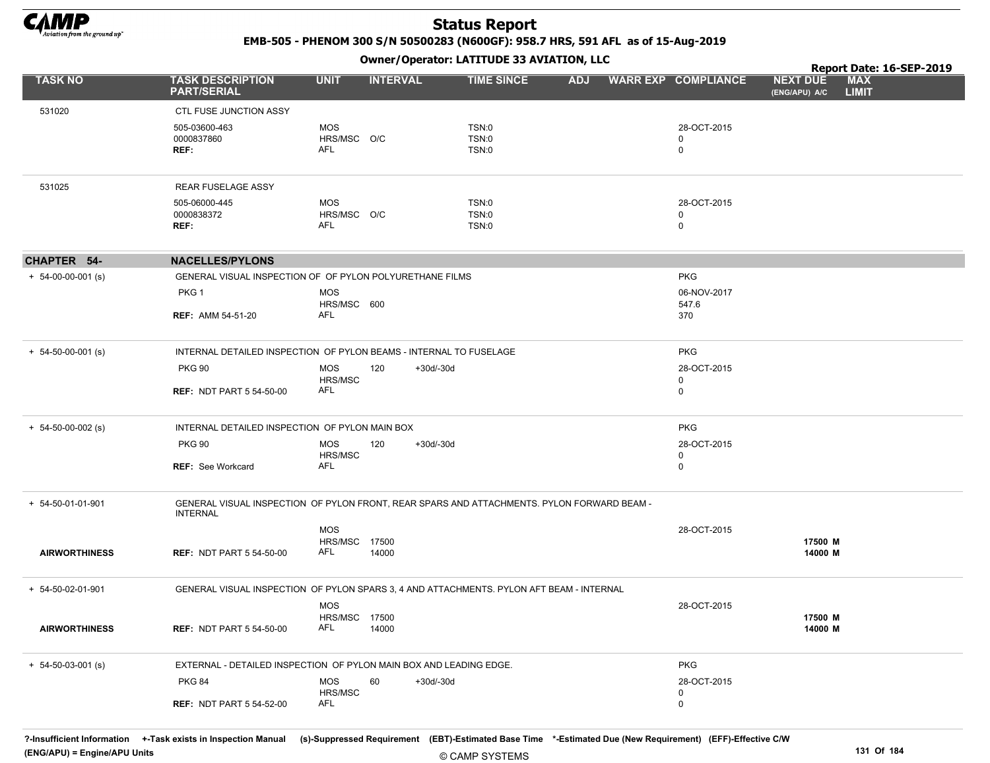

EMB-505 - PHENOM 300 S/N 50500283 (N600GF): 958.7 HRS, 591 AFL as of 15-Aug-2019

Owner/Operator: LATITUDE 33 AVIATION, LLC

|                            |                                                                                                               |                           | .                  |                   |            |                            |                                  | Report Date: 16-SEP-2019   |  |
|----------------------------|---------------------------------------------------------------------------------------------------------------|---------------------------|--------------------|-------------------|------------|----------------------------|----------------------------------|----------------------------|--|
| <b>TASK NO</b>             | <b>TASK DESCRIPTION</b><br><b>PART/SERIAL</b>                                                                 | <b>UNIT</b>               | <b>INTERVAL</b>    | <b>TIME SINCE</b> | <b>ADJ</b> | <b>WARR EXP COMPLIANCE</b> | <b>NEXT DUE</b><br>(ENG/APU) A/C | <b>MAX</b><br><b>LIMIT</b> |  |
| 531020                     | <b>CTL FUSE JUNCTION ASSY</b>                                                                                 |                           |                    |                   |            |                            |                                  |                            |  |
|                            | 505-03600-463                                                                                                 | <b>MOS</b>                |                    | TSN:0             |            | 28-OCT-2015                |                                  |                            |  |
|                            | 0000837860                                                                                                    | HRS/MSC O/C               |                    | TSN:0             |            | 0                          |                                  |                            |  |
|                            | REF:                                                                                                          | AFL                       |                    | TSN:0             |            | 0                          |                                  |                            |  |
| 531025                     | <b>REAR FUSELAGE ASSY</b>                                                                                     |                           |                    |                   |            |                            |                                  |                            |  |
|                            | 505-06000-445                                                                                                 | <b>MOS</b>                |                    | TSN:0             |            | 28-OCT-2015                |                                  |                            |  |
|                            | 0000838372                                                                                                    | HRS/MSC O/C               |                    | TSN:0             |            | 0                          |                                  |                            |  |
|                            | REF:                                                                                                          | AFL                       |                    | TSN:0             |            | $\mathbf 0$                |                                  |                            |  |
| CHAPTER 54-                | <b>NACELLES/PYLONS</b>                                                                                        |                           |                    |                   |            |                            |                                  |                            |  |
| $+ 54-00-00-001$ (s)       | GENERAL VISUAL INSPECTION OF OF PYLON POLYURETHANE FILMS                                                      |                           |                    |                   |            | <b>PKG</b>                 |                                  |                            |  |
|                            | PKG <sub>1</sub>                                                                                              | <b>MOS</b><br>HRS/MSC 600 |                    |                   |            | 06-NOV-2017<br>547.6       |                                  |                            |  |
|                            | <b>REF: AMM 54-51-20</b>                                                                                      | AFL                       |                    |                   |            | 370                        |                                  |                            |  |
|                            |                                                                                                               |                           |                    |                   |            |                            |                                  |                            |  |
| $+ 54 - 50 - 00 - 001$ (s) | INTERNAL DETAILED INSPECTION OF PYLON BEAMS - INTERNAL TO FUSELAGE                                            |                           |                    |                   |            | <b>PKG</b>                 |                                  |                            |  |
|                            | <b>PKG 90</b>                                                                                                 | <b>MOS</b>                | 120<br>+30d/-30d   |                   |            | 28-OCT-2015                |                                  |                            |  |
|                            | <b>REF: NDT PART 5 54-50-00</b>                                                                               | HRS/MSC<br>AFL            |                    |                   |            | 0<br>0                     |                                  |                            |  |
| $+ 54 - 50 - 00 - 002$ (s) | INTERNAL DETAILED INSPECTION OF PYLON MAIN BOX                                                                |                           |                    |                   |            | <b>PKG</b>                 |                                  |                            |  |
|                            | <b>PKG 90</b>                                                                                                 | <b>MOS</b>                | 120<br>$+30d/-30d$ |                   |            | 28-OCT-2015                |                                  |                            |  |
|                            |                                                                                                               | HRS/MSC                   |                    |                   |            | 0                          |                                  |                            |  |
|                            | <b>REF: See Workcard</b>                                                                                      | AFL                       |                    |                   |            | 0                          |                                  |                            |  |
| + 54-50-01-01-901          | GENERAL VISUAL INSPECTION OF PYLON FRONT, REAR SPARS AND ATTACHMENTS. PYLON FORWARD BEAM -<br><b>INTERNAL</b> |                           |                    |                   |            |                            |                                  |                            |  |
|                            |                                                                                                               | <b>MOS</b>                |                    |                   |            | 28-OCT-2015                |                                  |                            |  |
|                            |                                                                                                               | <b>HRS/MSC 17500</b>      |                    |                   |            |                            | 17500 M                          |                            |  |
| <b>AIRWORTHINESS</b>       | <b>REF: NDT PART 5 54-50-00</b>                                                                               | AFL                       | 14000              |                   |            |                            | 14000 M                          |                            |  |
| + 54-50-02-01-901          | GENERAL VISUAL INSPECTION OF PYLON SPARS 3, 4 AND ATTACHMENTS. PYLON AFT BEAM - INTERNAL                      |                           |                    |                   |            |                            |                                  |                            |  |
|                            |                                                                                                               | <b>MOS</b>                |                    |                   |            | 28-OCT-2015                |                                  |                            |  |
|                            |                                                                                                               | HRS/MSC 17500             |                    |                   |            |                            | 17500 M                          |                            |  |
| <b>AIRWORTHINESS</b>       | <b>REF: NDT PART 5 54-50-00</b>                                                                               | AFL                       | 14000              |                   |            |                            | 14000 M                          |                            |  |
| $+ 54 - 50 - 03 - 001$ (s) | EXTERNAL - DETAILED INSPECTION OF PYLON MAIN BOX AND LEADING EDGE.                                            |                           |                    |                   |            | <b>PKG</b>                 |                                  |                            |  |
|                            | <b>PKG 84</b>                                                                                                 | <b>MOS</b>                | 60<br>$+30d/-30d$  |                   |            | 28-OCT-2015                |                                  |                            |  |
|                            |                                                                                                               | HRS/MSC                   |                    |                   |            | $\mathbf 0$                |                                  |                            |  |
|                            | <b>REF: NDT PART 5 54-52-00</b>                                                                               | AFL                       |                    |                   |            | 0                          |                                  |                            |  |

?-Insufficient Information +-Task exists in Inspection Manual (s)-Suppressed Requirement (EBT)-Estimated Base Time \*-Estimated Due (New Requirement) (EFF)-Effective C/W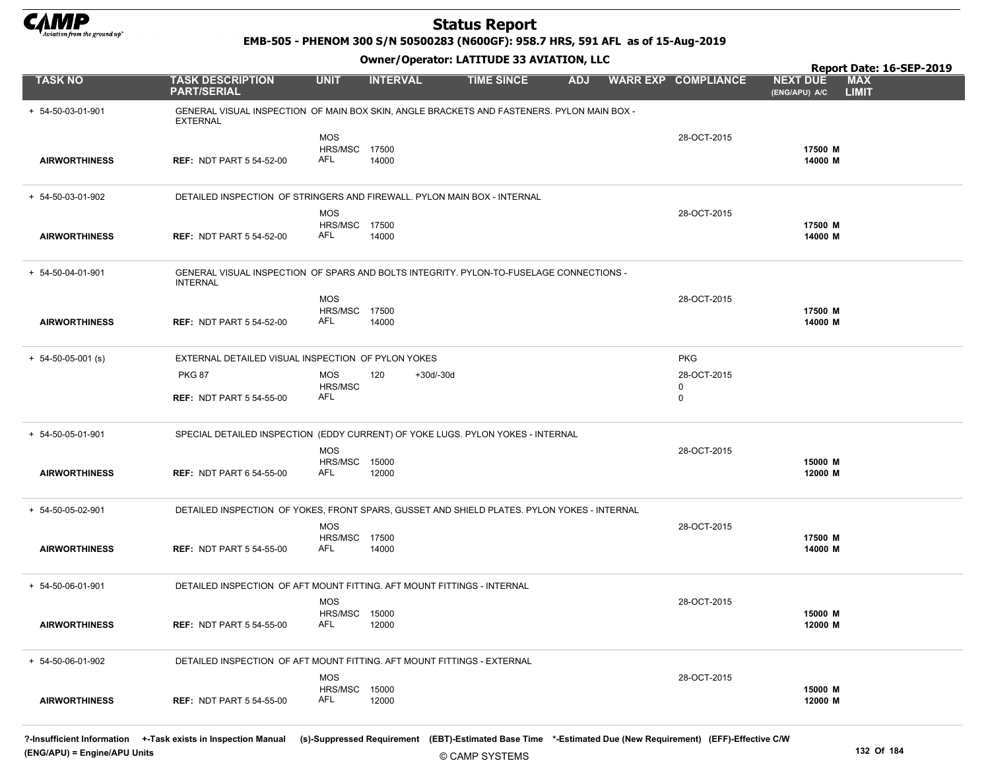

EMB-505 - PHENOM 300 S/N 50500283 (N600GF): 958.7 HRS, 591 AFL as of 15-Aug-2019

Owner/Operator: LATITUDE 33 AVIATION, LLC

|                            |                                                                                                               |                                    |                    |                   |            |                            | Report Date: 16-SEP-2019                                       |
|----------------------------|---------------------------------------------------------------------------------------------------------------|------------------------------------|--------------------|-------------------|------------|----------------------------|----------------------------------------------------------------|
| <b>TASK NO</b>             | <b>TASK DESCRIPTION</b><br><b>PART/SERIAL</b>                                                                 | <b>UNIT</b>                        | <b>INTERVAL</b>    | <b>TIME SINCE</b> | <b>ADJ</b> | <b>WARR EXP COMPLIANCE</b> | <b>MAX</b><br><b>NEXT DUE</b><br><b>LIMIT</b><br>(ENG/APU) A/C |
| + 54-50-03-01-901          | GENERAL VISUAL INSPECTION OF MAIN BOX SKIN, ANGLE BRACKETS AND FASTENERS. PYLON MAIN BOX -<br><b>EXTERNAL</b> |                                    |                    |                   |            |                            |                                                                |
| <b>AIRWORTHINESS</b>       | <b>REF: NDT PART 5 54-52-00</b>                                                                               | <b>MOS</b><br>HRS/MSC 17500<br>AFL | 14000              |                   |            | 28-OCT-2015                | 17500 M<br>14000 M                                             |
|                            |                                                                                                               |                                    |                    |                   |            |                            |                                                                |
| + 54-50-03-01-902          | DETAILED INSPECTION OF STRINGERS AND FIREWALL. PYLON MAIN BOX - INTERNAL                                      |                                    |                    |                   |            |                            |                                                                |
|                            |                                                                                                               | <b>MOS</b><br><b>HRS/MSC 17500</b> |                    |                   |            | 28-OCT-2015                |                                                                |
| <b>AIRWORTHINESS</b>       | <b>REF: NDT PART 5 54-52-00</b>                                                                               | AFL                                | 14000              |                   |            |                            | 17500 M<br>14000 M                                             |
| + 54-50-04-01-901          | GENERAL VISUAL INSPECTION OF SPARS AND BOLTS INTEGRITY. PYLON-TO-FUSELAGE CONNECTIONS -<br><b>INTERNAL</b>    |                                    |                    |                   |            |                            |                                                                |
|                            |                                                                                                               | <b>MOS</b>                         |                    |                   |            | 28-OCT-2015                |                                                                |
| <b>AIRWORTHINESS</b>       | <b>REF: NDT PART 5 54-52-00</b>                                                                               | <b>HRS/MSC 17500</b><br>AFL        | 14000              |                   |            |                            | 17500 M<br>14000 M                                             |
|                            |                                                                                                               |                                    |                    |                   |            |                            |                                                                |
| $+ 54 - 50 - 05 - 001$ (s) | EXTERNAL DETAILED VISUAL INSPECTION OF PYLON YOKES                                                            |                                    |                    |                   |            | <b>PKG</b>                 |                                                                |
|                            | <b>PKG 87</b>                                                                                                 | <b>MOS</b><br><b>HRS/MSC</b>       | 120<br>$+30d/-30d$ |                   |            | 28-OCT-2015<br>0           |                                                                |
|                            | <b>REF: NDT PART 5 54-55-00</b>                                                                               | AFL                                |                    |                   |            | $\mathbf 0$                |                                                                |
| + 54-50-05-01-901          | SPECIAL DETAILED INSPECTION (EDDY CURRENT) OF YOKE LUGS. PYLON YOKES - INTERNAL                               |                                    |                    |                   |            |                            |                                                                |
|                            |                                                                                                               | <b>MOS</b>                         |                    |                   |            | 28-OCT-2015                | 15000 M                                                        |
| <b>AIRWORTHINESS</b>       | <b>REF: NDT PART 6 54-55-00</b>                                                                               | <b>HRS/MSC 15000</b><br>AFL        | 12000              |                   |            |                            | 12000 M                                                        |
| + 54-50-05-02-901          | DETAILED INSPECTION OF YOKES, FRONT SPARS, GUSSET AND SHIELD PLATES. PYLON YOKES - INTERNAL                   |                                    |                    |                   |            |                            |                                                                |
|                            |                                                                                                               | <b>MOS</b><br>HRS/MSC 17500        |                    |                   |            | 28-OCT-2015                | 17500 M                                                        |
| <b>AIRWORTHINESS</b>       | <b>REF: NDT PART 5 54-55-00</b>                                                                               | AFL                                | 14000              |                   |            |                            | 14000 M                                                        |
| + 54-50-06-01-901          | DETAILED INSPECTION OF AFT MOUNT FITTING. AFT MOUNT FITTINGS - INTERNAL                                       |                                    |                    |                   |            |                            |                                                                |
|                            |                                                                                                               | <b>MOS</b>                         |                    |                   |            | 28-OCT-2015                |                                                                |
| <b>AIRWORTHINESS</b>       | <b>REF: NDT PART 5 54-55-00</b>                                                                               | <b>HRS/MSC 15000</b><br>AFL        | 12000              |                   |            |                            | 15000 M<br>12000 M                                             |
| + 54-50-06-01-902          | DETAILED INSPECTION OF AFT MOUNT FITTING. AFT MOUNT FITTINGS - EXTERNAL                                       |                                    |                    |                   |            |                            |                                                                |
|                            |                                                                                                               | <b>MOS</b>                         |                    |                   |            | 28-OCT-2015                |                                                                |
| <b>AIRWORTHINESS</b>       | <b>REF: NDT PART 5 54-55-00</b>                                                                               | <b>HRS/MSC 15000</b><br>AFL        | 12000              |                   |            |                            | 15000 M<br>12000 M                                             |

?-Insufficient Information +-Task exists in Inspection Manual (s)-Suppressed Requirement (EBT)-Estimated Base Time \*-Estimated Due (New Requirement) (EFF)-Effective C/W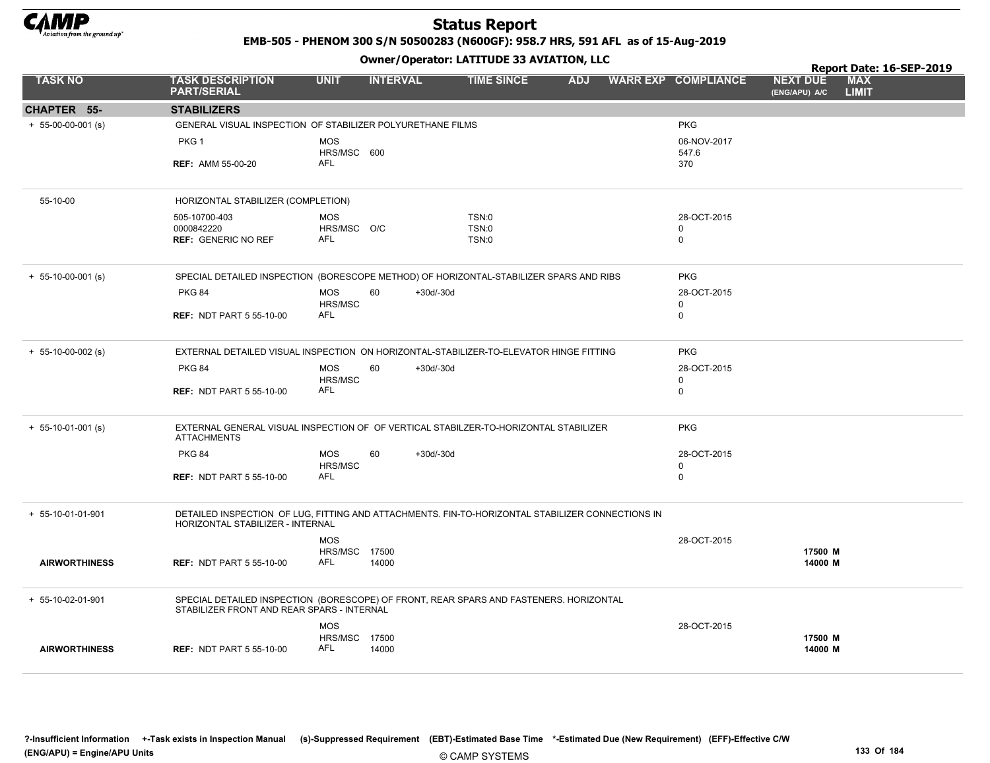

EMB-505 - PHENOM 300 S/N 50500283 (N600GF): 958.7 HRS, 591 AFL as of 15-Aug-2019

Owner/Operator: LATITUDE 33 AVIATION, LLC

|                      |                                                                                                                                      |                                    |                 |             | Owner / Operator. EATITODE 33 AVIATION, LLC |            | Report Date: 16-SEP-2019 |                            |                                  |                            |  |
|----------------------|--------------------------------------------------------------------------------------------------------------------------------------|------------------------------------|-----------------|-------------|---------------------------------------------|------------|--------------------------|----------------------------|----------------------------------|----------------------------|--|
| <b>TASK NO</b>       | <b>TASK DESCRIPTION</b><br><b>PART/SERIAL</b>                                                                                        | <b>UNIT</b>                        | <b>INTERVAL</b> |             | <b>TIME SINCE</b>                           | <b>ADJ</b> |                          | <b>WARR EXP COMPLIANCE</b> | <b>NEXT DUE</b><br>(ENG/APU) A/C | <b>MAX</b><br><b>LIMIT</b> |  |
| CHAPTER 55-          | <b>STABILIZERS</b>                                                                                                                   |                                    |                 |             |                                             |            |                          |                            |                                  |                            |  |
| $+ 55-00-00-001$ (s) | GENERAL VISUAL INSPECTION OF STABILIZER POLYURETHANE FILMS                                                                           |                                    |                 |             |                                             |            |                          | <b>PKG</b>                 |                                  |                            |  |
|                      | PKG 1                                                                                                                                | <b>MOS</b><br>HRS/MSC 600          |                 |             |                                             |            |                          | 06-NOV-2017<br>547.6       |                                  |                            |  |
|                      | <b>REF: AMM 55-00-20</b>                                                                                                             | AFL                                |                 |             |                                             |            |                          | 370                        |                                  |                            |  |
| 55-10-00             | HORIZONTAL STABILIZER (COMPLETION)                                                                                                   |                                    |                 |             |                                             |            |                          |                            |                                  |                            |  |
|                      | 505-10700-403                                                                                                                        | <b>MOS</b>                         |                 |             | <b>TSN:0</b>                                |            |                          | 28-OCT-2015                |                                  |                            |  |
|                      | 0000842220<br><b>REF: GENERIC NO REF</b>                                                                                             | HRS/MSC O/C<br>AFL                 |                 |             | <b>TSN:0</b><br>TSN:0                       |            |                          | 0<br>0                     |                                  |                            |  |
|                      |                                                                                                                                      |                                    |                 |             |                                             |            |                          |                            |                                  |                            |  |
| $+ 55-10-00-001$ (s) | SPECIAL DETAILED INSPECTION (BORESCOPE METHOD) OF HORIZONTAL-STABILIZER SPARS AND RIBS                                               |                                    |                 |             |                                             |            |                          | <b>PKG</b>                 |                                  |                            |  |
|                      | <b>PKG 84</b>                                                                                                                        | <b>MOS</b>                         | 60              | $+30d/-30d$ |                                             |            |                          | 28-OCT-2015                |                                  |                            |  |
|                      | <b>REF: NDT PART 5 55-10-00</b>                                                                                                      | HRS/MSC<br><b>AFL</b>              |                 |             |                                             |            |                          | 0<br>$\mathbf 0$           |                                  |                            |  |
|                      |                                                                                                                                      |                                    |                 |             |                                             |            |                          |                            |                                  |                            |  |
| $+ 55-10-00-002$ (s) | EXTERNAL DETAILED VISUAL INSPECTION ON HORIZONTAL-STABILIZER-TO-ELEVATOR HINGE FITTING                                               |                                    |                 |             |                                             |            |                          | <b>PKG</b>                 |                                  |                            |  |
|                      | <b>PKG 84</b>                                                                                                                        | <b>MOS</b>                         | 60              | $+30d/-30d$ |                                             |            |                          | 28-OCT-2015                |                                  |                            |  |
|                      | <b>REF: NDT PART 5 55-10-00</b>                                                                                                      | HRS/MSC<br>AFL                     |                 |             |                                             |            |                          | $\mathbf 0$<br>$\mathbf 0$ |                                  |                            |  |
|                      |                                                                                                                                      |                                    |                 |             |                                             |            |                          |                            |                                  |                            |  |
| $+ 55-10-01-001$ (s) | EXTERNAL GENERAL VISUAL INSPECTION OF OF VERTICAL STABILZER-TO-HORIZONTAL STABILIZER<br><b>ATTACHMENTS</b>                           |                                    |                 |             |                                             |            |                          | <b>PKG</b>                 |                                  |                            |  |
|                      | <b>PKG 84</b>                                                                                                                        | <b>MOS</b>                         | 60              | $+30d/-30d$ |                                             |            |                          | 28-OCT-2015                |                                  |                            |  |
|                      | <b>REF: NDT PART 5 55-10-00</b>                                                                                                      | HRS/MSC<br>AFL                     |                 |             |                                             |            |                          | $\Omega$<br>$\mathbf 0$    |                                  |                            |  |
|                      |                                                                                                                                      |                                    |                 |             |                                             |            |                          |                            |                                  |                            |  |
| $+ 55-10-01-01-901$  | DETAILED INSPECTION OF LUG. FITTING AND ATTACHMENTS. FIN-TO-HORIZONTAL STABILIZER CONNECTIONS IN<br>HORIZONTAL STABILIZER - INTERNAL |                                    |                 |             |                                             |            |                          |                            |                                  |                            |  |
|                      |                                                                                                                                      | <b>MOS</b>                         |                 |             |                                             |            |                          | 28-OCT-2015                |                                  |                            |  |
|                      |                                                                                                                                      | <b>HRS/MSC 17500</b><br><b>AFL</b> |                 |             |                                             |            |                          |                            | 17500 M                          |                            |  |
| <b>AIRWORTHINESS</b> | <b>REF: NDT PART 5 55-10-00</b>                                                                                                      |                                    | 14000           |             |                                             |            |                          |                            | 14000 M                          |                            |  |
| + 55-10-02-01-901    | SPECIAL DETAILED INSPECTION (BORESCOPE) OF FRONT, REAR SPARS AND FASTENERS. HORIZONTAL<br>STABILIZER FRONT AND REAR SPARS - INTERNAL |                                    |                 |             |                                             |            |                          |                            |                                  |                            |  |
|                      |                                                                                                                                      | <b>MOS</b>                         |                 |             |                                             |            |                          | 28-OCT-2015                |                                  |                            |  |
|                      |                                                                                                                                      | HRS/MSC                            | 17500           |             |                                             |            |                          |                            | 17500 M                          |                            |  |
| <b>AIRWORTHINESS</b> | <b>REF: NDT PART 5 55-10-00</b>                                                                                                      | AFL                                | 14000           |             |                                             |            |                          |                            | 14000 M                          |                            |  |

?-Insufficient Information +-Task exists in Inspection Manual (s)-Suppressed Requirement (EBT)-Estimated Base Time \*-Estimated Due (New Requirement) (EFF)-Effective C/W (ENG/APU) = Engine/APU Units 133 Of 184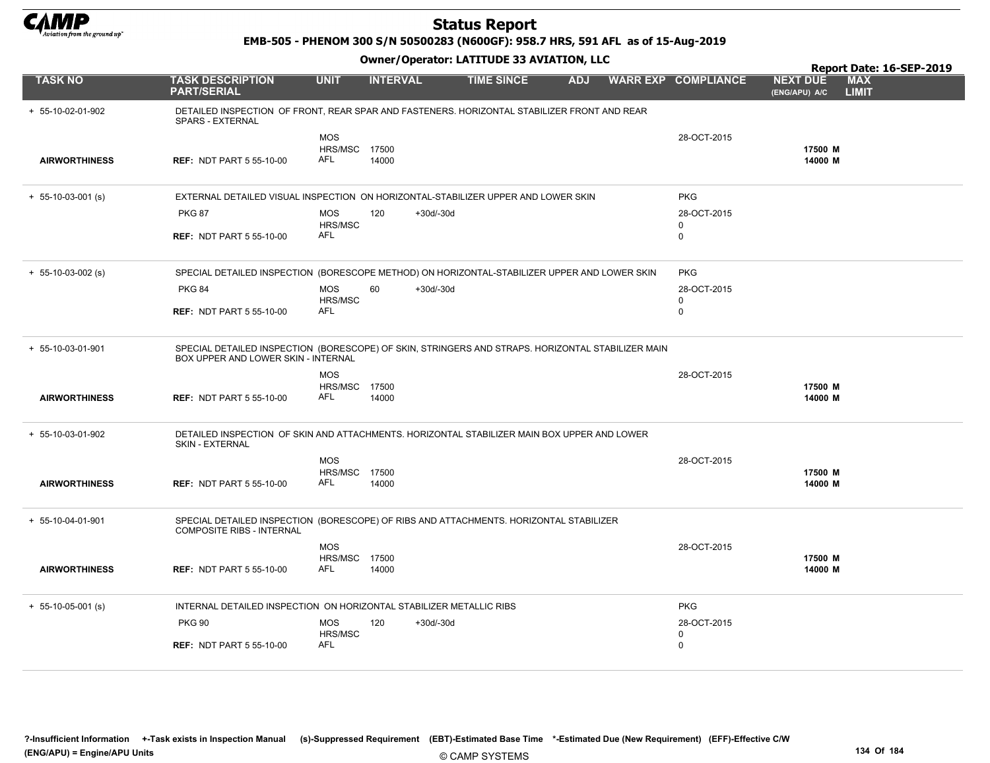

EMB-505 - PHENOM 300 S/N 50500283 (N600GF): 958.7 HRS, 591 AFL as of 15-Aug-2019

|                                           |                                                                                                                                                                             |                                                  |                 |             |                   | Owner / Operator. EATITODE 33 AVIATION, LLC |  | Report Date: 16-SEP-2019                      |                                  |                            |
|-------------------------------------------|-----------------------------------------------------------------------------------------------------------------------------------------------------------------------------|--------------------------------------------------|-----------------|-------------|-------------------|---------------------------------------------|--|-----------------------------------------------|----------------------------------|----------------------------|
| TASK NO                                   | <b>TASK DESCRIPTION</b><br><b>PART/SERIAL</b>                                                                                                                               | <b>UNIT</b>                                      | <b>INTERVAL</b> |             | <b>TIME SINCE</b> | <b>ADJ</b>                                  |  | <b>WARR EXP COMPLIANCE</b>                    | <b>NEXT DUE</b><br>(ENG/APU) A/C | <b>MAX</b><br><b>LIMIT</b> |
| + 55-10-02-01-902                         | DETAILED INSPECTION OF FRONT, REAR SPAR AND FASTENERS. HORIZONTAL STABILIZER FRONT AND REAR<br>SPARS - EXTERNAL                                                             |                                                  |                 |             |                   |                                             |  |                                               |                                  |                            |
| <b>AIRWORTHINESS</b>                      | <b>REF: NDT PART 5 55-10-00</b>                                                                                                                                             | <b>MOS</b><br>HRS/MSC 17500<br><b>AFL</b>        | 14000           |             |                   |                                             |  | 28-OCT-2015                                   | 17500 M<br>14000 M               |                            |
| $+ 55-10-03-001$ (s)                      | EXTERNAL DETAILED VISUAL INSPECTION ON HORIZONTAL-STABILIZER UPPER AND LOWER SKIN                                                                                           |                                                  |                 |             |                   |                                             |  | <b>PKG</b>                                    |                                  |                            |
|                                           | <b>PKG 87</b><br><b>REF: NDT PART 5 55-10-00</b>                                                                                                                            | <b>MOS</b><br>HRS/MSC<br>AFL                     | 120             | $+30d/-30d$ |                   |                                             |  | 28-OCT-2015<br>0<br>0                         |                                  |                            |
| $+ 55-10-03-002$ (s)                      | SPECIAL DETAILED INSPECTION (BORESCOPE METHOD) ON HORIZONTAL-STABILIZER UPPER AND LOWER SKIN<br><b>PKG 84</b><br><b>REF: NDT PART 5 55-10-00</b>                            | <b>MOS</b><br>HRS/MSC<br><b>AFL</b>              | 60              | $+30d/-30d$ |                   |                                             |  | <b>PKG</b><br>28-OCT-2015<br>0<br>$\mathbf 0$ |                                  |                            |
| + 55-10-03-01-901<br><b>AIRWORTHINESS</b> | SPECIAL DETAILED INSPECTION (BORESCOPE) OF SKIN, STRINGERS AND STRAPS. HORIZONTAL STABILIZER MAIN<br>BOX UPPER AND LOWER SKIN - INTERNAL<br><b>REF: NDT PART 5 55-10-00</b> | <b>MOS</b><br><b>HRS/MSC 17500</b><br><b>AFL</b> | 14000           |             |                   |                                             |  | 28-OCT-2015                                   | 17500 M<br>14000 M               |                            |
| + 55-10-03-01-902<br><b>AIRWORTHINESS</b> | DETAILED INSPECTION OF SKIN AND ATTACHMENTS. HORIZONTAL STABILIZER MAIN BOX UPPER AND LOWER<br>SKIN - EXTERNAL<br><b>REF: NDT PART 5 55-10-00</b>                           | <b>MOS</b><br><b>HRS/MSC 17500</b><br>AFL        | 14000           |             |                   |                                             |  | 28-OCT-2015                                   | 17500 M<br>14000 M               |                            |
| + 55-10-04-01-901<br><b>AIRWORTHINESS</b> | SPECIAL DETAILED INSPECTION (BORESCOPE) OF RIBS AND ATTACHMENTS. HORIZONTAL STABILIZER<br><b>COMPOSITE RIBS - INTERNAL</b><br><b>REF: NDT PART 5 55-10-00</b>               | <b>MOS</b><br>HRS/MSC 17500<br><b>AFL</b>        | 14000           |             |                   |                                             |  | 28-OCT-2015                                   | 17500 M<br>14000 M               |                            |
| $+ 55-10-05-001$ (s)                      | INTERNAL DETAILED INSPECTION ON HORIZONTAL STABILIZER METALLIC RIBS                                                                                                         |                                                  |                 |             |                   |                                             |  | <b>PKG</b>                                    |                                  |                            |
|                                           | <b>PKG 90</b>                                                                                                                                                               | <b>MOS</b><br>HRS/MSC                            | 120             | $+30d/-30d$ |                   |                                             |  | 28-OCT-2015<br>0                              |                                  |                            |
|                                           | <b>REF: NDT PART 5 55-10-00</b>                                                                                                                                             | AFL                                              |                 |             |                   |                                             |  | $\mathbf 0$                                   |                                  |                            |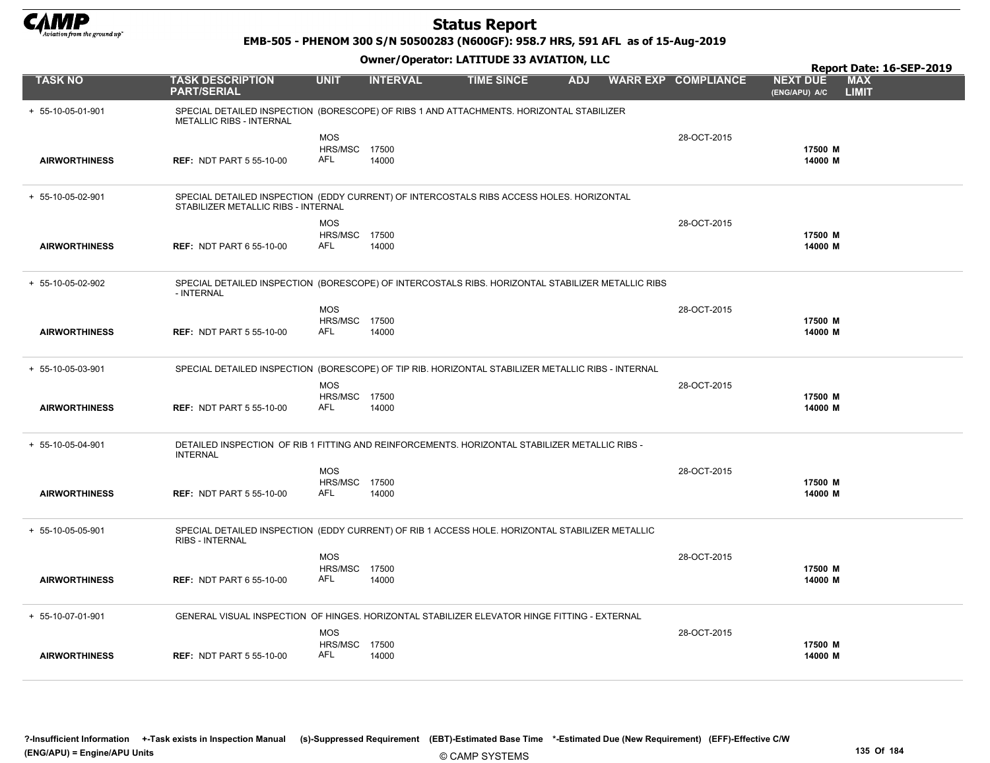

EMB-505 - PHENOM 300 S/N 50500283 (N600GF): 958.7 HRS, 591 AFL as of 15-Aug-2019

|                      |                                                                                                                                 |                                    |                 | Owner / Operator: EATITODE 33 AVIATION, LLC |            | Report Date: 16-SEP-2019 |                            |                                  |                            |
|----------------------|---------------------------------------------------------------------------------------------------------------------------------|------------------------------------|-----------------|---------------------------------------------|------------|--------------------------|----------------------------|----------------------------------|----------------------------|
| <b>TASK NO</b>       | <b>TASK DESCRIPTION</b><br><b>PART/SERIAL</b>                                                                                   | <b>UNIT</b>                        | <b>INTERVAL</b> | <b>TIME SINCE</b>                           | <b>ADJ</b> |                          | <b>WARR EXP COMPLIANCE</b> | <b>NEXT DUE</b><br>(ENG/APU) A/C | <b>MAX</b><br><b>LIMIT</b> |
| + 55-10-05-01-901    | SPECIAL DETAILED INSPECTION (BORESCOPE) OF RIBS 1 AND ATTACHMENTS. HORIZONTAL STABILIZER<br><b>METALLIC RIBS - INTERNAL</b>     |                                    |                 |                                             |            |                          |                            |                                  |                            |
|                      |                                                                                                                                 | <b>MOS</b>                         |                 |                                             |            |                          | 28-OCT-2015                |                                  |                            |
| <b>AIRWORTHINESS</b> | <b>REF: NDT PART 5 55-10-00</b>                                                                                                 | <b>HRS/MSC 17500</b><br><b>AFL</b> | 14000           |                                             |            |                          |                            | 17500 M<br>14000 M               |                            |
|                      |                                                                                                                                 |                                    |                 |                                             |            |                          |                            |                                  |                            |
| + 55-10-05-02-901    | SPECIAL DETAILED INSPECTION (EDDY CURRENT) OF INTERCOSTALS RIBS ACCESS HOLES. HORIZONTAL<br>STABILIZER METALLIC RIBS - INTERNAL |                                    |                 |                                             |            |                          |                            |                                  |                            |
|                      |                                                                                                                                 | <b>MOS</b>                         |                 |                                             |            |                          | 28-OCT-2015                |                                  |                            |
| <b>AIRWORTHINESS</b> | <b>REF: NDT PART 6 55-10-00</b>                                                                                                 | HRS/MSC<br>AFL                     | 17500<br>14000  |                                             |            |                          |                            | 17500 M<br>14000 M               |                            |
|                      |                                                                                                                                 |                                    |                 |                                             |            |                          |                            |                                  |                            |
| + 55-10-05-02-902    | SPECIAL DETAILED INSPECTION (BORESCOPE) OF INTERCOSTALS RIBS. HORIZONTAL STABILIZER METALLIC RIBS<br>- INTERNAL                 |                                    |                 |                                             |            |                          |                            |                                  |                            |
|                      |                                                                                                                                 | <b>MOS</b>                         |                 |                                             |            |                          | 28-OCT-2015                |                                  |                            |
| <b>AIRWORTHINESS</b> | <b>REF: NDT PART 5 55-10-00</b>                                                                                                 | HRS/MSC 17500<br>AFL               | 14000           |                                             |            |                          |                            | 17500 M<br>14000 M               |                            |
|                      |                                                                                                                                 |                                    |                 |                                             |            |                          |                            |                                  |                            |
| + 55-10-05-03-901    | SPECIAL DETAILED INSPECTION (BORESCOPE) OF TIP RIB. HORIZONTAL STABILIZER METALLIC RIBS - INTERNAL                              |                                    |                 |                                             |            |                          |                            |                                  |                            |
|                      |                                                                                                                                 | <b>MOS</b>                         |                 |                                             |            |                          | 28-OCT-2015                |                                  |                            |
|                      |                                                                                                                                 | HRS/MSC 17500<br><b>AFL</b>        |                 |                                             |            |                          |                            | 17500 M                          |                            |
| <b>AIRWORTHINESS</b> | <b>REF: NDT PART 5 55-10-00</b>                                                                                                 |                                    | 14000           |                                             |            |                          |                            | 14000 M                          |                            |
| + 55-10-05-04-901    | DETAILED INSPECTION OF RIB 1 FITTING AND REINFORCEMENTS. HORIZONTAL STABILIZER METALLIC RIBS -<br><b>INTERNAL</b>               |                                    |                 |                                             |            |                          |                            |                                  |                            |
|                      |                                                                                                                                 | <b>MOS</b>                         |                 |                                             |            |                          | 28-OCT-2015                |                                  |                            |
|                      |                                                                                                                                 | <b>HRS/MSC 17500</b><br>AFL        |                 |                                             |            |                          |                            | 17500 M                          |                            |
| <b>AIRWORTHINESS</b> | <b>REF: NDT PART 5 55-10-00</b>                                                                                                 |                                    | 14000           |                                             |            |                          |                            | 14000 M                          |                            |
| + 55-10-05-05-901    | SPECIAL DETAILED INSPECTION (EDDY CURRENT) OF RIB 1 ACCESS HOLE. HORIZONTAL STABILIZER METALLIC<br>RIBS - INTERNAL              |                                    |                 |                                             |            |                          |                            |                                  |                            |
|                      |                                                                                                                                 | <b>MOS</b>                         |                 |                                             |            |                          | 28-OCT-2015                |                                  |                            |
| <b>AIRWORTHINESS</b> | <b>REF: NDT PART 6 55-10-00</b>                                                                                                 | HRS/MSC 17500<br><b>AFL</b>        | 14000           |                                             |            |                          |                            | 17500 M<br>14000 M               |                            |
|                      |                                                                                                                                 |                                    |                 |                                             |            |                          |                            |                                  |                            |
| + 55-10-07-01-901    | GENERAL VISUAL INSPECTION OF HINGES. HORIZONTAL STABILIZER ELEVATOR HINGE FITTING - EXTERNAL                                    |                                    |                 |                                             |            |                          |                            |                                  |                            |
|                      |                                                                                                                                 | <b>MOS</b>                         |                 |                                             |            |                          | 28-OCT-2015                |                                  |                            |
|                      |                                                                                                                                 | HRS/MSC                            | 17500           |                                             |            |                          |                            | 17500 M                          |                            |
| <b>AIRWORTHINESS</b> | <b>REF: NDT PART 5 55-10-00</b>                                                                                                 | AFL                                | 14000           |                                             |            |                          |                            | 14000 M                          |                            |
|                      |                                                                                                                                 |                                    |                 |                                             |            |                          |                            |                                  |                            |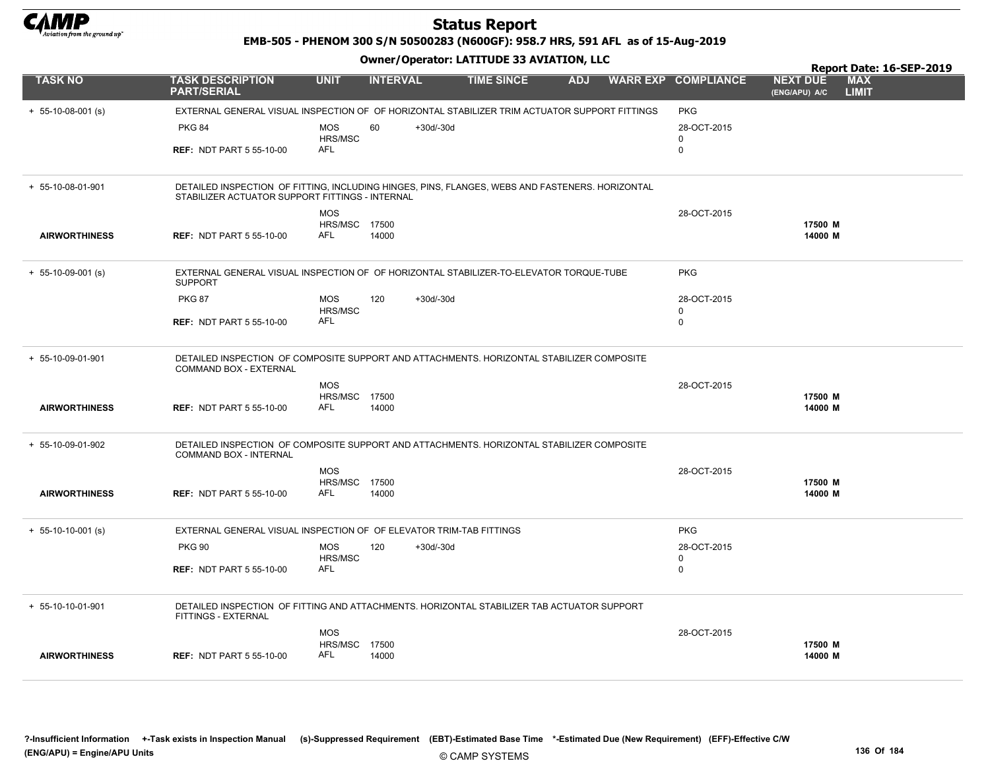

EMB-505 - PHENOM 300 S/N 50500283 (N600GF): 958.7 HRS, 591 AFL as of 15-Aug-2019

|                      |                                                                                                                                                    |                             |                 |             |                   |            |                            |                                  | Report Date: 16-SEP-2019   |
|----------------------|----------------------------------------------------------------------------------------------------------------------------------------------------|-----------------------------|-----------------|-------------|-------------------|------------|----------------------------|----------------------------------|----------------------------|
| <b>TASK NO</b>       | <b>TASK DESCRIPTION</b><br><b>PART/SERIAL</b>                                                                                                      | <b>UNIT</b>                 | <b>INTERVAL</b> |             | <b>TIME SINCE</b> | <b>ADJ</b> | <b>WARR EXP COMPLIANCE</b> | <b>NEXT DUE</b><br>(ENG/APU) A/C | <b>MAX</b><br><b>LIMIT</b> |
| $+ 55-10-08-001$ (s) | EXTERNAL GENERAL VISUAL INSPECTION OF OF HORIZONTAL STABILIZER TRIM ACTUATOR SUPPORT FITTINGS                                                      |                             |                 |             |                   |            | <b>PKG</b>                 |                                  |                            |
|                      | <b>PKG 84</b>                                                                                                                                      | <b>MOS</b><br>HRS/MSC       | 60              | $+30d/-30d$ |                   |            | 28-OCT-2015<br>0           |                                  |                            |
|                      | <b>REF: NDT PART 5 55-10-00</b>                                                                                                                    | <b>AFL</b>                  |                 |             |                   |            | $\mathbf 0$                |                                  |                            |
| + 55-10-08-01-901    | DETAILED INSPECTION OF FITTING, INCLUDING HINGES, PINS, FLANGES, WEBS AND FASTENERS. HORIZONTAL<br>STABILIZER ACTUATOR SUPPORT FITTINGS - INTERNAL |                             |                 |             |                   |            |                            |                                  |                            |
|                      |                                                                                                                                                    | <b>MOS</b>                  |                 |             |                   |            | 28-OCT-2015                |                                  |                            |
| <b>AIRWORTHINESS</b> | <b>REF: NDT PART 5 55-10-00</b>                                                                                                                    | <b>HRS/MSC 17500</b><br>AFL | 14000           |             |                   |            |                            | 17500 M<br>14000 M               |                            |
| $+ 55-10-09-001$ (s) | EXTERNAL GENERAL VISUAL INSPECTION OF OF HORIZONTAL STABILIZER-TO-ELEVATOR TORQUE-TUBE<br><b>SUPPORT</b>                                           |                             |                 |             |                   |            | <b>PKG</b>                 |                                  |                            |
|                      | <b>PKG 87</b>                                                                                                                                      | <b>MOS</b>                  | 120             | $+30d/-30d$ |                   |            | 28-OCT-2015                |                                  |                            |
|                      |                                                                                                                                                    | HRS/MSC                     |                 |             |                   |            | $\mathbf 0$                |                                  |                            |
|                      | <b>REF: NDT PART 5 55-10-00</b>                                                                                                                    | <b>AFL</b>                  |                 |             |                   |            | $\Omega$                   |                                  |                            |
| + 55-10-09-01-901    | DETAILED INSPECTION OF COMPOSITE SUPPORT AND ATTACHMENTS. HORIZONTAL STABILIZER COMPOSITE<br>COMMAND BOX - EXTERNAL                                |                             |                 |             |                   |            |                            |                                  |                            |
|                      |                                                                                                                                                    | <b>MOS</b>                  |                 |             |                   |            | 28-OCT-2015                |                                  |                            |
| <b>AIRWORTHINESS</b> | <b>REF: NDT PART 5 55-10-00</b>                                                                                                                    | HRS/MSC 17500<br><b>AFL</b> | 14000           |             |                   |            |                            | 17500 M<br>14000 M               |                            |
| + 55-10-09-01-902    | DETAILED INSPECTION OF COMPOSITE SUPPORT AND ATTACHMENTS. HORIZONTAL STABILIZER COMPOSITE<br>COMMAND BOX - INTERNAL                                |                             |                 |             |                   |            |                            |                                  |                            |
|                      |                                                                                                                                                    | <b>MOS</b>                  |                 |             |                   |            | 28-OCT-2015                |                                  |                            |
| <b>AIRWORTHINESS</b> | <b>REF: NDT PART 5 55-10-00</b>                                                                                                                    | HRS/MSC<br><b>AFL</b>       | 17500<br>14000  |             |                   |            |                            | 17500 M<br>14000 M               |                            |
| $+ 55-10-10-001$ (s) | EXTERNAL GENERAL VISUAL INSPECTION OF OF ELEVATOR TRIM-TAB FITTINGS                                                                                |                             |                 |             |                   |            | <b>PKG</b>                 |                                  |                            |
|                      | <b>PKG 90</b>                                                                                                                                      | <b>MOS</b>                  | 120             | $+30d/-30d$ |                   |            | 28-OCT-2015                |                                  |                            |
|                      | <b>REF: NDT PART 5 55-10-00</b>                                                                                                                    | HRS/MSC<br><b>AFL</b>       |                 |             |                   |            | 0<br>$\mathbf 0$           |                                  |                            |
| $+ 55-10-10-01-901$  | DETAILED INSPECTION OF FITTING AND ATTACHMENTS. HORIZONTAL STABILIZER TAB ACTUATOR SUPPORT<br>FITTINGS - EXTERNAL                                  |                             |                 |             |                   |            |                            |                                  |                            |
|                      |                                                                                                                                                    | <b>MOS</b>                  |                 |             |                   |            | 28-OCT-2015                |                                  |                            |
| <b>AIRWORTHINESS</b> | <b>REF: NDT PART 5 55-10-00</b>                                                                                                                    | HRS/MSC<br><b>AFL</b>       | 17500<br>14000  |             |                   |            |                            | 17500 M<br>14000 M               |                            |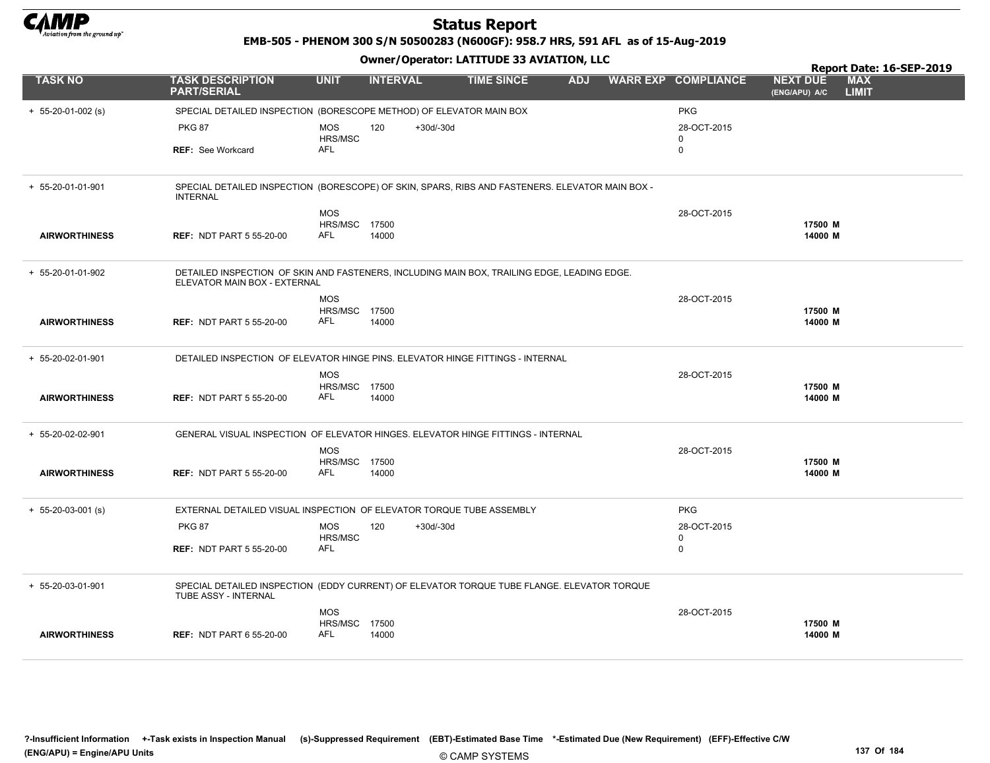

EMB-505 - PHENOM 300 S/N 50500283 (N600GF): 958.7 HRS, 591 AFL as of 15-Aug-2019

|                      |                                                                                                                             |                             |                    |                   |            |                            |                                  | Report Date: 16-SEP-2019   |
|----------------------|-----------------------------------------------------------------------------------------------------------------------------|-----------------------------|--------------------|-------------------|------------|----------------------------|----------------------------------|----------------------------|
| <b>TASK NO</b>       | <b>TASK DESCRIPTION</b><br><b>PART/SERIAL</b>                                                                               | <b>UNIT</b>                 | <b>INTERVAL</b>    | <b>TIME SINCE</b> | <b>ADJ</b> | <b>WARR EXP COMPLIANCE</b> | <b>NEXT DUE</b><br>(ENG/APU) A/C | <b>MAX</b><br><b>LIMIT</b> |
| $+ 55-20-01-002$ (s) | SPECIAL DETAILED INSPECTION (BORESCOPE METHOD) OF ELEVATOR MAIN BOX                                                         |                             |                    |                   |            | <b>PKG</b>                 |                                  |                            |
|                      | <b>PKG 87</b>                                                                                                               | <b>MOS</b>                  | 120<br>$+30d/-30d$ |                   |            | 28-OCT-2015                |                                  |                            |
|                      | <b>REF: See Workcard</b>                                                                                                    | HRS/MSC<br>AFL              |                    |                   |            | $\mathbf 0$<br>0           |                                  |                            |
|                      |                                                                                                                             |                             |                    |                   |            |                            |                                  |                            |
| + 55-20-01-01-901    | SPECIAL DETAILED INSPECTION (BORESCOPE) OF SKIN, SPARS, RIBS AND FASTENERS. ELEVATOR MAIN BOX -<br><b>INTERNAL</b>          |                             |                    |                   |            |                            |                                  |                            |
|                      |                                                                                                                             | <b>MOS</b>                  |                    |                   |            | 28-OCT-2015                |                                  |                            |
|                      |                                                                                                                             | <b>HRS/MSC 17500</b>        |                    |                   |            |                            | 17500 M                          |                            |
| <b>AIRWORTHINESS</b> | <b>REF: NDT PART 5 55-20-00</b>                                                                                             | <b>AFL</b>                  | 14000              |                   |            |                            | 14000 M                          |                            |
| + 55-20-01-01-902    | DETAILED INSPECTION OF SKIN AND FASTENERS, INCLUDING MAIN BOX, TRAILING EDGE, LEADING EDGE.<br>ELEVATOR MAIN BOX - EXTERNAL |                             |                    |                   |            |                            |                                  |                            |
|                      |                                                                                                                             | <b>MOS</b>                  |                    |                   |            | 28-OCT-2015                |                                  |                            |
|                      |                                                                                                                             | <b>HRS/MSC 17500</b>        |                    |                   |            |                            | 17500 M                          |                            |
| <b>AIRWORTHINESS</b> | <b>REF: NDT PART 5 55-20-00</b>                                                                                             | <b>AFL</b>                  | 14000              |                   |            |                            | 14000 M                          |                            |
| + 55-20-02-01-901    | DETAILED INSPECTION OF ELEVATOR HINGE PINS. ELEVATOR HINGE FITTINGS - INTERNAL                                              |                             |                    |                   |            |                            |                                  |                            |
|                      |                                                                                                                             | <b>MOS</b>                  |                    |                   |            | 28-OCT-2015                |                                  |                            |
| <b>AIRWORTHINESS</b> | <b>REF: NDT PART 5 55-20-00</b>                                                                                             | <b>HRS/MSC 17500</b><br>AFL | 14000              |                   |            |                            | 17500 M<br>14000 M               |                            |
|                      |                                                                                                                             |                             |                    |                   |            |                            |                                  |                            |
| + 55-20-02-02-901    | GENERAL VISUAL INSPECTION OF ELEVATOR HINGES. ELEVATOR HINGE FITTINGS - INTERNAL                                            |                             |                    |                   |            |                            |                                  |                            |
|                      |                                                                                                                             | <b>MOS</b>                  |                    |                   |            | 28-OCT-2015                |                                  |                            |
| <b>AIRWORTHINESS</b> | <b>REF: NDT PART 5 55-20-00</b>                                                                                             | HRS/MSC 17500<br>AFL        | 14000              |                   |            |                            | 17500 M<br>14000 M               |                            |
|                      |                                                                                                                             |                             |                    |                   |            |                            |                                  |                            |
| $+ 55-20-03-001$ (s) | EXTERNAL DETAILED VISUAL INSPECTION OF ELEVATOR TORQUE TUBE ASSEMBLY                                                        |                             |                    |                   |            | <b>PKG</b>                 |                                  |                            |
|                      | <b>PKG 87</b>                                                                                                               | <b>MOS</b>                  | 120<br>$+30d/-30d$ |                   |            | 28-OCT-2015                |                                  |                            |
|                      | <b>REF: NDT PART 5 55-20-00</b>                                                                                             | HRS/MSC<br><b>AFL</b>       |                    |                   |            | 0<br>$\mathbf 0$           |                                  |                            |
|                      |                                                                                                                             |                             |                    |                   |            |                            |                                  |                            |
| + 55-20-03-01-901    | SPECIAL DETAILED INSPECTION (EDDY CURRENT) OF ELEVATOR TORQUE TUBE FLANGE. ELEVATOR TORQUE<br>TUBE ASSY - INTERNAL          |                             |                    |                   |            |                            |                                  |                            |
|                      |                                                                                                                             | <b>MOS</b>                  |                    |                   |            | 28-OCT-2015                |                                  |                            |
| <b>AIRWORTHINESS</b> | <b>REF: NDT PART 6 55-20-00</b>                                                                                             | HRS/MSC 17500<br>AFL        | 14000              |                   |            |                            | 17500 M<br>14000 M               |                            |
|                      |                                                                                                                             |                             |                    |                   |            |                            |                                  |                            |
|                      |                                                                                                                             |                             |                    |                   |            |                            |                                  |                            |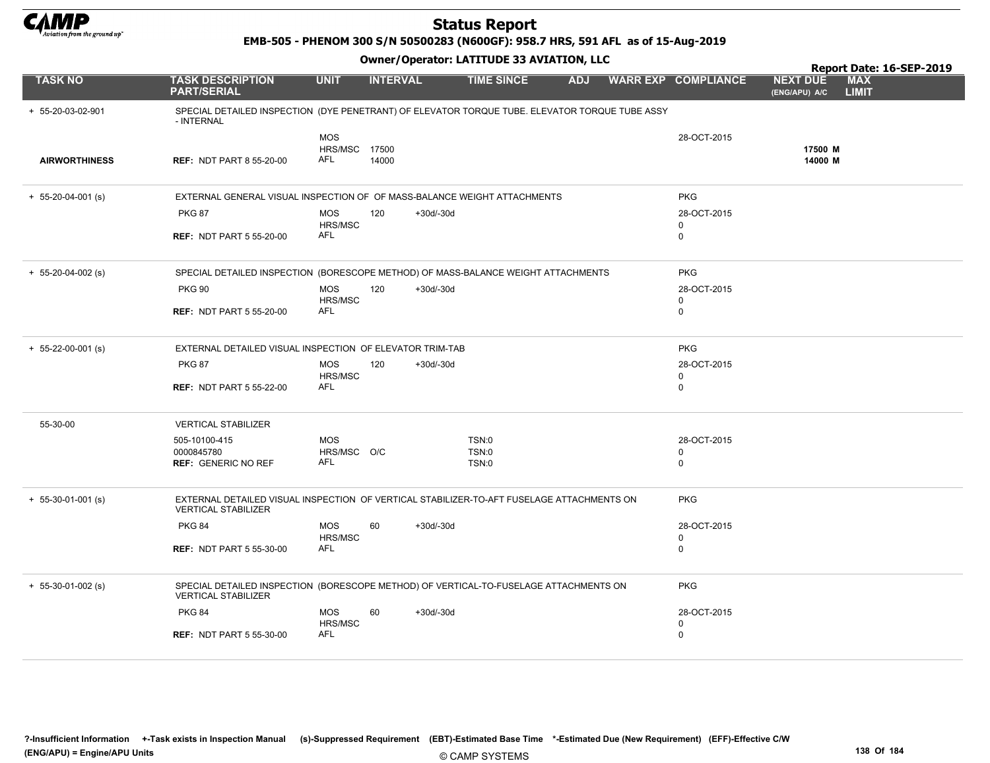

EMB-505 - PHENOM 300 S/N 50500283 (N600GF): 958.7 HRS, 591 AFL as of 15-Aug-2019

|                      |                                                                                                                         |                                    |                    |                   |            |                            |                                  | Report Date: 16-SEP-2019   |
|----------------------|-------------------------------------------------------------------------------------------------------------------------|------------------------------------|--------------------|-------------------|------------|----------------------------|----------------------------------|----------------------------|
| <b>TASK NO</b>       | <b>TASK DESCRIPTION</b><br><b>PART/SERIAL</b>                                                                           | <b>UNIT</b>                        | <b>INTERVAL</b>    | <b>TIME SINCE</b> | <b>ADJ</b> | <b>WARR EXP COMPLIANCE</b> | <b>NEXT DUE</b><br>(ENG/APU) A/C | <b>MAX</b><br><b>LIMIT</b> |
| + 55-20-03-02-901    | SPECIAL DETAILED INSPECTION (DYE PENETRANT) OF ELEVATOR TORQUE TUBE. ELEVATOR TORQUE TUBE ASSY<br>- INTERNAL            |                                    |                    |                   |            |                            |                                  |                            |
|                      |                                                                                                                         | <b>MOS</b>                         |                    |                   |            | 28-OCT-2015                |                                  |                            |
| <b>AIRWORTHINESS</b> | <b>REF: NDT PART 8 55-20-00</b>                                                                                         | <b>HRS/MSC 17500</b><br><b>AFL</b> | 14000              |                   |            |                            | 17500 M<br>14000 M               |                            |
| $+ 55-20-04-001$ (s) | EXTERNAL GENERAL VISUAL INSPECTION OF OF MASS-BALANCE WEIGHT ATTACHMENTS                                                |                                    |                    |                   |            | <b>PKG</b>                 |                                  |                            |
|                      | <b>PKG 87</b>                                                                                                           | <b>MOS</b>                         | 120<br>+30d/-30d   |                   |            | 28-OCT-2015                |                                  |                            |
|                      |                                                                                                                         | HRS/MSC                            |                    |                   |            | 0                          |                                  |                            |
|                      | <b>REF: NDT PART 5 55-20-00</b>                                                                                         | AFL                                |                    |                   |            | 0                          |                                  |                            |
| $+ 55-20-04-002$ (s) | SPECIAL DETAILED INSPECTION (BORESCOPE METHOD) OF MASS-BALANCE WEIGHT ATTACHMENTS                                       |                                    |                    |                   |            | <b>PKG</b>                 |                                  |                            |
|                      | <b>PKG 90</b>                                                                                                           | <b>MOS</b>                         | 120<br>$+30d/-30d$ |                   |            | 28-OCT-2015                |                                  |                            |
|                      |                                                                                                                         | HRS/MSC<br><b>AFL</b>              |                    |                   |            | 0                          |                                  |                            |
|                      | <b>REF: NDT PART 5 55-20-00</b>                                                                                         |                                    |                    |                   |            | $\mathbf 0$                |                                  |                            |
| $+ 55-22-00-001$ (s) | EXTERNAL DETAILED VISUAL INSPECTION OF ELEVATOR TRIM-TAB                                                                |                                    |                    |                   |            | <b>PKG</b>                 |                                  |                            |
|                      | <b>PKG 87</b>                                                                                                           | <b>MOS</b>                         | 120<br>$+30d/-30d$ |                   |            | 28-OCT-2015                |                                  |                            |
|                      | <b>REF: NDT PART 5 55-22-00</b>                                                                                         | HRS/MSC<br>AFL                     |                    |                   |            | $\mathbf 0$<br>0           |                                  |                            |
|                      |                                                                                                                         |                                    |                    |                   |            |                            |                                  |                            |
| 55-30-00             | <b>VERTICAL STABILIZER</b>                                                                                              |                                    |                    |                   |            |                            |                                  |                            |
|                      | 505-10100-415                                                                                                           | <b>MOS</b>                         |                    | TSN:0             |            | 28-OCT-2015                |                                  |                            |
|                      | 0000845780<br><b>REF: GENERIC NO REF</b>                                                                                | HRS/MSC O/C<br>AFL                 |                    | TSN:0             |            | 0<br>$\mathbf 0$           |                                  |                            |
|                      |                                                                                                                         |                                    |                    | TSN:0             |            |                            |                                  |                            |
| $+ 55-30-01-001$ (s) | EXTERNAL DETAILED VISUAL INSPECTION OF VERTICAL STABILIZER-TO-AFT FUSELAGE ATTACHMENTS ON<br><b>VERTICAL STABILIZER</b> |                                    |                    |                   |            | <b>PKG</b>                 |                                  |                            |
|                      | <b>PKG 84</b>                                                                                                           | <b>MOS</b>                         | 60<br>$+30d/-30d$  |                   |            | 28-OCT-2015                |                                  |                            |
|                      |                                                                                                                         | HRS/MSC                            |                    |                   |            | $\mathbf 0$                |                                  |                            |
|                      | <b>REF: NDT PART 5 55-30-00</b>                                                                                         | <b>AFL</b>                         |                    |                   |            | $\mathbf 0$                |                                  |                            |
| $+ 55-30-01-002$ (s) | SPECIAL DETAILED INSPECTION (BORESCOPE METHOD) OF VERTICAL-TO-FUSELAGE ATTACHMENTS ON<br><b>VERTICAL STABILIZER</b>     |                                    |                    |                   |            | <b>PKG</b>                 |                                  |                            |
|                      | <b>PKG 84</b>                                                                                                           | <b>MOS</b>                         | 60<br>$+30d/-30d$  |                   |            | 28-OCT-2015                |                                  |                            |
|                      |                                                                                                                         | HRS/MSC                            |                    |                   |            | 0                          |                                  |                            |
|                      | <b>REF: NDT PART 5 55-30-00</b>                                                                                         | <b>AFL</b>                         |                    |                   |            | 0                          |                                  |                            |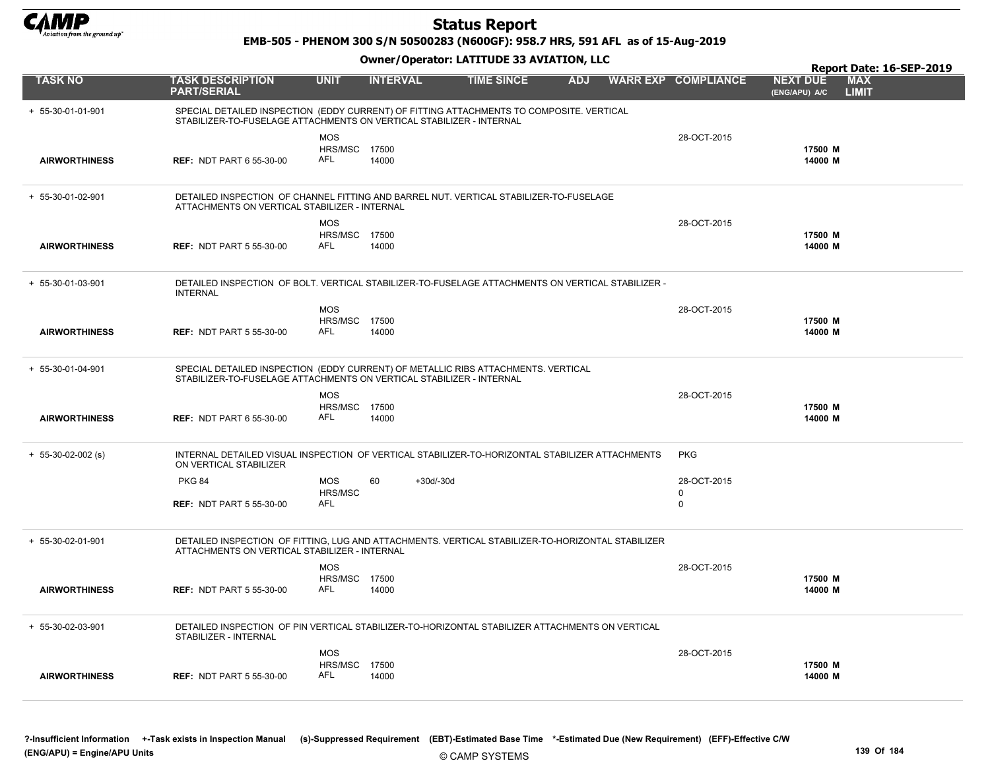

EMB-505 - PHENOM 300 S/N 50500283 (N600GF): 958.7 HRS, 591 AFL as of 15-Aug-2019

|                      |                                                                                                                                                                  |                                    |                   |                   |            |                            |                                  | Report Date: 16-SEP-2019   |
|----------------------|------------------------------------------------------------------------------------------------------------------------------------------------------------------|------------------------------------|-------------------|-------------------|------------|----------------------------|----------------------------------|----------------------------|
| <b>TASK NO</b>       | <b>TASK DESCRIPTION</b><br><b>PART/SERIAL</b>                                                                                                                    | <b>UNIT</b>                        | <b>INTERVAL</b>   | <b>TIME SINCE</b> | <b>ADJ</b> | <b>WARR EXP COMPLIANCE</b> | <b>NEXT DUE</b><br>(ENG/APU) A/C | <b>MAX</b><br><b>LIMIT</b> |
| + 55-30-01-01-901    | SPECIAL DETAILED INSPECTION (EDDY CURRENT) OF FITTING ATTACHMENTS TO COMPOSITE. VERTICAL<br>STABILIZER-TO-FUSELAGE ATTACHMENTS ON VERTICAL STABILIZER - INTERNAL |                                    |                   |                   |            |                            |                                  |                            |
|                      |                                                                                                                                                                  | <b>MOS</b><br><b>HRS/MSC 17500</b> |                   |                   |            | 28-OCT-2015                | 17500 M                          |                            |
| <b>AIRWORTHINESS</b> | <b>REF: NDT PART 6 55-30-00</b>                                                                                                                                  | AFL                                | 14000             |                   |            |                            | 14000 M                          |                            |
| + 55-30-01-02-901    | DETAILED INSPECTION OF CHANNEL FITTING AND BARREL NUT. VERTICAL STABILIZER-TO-FUSELAGE<br>ATTACHMENTS ON VERTICAL STABILIZER - INTERNAL                          |                                    |                   |                   |            |                            |                                  |                            |
|                      |                                                                                                                                                                  | <b>MOS</b>                         |                   |                   |            | 28-OCT-2015                |                                  |                            |
| <b>AIRWORTHINESS</b> | <b>REF: NDT PART 5 55-30-00</b>                                                                                                                                  | <b>HRS/MSC 17500</b><br>AFL        | 14000             |                   |            |                            | 17500 M<br>14000 M               |                            |
| + 55-30-01-03-901    | DETAILED INSPECTION OF BOLT. VERTICAL STABILIZER-TO-FUSELAGE ATTACHMENTS ON VERTICAL STABILIZER -<br><b>INTERNAL</b>                                             |                                    |                   |                   |            |                            |                                  |                            |
|                      |                                                                                                                                                                  | <b>MOS</b>                         |                   |                   |            | 28-OCT-2015                |                                  |                            |
| <b>AIRWORTHINESS</b> | <b>REF: NDT PART 5 55-30-00</b>                                                                                                                                  | HRS/MSC 17500<br>AFL               | 14000             |                   |            |                            | 17500 M<br>14000 M               |                            |
| + 55-30-01-04-901    | SPECIAL DETAILED INSPECTION (EDDY CURRENT) OF METALLIC RIBS ATTACHMENTS. VERTICAL<br>STABILIZER-TO-FUSELAGE ATTACHMENTS ON VERTICAL STABILIZER - INTERNAL        |                                    |                   |                   |            |                            |                                  |                            |
|                      |                                                                                                                                                                  | <b>MOS</b><br><b>HRS/MSC 17500</b> |                   |                   |            | 28-OCT-2015                | 17500 M                          |                            |
| <b>AIRWORTHINESS</b> | <b>REF: NDT PART 6 55-30-00</b>                                                                                                                                  | AFL                                | 14000             |                   |            |                            | 14000 M                          |                            |
| $+ 55-30-02-002$ (s) | INTERNAL DETAILED VISUAL INSPECTION OF VERTICAL STABILIZER-TO-HORIZONTAL STABILIZER ATTACHMENTS<br>ON VERTICAL STABILIZER                                        |                                    |                   |                   |            | <b>PKG</b>                 |                                  |                            |
|                      | <b>PKG 84</b>                                                                                                                                                    | <b>MOS</b>                         | 60<br>$+30d/-30d$ |                   |            | 28-OCT-2015                |                                  |                            |
|                      | <b>REF: NDT PART 5 55-30-00</b>                                                                                                                                  | HRS/MSC<br><b>AFL</b>              |                   |                   |            | 0<br>0                     |                                  |                            |
| + 55-30-02-01-901    | DETAILED INSPECTION OF FITTING, LUG AND ATTACHMENTS. VERTICAL STABILIZER-TO-HORIZONTAL STABILIZER<br>ATTACHMENTS ON VERTICAL STABILIZER - INTERNAL               |                                    |                   |                   |            |                            |                                  |                            |
|                      |                                                                                                                                                                  | <b>MOS</b><br><b>HRS/MSC 17500</b> |                   |                   |            | 28-OCT-2015                | 17500 M                          |                            |
| <b>AIRWORTHINESS</b> | <b>REF: NDT PART 5 55-30-00</b>                                                                                                                                  | AFL                                | 14000             |                   |            |                            | 14000 M                          |                            |
| + 55-30-02-03-901    | DETAILED INSPECTION OF PIN VERTICAL STABILIZER-TO-HORIZONTAL STABILIZER ATTACHMENTS ON VERTICAL<br>STABILIZER - INTERNAL                                         |                                    |                   |                   |            |                            |                                  |                            |
|                      |                                                                                                                                                                  | <b>MOS</b>                         |                   |                   |            | 28-OCT-2015                |                                  |                            |
| <b>AIRWORTHINESS</b> | <b>REF: NDT PART 5 55-30-00</b>                                                                                                                                  | <b>HRS/MSC 17500</b><br><b>AFL</b> | 14000             |                   |            |                            | 17500 M<br>14000 M               |                            |
|                      |                                                                                                                                                                  |                                    |                   |                   |            |                            |                                  |                            |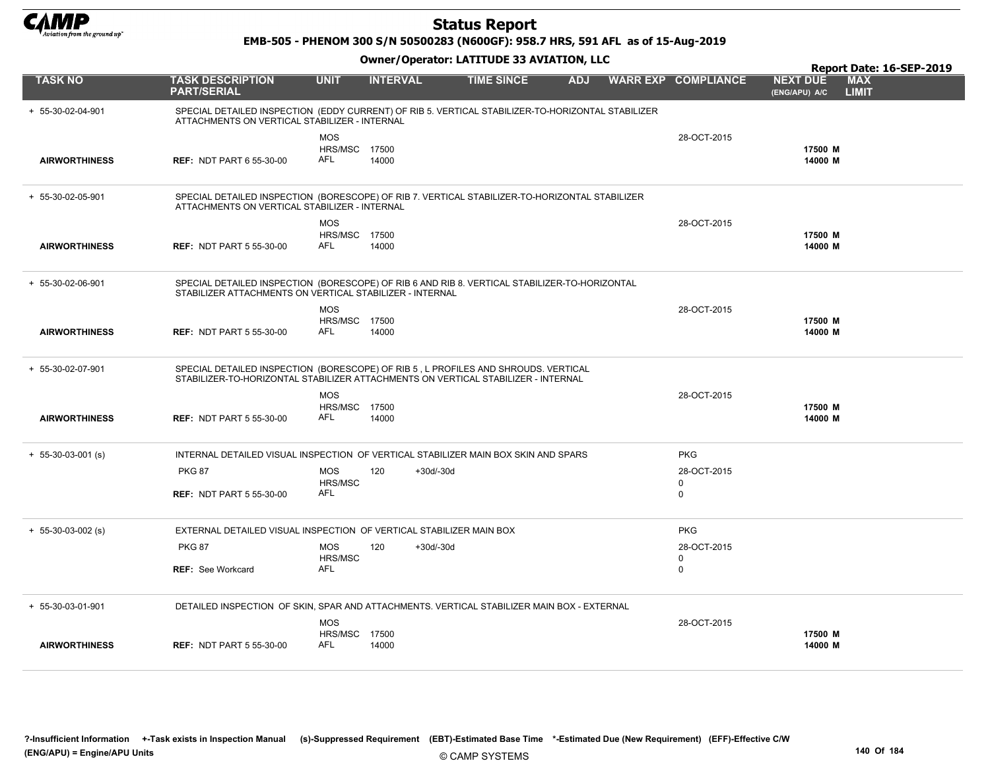

EMB-505 - PHENOM 300 S/N 50500283 (N600GF): 958.7 HRS, 591 AFL as of 15-Aug-2019

Owner/Operator: LATITUDE 33 AVIATION, LLC

|                      |                                                                     |                                                  |                 | Owner / Operator. EATITODE 33 AVIATION, LLC                                                                                                                             |            |                                           |                                  | Report Date: 16-SEP-2019   |
|----------------------|---------------------------------------------------------------------|--------------------------------------------------|-----------------|-------------------------------------------------------------------------------------------------------------------------------------------------------------------------|------------|-------------------------------------------|----------------------------------|----------------------------|
| <b>TASK NO</b>       | <b>TASK DESCRIPTION</b><br><b>PART/SERIAL</b>                       | <b>UNIT</b>                                      | <b>INTERVAL</b> | <b>TIME SINCE</b>                                                                                                                                                       | <b>ADJ</b> | <b>WARR EXP COMPLIANCE</b>                | <b>NEXT DUE</b><br>(ENG/APU) A/C | <b>MAX</b><br><b>LIMIT</b> |
| + 55-30-02-04-901    | ATTACHMENTS ON VERTICAL STABILIZER - INTERNAL                       |                                                  |                 | SPECIAL DETAILED INSPECTION (EDDY CURRENT) OF RIB 5. VERTICAL STABILIZER-TO-HORIZONTAL STABILIZER                                                                       |            |                                           |                                  |                            |
| <b>AIRWORTHINESS</b> | <b>REF: NDT PART 6 55-30-00</b>                                     | <b>MOS</b><br><b>HRS/MSC 17500</b><br><b>AFL</b> | 14000           |                                                                                                                                                                         |            | 28-OCT-2015                               | 17500 M<br>14000 M               |                            |
| + 55-30-02-05-901    | ATTACHMENTS ON VERTICAL STABILIZER - INTERNAL                       |                                                  |                 | SPECIAL DETAILED INSPECTION (BORESCOPE) OF RIB 7. VERTICAL STABILIZER-TO-HORIZONTAL STABILIZER                                                                          |            |                                           |                                  |                            |
| <b>AIRWORTHINESS</b> | <b>REF: NDT PART 5 55-30-00</b>                                     | <b>MOS</b><br><b>HRS/MSC 17500</b><br>AFL        | 14000           |                                                                                                                                                                         |            | 28-OCT-2015                               | 17500 M<br>14000 M               |                            |
| + 55-30-02-06-901    | STABILIZER ATTACHMENTS ON VERTICAL STABILIZER - INTERNAL            |                                                  |                 | SPECIAL DETAILED INSPECTION (BORESCOPE) OF RIB 6 AND RIB 8. VERTICAL STABILIZER-TO-HORIZONTAL                                                                           |            |                                           |                                  |                            |
| <b>AIRWORTHINESS</b> | <b>REF: NDT PART 5 55-30-00</b>                                     | <b>MOS</b><br><b>HRS/MSC 17500</b><br><b>AFL</b> | 14000           |                                                                                                                                                                         |            | 28-OCT-2015                               | 17500 M<br>14000 M               |                            |
| + 55-30-02-07-901    |                                                                     |                                                  |                 | SPECIAL DETAILED INSPECTION (BORESCOPE) OF RIB 5, L PROFILES AND SHROUDS. VERTICAL<br>STABILIZER-TO-HORIZONTAL STABILIZER ATTACHMENTS ON VERTICAL STABILIZER - INTERNAL |            |                                           |                                  |                            |
| <b>AIRWORTHINESS</b> | <b>REF: NDT PART 5 55-30-00</b>                                     | <b>MOS</b><br><b>HRS/MSC 17500</b><br>AFL        | 14000           |                                                                                                                                                                         |            | 28-OCT-2015                               | 17500 M<br>14000 M               |                            |
| $+ 55-30-03-001$ (s) |                                                                     |                                                  |                 | INTERNAL DETAILED VISUAL INSPECTION OF VERTICAL STABILIZER MAIN BOX SKIN AND SPARS                                                                                      |            | <b>PKG</b>                                |                                  |                            |
|                      | <b>PKG 87</b>                                                       | MOS<br><b>HRS/MSC</b><br>AFL                     | 120             | +30d/-30d                                                                                                                                                               |            | 28-OCT-2015<br>$\mathbf 0$<br>$\mathbf 0$ |                                  |                            |
|                      | <b>REF: NDT PART 5 55-30-00</b>                                     |                                                  |                 |                                                                                                                                                                         |            |                                           |                                  |                            |
| $+ 55-30-03-002$ (s) | EXTERNAL DETAILED VISUAL INSPECTION OF VERTICAL STABILIZER MAIN BOX |                                                  |                 |                                                                                                                                                                         |            | <b>PKG</b>                                |                                  |                            |
|                      | <b>PKG 87</b>                                                       | MOS<br>HRS/MSC                                   | 120             | +30d/-30d                                                                                                                                                               |            | 28-OCT-2015<br>0                          |                                  |                            |
|                      | <b>REF: See Workcard</b>                                            | AFL                                              |                 |                                                                                                                                                                         |            | $\mathbf 0$                               |                                  |                            |
| + 55-30-03-01-901    |                                                                     |                                                  |                 | DETAILED INSPECTION OF SKIN, SPAR AND ATTACHMENTS. VERTICAL STABILIZER MAIN BOX - EXTERNAL                                                                              |            |                                           |                                  |                            |
|                      |                                                                     | <b>MOS</b><br><b>HRS/MSC 17500</b>               |                 |                                                                                                                                                                         |            | 28-OCT-2015                               | 17500 M                          |                            |
| <b>AIRWORTHINESS</b> | <b>REF: NDT PART 5 55-30-00</b>                                     | AFL                                              | 14000           |                                                                                                                                                                         |            |                                           | 14000 M                          |                            |

?-Insufficient Information +-Task exists in Inspection Manual (s)-Suppressed Requirement (EBT)-Estimated Base Time \*-Estimated Due (New Requirement) (EFF)-Effective C/W (ENG/APU) = Engine/APU Units 140 Of 184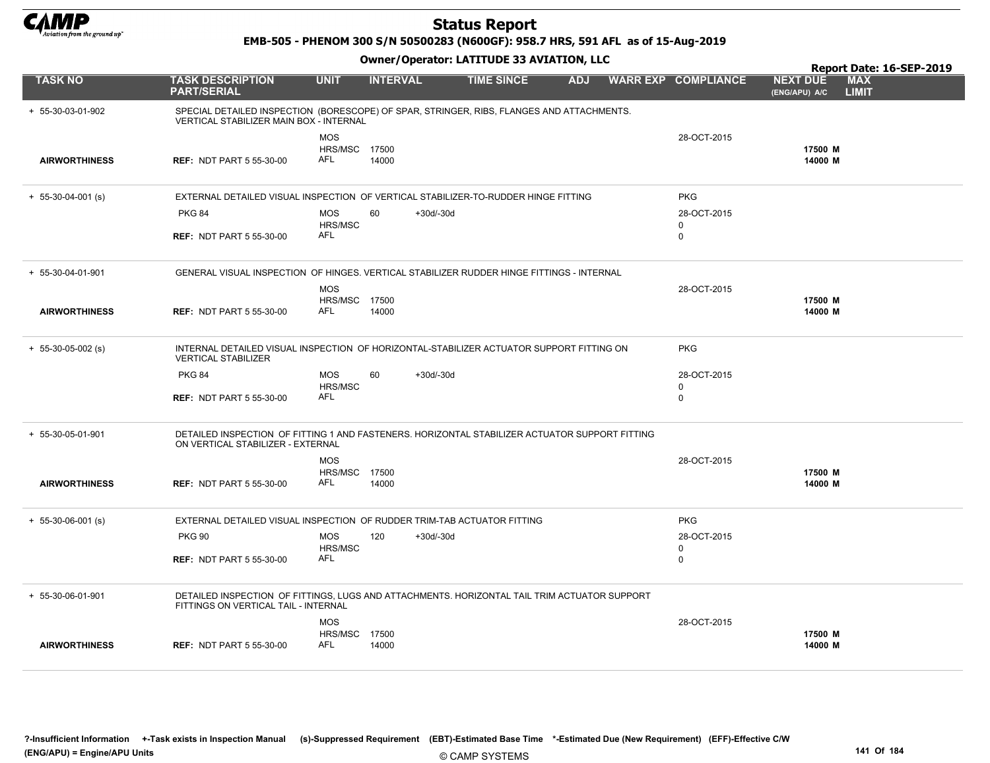

EMB-505 - PHENOM 300 S/N 50500283 (N600GF): 958.7 HRS, 591 AFL as of 15-Aug-2019

Owner/Operator: LATITUDE 33 AVIATION, LLC

|                      |                                                                                                                                      |                                           |                 |             |                   |            |                            |                                  | Report Date: 16-SEP-2019   |
|----------------------|--------------------------------------------------------------------------------------------------------------------------------------|-------------------------------------------|-----------------|-------------|-------------------|------------|----------------------------|----------------------------------|----------------------------|
| <b>TASK NO</b>       | <b>TASK DESCRIPTION</b><br><b>PART/SERIAL</b>                                                                                        | <b>UNIT</b>                               | <b>INTERVAL</b> |             | <b>TIME SINCE</b> | <b>ADJ</b> | <b>WARR EXP COMPLIANCE</b> | <b>NEXT DUE</b><br>(ENG/APU) A/C | <b>MAX</b><br><b>LIMIT</b> |
| + 55-30-03-01-902    | SPECIAL DETAILED INSPECTION (BORESCOPE) OF SPAR, STRINGER, RIBS, FLANGES AND ATTACHMENTS.<br>VERTICAL STABILIZER MAIN BOX - INTERNAL |                                           |                 |             |                   |            |                            |                                  |                            |
| <b>AIRWORTHINESS</b> | <b>REF: NDT PART 5 55-30-00</b>                                                                                                      | <b>MOS</b><br><b>HRS/MSC 17500</b><br>AFL | 14000           |             |                   |            | 28-OCT-2015                | 17500 M<br>14000 M               |                            |
| $+ 55-30-04-001$ (s) | EXTERNAL DETAILED VISUAL INSPECTION OF VERTICAL STABILIZER-TO-RUDDER HINGE FITTING                                                   |                                           |                 |             |                   |            | <b>PKG</b>                 |                                  |                            |
|                      | <b>PKG 84</b>                                                                                                                        | MOS<br>HRS/MSC<br><b>AFL</b>              | 60              | +30d/-30d   |                   |            | 28-OCT-2015<br>0           |                                  |                            |
|                      | <b>REF: NDT PART 5 55-30-00</b>                                                                                                      |                                           |                 |             |                   |            | $\mathbf 0$                |                                  |                            |
| + 55-30-04-01-901    | GENERAL VISUAL INSPECTION OF HINGES. VERTICAL STABILIZER RUDDER HINGE FITTINGS - INTERNAL                                            |                                           |                 |             |                   |            |                            |                                  |                            |
|                      |                                                                                                                                      | <b>MOS</b>                                |                 |             |                   |            | 28-OCT-2015                |                                  |                            |
| <b>AIRWORTHINESS</b> | <b>REF: NDT PART 5 55-30-00</b>                                                                                                      | <b>HRS/MSC 17500</b><br>AFL               | 14000           |             |                   |            |                            | 17500 M<br>14000 M               |                            |
| $+ 55-30-05-002$ (s) | INTERNAL DETAILED VISUAL INSPECTION OF HORIZONTAL-STABILIZER ACTUATOR SUPPORT FITTING ON<br><b>VERTICAL STABILIZER</b>               |                                           |                 |             |                   |            | <b>PKG</b>                 |                                  |                            |
|                      | <b>PKG 84</b>                                                                                                                        | <b>MOS</b><br>HRS/MSC                     | 60              | $+30d/-30d$ |                   |            | 28-OCT-2015<br>$\Omega$    |                                  |                            |
|                      | <b>REF: NDT PART 5 55-30-00</b>                                                                                                      | AFL                                       |                 |             |                   |            | $\Omega$                   |                                  |                            |
| + 55-30-05-01-901    | DETAILED INSPECTION OF FITTING 1 AND FASTENERS. HORIZONTAL STABILIZER ACTUATOR SUPPORT FITTING<br>ON VERTICAL STABILIZER - EXTERNAL  |                                           |                 |             |                   |            |                            |                                  |                            |
|                      |                                                                                                                                      | <b>MOS</b>                                |                 |             |                   |            | 28-OCT-2015                |                                  |                            |
| <b>AIRWORTHINESS</b> | <b>REF: NDT PART 5 55-30-00</b>                                                                                                      | <b>HRS/MSC 17500</b><br><b>AFL</b>        | 14000           |             |                   |            |                            | 17500 M<br>14000 M               |                            |
| $+ 55-30-06-001$ (s) | EXTERNAL DETAILED VISUAL INSPECTION OF RUDDER TRIM-TAB ACTUATOR FITTING                                                              |                                           |                 |             |                   |            | <b>PKG</b>                 |                                  |                            |
|                      | <b>PKG 90</b>                                                                                                                        | <b>MOS</b><br><b>HRS/MSC</b>              | 120             | $+30d/-30d$ |                   |            | 28-OCT-2015<br>$\mathbf 0$ |                                  |                            |
|                      | <b>REF: NDT PART 5 55-30-00</b>                                                                                                      | AFL                                       |                 |             |                   |            | $\mathbf 0$                |                                  |                            |
| + 55-30-06-01-901    | DETAILED INSPECTION OF FITTINGS, LUGS AND ATTACHMENTS. HORIZONTAL TAIL TRIM ACTUATOR SUPPORT<br>FITTINGS ON VERTICAL TAIL - INTERNAL |                                           |                 |             |                   |            |                            |                                  |                            |
|                      |                                                                                                                                      | <b>MOS</b><br>HRS/MSC                     | 17500           |             |                   |            | 28-OCT-2015                | 17500 M                          |                            |
| <b>AIRWORTHINESS</b> | <b>REF: NDT PART 5 55-30-00</b>                                                                                                      | AFL                                       | 14000           |             |                   |            |                            | 14000 M                          |                            |

© CAMP SYSTEMS ?-Insufficient Information +-Task exists in Inspection Manual (s)-Suppressed Requirement (EBT)-Estimated Base Time \*-Estimated Due (New Requirement) (EFF)-Effective C/W (ENG/APU) = Engine/APU Units 141 Of 184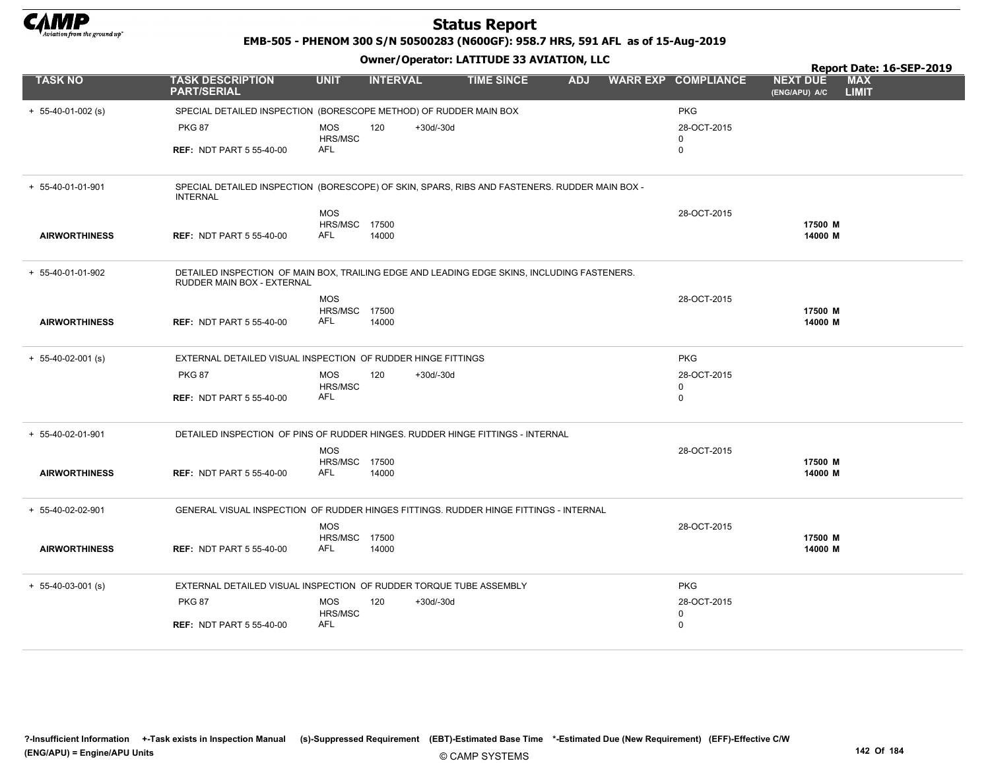

EMB-505 - PHENOM 300 S/N 50500283 (N600GF): 958.7 HRS, 591 AFL as of 15-Aug-2019

|                      |                                                                                                                           |                             |                 |             |                   |            |                            |                                  | Report Date: 16-SEP-2019   |
|----------------------|---------------------------------------------------------------------------------------------------------------------------|-----------------------------|-----------------|-------------|-------------------|------------|----------------------------|----------------------------------|----------------------------|
| <b>TASK NO</b>       | <b>TASK DESCRIPTION</b><br><b>PART/SERIAL</b>                                                                             | <b>UNIT</b>                 | <b>INTERVAL</b> |             | <b>TIME SINCE</b> | <b>ADJ</b> | <b>WARR EXP COMPLIANCE</b> | <b>NEXT DUE</b><br>(ENG/APU) A/C | <b>MAX</b><br><b>LIMIT</b> |
| $+ 55-40-01-002$ (s) | SPECIAL DETAILED INSPECTION (BORESCOPE METHOD) OF RUDDER MAIN BOX                                                         |                             |                 |             |                   |            | <b>PKG</b>                 |                                  |                            |
|                      | <b>PKG 87</b>                                                                                                             | <b>MOS</b>                  | 120             | +30d/-30d   |                   |            | 28-OCT-2015                |                                  |                            |
|                      |                                                                                                                           | HRS/MSC<br>AFL              |                 |             |                   |            | $\Omega$                   |                                  |                            |
|                      | <b>REF: NDT PART 5 55-40-00</b>                                                                                           |                             |                 |             |                   |            | $\mathbf 0$                |                                  |                            |
| + 55-40-01-01-901    | SPECIAL DETAILED INSPECTION (BORESCOPE) OF SKIN, SPARS, RIBS AND FASTENERS. RUDDER MAIN BOX -<br><b>INTERNAL</b>          |                             |                 |             |                   |            |                            |                                  |                            |
|                      |                                                                                                                           | <b>MOS</b>                  |                 |             |                   |            | 28-OCT-2015                |                                  |                            |
| <b>AIRWORTHINESS</b> | <b>REF: NDT PART 5 55-40-00</b>                                                                                           | <b>HRS/MSC 17500</b><br>AFL | 14000           |             |                   |            |                            | 17500 M<br>14000 M               |                            |
|                      |                                                                                                                           |                             |                 |             |                   |            |                            |                                  |                            |
| + 55-40-01-01-902    | DETAILED INSPECTION OF MAIN BOX, TRAILING EDGE AND LEADING EDGE SKINS, INCLUDING FASTENERS.<br>RUDDER MAIN BOX - EXTERNAL |                             |                 |             |                   |            |                            |                                  |                            |
|                      |                                                                                                                           | <b>MOS</b>                  |                 |             |                   |            | 28-OCT-2015                |                                  |                            |
| <b>AIRWORTHINESS</b> | <b>REF: NDT PART 5 55-40-00</b>                                                                                           | <b>HRS/MSC 17500</b><br>AFL | 14000           |             |                   |            |                            | 17500 M<br>14000 M               |                            |
|                      |                                                                                                                           |                             |                 |             |                   |            |                            |                                  |                            |
| $+ 55-40-02-001$ (s) | EXTERNAL DETAILED VISUAL INSPECTION OF RUDDER HINGE FITTINGS                                                              |                             |                 |             |                   |            | <b>PKG</b>                 |                                  |                            |
|                      | <b>PKG 87</b>                                                                                                             | <b>MOS</b>                  | 120             | $+30d/-30d$ |                   |            | 28-OCT-2015                |                                  |                            |
|                      | <b>REF: NDT PART 5 55-40-00</b>                                                                                           | HRS/MSC<br>AFL              |                 |             |                   |            | $\mathbf 0$<br>$\Omega$    |                                  |                            |
|                      |                                                                                                                           |                             |                 |             |                   |            |                            |                                  |                            |
| + 55-40-02-01-901    | DETAILED INSPECTION OF PINS OF RUDDER HINGES. RUDDER HINGE FITTINGS - INTERNAL                                            |                             |                 |             |                   |            |                            |                                  |                            |
|                      |                                                                                                                           | <b>MOS</b>                  |                 |             |                   |            | 28-OCT-2015                |                                  |                            |
| <b>AIRWORTHINESS</b> | <b>REF: NDT PART 5 55-40-00</b>                                                                                           | HRS/MSC 17500<br>AFL        | 14000           |             |                   |            |                            | 17500 M<br>14000 M               |                            |
|                      |                                                                                                                           |                             |                 |             |                   |            |                            |                                  |                            |
| + 55-40-02-02-901    | GENERAL VISUAL INSPECTION OF RUDDER HINGES FITTINGS. RUDDER HINGE FITTINGS - INTERNAL                                     |                             |                 |             |                   |            |                            |                                  |                            |
|                      |                                                                                                                           | <b>MOS</b>                  |                 |             |                   |            | 28-OCT-2015                |                                  |                            |
| <b>AIRWORTHINESS</b> | <b>REF: NDT PART 5 55-40-00</b>                                                                                           | HRS/MSC 17500<br>AFL        | 14000           |             |                   |            |                            | 17500 M<br>14000 M               |                            |
|                      |                                                                                                                           |                             |                 |             |                   |            |                            |                                  |                            |
| $+ 55-40-03-001$ (s) | EXTERNAL DETAILED VISUAL INSPECTION OF RUDDER TORQUE TUBE ASSEMBLY                                                        |                             |                 |             |                   |            | <b>PKG</b>                 |                                  |                            |
|                      | <b>PKG 87</b>                                                                                                             | <b>MOS</b>                  | 120             | $+30d/-30d$ |                   |            | 28-OCT-2015                |                                  |                            |
|                      | <b>REF: NDT PART 5 55-40-00</b>                                                                                           | HRS/MSC<br>AFL              |                 |             |                   |            | 0<br>$\mathbf 0$           |                                  |                            |
|                      |                                                                                                                           |                             |                 |             |                   |            |                            |                                  |                            |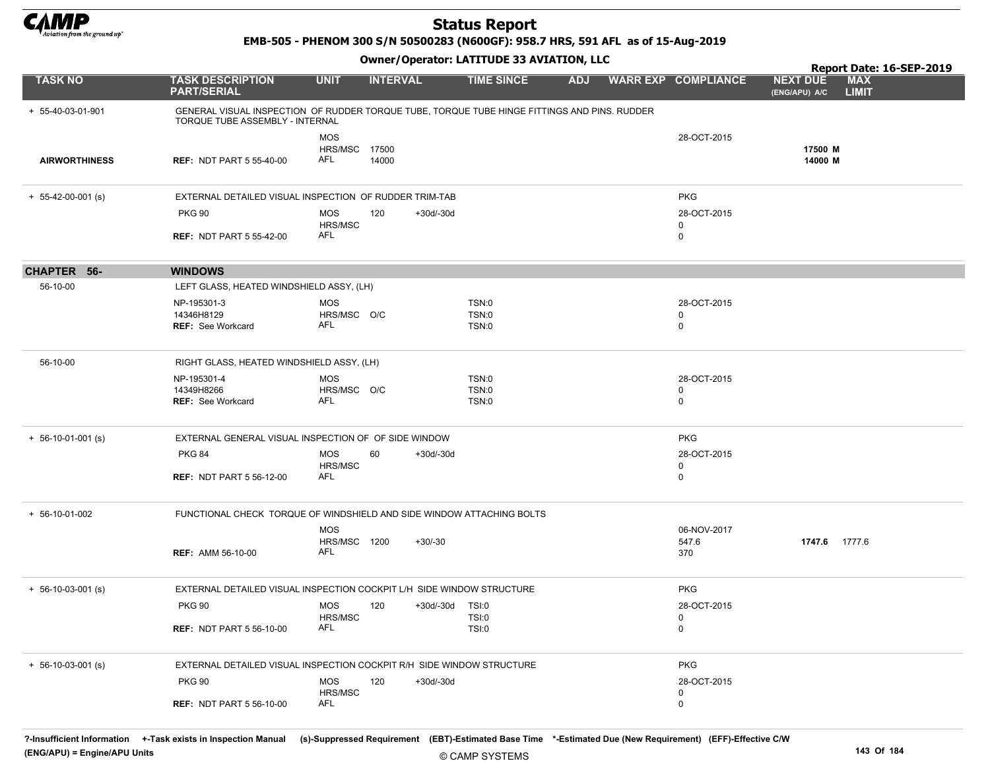

EMB-505 - PHENOM 300 S/N 50500283 (N600GF): 958.7 HRS, 591 AFL as of 15-Aug-2019

|                            |                                                                                                                                 |                                   | .                  |                         |            |                                 | Report Date: 16-SEP-2019                                       |  |
|----------------------------|---------------------------------------------------------------------------------------------------------------------------------|-----------------------------------|--------------------|-------------------------|------------|---------------------------------|----------------------------------------------------------------|--|
| <b>TASK NO</b>             | <b>TASK DESCRIPTION</b><br><b>PART/SERIAL</b>                                                                                   | <b>UNIT</b>                       | <b>INTERVAL</b>    | <b>TIME SINCE</b>       | <b>ADJ</b> | <b>WARR EXP COMPLIANCE</b>      | <b>MAX</b><br><b>NEXT DUE</b><br><b>LIMIT</b><br>(ENG/APU) A/C |  |
| + 55-40-03-01-901          | GENERAL VISUAL INSPECTION OF RUDDER TORQUE TUBE, TORQUE TUBE HINGE FITTINGS AND PINS. RUDDER<br>TORQUE TUBE ASSEMBLY - INTERNAL |                                   |                    |                         |            |                                 |                                                                |  |
| <b>AIRWORTHINESS</b>       | <b>REF: NDT PART 5 55-40-00</b>                                                                                                 | <b>MOS</b><br>HRS/MSC<br>AFL      | 17500<br>14000     |                         |            | 28-OCT-2015                     | 17500 M<br>14000 M                                             |  |
| $+ 55-42-00-001$ (s)       | EXTERNAL DETAILED VISUAL INSPECTION OF RUDDER TRIM-TAB                                                                          |                                   |                    |                         |            | <b>PKG</b>                      |                                                                |  |
|                            | <b>PKG 90</b><br><b>REF: NDT PART 5 55-42-00</b>                                                                                | MOS<br>HRS/MSC<br>AFL             | 120<br>+30d/-30d   |                         |            | 28-OCT-2015<br>0<br>0           |                                                                |  |
| CHAPTER 56-                | <b>WINDOWS</b>                                                                                                                  |                                   |                    |                         |            |                                 |                                                                |  |
| 56-10-00                   | LEFT GLASS, HEATED WINDSHIELD ASSY, (LH)                                                                                        |                                   |                    |                         |            |                                 |                                                                |  |
|                            | NP-195301-3<br>14346H8129<br><b>REF: See Workcard</b>                                                                           | <b>MOS</b><br>HRS/MSC O/C<br>AFL  |                    | TSN:0<br>TSN:0<br>TSN:0 |            | 28-OCT-2015<br>0<br>0           |                                                                |  |
| 56-10-00                   | RIGHT GLASS, HEATED WINDSHIELD ASSY, (LH)                                                                                       |                                   |                    |                         |            |                                 |                                                                |  |
|                            | NP-195301-4<br>14349H8266<br><b>REF: See Workcard</b>                                                                           | <b>MOS</b><br>HRS/MSC O/C<br>AFL  |                    | TSN:0<br>TSN:0<br>TSN:0 |            | 28-OCT-2015<br>0<br>$\mathbf 0$ |                                                                |  |
| $+ 56 - 10 - 01 - 001$ (s) | EXTERNAL GENERAL VISUAL INSPECTION OF OF SIDE WINDOW                                                                            |                                   |                    |                         |            | <b>PKG</b>                      |                                                                |  |
|                            | <b>PKG 84</b><br><b>REF: NDT PART 5 56-12-00</b>                                                                                | <b>MOS</b><br>HRS/MSC<br>AFL      | 60<br>+30d/-30d    |                         |            | 28-OCT-2015<br>0<br>0           |                                                                |  |
| $+ 56-10-01-002$           | FUNCTIONAL CHECK TORQUE OF WINDSHIELD AND SIDE WINDOW ATTACHING BOLTS                                                           |                                   |                    |                         |            |                                 |                                                                |  |
|                            | <b>REF: AMM 56-10-00</b>                                                                                                        | <b>MOS</b><br>HRS/MSC 1200<br>AFL | $+30/30$           |                         |            | 06-NOV-2017<br>547.6<br>370     | 1747.6 1777.6                                                  |  |
| $+ 56 - 10 - 03 - 001$ (s) | EXTERNAL DETAILED VISUAL INSPECTION COCKPIT L/H SIDE WINDOW STRUCTURE                                                           |                                   |                    |                         |            | <b>PKG</b>                      |                                                                |  |
|                            | <b>PKG 90</b><br><b>REF: NDT PART 5 56-10-00</b>                                                                                | <b>MOS</b><br>HRS/MSC<br>AFL      | 120<br>+30d/-30d   | TSI:0<br>TSI:0<br>TSI:0 |            | 28-OCT-2015<br>0<br>0           |                                                                |  |
|                            |                                                                                                                                 |                                   |                    |                         |            |                                 |                                                                |  |
| $+ 56 - 10 - 03 - 001$ (s) | EXTERNAL DETAILED VISUAL INSPECTION COCKPIT R/H SIDE WINDOW STRUCTURE                                                           |                                   |                    |                         |            | <b>PKG</b>                      |                                                                |  |
|                            | <b>PKG 90</b>                                                                                                                   | <b>MOS</b><br>HRS/MSC             | 120<br>$+30d/-30d$ |                         |            | 28-OCT-2015<br>0                |                                                                |  |
|                            | <b>REF: NDT PART 5 56-10-00</b>                                                                                                 | AFL                               |                    |                         |            | 0                               |                                                                |  |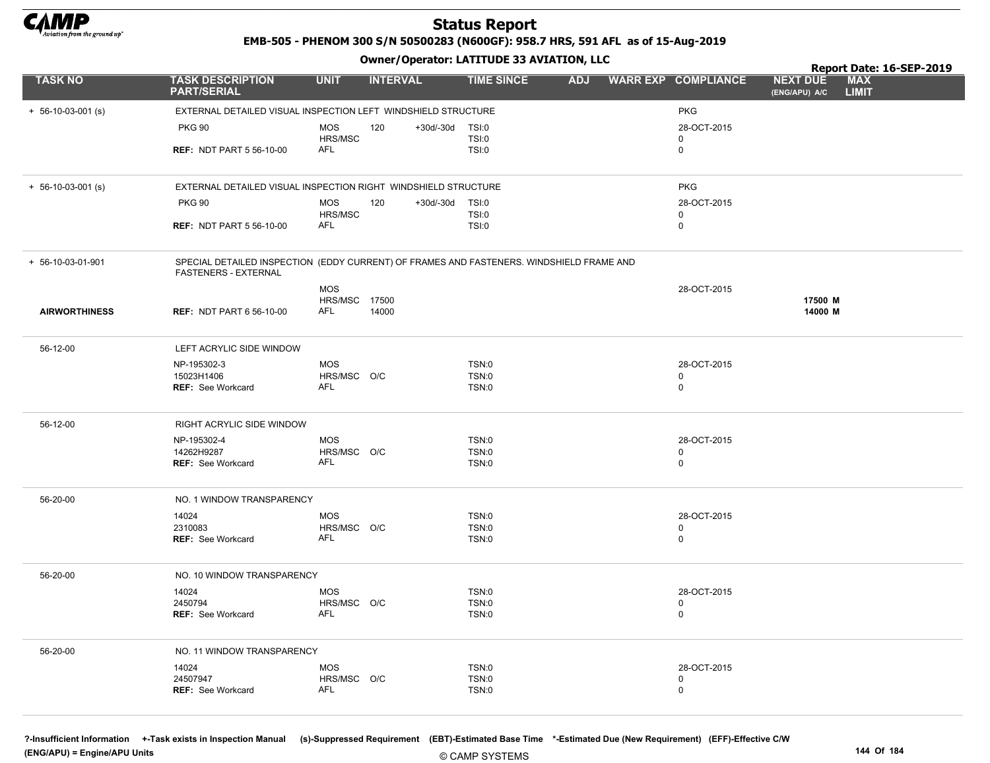

EMB-505 - PHENOM 300 S/N 50500283 (N600GF): 958.7 HRS, 591 AFL as of 15-Aug-2019

Owner/Operator: LATITUDE 33 AVIATION, LLC

|                            |                                                                                                                         |                       | .                      |                                 |                            | Report Date: 16-SEP-2019                                       |
|----------------------------|-------------------------------------------------------------------------------------------------------------------------|-----------------------|------------------------|---------------------------------|----------------------------|----------------------------------------------------------------|
| <b>TASK NO</b>             | <b>TASK DESCRIPTION</b><br><b>PART/SERIAL</b>                                                                           | <b>UNIT</b>           | <b>INTERVAL</b>        | <b>TIME SINCE</b><br><b>ADJ</b> | <b>WARR EXP COMPLIANCE</b> | <b>MAX</b><br><b>NEXT DUE</b><br><b>LIMIT</b><br>(ENG/APU) A/C |
| $+ 56 - 10 - 03 - 001$ (s) | EXTERNAL DETAILED VISUAL INSPECTION LEFT WINDSHIELD STRUCTURE                                                           |                       |                        |                                 | <b>PKG</b>                 |                                                                |
|                            | <b>PKG 90</b>                                                                                                           | <b>MOS</b>            | +30d/-30d<br>120       | TSI:0                           | 28-OCT-2015                |                                                                |
|                            |                                                                                                                         | HRS/MSC               |                        | TSI:0                           | $\mathbf 0$                |                                                                |
|                            | <b>REF: NDT PART 5 56-10-00</b>                                                                                         | <b>AFL</b>            |                        | TSI:0                           | 0                          |                                                                |
|                            |                                                                                                                         |                       |                        |                                 |                            |                                                                |
| $+ 56-10-03-001$ (s)       | EXTERNAL DETAILED VISUAL INSPECTION RIGHT WINDSHIELD STRUCTURE                                                          |                       |                        |                                 | <b>PKG</b>                 |                                                                |
|                            | <b>PKG 90</b>                                                                                                           | <b>MOS</b>            | 120<br>+30d/-30d TSI:0 |                                 | 28-OCT-2015                |                                                                |
|                            | <b>REF: NDT PART 5 56-10-00</b>                                                                                         | HRS/MSC<br><b>AFL</b> |                        | TSI:0<br>TSI:0                  | $\mathbf 0$<br>$\mathbf 0$ |                                                                |
|                            |                                                                                                                         |                       |                        |                                 |                            |                                                                |
| + 56-10-03-01-901          | SPECIAL DETAILED INSPECTION (EDDY CURRENT) OF FRAMES AND FASTENERS. WINDSHIELD FRAME AND<br><b>FASTENERS - EXTERNAL</b> |                       |                        |                                 |                            |                                                                |
|                            |                                                                                                                         | <b>MOS</b>            |                        |                                 | 28-OCT-2015                |                                                                |
|                            |                                                                                                                         | <b>HRS/MSC 17500</b>  |                        |                                 |                            | 17500 M                                                        |
| <b>AIRWORTHINESS</b>       | <b>REF: NDT PART 6 56-10-00</b>                                                                                         | <b>AFL</b>            | 14000                  |                                 |                            | 14000 M                                                        |
| 56-12-00                   | LEFT ACRYLIC SIDE WINDOW                                                                                                |                       |                        |                                 |                            |                                                                |
|                            | NP-195302-3                                                                                                             | <b>MOS</b>            |                        | <b>TSN:0</b>                    | 28-OCT-2015                |                                                                |
|                            | 15023H1406                                                                                                              | HRS/MSC O/C           |                        | TSN:0                           | 0                          |                                                                |
|                            | <b>REF: See Workcard</b>                                                                                                | <b>AFL</b>            |                        | <b>TSN:0</b>                    | $\mathbf 0$                |                                                                |
| 56-12-00                   | RIGHT ACRYLIC SIDE WINDOW                                                                                               |                       |                        |                                 |                            |                                                                |
|                            | NP-195302-4                                                                                                             | <b>MOS</b>            |                        | <b>TSN:0</b>                    | 28-OCT-2015                |                                                                |
|                            | 14262H9287                                                                                                              | HRS/MSC O/C           |                        | <b>TSN:0</b>                    | $\mathbf 0$                |                                                                |
|                            | <b>REF: See Workcard</b>                                                                                                | AFL                   |                        | TSN:0                           | 0                          |                                                                |
|                            |                                                                                                                         |                       |                        |                                 |                            |                                                                |
| 56-20-00                   | NO. 1 WINDOW TRANSPARENCY                                                                                               |                       |                        |                                 |                            |                                                                |
|                            | 14024                                                                                                                   | <b>MOS</b>            |                        | TSN:0                           | 28-OCT-2015                |                                                                |
|                            | 2310083                                                                                                                 | HRS/MSC O/C           |                        | <b>TSN:0</b>                    | $\mathbf 0$                |                                                                |
|                            | <b>REF: See Workcard</b>                                                                                                | <b>AFL</b>            |                        | TSN:0                           | 0                          |                                                                |
| 56-20-00                   | NO. 10 WINDOW TRANSPARENCY                                                                                              |                       |                        |                                 |                            |                                                                |
|                            | 14024                                                                                                                   | <b>MOS</b>            |                        | TSN:0                           | 28-OCT-2015                |                                                                |
|                            | 2450794                                                                                                                 | HRS/MSC O/C           |                        | TSN:0                           | $\mathbf 0$                |                                                                |
|                            | <b>REF:</b> See Workcard                                                                                                | <b>AFL</b>            |                        | <b>TSN:0</b>                    | $\mathbf 0$                |                                                                |
| 56-20-00                   | NO. 11 WINDOW TRANSPARENCY                                                                                              |                       |                        |                                 |                            |                                                                |
|                            | 14024                                                                                                                   | <b>MOS</b>            |                        | <b>TSN:0</b>                    | 28-OCT-2015                |                                                                |
|                            | 24507947                                                                                                                | HRS/MSC O/C           |                        | TSN:0                           | 0                          |                                                                |
|                            | REF: See Workcard                                                                                                       | <b>AFL</b>            |                        | <b>TSN:0</b>                    | $\mathbf 0$                |                                                                |
|                            |                                                                                                                         |                       |                        |                                 |                            |                                                                |

© CAMP SYSTEMS ?-Insufficient Information +-Task exists in Inspection Manual (s)-Suppressed Requirement (EBT)-Estimated Base Time \*-Estimated Due (New Requirement) (EFF)-Effective C/W (ENG/APU) = Engine/APU Units 144 Of 184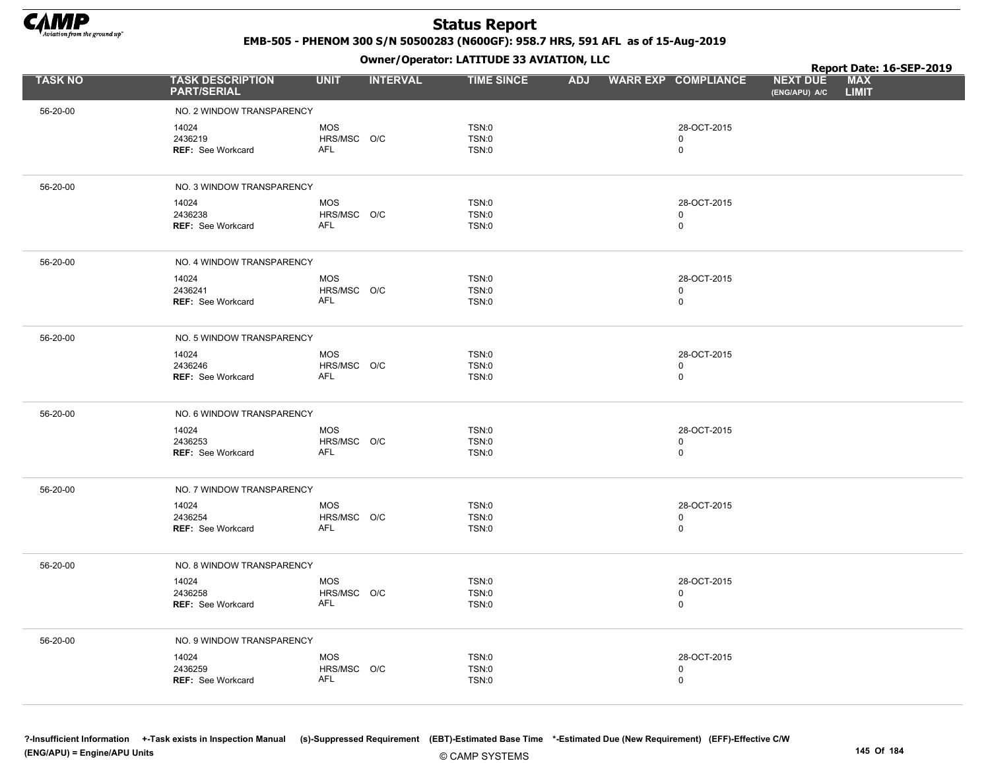

EMB-505 - PHENOM 300 S/N 50500283 (N600GF): 958.7 HRS, 591 AFL as of 15-Aug-2019

|                |                                               |                    | .               |                              |  |                            |                                  | Report Date: 16-SEP-2019 |  |
|----------------|-----------------------------------------------|--------------------|-----------------|------------------------------|--|----------------------------|----------------------------------|--------------------------|--|
| <b>TASK NO</b> | <b>TASK DESCRIPTION</b><br><b>PART/SERIAL</b> | <b>UNIT</b>        | <b>INTERVAL</b> | <b>TIME SINCE</b>            |  | ADJ WARR EXP COMPLIANCE    | <b>NEXT DUE</b><br>(ENG/APU) A/C | MAX<br><b>LIMIT</b>      |  |
| 56-20-00       | NO. 2 WINDOW TRANSPARENCY                     |                    |                 |                              |  |                            |                                  |                          |  |
|                | 14024                                         | <b>MOS</b>         |                 | <b>TSN:0</b>                 |  | 28-OCT-2015                |                                  |                          |  |
|                | 2436219                                       | HRS/MSC O/C        |                 | <b>TSN:0</b>                 |  | 0                          |                                  |                          |  |
|                | REF: See Workcard                             | AFL                |                 | <b>TSN:0</b>                 |  | $\mathbf 0$                |                                  |                          |  |
|                |                                               |                    |                 |                              |  |                            |                                  |                          |  |
| 56-20-00       | NO. 3 WINDOW TRANSPARENCY                     |                    |                 |                              |  |                            |                                  |                          |  |
|                | 14024                                         | <b>MOS</b>         |                 | <b>TSN:0</b>                 |  | 28-OCT-2015                |                                  |                          |  |
|                | 2436238<br><b>REF: See Workcard</b>           | HRS/MSC O/C<br>AFL |                 | <b>TSN:0</b><br><b>TSN:0</b> |  | $\mathbf 0$<br>$\mathbf 0$ |                                  |                          |  |
|                |                                               |                    |                 |                              |  |                            |                                  |                          |  |
| 56-20-00       | NO. 4 WINDOW TRANSPARENCY                     |                    |                 |                              |  |                            |                                  |                          |  |
|                | 14024                                         | <b>MOS</b>         |                 | <b>TSN:0</b>                 |  | 28-OCT-2015                |                                  |                          |  |
|                | 2436241                                       | HRS/MSC O/C        |                 | TSN:0                        |  | $\mathbf 0$                |                                  |                          |  |
|                | REF: See Workcard                             | AFL                |                 | TSN:0                        |  | $\mathsf 0$                |                                  |                          |  |
| 56-20-00       | NO. 5 WINDOW TRANSPARENCY                     |                    |                 |                              |  |                            |                                  |                          |  |
|                | 14024                                         | <b>MOS</b>         |                 | TSN:0                        |  | 28-OCT-2015                |                                  |                          |  |
|                | 2436246                                       | HRS/MSC O/C        |                 | <b>TSN:0</b>                 |  | $\mathbf 0$                |                                  |                          |  |
|                | <b>REF: See Workcard</b>                      | <b>AFL</b>         |                 | <b>TSN:0</b>                 |  | $\mathsf 0$                |                                  |                          |  |
| 56-20-00       | NO. 6 WINDOW TRANSPARENCY                     |                    |                 |                              |  |                            |                                  |                          |  |
|                | 14024                                         | <b>MOS</b>         |                 | <b>TSN:0</b>                 |  | 28-OCT-2015                |                                  |                          |  |
|                | 2436253                                       | HRS/MSC O/C        |                 | <b>TSN:0</b>                 |  | 0                          |                                  |                          |  |
|                | REF: See Workcard                             | AFL                |                 | <b>TSN:0</b>                 |  | $\mathbf 0$                |                                  |                          |  |
| 56-20-00       | NO. 7 WINDOW TRANSPARENCY                     |                    |                 |                              |  |                            |                                  |                          |  |
|                | 14024                                         | <b>MOS</b>         |                 | <b>TSN:0</b>                 |  | 28-OCT-2015                |                                  |                          |  |
|                | 2436254                                       | HRS/MSC O/C        |                 | TSN:0                        |  | $\mathbf 0$                |                                  |                          |  |
|                | REF: See Workcard                             | <b>AFL</b>         |                 | <b>TSN:0</b>                 |  | $\mathsf 0$                |                                  |                          |  |
| 56-20-00       | NO. 8 WINDOW TRANSPARENCY                     |                    |                 |                              |  |                            |                                  |                          |  |
|                | 14024                                         | <b>MOS</b>         |                 | <b>TSN:0</b>                 |  | 28-OCT-2015                |                                  |                          |  |
|                | 2436258                                       | HRS/MSC O/C        |                 | <b>TSN:0</b>                 |  | 0                          |                                  |                          |  |
|                | <b>REF: See Workcard</b>                      | <b>AFL</b>         |                 | TSN:0                        |  | $\mathbf 0$                |                                  |                          |  |
| 56-20-00       | NO. 9 WINDOW TRANSPARENCY                     |                    |                 |                              |  |                            |                                  |                          |  |
|                | 14024                                         | <b>MOS</b>         |                 | <b>TSN:0</b>                 |  | 28-OCT-2015                |                                  |                          |  |
|                | 2436259                                       | HRS/MSC O/C        |                 | <b>TSN:0</b>                 |  | $\mathbf 0$                |                                  |                          |  |
|                | REF: See Workcard                             | AFL                |                 | <b>TSN:0</b>                 |  | $\mathbf 0$                |                                  |                          |  |
|                |                                               |                    |                 |                              |  |                            |                                  |                          |  |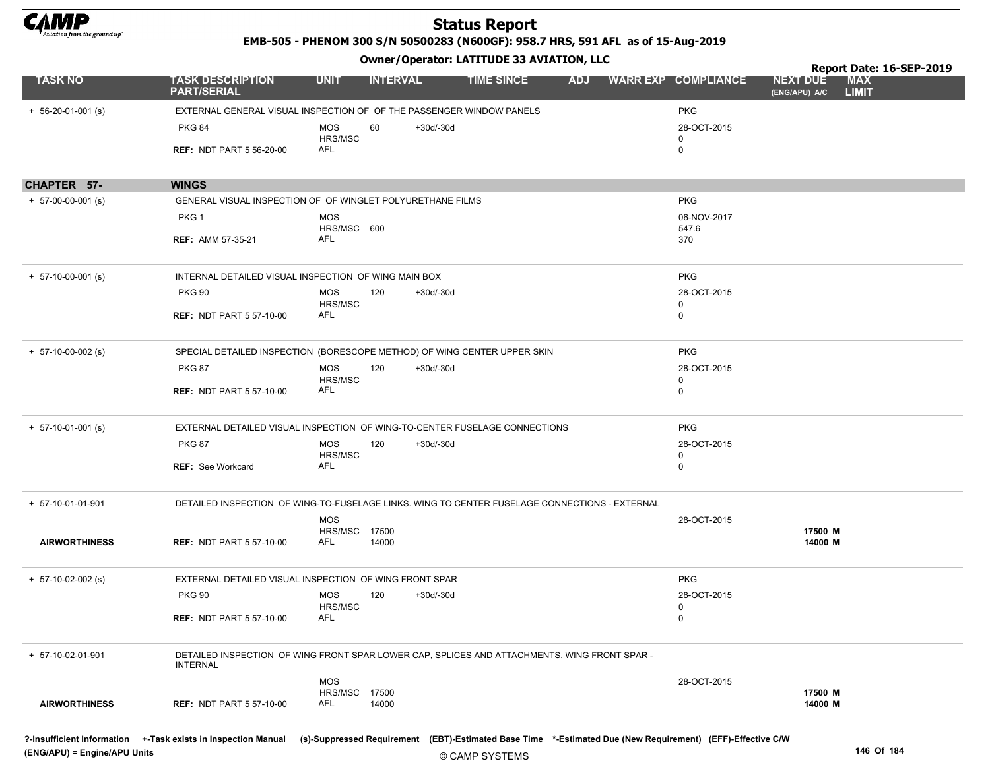

EMB-505 - PHENOM 300 S/N 50500283 (N600GF): 958.7 HRS, 591 AFL as of 15-Aug-2019

|                            |                                                                                                                                                                          |                              |                 |             |                   |            |                            |                                  | Report Date: 16-SEP-2019   |  |
|----------------------------|--------------------------------------------------------------------------------------------------------------------------------------------------------------------------|------------------------------|-----------------|-------------|-------------------|------------|----------------------------|----------------------------------|----------------------------|--|
| <b>TASK NO</b>             | <b>TASK DESCRIPTION</b><br><b>PART/SERIAL</b>                                                                                                                            | <b>UNIT</b>                  | <b>INTERVAL</b> |             | <b>TIME SINCE</b> | <b>ADJ</b> | <b>WARR EXP COMPLIANCE</b> | <b>NEXT DUE</b><br>(ENG/APU) A/C | <b>MAX</b><br><b>LIMIT</b> |  |
| $+ 56 - 20 - 01 - 001$ (s) | EXTERNAL GENERAL VISUAL INSPECTION OF OF THE PASSENGER WINDOW PANELS                                                                                                     |                              |                 |             |                   |            | <b>PKG</b>                 |                                  |                            |  |
|                            | <b>PKG 84</b>                                                                                                                                                            | MOS                          | 60              | +30d/-30d   |                   |            | 28-OCT-2015                |                                  |                            |  |
|                            |                                                                                                                                                                          | <b>HRS/MSC</b>               |                 |             |                   |            | 0                          |                                  |                            |  |
|                            | <b>REF: NDT PART 5 56-20-00</b>                                                                                                                                          | AFL                          |                 |             |                   |            | 0                          |                                  |                            |  |
| CHAPTER 57-                | <b>WINGS</b>                                                                                                                                                             |                              |                 |             |                   |            |                            |                                  |                            |  |
| $+ 57-00-00-001$ (s)       | GENERAL VISUAL INSPECTION OF OF WINGLET POLYURETHANE FILMS                                                                                                               |                              |                 |             |                   |            | <b>PKG</b>                 |                                  |                            |  |
|                            | PKG <sub>1</sub>                                                                                                                                                         | <b>MOS</b><br>HRS/MSC 600    |                 |             |                   |            | 06-NOV-2017<br>547.6       |                                  |                            |  |
|                            | <b>REF: AMM 57-35-21</b>                                                                                                                                                 | <b>AFL</b>                   |                 |             |                   |            | 370                        |                                  |                            |  |
| $+ 57-10-00-001$ (s)       | INTERNAL DETAILED VISUAL INSPECTION OF WING MAIN BOX                                                                                                                     |                              |                 |             |                   |            | <b>PKG</b>                 |                                  |                            |  |
|                            | <b>PKG 90</b>                                                                                                                                                            | MOS                          | 120             | +30d/-30d   |                   |            | 28-OCT-2015                |                                  |                            |  |
|                            | <b>REF: NDT PART 5 57-10-00</b>                                                                                                                                          | <b>HRS/MSC</b><br>AFL        |                 |             |                   |            | 0<br>$\mathbf 0$           |                                  |                            |  |
|                            |                                                                                                                                                                          |                              |                 |             |                   |            |                            |                                  |                            |  |
| $+ 57-10-00-002$ (s)       | SPECIAL DETAILED INSPECTION (BORESCOPE METHOD) OF WING CENTER UPPER SKIN                                                                                                 |                              |                 |             |                   |            | <b>PKG</b>                 |                                  |                            |  |
|                            | <b>PKG 87</b>                                                                                                                                                            | MOS                          | 120             | +30d/-30d   |                   |            | 28-OCT-2015                |                                  |                            |  |
|                            | <b>REF: NDT PART 5 57-10-00</b>                                                                                                                                          | HRS/MSC<br><b>AFL</b>        |                 |             |                   |            | 0<br>0                     |                                  |                            |  |
| $+ 57-10-01-001$ (s)       | EXTERNAL DETAILED VISUAL INSPECTION OF WING-TO-CENTER FUSELAGE CONNECTIONS                                                                                               |                              |                 |             |                   |            | <b>PKG</b>                 |                                  |                            |  |
|                            | <b>PKG 87</b>                                                                                                                                                            | <b>MOS</b><br>HRS/MSC        | 120             | +30d/-30d   |                   |            | 28-OCT-2015<br>0           |                                  |                            |  |
|                            | <b>REF: See Workcard</b>                                                                                                                                                 | AFL                          |                 |             |                   |            | 0                          |                                  |                            |  |
| + 57-10-01-01-901          | DETAILED INSPECTION OF WING-TO-FUSELAGE LINKS. WING TO CENTER FUSELAGE CONNECTIONS - EXTERNAL                                                                            |                              |                 |             |                   |            |                            |                                  |                            |  |
|                            |                                                                                                                                                                          | <b>MOS</b>                   |                 |             |                   |            | 28-OCT-2015                |                                  |                            |  |
| <b>AIRWORTHINESS</b>       | <b>REF: NDT PART 5 57-10-00</b>                                                                                                                                          | <b>HRS/MSC 17500</b><br>AFL  | 14000           |             |                   |            |                            | 17500 M<br>14000 M               |                            |  |
| $+ 57-10-02-002$ (s)       | EXTERNAL DETAILED VISUAL INSPECTION OF WING FRONT SPAR                                                                                                                   |                              |                 |             |                   |            | <b>PKG</b>                 |                                  |                            |  |
|                            | <b>PKG 90</b>                                                                                                                                                            | <b>MOS</b><br><b>HRS/MSC</b> | 120             | $+30d/-30d$ |                   |            | 28-OCT-2015<br>0           |                                  |                            |  |
|                            | <b>REF: NDT PART 5 57-10-00</b>                                                                                                                                          | AFL                          |                 |             |                   |            | $\mathbf 0$                |                                  |                            |  |
| + 57-10-02-01-901          | DETAILED INSPECTION OF WING FRONT SPAR LOWER CAP, SPLICES AND ATTACHMENTS. WING FRONT SPAR -<br><b>INTERNAL</b>                                                          |                              |                 |             |                   |            |                            |                                  |                            |  |
|                            |                                                                                                                                                                          | <b>MOS</b>                   |                 |             |                   |            | 28-OCT-2015                |                                  |                            |  |
| <b>AIRWORTHINESS</b>       | <b>REF: NDT PART 5 57-10-00</b>                                                                                                                                          | HRS/MSC 17500<br>AFL         | 14000           |             |                   |            |                            | 17500 M<br>14000 M               |                            |  |
|                            | ?-Insufficient Information +-Task exists in Inspection Manual (s)-Suppressed Requirement (EBT)-Estimated Base Time *-Estimated Due (New Requirement) (EFF)-Effective C/W |                              |                 |             |                   |            |                            |                                  |                            |  |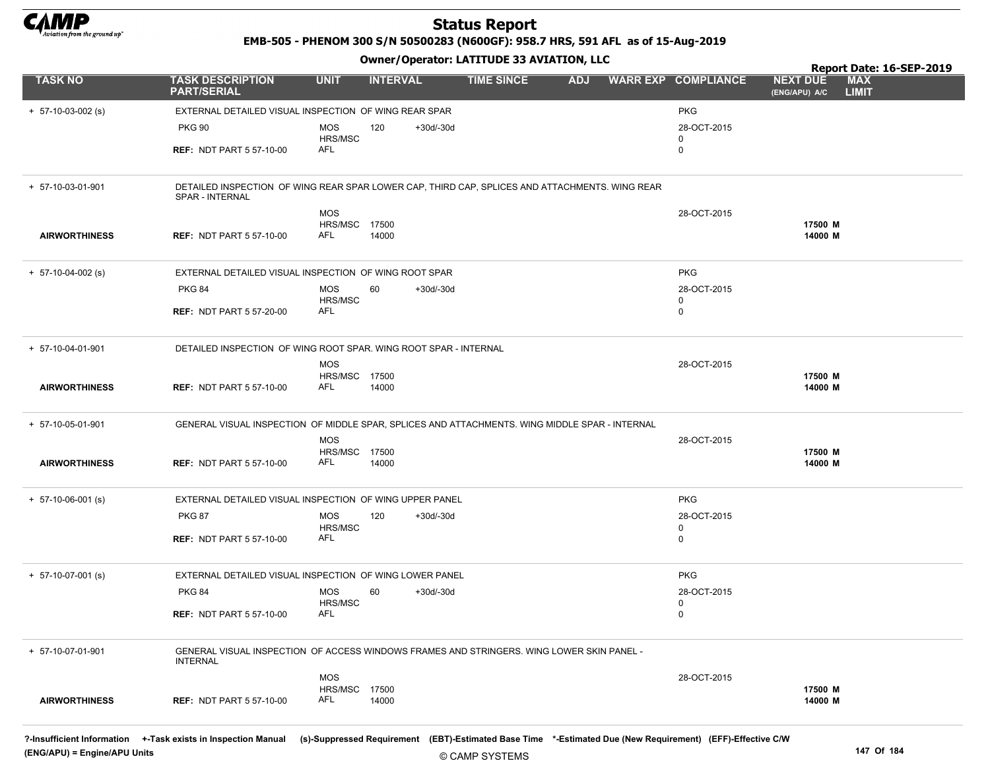

EMB-505 - PHENOM 300 S/N 50500283 (N600GF): 958.7 HRS, 591 AFL as of 15-Aug-2019

|                      |                                                                                                                   |                             | - - -           |           |                   |            |                            |                                  | Report Date: 16-SEP-2019   |
|----------------------|-------------------------------------------------------------------------------------------------------------------|-----------------------------|-----------------|-----------|-------------------|------------|----------------------------|----------------------------------|----------------------------|
| <b>TASK NO</b>       | <b>TASK DESCRIPTION</b><br><b>PART/SERIAL</b>                                                                     | <b>UNIT</b>                 | <b>INTERVAL</b> |           | <b>TIME SINCE</b> | <b>ADJ</b> | <b>WARR EXP COMPLIANCE</b> | <b>NEXT DUE</b><br>(ENG/APU) A/C | <b>MAX</b><br><b>LIMIT</b> |
| $+ 57-10-03-002$ (s) | EXTERNAL DETAILED VISUAL INSPECTION OF WING REAR SPAR                                                             |                             |                 |           |                   |            | <b>PKG</b>                 |                                  |                            |
|                      | <b>PKG 90</b>                                                                                                     | MOS                         | 120             | +30d/-30d |                   |            | 28-OCT-2015                |                                  |                            |
|                      |                                                                                                                   | HRS/MSC                     |                 |           |                   |            | 0                          |                                  |                            |
|                      | <b>REF: NDT PART 5 57-10-00</b>                                                                                   | AFL                         |                 |           |                   |            | 0                          |                                  |                            |
| + 57-10-03-01-901    | DETAILED INSPECTION OF WING REAR SPAR LOWER CAP, THIRD CAP, SPLICES AND ATTACHMENTS. WING REAR<br>SPAR - INTERNAL |                             |                 |           |                   |            |                            |                                  |                            |
|                      |                                                                                                                   | <b>MOS</b>                  |                 |           |                   |            | 28-OCT-2015                |                                  |                            |
|                      |                                                                                                                   | <b>HRS/MSC 17500</b><br>AFL |                 |           |                   |            |                            | 17500 M<br>14000 M               |                            |
| <b>AIRWORTHINESS</b> | <b>REF: NDT PART 5 57-10-00</b>                                                                                   |                             | 14000           |           |                   |            |                            |                                  |                            |
| $+ 57-10-04-002$ (s) | EXTERNAL DETAILED VISUAL INSPECTION OF WING ROOT SPAR                                                             |                             |                 |           |                   |            | <b>PKG</b>                 |                                  |                            |
|                      | <b>PKG 84</b>                                                                                                     | <b>MOS</b>                  | 60              | +30d/-30d |                   |            | 28-OCT-2015                |                                  |                            |
|                      | <b>REF: NDT PART 5 57-20-00</b>                                                                                   | HRS/MSC<br>AFL              |                 |           |                   |            | 0<br>0                     |                                  |                            |
|                      |                                                                                                                   |                             |                 |           |                   |            |                            |                                  |                            |
| + 57-10-04-01-901    | DETAILED INSPECTION OF WING ROOT SPAR. WING ROOT SPAR - INTERNAL                                                  |                             |                 |           |                   |            |                            |                                  |                            |
|                      |                                                                                                                   | <b>MOS</b>                  |                 |           |                   |            | 28-OCT-2015                |                                  |                            |
| <b>AIRWORTHINESS</b> | <b>REF: NDT PART 5 57-10-00</b>                                                                                   | <b>HRS/MSC 17500</b><br>AFL | 14000           |           |                   |            |                            | 17500 M<br>14000 M               |                            |
|                      |                                                                                                                   |                             |                 |           |                   |            |                            |                                  |                            |
| + 57-10-05-01-901    | GENERAL VISUAL INSPECTION OF MIDDLE SPAR, SPLICES AND ATTACHMENTS. WING MIDDLE SPAR - INTERNAL                    |                             |                 |           |                   |            |                            |                                  |                            |
|                      |                                                                                                                   | <b>MOS</b>                  |                 |           |                   |            | 28-OCT-2015                |                                  |                            |
| <b>AIRWORTHINESS</b> | <b>REF: NDT PART 5 57-10-00</b>                                                                                   | <b>HRS/MSC 17500</b><br>AFL | 14000           |           |                   |            |                            | 17500 M<br>14000 M               |                            |
|                      |                                                                                                                   |                             |                 |           |                   |            |                            |                                  |                            |
| $+ 57-10-06-001$ (s) | EXTERNAL DETAILED VISUAL INSPECTION OF WING UPPER PANEL                                                           |                             |                 |           |                   |            | <b>PKG</b>                 |                                  |                            |
|                      | <b>PKG 87</b>                                                                                                     | MOS                         | 120             | +30d/-30d |                   |            | 28-OCT-2015                |                                  |                            |
|                      | <b>REF: NDT PART 5 57-10-00</b>                                                                                   | HRS/MSC<br>AFL              |                 |           |                   |            | 0<br>0                     |                                  |                            |
|                      |                                                                                                                   |                             |                 |           |                   |            |                            |                                  |                            |
| $+ 57-10-07-001$ (s) | EXTERNAL DETAILED VISUAL INSPECTION OF WING LOWER PANEL                                                           |                             |                 |           |                   |            | <b>PKG</b>                 |                                  |                            |
|                      | <b>PKG 84</b>                                                                                                     | <b>MOS</b>                  | 60              | +30d/-30d |                   |            | 28-OCT-2015                |                                  |                            |
|                      | <b>REF: NDT PART 5 57-10-00</b>                                                                                   | HRS/MSC<br>AFL              |                 |           |                   |            | 0<br>0                     |                                  |                            |
|                      |                                                                                                                   |                             |                 |           |                   |            |                            |                                  |                            |
| + 57-10-07-01-901    | GENERAL VISUAL INSPECTION OF ACCESS WINDOWS FRAMES AND STRINGERS. WING LOWER SKIN PANEL -<br><b>INTERNAL</b>      |                             |                 |           |                   |            |                            |                                  |                            |
|                      |                                                                                                                   | <b>MOS</b>                  |                 |           |                   |            | 28-OCT-2015                |                                  |                            |
|                      |                                                                                                                   | <b>HRS/MSC 17500</b>        |                 |           |                   |            |                            | 17500 M                          |                            |
| <b>AIRWORTHINESS</b> | <b>REF: NDT PART 5 57-10-00</b>                                                                                   | AFL                         | 14000           |           |                   |            |                            | 14000 M                          |                            |
|                      |                                                                                                                   |                             |                 |           |                   |            |                            |                                  |                            |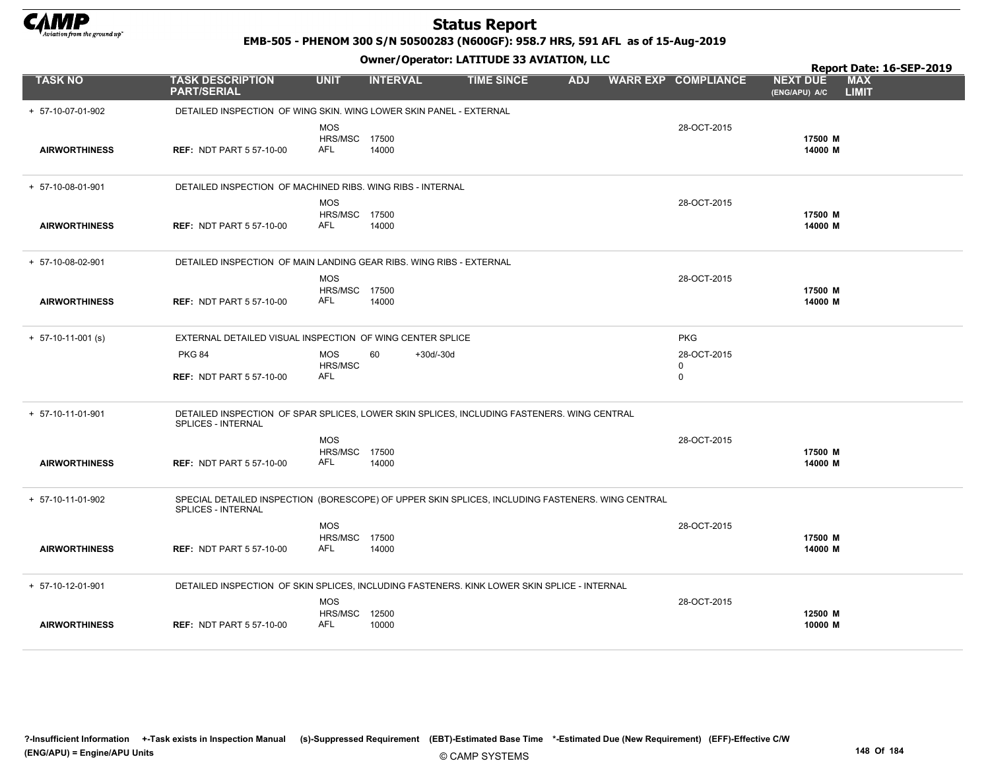

EMB-505 - PHENOM 300 S/N 50500283 (N600GF): 958.7 HRS, 591 AFL as of 15-Aug-2019

|                      |                                                                                                                        |                                                  |                 | Owner, Operator: LATITODE 33 AVIATION, LEC |            |                                 |                                  | Report Date: 16-SEP-2019   |
|----------------------|------------------------------------------------------------------------------------------------------------------------|--------------------------------------------------|-----------------|--------------------------------------------|------------|---------------------------------|----------------------------------|----------------------------|
| <b>TASK NO</b>       | <b>TASK DESCRIPTION</b><br><b>PART/SERIAL</b>                                                                          | <b>UNIT</b>                                      | <b>INTERVAL</b> | <b>TIME SINCE</b>                          | <b>ADJ</b> | <b>WARR EXP COMPLIANCE</b>      | <b>NEXT DUE</b><br>(ENG/APU) A/C | <b>MAX</b><br><b>LIMIT</b> |
| + 57-10-07-01-902    | DETAILED INSPECTION OF WING SKIN. WING LOWER SKIN PANEL - EXTERNAL                                                     |                                                  |                 |                                            |            |                                 |                                  |                            |
| <b>AIRWORTHINESS</b> | <b>REF: NDT PART 5 57-10-00</b>                                                                                        | <b>MOS</b><br>HRS/MSC 17500<br>AFL               | 14000           |                                            |            | 28-OCT-2015                     | 17500 M<br>14000 M               |                            |
| + 57-10-08-01-901    | DETAILED INSPECTION OF MACHINED RIBS. WING RIBS - INTERNAL                                                             |                                                  |                 |                                            |            |                                 |                                  |                            |
| <b>AIRWORTHINESS</b> | <b>REF: NDT PART 5 57-10-00</b>                                                                                        | <b>MOS</b><br><b>HRS/MSC 17500</b><br><b>AFL</b> | 14000           |                                            |            | 28-OCT-2015                     | 17500 M<br>14000 M               |                            |
| + 57-10-08-02-901    | DETAILED INSPECTION OF MAIN LANDING GEAR RIBS. WING RIBS - EXTERNAL                                                    |                                                  |                 |                                            |            |                                 |                                  |                            |
| <b>AIRWORTHINESS</b> | <b>REF: NDT PART 5 57-10-00</b>                                                                                        | <b>MOS</b><br>HRS/MSC 17500<br><b>AFL</b>        | 14000           |                                            |            | 28-OCT-2015                     | 17500 M<br>14000 M               |                            |
| $+ 57-10-11-001$ (s) | EXTERNAL DETAILED VISUAL INSPECTION OF WING CENTER SPLICE                                                              |                                                  |                 |                                            |            | <b>PKG</b>                      |                                  |                            |
|                      | <b>PKG 84</b><br><b>REF: NDT PART 5 57-10-00</b>                                                                       | <b>MOS</b><br>HRS/MSC<br>AFL                     | 60              | $+30d/-30d$                                |            | 28-OCT-2015<br>0<br>$\mathbf 0$ |                                  |                            |
| + 57-10-11-01-901    | DETAILED INSPECTION OF SPAR SPLICES, LOWER SKIN SPLICES, INCLUDING FASTENERS. WING CENTRAL<br>SPLICES - INTERNAL       |                                                  |                 |                                            |            |                                 |                                  |                            |
| <b>AIRWORTHINESS</b> | <b>REF: NDT PART 5 57-10-00</b>                                                                                        | <b>MOS</b><br>HRS/MSC 17500<br><b>AFL</b>        | 14000           |                                            |            | 28-OCT-2015                     | 17500 M<br>14000 M               |                            |
| + 57-10-11-01-902    | SPECIAL DETAILED INSPECTION (BORESCOPE) OF UPPER SKIN SPLICES, INCLUDING FASTENERS. WING CENTRAL<br>SPLICES - INTERNAL |                                                  |                 |                                            |            |                                 |                                  |                            |
| <b>AIRWORTHINESS</b> | <b>REF: NDT PART 5 57-10-00</b>                                                                                        | <b>MOS</b><br>HRS/MSC 17500<br>AFL               | 14000           |                                            |            | 28-OCT-2015                     | 17500 M<br>14000 M               |                            |
| + 57-10-12-01-901    | DETAILED INSPECTION OF SKIN SPLICES, INCLUDING FASTENERS. KINK LOWER SKIN SPLICE - INTERNAL                            |                                                  |                 |                                            |            |                                 |                                  |                            |
| <b>AIRWORTHINESS</b> | <b>REF: NDT PART 5 57-10-00</b>                                                                                        | <b>MOS</b><br><b>HRS/MSC 12500</b><br><b>AFL</b> | 10000           |                                            |            | 28-OCT-2015                     | 12500 M<br>10000 M               |                            |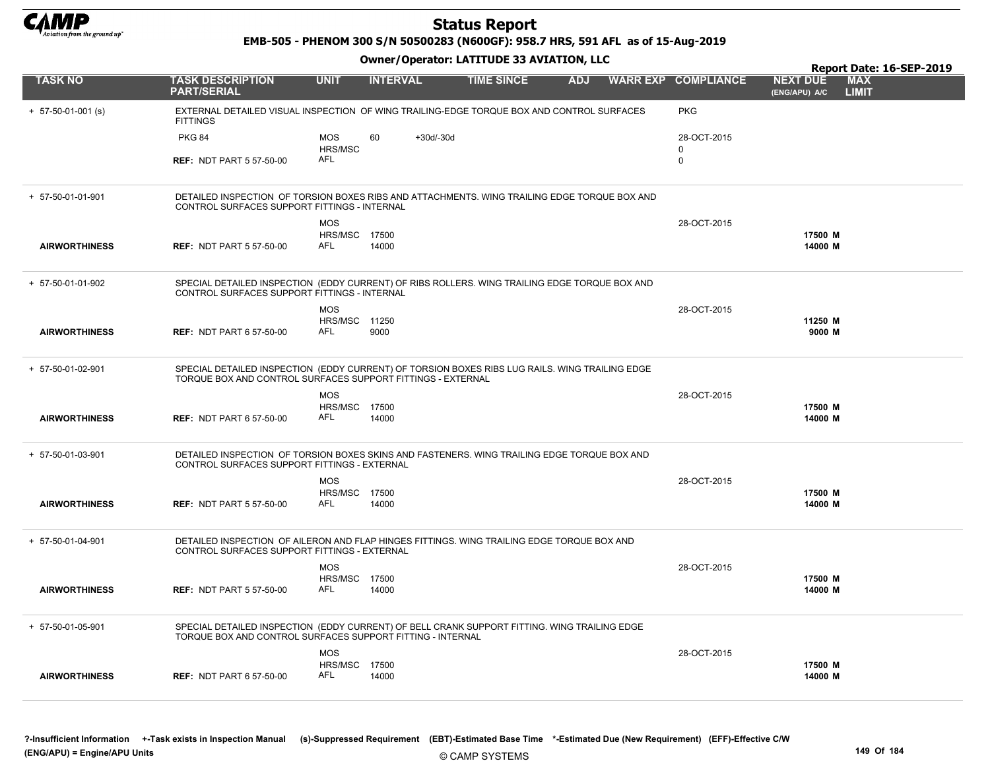

EMB-505 - PHENOM 300 S/N 50500283 (N600GF): 958.7 HRS, 591 AFL as of 15-Aug-2019

|                      |                                                                                                                                                               |                                    |                 |             |                   |            |                            |                                  | Report Date: 16-SEP-2019   |
|----------------------|---------------------------------------------------------------------------------------------------------------------------------------------------------------|------------------------------------|-----------------|-------------|-------------------|------------|----------------------------|----------------------------------|----------------------------|
| <b>TASK NO</b>       | <b>TASK DESCRIPTION</b><br><b>PART/SERIAL</b>                                                                                                                 | <b>UNIT</b>                        | <b>INTERVAL</b> |             | <b>TIME SINCE</b> | <b>ADJ</b> | <b>WARR EXP COMPLIANCE</b> | <b>NEXT DUE</b><br>(ENG/APU) A/C | <b>MAX</b><br><b>LIMIT</b> |
| $+ 57-50-01-001$ (s) | EXTERNAL DETAILED VISUAL INSPECTION OF WING TRAILING-EDGE TORQUE BOX AND CONTROL SURFACES<br><b>FITTINGS</b>                                                  |                                    |                 |             |                   |            | <b>PKG</b>                 |                                  |                            |
|                      | <b>PKG 84</b>                                                                                                                                                 | <b>MOS</b><br>HRS/MSC              | 60              | $+30d/-30d$ |                   |            | 28-OCT-2015<br>$\Omega$    |                                  |                            |
|                      | <b>REF: NDT PART 5 57-50-00</b>                                                                                                                               | AFL                                |                 |             |                   |            | 0                          |                                  |                            |
| + 57-50-01-01-901    | DETAILED INSPECTION OF TORSION BOXES RIBS AND ATTACHMENTS. WING TRAILING EDGE TORQUE BOX AND<br>CONTROL SURFACES SUPPORT FITTINGS - INTERNAL                  |                                    |                 |             |                   |            |                            |                                  |                            |
|                      |                                                                                                                                                               | <b>MOS</b>                         |                 |             |                   |            | 28-OCT-2015                |                                  |                            |
| <b>AIRWORTHINESS</b> | <b>REF: NDT PART 5 57-50-00</b>                                                                                                                               | <b>HRS/MSC 17500</b><br>AFL        | 14000           |             |                   |            |                            | 17500 M<br>14000 M               |                            |
| + 57-50-01-01-902    | SPECIAL DETAILED INSPECTION (EDDY CURRENT) OF RIBS ROLLERS. WING TRAILING EDGE TORQUE BOX AND<br>CONTROL SURFACES SUPPORT FITTINGS - INTERNAL                 |                                    |                 |             |                   |            |                            |                                  |                            |
|                      |                                                                                                                                                               | <b>MOS</b><br><b>HRS/MSC 11250</b> |                 |             |                   |            | 28-OCT-2015                | 11250 M                          |                            |
| <b>AIRWORTHINESS</b> | <b>REF: NDT PART 6 57-50-00</b>                                                                                                                               | <b>AFL</b>                         | 9000            |             |                   |            |                            | 9000 M                           |                            |
| + 57-50-01-02-901    | SPECIAL DETAILED INSPECTION (EDDY CURRENT) OF TORSION BOXES RIBS LUG RAILS. WING TRAILING EDGE<br>TORQUE BOX AND CONTROL SURFACES SUPPORT FITTINGS - EXTERNAL |                                    |                 |             |                   |            |                            |                                  |                            |
|                      |                                                                                                                                                               | <b>MOS</b><br><b>HRS/MSC 17500</b> |                 |             |                   |            | 28-OCT-2015                | 17500 M                          |                            |
| <b>AIRWORTHINESS</b> | <b>REF: NDT PART 6 57-50-00</b>                                                                                                                               | AFL                                | 14000           |             |                   |            |                            | 14000 M                          |                            |
| + 57-50-01-03-901    | DETAILED INSPECTION OF TORSION BOXES SKINS AND FASTENERS. WING TRAILING EDGE TORQUE BOX AND<br>CONTROL SURFACES SUPPORT FITTINGS - EXTERNAL                   |                                    |                 |             |                   |            |                            |                                  |                            |
|                      |                                                                                                                                                               | <b>MOS</b><br>HRS/MSC 17500        |                 |             |                   |            | 28-OCT-2015                | 17500 M                          |                            |
| <b>AIRWORTHINESS</b> | <b>REF: NDT PART 5 57-50-00</b>                                                                                                                               | AFL                                | 14000           |             |                   |            |                            | 14000 M                          |                            |
| + 57-50-01-04-901    | DETAILED INSPECTION OF AILERON AND FLAP HINGES FITTINGS. WING TRAILING EDGE TORQUE BOX AND<br>CONTROL SURFACES SUPPORT FITTINGS - EXTERNAL                    |                                    |                 |             |                   |            |                            |                                  |                            |
|                      |                                                                                                                                                               | <b>MOS</b>                         |                 |             |                   |            | 28-OCT-2015                |                                  |                            |
| <b>AIRWORTHINESS</b> | <b>REF: NDT PART 5 57-50-00</b>                                                                                                                               | <b>HRS/MSC 17500</b><br>AFL        | 14000           |             |                   |            |                            | 17500 M<br>14000 M               |                            |
| + 57-50-01-05-901    | SPECIAL DETAILED INSPECTION (EDDY CURRENT) OF BELL CRANK SUPPORT FITTING. WING TRAILING EDGE<br>TORQUE BOX AND CONTROL SURFACES SUPPORT FITTING - INTERNAL    |                                    |                 |             |                   |            |                            |                                  |                            |
|                      |                                                                                                                                                               | <b>MOS</b>                         |                 |             |                   |            | 28-OCT-2015                |                                  |                            |
| <b>AIRWORTHINESS</b> | <b>REF: NDT PART 6 57-50-00</b>                                                                                                                               | <b>HRS/MSC 17500</b><br>AFL        | 14000           |             |                   |            |                            | 17500 M<br>14000 M               |                            |
|                      |                                                                                                                                                               |                                    |                 |             |                   |            |                            |                                  |                            |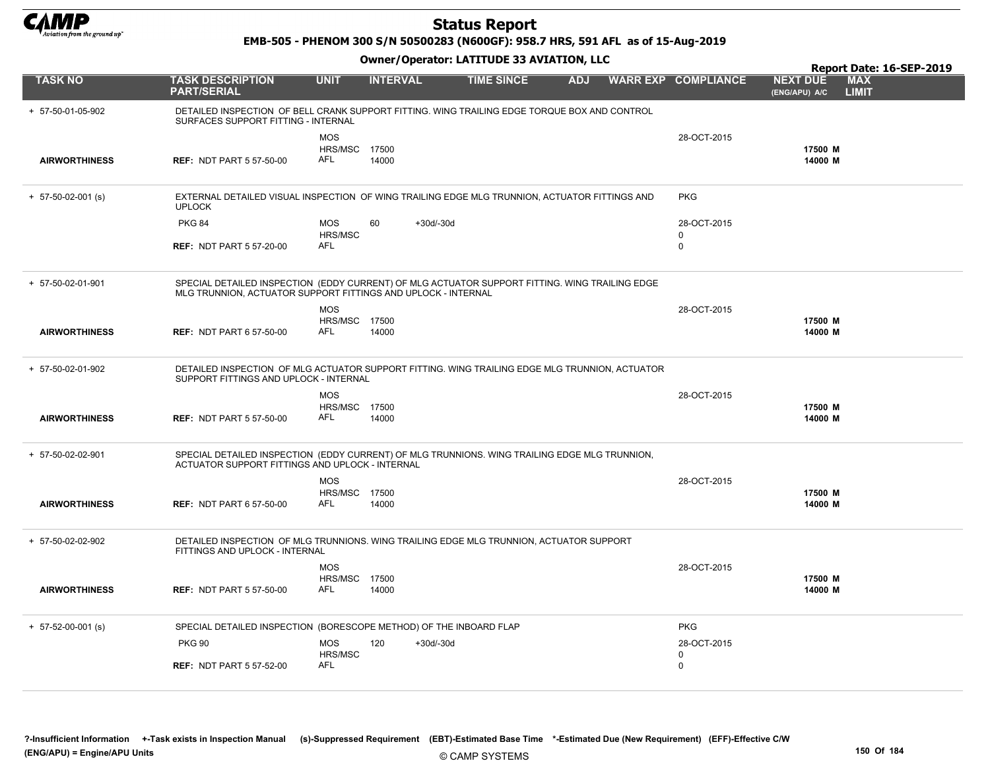

EMB-505 - PHENOM 300 S/N 50500283 (N600GF): 958.7 HRS, 591 AFL as of 15-Aug-2019

|                      |                                                                                                                                                                 |                                            |                 |             |                   |            |                                 | Report Date: 16-SEP-2019                                       |
|----------------------|-----------------------------------------------------------------------------------------------------------------------------------------------------------------|--------------------------------------------|-----------------|-------------|-------------------|------------|---------------------------------|----------------------------------------------------------------|
| <b>TASK NO</b>       | <b>TASK DESCRIPTION</b><br><b>PART/SERIAL</b>                                                                                                                   | <b>UNIT</b>                                | <b>INTERVAL</b> |             | <b>TIME SINCE</b> | <b>ADJ</b> | <b>WARR EXP COMPLIANCE</b>      | <b>MAX</b><br><b>NEXT DUE</b><br><b>LIMIT</b><br>(ENG/APU) A/C |
| + 57-50-01-05-902    | DETAILED INSPECTION OF BELL CRANK SUPPORT FITTING. WING TRAILING EDGE TORQUE BOX AND CONTROL<br>SURFACES SUPPORT FITTING - INTERNAL                             |                                            |                 |             |                   |            |                                 |                                                                |
| <b>AIRWORTHINESS</b> | <b>REF: NDT PART 5 57-50-00</b>                                                                                                                                 | <b>MOS</b><br>HRS/MSC 17500<br><b>AFL</b>  | 14000           |             |                   |            | 28-OCT-2015                     | 17500 M<br>14000 M                                             |
| $+ 57-50-02-001$ (s) | EXTERNAL DETAILED VISUAL INSPECTION OF WING TRAILING EDGE MLG TRUNNION, ACTUATOR FITTINGS AND<br><b>UPLOCK</b>                                                  |                                            |                 |             |                   |            | <b>PKG</b>                      |                                                                |
|                      | <b>PKG 84</b><br><b>REF: NDT PART 5 57-20-00</b>                                                                                                                | <b>MOS</b><br><b>HRS/MSC</b><br><b>AFL</b> | 60              | $+30d/-30d$ |                   |            | 28-OCT-2015<br>0<br>$\mathbf 0$ |                                                                |
| + 57-50-02-01-901    | SPECIAL DETAILED INSPECTION (EDDY CURRENT) OF MLG ACTUATOR SUPPORT FITTING. WING TRAILING EDGE<br>MLG TRUNNION, ACTUATOR SUPPORT FITTINGS AND UPLOCK - INTERNAL | <b>MOS</b>                                 |                 |             |                   |            | 28-OCT-2015                     |                                                                |
| <b>AIRWORTHINESS</b> | <b>REF: NDT PART 6 57-50-00</b>                                                                                                                                 | <b>HRS/MSC 17500</b><br>AFL                | 14000           |             |                   |            |                                 | 17500 M<br>14000 M                                             |
| + 57-50-02-01-902    | DETAILED INSPECTION OF MLG ACTUATOR SUPPORT FITTING. WING TRAILING EDGE MLG TRUNNION, ACTUATOR<br>SUPPORT FITTINGS AND UPLOCK - INTERNAL                        |                                            |                 |             |                   |            |                                 |                                                                |
| <b>AIRWORTHINESS</b> | <b>REF: NDT PART 5 57-50-00</b>                                                                                                                                 | <b>MOS</b><br><b>HRS/MSC 17500</b><br>AFL  | 14000           |             |                   |            | 28-OCT-2015                     | 17500 M<br>14000 M                                             |
| + 57-50-02-02-901    | SPECIAL DETAILED INSPECTION (EDDY CURRENT) OF MLG TRUNNIONS. WING TRAILING EDGE MLG TRUNNION,<br>ACTUATOR SUPPORT FITTINGS AND UPLOCK - INTERNAL                |                                            |                 |             |                   |            |                                 |                                                                |
| <b>AIRWORTHINESS</b> | <b>REF: NDT PART 6 57-50-00</b>                                                                                                                                 | <b>MOS</b><br><b>HRS/MSC 17500</b><br>AFL  | 14000           |             |                   |            | 28-OCT-2015                     | 17500 M<br>14000 M                                             |
| + 57-50-02-02-902    | DETAILED INSPECTION OF MLG TRUNNIONS. WING TRAILING EDGE MLG TRUNNION, ACTUATOR SUPPORT<br>FITTINGS AND UPLOCK - INTERNAL                                       |                                            |                 |             |                   |            |                                 |                                                                |
| <b>AIRWORTHINESS</b> | <b>REF: NDT PART 5 57-50-00</b>                                                                                                                                 | <b>MOS</b><br>HRS/MSC 17500<br><b>AFL</b>  | 14000           |             |                   |            | 28-OCT-2015                     | 17500 M<br>14000 M                                             |
| $+ 57-52-00-001$ (s) | SPECIAL DETAILED INSPECTION (BORESCOPE METHOD) OF THE INBOARD FLAP                                                                                              |                                            |                 |             |                   |            | <b>PKG</b>                      |                                                                |
|                      | <b>PKG 90</b>                                                                                                                                                   | <b>MOS</b><br>HRS/MSC                      | 120             | $+30d/-30d$ |                   |            | 28-OCT-2015<br>0                |                                                                |
|                      | <b>REF: NDT PART 5 57-52-00</b>                                                                                                                                 | AFL                                        |                 |             |                   |            | $\mathbf 0$                     |                                                                |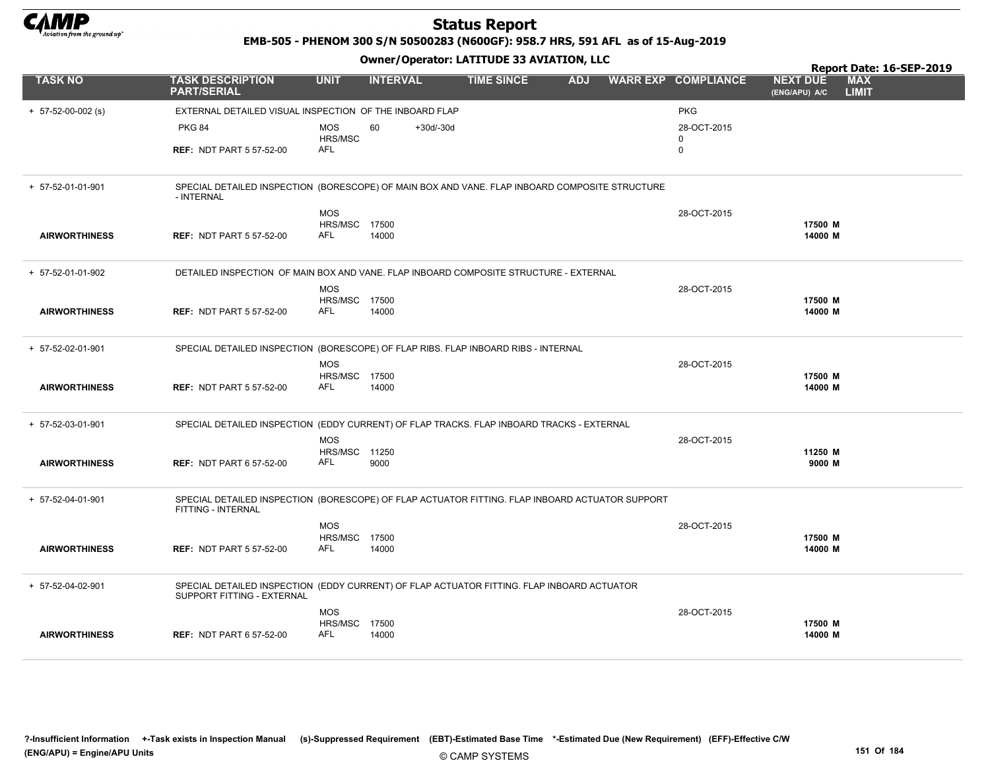

EMB-505 - PHENOM 300 S/N 50500283 (N600GF): 958.7 HRS, 591 AFL as of 15-Aug-2019

#### Owner/Operator: LATITUDE 33 AVIATION, LLC

|                      |                                                                                                                              |                              |                   |                   |            |                            |                                  | Report Date: 16-SEP-2019   |
|----------------------|------------------------------------------------------------------------------------------------------------------------------|------------------------------|-------------------|-------------------|------------|----------------------------|----------------------------------|----------------------------|
| <b>TASK NO</b>       | <b>TASK DESCRIPTION</b><br><b>PART/SERIAL</b>                                                                                | <b>UNIT</b>                  | <b>INTERVAL</b>   | <b>TIME SINCE</b> | <b>ADJ</b> | <b>WARR EXP COMPLIANCE</b> | <b>NEXT DUE</b><br>(ENG/APU) A/C | <b>MAX</b><br><b>LIMIT</b> |
| $+ 57-52-00-002$ (s) | EXTERNAL DETAILED VISUAL INSPECTION OF THE INBOARD FLAP                                                                      |                              |                   |                   |            | <b>PKG</b>                 |                                  |                            |
|                      | <b>PKG 84</b>                                                                                                                | <b>MOS</b>                   | 60<br>$+30d/-30d$ |                   |            | 28-OCT-2015                |                                  |                            |
|                      |                                                                                                                              | HRS/MSC<br>AFL               |                   |                   |            | 0                          |                                  |                            |
|                      | <b>REF: NDT PART 5 57-52-00</b>                                                                                              |                              |                   |                   |            | $\mathbf 0$                |                                  |                            |
| + 57-52-01-01-901    | SPECIAL DETAILED INSPECTION (BORESCOPE) OF MAIN BOX AND VANE. FLAP INBOARD COMPOSITE STRUCTURE<br>- INTERNAL                 |                              |                   |                   |            |                            |                                  |                            |
|                      |                                                                                                                              | <b>MOS</b>                   |                   |                   |            | 28-OCT-2015                |                                  |                            |
|                      |                                                                                                                              | <b>HRS/MSC 17500</b>         |                   |                   |            |                            | 17500 M                          |                            |
| <b>AIRWORTHINESS</b> | <b>REF: NDT PART 5 57-52-00</b>                                                                                              | AFL                          | 14000             |                   |            |                            | 14000 M                          |                            |
| + 57-52-01-01-902    | DETAILED INSPECTION OF MAIN BOX AND VANE. FLAP INBOARD COMPOSITE STRUCTURE - EXTERNAL                                        |                              |                   |                   |            |                            |                                  |                            |
|                      |                                                                                                                              | <b>MOS</b>                   |                   |                   |            | 28-OCT-2015                |                                  |                            |
| <b>AIRWORTHINESS</b> | <b>REF: NDT PART 5 57-52-00</b>                                                                                              | HRS/MSC 17500<br><b>AFL</b>  | 14000             |                   |            |                            | 17500 M<br>14000 M               |                            |
|                      |                                                                                                                              |                              |                   |                   |            |                            |                                  |                            |
| + 57-52-02-01-901    | SPECIAL DETAILED INSPECTION (BORESCOPE) OF FLAP RIBS. FLAP INBOARD RIBS - INTERNAL                                           |                              |                   |                   |            |                            |                                  |                            |
|                      |                                                                                                                              | <b>MOS</b>                   |                   |                   |            | 28-OCT-2015                |                                  |                            |
| <b>AIRWORTHINESS</b> | <b>REF: NDT PART 5 57-52-00</b>                                                                                              | <b>HRS/MSC 17500</b><br>AFL  | 14000             |                   |            |                            | 17500 M<br>14000 M               |                            |
|                      |                                                                                                                              |                              |                   |                   |            |                            |                                  |                            |
| + 57-52-03-01-901    | SPECIAL DETAILED INSPECTION (EDDY CURRENT) OF FLAP TRACKS. FLAP INBOARD TRACKS - EXTERNAL                                    |                              |                   |                   |            |                            |                                  |                            |
|                      |                                                                                                                              | <b>MOS</b>                   |                   |                   |            | 28-OCT-2015                |                                  |                            |
| <b>AIRWORTHINESS</b> | <b>REF: NDT PART 6 57-52-00</b>                                                                                              | <b>HRS/MSC 11250</b><br>AFL  | 9000              |                   |            |                            | 11250 M<br>9000 M                |                            |
|                      |                                                                                                                              |                              |                   |                   |            |                            |                                  |                            |
| + 57-52-04-01-901    | SPECIAL DETAILED INSPECTION (BORESCOPE) OF FLAP ACTUATOR FITTING. FLAP INBOARD ACTUATOR SUPPORT<br><b>FITTING - INTERNAL</b> |                              |                   |                   |            |                            |                                  |                            |
|                      |                                                                                                                              | <b>MOS</b>                   |                   |                   |            | 28-OCT-2015                |                                  |                            |
| <b>AIRWORTHINESS</b> | <b>REF: NDT PART 5 57-52-00</b>                                                                                              | <b>HRS/MSC 17500</b><br>AFL  | 14000             |                   |            |                            | 17500 M<br>14000 M               |                            |
|                      |                                                                                                                              |                              |                   |                   |            |                            |                                  |                            |
| + 57-52-04-02-901    | SPECIAL DETAILED INSPECTION (EDDY CURRENT) OF FLAP ACTUATOR FITTING. FLAP INBOARD ACTUATOR<br>SUPPORT FITTING - EXTERNAL     |                              |                   |                   |            |                            |                                  |                            |
|                      |                                                                                                                              | <b>MOS</b>                   |                   |                   |            | 28-OCT-2015                |                                  |                            |
|                      |                                                                                                                              | <b>HRS/MSC 17500</b><br>AFL. |                   |                   |            |                            | 17500 M                          |                            |
| <b>AIRWORTHINESS</b> | <b>REF: NDT PART 6 57-52-00</b>                                                                                              |                              | 14000             |                   |            |                            | 14000 M                          |                            |

?-Insufficient Information +-Task exists in Inspection Manual (s)-Suppressed Requirement (EBT)-Estimated Base Time \*-Estimated Due (New Requirement) (EFF)-Effective C/W (ENG/APU) = Engine/APU Units 151 Of 184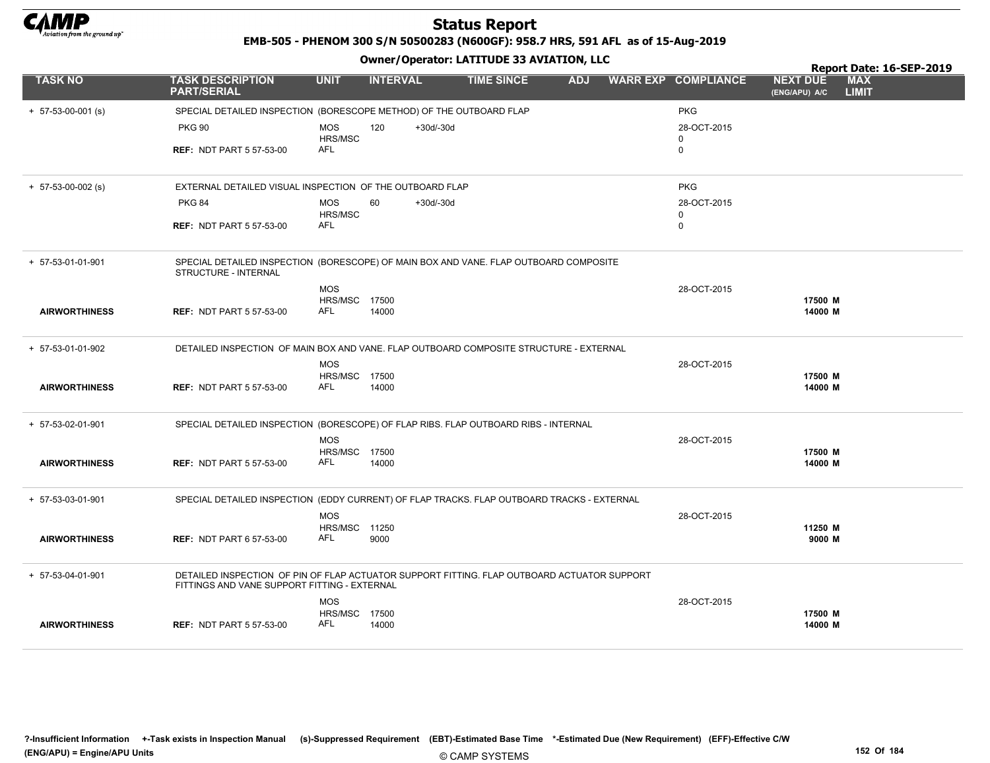

EMB-505 - PHENOM 300 S/N 50500283 (N600GF): 958.7 HRS, 591 AFL as of 15-Aug-2019

|                      |                                                                                                                                             | Owner / Operator. EATITODE 33 AVIATION, LLC |                 |             |                   |            |  |                            |                                  | Report Date: 16-SEP-2019   |  |  |
|----------------------|---------------------------------------------------------------------------------------------------------------------------------------------|---------------------------------------------|-----------------|-------------|-------------------|------------|--|----------------------------|----------------------------------|----------------------------|--|--|
| <b>TASK NO</b>       | <b>TASK DESCRIPTION</b><br><b>PART/SERIAL</b>                                                                                               | <b>UNIT</b>                                 | <b>INTERVAL</b> |             | <b>TIME SINCE</b> | <b>ADJ</b> |  | <b>WARR EXP COMPLIANCE</b> | <b>NEXT DUE</b><br>(ENG/APU) A/C | <b>MAX</b><br><b>LIMIT</b> |  |  |
| $+ 57-53-00-001$ (s) | SPECIAL DETAILED INSPECTION (BORESCOPE METHOD) OF THE OUTBOARD FLAP                                                                         |                                             |                 |             |                   |            |  | <b>PKG</b>                 |                                  |                            |  |  |
|                      | <b>PKG 90</b>                                                                                                                               | <b>MOS</b><br>HRS/MSC                       | 120             | $+30d/-30d$ |                   |            |  | 28-OCT-2015<br>$\mathbf 0$ |                                  |                            |  |  |
|                      | <b>REF: NDT PART 5 57-53-00</b>                                                                                                             | <b>AFL</b>                                  |                 |             |                   |            |  | 0                          |                                  |                            |  |  |
| $+ 57-53-00-002$ (s) | EXTERNAL DETAILED VISUAL INSPECTION OF THE OUTBOARD FLAP                                                                                    |                                             |                 |             |                   |            |  | <b>PKG</b>                 |                                  |                            |  |  |
|                      | <b>PKG 84</b>                                                                                                                               | <b>MOS</b><br>HRS/MSC                       | 60              | $+30d/-30d$ |                   |            |  | 28-OCT-2015<br>$\mathbf 0$ |                                  |                            |  |  |
|                      | <b>REF: NDT PART 5 57-53-00</b>                                                                                                             | <b>AFL</b>                                  |                 |             |                   |            |  | 0                          |                                  |                            |  |  |
| + 57-53-01-01-901    | SPECIAL DETAILED INSPECTION (BORESCOPE) OF MAIN BOX AND VANE. FLAP OUTBOARD COMPOSITE<br><b>STRUCTURE - INTERNAL</b>                        |                                             |                 |             |                   |            |  |                            |                                  |                            |  |  |
|                      |                                                                                                                                             | <b>MOS</b>                                  |                 |             |                   |            |  | 28-OCT-2015                |                                  |                            |  |  |
| <b>AIRWORTHINESS</b> | <b>REF: NDT PART 5 57-53-00</b>                                                                                                             | <b>HRS/MSC 17500</b><br>AFL                 | 14000           |             |                   |            |  |                            | 17500 M<br>14000 M               |                            |  |  |
| + 57-53-01-01-902    | DETAILED INSPECTION OF MAIN BOX AND VANE. FLAP OUTBOARD COMPOSITE STRUCTURE - EXTERNAL                                                      |                                             |                 |             |                   |            |  |                            |                                  |                            |  |  |
|                      |                                                                                                                                             | <b>MOS</b>                                  |                 |             |                   |            |  | 28-OCT-2015                |                                  |                            |  |  |
| <b>AIRWORTHINESS</b> | <b>REF: NDT PART 5 57-53-00</b>                                                                                                             | <b>HRS/MSC 17500</b><br>AFL                 | 14000           |             |                   |            |  |                            | 17500 M<br>14000 M               |                            |  |  |
| + 57-53-02-01-901    | SPECIAL DETAILED INSPECTION (BORESCOPE) OF FLAP RIBS. FLAP OUTBOARD RIBS - INTERNAL                                                         |                                             |                 |             |                   |            |  |                            |                                  |                            |  |  |
|                      |                                                                                                                                             | <b>MOS</b>                                  |                 |             |                   |            |  | 28-OCT-2015                |                                  |                            |  |  |
| <b>AIRWORTHINESS</b> | <b>REF: NDT PART 5 57-53-00</b>                                                                                                             | <b>HRS/MSC 17500</b><br><b>AFL</b>          | 14000           |             |                   |            |  |                            | 17500 M<br>14000 M               |                            |  |  |
| + 57-53-03-01-901    | SPECIAL DETAILED INSPECTION (EDDY CURRENT) OF FLAP TRACKS. FLAP OUTBOARD TRACKS - EXTERNAL                                                  |                                             |                 |             |                   |            |  |                            |                                  |                            |  |  |
|                      |                                                                                                                                             | <b>MOS</b><br>HRS/MSC 11250                 |                 |             |                   |            |  | 28-OCT-2015                | 11250 M                          |                            |  |  |
| <b>AIRWORTHINESS</b> | <b>REF: NDT PART 6 57-53-00</b>                                                                                                             | <b>AFL</b>                                  | 9000            |             |                   |            |  |                            | 9000 M                           |                            |  |  |
| + 57-53-04-01-901    | DETAILED INSPECTION OF PIN OF FLAP ACTUATOR SUPPORT FITTING. FLAP OUTBOARD ACTUATOR SUPPORT<br>FITTINGS AND VANE SUPPORT FITTING - EXTERNAL |                                             |                 |             |                   |            |  |                            |                                  |                            |  |  |
|                      |                                                                                                                                             | <b>MOS</b>                                  |                 |             |                   |            |  | 28-OCT-2015                |                                  |                            |  |  |
| <b>AIRWORTHINESS</b> | <b>REF: NDT PART 5 57-53-00</b>                                                                                                             | HRS/MSC 17500<br><b>AFL</b>                 | 14000           |             |                   |            |  |                            | 17500 M<br>14000 M               |                            |  |  |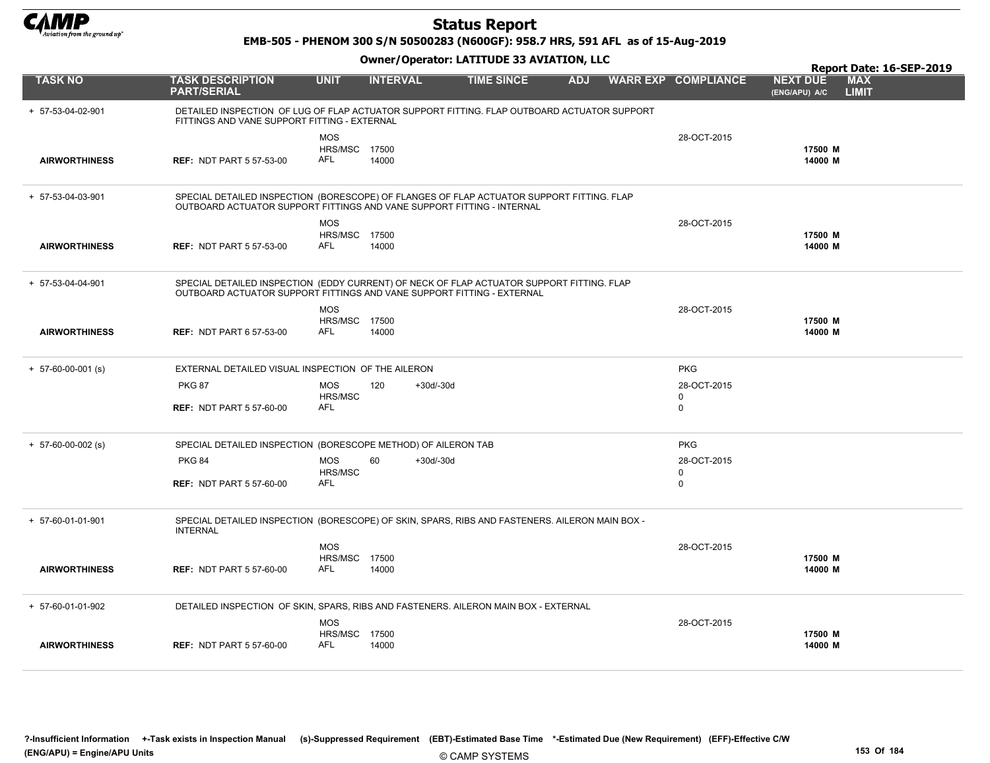

EMB-505 - PHENOM 300 S/N 50500283 (N600GF): 958.7 HRS, 591 AFL as of 15-Aug-2019

|                      |                                                                                                                                                                     |                                    |                 | Owner / Operator. EATITODE 33 AVIATION, LLC |            |                            |                                  | Report Date: 16-SEP-2019   |
|----------------------|---------------------------------------------------------------------------------------------------------------------------------------------------------------------|------------------------------------|-----------------|---------------------------------------------|------------|----------------------------|----------------------------------|----------------------------|
| <b>TASK NO</b>       | <b>TASK DESCRIPTION</b><br><b>PART/SERIAL</b>                                                                                                                       | <b>UNIT</b>                        | <b>INTERVAL</b> | <b>TIME SINCE</b>                           | <b>ADJ</b> | <b>WARR EXP COMPLIANCE</b> | <b>NEXT DUE</b><br>(ENG/APU) A/C | <b>MAX</b><br><b>LIMIT</b> |
| + 57-53-04-02-901    | DETAILED INSPECTION OF LUG OF FLAP ACTUATOR SUPPORT FITTING. FLAP OUTBOARD ACTUATOR SUPPORT<br>FITTINGS AND VANE SUPPORT FITTING - EXTERNAL                         |                                    |                 |                                             |            |                            |                                  |                            |
|                      |                                                                                                                                                                     | <b>MOS</b>                         |                 |                                             |            | 28-OCT-2015                |                                  |                            |
| <b>AIRWORTHINESS</b> | <b>REF: NDT PART 5 57-53-00</b>                                                                                                                                     | <b>HRS/MSC 17500</b><br><b>AFL</b> |                 |                                             |            |                            | 17500 M                          |                            |
|                      |                                                                                                                                                                     |                                    | 14000           |                                             |            |                            | 14000 M                          |                            |
| + 57-53-04-03-901    | SPECIAL DETAILED INSPECTION (BORESCOPE) OF FLANGES OF FLAP ACTUATOR SUPPORT FITTING. FLAP<br>OUTBOARD ACTUATOR SUPPORT FITTINGS AND VANE SUPPORT FITTING - INTERNAL |                                    |                 |                                             |            |                            |                                  |                            |
|                      |                                                                                                                                                                     | <b>MOS</b>                         |                 |                                             |            | 28-OCT-2015                |                                  |                            |
| <b>AIRWORTHINESS</b> | <b>REF: NDT PART 5 57-53-00</b>                                                                                                                                     | <b>HRS/MSC 17500</b><br>AFL        | 14000           |                                             |            |                            | 17500 M<br>14000 M               |                            |
| + 57-53-04-04-901    | SPECIAL DETAILED INSPECTION (EDDY CURRENT) OF NECK OF FLAP ACTUATOR SUPPORT FITTING. FLAP<br>OUTBOARD ACTUATOR SUPPORT FITTINGS AND VANE SUPPORT FITTING - EXTERNAL |                                    |                 |                                             |            |                            |                                  |                            |
|                      |                                                                                                                                                                     | <b>MOS</b>                         |                 |                                             |            | 28-OCT-2015                |                                  |                            |
| <b>AIRWORTHINESS</b> | <b>REF: NDT PART 6 57-53-00</b>                                                                                                                                     | <b>HRS/MSC 17500</b><br>AFL        | 14000           |                                             |            |                            | 17500 M<br>14000 M               |                            |
| $+ 57-60-00-001$ (s) | EXTERNAL DETAILED VISUAL INSPECTION OF THE AILERON                                                                                                                  |                                    |                 |                                             |            | <b>PKG</b>                 |                                  |                            |
|                      | <b>PKG 87</b>                                                                                                                                                       | <b>MOS</b>                         | 120             | $+30d/-30d$                                 |            | 28-OCT-2015                |                                  |                            |
|                      | <b>REF: NDT PART 5 57-60-00</b>                                                                                                                                     | HRS/MSC<br><b>AFL</b>              |                 |                                             |            | 0<br>$\mathbf 0$           |                                  |                            |
| $+ 57-60-00-002$ (s) | SPECIAL DETAILED INSPECTION (BORESCOPE METHOD) OF AILERON TAB                                                                                                       |                                    |                 |                                             |            | <b>PKG</b>                 |                                  |                            |
|                      | <b>PKG 84</b>                                                                                                                                                       | <b>MOS</b><br>HRS/MSC              | 60              | $+30d/-30d$                                 |            | 28-OCT-2015<br>0           |                                  |                            |
|                      | <b>REF: NDT PART 5 57-60-00</b>                                                                                                                                     | AFL                                |                 |                                             |            | $\Omega$                   |                                  |                            |
| + 57-60-01-01-901    | SPECIAL DETAILED INSPECTION (BORESCOPE) OF SKIN, SPARS, RIBS AND FASTENERS. AILERON MAIN BOX -<br><b>INTERNAL</b>                                                   |                                    |                 |                                             |            |                            |                                  |                            |
|                      |                                                                                                                                                                     | <b>MOS</b>                         |                 |                                             |            | 28-OCT-2015                |                                  |                            |
| <b>AIRWORTHINESS</b> | <b>REF: NDT PART 5 57-60-00</b>                                                                                                                                     | <b>HRS/MSC 17500</b><br>AFL        | 14000           |                                             |            |                            | 17500 M<br>14000 M               |                            |
| + 57-60-01-01-902    | DETAILED INSPECTION OF SKIN, SPARS, RIBS AND FASTENERS. AILERON MAIN BOX - EXTERNAL                                                                                 |                                    |                 |                                             |            |                            |                                  |                            |
|                      |                                                                                                                                                                     | <b>MOS</b>                         |                 |                                             |            | 28-OCT-2015                |                                  |                            |
| <b>AIRWORTHINESS</b> | <b>REF: NDT PART 5 57-60-00</b>                                                                                                                                     | <b>HRS/MSC 17500</b><br>AFL        | 14000           |                                             |            |                            | 17500 M<br>14000 M               |                            |
|                      |                                                                                                                                                                     |                                    |                 |                                             |            |                            |                                  |                            |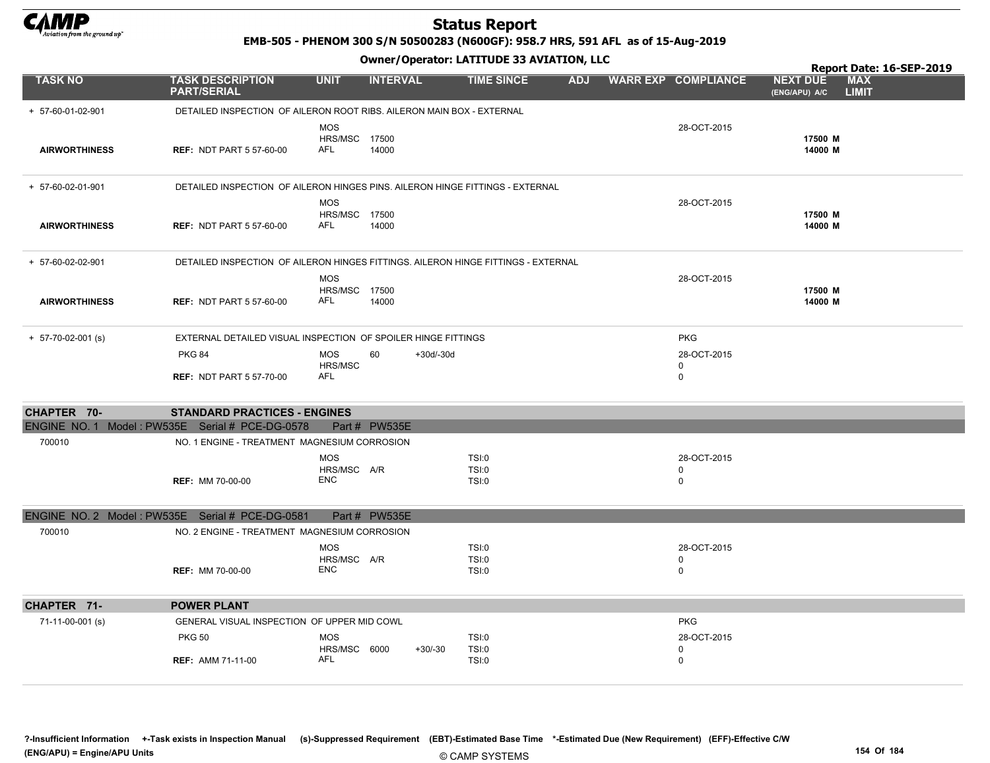

EMB-505 - PHENOM 300 S/N 50500283 (N600GF): 958.7 HRS, 591 AFL as of 15-Aug-2019

|                      |                                                                                   |                                           |                   | Owner / Operator. EATTTODE 33 AVIATION, LLC |            |                                           | Report Date: 16-SEP-2019                                       |
|----------------------|-----------------------------------------------------------------------------------|-------------------------------------------|-------------------|---------------------------------------------|------------|-------------------------------------------|----------------------------------------------------------------|
| <b>TASK NO</b>       | <b>TASK DESCRIPTION</b><br><b>PART/SERIAL</b>                                     | <b>UNIT</b>                               | <b>INTERVAL</b>   | <b>TIME SINCE</b>                           | <b>ADJ</b> | <b>WARR EXP COMPLIANCE</b>                | <b>NEXT DUE</b><br><b>MAX</b><br><b>LIMIT</b><br>(ENG/APU) A/C |
| + 57-60-01-02-901    | DETAILED INSPECTION OF AILERON ROOT RIBS. AILERON MAIN BOX - EXTERNAL             |                                           |                   |                                             |            |                                           |                                                                |
|                      |                                                                                   | <b>MOS</b>                                |                   |                                             |            | 28-OCT-2015                               |                                                                |
| <b>AIRWORTHINESS</b> | <b>REF: NDT PART 5 57-60-00</b>                                                   | <b>HRS/MSC 17500</b><br>AFL               | 14000             |                                             |            |                                           | 17500 M<br>14000 M                                             |
| + 57-60-02-01-901    | DETAILED INSPECTION OF AILERON HINGES PINS. AILERON HINGE FITTINGS - EXTERNAL     |                                           |                   |                                             |            |                                           |                                                                |
| <b>AIRWORTHINESS</b> | <b>REF: NDT PART 5 57-60-00</b>                                                   | <b>MOS</b><br>HRS/MSC 17500<br><b>AFL</b> | 14000             |                                             |            | 28-OCT-2015                               | 17500 M<br>14000 M                                             |
| + 57-60-02-02-901    | DETAILED INSPECTION OF AILERON HINGES FITTINGS. AILERON HINGE FITTINGS - EXTERNAL |                                           |                   |                                             |            |                                           |                                                                |
| <b>AIRWORTHINESS</b> | <b>REF: NDT PART 5 57-60-00</b>                                                   | <b>MOS</b><br>HRS/MSC 17500<br><b>AFL</b> | 14000             |                                             |            | 28-OCT-2015                               | 17500 M<br>14000 M                                             |
| $+ 57-70-02-001$ (s) | EXTERNAL DETAILED VISUAL INSPECTION OF SPOILER HINGE FITTINGS                     |                                           |                   |                                             |            | <b>PKG</b>                                |                                                                |
|                      | <b>PKG 84</b>                                                                     | <b>MOS</b><br>HRS/MSC                     | 60<br>$+30d/-30d$ |                                             |            | 28-OCT-2015<br>$\mathbf 0$                |                                                                |
|                      | <b>REF: NDT PART 5 57-70-00</b>                                                   | AFL                                       |                   |                                             |            | $\mathbf 0$                               |                                                                |
| CHAPTER 70-          | <b>STANDARD PRACTICES - ENGINES</b>                                               |                                           |                   |                                             |            |                                           |                                                                |
|                      | ENGINE NO. 1 Model: PW535E Serial # PCE-DG-0578                                   | Part # PW535E                             |                   |                                             |            |                                           |                                                                |
| 700010               | NO. 1 ENGINE - TREATMENT MAGNESIUM CORROSION                                      |                                           |                   |                                             |            |                                           |                                                                |
|                      |                                                                                   | <b>MOS</b><br>HRS/MSC A/R                 |                   | TSI:0<br>TSI:0                              |            | 28-OCT-2015<br>$\mathbf 0$                |                                                                |
|                      | <b>REF: MM 70-00-00</b>                                                           | <b>ENC</b>                                |                   | TSI:0                                       |            | $\mathbf 0$                               |                                                                |
|                      | ENGINE NO. 2 Model: PW535E Serial # PCE-DG-0581                                   | Part # PW535E                             |                   |                                             |            |                                           |                                                                |
| 700010               | NO. 2 ENGINE - TREATMENT MAGNESIUM CORROSION                                      |                                           |                   |                                             |            |                                           |                                                                |
|                      | <b>REF: MM 70-00-00</b>                                                           | <b>MOS</b><br>HRS/MSC A/R<br><b>ENC</b>   |                   | TSI:0<br><b>TSI:0</b><br><b>TSI:0</b>       |            | 28-OCT-2015<br>$\mathbf 0$<br>$\mathsf 0$ |                                                                |
| CHAPTER 71-          | <b>POWER PLANT</b>                                                                |                                           |                   |                                             |            |                                           |                                                                |
| 71-11-00-001 (s)     | GENERAL VISUAL INSPECTION OF UPPER MID COWL                                       |                                           |                   |                                             |            | <b>PKG</b>                                |                                                                |
|                      | <b>PKG 50</b>                                                                     | <b>MOS</b>                                |                   | TSI:0                                       |            | 28-OCT-2015                               |                                                                |
|                      | <b>REF: AMM 71-11-00</b>                                                          | HRS/MSC 6000<br><b>AFL</b>                | $+30/-30$         | <b>TSI:0</b><br>TSI:0                       |            | 0<br>$\mathbf 0$                          |                                                                |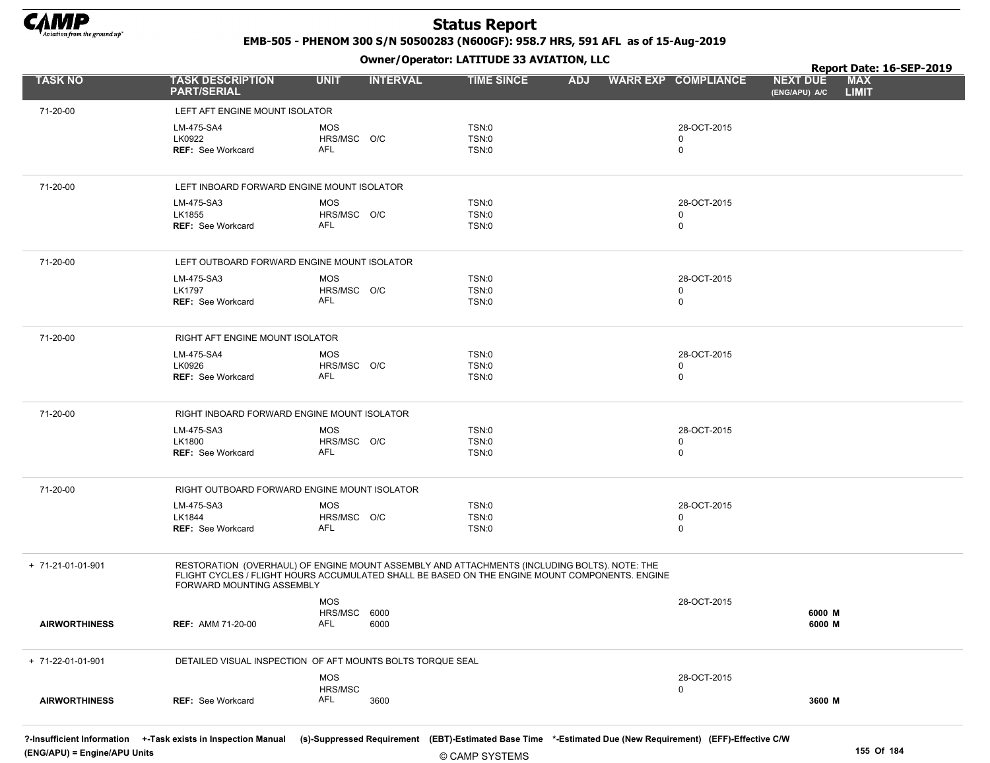

EMB-505 - PHENOM 300 S/N 50500283 (N600GF): 958.7 HRS, 591 AFL as of 15-Aug-2019

Owner/Operator: LATITUDE 33 AVIATION, LLC

|                      |                                                            |                                | Owner / Operator. EATITODE 33 AVIATION, LLC                                                                                                                                                    |            |                            | Report Date: 16-SEP-2019                                       |  |
|----------------------|------------------------------------------------------------|--------------------------------|------------------------------------------------------------------------------------------------------------------------------------------------------------------------------------------------|------------|----------------------------|----------------------------------------------------------------|--|
| <b>TASK NO</b>       | <b>TASK DESCRIPTION</b><br><b>PART/SERIAL</b>              | <b>UNIT</b><br><b>INTERVAL</b> | <b>TIME SINCE</b>                                                                                                                                                                              | <b>ADJ</b> | <b>WARR EXP COMPLIANCE</b> | <b>NEXT DUE</b><br><b>MAX</b><br><b>LIMIT</b><br>(ENG/APU) A/C |  |
| 71-20-00             | LEFT AFT ENGINE MOUNT ISOLATOR                             |                                |                                                                                                                                                                                                |            |                            |                                                                |  |
|                      | LM-475-SA4                                                 | <b>MOS</b>                     | TSN:0                                                                                                                                                                                          |            | 28-OCT-2015                |                                                                |  |
|                      | LK0922                                                     | HRS/MSC O/C                    | TSN:0                                                                                                                                                                                          |            | 0                          |                                                                |  |
|                      | <b>REF: See Workcard</b>                                   | AFL                            | TSN:0                                                                                                                                                                                          |            | 0                          |                                                                |  |
| 71-20-00             | LEFT INBOARD FORWARD ENGINE MOUNT ISOLATOR                 |                                |                                                                                                                                                                                                |            |                            |                                                                |  |
|                      | LM-475-SA3                                                 | <b>MOS</b>                     | TSN:0                                                                                                                                                                                          |            | 28-OCT-2015                |                                                                |  |
|                      | LK1855                                                     | HRS/MSC O/C                    | TSN:0                                                                                                                                                                                          |            | 0                          |                                                                |  |
|                      | <b>REF: See Workcard</b>                                   | AFL                            | TSN:0                                                                                                                                                                                          |            | 0                          |                                                                |  |
| 71-20-00             | LEFT OUTBOARD FORWARD ENGINE MOUNT ISOLATOR                |                                |                                                                                                                                                                                                |            |                            |                                                                |  |
|                      | LM-475-SA3                                                 | <b>MOS</b>                     | TSN:0                                                                                                                                                                                          |            | 28-OCT-2015                |                                                                |  |
|                      | <b>LK1797</b>                                              | HRS/MSC O/C                    | TSN:0                                                                                                                                                                                          |            | 0                          |                                                                |  |
|                      | <b>REF:</b> See Workcard                                   | <b>AFL</b>                     | TSN:0                                                                                                                                                                                          |            | 0                          |                                                                |  |
| 71-20-00             | RIGHT AFT ENGINE MOUNT ISOLATOR                            |                                |                                                                                                                                                                                                |            |                            |                                                                |  |
|                      | LM-475-SA4                                                 | <b>MOS</b>                     | TSN:0                                                                                                                                                                                          |            | 28-OCT-2015                |                                                                |  |
|                      | LK0926                                                     | HRS/MSC O/C                    | TSN:0                                                                                                                                                                                          |            | 0                          |                                                                |  |
|                      | <b>REF: See Workcard</b>                                   | AFL                            | TSN:0                                                                                                                                                                                          |            | 0                          |                                                                |  |
| 71-20-00             | RIGHT INBOARD FORWARD ENGINE MOUNT ISOLATOR                |                                |                                                                                                                                                                                                |            |                            |                                                                |  |
|                      | LM-475-SA3                                                 | <b>MOS</b>                     | TSN:0                                                                                                                                                                                          |            | 28-OCT-2015                |                                                                |  |
|                      | LK1800<br><b>REF:</b> See Workcard                         | HRS/MSC O/C<br><b>AFL</b>      | TSN:0<br>TSN:0                                                                                                                                                                                 |            | 0<br>0                     |                                                                |  |
|                      |                                                            |                                |                                                                                                                                                                                                |            |                            |                                                                |  |
| 71-20-00             | RIGHT OUTBOARD FORWARD ENGINE MOUNT ISOLATOR               |                                |                                                                                                                                                                                                |            |                            |                                                                |  |
|                      | LM-475-SA3                                                 | <b>MOS</b>                     | TSN:0                                                                                                                                                                                          |            | 28-OCT-2015                |                                                                |  |
|                      | LK1844<br><b>REF: See Workcard</b>                         | HRS/MSC O/C<br>AFL             | TSN:0<br>TSN:0                                                                                                                                                                                 |            | 0<br>$\mathbf 0$           |                                                                |  |
|                      |                                                            |                                |                                                                                                                                                                                                |            |                            |                                                                |  |
| + 71-21-01-01-901    | FORWARD MOUNTING ASSEMBLY                                  |                                | RESTORATION (OVERHAUL) OF ENGINE MOUNT ASSEMBLY AND ATTACHMENTS (INCLUDING BOLTS). NOTE: THE<br>FLIGHT CYCLES / FLIGHT HOURS ACCUMULATED SHALL BE BASED ON THE ENGINE MOUNT COMPONENTS. ENGINE |            |                            |                                                                |  |
|                      |                                                            | <b>MOS</b>                     |                                                                                                                                                                                                |            | 28-OCT-2015                |                                                                |  |
|                      |                                                            | HRS/MSC 6000                   |                                                                                                                                                                                                |            |                            | 6000 M                                                         |  |
| <b>AIRWORTHINESS</b> | <b>REF: AMM 71-20-00</b>                                   | AFL<br>6000                    |                                                                                                                                                                                                |            |                            | 6000 M                                                         |  |
| + 71-22-01-01-901    | DETAILED VISUAL INSPECTION OF AFT MOUNTS BOLTS TORQUE SEAL |                                |                                                                                                                                                                                                |            |                            |                                                                |  |
|                      |                                                            | <b>MOS</b>                     |                                                                                                                                                                                                |            | 28-OCT-2015                |                                                                |  |
|                      |                                                            | HRS/MSC                        |                                                                                                                                                                                                |            | 0                          |                                                                |  |
| <b>AIRWORTHINESS</b> | <b>REF: See Workcard</b>                                   | AFL<br>3600                    |                                                                                                                                                                                                |            |                            | 3600 M                                                         |  |
|                      |                                                            |                                |                                                                                                                                                                                                |            |                            |                                                                |  |

?-Insufficient Information +-Task exists in Inspection Manual (s)-Suppressed Requirement (EBT)-Estimated Base Time \*-Estimated Due (New Requirement) (EFF)-Effective C/W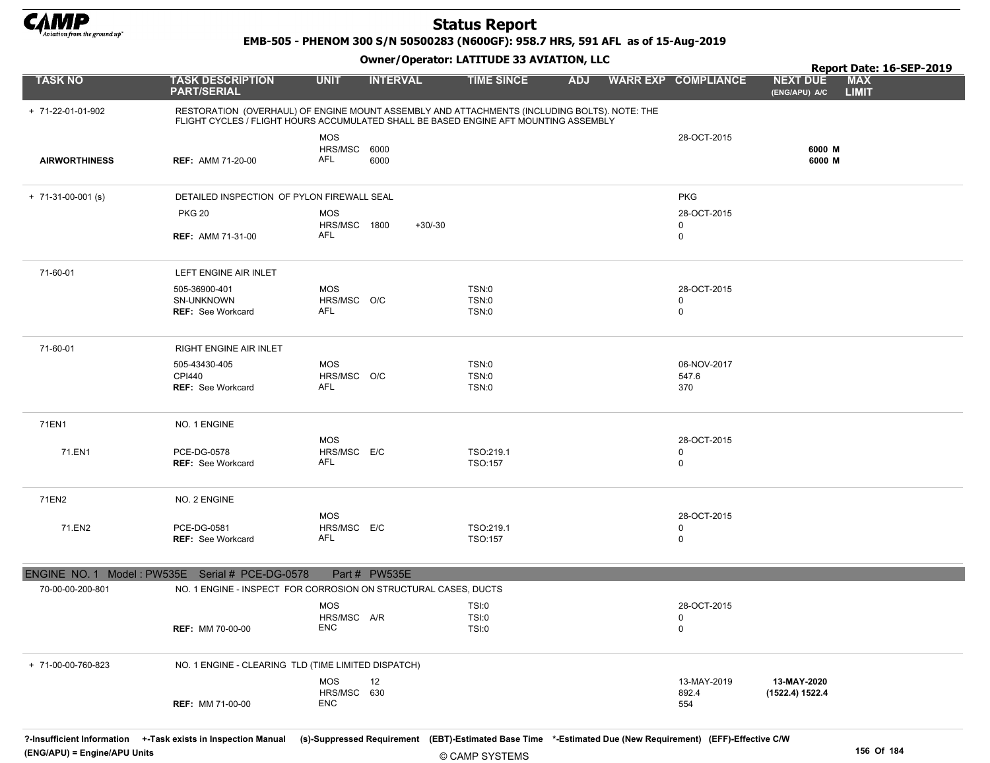

EMB-505 - PHENOM 300 S/N 50500283 (N600GF): 958.7 HRS, 591 AFL as of 15-Aug-2019

|                      |                                                                                                                                                                                      |                            | .               |                              |            |                            | Report Date: 16-SEP-2019                                       |
|----------------------|--------------------------------------------------------------------------------------------------------------------------------------------------------------------------------------|----------------------------|-----------------|------------------------------|------------|----------------------------|----------------------------------------------------------------|
| <b>TASK NO</b>       | <b>TASK DESCRIPTION</b><br><b>PART/SERIAL</b>                                                                                                                                        | <b>UNIT</b>                | <b>INTERVAL</b> | <b>TIME SINCE</b>            | <b>ADJ</b> | <b>WARR EXP COMPLIANCE</b> | <b>MAX</b><br><b>NEXT DUE</b><br><b>LIMIT</b><br>(ENG/APU) A/C |
| + 71-22-01-01-902    | RESTORATION (OVERHAUL) OF ENGINE MOUNT ASSEMBLY AND ATTACHMENTS (INCLUDING BOLTS). NOTE: THE<br>FLIGHT CYCLES / FLIGHT HOURS ACCUMULATED SHALL BE BASED ENGINE AFT MOUNTING ASSEMBLY |                            |                 |                              |            |                            |                                                                |
|                      |                                                                                                                                                                                      | <b>MOS</b>                 |                 |                              |            | 28-OCT-2015                |                                                                |
| <b>AIRWORTHINESS</b> | <b>REF: AMM 71-20-00</b>                                                                                                                                                             | HRS/MSC 6000<br>AFL        | 6000            |                              |            |                            | 6000 M<br>6000 M                                               |
| $+ 71-31-00-001$ (s) | DETAILED INSPECTION OF PYLON FIREWALL SEAL                                                                                                                                           |                            |                 |                              |            | <b>PKG</b>                 |                                                                |
|                      | <b>PKG 20</b>                                                                                                                                                                        | <b>MOS</b><br>HRS/MSC 1800 | $+30/30$        |                              |            | 28-OCT-2015<br>0           |                                                                |
|                      | <b>REF: AMM 71-31-00</b>                                                                                                                                                             | AFL                        |                 |                              |            | $\mathbf 0$                |                                                                |
| 71-60-01             | LEFT ENGINE AIR INLET                                                                                                                                                                |                            |                 |                              |            |                            |                                                                |
|                      | 505-36900-401                                                                                                                                                                        | <b>MOS</b>                 |                 | TSN:0                        |            | 28-OCT-2015                |                                                                |
|                      | SN-UNKNOWN                                                                                                                                                                           | HRS/MSC O/C<br>AFL         |                 | TSN:0                        |            | 0                          |                                                                |
|                      | <b>REF: See Workcard</b>                                                                                                                                                             |                            |                 | TSN:0                        |            | $\mathbf 0$                |                                                                |
| 71-60-01             | RIGHT ENGINE AIR INLET                                                                                                                                                               |                            |                 |                              |            |                            |                                                                |
|                      | 505-43430-405                                                                                                                                                                        | MOS                        |                 | <b>TSN:0</b>                 |            | 06-NOV-2017                |                                                                |
|                      | <b>CPI440</b><br>REF: See Workcard                                                                                                                                                   | HRS/MSC O/C<br>AFL         |                 | <b>TSN:0</b><br><b>TSN:0</b> |            | 547.6<br>370               |                                                                |
|                      |                                                                                                                                                                                      |                            |                 |                              |            |                            |                                                                |
| 71EN1                | NO. 1 ENGINE                                                                                                                                                                         |                            |                 |                              |            |                            |                                                                |
| 71.EN1               | PCE-DG-0578                                                                                                                                                                          | <b>MOS</b><br>HRS/MSC E/C  |                 | TSO:219.1                    |            | 28-OCT-2015<br>0           |                                                                |
|                      | <b>REF: See Workcard</b>                                                                                                                                                             | AFL                        |                 | TSO:157                      |            | $\mathbf 0$                |                                                                |
| 71EN2                | NO. 2 ENGINE                                                                                                                                                                         |                            |                 |                              |            |                            |                                                                |
|                      |                                                                                                                                                                                      | <b>MOS</b>                 |                 |                              |            | 28-OCT-2015                |                                                                |
| 71.EN2               | PCE-DG-0581                                                                                                                                                                          | HRS/MSC E/C                |                 | TSO:219.1                    |            | 0                          |                                                                |
|                      | <b>REF: See Workcard</b>                                                                                                                                                             | AFL                        |                 | TSO:157                      |            | 0                          |                                                                |
|                      | ENGINE NO. 1 Model: PW535E Serial # PCE-DG-0578                                                                                                                                      |                            | Part # PW535E   |                              |            |                            |                                                                |
| 70-00-00-200-801     | NO. 1 ENGINE - INSPECT FOR CORROSION ON STRUCTURAL CASES, DUCTS                                                                                                                      |                            |                 |                              |            |                            |                                                                |
|                      |                                                                                                                                                                                      | <b>MOS</b><br>HRS/MSC A/R  |                 | TSI:0<br>TSI:0               |            | 28-OCT-2015<br>0           |                                                                |
|                      | <b>REF: MM 70-00-00</b>                                                                                                                                                              | <b>ENC</b>                 |                 | TSI:0                        |            | $\mathbf 0$                |                                                                |
|                      |                                                                                                                                                                                      |                            |                 |                              |            |                            |                                                                |
| + 71-00-00-760-823   | NO. 1 ENGINE - CLEARING TLD (TIME LIMITED DISPATCH)                                                                                                                                  |                            |                 |                              |            |                            |                                                                |
|                      |                                                                                                                                                                                      | <b>MOS</b><br>HRS/MSC 630  | 12              |                              |            | 13-MAY-2019<br>892.4       | 13-MAY-2020<br>(1522.4) 1522.4                                 |
|                      | <b>REF: MM 71-00-00</b>                                                                                                                                                              | <b>ENC</b>                 |                 |                              |            | 554                        |                                                                |
|                      |                                                                                                                                                                                      |                            |                 |                              |            |                            |                                                                |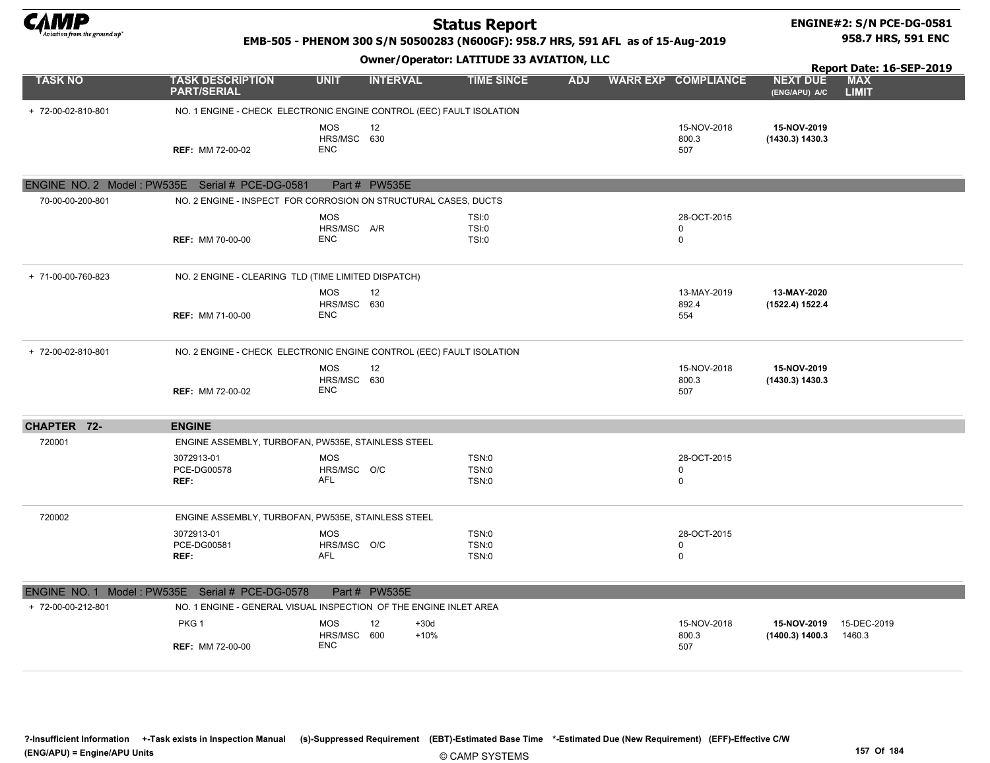

#### ENGINE#2: S/N PCE-DG-0581 958.7 HRS, 591 ENC

#### EMB-505 - PHENOM 300 S/N 50500283 (N600GF): 958.7 HRS, 591 AFL as of 15-Aug-2019

| <b>Owner/Operator: LATITUDE 33 AVIATION, LLC</b> |                                                                      |                                         |                        |                                |            |  |                                           |                                  | Report Date: 16-SEP-2019   |
|--------------------------------------------------|----------------------------------------------------------------------|-----------------------------------------|------------------------|--------------------------------|------------|--|-------------------------------------------|----------------------------------|----------------------------|
| <b>TASK NO</b>                                   | <b>TASK DESCRIPTION</b><br><b>PART/SERIAL</b>                        | <b>UNIT</b>                             | <b>INTERVAL</b>        | <b>TIME SINCE</b>              | <b>ADJ</b> |  | <b>WARR EXP COMPLIANCE</b>                | <b>NEXT DUE</b><br>(ENG/APU) A/C | <b>MAX</b><br><b>LIMIT</b> |
| + 72-00-02-810-801                               | NO. 1 ENGINE - CHECK ELECTRONIC ENGINE CONTROL (EEC) FAULT ISOLATION |                                         |                        |                                |            |  |                                           |                                  |                            |
|                                                  | <b>REF: MM 72-00-02</b>                                              | <b>MOS</b><br>HRS/MSC 630<br><b>ENC</b> | 12                     |                                |            |  | 15-NOV-2018<br>800.3<br>507               | 15-NOV-2019<br>(1430.3) 1430.3   |                            |
|                                                  | ENGINE NO. 2 Model: PW535E Serial # PCE-DG-0581                      |                                         | Part # PW535E          |                                |            |  |                                           |                                  |                            |
| 70-00-00-200-801                                 | NO. 2 ENGINE - INSPECT FOR CORROSION ON STRUCTURAL CASES, DUCTS      |                                         |                        |                                |            |  |                                           |                                  |                            |
|                                                  | <b>REF: MM 70-00-00</b>                                              | <b>MOS</b><br>HRS/MSC A/R<br><b>ENC</b> |                        | TSI:0<br>TSI:0<br>TSI:0        |            |  | 28-OCT-2015<br>0<br>$\mathbf 0$           |                                  |                            |
| + 71-00-00-760-823                               | NO. 2 ENGINE - CLEARING TLD (TIME LIMITED DISPATCH)                  |                                         |                        |                                |            |  |                                           |                                  |                            |
|                                                  | <b>REF: MM 71-00-00</b>                                              | <b>MOS</b><br>HRS/MSC 630<br><b>ENC</b> | 12                     |                                |            |  | 13-MAY-2019<br>892.4<br>554               | 13-MAY-2020<br>(1522.4) 1522.4   |                            |
| + 72-00-02-810-801                               | NO. 2 ENGINE - CHECK ELECTRONIC ENGINE CONTROL (EEC) FAULT ISOLATION |                                         |                        |                                |            |  |                                           |                                  |                            |
|                                                  | <b>REF: MM 72-00-02</b>                                              | <b>MOS</b><br>HRS/MSC 630<br><b>ENC</b> | 12                     |                                |            |  | 15-NOV-2018<br>800.3<br>507               | 15-NOV-2019<br>(1430.3) 1430.3   |                            |
| CHAPTER 72-                                      | <b>ENGINE</b>                                                        |                                         |                        |                                |            |  |                                           |                                  |                            |
| 720001                                           | ENGINE ASSEMBLY, TURBOFAN, PW535E, STAINLESS STEEL                   |                                         |                        |                                |            |  |                                           |                                  |                            |
|                                                  | 3072913-01<br>PCE-DG00578<br>REF:                                    | <b>MOS</b><br>HRS/MSC O/C<br>AFL        |                        | TSN:0<br>TSN:0<br>TSN:0        |            |  | 28-OCT-2015<br>$\mathbf 0$<br>$\mathsf 0$ |                                  |                            |
| 720002                                           | ENGINE ASSEMBLY, TURBOFAN, PW535E, STAINLESS STEEL                   |                                         |                        |                                |            |  |                                           |                                  |                            |
|                                                  | 3072913-01<br>PCE-DG00581<br>REF:                                    | <b>MOS</b><br>HRS/MSC O/C<br><b>AFL</b> |                        | TSN:0<br><b>TSN:0</b><br>TSN:0 |            |  | 28-OCT-2015<br>$\mathbf 0$<br>$\mathbf 0$ |                                  |                            |
|                                                  | ENGINE NO. 1 Model: PW535E Serial # PCE-DG-0578                      |                                         | Part # PW535E          |                                |            |  |                                           |                                  |                            |
| + 72-00-00-212-801                               | NO. 1 ENGINE - GENERAL VISUAL INSPECTION OF THE ENGINE INLET AREA    |                                         |                        |                                |            |  |                                           |                                  |                            |
|                                                  | PKG <sub>1</sub><br><b>REF: MM 72-00-00</b>                          | <b>MOS</b><br>HRS/MSC 600<br><b>ENC</b> | 12<br>$+30d$<br>$+10%$ |                                |            |  | 15-NOV-2018<br>800.3<br>507               | 15-NOV-2019<br>(1400.3) 1400.3   | 15-DEC-2019<br>1460.3      |

?-Insufficient Information +-Task exists in Inspection Manual (s)-Suppressed Requirement (EBT)-Estimated Base Time \*-Estimated Due (New Requirement) (EFF)-Effective C/W (ENG/APU) = Engine/APU Units 157 Of 184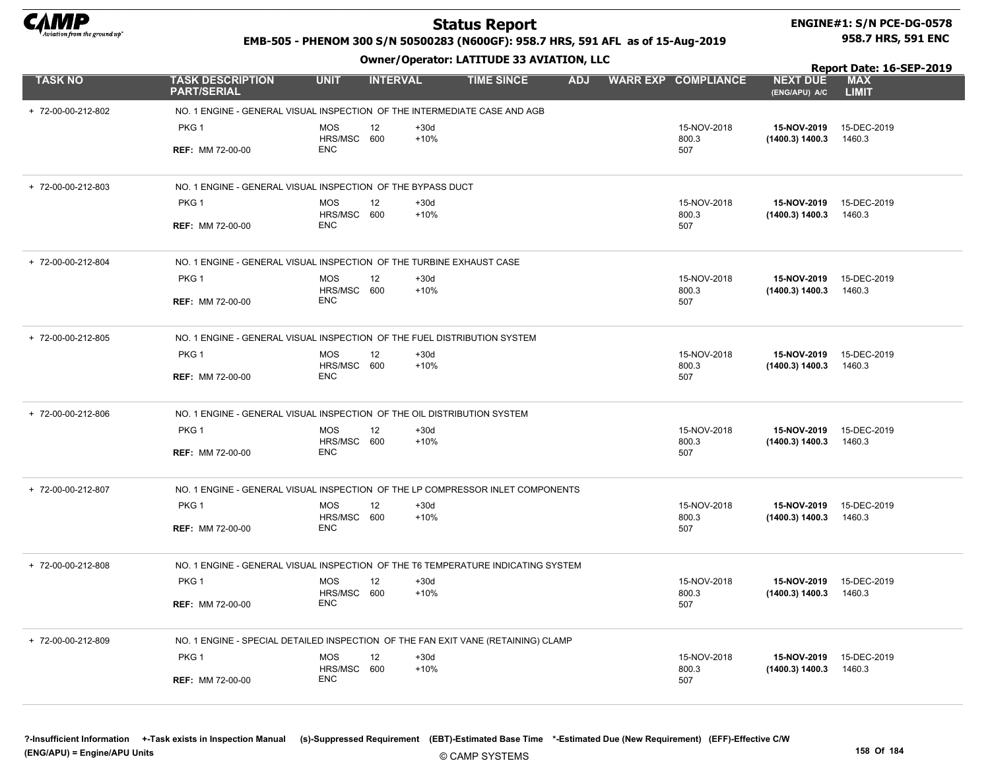

#### ENGINE#1: S/N PCE-DG-0578 958.7 HRS, 591 ENC

#### EMB-505 - PHENOM 300 S/N 50500283 (N600GF): 958.7 HRS, 591 AFL as of 15-Aug-2019

Owner/Operator: LATITUDE 33 AVIATION, LLC

Report Date: 16-SEP-2019

| <b>TASK NO</b>     | <b>TASK DESCRIPTION</b><br><b>PART/SERIAL</b>                                     | <b>UNIT</b>               | <b>INTERVAL</b> |                  | <b>TIME SINCE</b> | <b>ADJ</b> | <b>WARR EXP COMPLIANCE</b> | <b>NEXT DUE</b><br>(ENG/APU) A/C | <b>MAX</b><br><b>LIMIT</b> |
|--------------------|-----------------------------------------------------------------------------------|---------------------------|-----------------|------------------|-------------------|------------|----------------------------|----------------------------------|----------------------------|
| + 72-00-00-212-802 | NO. 1 ENGINE - GENERAL VISUAL INSPECTION OF THE INTERMEDIATE CASE AND AGB         |                           |                 |                  |                   |            |                            |                                  |                            |
|                    | PKG 1                                                                             | <b>MOS</b>                | 12              | $+30d$           |                   |            | 15-NOV-2018                | 15-NOV-2019                      | 15-DEC-2019                |
|                    | <b>REF: MM 72-00-00</b>                                                           | HRS/MSC 600<br><b>ENC</b> |                 | $+10%$           |                   |            | 800.3<br>507               | (1400.3) 1400.3                  | 1460.3                     |
| + 72-00-00-212-803 | NO. 1 ENGINE - GENERAL VISUAL INSPECTION OF THE BYPASS DUCT                       |                           |                 |                  |                   |            |                            |                                  |                            |
|                    | PKG <sub>1</sub>                                                                  | <b>MOS</b>                | 12              | $+30d$           |                   |            | 15-NOV-2018                | 15-NOV-2019                      | 15-DEC-2019                |
|                    | <b>REF: MM 72-00-00</b>                                                           | HRS/MSC 600<br><b>ENC</b> |                 | $+10%$           |                   |            | 800.3<br>507               | (1400.3) 1400.3                  | 1460.3                     |
| + 72-00-00-212-804 | NO. 1 ENGINE - GENERAL VISUAL INSPECTION OF THE TURBINE EXHAUST CASE              |                           |                 |                  |                   |            |                            |                                  |                            |
|                    | PKG 1                                                                             | <b>MOS</b><br>HRS/MSC 600 | 12              | $+30d$<br>$+10%$ |                   |            | 15-NOV-2018                | 15-NOV-2019                      | 15-DEC-2019                |
|                    | <b>REF: MM 72-00-00</b>                                                           | <b>ENC</b>                |                 |                  |                   |            | 800.3<br>507               | (1400.3) 1400.3                  | 1460.3                     |
| + 72-00-00-212-805 | NO. 1 ENGINE - GENERAL VISUAL INSPECTION OF THE FUEL DISTRIBUTION SYSTEM          |                           |                 |                  |                   |            |                            |                                  |                            |
|                    | PKG 1                                                                             | <b>MOS</b>                | 12              | $+30d$<br>$+10%$ |                   |            | 15-NOV-2018                | 15-NOV-2019                      | 15-DEC-2019                |
|                    | <b>REF: MM 72-00-00</b>                                                           | HRS/MSC 600<br><b>ENC</b> |                 |                  |                   |            | 800.3<br>507               | (1400.3) 1400.3                  | 1460.3                     |
| + 72-00-00-212-806 | NO. 1 ENGINE - GENERAL VISUAL INSPECTION OF THE OIL DISTRIBUTION SYSTEM           |                           |                 |                  |                   |            |                            |                                  |                            |
|                    | PKG 1                                                                             | <b>MOS</b>                | 12              | $+30d$           |                   |            | 15-NOV-2018                | 15-NOV-2019                      | 15-DEC-2019                |
|                    | <b>REF: MM 72-00-00</b>                                                           | HRS/MSC 600<br><b>ENC</b> |                 | $+10%$           |                   |            | 800.3<br>507               | (1400.3) 1400.3                  | 1460.3                     |
| + 72-00-00-212-807 | NO. 1 ENGINE - GENERAL VISUAL INSPECTION OF THE LP COMPRESSOR INLET COMPONENTS    |                           |                 |                  |                   |            |                            |                                  |                            |
|                    | PKG 1                                                                             | <b>MOS</b>                | 12              | $+30d$           |                   |            | 15-NOV-2018                | 15-NOV-2019                      | 15-DEC-2019                |
|                    | <b>REF: MM 72-00-00</b>                                                           | HRS/MSC 600<br><b>ENC</b> |                 | $+10%$           |                   |            | 800.3<br>507               | (1400.3) 1400.3                  | 1460.3                     |
| + 72-00-00-212-808 | NO. 1 ENGINE - GENERAL VISUAL INSPECTION OF THE T6 TEMPERATURE INDICATING SYSTEM  |                           |                 |                  |                   |            |                            |                                  |                            |
|                    | PKG 1                                                                             | <b>MOS</b>                | 12              | $+30d$           |                   |            | 15-NOV-2018                | 15-NOV-2019                      | 15-DEC-2019                |
|                    | <b>REF: MM 72-00-00</b>                                                           | HRS/MSC 600<br><b>ENC</b> |                 | $+10%$           |                   |            | 800.3<br>507               | (1400.3) 1400.3                  | 1460.3                     |
| + 72-00-00-212-809 | NO. 1 ENGINE - SPECIAL DETAILED INSPECTION OF THE FAN EXIT VANE (RETAINING) CLAMP |                           |                 |                  |                   |            |                            |                                  |                            |
|                    | PKG 1                                                                             | <b>MOS</b>                | 12              | $+30d$           |                   |            | 15-NOV-2018                | 15-NOV-2019                      | 15-DEC-2019                |
|                    | <b>REF: MM 72-00-00</b>                                                           | HRS/MSC 600<br><b>ENC</b> |                 | $+10%$           |                   |            | 800.3<br>507               | (1400.3) 1400.3                  | 1460.3                     |
|                    |                                                                                   |                           |                 |                  |                   |            |                            |                                  |                            |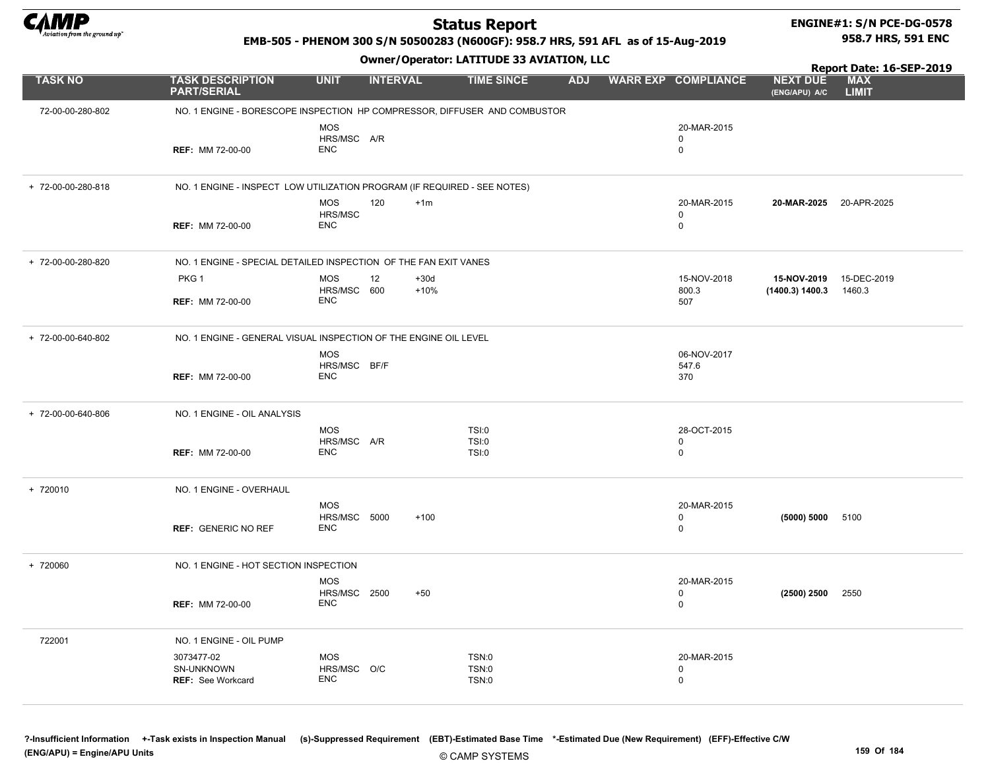

#### ENGINE#1: S/N PCE-DG-0578 958.7 HRS, 591 ENC

Report Date: 16-SEP-2019

#### EMB-505 - PHENOM 300 S/N 50500283 (N600GF): 958.7 HRS, 591 AFL as of 15-Aug-2019

#### Owner/Operator: LATITUDE 33 AVIATION, LLC

| <b>TASK NO</b>     | <b>TASK DESCRIPTION</b><br><b>PART/SERIAL</b>                             | <b>UNIT</b>                              | <b>INTERVAL</b>        | <b>TIME SINCE</b>              | <b>ADJ</b> | <b>WARR EXP COMPLIANCE</b>      | <b>NEXT DUE</b><br>(ENG/APU) A/C           | <b>MAX</b><br><b>LIMIT</b> |
|--------------------|---------------------------------------------------------------------------|------------------------------------------|------------------------|--------------------------------|------------|---------------------------------|--------------------------------------------|----------------------------|
| 72-00-00-280-802   | NO. 1 ENGINE - BORESCOPE INSPECTION HP COMPRESSOR, DIFFUSER AND COMBUSTOR |                                          |                        |                                |            |                                 |                                            |                            |
|                    | <b>REF: MM 72-00-00</b>                                                   | MOS<br>HRS/MSC A/R<br><b>ENC</b>         |                        |                                |            | 20-MAR-2015<br>0<br>0           |                                            |                            |
| + 72-00-00-280-818 | NO. 1 ENGINE - INSPECT LOW UTILIZATION PROGRAM (IF REQUIRED - SEE NOTES)  |                                          |                        |                                |            |                                 |                                            |                            |
|                    | <b>REF: MM 72-00-00</b>                                                   | <b>MOS</b><br>HRS/MSC<br><b>ENC</b>      | 120<br>$+1m$           |                                |            | 20-MAR-2015<br>0<br>0           | 20-MAR-2025 20-APR-2025                    |                            |
| +72-00-00-280-820  | NO. 1 ENGINE - SPECIAL DETAILED INSPECTION OF THE FAN EXIT VANES          |                                          |                        |                                |            |                                 |                                            |                            |
|                    | PKG 1                                                                     | MOS<br>HRS/MSC 600                       | 12<br>$+30d$<br>$+10%$ |                                |            | 15-NOV-2018<br>800.3            | 15-NOV-2019 15-DEC-2019<br>(1400.3) 1400.3 | 1460.3                     |
|                    | <b>REF: MM 72-00-00</b>                                                   | ENC                                      |                        |                                |            | 507                             |                                            |                            |
| + 72-00-00-640-802 | NO. 1 ENGINE - GENERAL VISUAL INSPECTION OF THE ENGINE OIL LEVEL          |                                          |                        |                                |            |                                 |                                            |                            |
|                    | <b>REF: MM 72-00-00</b>                                                   | <b>MOS</b><br>HRS/MSC BF/F<br><b>ENC</b> |                        |                                |            | 06-NOV-2017<br>547.6<br>370     |                                            |                            |
| + 72-00-00-640-806 | NO. 1 ENGINE - OIL ANALYSIS                                               |                                          |                        |                                |            |                                 |                                            |                            |
|                    | <b>REF: MM 72-00-00</b>                                                   | <b>MOS</b><br>HRS/MSC A/R<br>ENC         |                        | TSI:0<br>TSI:0<br>TSI:0        |            | 28-OCT-2015<br>0<br>0           |                                            |                            |
| + 720010           | NO. 1 ENGINE - OVERHAUL                                                   |                                          |                        |                                |            |                                 |                                            |                            |
|                    | <b>REF: GENERIC NO REF</b>                                                | <b>MOS</b><br>HRS/MSC 5000<br><b>ENC</b> | $+100$                 |                                |            | 20-MAR-2015<br>0<br>0           | (5000) 5000                                | 5100                       |
| + 720060           | NO. 1 ENGINE - HOT SECTION INSPECTION                                     |                                          |                        |                                |            |                                 |                                            |                            |
|                    | <b>REF: MM 72-00-00</b>                                                   | <b>MOS</b><br>HRS/MSC 2500<br><b>ENC</b> | $+50$                  |                                |            | 20-MAR-2015<br>0<br>$\mathbf 0$ | (2500) 2500                                | 2550                       |
| 722001             | NO. 1 ENGINE - OIL PUMP                                                   |                                          |                        |                                |            |                                 |                                            |                            |
|                    | 3073477-02<br>SN-UNKNOWN<br><b>REF: See Workcard</b>                      | <b>MOS</b><br>HRS/MSC O/C<br><b>ENC</b>  |                        | TSN:0<br><b>TSN:0</b><br>TSN:0 |            | 20-MAR-2015<br>0<br>0           |                                            |                            |

?-Insufficient Information +-Task exists in Inspection Manual (s)-Suppressed Requirement (EBT)-Estimated Base Time \*-Estimated Due (New Requirement) (EFF)-Effective C/W (ENG/APU) = Engine/APU Units 159 Of 184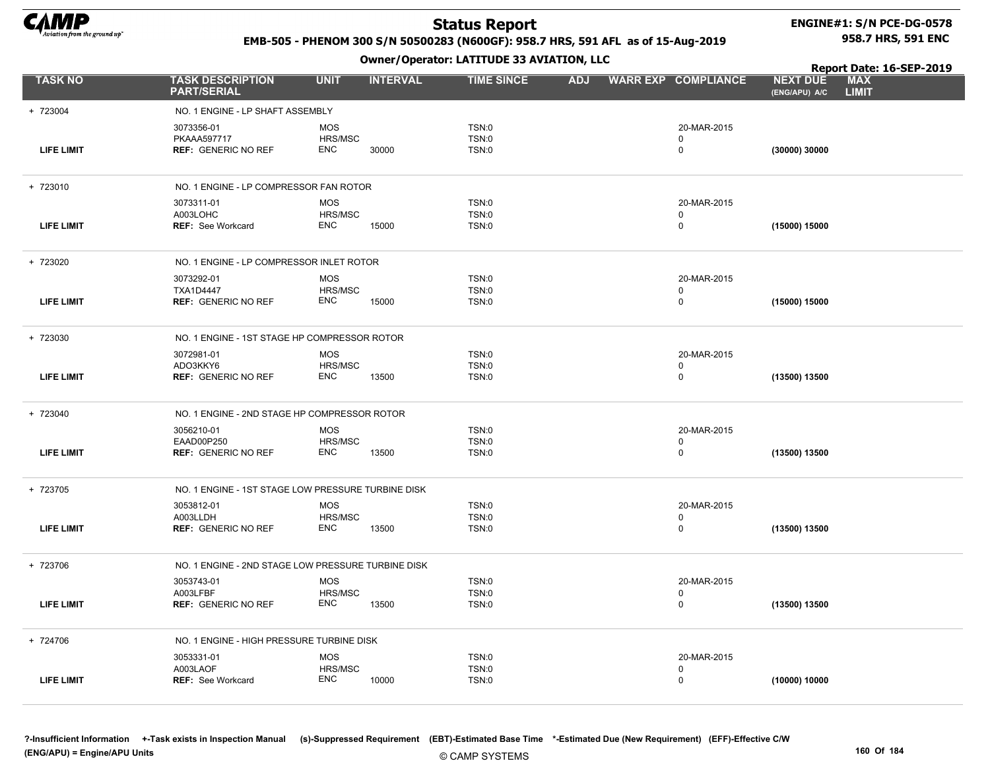

#### ENGINE#1: S/N PCE-DG-0578 958.7 HRS, 591 ENC

#### EMB-505 - PHENOM 300 S/N 50500283 (N600GF): 958.7 HRS, 591 AFL as of 15-Aug-2019

Owner/Operator: LATITUDE 33 AVIATION, LLC

LIMIT Report Date: 16-SEP-2019 (ENG/APU) A/C

| <b>TASK NO</b>    | <b>TASK DESCRIPTION</b><br><b>PART/SERIAL</b>      | <b>UNIT</b>           | <b>INTERVAL</b> | <b>TIME SINCE</b>     | <b>ADJ</b> | <b>WARR EXP COMPLIANCE</b> | <b>NEXT DUE</b><br>(ENG/APU) A/C | <b>MAX</b><br><b>LIMIT</b> |
|-------------------|----------------------------------------------------|-----------------------|-----------------|-----------------------|------------|----------------------------|----------------------------------|----------------------------|
| + 723004          | NO. 1 ENGINE - LP SHAFT ASSEMBLY                   |                       |                 |                       |            |                            |                                  |                            |
|                   | 3073356-01                                         | <b>MOS</b>            |                 | TSN:0                 |            | 20-MAR-2015                |                                  |                            |
| <b>LIFE LIMIT</b> | PKAAA597717<br><b>REF: GENERIC NO REF</b>          | HRS/MSC<br>ENC        | 30000           | TSN:0<br>TSN:0        |            | $\Omega$<br>$\pmb{0}$      | (30000) 30000                    |                            |
|                   |                                                    |                       |                 |                       |            |                            |                                  |                            |
| + 723010          | NO. 1 ENGINE - LP COMPRESSOR FAN ROTOR             |                       |                 |                       |            |                            |                                  |                            |
|                   | 3073311-01                                         | <b>MOS</b>            |                 | TSN:0                 |            | 20-MAR-2015                |                                  |                            |
| <b>LIFE LIMIT</b> | A003LOHC<br><b>REF: See Workcard</b>               | HRS/MSC<br>ENC        | 15000           | TSN:0<br>TSN:0        |            | 0<br>$\mathbf 0$           | (15000) 15000                    |                            |
|                   |                                                    |                       |                 |                       |            |                            |                                  |                            |
| + 723020          | NO. 1 ENGINE - LP COMPRESSOR INLET ROTOR           |                       |                 |                       |            |                            |                                  |                            |
|                   | 3073292-01                                         | <b>MOS</b>            |                 | TSN:0                 |            | 20-MAR-2015                |                                  |                            |
| <b>LIFE LIMIT</b> | <b>TXA1D4447</b><br><b>REF: GENERIC NO REF</b>     | HRS/MSC<br><b>ENC</b> | 15000           | TSN:0<br>TSN:0        |            | 0<br>$\pmb{0}$             | (15000) 15000                    |                            |
|                   |                                                    |                       |                 |                       |            |                            |                                  |                            |
| + 723030          | NO. 1 ENGINE - 1ST STAGE HP COMPRESSOR ROTOR       |                       |                 |                       |            |                            |                                  |                            |
|                   | 3072981-01                                         | <b>MOS</b>            |                 | TSN:0                 |            | 20-MAR-2015                |                                  |                            |
| <b>LIFE LIMIT</b> | ADO3KKY6<br><b>REF: GENERIC NO REF</b>             | HRS/MSC<br><b>ENC</b> | 13500           | TSN:0<br><b>TSN:0</b> |            | 0<br>$\pmb{0}$             | (13500) 13500                    |                            |
|                   |                                                    |                       |                 |                       |            |                            |                                  |                            |
| + 723040          | NO. 1 ENGINE - 2ND STAGE HP COMPRESSOR ROTOR       |                       |                 |                       |            |                            |                                  |                            |
|                   | 3056210-01                                         | <b>MOS</b>            |                 | TSN:0                 |            | 20-MAR-2015                |                                  |                            |
| LIFE LIMIT        | EAAD00P250<br><b>REF: GENERIC NO REF</b>           | HRS/MSC<br><b>ENC</b> | 13500           | TSN:0<br>TSN:0        |            | 0<br>$\mathbf 0$           | (13500) 13500                    |                            |
|                   |                                                    |                       |                 |                       |            |                            |                                  |                            |
| + 723705          | NO. 1 ENGINE - 1ST STAGE LOW PRESSURE TURBINE DISK |                       |                 |                       |            |                            |                                  |                            |
|                   | 3053812-01                                         | <b>MOS</b>            |                 | TSN:0                 |            | 20-MAR-2015                |                                  |                            |
| LIFE LIMIT        | A003LLDH<br><b>REF: GENERIC NO REF</b>             | HRS/MSC<br><b>ENC</b> | 13500           | TSN:0<br>TSN:0        |            | 0<br>0                     | (13500) 13500                    |                            |
|                   |                                                    |                       |                 |                       |            |                            |                                  |                            |
| + 723706          | NO. 1 ENGINE - 2ND STAGE LOW PRESSURE TURBINE DISK |                       |                 |                       |            |                            |                                  |                            |
|                   | 3053743-01                                         | <b>MOS</b>            |                 | TSN:0                 |            | 20-MAR-2015                |                                  |                            |
| <b>LIFE LIMIT</b> | A003LFBF<br><b>REF: GENERIC NO REF</b>             | HRS/MSC<br>ENC        | 13500           | TSN:0<br>TSN:0        |            | $\mathbf 0$<br>0           | (13500) 13500                    |                            |
|                   |                                                    |                       |                 |                       |            |                            |                                  |                            |
| + 724706          | NO. 1 ENGINE - HIGH PRESSURE TURBINE DISK          |                       |                 |                       |            |                            |                                  |                            |
|                   | 3053331-01                                         | <b>MOS</b>            |                 | TSN:0                 |            | 20-MAR-2015                |                                  |                            |
| LIFE LIMIT        | A003LAOF<br><b>REF: See Workcard</b>               | HRS/MSC<br><b>ENC</b> | 10000           | <b>TSN:0</b><br>TSN:0 |            | 0<br>0                     | (10000) 10000                    |                            |
|                   |                                                    |                       |                 |                       |            |                            |                                  |                            |

?-Insufficient Information +-Task exists in Inspection Manual (s)-Suppressed Requirement (EBT)-Estimated Base Time \*-Estimated Due (New Requirement) (EFF)-Effective C/W (ENG/APU) = Engine/APU Units 160 Of 184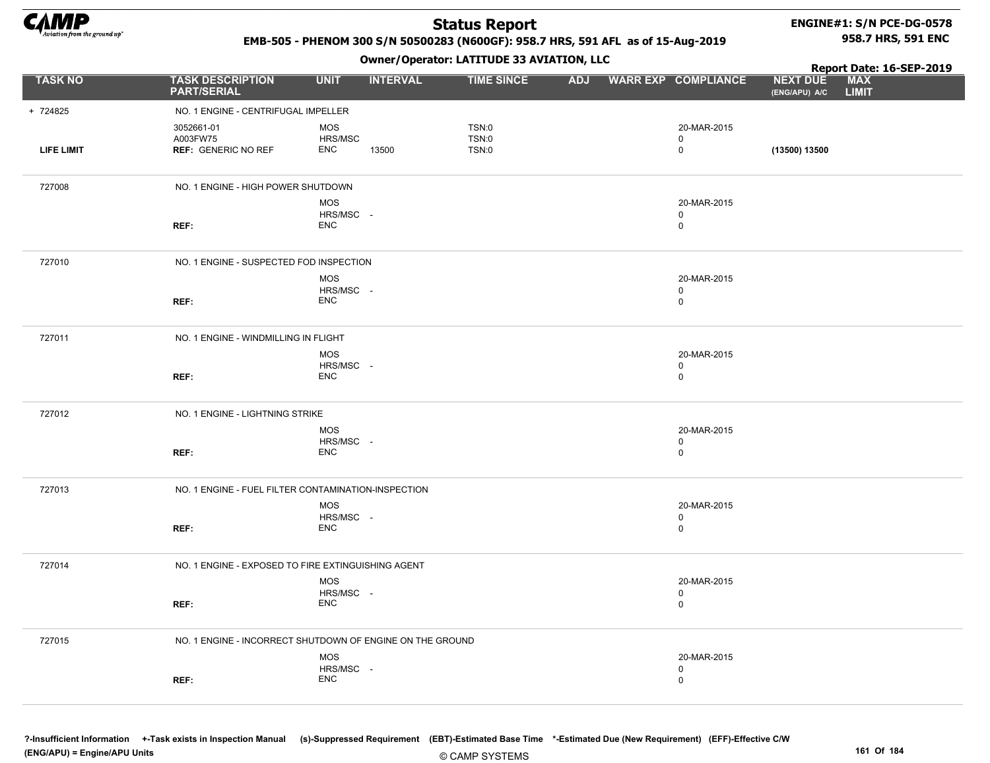

#### ENGINE#1: S/N PCE-DG-0578 958.7 HRS, 591 ENC

Report Date: 16-SEP-2019

#### EMB-505 - PHENOM 300 S/N 50500283 (N600GF): 958.7 HRS, 591 AFL as of 15-Aug-2019

Owner/Operator: LATITUDE 33 AVIATION, LLC

| <b>TASK NO</b>    | <b>TASK DESCRIPTION</b><br><b>PART/SERIAL</b>             | <b>UNIT</b>                    | <b>INTERVAL</b> | <b>TIME SINCE</b>       | <b>ADJ</b> | <b>WARR EXP COMPLIANCE</b>                | <b>NEXT DUE</b><br>(ENG/APU) A/C | <b>MAX</b><br><b>LIMIT</b> |
|-------------------|-----------------------------------------------------------|--------------------------------|-----------------|-------------------------|------------|-------------------------------------------|----------------------------------|----------------------------|
| + 724825          | NO. 1 ENGINE - CENTRIFUGAL IMPELLER                       |                                |                 |                         |            |                                           |                                  |                            |
| <b>LIFE LIMIT</b> | 3052661-01<br>A003FW75<br><b>REF: GENERIC NO REF</b>      | MOS<br>HRS/MSC<br><b>ENC</b>   | 13500           | TSN:0<br>TSN:0<br>TSN:0 |            | 20-MAR-2015<br>$\mathbf 0$<br>$\mathbf 0$ | (13500) 13500                    |                            |
| 727008            | NO. 1 ENGINE - HIGH POWER SHUTDOWN                        |                                |                 |                         |            |                                           |                                  |                            |
|                   | REF:                                                      | MOS<br>HRS/MSC -<br><b>ENC</b> |                 |                         |            | 20-MAR-2015<br>$\mathbf 0$<br>$\mathbf 0$ |                                  |                            |
| 727010            | NO. 1 ENGINE - SUSPECTED FOD INSPECTION                   |                                |                 |                         |            |                                           |                                  |                            |
|                   | REF:                                                      | MOS<br>HRS/MSC -<br><b>ENC</b> |                 |                         |            | 20-MAR-2015<br>$\mathbf 0$<br>$\mathbf 0$ |                                  |                            |
| 727011            | NO. 1 ENGINE - WINDMILLING IN FLIGHT                      |                                |                 |                         |            |                                           |                                  |                            |
|                   | REF:                                                      | MOS<br>HRS/MSC -<br><b>ENC</b> |                 |                         |            | 20-MAR-2015<br>$\mathbf 0$<br>$\mathbf 0$ |                                  |                            |
| 727012            | NO. 1 ENGINE - LIGHTNING STRIKE                           |                                |                 |                         |            |                                           |                                  |                            |
|                   | REF:                                                      | MOS<br>HRS/MSC -<br><b>ENC</b> |                 |                         |            | 20-MAR-2015<br>$\mathbf 0$<br>$\Omega$    |                                  |                            |
| 727013            | NO. 1 ENGINE - FUEL FILTER CONTAMINATION-INSPECTION       |                                |                 |                         |            |                                           |                                  |                            |
|                   | REF:                                                      | MOS<br>HRS/MSC -<br><b>ENC</b> |                 |                         |            | 20-MAR-2015<br>$\mathbf 0$<br>$\mathbf 0$ |                                  |                            |
| 727014            | NO. 1 ENGINE - EXPOSED TO FIRE EXTINGUISHING AGENT        |                                |                 |                         |            |                                           |                                  |                            |
|                   | REF:                                                      | MOS<br>HRS/MSC -<br><b>ENC</b> |                 |                         |            | 20-MAR-2015<br>$\mathbf 0$<br>$\mathbf 0$ |                                  |                            |
| 727015            | NO. 1 ENGINE - INCORRECT SHUTDOWN OF ENGINE ON THE GROUND |                                |                 |                         |            |                                           |                                  |                            |
|                   |                                                           | <b>MOS</b><br>HRS/MSC -        |                 |                         |            | 20-MAR-2015<br>$\mathbf{0}$               |                                  |                            |

?-Insufficient Information +-Task exists in Inspection Manual (s)-Suppressed Requirement (EBT)-Estimated Base Time \*-Estimated Due (New Requirement) (EFF)-Effective C/W (ENG/APU) = Engine/APU Units 161 Of 184

ENC

REF:

0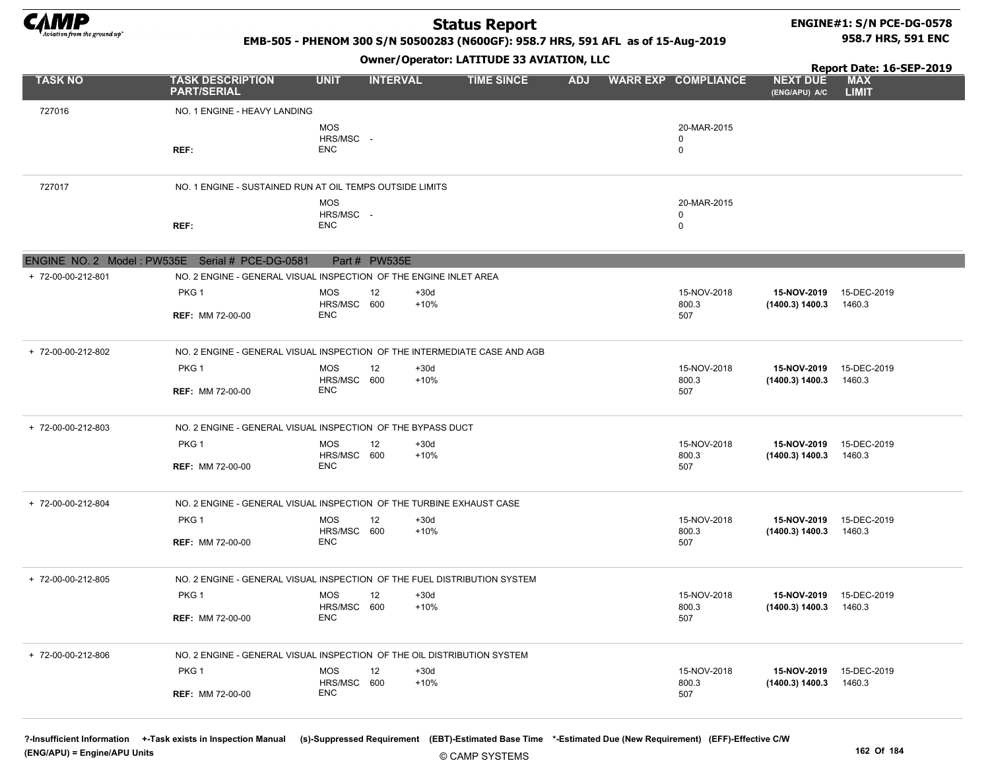

#### ENGINE#1: S/N PCE-DG-0578 958.7 HRS, 591 ENC

#### EMB-505 - PHENOM 300 S/N 50500283 (N600GF): 958.7 HRS, 591 AFL as of 15-Aug-2019

Owner/Operator: LATITUDE 33 AVIATION, LLC

|                    |                                                                           |                                         | <u>UMICI/Upciatuli EAIIIUDE 33 ATEAIIUIT, EEU</u> |                  | Report Date: 16-SEP-2019 |            |                            |                      |                                  |                            |
|--------------------|---------------------------------------------------------------------------|-----------------------------------------|---------------------------------------------------|------------------|--------------------------|------------|----------------------------|----------------------|----------------------------------|----------------------------|
| <b>TASK NO</b>     | <b>TASK DESCRIPTION</b><br><b>PART/SERIAL</b>                             | <b>UNIT</b>                             | <b>INTERVAL</b>                                   |                  | <b>TIME SINCE</b>        | <b>ADJ</b> | <b>WARR EXP COMPLIANCE</b> |                      | <b>NEXT DUE</b><br>(ENG/APU) A/C | <b>MAX</b><br><b>LIMIT</b> |
| 727016             | NO. 1 ENGINE - HEAVY LANDING                                              |                                         |                                                   |                  |                          |            |                            |                      |                                  |                            |
|                    | REF:                                                                      | <b>MOS</b><br>HRS/MSC -<br><b>ENC</b>   |                                                   |                  |                          |            | $\Omega$<br>0              | 20-MAR-2015          |                                  |                            |
| 727017             | NO. 1 ENGINE - SUSTAINED RUN AT OIL TEMPS OUTSIDE LIMITS                  |                                         |                                                   |                  |                          |            |                            |                      |                                  |                            |
|                    | REF:                                                                      | <b>MOS</b><br>HRS/MSC -<br><b>ENC</b>   |                                                   |                  |                          |            | $\mathbf 0$<br>0           | 20-MAR-2015          |                                  |                            |
|                    | ENGINE NO. 2 Model: PW535E Serial # PCE-DG-0581                           |                                         | Part # PW535E                                     |                  |                          |            |                            |                      |                                  |                            |
| + 72-00-00-212-801 | NO. 2 ENGINE - GENERAL VISUAL INSPECTION OF THE ENGINE INLET AREA         |                                         |                                                   |                  |                          |            |                            |                      |                                  |                            |
|                    | PKG <sub>1</sub><br><b>REF: MM 72-00-00</b>                               | MOS<br>HRS/MSC 600<br><b>ENC</b>        | 12                                                | $+30d$<br>$+10%$ |                          |            | 507                        | 15-NOV-2018<br>800.3 | 15-NOV-2019<br>(1400.3) 1400.3   | 15-DEC-2019<br>1460.3      |
| + 72-00-00-212-802 | NO. 2 ENGINE - GENERAL VISUAL INSPECTION OF THE INTERMEDIATE CASE AND AGB |                                         |                                                   |                  |                          |            |                            |                      |                                  |                            |
|                    | PKG 1<br><b>REF: MM 72-00-00</b>                                          | <b>MOS</b><br>HRS/MSC 600<br><b>ENC</b> | 12                                                | $+30d$<br>$+10%$ |                          |            | 507                        | 15-NOV-2018<br>800.3 | 15-NOV-2019<br>(1400.3) 1400.3   | 15-DEC-2019<br>1460.3      |
| + 72-00-00-212-803 | NO. 2 ENGINE - GENERAL VISUAL INSPECTION OF THE BYPASS DUCT               |                                         |                                                   |                  |                          |            |                            |                      |                                  |                            |
|                    | PKG 1<br><b>REF: MM 72-00-00</b>                                          | <b>MOS</b><br>HRS/MSC 600<br><b>ENC</b> | 12                                                | $+30d$<br>$+10%$ |                          |            | 507                        | 15-NOV-2018<br>800.3 | 15-NOV-2019<br>(1400.3) 1400.3   | 15-DEC-2019<br>1460.3      |
| + 72-00-00-212-804 | NO. 2 ENGINE - GENERAL VISUAL INSPECTION OF THE TURBINE EXHAUST CASE      |                                         |                                                   |                  |                          |            |                            |                      |                                  |                            |
|                    | PKG 1                                                                     | <b>MOS</b>                              | 12                                                | $+30d$           |                          |            |                            | 15-NOV-2018          | 15-NOV-2019                      | 15-DEC-2019                |
|                    | <b>REF: MM 72-00-00</b>                                                   | HRS/MSC 600<br><b>ENC</b>               |                                                   | $+10%$           |                          |            | 507                        | 800.3                | (1400.3) 1400.3                  | 1460.3                     |
| + 72-00-00-212-805 | NO. 2 ENGINE - GENERAL VISUAL INSPECTION OF THE FUEL DISTRIBUTION SYSTEM  |                                         |                                                   |                  |                          |            |                            |                      |                                  |                            |
|                    | PKG <sub>1</sub>                                                          | MOS<br>HRS/MSC 600                      | 12                                                | $+30d$<br>$+10%$ |                          |            |                            | 15-NOV-2018<br>800.3 | 15-NOV-2019<br>(1400.3) 1400.3   | 15-DEC-2019<br>1460.3      |
|                    | <b>REF: MM 72-00-00</b>                                                   | <b>ENC</b>                              |                                                   |                  |                          |            | 507                        |                      |                                  |                            |
| + 72-00-00-212-806 | NO. 2 ENGINE - GENERAL VISUAL INSPECTION OF THE OIL DISTRIBUTION SYSTEM   |                                         |                                                   |                  |                          |            |                            |                      |                                  |                            |
|                    | PKG 1                                                                     | MOS<br>HRS/MSC 600                      | 12                                                | $+30d$<br>$+10%$ |                          |            |                            | 15-NOV-2018<br>800.3 | 15-NOV-2019<br>(1400.3) 1400.3   | 15-DEC-2019<br>1460.3      |
|                    | <b>REF: MM 72-00-00</b>                                                   | <b>ENC</b>                              |                                                   |                  |                          |            | 507                        |                      |                                  |                            |
|                    |                                                                           |                                         |                                                   |                  |                          |            |                            |                      |                                  |                            |

© CAMP SYSTEMS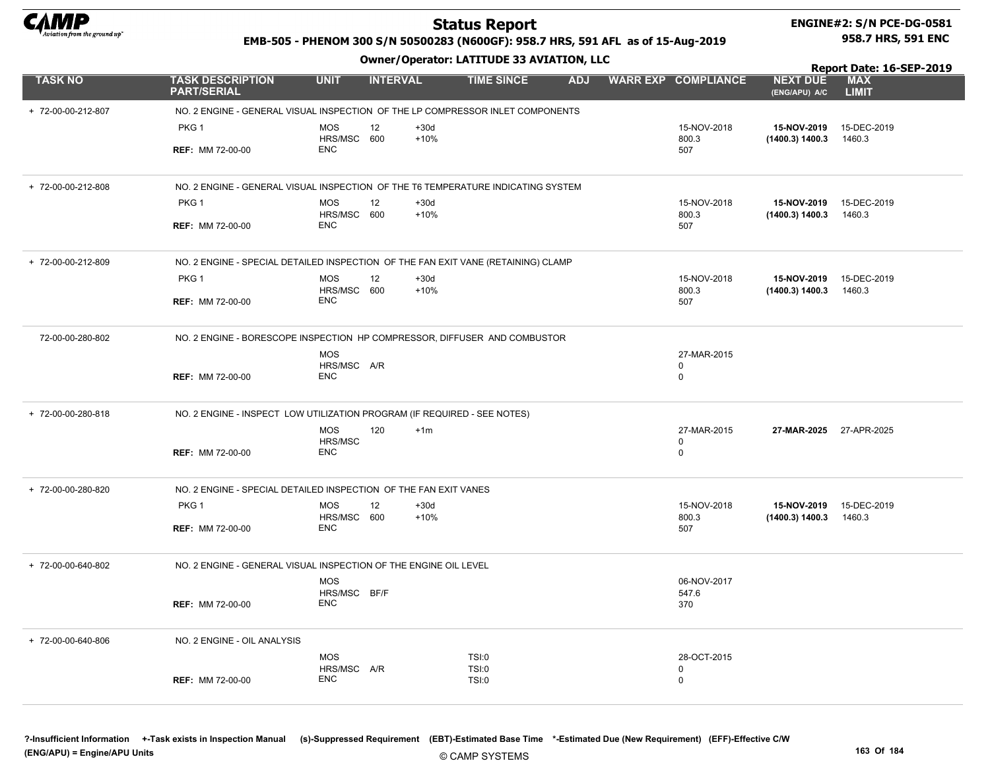

# ENGINE#2: S/N PCE-DG-0581

#### EMB-505 - PHENOM 300 S/N 50500283 (N600GF): 958.7 HRS, 591 AFL as of 15-Aug-2019

Owner/Operator: LATITUDE 33 AVIATION, LLC

958.7 HRS, 591 ENC

|                    |                                                                                   |                            |                 |                  | Owner / Operator. EXTITODE 33 AVIATION, LEC |            |                            |                                  | Report Date: 16-SEP-2019   |
|--------------------|-----------------------------------------------------------------------------------|----------------------------|-----------------|------------------|---------------------------------------------|------------|----------------------------|----------------------------------|----------------------------|
| <b>TASK NO</b>     | <b>TASK DESCRIPTION</b><br><b>PART/SERIAL</b>                                     | <b>UNIT</b>                | <b>INTERVAL</b> |                  | <b>TIME SINCE</b>                           | <b>ADJ</b> | <b>WARR EXP COMPLIANCE</b> | <b>NEXT DUE</b><br>(ENG/APU) A/C | <b>MAX</b><br><b>LIMIT</b> |
| + 72-00-00-212-807 | NO. 2 ENGINE - GENERAL VISUAL INSPECTION OF THE LP COMPRESSOR INLET COMPONENTS    |                            |                 |                  |                                             |            |                            |                                  |                            |
|                    | PKG <sub>1</sub>                                                                  | <b>MOS</b><br>HRS/MSC 600  | 12              | $+30d$<br>$+10%$ |                                             |            | 15-NOV-2018<br>800.3       | 15-NOV-2019<br>(1400.3) 1400.3   | 15-DEC-2019<br>1460.3      |
|                    | <b>REF: MM 72-00-00</b>                                                           | <b>ENC</b>                 |                 |                  |                                             |            | 507                        |                                  |                            |
| + 72-00-00-212-808 | NO. 2 ENGINE - GENERAL VISUAL INSPECTION OF THE T6 TEMPERATURE INDICATING SYSTEM  |                            |                 |                  |                                             |            |                            |                                  |                            |
|                    | PKG <sub>1</sub>                                                                  | <b>MOS</b><br>HRS/MSC 600  | 12              | $+30d$<br>$+10%$ |                                             |            | 15-NOV-2018<br>800.3       | 15-NOV-2019<br>(1400.3) 1400.3   | 15-DEC-2019<br>1460.3      |
|                    | <b>REF: MM 72-00-00</b>                                                           | <b>ENC</b>                 |                 |                  |                                             |            | 507                        |                                  |                            |
| + 72-00-00-212-809 | NO. 2 ENGINE - SPECIAL DETAILED INSPECTION OF THE FAN EXIT VANE (RETAINING) CLAMP |                            |                 |                  |                                             |            |                            |                                  |                            |
|                    | PKG <sub>1</sub>                                                                  | <b>MOS</b><br>HRS/MSC 600  | 12              | $+30d$<br>$+10%$ |                                             |            | 15-NOV-2018<br>800.3       | 15-NOV-2019<br>(1400.3) 1400.3   | 15-DEC-2019<br>1460.3      |
|                    | <b>REF: MM 72-00-00</b>                                                           | <b>ENC</b>                 |                 |                  |                                             |            | 507                        |                                  |                            |
| 72-00-00-280-802   | NO. 2 ENGINE - BORESCOPE INSPECTION HP COMPRESSOR, DIFFUSER AND COMBUSTOR         |                            |                 |                  |                                             |            |                            |                                  |                            |
|                    |                                                                                   | <b>MOS</b><br>HRS/MSC A/R  |                 |                  |                                             |            | 27-MAR-2015<br>$\mathbf 0$ |                                  |                            |
|                    | <b>REF: MM 72-00-00</b>                                                           | <b>ENC</b>                 |                 |                  |                                             |            | $\mathbf 0$                |                                  |                            |
| + 72-00-00-280-818 | NO. 2 ENGINE - INSPECT LOW UTILIZATION PROGRAM (IF REQUIRED - SEE NOTES)          |                            |                 |                  |                                             |            |                            |                                  |                            |
|                    |                                                                                   | <b>MOS</b><br>HRS/MSC      | 120             | $+1m$            |                                             |            | 27-MAR-2015<br>0           | 27-MAR-2025 27-APR-2025          |                            |
|                    | <b>REF: MM 72-00-00</b>                                                           | <b>ENC</b>                 |                 |                  |                                             |            | $\mathbf 0$                |                                  |                            |
| + 72-00-00-280-820 | NO. 2 ENGINE - SPECIAL DETAILED INSPECTION OF THE FAN EXIT VANES                  |                            |                 |                  |                                             |            |                            |                                  |                            |
|                    | PKG <sub>1</sub>                                                                  | <b>MOS</b><br>HRS/MSC 600  | 12              | $+30d$<br>$+10%$ |                                             |            | 15-NOV-2018<br>800.3       | 15-NOV-2019<br>(1400.3) 1400.3   | 15-DEC-2019<br>1460.3      |
|                    | <b>REF: MM 72-00-00</b>                                                           | <b>ENC</b>                 |                 |                  |                                             |            | 507                        |                                  |                            |
| + 72-00-00-640-802 | NO. 2 ENGINE - GENERAL VISUAL INSPECTION OF THE ENGINE OIL LEVEL                  |                            |                 |                  |                                             |            |                            |                                  |                            |
|                    |                                                                                   | <b>MOS</b><br>HRS/MSC BF/F |                 |                  |                                             |            | 06-NOV-2017<br>547.6       |                                  |                            |
|                    | <b>REF: MM 72-00-00</b>                                                           | <b>ENC</b>                 |                 |                  |                                             |            | 370                        |                                  |                            |
| + 72-00-00-640-806 | NO. 2 ENGINE - OIL ANALYSIS                                                       |                            |                 |                  |                                             |            |                            |                                  |                            |
|                    |                                                                                   | <b>MOS</b><br>HRS/MSC A/R  |                 |                  | TSI:0<br><b>TSI:0</b>                       |            | 28-OCT-2015<br>$\mathbf 0$ |                                  |                            |
|                    | <b>REF: MM 72-00-00</b>                                                           | <b>ENC</b>                 |                 |                  | TSI:0                                       |            | $\mathbf 0$                |                                  |                            |
|                    |                                                                                   |                            |                 |                  |                                             |            |                            |                                  |                            |

© CAMP SYSTEMS ?-Insufficient Information +-Task exists in Inspection Manual (s)-Suppressed Requirement (EBT)-Estimated Base Time \*-Estimated Due (New Requirement) (EFF)-Effective C/W (ENG/APU) = Engine/APU Units 163 Of 184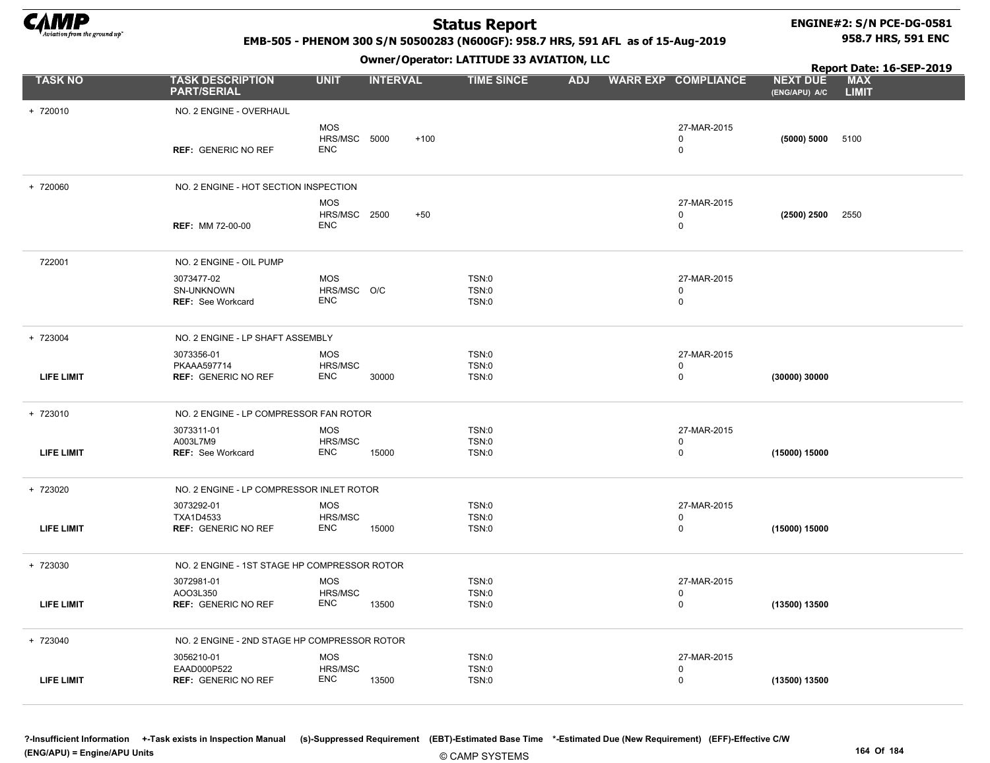

 $+ 720010$ 

+ 720060

+ 723004

+ 723010

+ 723020

+ 723030

+ 723040

LIFE LIMIT

EAAD000P522

### Status Report

#### ENGINE#2: S/N PCE-DG-0581 958.7 HRS, 591 ENC

Report Date: 16-SEP-2019

#### EMB-505 - PHENOM 300 S/N 50500283 (N600GF): 958.7 HRS, 591 AFL as of 15-Aug-2019

Owner/Operator: LATITUDE 33 AVIATION, LLC

| <b>TASK NO</b>    | <b>TASK DESCRIPTION</b><br><b>PART/SERIAL</b>        | <b>UNIT</b>                              | <b>INTERVAL</b> | <b>TIME SINCE</b>                            | <b>ADJ</b> | <b>WARR EXP COMPLIANCE</b>                | <b>NEXT DUE</b><br>(ENG/APU) A/C | <b>MAX</b><br><b>LIMIT</b> |
|-------------------|------------------------------------------------------|------------------------------------------|-----------------|----------------------------------------------|------------|-------------------------------------------|----------------------------------|----------------------------|
| 720010            | NO. 2 ENGINE - OVERHAUL                              |                                          |                 |                                              |            |                                           |                                  |                            |
|                   | <b>REF: GENERIC NO REF</b>                           | <b>MOS</b><br>HRS/MSC 5000<br><b>ENC</b> |                 | $+100$                                       |            | 27-MAR-2015<br>0<br>$\mathbf 0$           | (5000) 5000                      | 5100                       |
| 720060            | NO. 2 ENGINE - HOT SECTION INSPECTION                |                                          |                 |                                              |            |                                           |                                  |                            |
|                   |                                                      | <b>MOS</b>                               |                 |                                              |            | 27-MAR-2015                               |                                  |                            |
|                   | <b>REF: MM 72-00-00</b>                              | HRS/MSC 2500<br><b>ENC</b>               |                 | $+50$                                        |            | $\mathbf 0$<br>$\mathbf 0$                | (2500) 2500                      | 2550                       |
| 722001            | NO. 2 ENGINE - OIL PUMP                              |                                          |                 |                                              |            |                                           |                                  |                            |
|                   | 3073477-02<br>SN-UNKNOWN<br><b>REF: See Workcard</b> | <b>MOS</b><br>HRS/MSC O/C<br><b>ENC</b>  |                 | <b>TSN:0</b><br><b>TSN:0</b><br><b>TSN:0</b> |            | 27-MAR-2015<br>$\mathbf 0$<br>$\mathbf 0$ |                                  |                            |
| 723004            | NO. 2 ENGINE - LP SHAFT ASSEMBLY                     |                                          |                 |                                              |            |                                           |                                  |                            |
|                   | 3073356-01                                           | <b>MOS</b>                               |                 | TSN:0                                        |            | 27-MAR-2015                               |                                  |                            |
| <b>LIFE LIMIT</b> | PKAAA597714<br><b>REF: GENERIC NO REF</b>            | HRS/MSC<br><b>ENC</b>                    | 30000           | <b>TSN:0</b><br><b>TSN:0</b>                 |            | $\mathbf 0$<br>$\mathbf 0$                | (30000) 30000                    |                            |
| 723010            | NO. 2 ENGINE - LP COMPRESSOR FAN ROTOR               |                                          |                 |                                              |            |                                           |                                  |                            |
|                   | 3073311-01                                           | <b>MOS</b>                               |                 | <b>TSN:0</b>                                 |            | 27-MAR-2015                               |                                  |                            |
| <b>LIFE LIMIT</b> | A003L7M9<br><b>REF: See Workcard</b>                 | HRS/MSC<br><b>ENC</b>                    | 15000           | TSN:0<br>TSN:0                               |            | 0<br>$\mathbf 0$                          | (15000) 15000                    |                            |
| 723020            | NO. 2 ENGINE - LP COMPRESSOR INLET ROTOR             |                                          |                 |                                              |            |                                           |                                  |                            |
|                   | 3073292-01                                           | <b>MOS</b>                               |                 | TSN:0                                        |            | 27-MAR-2015                               |                                  |                            |
| <b>LIFE LIMIT</b> | TXA1D4533<br><b>REF: GENERIC NO REF</b>              | HRS/MSC<br>ENC                           | 15000           | TSN:0<br>TSN:0                               |            | $\Omega$<br>$^{\circ}$                    | (15000) 15000                    |                            |
| 723030            | NO. 2 ENGINE - 1ST STAGE HP COMPRESSOR ROTOR         |                                          |                 |                                              |            |                                           |                                  |                            |
|                   | 3072981-01                                           | <b>MOS</b>                               |                 | <b>TSN:0</b>                                 |            | 27-MAR-2015                               |                                  |                            |
| <b>LIFE LIMIT</b> | AOO3L350<br><b>REF: GENERIC NO REF</b>               | HRS/MSC<br>ENC                           | 13500           | <b>TSN:0</b><br>TSN:0                        |            | 0<br>0                                    | (13500) 13500                    |                            |
| 723040            | NO. 2 ENGINE - 2ND STAGE HP COMPRESSOR ROTOR         |                                          |                 |                                              |            |                                           |                                  |                            |
|                   | 3056210-01                                           | <b>MOS</b>                               |                 | TSN:0                                        |            | 27-MAR-2015                               |                                  |                            |

REF: GENERIC NO REF 0 (13500) 13500

0

TSN:0 TSN:0

HRS/MSC ENC 13500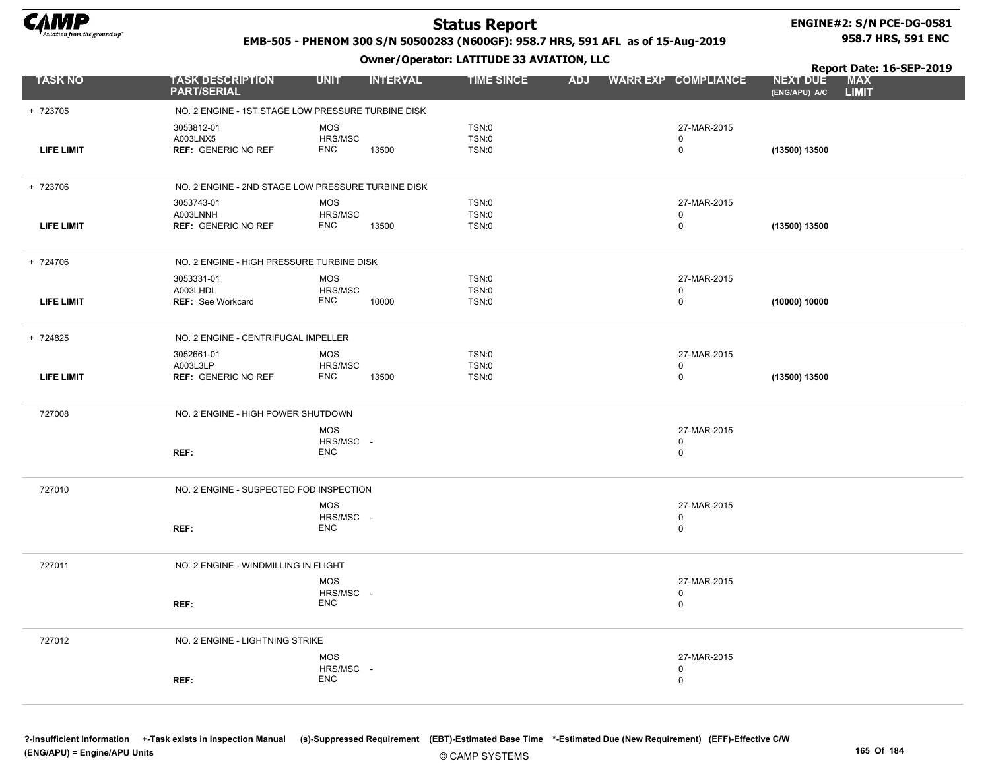

+ 723705

+ 723706

+ 724706

+ 724825

### Status Report

#### ENGINE#2: S/N PCE-DG-0581 958.7 HRS, 591 ENC

Report Date: 16-SEP-2019

#### EMB-505 - PHENOM 300 S/N 50500283 (N600GF): 958.7 HRS, 591 AFL as of 15-Aug-2019

Owner/Operator: LATITUDE 33 AVIATION, LLC

| <b>TASK NO</b>    | <b>TASK DESCRIPTION</b><br><b>PART/SERIAL</b>        | <b>UNIT</b>                           | <b>INTERVAL</b> | <b>TIME SINCE</b>       | <b>ADJ</b> | <b>WARR EXP COMPLIANCE</b>                | <b>NEXT DUE</b><br>(ENG/APU) A/C | <b>MAX</b><br><b>LIMIT</b> |
|-------------------|------------------------------------------------------|---------------------------------------|-----------------|-------------------------|------------|-------------------------------------------|----------------------------------|----------------------------|
| 723705            | NO. 2 ENGINE - 1ST STAGE LOW PRESSURE TURBINE DISK   |                                       |                 |                         |            |                                           |                                  |                            |
| LIFE LIMIT        | 3053812-01<br>A003LNX5<br><b>REF: GENERIC NO REF</b> | <b>MOS</b><br>HRS/MSC<br><b>ENC</b>   | 13500           | TSN:0<br>TSN:0<br>TSN:0 |            | 27-MAR-2015<br>0<br>$\mathbf 0$           | (13500) 13500                    |                            |
| 723706            | NO. 2 ENGINE - 2ND STAGE LOW PRESSURE TURBINE DISK   |                                       |                 |                         |            |                                           |                                  |                            |
| <b>LIFE LIMIT</b> | 3053743-01<br>A003LNNH<br><b>REF: GENERIC NO REF</b> | <b>MOS</b><br>HRS/MSC<br><b>ENC</b>   | 13500           | TSN:0<br>TSN:0<br>TSN:0 |            | 27-MAR-2015<br>$\mathbf 0$<br>$\mathbf 0$ | (13500) 13500                    |                            |
| 724706            | NO. 2 ENGINE - HIGH PRESSURE TURBINE DISK            |                                       |                 |                         |            |                                           |                                  |                            |
| <b>LIFE LIMIT</b> | 3053331-01<br>A003LHDL<br><b>REF:</b> See Workcard   | <b>MOS</b><br>HRS/MSC<br><b>ENC</b>   | 10000           | TSN:0<br>TSN:0<br>TSN:0 |            | 27-MAR-2015<br>$\mathbf 0$<br>$\mathbf 0$ | (10000) 10000                    |                            |
| 724825            | NO. 2 ENGINE - CENTRIFUGAL IMPELLER                  |                                       |                 |                         |            |                                           |                                  |                            |
| <b>LIFE LIMIT</b> | 3052661-01<br>A003L3LP<br><b>REF: GENERIC NO REF</b> | <b>MOS</b><br>HRS/MSC<br><b>ENC</b>   | 13500           | TSN:0<br>TSN:0<br>TSN:0 |            | 27-MAR-2015<br>$\mathbf 0$<br>$\mathbf 0$ | (13500) 13500                    |                            |
| 727008            | NO. 2 ENGINE - HIGH POWER SHUTDOWN                   |                                       |                 |                         |            |                                           |                                  |                            |
|                   | REF:                                                 | <b>MOS</b><br>HRS/MSC -<br><b>ENC</b> |                 |                         |            | 27-MAR-2015<br>$\mathbf 0$<br>$\mathbf 0$ |                                  |                            |
| 727010            | NO. 2 ENGINE - SUSPECTED FOD INSPECTION              |                                       |                 |                         |            |                                           |                                  |                            |
|                   | REF:                                                 | <b>MOS</b><br>HRS/MSC -<br><b>ENC</b> |                 |                         |            | 27-MAR-2015<br>$\mathbf 0$<br>$\mathbf 0$ |                                  |                            |
| 727011            | NO. 2 ENGINE - WINDMILLING IN FLIGHT                 |                                       |                 |                         |            |                                           |                                  |                            |
|                   | REF:                                                 | <b>MOS</b><br>HRS/MSC -<br><b>ENC</b> |                 |                         |            | 27-MAR-2015<br>0<br>$\mathbf 0$           |                                  |                            |
| -------           |                                                      |                                       |                 |                         |            |                                           |                                  |                            |

727012 NO. 2 ENGINE - LIGHTNING STRIKE REF: MOS HRS/MSC - ENC 27-MAR-2015 0 0

?-Insufficient Information +-Task exists in Inspection Manual (s)-Suppressed Requirement (EBT)-Estimated Base Time \*-Estimated Due (New Requirement) (EFF)-Effective C/W (ENG/APU) = Engine/APU Units 165 Of 184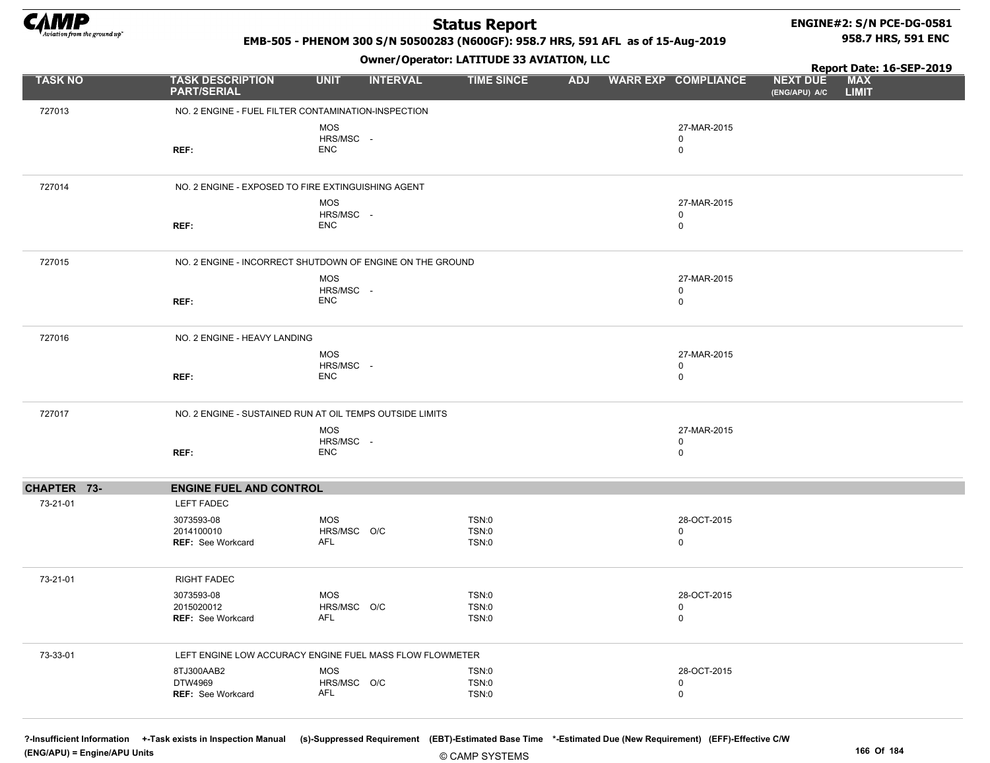

#### ENGINE#2: S/N PCE-DG-0581 958.7 HRS, 591 ENC

EMB-505 - PHENOM 300 S/N 50500283 (N600GF): 958.7 HRS, 591 AFL as of 15-Aug-2019

#### Owner/Operator: LATITUDE 33 AVIATION, LLC

|                |                                                      | - <i>-</i> - -                                            |                         |            |                                           | Report Date: 16-SEP-2019                                       |
|----------------|------------------------------------------------------|-----------------------------------------------------------|-------------------------|------------|-------------------------------------------|----------------------------------------------------------------|
| <b>TASK NO</b> | <b>TASK DESCRIPTION</b><br><b>PART/SERIAL</b>        | <b>UNIT</b><br><b>INTERVAL</b>                            | <b>TIME SINCE</b>       | <b>ADJ</b> | <b>WARR EXP COMPLIANCE</b>                | <b>MAX</b><br><b>NEXT DUE</b><br><b>LIMIT</b><br>(ENG/APU) A/C |
| 727013         | NO. 2 ENGINE - FUEL FILTER CONTAMINATION-INSPECTION  |                                                           |                         |            |                                           |                                                                |
|                | REF:                                                 | MOS<br>HRS/MSC -<br><b>ENC</b>                            |                         |            | 27-MAR-2015<br>0<br>$\mathbf 0$           |                                                                |
| 727014         | NO. 2 ENGINE - EXPOSED TO FIRE EXTINGUISHING AGENT   |                                                           |                         |            |                                           |                                                                |
|                | REF:                                                 | MOS<br>HRS/MSC -<br><b>ENC</b>                            |                         |            | 27-MAR-2015<br>$\mathbf 0$<br>$\mathbf 0$ |                                                                |
| 727015         |                                                      | NO. 2 ENGINE - INCORRECT SHUTDOWN OF ENGINE ON THE GROUND |                         |            |                                           |                                                                |
|                | REF:                                                 | MOS<br>HRS/MSC -<br><b>ENC</b>                            |                         |            | 27-MAR-2015<br>0<br>$\mathbf 0$           |                                                                |
| 727016         | NO. 2 ENGINE - HEAVY LANDING                         | <b>MOS</b>                                                |                         |            | 27-MAR-2015                               |                                                                |
|                | REF:                                                 | HRS/MSC -<br><b>ENC</b>                                   |                         |            | $\mathbf 0$<br>$\pmb{0}$                  |                                                                |
| 727017         |                                                      | NO. 2 ENGINE - SUSTAINED RUN AT OIL TEMPS OUTSIDE LIMITS  |                         |            |                                           |                                                                |
|                | REF:                                                 | MOS<br>HRS/MSC -<br><b>ENC</b>                            |                         |            | 27-MAR-2015<br>0<br>$\pmb{0}$             |                                                                |
| CHAPTER 73-    | <b>ENGINE FUEL AND CONTROL</b>                       |                                                           |                         |            |                                           |                                                                |
| 73-21-01       | <b>LEFT FADEC</b>                                    |                                                           |                         |            |                                           |                                                                |
|                | 3073593-08<br>2014100010<br><b>REF: See Workcard</b> | MOS<br>HRS/MSC O/C<br>AFL                                 | TSN:0<br>TSN:0<br>TSN:0 |            | 28-OCT-2015<br>0<br>$\mathsf 0$           |                                                                |
| 73-21-01       | <b>RIGHT FADEC</b>                                   |                                                           |                         |            |                                           |                                                                |
|                | 3073593-08<br>2015020012<br><b>REF: See Workcard</b> | <b>MOS</b><br>HRS/MSC O/C<br>AFL                          | TSN:0<br>TSN:0<br>TSN:0 |            | 28-OCT-2015<br>0<br>$\mathbf 0$           |                                                                |
| 73-33-01       |                                                      | LEFT ENGINE LOW ACCURACY ENGINE FUEL MASS FLOW FLOWMETER  |                         |            |                                           |                                                                |
|                | 8TJ300AAB2<br>DTW4969<br><b>REF: See Workcard</b>    | MOS<br>HRS/MSC O/C<br>AFL                                 | TSN:0<br>TSN:0<br>TSN:0 |            | 28-OCT-2015<br>0<br>$\mathbf 0$           |                                                                |

?-Insufficient Information +-Task exists in Inspection Manual (s)-Suppressed Requirement (EBT)-Estimated Base Time \*-Estimated Due (New Requirement) (EFF)-Effective C/W (ENG/APU) = Engine/APU Units 166 Of 184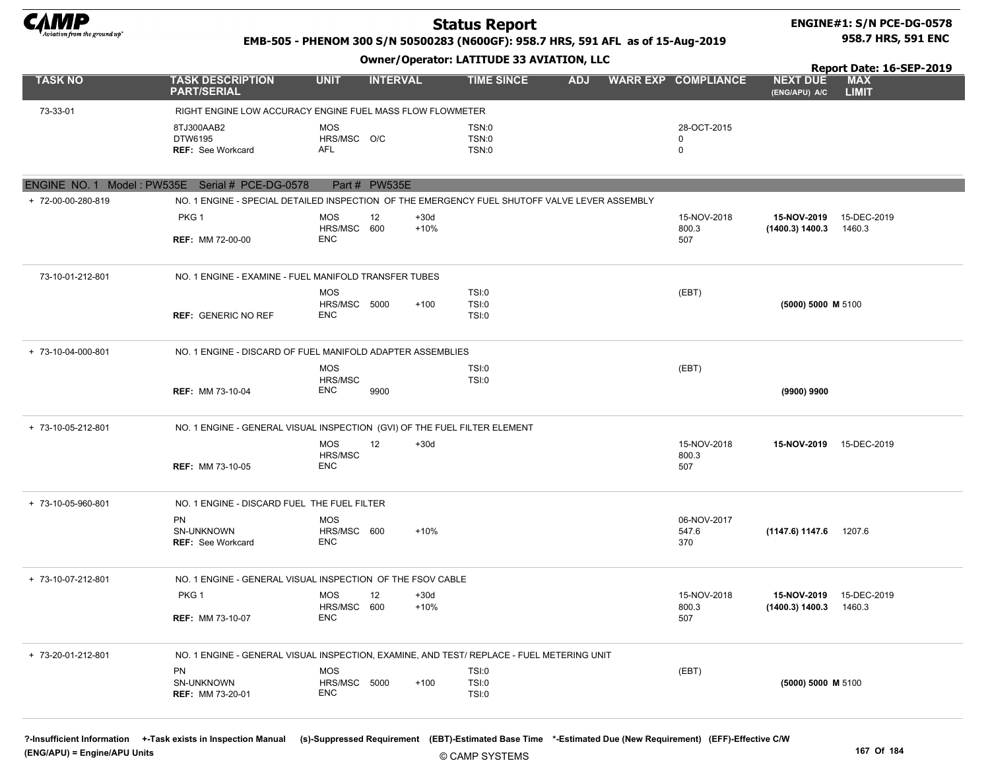

#### ENGINE#1: S/N PCE-DG-0578 958.7 HRS, 591 ENC

#### EMB-505 - PHENOM 300 S/N 50500283 (N600GF): 958.7 HRS, 591 AFL as of 15-Aug-2019

Owner/Operator: LATITUDE 33 AVIATION, LLC

|                    |                                                                                               |                                         |                  |                         |            |                             |                                  | Report Date: 16-SEP-2019   |
|--------------------|-----------------------------------------------------------------------------------------------|-----------------------------------------|------------------|-------------------------|------------|-----------------------------|----------------------------------|----------------------------|
| <b>TASK NO</b>     | <b>TASK DESCRIPTION</b><br><b>PART/SERIAL</b>                                                 | <b>UNIT</b>                             | <b>INTERVAL</b>  | <b>TIME SINCE</b>       | <b>ADJ</b> | <b>WARR EXP COMPLIANCE</b>  | <b>NEXT DUE</b><br>(ENG/APU) A/C | <b>MAX</b><br><b>LIMIT</b> |
| 73-33-01           | RIGHT ENGINE LOW ACCURACY ENGINE FUEL MASS FLOW FLOWMETER                                     |                                         |                  |                         |            |                             |                                  |                            |
|                    | 8TJ300AAB2<br>DTW6195<br>REF: See Workcard                                                    | <b>MOS</b><br>HRS/MSC O/C<br><b>AFL</b> |                  | TSN:0<br>TSN:0<br>TSN:0 |            | 28-OCT-2015<br>0<br>0       |                                  |                            |
|                    |                                                                                               |                                         |                  |                         |            |                             |                                  |                            |
|                    | ENGINE NO. 1 Model: PW535E Serial # PCE-DG-0578                                               | Part # PW535E                           |                  |                         |            |                             |                                  |                            |
| + 72-00-00-280-819 | NO. 1 ENGINE - SPECIAL DETAILED INSPECTION OF THE EMERGENCY FUEL SHUTOFF VALVE LEVER ASSEMBLY |                                         |                  |                         |            |                             |                                  |                            |
|                    | PKG <sub>1</sub>                                                                              | 12<br><b>MOS</b><br>HRS/MSC 600         | $+30d$<br>$+10%$ |                         |            | 15-NOV-2018<br>800.3        | 15-NOV-2019<br>(1400.3) 1400.3   | 15-DEC-2019<br>1460.3      |
|                    | <b>REF: MM 72-00-00</b>                                                                       | <b>ENC</b>                              |                  |                         |            | 507                         |                                  |                            |
| 73-10-01-212-801   | NO. 1 ENGINE - EXAMINE - FUEL MANIFOLD TRANSFER TUBES                                         |                                         |                  |                         |            |                             |                                  |                            |
|                    |                                                                                               | <b>MOS</b>                              |                  | TSI:0                   |            | (EBT)                       |                                  |                            |
|                    | <b>REF: GENERIC NO REF</b>                                                                    | HRS/MSC 5000<br><b>ENC</b>              | $+100$           | TSI:0<br>TSI:0          |            |                             | (5000) 5000 M 5100               |                            |
| + 73-10-04-000-801 | NO. 1 ENGINE - DISCARD OF FUEL MANIFOLD ADAPTER ASSEMBLIES                                    |                                         |                  |                         |            |                             |                                  |                            |
|                    |                                                                                               | <b>MOS</b><br>HRS/MSC                   |                  | TSI:0<br>TSI:0          |            | (EBT)                       |                                  |                            |
|                    | <b>REF: MM 73-10-04</b>                                                                       | ENC                                     | 9900             |                         |            |                             | (9900) 9900                      |                            |
| + 73-10-05-212-801 | NO. 1 ENGINE - GENERAL VISUAL INSPECTION (GVI) OF THE FUEL FILTER ELEMENT                     |                                         |                  |                         |            |                             |                                  |                            |
|                    |                                                                                               | <b>MOS</b><br>12<br>HRS/MSC             | $+30d$           |                         |            | 15-NOV-2018<br>800.3        | 15-NOV-2019                      | 15-DEC-2019                |
|                    | <b>REF: MM 73-10-05</b>                                                                       | ENC                                     |                  |                         |            | 507                         |                                  |                            |
| + 73-10-05-960-801 | NO. 1 ENGINE - DISCARD FUEL THE FUEL FILTER                                                   |                                         |                  |                         |            |                             |                                  |                            |
|                    | <b>PN</b><br>SN-UNKNOWN<br><b>REF: See Workcard</b>                                           | <b>MOS</b><br>HRS/MSC 600<br>ENC        | +10%             |                         |            | 06-NOV-2017<br>547.6<br>370 | (1147.6) 1147.6 1207.6           |                            |
| + 73-10-07-212-801 | NO. 1 ENGINE - GENERAL VISUAL INSPECTION OF THE FSOV CABLE                                    |                                         |                  |                         |            |                             |                                  |                            |
|                    | PKG <sub>1</sub>                                                                              | <b>MOS</b><br>12                        | $+30d$           |                         |            | 15-NOV-2018                 | 15-NOV-2019                      | 15-DEC-2019                |
|                    | <b>REF: MM 73-10-07</b>                                                                       | HRS/MSC 600<br><b>ENC</b>               | $+10%$           |                         |            | 800.3<br>507                | (1400.3) 1400.3                  | 1460.3                     |
| + 73-20-01-212-801 | NO. 1 ENGINE - GENERAL VISUAL INSPECTION, EXAMINE, AND TEST/ REPLACE - FUEL METERING UNIT     |                                         |                  |                         |            |                             |                                  |                            |
|                    | PN                                                                                            | MOS                                     |                  | TSI:0                   |            | (EBT)                       |                                  |                            |
|                    | SN-UNKNOWN<br><b>REF: MM 73-20-01</b>                                                         | HRS/MSC 5000<br><b>ENC</b>              | $+100$           | TSI:0<br>TSI:0          |            |                             | (5000) 5000 M 5100               |                            |
|                    |                                                                                               |                                         |                  |                         |            |                             |                                  |                            |

?-Insufficient Information +-Task exists in Inspection Manual (s)-Suppressed Requirement (EBT)-Estimated Base Time \*-Estimated Due (New Requirement) (EFF)-Effective C/W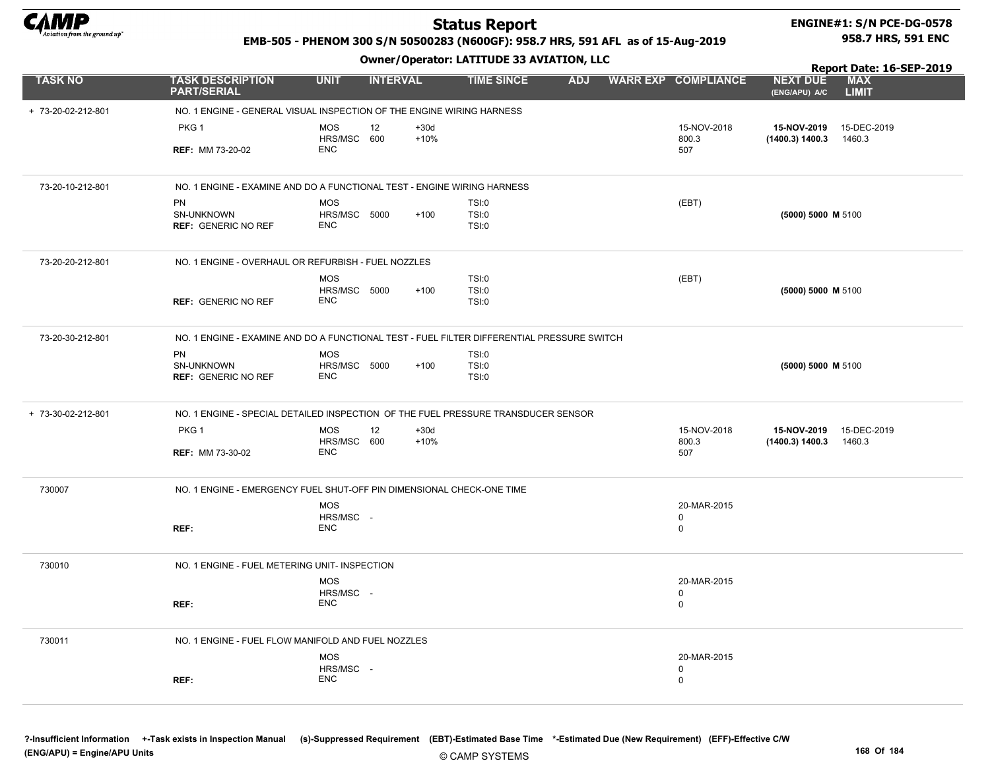

#### ENGINE#1: S/N PCE-DG-0578 958.7 HRS, 591 ENC

NEXT DUE

Report Date: 16-SEP-2019

#### EMB-505 - PHENOM 300 S/N 50500283 (N600GF): 958.7 HRS, 591 AFL as of 15-Aug-2019

Owner/Operator: LATITUDE 33 AVIATION, LLC

| <b>TASK NO</b>     | <b>TASK DESCRIPTION</b><br><b>PART/SERIAL</b>                                              | <b>UNIT</b>                                   | <b>INTERVAL</b>  | <b>TIME SINCE</b>              | <b>ADJ</b> |  | <b>WARR EXP COMPLIANCE</b>                | <b>NEXT DUE</b><br>(ENG/APU) A/C | <b>MAX</b><br><b>LIMIT</b> |  |  |  |  |
|--------------------|--------------------------------------------------------------------------------------------|-----------------------------------------------|------------------|--------------------------------|------------|--|-------------------------------------------|----------------------------------|----------------------------|--|--|--|--|
| + 73-20-02-212-801 | NO. 1 ENGINE - GENERAL VISUAL INSPECTION OF THE ENGINE WIRING HARNESS                      |                                               |                  |                                |            |  |                                           |                                  |                            |  |  |  |  |
|                    | PKG 1<br><b>REF: MM 73-20-02</b>                                                           | <b>MOS</b><br>12<br>HRS/MSC 600<br><b>ENC</b> | $+30d$<br>$+10%$ |                                |            |  | 15-NOV-2018<br>800.3<br>507               | 15-NOV-2019<br>(1400.3) 1400.3   | 15-DEC-2019<br>1460.3      |  |  |  |  |
| 73-20-10-212-801   | NO. 1 ENGINE - EXAMINE AND DO A FUNCTIONAL TEST - ENGINE WIRING HARNESS                    |                                               |                  |                                |            |  |                                           |                                  |                            |  |  |  |  |
|                    | <b>PN</b><br><b>SN-UNKNOWN</b><br><b>REF: GENERIC NO REF</b>                               | <b>MOS</b><br>HRS/MSC 5000<br><b>ENC</b>      | $+100$           | TSI:0<br><b>TSI:0</b><br>TSI:0 |            |  | (EBT)                                     | (5000) 5000 M 5100               |                            |  |  |  |  |
| 73-20-20-212-801   | NO. 1 ENGINE - OVERHAUL OR REFURBISH - FUEL NOZZLES                                        |                                               |                  |                                |            |  |                                           |                                  |                            |  |  |  |  |
|                    | <b>REF: GENERIC NO REF</b>                                                                 | <b>MOS</b><br>HRS/MSC 5000<br><b>ENC</b>      | $+100$           | TSI:0<br>TSI:0<br>TSI:0        |            |  | (EBT)                                     | (5000) 5000 M 5100               |                            |  |  |  |  |
| 73-20-30-212-801   | NO. 1 ENGINE - EXAMINE AND DO A FUNCTIONAL TEST - FUEL FILTER DIFFERENTIAL PRESSURE SWITCH |                                               |                  |                                |            |  |                                           |                                  |                            |  |  |  |  |
|                    | <b>PN</b><br>SN-UNKNOWN<br><b>REF: GENERIC NO REF</b>                                      | <b>MOS</b><br>HRS/MSC 5000<br><b>ENC</b>      | $+100$           | TSI:0<br>TSI:0<br><b>TSI:0</b> |            |  |                                           | (5000) 5000 M 5100               |                            |  |  |  |  |
| + 73-30-02-212-801 | NO. 1 ENGINE - SPECIAL DETAILED INSPECTION OF THE FUEL PRESSURE TRANSDUCER SENSOR          |                                               |                  |                                |            |  |                                           |                                  |                            |  |  |  |  |
|                    | PKG 1<br><b>REF: MM 73-30-02</b>                                                           | <b>MOS</b><br>12<br>HRS/MSC 600<br><b>ENC</b> | $+30d$<br>$+10%$ |                                |            |  | 15-NOV-2018<br>800.3<br>507               | 15-NOV-2019<br>(1400.3) 1400.3   | 15-DEC-2019<br>1460.3      |  |  |  |  |
| 730007             | NO. 1 ENGINE - EMERGENCY FUEL SHUT-OFF PIN DIMENSIONAL CHECK-ONE TIME                      |                                               |                  |                                |            |  |                                           |                                  |                            |  |  |  |  |
|                    | REF:                                                                                       | <b>MOS</b><br>HRS/MSC -<br><b>ENC</b>         |                  |                                |            |  | 20-MAR-2015<br>$\mathbf 0$<br>$\mathbf 0$ |                                  |                            |  |  |  |  |
| 730010             | NO. 1 ENGINE - FUEL METERING UNIT- INSPECTION                                              |                                               |                  |                                |            |  |                                           |                                  |                            |  |  |  |  |
|                    | REF:                                                                                       | <b>MOS</b><br>HRS/MSC -<br><b>ENC</b>         |                  |                                |            |  | 20-MAR-2015<br>0<br>$\mathbf 0$           |                                  |                            |  |  |  |  |
| 730011             | NO. 1 ENGINE - FUEL FLOW MANIFOLD AND FUEL NOZZLES                                         |                                               |                  |                                |            |  |                                           |                                  |                            |  |  |  |  |
|                    |                                                                                            | <b>MOS</b>                                    |                  |                                |            |  | 20-MAR-2015                               |                                  |                            |  |  |  |  |

HRS/MSC - ENC

REF:

0 0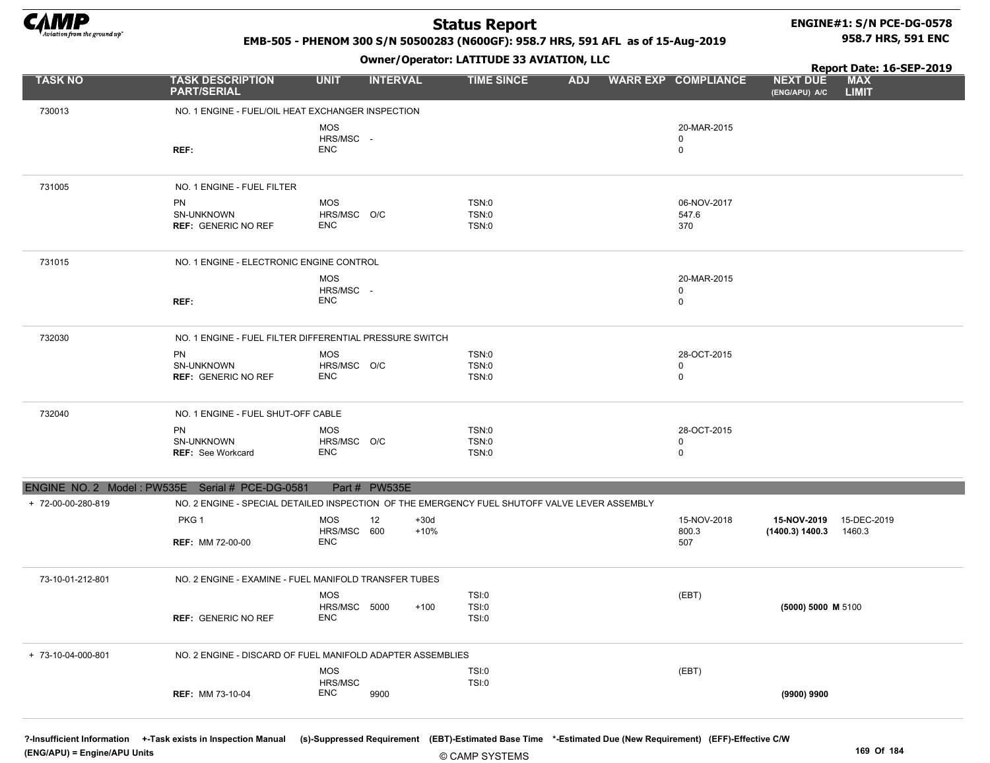

ENGINE N

### Status Report

#### ENGINE#1: S/N PCE-DG-0578 958.7 HRS, 591 ENC

Report Date: 16-SEP-2019

EMB-505 - PHENOM 300 S/N 50500283 (N600GF): 958.7 HRS, 591 AFL as of 15-Aug-2019

#### Owner/Operator: LATITUDE 33 AVIATION, LLC

| <b>TASK NO</b>     | <b>TASK DESCRIPTION</b><br><b>PART/SERIAL</b>              | <b>UNIT</b>                              | <b>INTERVAL</b> | <b>TIME SINCE</b>                                                                             | <b>ADJ</b> | <b>WARR EXP COMPLIANCE</b>       | <b>NEXT DUE</b><br>(ENG/APU) A/C                    | <b>MAX</b><br><b>LIMIT</b> |
|--------------------|------------------------------------------------------------|------------------------------------------|-----------------|-----------------------------------------------------------------------------------------------|------------|----------------------------------|-----------------------------------------------------|----------------------------|
| 730013             | NO. 1 ENGINE - FUEL/OIL HEAT EXCHANGER INSPECTION          |                                          |                 |                                                                                               |            |                                  |                                                     |                            |
|                    | REF:                                                       | <b>MOS</b><br>HRS/MSC -<br><b>ENC</b>    |                 |                                                                                               |            | 20-MAR-2015<br>0<br>$\Omega$     |                                                     |                            |
| 731005             | NO. 1 ENGINE - FUEL FILTER                                 |                                          |                 |                                                                                               |            |                                  |                                                     |                            |
|                    | <b>PN</b><br>SN-UNKNOWN<br><b>REF: GENERIC NO REF</b>      | <b>MOS</b><br>HRS/MSC O/C<br><b>ENC</b>  |                 | TSN:0<br>TSN:0<br>TSN:0                                                                       |            | 06-NOV-2017<br>547.6<br>370      |                                                     |                            |
| 731015             | NO. 1 ENGINE - ELECTRONIC ENGINE CONTROL                   |                                          |                 |                                                                                               |            |                                  |                                                     |                            |
|                    | REF:                                                       | <b>MOS</b><br>HRS/MSC -<br><b>ENC</b>    |                 |                                                                                               |            | 20-MAR-2015<br>0<br>$\mathbf 0$  |                                                     |                            |
| 732030             | NO. 1 ENGINE - FUEL FILTER DIFFERENTIAL PRESSURE SWITCH    |                                          |                 |                                                                                               |            |                                  |                                                     |                            |
|                    | <b>PN</b><br>SN-UNKNOWN<br><b>REF: GENERIC NO REF</b>      | <b>MOS</b><br>HRS/MSC O/C<br><b>ENC</b>  |                 | TSN:0<br>TSN:0<br>TSN:0                                                                       |            | 28-OCT-2015<br>0<br>$\mathbf 0$  |                                                     |                            |
| 732040             | NO. 1 ENGINE - FUEL SHUT-OFF CABLE                         |                                          |                 |                                                                                               |            |                                  |                                                     |                            |
|                    | <b>PN</b><br>SN-UNKNOWN<br><b>REF: See Workcard</b>        | <b>MOS</b><br>HRS/MSC O/C<br><b>ENC</b>  |                 | TSN:0<br>TSN:0<br>TSN:0                                                                       |            | 28-OCT-2015<br>0<br>$\mathbf{0}$ |                                                     |                            |
|                    | NGINE NO. 2 Model: PW535E Serial # PCE-DG-0581             |                                          | Part # PW535E   |                                                                                               |            |                                  |                                                     |                            |
| + 72-00-00-280-819 |                                                            |                                          |                 | NO. 2 ENGINE - SPECIAL DETAILED INSPECTION OF THE EMERGENCY FUEL SHUTOFF VALVE LEVER ASSEMBLY |            |                                  |                                                     |                            |
|                    | PKG <sub>1</sub><br><b>REF: MM 72-00-00</b>                | <b>MOS</b><br>HRS/MSC 600<br><b>ENC</b>  | 12              | $+30d$<br>$+10%$                                                                              |            | 15-NOV-2018<br>800.3<br>507      | 15-NOV-2019 15-DEC-2019<br>$(1400.3)$ 1400.3 1460.3 |                            |
| 73-10-01-212-801   | NO. 2 ENGINE - EXAMINE - FUEL MANIFOLD TRANSFER TUBES      |                                          |                 |                                                                                               |            |                                  |                                                     |                            |
|                    | <b>REF: GENERIC NO REF</b>                                 | <b>MOS</b><br>HRS/MSC 5000<br><b>ENC</b> |                 | TSI:0<br>$+100$<br>TSI:0<br>TSI:0                                                             |            | (EBT)                            | (5000) 5000 M 5100                                  |                            |
| + 73-10-04-000-801 | NO. 2 ENGINE - DISCARD OF FUEL MANIFOLD ADAPTER ASSEMBLIES |                                          |                 |                                                                                               |            |                                  |                                                     |                            |
|                    | <b>REF: MM 73-10-04</b>                                    | <b>MOS</b><br>HRS/MSC<br>ENC             | 9900            | TSI:0<br>TSI:0                                                                                |            | (EBT)                            | $(9900)$ 9900                                       |                            |

**REF: MM 73-10-04** MM 73-10-04 (9900) 9900

?-Insufficient Information +-Task exists in Inspection Manual (s)-Suppressed Requirement (EBT)-Estimated Base Time \*-Estimated Due (New Requirement) (EFF)-Effective C/W

ENC 9900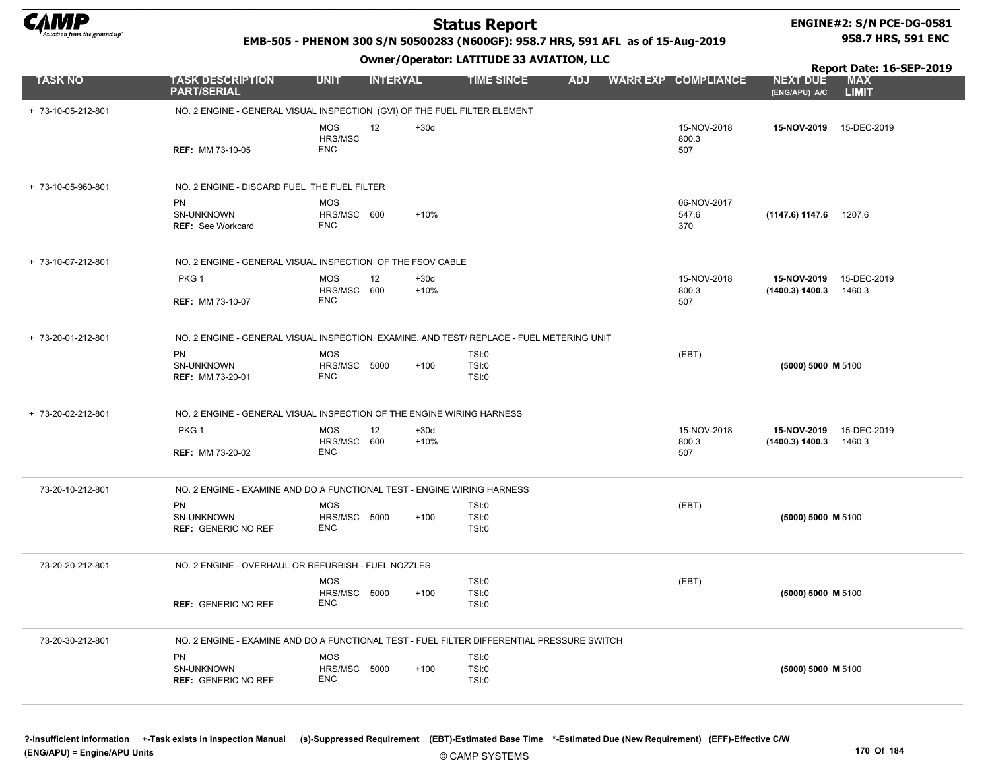

**REF: MM 73-10-05** 

PART/SERIAL

+ 73-10-05-960-801 NO. 2 ENGINE - DISCARD FUEL THE FUEL FILTER

SN-UNKNOWN REF: See Workcard

REF: MM 73-10-07

PKG<sub>1</sub>

PN

MOS HRS/MSC ENC

MOS

ENC

MOS

ENC

HRS/MSC 600

HRS/MSC 600

12

 +30d +10%

### Status Report

# ENGINE#2: S/N PCE-DG-0581

#### EMB-505 - PHENOM 300 S/N 50500283 (N600GF): 958.7 HRS, 591 AFL as of 15-Aug-2019

Owner/Operator: LATITUDE 33 AVIATION, LLC

15-NOV-2019 +30d 15-DEC-2019 + 73-10-05-212-801 NO. 2 ENGINE - GENERAL VISUAL INSPECTION (GVI) OF THE FUEL FILTER ELEMENT 12 15-NOV-2018 800.3  $M$ M 73-10-05  $SO7$ 06-NOV-2017 547.6 370 (1147.6) 1147.6 +10% 1207.6 15-NOV-2019 15-DEC-2019 + 73-10-07-212-801 NO. 2 ENGINE - GENERAL VISUAL INSPECTION OF THE FSOV CABLE 15-NOV-2018 800.3 507 (1400.3) 1400.3 1460.3 TASK NO TASK DESCRIPTION UNIT INTERVAL TIME SINCE ADJ WARR EXP COMPLIANCE MAX LIMIT Report Date: 16-SEP-2019 958.7 HRS, 591 ENC NEXT DUE (ENG/APU) A/C

| NO. 2 ENGINE - GENERAL VISUAL INSPECTION, EXAMINE, AND TEST/ REPLACE - FUEL METERING UNIT |                                          |                  |                         |                      |                                                         |                                                                        |  |  |  |  |
|-------------------------------------------------------------------------------------------|------------------------------------------|------------------|-------------------------|----------------------|---------------------------------------------------------|------------------------------------------------------------------------|--|--|--|--|
| <b>PN</b><br>SN-UNKNOWN<br><b>REF: MM 73-20-01</b>                                        | <b>MOS</b><br><b>HRS/MSC 5000</b><br>ENC | $+100$           | TSI:0<br>TSI:0<br>TSI:0 | (EBT)                | $(5000) 5000$ M 5100                                    |                                                                        |  |  |  |  |
| NO. 2 ENGINE - GENERAL VISUAL INSPECTION OF THE ENGINE WIRING HARNESS                     |                                          |                  |                         |                      |                                                         |                                                                        |  |  |  |  |
| PKG <sub>1</sub>                                                                          | <b>MOS</b><br>12<br>HRS/MSC 600          | $+30d$<br>$+10%$ |                         | 15-NOV-2018<br>800.3 | 15-DEC-2019<br>15-NOV-2019<br>(1400.3) 1400.3<br>1460.3 |                                                                        |  |  |  |  |
|                                                                                           |                                          |                  |                         |                      |                                                         |                                                                        |  |  |  |  |
|                                                                                           | <b>REF: MM 73-20-02</b>                  | ENC              |                         |                      | 507                                                     | NO 2 ENGINE - EXAMINE AND DO A FUNCTIONAL TEST - ENGINE WIRING HARNESS |  |  |  |  |

| 73-20-10-212-801 | NO. 2 ENGINE - EXAMINE AND DO A FUNCTIONAL TEST - ENGINE WIRING HARNESS |                                                       |                                                                                            |       |                      |  |  |  |  |  |  |
|------------------|-------------------------------------------------------------------------|-------------------------------------------------------|--------------------------------------------------------------------------------------------|-------|----------------------|--|--|--|--|--|--|
|                  | <b>PN</b><br><b>SN-UNKNOWN</b><br><b>REF: GENERIC NO REF</b>            | MOS<br>HRS/MSC<br>5000<br>$+100$<br><b>ENC</b>        | TSI:0<br>TSI:0<br>TSI:0                                                                    | (EBT) | (5000) 5000 M 5100   |  |  |  |  |  |  |
| 73-20-20-212-801 | NO. 2 ENGINE - OVERHAUL OR REFURBISH - FUEL NOZZLES                     |                                                       |                                                                                            |       |                      |  |  |  |  |  |  |
|                  | <b>REF: GENERIC NO REF</b>                                              | <b>MOS</b><br>HRS/MSC<br>5000<br>$+100$<br><b>ENC</b> | TSI:0<br><b>TSI:0</b><br>TSI:0                                                             | (EBT) | $(5000) 5000$ M 5100 |  |  |  |  |  |  |
| 73-20-30-212-801 |                                                                         |                                                       | NO. 2 ENGINE - EXAMINE AND DO A FUNCTIONAL TEST - FUEL FILTER DIFFERENTIAL PRESSURE SWITCH |       |                      |  |  |  |  |  |  |
|                  | <b>PN</b><br>SN-UNKNOWN<br><b>REF: GENERIC NO REF</b>                   | <b>MOS</b><br>HRS/MSC<br>5000<br>$+100$<br><b>ENC</b> | TSI:0<br><b>TSI:0</b><br>TSI:0                                                             |       | (5000) 5000 M 5100   |  |  |  |  |  |  |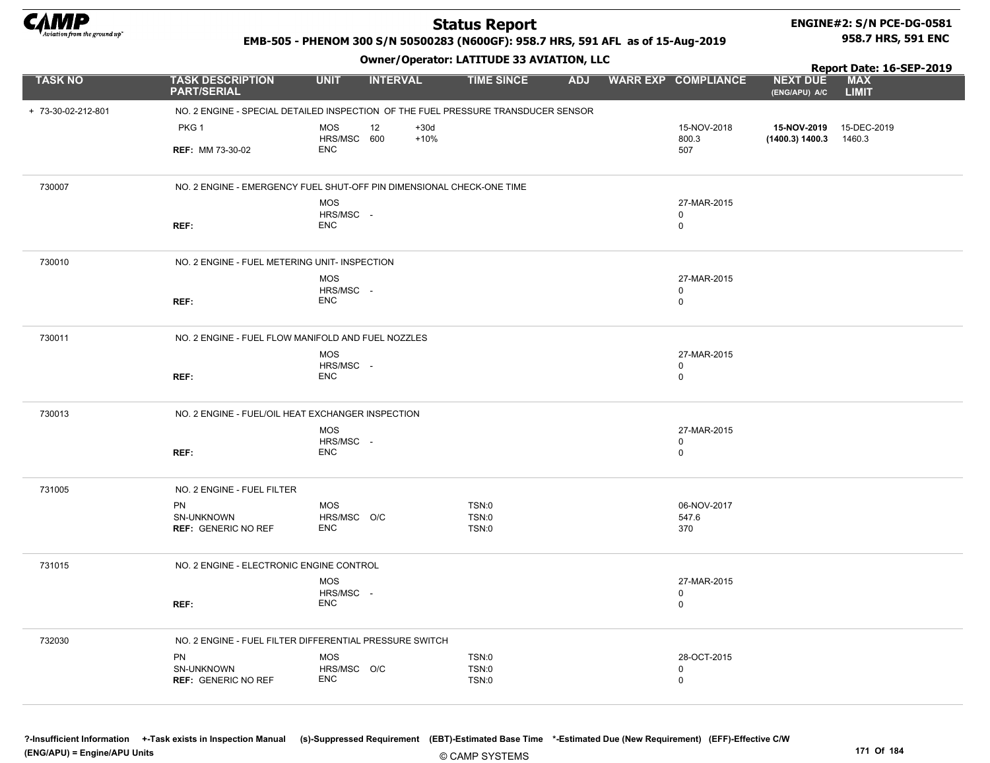

# ENGINE#2: S/N PCE-DG-0581

#### EMB-505 - PHENOM 300 S/N 50500283 (N600GF): 958.7 HRS, 591 AFL as of 15-Aug-2019

Owner/Operator: LATITUDE 33 AVIATION, LLC

Report Date: 16-SEP-2019 958.7 HRS, 591 ENC

| <b>TASK NO</b>     | <b>TASK DESCRIPTION</b><br><b>PART/SERIAL</b>                                     | <b>UNIT</b>               | <b>INTERVAL</b> | <b>TIME SINCE</b>            | <b>ADJ</b> | <b>WARR EXP COMPLIANCE</b> | <b>NEXT DUE</b><br>(ENG/APU) A/C | <b>MAX</b><br><b>LIMIT</b> |
|--------------------|-----------------------------------------------------------------------------------|---------------------------|-----------------|------------------------------|------------|----------------------------|----------------------------------|----------------------------|
| + 73-30-02-212-801 | NO. 2 ENGINE - SPECIAL DETAILED INSPECTION OF THE FUEL PRESSURE TRANSDUCER SENSOR |                           |                 |                              |            |                            |                                  |                            |
|                    | PKG <sub>1</sub>                                                                  | MOS                       | 12<br>$+30d$    |                              |            | 15-NOV-2018                | 15-NOV-2019                      | 15-DEC-2019                |
|                    | <b>REF: MM 73-30-02</b>                                                           | HRS/MSC 600<br><b>ENC</b> | $+10%$          |                              |            | 800.3<br>507               | (1400.3) 1400.3                  | 1460.3                     |
| 730007             | NO. 2 ENGINE - EMERGENCY FUEL SHUT-OFF PIN DIMENSIONAL CHECK-ONE TIME             |                           |                 |                              |            |                            |                                  |                            |
|                    |                                                                                   | <b>MOS</b><br>HRS/MSC -   |                 |                              |            | 27-MAR-2015<br>0           |                                  |                            |
|                    | REF:                                                                              | <b>ENC</b>                |                 |                              |            | $\mathbf 0$                |                                  |                            |
| 730010             | NO. 2 ENGINE - FUEL METERING UNIT- INSPECTION                                     |                           |                 |                              |            |                            |                                  |                            |
|                    |                                                                                   | MOS<br>HRS/MSC -          |                 |                              |            | 27-MAR-2015<br>0           |                                  |                            |
|                    | REF:                                                                              | <b>ENC</b>                |                 |                              |            | $\mathbf 0$                |                                  |                            |
| 730011             | NO. 2 ENGINE - FUEL FLOW MANIFOLD AND FUEL NOZZLES                                |                           |                 |                              |            |                            |                                  |                            |
|                    |                                                                                   | MOS<br>HRS/MSC -          |                 |                              |            | 27-MAR-2015<br>0           |                                  |                            |
|                    | REF:                                                                              | <b>ENC</b>                |                 |                              |            | 0                          |                                  |                            |
| 730013             | NO. 2 ENGINE - FUEL/OIL HEAT EXCHANGER INSPECTION                                 |                           |                 |                              |            |                            |                                  |                            |
|                    |                                                                                   | <b>MOS</b><br>HRS/MSC -   |                 |                              |            | 27-MAR-2015<br>0           |                                  |                            |
|                    | REF:                                                                              | <b>ENC</b>                |                 |                              |            | 0                          |                                  |                            |
| 731005             | NO. 2 ENGINE - FUEL FILTER                                                        |                           |                 |                              |            |                            |                                  |                            |
|                    | <b>PN</b><br><b>SN-UNKNOWN</b>                                                    | <b>MOS</b><br>HRS/MSC O/C |                 | <b>TSN:0</b><br><b>TSN:0</b> |            | 06-NOV-2017<br>547.6       |                                  |                            |
|                    | <b>REF: GENERIC NO REF</b>                                                        | <b>ENC</b>                |                 | TSN:0                        |            | 370                        |                                  |                            |
| 731015             | NO. 2 ENGINE - ELECTRONIC ENGINE CONTROL                                          |                           |                 |                              |            |                            |                                  |                            |
|                    |                                                                                   | MOS<br>HRS/MSC -          |                 |                              |            | 27-MAR-2015<br>0           |                                  |                            |
|                    | REF:                                                                              | <b>ENC</b>                |                 |                              |            | 0                          |                                  |                            |
| 732030             | NO. 2 ENGINE - FUEL FILTER DIFFERENTIAL PRESSURE SWITCH                           |                           |                 |                              |            |                            |                                  |                            |
|                    | PN<br>SN-UNKNOWN                                                                  | <b>MOS</b><br>HRS/MSC O/C |                 | TSN:0<br>TSN:0               |            | 28-OCT-2015<br>0           |                                  |                            |
|                    | <b>REF: GENERIC NO REF</b>                                                        | <b>ENC</b>                |                 | <b>TSN:0</b>                 |            | 0                          |                                  |                            |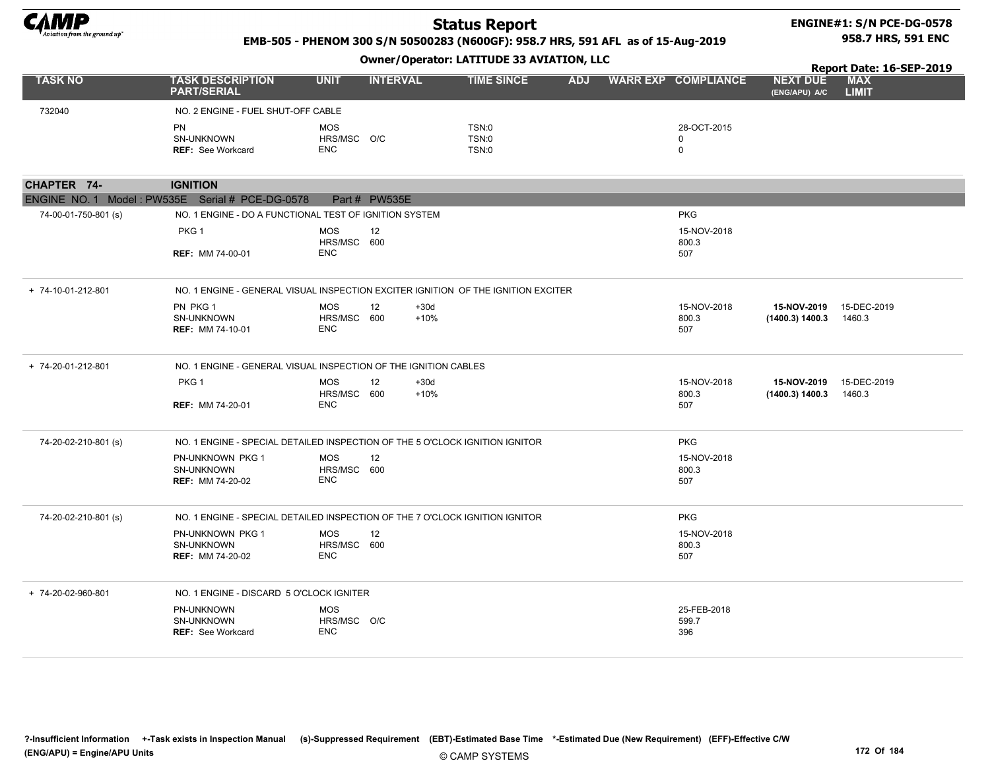

#### ENGINE#1: S/N PCE-DG-0578 958.7 HRS, 591 ENC

#### EMB-505 - PHENOM 300 S/N 50500283 (N600GF): 958.7 HRS, 591 AFL as of 15-Aug-2019

|                      |                                                                                   |                                         |                 | <u>omici / operatori EATITIODE OD ATIATITUM/</u> |            |                                           | Report Date: 16-SEP-2019         |                            |  |  |
|----------------------|-----------------------------------------------------------------------------------|-----------------------------------------|-----------------|--------------------------------------------------|------------|-------------------------------------------|----------------------------------|----------------------------|--|--|
| <b>TASK NO</b>       | <b>TASK DESCRIPTION</b><br><b>PART/SERIAL</b>                                     | <b>UNIT</b>                             | <b>INTERVAL</b> | <b>TIME SINCE</b>                                | <b>ADJ</b> | <b>WARR EXP COMPLIANCE</b>                | <b>NEXT DUE</b><br>(ENG/APU) A/C | <b>MAX</b><br><b>LIMIT</b> |  |  |
| 732040               | NO. 2 ENGINE - FUEL SHUT-OFF CABLE                                                |                                         |                 |                                                  |            |                                           |                                  |                            |  |  |
|                      | PN<br>SN-UNKNOWN<br><b>REF: See Workcard</b>                                      | <b>MOS</b><br>HRS/MSC O/C<br><b>ENC</b> |                 | <b>TSN:0</b><br><b>TSN:0</b><br>TSN:0            |            | 28-OCT-2015<br>$\mathbf 0$<br>$\mathbf 0$ |                                  |                            |  |  |
| CHAPTER 74-          | <b>IGNITION</b>                                                                   |                                         |                 |                                                  |            |                                           |                                  |                            |  |  |
|                      | ENGINE NO. 1 Model: PW535E Serial # PCE-DG-0578                                   |                                         | Part # PW535E   |                                                  |            |                                           |                                  |                            |  |  |
| 74-00-01-750-801 (s) | NO. 1 ENGINE - DO A FUNCTIONAL TEST OF IGNITION SYSTEM                            |                                         |                 |                                                  |            | <b>PKG</b>                                |                                  |                            |  |  |
|                      | PKG <sub>1</sub>                                                                  | <b>MOS</b><br>HRS/MSC 600               | 12              |                                                  |            | 15-NOV-2018<br>800.3                      |                                  |                            |  |  |
|                      | <b>REF: MM 74-00-01</b>                                                           | <b>ENC</b>                              |                 |                                                  |            | 507                                       |                                  |                            |  |  |
| + 74-10-01-212-801   | NO. 1 ENGINE - GENERAL VISUAL INSPECTION EXCITER IGNITION OF THE IGNITION EXCITER |                                         |                 |                                                  |            |                                           |                                  |                            |  |  |
|                      | PN PKG 1<br>SN-UNKNOWN<br><b>REF: MM 74-10-01</b>                                 | <b>MOS</b><br>HRS/MSC 600<br>ENC        | 12              | $+30d$<br>$+10%$                                 |            | 15-NOV-2018<br>800.3<br>507               | 15-NOV-2019<br>(1400.3) 1400.3   | 15-DEC-2019<br>1460.3      |  |  |
| + 74-20-01-212-801   | NO. 1 ENGINE - GENERAL VISUAL INSPECTION OF THE IGNITION CABLES                   |                                         |                 |                                                  |            |                                           |                                  |                            |  |  |
|                      | PKG <sub>1</sub><br><b>REF: MM 74-20-01</b>                                       | <b>MOS</b><br>HRS/MSC 600<br><b>ENC</b> | 12              | $+30d$<br>$+10%$                                 |            | 15-NOV-2018<br>800.3<br>507               | 15-NOV-2019<br>(1400.3) 1400.3   | 15-DEC-2019<br>1460.3      |  |  |
| 74-20-02-210-801 (s) | NO. 1 ENGINE - SPECIAL DETAILED INSPECTION OF THE 5 O'CLOCK IGNITION IGNITOR      |                                         |                 |                                                  |            | <b>PKG</b>                                |                                  |                            |  |  |
|                      | PN-UNKNOWN PKG 1<br>SN-UNKNOWN<br><b>REF: MM 74-20-02</b>                         | <b>MOS</b><br>HRS/MSC 600<br><b>ENC</b> | 12              |                                                  |            | 15-NOV-2018<br>800.3<br>507               |                                  |                            |  |  |
| 74-20-02-210-801 (s) | NO. 1 ENGINE - SPECIAL DETAILED INSPECTION OF THE 7 O'CLOCK IGNITION IGNITOR      |                                         |                 |                                                  |            | <b>PKG</b>                                |                                  |                            |  |  |
|                      | PN-UNKNOWN PKG 1<br><b>SN-UNKNOWN</b><br><b>REF: MM 74-20-02</b>                  | <b>MOS</b><br>HRS/MSC 600<br><b>ENC</b> | 12              |                                                  |            | 15-NOV-2018<br>800.3<br>507               |                                  |                            |  |  |
| + 74-20-02-960-801   | NO. 1 ENGINE - DISCARD 5 O'CLOCK IGNITER                                          |                                         |                 |                                                  |            |                                           |                                  |                            |  |  |
|                      | PN-UNKNOWN<br><b>SN-UNKNOWN</b><br><b>REF: See Workcard</b>                       | <b>MOS</b><br>HRS/MSC O/C<br><b>ENC</b> |                 |                                                  |            | 25-FEB-2018<br>599.7<br>396               |                                  |                            |  |  |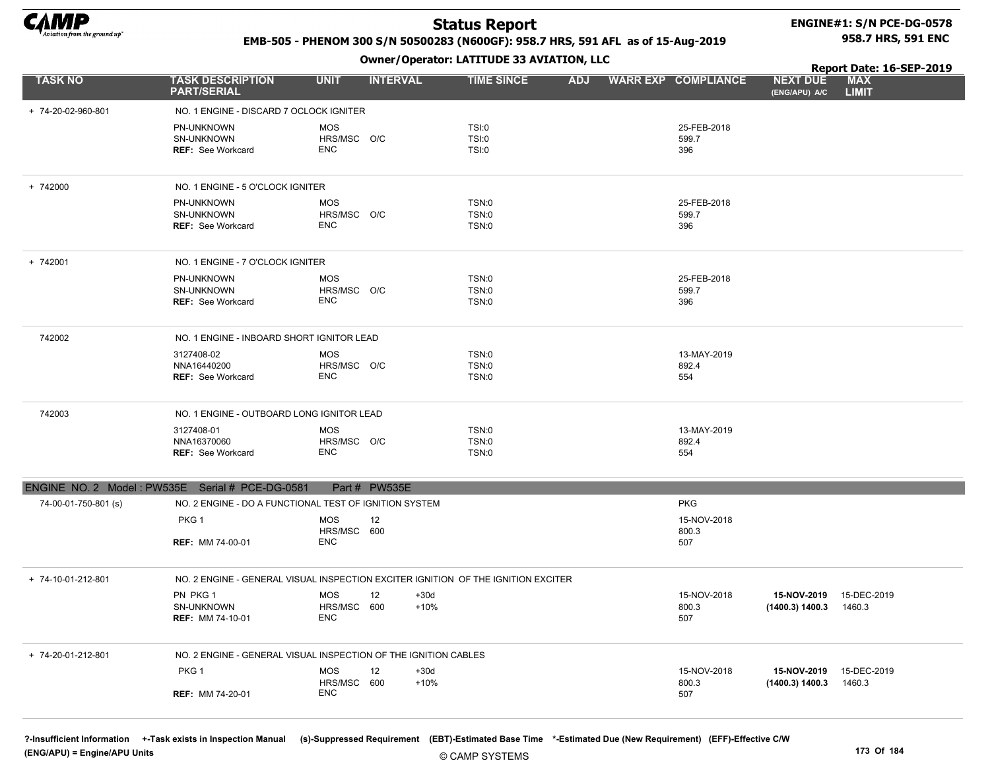

# ENGINE#1: S/N PCE-DG-0578

#### EMB-505 - PHENOM 300 S/N 50500283 (N600GF): 958.7 HRS, 591 AFL as of 15-Aug-2019

Owner/Operator: LATITUDE 33 AVIATION, LLC

958.7 HRS, 591 ENC

|                      |                                                                 |                                               | <b>OWNCI/Operator:</b> EATITODE 33 AVEATION/ ELD                                  |            | Report Date: 16-SEP-2019    |                                  |                            |
|----------------------|-----------------------------------------------------------------|-----------------------------------------------|-----------------------------------------------------------------------------------|------------|-----------------------------|----------------------------------|----------------------------|
| <b>TASK NO</b>       | <b>TASK DESCRIPTION</b><br><b>PART/SERIAL</b>                   | <b>UNIT</b><br><b>INTERVAL</b>                | <b>TIME SINCE</b>                                                                 | <b>ADJ</b> | <b>WARR EXP COMPLIANCE</b>  | <b>NEXT DUE</b><br>(ENG/APU) A/C | <b>MAX</b><br><b>LIMIT</b> |
| + 74-20-02-960-801   | NO. 1 ENGINE - DISCARD 7 OCLOCK IGNITER                         |                                               |                                                                                   |            |                             |                                  |                            |
|                      | PN-UNKNOWN<br>SN-UNKNOWN<br><b>REF: See Workcard</b>            | <b>MOS</b><br>HRS/MSC O/C<br>ENC              | TSI:0<br>TSI:0<br>TSI:0                                                           |            | 25-FEB-2018<br>599.7<br>396 |                                  |                            |
| + 742000             | NO. 1 ENGINE - 5 O'CLOCK IGNITER                                |                                               |                                                                                   |            |                             |                                  |                            |
|                      | PN-UNKNOWN<br>SN-UNKNOWN<br><b>REF: See Workcard</b>            | <b>MOS</b><br>HRS/MSC O/C<br>ENC              | TSN:0<br>TSN:0<br>TSN:0                                                           |            | 25-FEB-2018<br>599.7<br>396 |                                  |                            |
| + 742001             | NO. 1 ENGINE - 7 O'CLOCK IGNITER                                |                                               |                                                                                   |            |                             |                                  |                            |
|                      | PN-UNKNOWN<br>SN-UNKNOWN<br><b>REF: See Workcard</b>            | <b>MOS</b><br>HRS/MSC O/C<br>ENC              | TSN:0<br>TSN:0<br>TSN:0                                                           |            | 25-FEB-2018<br>599.7<br>396 |                                  |                            |
| 742002               | NO. 1 ENGINE - INBOARD SHORT IGNITOR LEAD                       |                                               |                                                                                   |            |                             |                                  |                            |
|                      | 3127408-02<br>NNA16440200<br><b>REF: See Workcard</b>           | <b>MOS</b><br>HRS/MSC O/C<br>ENC              | TSN:0<br>TSN:0<br>TSN:0                                                           |            | 13-MAY-2019<br>892.4<br>554 |                                  |                            |
| 742003               | NO. 1 ENGINE - OUTBOARD LONG IGNITOR LEAD                       |                                               |                                                                                   |            |                             |                                  |                            |
|                      | 3127408-01<br>NNA16370060<br><b>REF: See Workcard</b>           | <b>MOS</b><br>HRS/MSC O/C<br>ENC              | TSN:0<br>TSN:0<br>TSN:0                                                           |            | 13-MAY-2019<br>892.4<br>554 |                                  |                            |
|                      | ENGINE NO. 2 Model: PW535E Serial # PCE-DG-0581                 | Part # PW535E                                 |                                                                                   |            |                             |                                  |                            |
| 74-00-01-750-801 (s) | NO. 2 ENGINE - DO A FUNCTIONAL TEST OF IGNITION SYSTEM          |                                               |                                                                                   |            | <b>PKG</b>                  |                                  |                            |
|                      | PKG 1                                                           | <b>MOS</b><br>12<br>HRS/MSC 600               |                                                                                   |            | 15-NOV-2018<br>800.3        |                                  |                            |
|                      | <b>REF: MM 74-00-01</b>                                         | ENC                                           |                                                                                   |            | 507                         |                                  |                            |
| + 74-10-01-212-801   |                                                                 |                                               | NO. 2 ENGINE - GENERAL VISUAL INSPECTION EXCITER IGNITION OF THE IGNITION EXCITER |            |                             |                                  |                            |
|                      | PN PKG 1<br>SN-UNKNOWN<br><b>REF: MM 74-10-01</b>               | <b>MOS</b><br>12<br>HRS/MSC 600<br>ENC        | $+30d$<br>$+10%$                                                                  |            | 15-NOV-2018<br>800.3<br>507 | 15-NOV-2019<br>(1400.3) 1400.3   | 15-DEC-2019<br>1460.3      |
| + 74-20-01-212-801   | NO. 2 ENGINE - GENERAL VISUAL INSPECTION OF THE IGNITION CABLES |                                               |                                                                                   |            |                             |                                  |                            |
|                      | PKG 1<br><b>REF: MM 74-20-01</b>                                | <b>MOS</b><br>12<br>HRS/MSC 600<br><b>ENC</b> | $+30d$<br>$+10%$                                                                  |            | 15-NOV-2018<br>800.3<br>507 | 15-NOV-2019<br>(1400.3) 1400.3   | 15-DEC-2019<br>1460.3      |

?-Insufficient Information +-Task exists in Inspection Manual (s)-Suppressed Requirement (EBT)-Estimated Base Time \*-Estimated Due (New Requirement) (EFF)-Effective C/W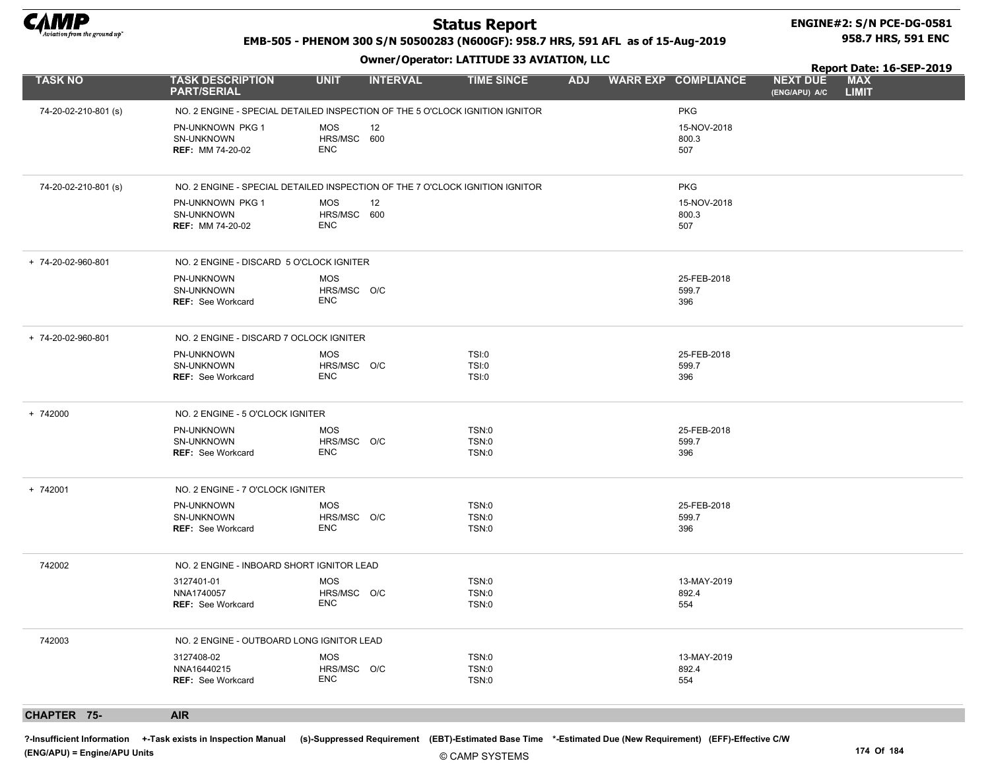

#### ENGINE#2: S/N PCE-DG-0581 958.7 HRS, 591 ENC

EMB-505 - PHENOM 300 S/N 50500283 (N600GF): 958.7 HRS, 591 AFL as of 15-Aug-2019

#### Owner/Operator: LATITUDE 33 AVIATION, LLC

Report Date: 16-SEP-2019

| <b>TASK NO</b>       | <b>TASK DESCRIPTION</b><br><b>PART/SERIAL</b>                    | <b>UNIT</b><br><b>INTERVAL</b>                | <b>TIME SINCE</b>                                                            | <b>ADJ</b> | <b>WARR EXP COMPLIANCE</b>  | <b>NEXT DUE</b><br>(ENG/APU) A/C | <b>MAX</b><br><b>LIMIT</b> |
|----------------------|------------------------------------------------------------------|-----------------------------------------------|------------------------------------------------------------------------------|------------|-----------------------------|----------------------------------|----------------------------|
| 74-20-02-210-801 (s) |                                                                  |                                               | NO. 2 ENGINE - SPECIAL DETAILED INSPECTION OF THE 5 O'CLOCK IGNITION IGNITOR |            | <b>PKG</b>                  |                                  |                            |
|                      | PN-UNKNOWN PKG 1<br><b>SN-UNKNOWN</b><br><b>REF: MM 74-20-02</b> | <b>MOS</b><br>12<br>HRS/MSC 600<br><b>ENC</b> |                                                                              |            | 15-NOV-2018<br>800.3<br>507 |                                  |                            |
| 74-20-02-210-801 (s) |                                                                  |                                               | NO. 2 ENGINE - SPECIAL DETAILED INSPECTION OF THE 7 O'CLOCK IGNITION IGNITOR |            | <b>PKG</b>                  |                                  |                            |
|                      | PN-UNKNOWN PKG 1<br>SN-UNKNOWN<br><b>REF: MM 74-20-02</b>        | <b>MOS</b><br>12<br>HRS/MSC 600<br><b>ENC</b> |                                                                              |            | 15-NOV-2018<br>800.3<br>507 |                                  |                            |
| + 74-20-02-960-801   | NO. 2 ENGINE - DISCARD 5 O'CLOCK IGNITER                         |                                               |                                                                              |            |                             |                                  |                            |
|                      | PN-UNKNOWN<br>SN-UNKNOWN<br><b>REF: See Workcard</b>             | <b>MOS</b><br>HRS/MSC O/C<br>ENC              |                                                                              |            | 25-FEB-2018<br>599.7<br>396 |                                  |                            |
| + 74-20-02-960-801   | NO. 2 ENGINE - DISCARD 7 OCLOCK IGNITER                          |                                               |                                                                              |            |                             |                                  |                            |
|                      | PN-UNKNOWN<br>SN-UNKNOWN<br><b>REF: See Workcard</b>             | <b>MOS</b><br>HRS/MSC O/C<br>ENC              | TSI:0<br>TSI:0<br>TSI:0                                                      |            | 25-FEB-2018<br>599.7<br>396 |                                  |                            |
| + 742000             | NO. 2 ENGINE - 5 O'CLOCK IGNITER                                 |                                               |                                                                              |            |                             |                                  |                            |
|                      | PN-UNKNOWN<br>SN-UNKNOWN<br><b>REF: See Workcard</b>             | <b>MOS</b><br>HRS/MSC O/C<br>ENC              | <b>TSN:0</b><br>TSN:0<br>TSN:0                                               |            | 25-FEB-2018<br>599.7<br>396 |                                  |                            |
| + 742001             | NO. 2 ENGINE - 7 O'CLOCK IGNITER                                 |                                               |                                                                              |            |                             |                                  |                            |
|                      | PN-UNKNOWN<br><b>SN-UNKNOWN</b><br><b>REF: See Workcard</b>      | <b>MOS</b><br>HRS/MSC O/C<br><b>ENC</b>       | TSN:0<br>TSN:0<br>TSN:0                                                      |            | 25-FEB-2018<br>599.7<br>396 |                                  |                            |
| 742002               | NO. 2 ENGINE - INBOARD SHORT IGNITOR LEAD                        |                                               |                                                                              |            |                             |                                  |                            |
|                      | 3127401-01<br>NNA1740057<br><b>REF: See Workcard</b>             | <b>MOS</b><br>HRS/MSC O/C<br><b>ENC</b>       | TSN:0<br>TSN:0<br>TSN:0                                                      |            | 13-MAY-2019<br>892.4<br>554 |                                  |                            |
| 742003               | NO. 2 ENGINE - OUTBOARD LONG IGNITOR LEAD                        |                                               |                                                                              |            |                             |                                  |                            |
|                      | 3127408-02<br>NNA16440215<br><b>REF: See Workcard</b>            | <b>MOS</b><br>HRS/MSC O/C<br><b>ENC</b>       | TSN:0<br><b>TSN:0</b><br>TSN:0                                               |            | 13-MAY-2019<br>892.4<br>554 |                                  |                            |
| <b>CHAPTER 75-</b>   | <b>AIR</b>                                                       |                                               |                                                                              |            |                             |                                  |                            |

?-Insufficient Information +-Task exists in Inspection Manual (s)-Suppressed Requirement (EBT)-Estimated Base Time \*-Estimated Due (New Requirement) (EFF)-Effective C/W (ENG/APU) = Engine/APU Units 174 Of 184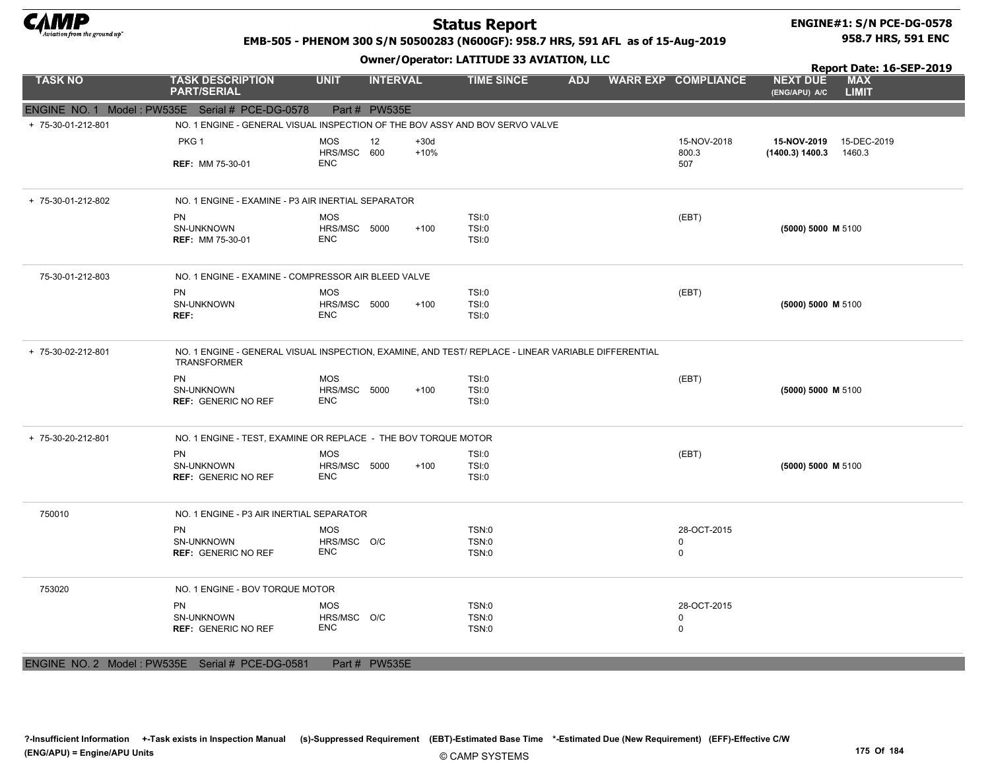

#### ENGINE#1: S/N PCE-DG-0578 958.7 HRS, 591 ENC

#### EMB-505 - PHENOM 300 S/N 50500283 (N600GF): 958.7 HRS, 591 AFL as of 15-Aug-2019

#### Owner/Operator: LATITUDE 33 AVIATION, LLC

Report Date: 16-SEP-2019 NEXT DUE

| <b>TASK NO</b>     | <b>TASK DESCRIPTION</b><br><b>PART/SERIAL</b>                                                                             | <b>UNIT</b>                | <b>INTERVAL</b> |                  | <b>TIME SINCE</b>     | <b>ADJ</b> | <b>WARR EXP COMPLIANCE</b> | <b>NEXT DUE</b><br>(ENG/APU) A/C | <b>MAX</b><br><b>LIMIT</b> |
|--------------------|---------------------------------------------------------------------------------------------------------------------------|----------------------------|-----------------|------------------|-----------------------|------------|----------------------------|----------------------------------|----------------------------|
|                    | ENGINE NO. 1 Model: PW535E Serial # PCE-DG-0578                                                                           |                            | Part # PW535E   |                  |                       |            |                            |                                  |                            |
| + 75-30-01-212-801 | NO. 1 ENGINE - GENERAL VISUAL INSPECTION OF THE BOV ASSY AND BOV SERVO VALVE                                              |                            |                 |                  |                       |            |                            |                                  |                            |
|                    | PKG 1                                                                                                                     | <b>MOS</b><br>HRS/MSC      | 12<br>600       | $+30d$<br>$+10%$ |                       |            | 15-NOV-2018<br>800.3       | 15-NOV-2019<br>(1400.3) 1400.3   | 15-DEC-2019<br>1460.3      |
|                    | <b>REF: MM 75-30-01</b>                                                                                                   | <b>ENC</b>                 |                 |                  |                       |            | 507                        |                                  |                            |
| + 75-30-01-212-802 | NO. 1 ENGINE - EXAMINE - P3 AIR INERTIAL SEPARATOR                                                                        |                            |                 |                  |                       |            |                            |                                  |                            |
|                    | <b>PN</b>                                                                                                                 | <b>MOS</b>                 |                 |                  | TSI:0                 |            | (EBT)                      |                                  |                            |
|                    | SN-UNKNOWN<br><b>REF: MM 75-30-01</b>                                                                                     | HRS/MSC 5000<br><b>ENC</b> |                 | $+100$           | TSI:0<br>TSI:0        |            |                            | (5000) 5000 M 5100               |                            |
| 75-30-01-212-803   | NO. 1 ENGINE - EXAMINE - COMPRESSOR AIR BLEED VALVE                                                                       |                            |                 |                  |                       |            |                            |                                  |                            |
|                    | <b>PN</b>                                                                                                                 | <b>MOS</b>                 |                 |                  | <b>TSI:0</b>          |            | (EBT)                      |                                  |                            |
|                    | SN-UNKNOWN<br>REF:                                                                                                        | HRS/MSC 5000<br><b>ENC</b> |                 | $+100$           | <b>TSI:0</b><br>TSI:0 |            |                            | (5000) 5000 M 5100               |                            |
| + 75-30-02-212-801 | NO. 1 ENGINE - GENERAL VISUAL INSPECTION, EXAMINE, AND TEST/ REPLACE - LINEAR VARIABLE DIFFERENTIAL<br><b>TRANSFORMER</b> |                            |                 |                  |                       |            |                            |                                  |                            |
|                    | PN                                                                                                                        | <b>MOS</b>                 |                 |                  | <b>TSI:0</b>          |            | (EBT)                      |                                  |                            |
|                    | SN-UNKNOWN<br><b>REF: GENERIC NO REF</b>                                                                                  | HRS/MSC 5000<br>ENC        |                 | $+100$           | <b>TSI:0</b><br>TSI:0 |            |                            | (5000) 5000 M 5100               |                            |
| + 75-30-20-212-801 | NO. 1 ENGINE - TEST, EXAMINE OR REPLACE - THE BOV TORQUE MOTOR                                                            |                            |                 |                  |                       |            |                            |                                  |                            |
|                    | <b>PN</b>                                                                                                                 | <b>MOS</b>                 |                 |                  | TSI:0                 |            | (EBT)                      |                                  |                            |
|                    | SN-UNKNOWN<br><b>REF: GENERIC NO REF</b>                                                                                  | HRS/MSC 5000<br><b>ENC</b> |                 | $+100$           | TSI:0<br>TSI:0        |            |                            | (5000) 5000 M 5100               |                            |
| 750010             | NO. 1 ENGINE - P3 AIR INERTIAL SEPARATOR                                                                                  |                            |                 |                  |                       |            |                            |                                  |                            |
|                    | <b>PN</b>                                                                                                                 | <b>MOS</b>                 |                 |                  | <b>TSN:0</b>          |            | 28-OCT-2015                |                                  |                            |
|                    | <b>SN-UNKNOWN</b><br><b>REF: GENERIC NO REF</b>                                                                           | HRS/MSC O/C<br><b>ENC</b>  |                 |                  | TSN:0<br><b>TSN:0</b> |            | $\mathbf 0$<br>0           |                                  |                            |
| 753020             | NO. 1 ENGINE - BOV TORQUE MOTOR                                                                                           |                            |                 |                  |                       |            |                            |                                  |                            |
|                    | <b>PN</b>                                                                                                                 | <b>MOS</b>                 |                 |                  | TSN:0<br><b>TSN:0</b> |            | 28-OCT-2015                |                                  |                            |
|                    | SN-UNKNOWN<br><b>REF: GENERIC NO REF</b>                                                                                  | HRS/MSC O/C<br><b>ENC</b>  |                 |                  | TSN:0                 |            | 0<br>0                     |                                  |                            |
|                    |                                                                                                                           |                            |                 |                  |                       |            |                            |                                  |                            |

ENGINE NO. 2 Model : PW535E Serial # PCE-DG-0581 Part # PW535E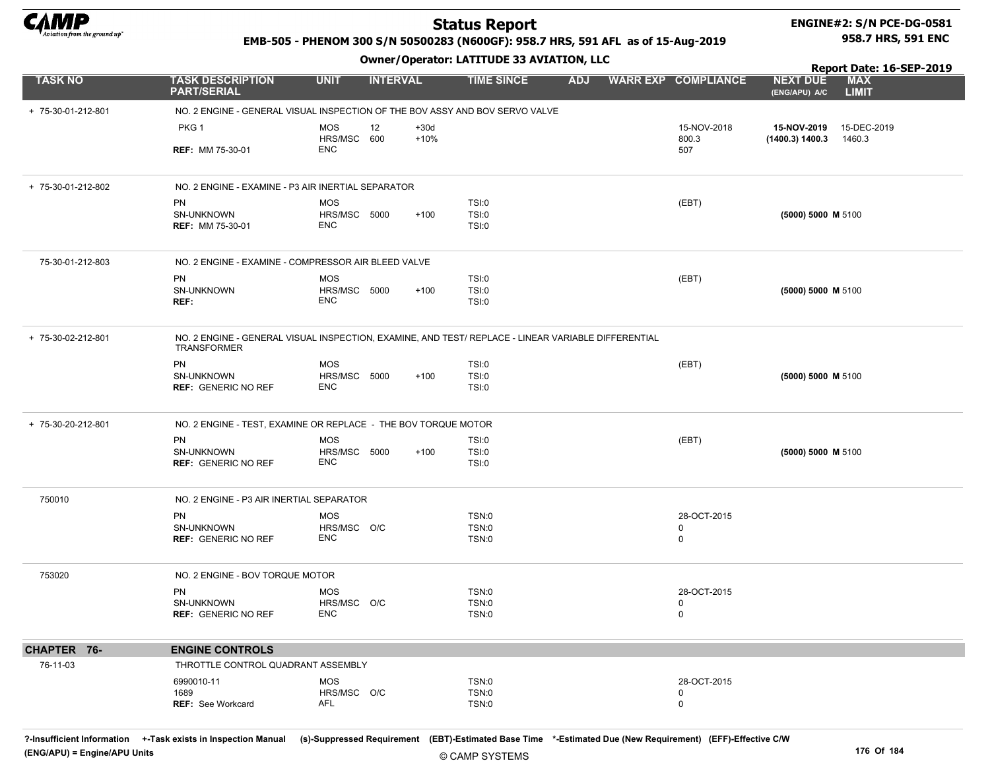

#### ENGINE#2: S/N PCE-DG-0581 958.7 HRS, 591 ENC

#### EMB-505 - PHENOM 300 S/N 50500283 (N600GF): 958.7 HRS, 591 AFL as of 15-Aug-2019

Owner/Operator: LATITUDE 33 AVIATION, LLC

|                    | <b>SWIICI/Sperator: EATITODE 33 AVIATION, LEC</b>                                                                         |                                          |                 |                  |                         |            |  |                            | Report Date: 16-SEP-2019         |                            |  |
|--------------------|---------------------------------------------------------------------------------------------------------------------------|------------------------------------------|-----------------|------------------|-------------------------|------------|--|----------------------------|----------------------------------|----------------------------|--|
| <b>TASK NO</b>     | <b>TASK DESCRIPTION</b><br><b>PART/SERIAL</b>                                                                             | <b>UNIT</b>                              | <b>INTERVAL</b> |                  | <b>TIME SINCE</b>       | <b>ADJ</b> |  | <b>WARR EXP COMPLIANCE</b> | <b>NEXT DUE</b><br>(ENG/APU) A/C | <b>MAX</b><br><b>LIMIT</b> |  |
| + 75-30-01-212-801 | NO. 2 ENGINE - GENERAL VISUAL INSPECTION OF THE BOV ASSY AND BOV SERVO VALVE                                              |                                          |                 |                  |                         |            |  |                            |                                  |                            |  |
|                    | PKG 1                                                                                                                     | <b>MOS</b><br>HRS/MSC 600                | 12              | $+30d$<br>$+10%$ |                         |            |  | 15-NOV-2018<br>800.3       | 15-NOV-2019<br>(1400.3) 1400.3   | 15-DEC-2019<br>1460.3      |  |
|                    | <b>REF: MM 75-30-01</b>                                                                                                   | <b>ENC</b>                               |                 |                  |                         |            |  | 507                        |                                  |                            |  |
| + 75-30-01-212-802 | NO. 2 ENGINE - EXAMINE - P3 AIR INERTIAL SEPARATOR                                                                        |                                          |                 |                  |                         |            |  |                            |                                  |                            |  |
|                    | PN<br>SN-UNKNOWN<br><b>REF: MM 75-30-01</b>                                                                               | <b>MOS</b><br>HRS/MSC 5000<br><b>ENC</b> |                 | $+100$           | TSI:0<br>TSI:0<br>TSI:0 |            |  | (EBT)                      | (5000) 5000 M 5100               |                            |  |
| 75-30-01-212-803   | NO. 2 ENGINE - EXAMINE - COMPRESSOR AIR BLEED VALVE                                                                       |                                          |                 |                  |                         |            |  |                            |                                  |                            |  |
|                    | PN                                                                                                                        | <b>MOS</b>                               |                 |                  | TSI:0                   |            |  | (EBT)                      |                                  |                            |  |
|                    | SN-UNKNOWN<br>REF:                                                                                                        | HRS/MSC 5000<br><b>ENC</b>               |                 | $+100$           | TSI:0<br>TSI:0          |            |  |                            | (5000) 5000 M 5100               |                            |  |
| + 75-30-02-212-801 | NO. 2 ENGINE - GENERAL VISUAL INSPECTION, EXAMINE, AND TEST/ REPLACE - LINEAR VARIABLE DIFFERENTIAL<br><b>TRANSFORMER</b> |                                          |                 |                  |                         |            |  |                            |                                  |                            |  |
|                    | PN                                                                                                                        | MOS                                      |                 |                  | TSI:0                   |            |  | (EBT)                      |                                  |                            |  |
|                    | SN-UNKNOWN<br><b>REF: GENERIC NO REF</b>                                                                                  | HRS/MSC 5000<br><b>ENC</b>               |                 | $+100$           | TSI:0<br>TSI:0          |            |  |                            | (5000) 5000 M 5100               |                            |  |
| + 75-30-20-212-801 | NO. 2 ENGINE - TEST, EXAMINE OR REPLACE - THE BOV TORQUE MOTOR                                                            |                                          |                 |                  |                         |            |  |                            |                                  |                            |  |
|                    | PN                                                                                                                        | <b>MOS</b>                               |                 |                  | TSI:0                   |            |  | (EBT)                      |                                  |                            |  |
|                    | SN-UNKNOWN<br><b>REF: GENERIC NO REF</b>                                                                                  | HRS/MSC 5000<br><b>ENC</b>               |                 | $+100$           | TSI:0<br>TSI:0          |            |  |                            | (5000) 5000 M 5100               |                            |  |
| 750010             | NO. 2 ENGINE - P3 AIR INERTIAL SEPARATOR                                                                                  |                                          |                 |                  |                         |            |  |                            |                                  |                            |  |
|                    | <b>PN</b>                                                                                                                 | <b>MOS</b>                               |                 |                  | TSN:0                   |            |  | 28-OCT-2015                |                                  |                            |  |
|                    | SN-UNKNOWN<br><b>REF: GENERIC NO REF</b>                                                                                  | HRS/MSC O/C<br><b>ENC</b>                |                 |                  | TSN:0<br>TSN:0          |            |  | $\mathbf 0$<br>0           |                                  |                            |  |
| 753020             | NO. 2 ENGINE - BOV TORQUE MOTOR                                                                                           |                                          |                 |                  |                         |            |  |                            |                                  |                            |  |
|                    | PN                                                                                                                        | <b>MOS</b>                               |                 |                  | TSN:0                   |            |  | 28-OCT-2015                |                                  |                            |  |
|                    | SN-UNKNOWN<br><b>REF: GENERIC NO REF</b>                                                                                  | HRS/MSC O/C<br><b>ENC</b>                |                 |                  | TSN:0<br>TSN:0          |            |  | 0<br>0                     |                                  |                            |  |
| CHAPTER 76-        | <b>ENGINE CONTROLS</b>                                                                                                    |                                          |                 |                  |                         |            |  |                            |                                  |                            |  |
| 76-11-03           | THROTTLE CONTROL QUADRANT ASSEMBLY                                                                                        |                                          |                 |                  |                         |            |  |                            |                                  |                            |  |
|                    | 6990010-11                                                                                                                | <b>MOS</b>                               |                 |                  | TSN:0                   |            |  | 28-OCT-2015                |                                  |                            |  |
|                    | 1689                                                                                                                      | HRS/MSC O/C                              |                 |                  | TSN:0                   |            |  | 0                          |                                  |                            |  |
|                    | REF: See Workcard                                                                                                         | AFL                                      |                 |                  | TSN:0                   |            |  | 0                          |                                  |                            |  |

?-Insufficient Information +-Task exists in Inspection Manual (s)-Suppressed Requirement (EBT)-Estimated Base Time \*-Estimated Due (New Requirement) (EFF)-Effective C/W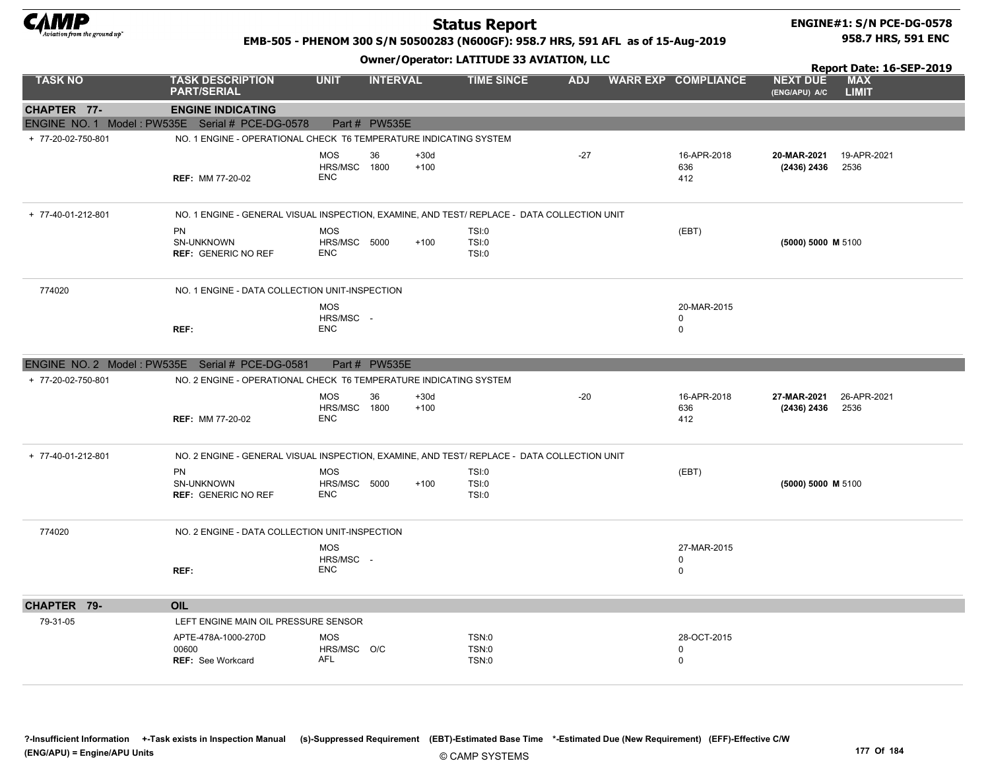

### Status Report

#### ENGINE#1: S/N PCE-DG-0578 958.7 HRS, 591 ENC

Report Date: 16-SEP-2019

#### EMB-505 - PHENOM 300 S/N 50500283 (N600GF): 958.7 HRS, 591 AFL as of 15-Aug-2019

| <b>TASK NO</b>     | <b>TASK DESCRIPTION</b><br><b>PART/SERIAL</b>                                               | <b>UNIT</b>                              | <b>INTERVAL</b> |                  | <b>TIME SINCE</b>              | <b>ADJ</b> |  | <b>WARR EXP COMPLIANCE</b>                | <b>NEXT DUE</b><br>(ENG/APU) A/C              | <b>MAX</b><br><b>LIMIT</b> |  |  |
|--------------------|---------------------------------------------------------------------------------------------|------------------------------------------|-----------------|------------------|--------------------------------|------------|--|-------------------------------------------|-----------------------------------------------|----------------------------|--|--|
| <b>CHAPTER 77-</b> | <b>ENGINE INDICATING</b>                                                                    |                                          |                 |                  |                                |            |  |                                           |                                               |                            |  |  |
|                    | ENGINE NO. 1 Model: PW535E Serial # PCE-DG-0578                                             |                                          | Part # PW535E   |                  |                                |            |  |                                           |                                               |                            |  |  |
| + 77-20-02-750-801 | NO. 1 ENGINE - OPERATIONAL CHECK T6 TEMPERATURE INDICATING SYSTEM                           |                                          |                 |                  |                                |            |  |                                           |                                               |                            |  |  |
|                    | <b>REF: MM 77-20-02</b>                                                                     | <b>MOS</b><br>HRS/MSC 1800<br><b>ENC</b> | 36              | $+30d$<br>$+100$ |                                | $-27$      |  | 16-APR-2018<br>636<br>412                 | 20-MAR-2021 19-APR-2021<br>$(2436)$ 2436 2536 |                            |  |  |
| + 77-40-01-212-801 | NO. 1 ENGINE - GENERAL VISUAL INSPECTION, EXAMINE, AND TEST/ REPLACE - DATA COLLECTION UNIT |                                          |                 |                  |                                |            |  |                                           |                                               |                            |  |  |
|                    | <b>PN</b><br>SN-UNKNOWN<br><b>REF: GENERIC NO REF</b>                                       | <b>MOS</b><br>HRS/MSC 5000<br><b>ENC</b> |                 | $+100$           | TSI:0<br>TSI:0<br><b>TSI:0</b> |            |  | (EBT)                                     | (5000) 5000 M 5100                            |                            |  |  |
| 774020             | NO. 1 ENGINE - DATA COLLECTION UNIT-INSPECTION                                              |                                          |                 |                  |                                |            |  |                                           |                                               |                            |  |  |
|                    | REF:                                                                                        | MOS<br>HRS/MSC -<br><b>ENC</b>           |                 |                  |                                |            |  | 20-MAR-2015<br>$\mathbf 0$<br>$\mathbf 0$ |                                               |                            |  |  |
|                    | ENGINE NO. 2 Model: PW535E Serial # PCE-DG-0581                                             |                                          | Part # PW535E   |                  |                                |            |  |                                           |                                               |                            |  |  |
| + 77-20-02-750-801 | NO. 2 ENGINE - OPERATIONAL CHECK T6 TEMPERATURE INDICATING SYSTEM                           |                                          |                 |                  |                                |            |  |                                           |                                               |                            |  |  |
|                    | <b>REF: MM 77-20-02</b>                                                                     | <b>MOS</b><br>HRS/MSC 1800<br><b>ENC</b> | 36              | $+30d$<br>$+100$ |                                | $-20$      |  | 16-APR-2018<br>636<br>412                 | 27-MAR-2021<br>$(2436)$ 2436 2536             | 26-APR-2021                |  |  |
| + 77-40-01-212-801 | NO. 2 ENGINE - GENERAL VISUAL INSPECTION, EXAMINE, AND TEST/ REPLACE - DATA COLLECTION UNIT |                                          |                 |                  |                                |            |  |                                           |                                               |                            |  |  |
|                    | <b>PN</b><br>SN-UNKNOWN<br><b>REF: GENERIC NO REF</b>                                       | <b>MOS</b><br>HRS/MSC 5000<br><b>ENC</b> |                 | $+100$           | TSI:0<br>TSI:0<br>TSI:0        |            |  | (EBT)                                     | (5000) 5000 M 5100                            |                            |  |  |
| 774020             | NO. 2 ENGINE - DATA COLLECTION UNIT-INSPECTION                                              |                                          |                 |                  |                                |            |  |                                           |                                               |                            |  |  |
|                    | REF:                                                                                        | <b>MOS</b><br>HRS/MSC -<br><b>ENC</b>    |                 |                  |                                |            |  | 27-MAR-2015<br>$\mathbf 0$<br>$\mathbf 0$ |                                               |                            |  |  |
| CHAPTER 79-        | <b>OIL</b>                                                                                  |                                          |                 |                  |                                |            |  |                                           |                                               |                            |  |  |
| 79-31-05           | LEFT ENGINE MAIN OIL PRESSURE SENSOR                                                        |                                          |                 |                  |                                |            |  |                                           |                                               |                            |  |  |
|                    | APTE-478A-1000-270D<br>00600<br><b>REF:</b> See Workcard                                    | MOS<br>HRS/MSC O/C<br>AFL                |                 |                  | TSN:0<br>TSN:0<br>TSN:0        |            |  | 28-OCT-2015<br>$\mathbf 0$<br>$\mathbf 0$ |                                               |                            |  |  |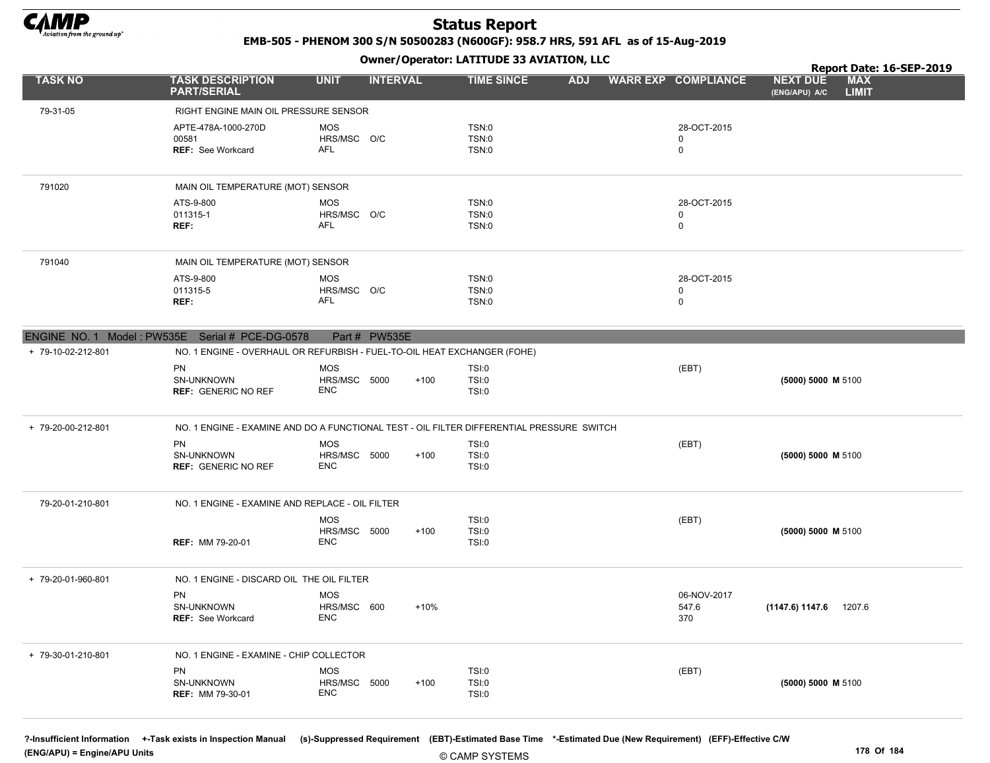

EMB-505 - PHENOM 300 S/N 50500283 (N600GF): 958.7 HRS, 591 AFL as of 15-Aug-2019

Owner/Operator: LATITUDE 33 AVIATION, LLC

|                    |                                                                                           |                            |                 |        |                       |            |                            | Report Date: 16-SEP-2019                                       |
|--------------------|-------------------------------------------------------------------------------------------|----------------------------|-----------------|--------|-----------------------|------------|----------------------------|----------------------------------------------------------------|
| <b>TASK NO</b>     | <b>TASK DESCRIPTION</b><br><b>PART/SERIAL</b>                                             | <b>UNIT</b>                | <b>INTERVAL</b> |        | <b>TIME SINCE</b>     | <b>ADJ</b> | <b>WARR EXP COMPLIANCE</b> | <b>MAX</b><br><b>NEXT DUE</b><br><b>LIMIT</b><br>(ENG/APU) A/C |
| 79-31-05           | RIGHT ENGINE MAIN OIL PRESSURE SENSOR                                                     |                            |                 |        |                       |            |                            |                                                                |
|                    | APTE-478A-1000-270D                                                                       | MOS                        |                 |        | TSN:0                 |            | 28-OCT-2015                |                                                                |
|                    | 00581                                                                                     | HRS/MSC O/C                |                 |        | TSN:0                 |            | 0                          |                                                                |
|                    | REF: See Workcard                                                                         | AFL                        |                 |        | TSN:0                 |            | 0                          |                                                                |
|                    |                                                                                           |                            |                 |        |                       |            |                            |                                                                |
| 791020             | MAIN OIL TEMPERATURE (MOT) SENSOR                                                         |                            |                 |        |                       |            |                            |                                                                |
|                    | ATS-9-800                                                                                 | <b>MOS</b>                 |                 |        | TSN:0                 |            | 28-OCT-2015                |                                                                |
|                    | 011315-1<br>REF:                                                                          | HRS/MSC O/C<br>AFL         |                 |        | TSN:0<br>TSN:0        |            | 0<br>$\mathbf 0$           |                                                                |
|                    |                                                                                           |                            |                 |        |                       |            |                            |                                                                |
| 791040             | MAIN OIL TEMPERATURE (MOT) SENSOR                                                         |                            |                 |        |                       |            |                            |                                                                |
|                    | ATS-9-800                                                                                 | <b>MOS</b>                 |                 |        | TSN:0                 |            | 28-OCT-2015                |                                                                |
|                    | 011315-5                                                                                  | HRS/MSC O/C                |                 |        | TSN:0                 |            | 0                          |                                                                |
|                    | REF:                                                                                      | AFL                        |                 |        | TSN:0                 |            | 0                          |                                                                |
|                    |                                                                                           |                            |                 |        |                       |            |                            |                                                                |
|                    | ENGINE NO. 1 Model: PW535E Serial # PCE-DG-0578                                           |                            | Part # PW535E   |        |                       |            |                            |                                                                |
| + 79-10-02-212-801 | NO. 1 ENGINE - OVERHAUL OR REFURBISH - FUEL-TO-OIL HEAT EXCHANGER (FOHE)                  |                            |                 |        |                       |            |                            |                                                                |
|                    | PN                                                                                        | <b>MOS</b>                 |                 |        | TSI:0                 |            | (EBT)                      |                                                                |
|                    | SN-UNKNOWN                                                                                | HRS/MSC 5000               |                 | $+100$ | TSI:0                 |            |                            | (5000) 5000 M 5100                                             |
|                    | <b>REF: GENERIC NO REF</b>                                                                | <b>ENC</b>                 |                 |        | TSI:0                 |            |                            |                                                                |
| + 79-20-00-212-801 | NO. 1 ENGINE - EXAMINE AND DO A FUNCTIONAL TEST - OIL FILTER DIFFERENTIAL PRESSURE SWITCH |                            |                 |        |                       |            |                            |                                                                |
|                    | <b>PN</b>                                                                                 | <b>MOS</b>                 |                 |        |                       |            |                            |                                                                |
|                    | SN-UNKNOWN                                                                                | HRS/MSC 5000               |                 | $+100$ | TSI:0<br>TSI:0        |            | (EBT)                      | (5000) 5000 M 5100                                             |
|                    | <b>REF: GENERIC NO REF</b>                                                                | <b>ENC</b>                 |                 |        | TSI:0                 |            |                            |                                                                |
|                    |                                                                                           |                            |                 |        |                       |            |                            |                                                                |
| 79-20-01-210-801   | NO. 1 ENGINE - EXAMINE AND REPLACE - OIL FILTER                                           |                            |                 |        |                       |            |                            |                                                                |
|                    |                                                                                           | <b>MOS</b>                 |                 |        | <b>TSI:0</b>          |            | (EBT)                      |                                                                |
|                    |                                                                                           | HRS/MSC 5000               |                 | $+100$ | TSI:0                 |            |                            | (5000) 5000 M 5100                                             |
|                    | <b>REF: MM 79-20-01</b>                                                                   | <b>ENC</b>                 |                 |        | TSI:0                 |            |                            |                                                                |
| + 79-20-01-960-801 | NO. 1 ENGINE - DISCARD OIL THE OIL FILTER                                                 |                            |                 |        |                       |            |                            |                                                                |
|                    | PN                                                                                        | <b>MOS</b>                 |                 |        |                       |            | 06-NOV-2017                |                                                                |
|                    | <b>SN-UNKNOWN</b>                                                                         | HRS/MSC 600                |                 | $+10%$ |                       |            | 547.6                      | 1207.6<br>(1147.6) 1147.6                                      |
|                    | <b>REF: See Workcard</b>                                                                  | ENC                        |                 |        |                       |            | 370                        |                                                                |
|                    |                                                                                           |                            |                 |        |                       |            |                            |                                                                |
| + 79-30-01-210-801 | NO. 1 ENGINE - EXAMINE - CHIP COLLECTOR                                                   |                            |                 |        |                       |            |                            |                                                                |
|                    | PN                                                                                        | MOS                        |                 |        | <b>TSI:0</b>          |            | (EBT)                      |                                                                |
|                    | SN-UNKNOWN<br><b>REF: MM 79-30-01</b>                                                     | HRS/MSC 5000<br><b>ENC</b> |                 | $+100$ | TSI:0<br><b>TSI:0</b> |            |                            | (5000) 5000 M 5100                                             |
|                    |                                                                                           |                            |                 |        |                       |            |                            |                                                                |
|                    |                                                                                           |                            |                 |        |                       |            |                            |                                                                |

?-Insufficient Information +-Task exists in Inspection Manual (s)-Suppressed Requirement (EBT)-Estimated Base Time \*-Estimated Due (New Requirement) (EFF)-Effective C/W (ENG/APU) = Engine/APU Units 178 Of 184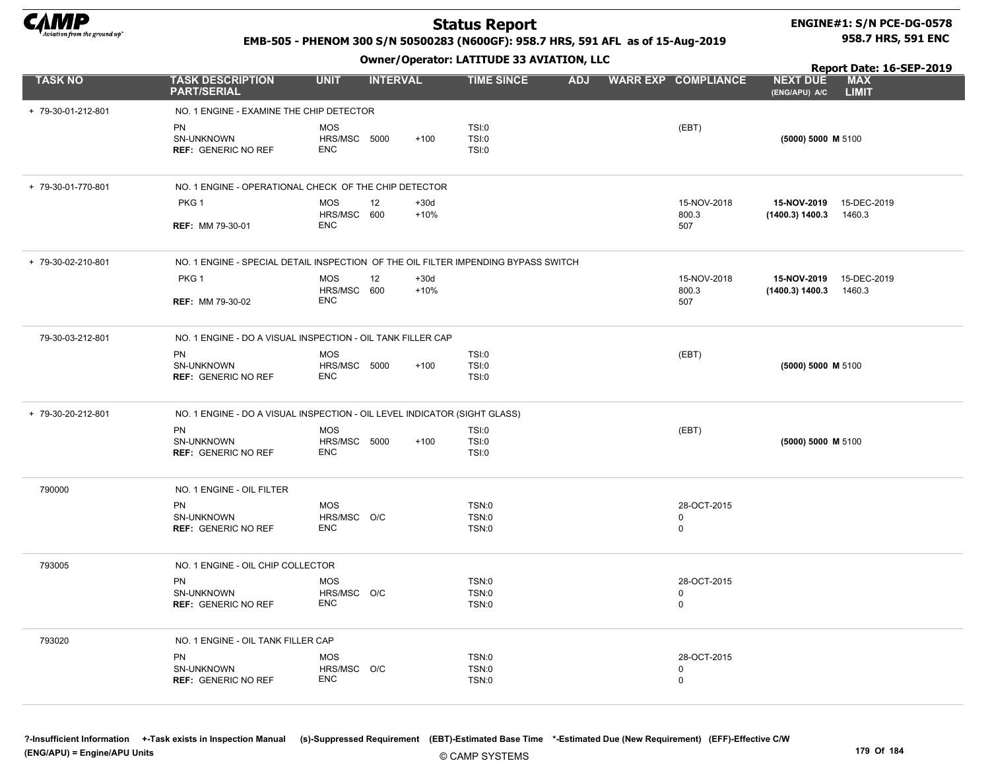

#### ENGINE#1: S/N PCE-DG-0578 958.7 HRS, 591 ENC

#### EMB-505 - PHENOM 300 S/N 50500283 (N600GF): 958.7 HRS, 591 AFL as of 15-Aug-2019

Owner/Operator: LATITUDE 33 AVIATION, LLC

|                    |                                                                                    |                                               |                  | Owner / Operator. EXTITODE 33 AVIATION, LEC |            |                                           | Report Date: 16-SEP-2019         |                            |  |  |
|--------------------|------------------------------------------------------------------------------------|-----------------------------------------------|------------------|---------------------------------------------|------------|-------------------------------------------|----------------------------------|----------------------------|--|--|
| <b>TASK NO</b>     | <b>TASK DESCRIPTION</b><br><b>PART/SERIAL</b>                                      | <b>UNIT</b>                                   | <b>INTERVAL</b>  | <b>TIME SINCE</b>                           | <b>ADJ</b> | <b>WARR EXP COMPLIANCE</b>                | <b>NEXT DUE</b><br>(ENG/APU) A/C | <b>MAX</b><br><b>LIMIT</b> |  |  |
| + 79-30-01-212-801 | NO. 1 ENGINE - EXAMINE THE CHIP DETECTOR                                           |                                               |                  |                                             |            |                                           |                                  |                            |  |  |
|                    | <b>PN</b><br>SN-UNKNOWN<br><b>REF: GENERIC NO REF</b>                              | <b>MOS</b><br>HRS/MSC 5000<br><b>ENC</b>      | $+100$           | TSI:0<br>TSI:0<br>TSI:0                     |            | (EBT)                                     | (5000) 5000 M 5100               |                            |  |  |
| + 79-30-01-770-801 | NO. 1 ENGINE - OPERATIONAL CHECK OF THE CHIP DETECTOR                              |                                               |                  |                                             |            |                                           |                                  |                            |  |  |
|                    | PKG <sub>1</sub><br><b>REF: MM 79-30-01</b>                                        | 12<br><b>MOS</b><br>HRS/MSC 600<br><b>ENC</b> | $+30d$<br>$+10%$ |                                             |            | 15-NOV-2018<br>800.3<br>507               | 15-NOV-2019<br>(1400.3) 1400.3   | 15-DEC-2019<br>1460.3      |  |  |
| + 79-30-02-210-801 | NO. 1 ENGINE - SPECIAL DETAIL INSPECTION OF THE OIL FILTER IMPENDING BYPASS SWITCH |                                               |                  |                                             |            |                                           |                                  |                            |  |  |
|                    | PKG <sub>1</sub><br><b>REF: MM 79-30-02</b>                                        | <b>MOS</b><br>12<br>HRS/MSC 600<br><b>ENC</b> | $+30d$<br>$+10%$ |                                             |            | 15-NOV-2018<br>800.3<br>507               | 15-NOV-2019<br>(1400.3) 1400.3   | 15-DEC-2019<br>1460.3      |  |  |
| 79-30-03-212-801   | NO. 1 ENGINE - DO A VISUAL INSPECTION - OIL TANK FILLER CAP                        |                                               |                  |                                             |            |                                           |                                  |                            |  |  |
|                    | <b>PN</b><br>SN-UNKNOWN<br><b>REF: GENERIC NO REF</b>                              | <b>MOS</b><br>HRS/MSC 5000<br><b>ENC</b>      | $+100$           | TSI:0<br>TSI:0<br>TSI:0                     |            | (EBT)                                     | (5000) 5000 M 5100               |                            |  |  |
| + 79-30-20-212-801 | NO. 1 ENGINE - DO A VISUAL INSPECTION - OIL LEVEL INDICATOR (SIGHT GLASS)          |                                               |                  |                                             |            |                                           |                                  |                            |  |  |
|                    | PN<br>SN-UNKNOWN<br><b>REF: GENERIC NO REF</b>                                     | <b>MOS</b><br>HRS/MSC 5000<br><b>ENC</b>      | $+100$           | TSI:0<br>TSI:0<br>TSI:0                     |            | (EBT)                                     | (5000) 5000 M 5100               |                            |  |  |
| 790000             | NO. 1 ENGINE - OIL FILTER                                                          |                                               |                  |                                             |            |                                           |                                  |                            |  |  |
|                    | PN<br>SN-UNKNOWN<br><b>REF: GENERIC NO REF</b>                                     | <b>MOS</b><br>HRS/MSC O/C<br>ENC              |                  | TSN:0<br>TSN:0<br>TSN:0                     |            | 28-OCT-2015<br>$\mathbf 0$<br>$\mathbf 0$ |                                  |                            |  |  |
| 793005             | NO. 1 ENGINE - OIL CHIP COLLECTOR                                                  |                                               |                  |                                             |            |                                           |                                  |                            |  |  |
|                    | <b>PN</b><br>SN-UNKNOWN<br><b>REF: GENERIC NO REF</b>                              | <b>MOS</b><br>HRS/MSC O/C<br><b>ENC</b>       |                  | TSN:0<br><b>TSN:0</b><br>TSN:0              |            | 28-OCT-2015<br>$\Omega$<br>$\mathbf 0$    |                                  |                            |  |  |
| 793020             | NO. 1 ENGINE - OIL TANK FILLER CAP                                                 |                                               |                  |                                             |            |                                           |                                  |                            |  |  |
|                    | <b>PN</b><br>SN-UNKNOWN<br><b>REF: GENERIC NO REF</b>                              | <b>MOS</b><br>HRS/MSC O/C<br><b>ENC</b>       |                  | TSN:0<br>TSN:0<br><b>TSN:0</b>              |            | 28-OCT-2015<br>$\mathbf 0$<br>$\mathbf 0$ |                                  |                            |  |  |

?-Insufficient Information +-Task exists in Inspection Manual (s)-Suppressed Requirement (EBT)-Estimated Base Time \*-Estimated Due (New Requirement) (EFF)-Effective C/W (ENG/APU) = Engine/APU Units 179 Of 184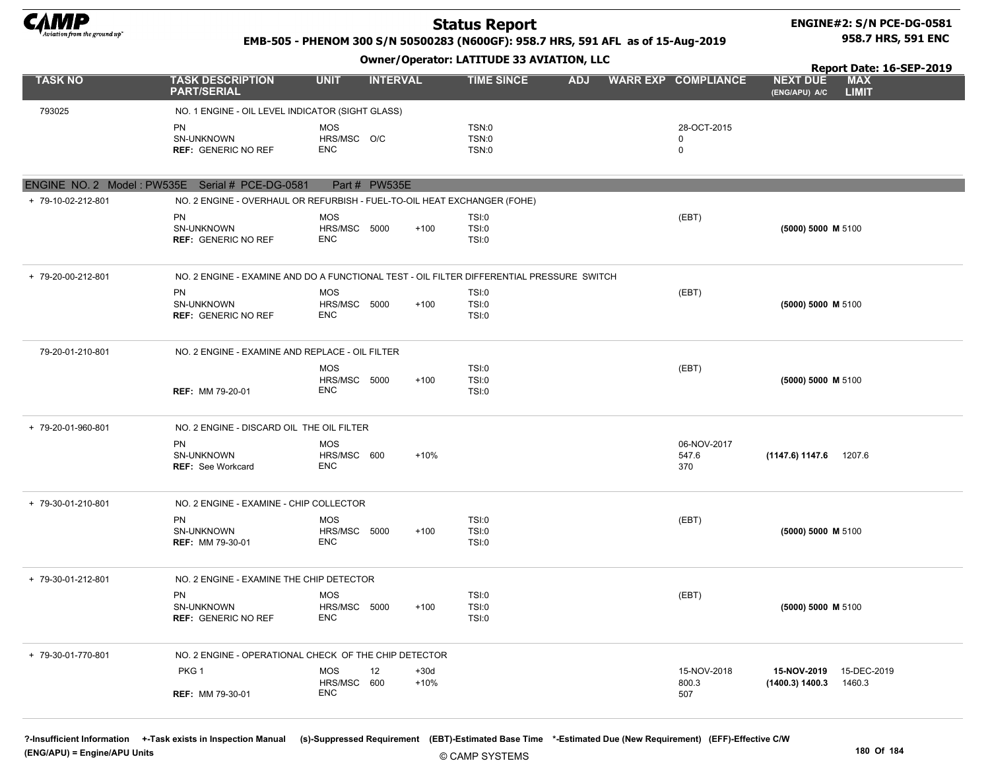

#### ENGINE#2: S/N PCE-DG-0581 958.7 HRS, 591 ENC

#### EMB-505 - PHENOM 300 S/N 50500283 (N600GF): 958.7 HRS, 591 AFL as of 15-Aug-2019

Owner/Operator: LATITUDE 33 AVIATION, LLC

|                                                                  |                                                                                           |                            |                 |        |                              |            |  |                            | Report Date: 16-SEP-2019                                       |
|------------------------------------------------------------------|-------------------------------------------------------------------------------------------|----------------------------|-----------------|--------|------------------------------|------------|--|----------------------------|----------------------------------------------------------------|
| <b>TASK NO</b>                                                   | <b>TASK DESCRIPTION</b><br><b>PART/SERIAL</b>                                             | <b>UNIT</b>                | <b>INTERVAL</b> |        | <b>TIME SINCE</b>            | <b>ADJ</b> |  | <b>WARR EXP COMPLIANCE</b> | <b>MAX</b><br><b>NEXT DUE</b><br><b>LIMIT</b><br>(ENG/APU) A/C |
| 793025                                                           | NO. 1 ENGINE - OIL LEVEL INDICATOR (SIGHT GLASS)                                          |                            |                 |        |                              |            |  |                            |                                                                |
|                                                                  | <b>PN</b>                                                                                 | <b>MOS</b>                 |                 |        | TSN:0                        |            |  | 28-OCT-2015                |                                                                |
|                                                                  | SN-UNKNOWN                                                                                | HRS/MSC O/C                |                 |        | <b>TSN:0</b>                 |            |  | 0                          |                                                                |
|                                                                  | <b>REF: GENERIC NO REF</b>                                                                | <b>ENC</b>                 |                 |        | TSN:0                        |            |  | $\mathbf 0$                |                                                                |
|                                                                  |                                                                                           |                            |                 |        |                              |            |  |                            |                                                                |
| ENGINE NO. 2 Model: PW535E Serial # PCE-DG-0581<br>Part # PW535E |                                                                                           |                            |                 |        |                              |            |  |                            |                                                                |
| + 79-10-02-212-801                                               | NO. 2 ENGINE - OVERHAUL OR REFURBISH - FUEL-TO-OIL HEAT EXCHANGER (FOHE)                  |                            |                 |        |                              |            |  |                            |                                                                |
|                                                                  | <b>PN</b>                                                                                 | <b>MOS</b>                 |                 |        | <b>TSI:0</b>                 |            |  | (EBT)                      |                                                                |
|                                                                  | SN-UNKNOWN                                                                                | HRS/MSC 5000<br><b>ENC</b> |                 | $+100$ | <b>TSI:0</b>                 |            |  |                            | (5000) 5000 M 5100                                             |
|                                                                  | <b>REF: GENERIC NO REF</b>                                                                |                            |                 |        | <b>TSI:0</b>                 |            |  |                            |                                                                |
| + 79-20-00-212-801                                               | NO. 2 ENGINE - EXAMINE AND DO A FUNCTIONAL TEST - OIL FILTER DIFFERENTIAL PRESSURE SWITCH |                            |                 |        |                              |            |  |                            |                                                                |
|                                                                  | PN                                                                                        | <b>MOS</b>                 |                 |        | <b>TSI:0</b>                 |            |  | (EBT)                      |                                                                |
|                                                                  | SN-UNKNOWN<br><b>REF: GENERIC NO REF</b>                                                  | HRS/MSC 5000<br><b>ENC</b> |                 | $+100$ | <b>TSI:0</b><br><b>TSI:0</b> |            |  |                            | (5000) 5000 M 5100                                             |
|                                                                  |                                                                                           |                            |                 |        |                              |            |  |                            |                                                                |
| 79-20-01-210-801                                                 | NO. 2 ENGINE - EXAMINE AND REPLACE - OIL FILTER                                           |                            |                 |        |                              |            |  |                            |                                                                |
|                                                                  |                                                                                           | <b>MOS</b>                 |                 |        | <b>TSI:0</b>                 |            |  | (EBT)                      |                                                                |
|                                                                  | <b>REF: MM 79-20-01</b>                                                                   | HRS/MSC 5000<br><b>ENC</b> |                 | $+100$ | <b>TSI:0</b><br><b>TSI:0</b> |            |  |                            | (5000) 5000 M 5100                                             |
| + 79-20-01-960-801                                               | NO. 2 ENGINE - DISCARD OIL THE OIL FILTER                                                 |                            |                 |        |                              |            |  |                            |                                                                |
|                                                                  | <b>PN</b>                                                                                 | <b>MOS</b>                 |                 |        |                              |            |  | 06-NOV-2017                |                                                                |
|                                                                  | SN-UNKNOWN<br><b>REF: See Workcard</b>                                                    | HRS/MSC 600<br><b>ENC</b>  |                 | $+10%$ |                              |            |  | 547.6<br>370               | (1147.6) 1147.6 1207.6                                         |
|                                                                  |                                                                                           |                            |                 |        |                              |            |  |                            |                                                                |
| + 79-30-01-210-801                                               | NO. 2 ENGINE - EXAMINE - CHIP COLLECTOR                                                   |                            |                 |        |                              |            |  |                            |                                                                |
|                                                                  | <b>PN</b>                                                                                 | <b>MOS</b>                 |                 |        | <b>TSI:0</b>                 |            |  | (EBT)                      |                                                                |
|                                                                  | SN-UNKNOWN                                                                                | HRS/MSC 5000<br><b>ENC</b> |                 | $+100$ | <b>TSI:0</b><br><b>TSI:0</b> |            |  |                            | (5000) 5000 M 5100                                             |
|                                                                  | <b>REF: MM 79-30-01</b>                                                                   |                            |                 |        |                              |            |  |                            |                                                                |
| + 79-30-01-212-801                                               | NO. 2 ENGINE - EXAMINE THE CHIP DETECTOR                                                  |                            |                 |        |                              |            |  |                            |                                                                |
|                                                                  | PN                                                                                        | <b>MOS</b>                 |                 |        | <b>TSI:0</b>                 |            |  | (EBT)                      |                                                                |
|                                                                  | SN-UNKNOWN<br><b>REF: GENERIC NO REF</b>                                                  | HRS/MSC 5000<br><b>ENC</b> |                 | $+100$ | <b>TSI:0</b><br>TSI:0        |            |  |                            | (5000) 5000 M 5100                                             |
|                                                                  |                                                                                           |                            |                 |        |                              |            |  |                            |                                                                |
| + 79-30-01-770-801                                               | NO. 2 ENGINE - OPERATIONAL CHECK OF THE CHIP DETECTOR                                     |                            |                 |        |                              |            |  |                            |                                                                |
|                                                                  | PKG 1                                                                                     | <b>MOS</b>                 | 12              | $+30d$ |                              |            |  | 15-NOV-2018                | 15-NOV-2019<br>15-DEC-2019                                     |
|                                                                  |                                                                                           | HRS/MSC 600<br><b>ENC</b>  |                 | $+10%$ |                              |            |  | 800.3                      | (1400.3) 1400.3<br>1460.3                                      |
|                                                                  | <b>REF: MM 79-30-01</b>                                                                   |                            |                 |        |                              |            |  | 507                        |                                                                |

?-Insufficient Information +-Task exists in Inspection Manual (s)-Suppressed Requirement (EBT)-Estimated Base Time \*-Estimated Due (New Requirement) (EFF)-Effective C/W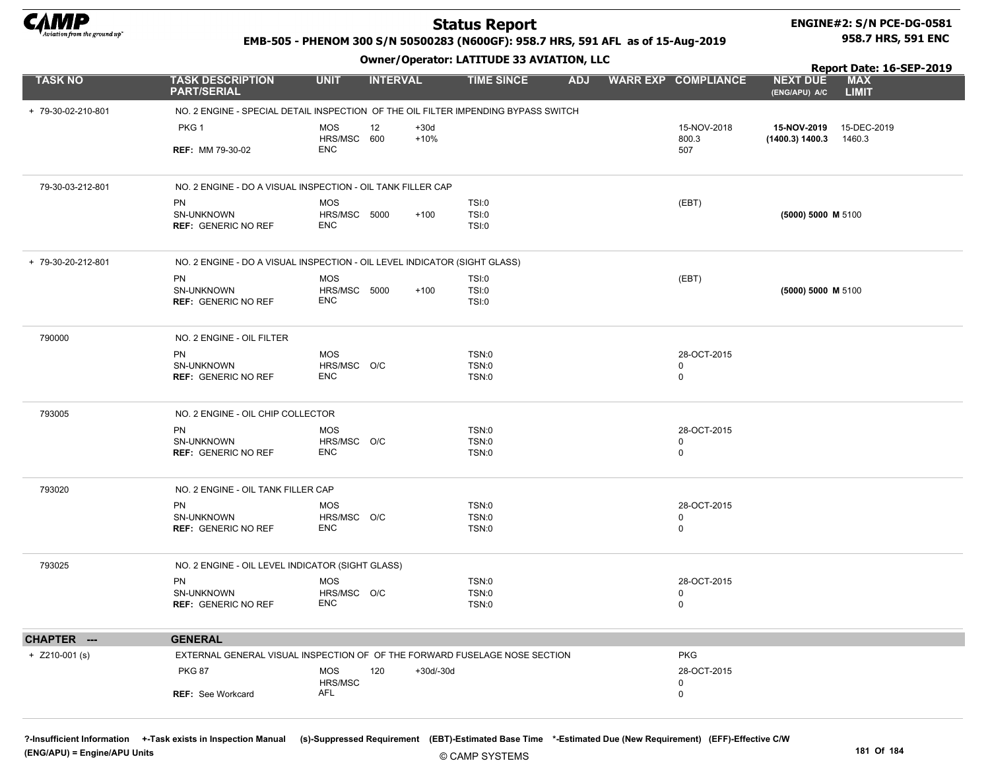

# ENGINE#2: S/N PCE-DG-0581

#### EMB-505 - PHENOM 300 S/N 50500283 (N600GF): 958.7 HRS, 591 AFL as of 15-Aug-2019

Owner/Operator: LATITUDE 33 AVIATION, LLC

958.7 HRS, 591 ENC

|                    |                                                                                    | <b>SWIICI/Sperator: EATITODE 33 AVIATION, LEC</b> |                 |                  |                         |            |  |                            |                                  |                                                        |  |
|--------------------|------------------------------------------------------------------------------------|---------------------------------------------------|-----------------|------------------|-------------------------|------------|--|----------------------------|----------------------------------|--------------------------------------------------------|--|
| <b>TASK NO</b>     | <b>TASK DESCRIPTION</b><br><b>PART/SERIAL</b>                                      | <b>UNIT</b>                                       | <b>INTERVAL</b> |                  | <b>TIME SINCE</b>       | <b>ADJ</b> |  | <b>WARR EXP COMPLIANCE</b> | <b>NEXT DUE</b><br>(ENG/APU) A/C | Report Date: 16-SEP-2019<br><b>MAX</b><br><b>LIMIT</b> |  |
| + 79-30-02-210-801 | NO. 2 ENGINE - SPECIAL DETAIL INSPECTION OF THE OIL FILTER IMPENDING BYPASS SWITCH |                                                   |                 |                  |                         |            |  |                            |                                  |                                                        |  |
|                    | PKG 1                                                                              | <b>MOS</b><br>HRS/MSC 600                         | 12              | $+30d$<br>$+10%$ |                         |            |  | 15-NOV-2018<br>800.3       | 15-NOV-2019<br>(1400.3) 1400.3   | 15-DEC-2019<br>1460.3                                  |  |
|                    | <b>REF: MM 79-30-02</b>                                                            | <b>ENC</b>                                        |                 |                  |                         |            |  | 507                        |                                  |                                                        |  |
| 79-30-03-212-801   | NO. 2 ENGINE - DO A VISUAL INSPECTION - OIL TANK FILLER CAP                        |                                                   |                 |                  |                         |            |  |                            |                                  |                                                        |  |
|                    | PN<br>SN-UNKNOWN<br><b>REF: GENERIC NO REF</b>                                     | MOS<br>HRS/MSC 5000<br><b>ENC</b>                 |                 | $+100$           | TSI:0<br>TSI:0<br>TSI:0 |            |  | (EBT)                      | (5000) 5000 M 5100               |                                                        |  |
| + 79-30-20-212-801 | NO. 2 ENGINE - DO A VISUAL INSPECTION - OIL LEVEL INDICATOR (SIGHT GLASS)          |                                                   |                 |                  |                         |            |  |                            |                                  |                                                        |  |
|                    | PN                                                                                 | <b>MOS</b>                                        |                 |                  | TSI:0                   |            |  | (EBT)                      |                                  |                                                        |  |
|                    | SN-UNKNOWN<br><b>REF: GENERIC NO REF</b>                                           | HRS/MSC 5000<br><b>ENC</b>                        |                 | $+100$           | TSI:0<br>TSI:0          |            |  |                            | (5000) 5000 M 5100               |                                                        |  |
| 790000             | NO. 2 ENGINE - OIL FILTER                                                          |                                                   |                 |                  |                         |            |  |                            |                                  |                                                        |  |
|                    | PN                                                                                 | <b>MOS</b>                                        |                 |                  | TSN:0                   |            |  | 28-OCT-2015                |                                  |                                                        |  |
|                    | SN-UNKNOWN<br><b>REF: GENERIC NO REF</b>                                           | HRS/MSC O/C<br><b>ENC</b>                         |                 |                  | TSN:0<br>TSN:0          |            |  | 0<br>$\mathbf 0$           |                                  |                                                        |  |
| 793005             | NO. 2 ENGINE - OIL CHIP COLLECTOR                                                  |                                                   |                 |                  |                         |            |  |                            |                                  |                                                        |  |
|                    | <b>PN</b>                                                                          | MOS                                               |                 |                  | TSN:0                   |            |  | 28-OCT-2015                |                                  |                                                        |  |
|                    | SN-UNKNOWN<br><b>REF: GENERIC NO REF</b>                                           | HRS/MSC O/C<br><b>ENC</b>                         |                 |                  | TSN:0<br>TSN:0          |            |  | 0<br>0                     |                                  |                                                        |  |
| 793020             | NO. 2 ENGINE - OIL TANK FILLER CAP                                                 |                                                   |                 |                  |                         |            |  |                            |                                  |                                                        |  |
|                    | <b>PN</b>                                                                          | MOS                                               |                 |                  | TSN:0                   |            |  | 28-OCT-2015                |                                  |                                                        |  |
|                    | SN-UNKNOWN<br><b>REF: GENERIC NO REF</b>                                           | HRS/MSC O/C<br><b>ENC</b>                         |                 |                  | TSN:0<br>TSN:0          |            |  | 0<br>0                     |                                  |                                                        |  |
| 793025             | NO. 2 ENGINE - OIL LEVEL INDICATOR (SIGHT GLASS)                                   |                                                   |                 |                  |                         |            |  |                            |                                  |                                                        |  |
|                    | <b>PN</b>                                                                          | <b>MOS</b>                                        |                 |                  | TSN:0                   |            |  | 28-OCT-2015                |                                  |                                                        |  |
|                    | SN-UNKNOWN<br><b>REF: GENERIC NO REF</b>                                           | HRS/MSC O/C<br><b>ENC</b>                         |                 |                  | TSN:0<br>TSN:0          |            |  | 0<br>0                     |                                  |                                                        |  |
| CHAPTER ---        | <b>GENERAL</b>                                                                     |                                                   |                 |                  |                         |            |  |                            |                                  |                                                        |  |
| $+$ Z210-001 (s)   | EXTERNAL GENERAL VISUAL INSPECTION OF OF THE FORWARD FUSELAGE NOSE SECTION         |                                                   |                 |                  |                         |            |  | <b>PKG</b>                 |                                  |                                                        |  |
|                    | <b>PKG 87</b>                                                                      | <b>MOS</b>                                        | 120             | +30d/-30d        |                         |            |  | 28-OCT-2015                |                                  |                                                        |  |
|                    | REF: See Workcard                                                                  | HRS/MSC<br>AFL                                    |                 |                  |                         |            |  | 0<br>0                     |                                  |                                                        |  |

?-Insufficient Information +-Task exists in Inspection Manual (s)-Suppressed Requirement (EBT)-Estimated Base Time \*-Estimated Due (New Requirement) (EFF)-Effective C/W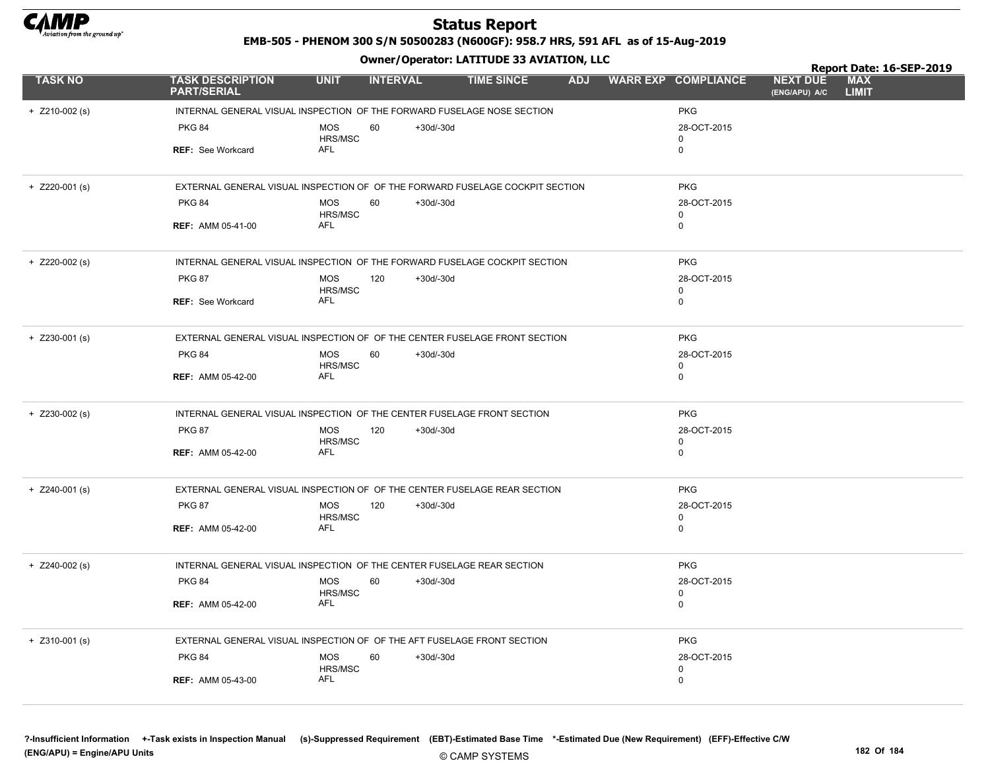

EMB-505 - PHENOM 300 S/N 50500283 (N600GF): 958.7 HRS, 591 AFL as of 15-Aug-2019

Owner/Operator: LATITUDE 33 AVIATION, LLC

|                  |                                                                               |                       |                 |             |                   |  |                            |                                  | Report Date: 16-SEP-2019   |  |
|------------------|-------------------------------------------------------------------------------|-----------------------|-----------------|-------------|-------------------|--|----------------------------|----------------------------------|----------------------------|--|
| <b>TASK NO</b>   | <b>TASK DESCRIPTION</b><br><b>PART/SERIAL</b>                                 | <b>UNIT</b>           | <b>INTERVAL</b> |             | <b>TIME SINCE</b> |  | ADJ WARR EXP COMPLIANCE    | <b>NEXT DUE</b><br>(ENG/APU) A/C | <b>MAX</b><br><b>LIMIT</b> |  |
| $+$ Z210-002 (s) | INTERNAL GENERAL VISUAL INSPECTION OF THE FORWARD FUSELAGE NOSE SECTION       |                       |                 |             | <b>PKG</b>        |  |                            |                                  |                            |  |
|                  | <b>PKG 84</b>                                                                 | <b>MOS</b>            | 60              | $+30d/-30d$ |                   |  | 28-OCT-2015                |                                  |                            |  |
|                  |                                                                               | HRS/MSC               |                 |             |                   |  | 0                          |                                  |                            |  |
|                  | <b>REF: See Workcard</b>                                                      | AFL                   |                 |             |                   |  | 0                          |                                  |                            |  |
| $+$ Z220-001 (s) | EXTERNAL GENERAL VISUAL INSPECTION OF OF THE FORWARD FUSELAGE COCKPIT SECTION |                       |                 |             |                   |  | <b>PKG</b>                 |                                  |                            |  |
|                  | <b>PKG 84</b>                                                                 | <b>MOS</b>            | 60              | +30d/-30d   |                   |  | 28-OCT-2015                |                                  |                            |  |
|                  | <b>REF: AMM 05-41-00</b>                                                      | HRS/MSC<br><b>AFL</b> |                 |             |                   |  | $\mathbf 0$<br>$\mathbf 0$ |                                  |                            |  |
|                  |                                                                               |                       |                 |             |                   |  |                            |                                  |                            |  |
| $+$ Z220-002 (s) | INTERNAL GENERAL VISUAL INSPECTION OF THE FORWARD FUSELAGE COCKPIT SECTION    |                       |                 |             |                   |  | <b>PKG</b>                 |                                  |                            |  |
|                  | <b>PKG 87</b>                                                                 | <b>MOS</b>            | 120             | $+30d/-30d$ |                   |  | 28-OCT-2015                |                                  |                            |  |
|                  | <b>REF: See Workcard</b>                                                      | HRS/MSC<br>AFL        |                 |             |                   |  | 0<br>$\mathbf 0$           |                                  |                            |  |
|                  |                                                                               |                       |                 |             |                   |  |                            |                                  |                            |  |
| $+$ Z230-001 (s) | EXTERNAL GENERAL VISUAL INSPECTION OF OF THE CENTER FUSELAGE FRONT SECTION    |                       |                 |             |                   |  | <b>PKG</b>                 |                                  |                            |  |
|                  | <b>PKG 84</b>                                                                 | <b>MOS</b>            | 60              | $+30d/-30d$ |                   |  | 28-OCT-2015                |                                  |                            |  |
|                  |                                                                               | HRS/MSC<br>AFL        |                 |             |                   |  | $\mathbf 0$                |                                  |                            |  |
|                  | <b>REF: AMM 05-42-00</b>                                                      |                       |                 |             |                   |  | $\mathbf 0$                |                                  |                            |  |
| $+$ Z230-002 (s) | INTERNAL GENERAL VISUAL INSPECTION OF THE CENTER FUSELAGE FRONT SECTION       |                       |                 |             |                   |  | <b>PKG</b>                 |                                  |                            |  |
|                  | <b>PKG 87</b>                                                                 | <b>MOS</b>            | 120             | $+30d/-30d$ |                   |  | 28-OCT-2015                |                                  |                            |  |
|                  | <b>REF: AMM 05-42-00</b>                                                      | HRS/MSC<br>AFL        |                 |             |                   |  | $\mathbf 0$<br>0           |                                  |                            |  |
|                  |                                                                               |                       |                 |             |                   |  |                            |                                  |                            |  |
| $+$ Z240-001 (s) | EXTERNAL GENERAL VISUAL INSPECTION OF OF THE CENTER FUSELAGE REAR SECTION     |                       |                 |             |                   |  | <b>PKG</b>                 |                                  |                            |  |
|                  | <b>PKG 87</b>                                                                 | <b>MOS</b>            | 120             | $+30d/-30d$ |                   |  | 28-OCT-2015                |                                  |                            |  |
|                  | <b>REF: AMM 05-42-00</b>                                                      | HRS/MSC<br><b>AFL</b> |                 |             |                   |  | $\mathbf 0$<br>$\mathbf 0$ |                                  |                            |  |
|                  |                                                                               |                       |                 |             |                   |  |                            |                                  |                            |  |
| $+$ Z240-002 (s) | INTERNAL GENERAL VISUAL INSPECTION OF THE CENTER FUSELAGE REAR SECTION        |                       |                 |             |                   |  | <b>PKG</b>                 |                                  |                            |  |
|                  | <b>PKG 84</b>                                                                 | <b>MOS</b>            | 60              | $+30d/-30d$ |                   |  | 28-OCT-2015                |                                  |                            |  |
|                  |                                                                               | HRS/MSC<br><b>AFL</b> |                 |             |                   |  | $\mathbf 0$<br>0           |                                  |                            |  |
|                  | <b>REF: AMM 05-42-00</b>                                                      |                       |                 |             |                   |  |                            |                                  |                            |  |
| $+$ Z310-001 (s) | EXTERNAL GENERAL VISUAL INSPECTION OF OF THE AFT FUSELAGE FRONT SECTION       |                       |                 |             |                   |  | <b>PKG</b>                 |                                  |                            |  |
|                  | <b>PKG 84</b>                                                                 | <b>MOS</b>            | 60              | $+30d/-30d$ |                   |  | 28-OCT-2015                |                                  |                            |  |
|                  |                                                                               | HRS/MSC<br><b>AFL</b> |                 |             |                   |  | 0                          |                                  |                            |  |
|                  | <b>REF: AMM 05-43-00</b>                                                      |                       |                 |             |                   |  | $\mathbf 0$                |                                  |                            |  |
|                  |                                                                               |                       |                 |             |                   |  |                            |                                  |                            |  |

?-Insufficient Information +-Task exists in Inspection Manual (s)-Suppressed Requirement (EBT)-Estimated Base Time \*-Estimated Due (New Requirement) (EFF)-Effective C/W (ENG/APU) = Engine/APU Units 182 Of 184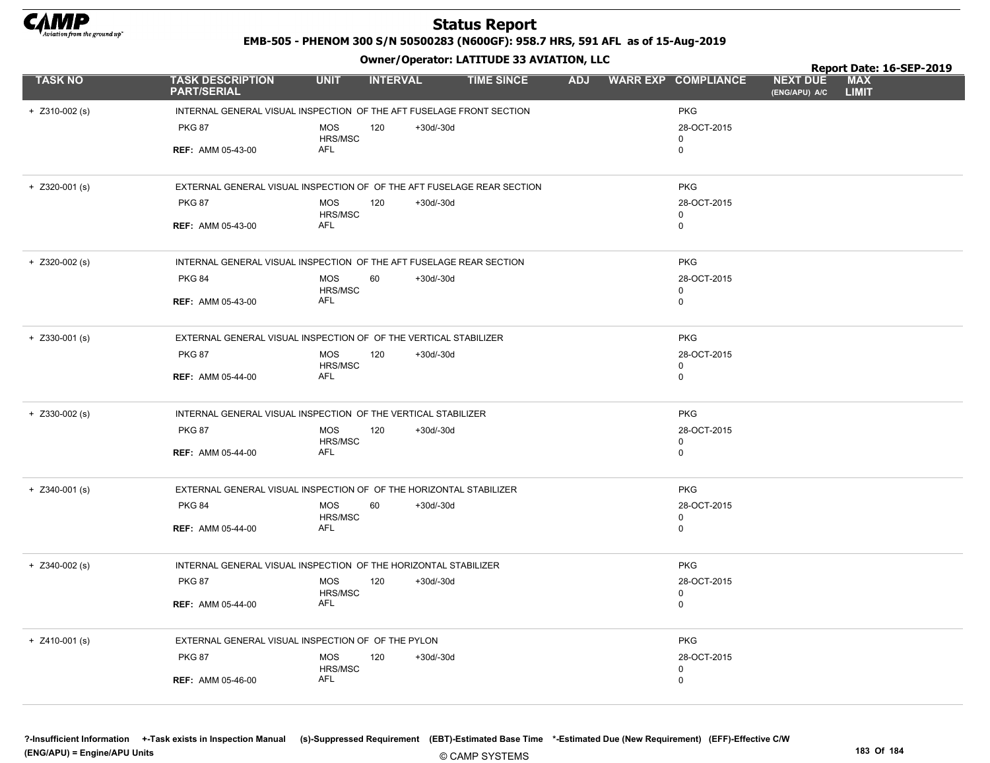

EMB-505 - PHENOM 300 S/N 50500283 (N600GF): 958.7 HRS, 591 AFL as of 15-Aug-2019

Owner/Operator: LATITUDE 33 AVIATION, LLC

|                  |                                                                        |                       |                 |             |                   |            |                            |                                  | Report Date: 16-SEP-2019   |  |
|------------------|------------------------------------------------------------------------|-----------------------|-----------------|-------------|-------------------|------------|----------------------------|----------------------------------|----------------------------|--|
| <b>TASK NO</b>   | <b>TASK DESCRIPTION</b><br><b>PART/SERIAL</b>                          | <b>UNIT</b>           | <b>INTERVAL</b> |             | <b>TIME SINCE</b> |            | ADJ WARR EXP COMPLIANCE    | <b>NEXT DUE</b><br>(ENG/APU) A/C | <b>MAX</b><br><b>LIMIT</b> |  |
| $+$ Z310-002 (s) | INTERNAL GENERAL VISUAL INSPECTION OF THE AFT FUSELAGE FRONT SECTION   |                       |                 |             |                   | <b>PKG</b> |                            |                                  |                            |  |
|                  | <b>PKG 87</b>                                                          | <b>MOS</b><br>HRS/MSC | 120             | $+30d/-30d$ |                   |            | 28-OCT-2015<br>0           |                                  |                            |  |
|                  | <b>REF: AMM 05-43-00</b>                                               | AFL                   |                 |             |                   |            | 0                          |                                  |                            |  |
| $+$ Z320-001 (s) | EXTERNAL GENERAL VISUAL INSPECTION OF OF THE AFT FUSELAGE REAR SECTION |                       |                 |             |                   |            | <b>PKG</b>                 |                                  |                            |  |
|                  | <b>PKG 87</b>                                                          | <b>MOS</b><br>HRS/MSC | 120             | $+30d/-30d$ |                   |            | 28-OCT-2015<br>0           |                                  |                            |  |
|                  | <b>REF: AMM 05-43-00</b>                                               | <b>AFL</b>            |                 |             |                   |            | 0                          |                                  |                            |  |
| $+$ Z320-002 (s) | INTERNAL GENERAL VISUAL INSPECTION OF THE AFT FUSELAGE REAR SECTION    |                       |                 |             |                   |            | <b>PKG</b>                 |                                  |                            |  |
|                  | <b>PKG 84</b>                                                          | <b>MOS</b><br>HRS/MSC | 60              | $+30d/-30d$ |                   |            | 28-OCT-2015<br>0           |                                  |                            |  |
|                  | <b>REF: AMM 05-43-00</b>                                               | AFL                   |                 |             |                   |            | $\mathbf 0$                |                                  |                            |  |
| $+$ Z330-001 (s) | EXTERNAL GENERAL VISUAL INSPECTION OF OF THE VERTICAL STABILIZER       |                       |                 |             |                   |            | <b>PKG</b>                 |                                  |                            |  |
|                  | <b>PKG 87</b>                                                          | <b>MOS</b><br>HRS/MSC | 120             | $+30d/-30d$ |                   |            | 28-OCT-2015<br>0           |                                  |                            |  |
|                  | <b>REF: AMM 05-44-00</b>                                               | AFL                   |                 |             |                   |            | 0                          |                                  |                            |  |
| $+$ Z330-002 (s) | INTERNAL GENERAL VISUAL INSPECTION OF THE VERTICAL STABILIZER          |                       |                 |             |                   |            | <b>PKG</b>                 |                                  |                            |  |
|                  | <b>PKG 87</b>                                                          | <b>MOS</b><br>HRS/MSC | 120             | $+30d/-30d$ |                   |            | 28-OCT-2015<br>$\mathbf 0$ |                                  |                            |  |
|                  | <b>REF: AMM 05-44-00</b>                                               | <b>AFL</b>            |                 |             |                   |            | $\mathbf 0$                |                                  |                            |  |
| $+$ Z340-001 (s) | EXTERNAL GENERAL VISUAL INSPECTION OF OF THE HORIZONTAL STABILIZER     |                       |                 |             |                   |            | <b>PKG</b>                 |                                  |                            |  |
|                  | <b>PKG 84</b>                                                          | <b>MOS</b><br>HRS/MSC | 60              | $+30d/-30d$ |                   |            | 28-OCT-2015<br>0           |                                  |                            |  |
|                  | <b>REF: AMM 05-44-00</b>                                               | AFL                   |                 |             |                   |            | 0                          |                                  |                            |  |
| $+$ Z340-002 (s) | INTERNAL GENERAL VISUAL INSPECTION OF THE HORIZONTAL STABILIZER        |                       |                 |             |                   |            | <b>PKG</b>                 |                                  |                            |  |
|                  | <b>PKG 87</b>                                                          | <b>MOS</b><br>HRS/MSC | 120             | $+30d/-30d$ |                   |            | 28-OCT-2015<br>0           |                                  |                            |  |
|                  | <b>REF: AMM 05-44-00</b>                                               | <b>AFL</b>            |                 |             |                   |            | $\mathbf 0$                |                                  |                            |  |
| $+$ Z410-001 (s) | EXTERNAL GENERAL VISUAL INSPECTION OF OF THE PYLON                     |                       |                 |             |                   |            | <b>PKG</b>                 |                                  |                            |  |
|                  | <b>PKG 87</b>                                                          | <b>MOS</b><br>HRS/MSC | 120             | $+30d/-30d$ |                   |            | 28-OCT-2015<br>0           |                                  |                            |  |
|                  | <b>REF: AMM 05-46-00</b>                                               | AFL                   |                 |             |                   |            | 0                          |                                  |                            |  |